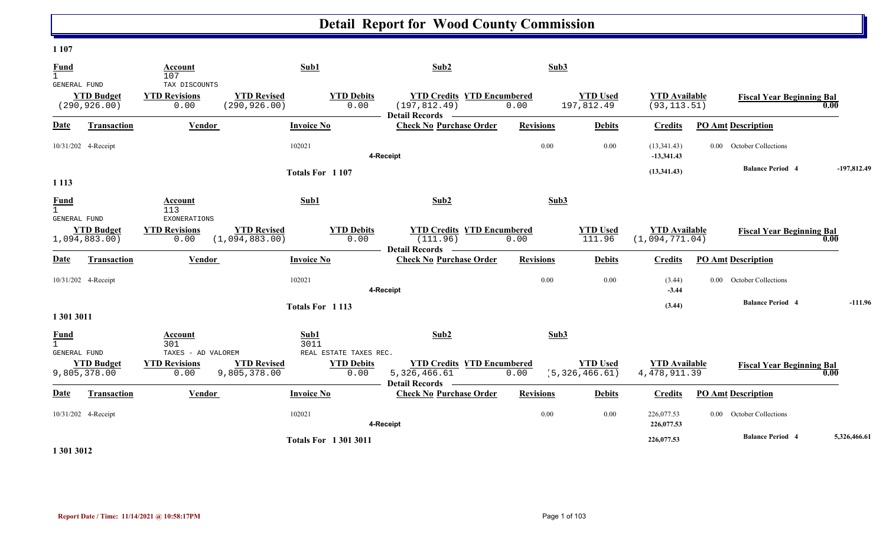#### **1 107**

| <b>Fund</b><br>$\mathbf{1}$   |                                    | Account<br>107                                      |                                      | Sub1                                   | Sub2                                                                                | Sub3             |                                     |                                        |                                        |               |
|-------------------------------|------------------------------------|-----------------------------------------------------|--------------------------------------|----------------------------------------|-------------------------------------------------------------------------------------|------------------|-------------------------------------|----------------------------------------|----------------------------------------|---------------|
| GENERAL FUND                  | <b>YTD Budget</b><br>(290, 926.00) | TAX DISCOUNTS<br><b>YTD Revisions</b><br>0.00       | <b>YTD Revised</b><br>(290, 926.00)  | <b>YTD Debits</b><br>0.00              | <b>YTD Credits YTD Encumbered</b><br>(197, 812.49)<br><b>Detail Records</b>         | 0.00             | <b>YTD Used</b><br>197,812.49       | <b>YTD Available</b><br>(93, 113.51)   | <b>Fiscal Year Beginning Bal</b>       | 0.00          |
| Date                          | <b>Transaction</b>                 | <b>Vendor</b>                                       |                                      | <b>Invoice No</b>                      | <b>Check No Purchase Order</b>                                                      | <b>Revisions</b> | <b>Debits</b>                       | <b>Credits</b>                         | <b>PO Amt Description</b>              |               |
| 10/31/202 4-Receipt           |                                    |                                                     |                                      | 102021                                 | 4-Receipt                                                                           | 0.00             | 0.00                                | (13,341.43)<br>$-13,341.43$            | <b>October Collections</b><br>$0.00\,$ |               |
| 1 1 1 3                       |                                    |                                                     |                                      | Totals For 1107                        |                                                                                     |                  |                                     | (13,341.43)                            | <b>Balance Period 4</b>                | $-197,812.49$ |
| <b>Fund</b><br>$\mathbf{1}$   |                                    | Account<br>113                                      |                                      | Sub1                                   | Sub2                                                                                | Sub3             |                                     |                                        |                                        |               |
| GENERAL FUND<br>1,094,883.00) | <b>YTD Budget</b>                  | <b>EXONERATIONS</b><br><b>YTD Revisions</b><br>0.00 | <b>YTD Revised</b><br>(1,094,883.00) | <b>YTD Debits</b><br>0.00              | <b>YTD Credits YTD Encumbered</b><br>(111.96)                                       | 0.00             | <b>YTD Used</b><br>111.96           | <b>YTD Available</b><br>(1,094,771.04) | <b>Fiscal Year Beginning Bal</b>       | 0.00          |
| <b>Date</b>                   | <b>Transaction</b>                 | Vendor                                              |                                      | <b>Invoice No</b>                      | <b>Detail Records</b><br><b>Contract Contract</b><br><b>Check No Purchase Order</b> | <b>Revisions</b> | <b>Debits</b>                       | <b>Credits</b>                         | <b>PO Amt Description</b>              |               |
| 10/31/202 4-Receipt           |                                    |                                                     |                                      | 102021                                 | 4-Receipt                                                                           | 0.00             | 0.00                                | (3.44)<br>$-3.44$                      | <b>October Collections</b><br>$0.00\,$ |               |
| 1 301 3011                    |                                    |                                                     |                                      | Totals For 1113                        |                                                                                     |                  |                                     | (3.44)                                 | <b>Balance Period 4</b>                | $-111.96$     |
| <b>Fund</b><br>GENERAL FUND   |                                    | Account<br>301<br>TAXES - AD VALOREM                |                                      | Sub1<br>3011<br>REAL ESTATE TAXES REC. | Sub2                                                                                | Sub3             |                                     |                                        |                                        |               |
| 9,805,378.00                  | <b>YTD Budget</b>                  | <b>YTD Revisions</b><br>0.00                        | <b>YTD Revised</b><br>9,805,378.00   | <b>YTD Debits</b><br>0.00              | <b>YTD Credits YTD Encumbered</b><br>5,326,466.61<br><b>Detail Records</b>          | 0.00             | <b>YTD Used</b><br>(5, 326, 466.61) | <b>YTD Available</b><br>4, 478, 911.39 | <b>Fiscal Year Beginning Bal</b>       | 0.00          |
| Date                          | <b>Transaction</b>                 | <b>Vendor</b>                                       |                                      | <b>Invoice No</b>                      | <b>Check No Purchase Order</b>                                                      | <b>Revisions</b> | <b>Debits</b>                       | <b>Credits</b>                         | <b>PO Amt Description</b>              |               |
| 10/31/202 4-Receipt           |                                    |                                                     |                                      | 102021                                 | 4-Receipt                                                                           | 0.00             | 0.00                                | 226,077.53<br>226,077.53               | October Collections<br>$0.00 -$        |               |
|                               |                                    |                                                     |                                      | <b>Totals For 13013011</b>             |                                                                                     |                  |                                     | 226,077.53                             | <b>Balance Period 4</b>                | 5,326,466.61  |

**1 301 3012**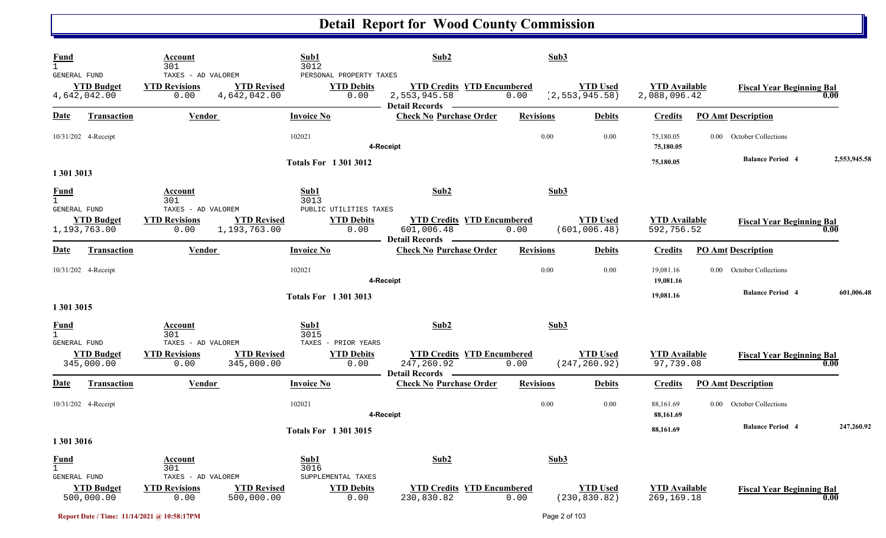| <b>Fund</b><br><b>GENERAL FUND</b>              | Account<br>301<br>TAXES - AD VALOREM                               | Sub1<br>3012<br>PERSONAL PROPERTY TAXES                                   | Sub2                                                                         | Sub3             |                                     |                                      |                                        |              |
|-------------------------------------------------|--------------------------------------------------------------------|---------------------------------------------------------------------------|------------------------------------------------------------------------------|------------------|-------------------------------------|--------------------------------------|----------------------------------------|--------------|
| <b>YTD Budget</b><br>4,642,042.00               | <b>YTD Revised</b><br><b>YTD Revisions</b><br>4,642,042.00<br>0.00 | <b>YTD Debits</b><br>0.00                                                 | <b>YTD Credits YTD Encumbered</b><br>2,553,945.58<br>Detail Records ————     | 0.00             | <b>YTD Used</b><br>(2, 553, 945.58) | <b>YTD Available</b><br>2,088,096.42 | <b>Fiscal Year Beginning Bal</b>       | 0.00         |
| <b>Date</b><br><b>Transaction</b>               | <b>Vendor</b>                                                      | <b>Invoice No</b>                                                         | <b>Check No Purchase Order</b>                                               | <b>Revisions</b> | <b>Debits</b>                       | <b>Credits</b>                       | <b>PO Amt Description</b>              |              |
| 10/31/202 4-Receipt                             |                                                                    | 102021                                                                    | 4-Receipt                                                                    | 0.00             | 0.00                                | 75,180.05<br>75,180.05               | 0.00 October Collections               |              |
| 1 301 3013                                      |                                                                    | <b>Totals For 13013012</b>                                                |                                                                              |                  |                                     | 75,180.05                            | <b>Balance Period 4</b>                | 2,553,945.58 |
| <b>Fund</b><br>$\mathbf{1}$<br>GENERAL FUND     | Account<br>301                                                     | Sub1<br>3013                                                              | Sub2                                                                         | Sub3             |                                     |                                      |                                        |              |
| <b>YTD Budget</b><br>1,193,763.00               | TAXES - AD VALOREM<br><b>YTD Revisions</b><br>1,193,763.00<br>0.00 | PUBLIC UTILITIES TAXES<br><b>YTD Revised</b><br><b>YTD Debits</b><br>0.00 | <b>YTD Credits YTD Encumbered</b><br>601,006.48<br><b>Detail Records</b>     | 0.00             | <b>YTD Used</b><br>(601, 006.48)    | <b>YTD Available</b><br>592,756.52   | <b>Fiscal Year Beginning Bal</b>       | 0.00         |
| <b>Date</b><br><b>Transaction</b>               | Vendor                                                             | <b>Invoice No</b>                                                         | <b>Check No Purchase Order</b>                                               | <b>Revisions</b> | <b>Debits</b>                       | <b>Credits</b>                       | <b>PO Amt Description</b>              |              |
| 10/31/202 4-Receipt                             |                                                                    | 102021                                                                    | 4-Receipt                                                                    | 0.00             | 0.00                                | 19,081.16<br>19,081.16               | <b>October Collections</b><br>$0.00\,$ |              |
| 1 301 3015                                      |                                                                    | <b>Totals For 13013013</b>                                                |                                                                              |                  |                                     | 19,081.16                            | <b>Balance Period 4</b>                | 601,006.48   |
| <u>Fund</u><br>$\mathbf{1}$                     | Account<br>301                                                     | Sub1<br>3015                                                              | Sub2                                                                         | Sub3             |                                     |                                      |                                        |              |
| GENERAL FUND<br><b>YTD Budget</b><br>345,000.00 | TAXES - AD VALOREM<br><b>YTD Revisions</b><br>0.00<br>345,000.00   | TAXES - PRIOR YEARS<br><b>YTD Revised</b><br><b>YTD Debits</b><br>0.00    | <b>YTD Credits YTD Encumbered</b><br>247,260.92<br><b>Detail Records</b>     | 0.00             | <b>YTD Used</b><br>(247, 260.92)    | <b>YTD Available</b><br>97,739.08    | <b>Fiscal Year Beginning Bal</b>       | 0.00         |
| <u>Date</u><br><b>Transaction</b>               | <b>Vendor</b>                                                      | <b>Invoice No</b>                                                         | <b>Contract Contract Contract Contract</b><br><b>Check No Purchase Order</b> | <b>Revisions</b> | <b>Debits</b>                       | <b>Credits</b>                       | <b>PO Amt Description</b>              |              |
| 10/31/202 4-Receipt                             |                                                                    | 102021                                                                    | 4-Receipt                                                                    | 0.00             | 0.00                                | 88,161.69<br>88,161.69               | October Collections<br>$0.00\,$        |              |
| 1 301 3016                                      |                                                                    | <b>Totals For 13013015</b>                                                |                                                                              |                  |                                     | 88,161.69                            | <b>Balance Period 4</b>                | 247,260.92   |
| <b>Fund</b><br>$\mathbf{1}$                     | <b>Account</b><br>301                                              | Sub1<br>3016                                                              | Sub2                                                                         | Sub3             |                                     |                                      |                                        |              |
| GENERAL FUND<br><b>YTD Budget</b><br>500,000.00 | TAXES - AD VALOREM<br><b>YTD Revisions</b><br>500,000.00<br>0.00   | SUPPLEMENTAL TAXES<br><b>YTD Revised</b><br><b>YTD Debits</b><br>0.00     | <b>YTD Credits YTD Encumbered</b><br>230,830.82                              | 0.00             | <b>YTD Used</b><br>(230, 830.82)    | <b>YTD</b> Available<br>269,169.18   | <b>Fiscal Year Beginning Bal</b>       | 0.00         |

**Report Date / Time: 11/14/2021 @ 10:58:17PM** Page 2 of 103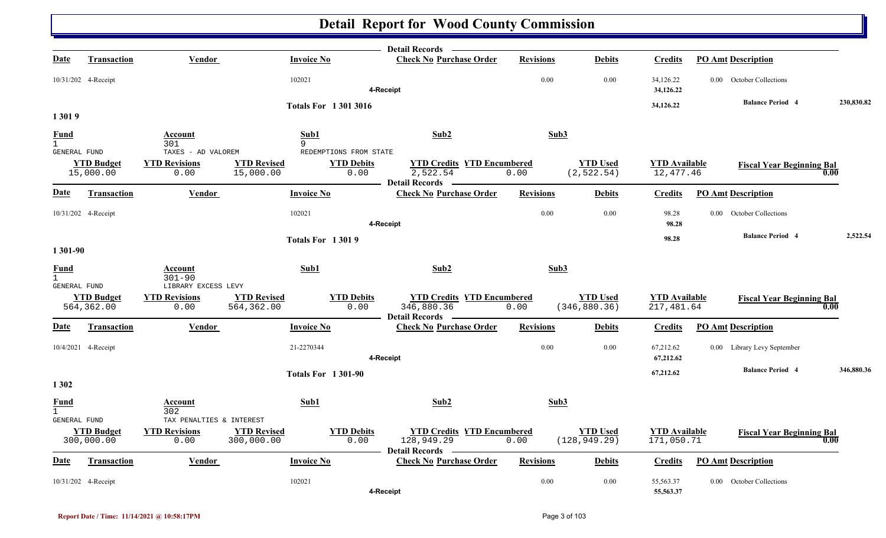|                                                    |                                 |                                                          |                                  |                             | Detail Records -                                                                       |                  |                                  |                                    |                                  |            |
|----------------------------------------------------|---------------------------------|----------------------------------------------------------|----------------------------------|-----------------------------|----------------------------------------------------------------------------------------|------------------|----------------------------------|------------------------------------|----------------------------------|------------|
| <u>Date</u>                                        | <b>Transaction</b>              | <b>Vendor</b>                                            |                                  | <b>Invoice No</b>           | <b>Check No Purchase Order</b>                                                         | <b>Revisions</b> | <b>Debits</b>                    | <b>Credits</b>                     | <b>PO Amt Description</b>        |            |
|                                                    | 10/31/202 4-Receipt             |                                                          |                                  | 102021                      | 4-Receipt                                                                              | 0.00             | 0.00                             | 34,126.22<br>34,126.22             | 0.00 October Collections         |            |
|                                                    |                                 |                                                          |                                  | <b>Totals For 13013016</b>  |                                                                                        |                  |                                  | 34,126.22                          | <b>Balance Period 4</b>          | 230,830.82 |
| 13019                                              |                                 |                                                          |                                  |                             |                                                                                        |                  |                                  |                                    |                                  |            |
| <b>Fund</b>                                        |                                 | Account                                                  |                                  | Sub1                        | Sub2                                                                                   | Sub3             |                                  |                                    |                                  |            |
| 1<br>GENERAL FUND                                  |                                 | 301<br>TAXES - AD VALOREM                                |                                  | 9<br>REDEMPTIONS FROM STATE |                                                                                        |                  |                                  |                                    |                                  |            |
|                                                    | <b>YTD Budget</b><br>15,000.00  | <b>YTD Revisions</b><br>0.00                             | <b>YTD Revised</b><br>15,000.00  | <b>YTD Debits</b>           | <b>YTD Credits YTD Encumbered</b><br>$\overline{2,522.54}$<br>0.00<br>Detail Records - | 0.00             | <b>YTD</b> Used<br>(2, 522.54)   | <b>YTD Available</b><br>12,477.46  | <b>Fiscal Year Beginning Bal</b> | 0.00       |
| <b>Date</b>                                        | <b>Transaction</b>              | Vendor                                                   |                                  | <b>Invoice No</b>           | <b>Check No Purchase Order</b>                                                         | <b>Revisions</b> | <b>Debits</b>                    | <b>Credits</b>                     | <b>PO Amt Description</b>        |            |
|                                                    | 10/31/202 4-Receipt             |                                                          |                                  | 102021                      | 4-Receipt                                                                              | 0.00             | 0.00                             | 98.28<br>98.28                     | 0.00 October Collections         |            |
|                                                    |                                 |                                                          |                                  | <b>Totals For 13019</b>     |                                                                                        |                  |                                  | 98.28                              | <b>Balance Period 4</b>          | 2,522.54   |
| 1 301-90                                           |                                 |                                                          |                                  |                             |                                                                                        |                  |                                  |                                    |                                  |            |
| <u>Fund</u><br>$\mathbf{1}$<br><b>GENERAL FUND</b> |                                 | Account<br>$301 - 90$<br>LIBRARY EXCESS LEVY             |                                  | Sub1                        | Sub2                                                                                   | Sub3             |                                  |                                    |                                  |            |
|                                                    | <b>YTD Budget</b><br>564,362.00 | <b>YTD Revisions</b><br>0.00                             | <b>YTD Revised</b><br>564,362.00 | <b>YTD Debits</b>           | <b>YTD Credits YTD Encumbered</b><br>0.00<br>346,880.36<br><b>Detail Records</b>       | 0.00             | <b>YTD Used</b><br>(346, 880.36) | <b>YTD</b> Available<br>217,481.64 | <b>Fiscal Year Beginning Bal</b> | 0.00       |
| <u>Date</u>                                        | Transaction                     | Vendor                                                   |                                  | <b>Invoice No</b>           | <b>Check No Purchase Order</b>                                                         | <b>Revisions</b> | <b>Debits</b>                    | <b>Credits</b>                     | <b>PO Amt Description</b>        |            |
|                                                    | 10/4/2021 4-Receipt             |                                                          |                                  | 21-2270344                  | 4-Receipt                                                                              | 0.00             | 0.00                             | 67,212.62<br>67,212.62             | 0.00 Library Levy September      |            |
| 1302                                               |                                 |                                                          |                                  | <b>Totals For 1301-90</b>   |                                                                                        |                  |                                  | 67,212.62                          | <b>Balance Period 4</b>          | 346,880.36 |
| <u>Fund</u>                                        |                                 | Account<br>302                                           |                                  | Sub1                        | Sub2                                                                                   | Sub3             |                                  |                                    |                                  |            |
| GENERAL FUND                                       | <b>YTD Budget</b><br>300,000.00 | TAX PENALTIES & INTEREST<br><b>YTD Revisions</b><br>0.00 | <b>YTD Revised</b><br>300,000.00 | <b>YTD Debits</b>           | <b>YTD Credits YTD Encumbered</b><br>128,949.29<br>0.00<br><b>Detail Records</b>       | 0.00             | <b>YTD Used</b><br>(128, 949.29) | <b>YTD Available</b><br>171,050.71 | <b>Fiscal Year Beginning Bal</b> | 0.00       |
| Date                                               | <b>Transaction</b>              | <b>Vendor</b>                                            |                                  | <b>Invoice No</b>           | <b>Check No Purchase Order</b>                                                         | <b>Revisions</b> | <b>Debits</b>                    | <b>Credits</b>                     | <b>PO Amt Description</b>        |            |
|                                                    | 10/31/202 4-Receipt             |                                                          |                                  | 102021                      | 4-Receipt                                                                              | 0.00             | 0.00                             | 55,563.37<br>55,563.37             | 0.00 October Collections         |            |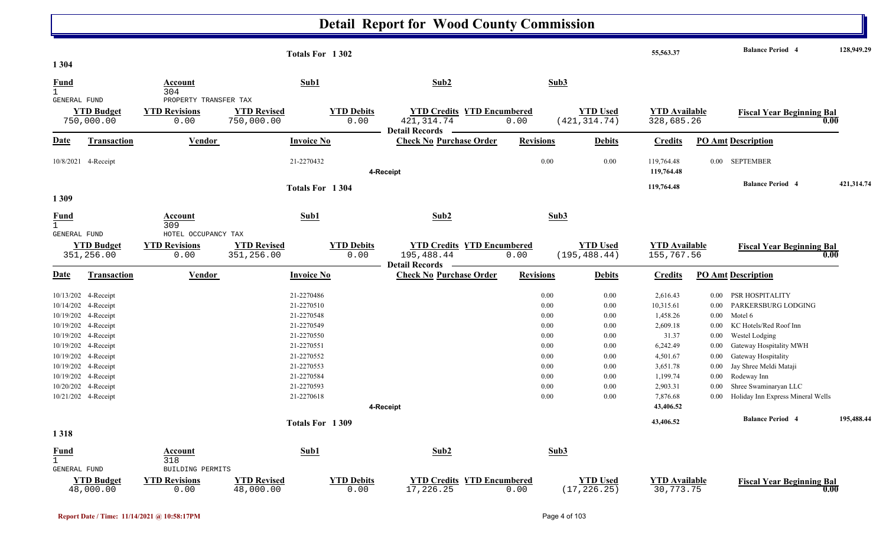|                                             |                                 |                                    | Totals For 1302                  |                           |                                                                          |                  |                                  | 55,563.37                          |          | <b>Balance Period 4</b>           | 128,949.29 |
|---------------------------------------------|---------------------------------|------------------------------------|----------------------------------|---------------------------|--------------------------------------------------------------------------|------------------|----------------------------------|------------------------------------|----------|-----------------------------------|------------|
| 1 3 0 4                                     |                                 |                                    |                                  |                           |                                                                          |                  |                                  |                                    |          |                                   |            |
| Fund<br>$\mathbf{1}$                        |                                 | Account<br>304                     | Sub1                             |                           | Sub2                                                                     |                  | Sub3                             |                                    |          |                                   |            |
| <b>GENERAL FUND</b>                         |                                 | PROPERTY TRANSFER TAX              |                                  |                           |                                                                          |                  |                                  |                                    |          |                                   |            |
|                                             | <b>YTD Budget</b><br>750,000.00 | <b>YTD Revisions</b><br>0.00       | <b>YTD Revised</b><br>750,000.00 | <b>YTD Debits</b><br>0.00 | <b>YTD Credits YTD Encumbered</b><br>421, 314.74                         | 0.00             | <b>YTD Used</b><br>(421, 314.74) | <b>YTD</b> Available<br>328,685.26 |          | <b>Fiscal Year Beginning Bal</b>  | 0.00       |
| Date                                        | <b>Transaction</b>              | <b>Vendor</b>                      | <b>Invoice No</b>                |                           | <b>Detail Records</b><br><b>Check No Purchase Order</b>                  | <b>Revisions</b> | <b>Debits</b>                    | <b>Credits</b>                     |          | <b>PO Amt Description</b>         |            |
|                                             | 10/8/2021 4-Receipt             |                                    | 21-2270432                       |                           | 4-Receipt                                                                | $0.00\,$         | 0.00                             | 119,764.48<br>119,764.48           |          | 0.00 SEPTEMBER                    |            |
|                                             |                                 |                                    | Totals For 1304                  |                           |                                                                          |                  |                                  | 119,764.48                         |          | <b>Balance Period 4</b>           | 421,314.74 |
| 1309                                        |                                 |                                    |                                  |                           |                                                                          |                  |                                  |                                    |          |                                   |            |
| <u>Fund</u><br>$\mathbf{1}$                 |                                 | <b>Account</b><br>309              | Sub1                             |                           | Sub2                                                                     |                  | Sub3                             |                                    |          |                                   |            |
| <b>GENERAL FUND</b>                         |                                 | HOTEL OCCUPANCY TAX                |                                  |                           |                                                                          |                  |                                  |                                    |          |                                   |            |
|                                             | <b>YTD Budget</b><br>351,256.00 | <b>YTD Revisions</b><br>0.00       | <b>YTD Revised</b><br>351,256.00 | <b>YTD Debits</b><br>0.00 | <b>YTD Credits YTD Encumbered</b><br>195,488.44<br><b>Detail Records</b> | 0.00             | <b>YTD Used</b><br>(195, 488.44) | <b>YTD Available</b><br>155,767.56 |          | <b>Fiscal Year Beginning Bal</b>  | 0.00       |
| <u>Date</u>                                 | <b>Transaction</b>              | Vendor                             | <b>Invoice No</b>                |                           | <b>Check No Purchase Order</b>                                           | <b>Revisions</b> | <b>Debits</b>                    | <b>Credits</b>                     |          | <b>PO Amt Description</b>         |            |
|                                             | 10/13/202 4-Receipt             |                                    | 21-2270486                       |                           |                                                                          | 0.00             | 0.00                             | 2,616.43                           | $0.00\,$ | PSR HOSPITALITY                   |            |
|                                             | 10/14/202 4-Receipt             |                                    | 21-2270510                       |                           |                                                                          | 0.00             | 0.00                             | 10,315.61                          | 0.00     | PARKERSBURG LODGING               |            |
|                                             | 10/19/202 4-Receipt             |                                    | 21-2270548                       |                           |                                                                          | 0.00             | 0.00                             | 1,458.26                           | $0.00\,$ | Motel 6                           |            |
|                                             | 10/19/202 4-Receipt             |                                    | 21-2270549                       |                           |                                                                          | 0.00             | 0.00                             | 2,609.18                           | $0.00\,$ | KC Hotels/Red Roof Inn            |            |
|                                             | 10/19/202 4-Receipt             |                                    | 21-2270550                       |                           |                                                                          | 0.00             | 0.00                             | 31.37                              | 0.00     | Westel Lodging                    |            |
|                                             | 10/19/202 4-Receipt             |                                    | 21-2270551                       |                           |                                                                          | 0.00             | 0.00                             | 6,242.49                           | 0.00     | Gateway Hospitality MWH           |            |
|                                             | 10/19/202 4-Receipt             |                                    | 21-2270552                       |                           |                                                                          | 0.00             | 0.00                             | 4,501.67                           | $0.00\,$ | Gateway Hospitality               |            |
|                                             | 10/19/202 4-Receipt             |                                    | 21-2270553                       |                           |                                                                          | 0.00             | 0.00                             | 3,651.78                           | 0.00     | Jay Shree Meldi Mataji            |            |
|                                             | 10/19/202 4-Receipt             |                                    | 21-2270584                       |                           |                                                                          | 0.00             | 0.00                             | 1,199.74                           | $0.00\,$ | Rodeway Inn                       |            |
|                                             | 10/20/202 4-Receipt             |                                    | 21-2270593                       |                           |                                                                          | 0.00             | 0.00                             | 2,903.31                           | $0.00\,$ | Shree Swaminaryan LLC             |            |
|                                             | 10/21/202 4-Receipt             |                                    | 21-2270618                       |                           |                                                                          | 0.00             | 0.00                             | 7,876.68                           | 0.00     | Holiday Inn Express Mineral Wells |            |
|                                             |                                 |                                    |                                  |                           | 4-Receipt                                                                |                  |                                  | 43,406.52                          |          |                                   |            |
|                                             |                                 |                                    | Totals For 1309                  |                           |                                                                          |                  |                                  | 43,406.52                          |          | <b>Balance Period 4</b>           | 195,488.44 |
| 1318                                        |                                 |                                    |                                  |                           |                                                                          |                  |                                  |                                    |          |                                   |            |
| Fund<br>$\mathbf{1}$<br><b>GENERAL FUND</b> |                                 | Account<br>318<br>BUILDING PERMITS | Sub1                             |                           | Sub2                                                                     |                  | Sub3                             |                                    |          |                                   |            |
|                                             | <b>YTD Budget</b><br>48,000.00  | <b>YTD Revisions</b><br>0.00       | <b>YTD Revised</b><br>48,000.00  | <b>YTD Debits</b><br>0.00 | <b>YTD Credits YTD Encumbered</b><br>17,226.25                           | 0.00             | <b>YTD Used</b><br>(17, 226.25)  | <b>YTD Available</b><br>30,773.75  |          | <b>Fiscal Year Beginning Bal</b>  | 0.00       |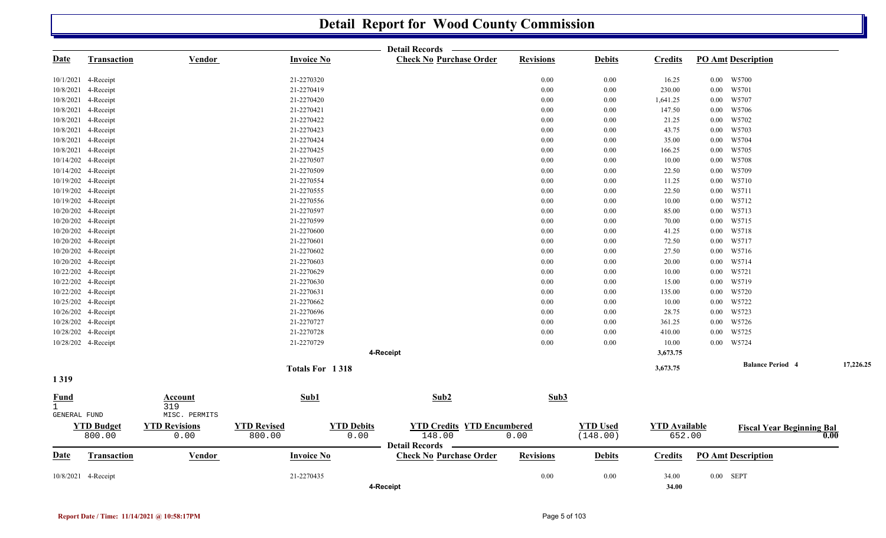|                             |                     |                      |                    |                   | <b>Detail Records</b>                                   |                  |                 |                      |          |                                  |           |
|-----------------------------|---------------------|----------------------|--------------------|-------------------|---------------------------------------------------------|------------------|-----------------|----------------------|----------|----------------------------------|-----------|
| <u>Date</u>                 | <b>Transaction</b>  | <b>Vendor</b>        | <b>Invoice No</b>  |                   | <b>Check No Purchase Order</b>                          | <b>Revisions</b> | <b>Debits</b>   | <b>Credits</b>       |          | <b>PO Amt Description</b>        |           |
|                             | 10/1/2021 4-Receipt |                      | 21-2270320         |                   |                                                         | 0.00             | 0.00            | 16.25                |          | $0.00$ W5700                     |           |
|                             | 10/8/2021 4-Receipt |                      | 21-2270419         |                   |                                                         | 0.00             | 0.00            | 230.00               | $0.00\,$ | W5701                            |           |
|                             | 10/8/2021 4-Receipt |                      | 21-2270420         |                   |                                                         | 0.00             | 0.00            | 1,641.25             | $0.00\,$ | W5707                            |           |
|                             | 10/8/2021 4-Receipt |                      | 21-2270421         |                   |                                                         | 0.00             | 0.00            | 147.50               | $0.00\,$ | W5706                            |           |
|                             | 10/8/2021 4-Receipt |                      | 21-2270422         |                   |                                                         | 0.00             | 0.00            | 21.25                | $0.00\,$ | W5702                            |           |
|                             | 10/8/2021 4-Receipt |                      | 21-2270423         |                   |                                                         | 0.00             | 0.00            | 43.75                | $0.00\,$ | W5703                            |           |
|                             | 10/8/2021 4-Receipt |                      | 21-2270424         |                   |                                                         | 0.00             | 0.00            | 35.00                | $0.00\,$ | W5704                            |           |
|                             | 10/8/2021 4-Receipt |                      | 21-2270425         |                   |                                                         | 0.00             | 0.00            | 166.25               | $0.00\,$ | W5705                            |           |
|                             | 10/14/202 4-Receipt |                      | 21-2270507         |                   |                                                         | 0.00             | 0.00            | 10.00                | $0.00\,$ | W5708                            |           |
|                             | 10/14/202 4-Receipt |                      | 21-2270509         |                   |                                                         | 0.00             | 0.00            | 22.50                | $0.00\,$ | W5709                            |           |
|                             | 10/19/202 4-Receipt |                      | 21-2270554         |                   |                                                         | 0.00             | 0.00            | 11.25                | $0.00\,$ | W5710                            |           |
|                             | 10/19/202 4-Receipt |                      | 21-2270555         |                   |                                                         | 0.00             | 0.00            | 22.50                | $0.00\,$ | W5711                            |           |
|                             | 10/19/202 4-Receipt |                      | 21-2270556         |                   |                                                         | 0.00             | 0.00            | 10.00                | $0.00\,$ | W5712                            |           |
|                             | 10/20/202 4-Receipt |                      | 21-2270597         |                   |                                                         | 0.00             | 0.00            | 85.00                | $0.00\,$ | W5713                            |           |
|                             | 10/20/202 4-Receipt |                      | 21-2270599         |                   |                                                         | 0.00             | 0.00            | 70.00                | 0.00     | W5715                            |           |
|                             | 10/20/202 4-Receipt |                      | 21-2270600         |                   |                                                         | 0.00             | 0.00            | 41.25                | $0.00\,$ | W5718                            |           |
|                             | 10/20/202 4-Receipt |                      | 21-2270601         |                   |                                                         | 0.00             | 0.00            | 72.50                | $0.00\,$ | W5717                            |           |
|                             | 10/20/202 4-Receipt |                      | 21-2270602         |                   |                                                         | 0.00             | 0.00            | 27.50                | $0.00\,$ | W5716                            |           |
|                             | 10/20/202 4-Receipt |                      | 21-2270603         |                   |                                                         | 0.00             | 0.00            | 20.00                | $0.00\,$ | W5714                            |           |
|                             | 10/22/202 4-Receipt |                      | 21-2270629         |                   |                                                         | 0.00             | 0.00            | 10.00                | $0.00\,$ | W5721                            |           |
|                             | 10/22/202 4-Receipt |                      | 21-2270630         |                   |                                                         | 0.00             | 0.00            | 15.00                | $0.00\,$ | W5719                            |           |
|                             | 10/22/202 4-Receipt |                      | 21-2270631         |                   |                                                         | 0.00             | 0.00            | 135.00               | $0.00\,$ | W5720                            |           |
|                             | 10/25/202 4-Receipt |                      | 21-2270662         |                   |                                                         | 0.00             | 0.00            | 10.00                | $0.00\,$ | W5722                            |           |
|                             | 10/26/202 4-Receipt |                      | 21-2270696         |                   |                                                         | 0.00             | 0.00            | 28.75                | 0.00     | W5723                            |           |
|                             | 10/28/202 4-Receipt |                      | 21-2270727         |                   |                                                         | 0.00             | 0.00            | 361.25               | $0.00\,$ | W5726                            |           |
|                             | 10/28/202 4-Receipt |                      | 21-2270728         |                   |                                                         | 0.00             | 0.00            | 410.00               | $0.00\,$ | W5725                            |           |
|                             | 10/28/202 4-Receipt |                      | 21-2270729         |                   |                                                         | $0.00\,$         | $0.00\,$        | 10.00                | $0.00\,$ | W5724                            |           |
|                             |                     |                      |                    |                   | 4-Receipt                                               |                  |                 | 3,673.75             |          |                                  |           |
| 1319                        |                     |                      | Totals For 1318    |                   |                                                         |                  |                 | 3,673.75             |          | <b>Balance Period 4</b>          | 17,226.25 |
| <b>Fund</b><br>$\mathbf{1}$ |                     | Account<br>319       | Sub1               |                   | Sub2                                                    | Sub3             |                 |                      |          |                                  |           |
| GENERAL FUND                |                     | MISC. PERMITS        |                    |                   |                                                         |                  |                 |                      |          |                                  |           |
|                             | <b>YTD Budget</b>   | <b>YTD</b> Revisions | <b>YTD Revised</b> | <b>YTD Debits</b> | <b>YTD Credits YTD Encumbered</b>                       |                  | <b>YTD Used</b> | <b>YTD</b> Available |          | <b>Fiscal Year Beginning Bal</b> |           |
|                             | 800.00              | 0.00                 | 800.00             | 0.00              | 148.00                                                  | 0.00             | (148.00)        | 652.00               |          |                                  | 0.00      |
| Date                        |                     | <b>Vendor</b>        | <b>Invoice No</b>  |                   | <b>Detail Records</b><br><b>Check No Purchase Order</b> | <b>Revisions</b> |                 | <b>Credits</b>       |          | <b>PO Amt Description</b>        |           |
|                             | <b>Transaction</b>  |                      |                    |                   |                                                         |                  | <b>Debits</b>   |                      |          |                                  |           |
|                             | 10/8/2021 4-Receipt |                      | 21-2270435         |                   |                                                         | 0.00             | 0.00            | 34.00                |          | $0.00$ SEPT                      |           |
|                             |                     |                      |                    |                   | 4-Receipt                                               |                  |                 | 34.00                |          |                                  |           |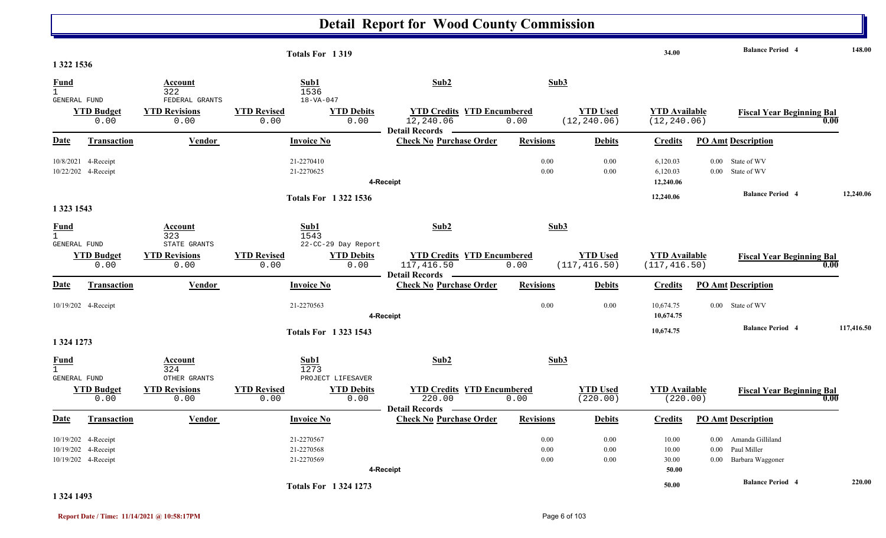|                                             |                                                                   |                                                | Totals For 1319                               |                            |                                                                     |                              |                                  | 34.00                                 | <b>Balance Period 4</b>                                                          |            | 148.00 |
|---------------------------------------------|-------------------------------------------------------------------|------------------------------------------------|-----------------------------------------------|----------------------------|---------------------------------------------------------------------|------------------------------|----------------------------------|---------------------------------------|----------------------------------------------------------------------------------|------------|--------|
| 1 322 1536                                  |                                                                   |                                                |                                               |                            |                                                                     |                              |                                  |                                       |                                                                                  |            |        |
| Fund<br>1                                   |                                                                   | Account<br>322                                 | Sub1<br>1536                                  |                            | Sub2                                                                |                              | Sub3                             |                                       |                                                                                  |            |        |
| GENERAL FUND                                | <b>YTD Budget</b><br>0.00                                         | FEDERAL GRANTS<br><b>YTD Revisions</b><br>0.00 | $18 - VA - 047$<br><b>YTD Revised</b><br>0.00 | <b>YTD Debits</b><br>0.00  | <b>YTD Credits YTD Encumbered</b><br>12,240.06<br>Detail Records —  | 0.00                         | <b>YTD Used</b><br>(12, 240.06)  | <b>YTD Available</b><br>(12, 240.06)  | <b>Fiscal Year Beginning Bal</b>                                                 | 0.00       |        |
| Date                                        | Transaction                                                       | <b>Vendor</b>                                  | <b>Invoice No</b>                             |                            | <b>Check No Purchase Order</b>                                      | <b>Revisions</b>             | <b>Debits</b>                    | <b>Credits</b>                        | <b>PO Amt Description</b>                                                        |            |        |
|                                             | 10/8/2021 4-Receipt<br>10/22/202 4-Receipt                        |                                                | 21-2270410<br>21-2270625                      |                            | 4-Receipt                                                           | 0.00<br>0.00                 | 0.00<br>0.00                     | 6,120.03<br>6,120.03<br>12,240.06     | 0.00 State of WV<br>0.00 State of WV                                             |            |        |
|                                             |                                                                   |                                                |                                               | <b>Totals For 13221536</b> |                                                                     |                              |                                  | 12,240.06                             | <b>Balance Period 4</b>                                                          | 12,240.06  |        |
| 1 323 1543                                  |                                                                   |                                                |                                               |                            |                                                                     |                              |                                  |                                       |                                                                                  |            |        |
| <b>Fund</b><br>$\mathbf{1}$<br>GENERAL FUND |                                                                   | Account<br>323<br>STATE GRANTS                 | Sub1<br>1543                                  | 22-CC-29 Day Report        | Sub2                                                                |                              | Sub3                             |                                       |                                                                                  |            |        |
|                                             | <b>YTD Budget</b><br>0.00                                         | <b>YTD Revisions</b><br>0.00                   | <b>YTD Revised</b><br>0.00                    | <b>YTD Debits</b><br>0.00  | <b>YTD Credits YTD Encumbered</b><br>117,416.50<br>Detail Records – | 0.00                         | <b>YTD Used</b><br>(117, 416.50) | <b>YTD</b> Available<br>(117, 416.50) | <b>Fiscal Year Beginning Bal</b>                                                 | 0.00       |        |
| Date                                        | <b>Transaction</b>                                                | Vendor                                         | <b>Invoice No</b>                             |                            | <b>Check No Purchase Order</b>                                      | <b>Revisions</b>             | <b>Debits</b>                    | <b>Credits</b>                        | <b>PO Amt Description</b>                                                        |            |        |
|                                             | 10/19/202 4-Receipt                                               |                                                | 21-2270563                                    |                            | 4-Receipt                                                           | 0.00                         | 0.00                             | 10,674.75<br>10,674.75                | 0.00 State of WV                                                                 |            |        |
| 1 324 1273                                  |                                                                   |                                                |                                               | <b>Totals For 13231543</b> |                                                                     |                              |                                  | 10,674.75                             | <b>Balance Period 4</b>                                                          | 117,416.50 |        |
| Fund<br>$\mathbf{1}$<br>GENERAL FUND        |                                                                   | Account<br>324<br>OTHER GRANTS                 | Sub1<br>1273                                  | PROJECT LIFESAVER          | Sub2                                                                |                              | Sub3                             |                                       |                                                                                  |            |        |
|                                             | <b>YTD Budget</b><br>0.00                                         | <b>YTD Revisions</b><br>0.00                   | <b>YTD Revised</b><br>0.00                    | <b>YTD Debits</b><br>0.00  | <b>YTD Credits YTD Encumbered</b><br>220.00                         | 0.00                         | <b>YTD Used</b><br>(220.00)      | <b>YTD</b> Available<br>(220.00)      | <b>Fiscal Year Beginning Bal</b>                                                 | 0.00       |        |
| <b>Date</b>                                 | Transaction                                                       | Vendor                                         | <b>Invoice No</b>                             |                            | Detail Records —<br><b>Check No Purchase Order</b>                  | <b>Revisions</b>             | <b>Debits</b>                    | <b>Credits</b>                        | <b>PO Amt Description</b>                                                        |            |        |
|                                             | 10/19/202 4-Receipt<br>10/19/202 4-Receipt<br>10/19/202 4-Receipt |                                                | 21-2270567<br>21-2270568<br>21-2270569        |                            |                                                                     | $0.00\,$<br>$0.00\,$<br>0.00 | $0.00\,$<br>0.00<br>0.00         | 10.00<br>10.00<br>30.00               | Amanda Gilliland<br>$0.00\,$<br>Paul Miller<br>$0.00\,$<br>0.00 Barbara Waggoner |            |        |
|                                             |                                                                   |                                                |                                               |                            | 4-Receipt                                                           |                              |                                  | 50.00                                 | <b>Balance Period 4</b>                                                          |            | 220.00 |
|                                             |                                                                   |                                                |                                               | <b>Totals For 13241273</b> |                                                                     |                              |                                  | 50.00                                 |                                                                                  |            |        |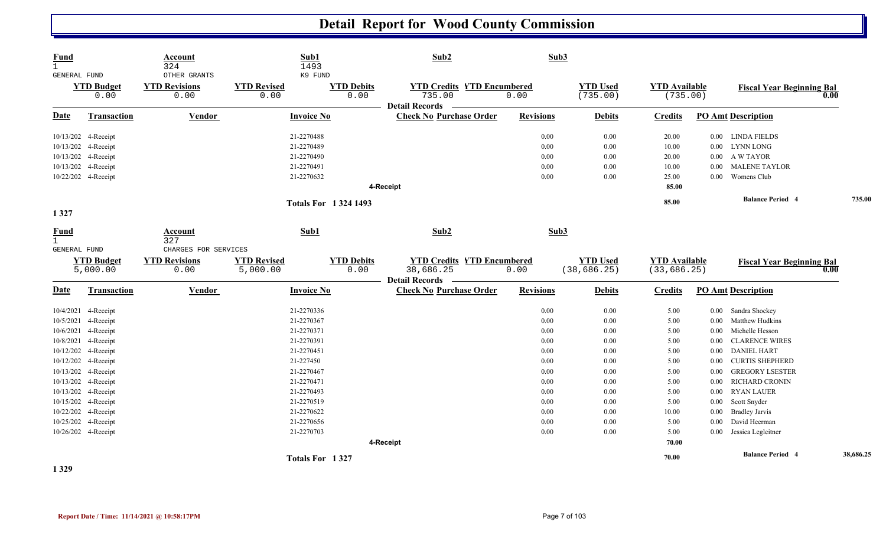| <b>Fund</b><br>$\mathbf{1}$<br>GENERAL FUND |                           | Account<br>324<br>OTHER GRANTS | Sub1<br>1493<br>K9 FUND     |                           | Sub2                                                                 | Sub3             |                             |                                  |          |                                  |           |
|---------------------------------------------|---------------------------|--------------------------------|-----------------------------|---------------------------|----------------------------------------------------------------------|------------------|-----------------------------|----------------------------------|----------|----------------------------------|-----------|
|                                             | <b>YTD Budget</b><br>0.00 | <b>YTD Revisions</b><br>0.00   | <b>YTD Revised</b><br>0.00  | <b>YTD Debits</b><br>0.00 | <b>YTD Credits YTD Encumbered</b><br>735.00<br><b>Detail Records</b> | 0.00             | <b>YTD Used</b><br>(735.00) | <b>YTD Available</b><br>(735.00) |          | <b>Fiscal Year Beginning Bal</b> | 0.00      |
| <b>Date</b>                                 | <b>Transaction</b>        | <b>Vendor</b>                  | <b>Invoice No</b>           |                           | <b>Check No Purchase Order</b>                                       | <b>Revisions</b> | <b>Debits</b>               | <b>Credits</b>                   |          | <b>PO Amt Description</b>        |           |
|                                             | 10/13/202 4-Receipt       |                                | 21-2270488                  |                           |                                                                      | 0.00             | 0.00                        | 20.00                            |          | 0.00 LINDA FIELDS                |           |
|                                             | 10/13/202 4-Receipt       |                                | 21-2270489                  |                           |                                                                      | 0.00             | 0.00                        | 10.00                            | $0.00\,$ | <b>LYNN LONG</b>                 |           |
|                                             | 10/13/202 4-Receipt       |                                | 21-2270490                  |                           |                                                                      | 0.00             | 0.00                        | 20.00                            |          | 0.00 A W TAYOR                   |           |
|                                             | 10/13/202 4-Receipt       |                                | 21-2270491                  |                           |                                                                      | 0.00             | 0.00                        | 10.00                            | $0.00\,$ | <b>MALENE TAYLOR</b>             |           |
|                                             | 10/22/202 4-Receipt       |                                | 21-2270632                  |                           |                                                                      | 0.00             | 0.00                        | 25.00                            | 0.00     | Womens Club                      |           |
|                                             |                           |                                |                             |                           | 4-Receipt                                                            |                  |                             | 85.00                            |          |                                  |           |
|                                             |                           |                                | <b>Totals For 1324 1493</b> |                           |                                                                      |                  |                             | 85.00                            |          | <b>Balance Period 4</b>          | 735.00    |
| 1327                                        |                           |                                |                             |                           |                                                                      |                  |                             |                                  |          |                                  |           |
| <b>Fund</b><br>$\mathbf{1}$                 |                           | Account<br>327                 | Sub1                        |                           | Sub2                                                                 | Sub3             |                             |                                  |          |                                  |           |
| GENERAL FUND                                |                           | CHARGES FOR SERVICES           |                             |                           |                                                                      |                  |                             |                                  |          |                                  |           |
|                                             | <b>YTD Budget</b>         | <b>YTD Revisions</b>           | <b>YTD Revised</b>          | <b>YTD Debits</b>         | <b>YTD Credits YTD Encumbered</b>                                    |                  | <b>YTD Used</b>             | <b>YTD Available</b>             |          | <b>Fiscal Year Beginning Bal</b> |           |
|                                             | 5,000.00                  | 0.00                           | 5,000.00                    | 0.00                      | 38,686.25                                                            | 0.00             | (38, 686.25)                | (33, 686.25)                     |          |                                  | 0.00      |
| <b>Date</b>                                 | <b>Transaction</b>        | Vendor                         | <b>Invoice No</b>           |                           | Detail Records –<br><b>Check No Purchase Order</b>                   | <b>Revisions</b> | <b>Debits</b>               | <b>Credits</b>                   |          | <b>PO Amt Description</b>        |           |
|                                             | 10/4/2021 4-Receipt       |                                | 21-2270336                  |                           |                                                                      | 0.00             | 0.00                        | 5.00                             | $0.00\,$ | Sandra Shockey                   |           |
|                                             | 10/5/2021 4-Receipt       |                                | 21-2270367                  |                           |                                                                      | 0.00             | 0.00                        | 5.00                             | 0.00     | Matthew Hudkins                  |           |
|                                             | 10/6/2021 4-Receipt       |                                | 21-2270371                  |                           |                                                                      | 0.00             | 0.00                        | 5.00                             | 0.00     | Michelle Hesson                  |           |
|                                             | 10/8/2021 4-Receipt       |                                | 21-2270391                  |                           |                                                                      | 0.00             | 0.00                        | 5.00                             | 0.00     | <b>CLARENCE WIRES</b>            |           |
|                                             | 10/12/202 4-Receipt       |                                | 21-2270451                  |                           |                                                                      | 0.00             | 0.00                        | 5.00                             | $0.00\,$ | <b>DANIEL HART</b>               |           |
|                                             | 10/12/202 4-Receipt       |                                | 21-227450                   |                           |                                                                      | 0.00             | 0.00                        | 5.00                             | $0.00\,$ | <b>CURTIS SHEPHERD</b>           |           |
|                                             | 10/13/202 4-Receipt       |                                | 21-2270467                  |                           |                                                                      | 0.00             | 0.00                        | 5.00                             | 0.00     | <b>GREGORY LSESTER</b>           |           |
|                                             | 10/13/202 4-Receipt       |                                | 21-2270471                  |                           |                                                                      | 0.00             | 0.00                        | 5.00                             | 0.00     | <b>RICHARD CRONIN</b>            |           |
|                                             | 10/13/202 4-Receipt       |                                | 21-2270493                  |                           |                                                                      | 0.00             | 0.00                        | 5.00                             | 0.00     | <b>RYAN LAUER</b>                |           |
|                                             | 10/15/202 4-Receipt       |                                | 21-2270519                  |                           |                                                                      | 0.00             | 0.00                        | 5.00                             | $0.00\,$ | Scott Snyder                     |           |
|                                             | 10/22/202 4-Receipt       |                                | 21-2270622                  |                           |                                                                      | 0.00             | 0.00                        | 10.00                            | $0.00\,$ | <b>Bradley Jarvis</b>            |           |
|                                             | 10/25/202 4-Receipt       |                                | 21-2270656                  |                           |                                                                      | 0.00             | 0.00                        | 5.00                             | 0.00     | David Heerman                    |           |
|                                             | 10/26/202 4-Receipt       |                                | 21-2270703                  |                           |                                                                      | 0.00             | 0.00                        | 5.00                             | $0.00\,$ | Jessica Legleitner               |           |
|                                             |                           |                                |                             |                           | 4-Receipt                                                            |                  |                             | 70.00                            |          |                                  |           |
|                                             |                           |                                | Totals For 1327             |                           |                                                                      |                  |                             | 70.00                            |          | <b>Balance Period 4</b>          | 38,686.25 |

**1 329**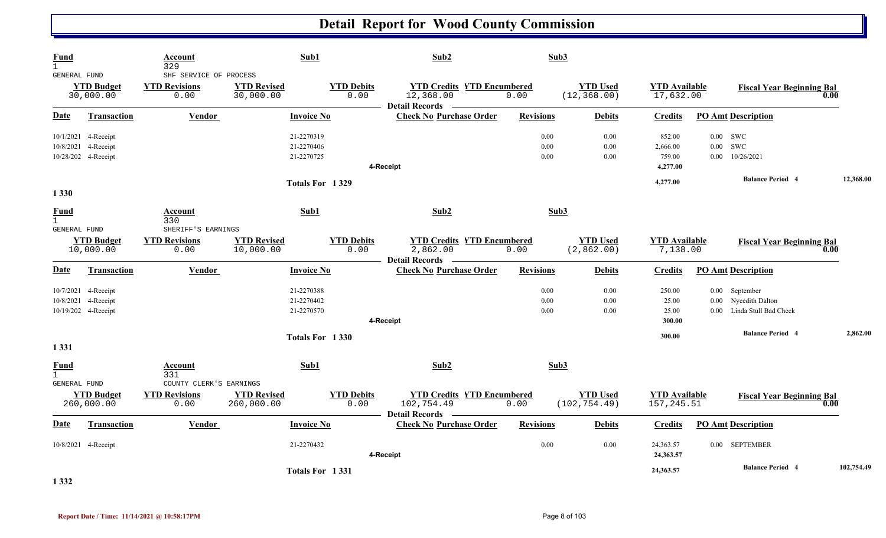| Fund<br>$\mathbf{1}$                               |                                                                   | Account<br>329                                         | Sub1                                   |                           | Sub2                                                                   |                      | Sub3                             |                                          |                                |                                                                                            |            |
|----------------------------------------------------|-------------------------------------------------------------------|--------------------------------------------------------|----------------------------------------|---------------------------|------------------------------------------------------------------------|----------------------|----------------------------------|------------------------------------------|--------------------------------|--------------------------------------------------------------------------------------------|------------|
| <b>GENERAL FUND</b>                                | <b>YTD Budget</b><br>30,000.00                                    | SHF SERVICE OF PROCESS<br><b>YTD Revisions</b><br>0.00 | <b>YTD Revised</b><br>30,000.00        | <b>YTD Debits</b><br>0.00 | <b>YTD Credits YTD Encumbered</b><br>12,368.00                         | 0.00                 | <b>YTD Used</b><br>(12, 368.00)  | <b>YTD Available</b><br>17,632.00        |                                | <b>Fiscal Year Beginning Bal</b>                                                           | 0.00       |
| <b>Date</b>                                        | <b>Transaction</b>                                                | <b>Vendor</b>                                          | <b>Invoice No</b>                      |                           | <b>Detail Records</b><br><b>Check No Purchase Order</b>                | <b>Revisions</b>     | <b>Debits</b>                    | <b>Credits</b>                           |                                | <b>PO Amt Description</b>                                                                  |            |
|                                                    | 10/1/2021 4-Receipt<br>10/8/2021 4-Receipt<br>10/28/202 4-Receipt |                                                        | 21-2270319<br>21-2270406<br>21-2270725 |                           | 4-Receipt                                                              | 0.00<br>0.00<br>0.00 | 0.00<br>0.00<br>0.00             | 852.00<br>2,666.00<br>759.00<br>4,277.00 | $0.00$ SWC<br>0.00<br>$0.00\,$ | <b>SWC</b><br>10/26/2021                                                                   |            |
|                                                    |                                                                   |                                                        | Totals For 1329                        |                           |                                                                        |                      |                                  | 4,277.00                                 |                                | <b>Balance Period 4</b>                                                                    | 12,368.00  |
| 1 3 3 0<br>Fund<br>$\mathbf{1}$<br>GENERAL FUND    |                                                                   | Account<br>330<br>SHERIFF'S EARNINGS                   | Sub1                                   |                           | Sub2                                                                   |                      | Sub3                             |                                          |                                |                                                                                            |            |
|                                                    | <b>YTD Budget</b><br>10,000.00                                    | <b>YTD Revisions</b><br>0.00                           | <b>YTD Revised</b><br>10,000.00        | <b>YTD Debits</b><br>0.00 | <b>YTD Credits YTD Encumbered</b><br>2,862.00<br><b>Detail Records</b> | 0.00                 | <b>YTD Used</b><br>(2,862.00)    | <b>YTD Available</b><br>7,138.00         |                                | <b>Fiscal Year Beginning Bal</b>                                                           | 0.00       |
| <b>Date</b>                                        | Transaction                                                       | Vendor                                                 | <b>Invoice No</b>                      |                           | <b>Check No Purchase Order</b>                                         | <b>Revisions</b>     | <b>Debits</b>                    | <b>Credits</b>                           |                                | <b>PO Amt Description</b>                                                                  |            |
|                                                    | 10/7/2021 4-Receipt<br>10/8/2021 4-Receipt<br>10/19/202 4-Receipt |                                                        | 21-2270388<br>21-2270402<br>21-2270570 |                           | 4-Receipt                                                              | 0.00<br>0.00<br>0.00 | 0.00<br>0.00<br>0.00             | 250.00<br>25.00<br>25.00<br>300.00       | 0.00                           | 0.00 September<br>0.00 Nyeedith Dalton<br>Linda Stull Bad Check<br><b>Balance Period 4</b> | 2,862.00   |
| 1 3 3 1                                            |                                                                   |                                                        | Totals For 1330                        |                           |                                                                        |                      |                                  | 300.00                                   |                                |                                                                                            |            |
| <u>Fund</u><br>$\mathbf{1}$<br><b>GENERAL FUND</b> |                                                                   | Account<br>331<br>COUNTY CLERK'S EARNINGS              | Sub1                                   |                           | Sub <sub>2</sub>                                                       |                      | Sub3                             |                                          |                                |                                                                                            |            |
|                                                    | <b>YTD Budget</b><br>260,000.00                                   | <b>YTD Revisions</b><br>0.00                           | <b>YTD Revised</b><br>260,000.00       | <b>YTD Debits</b><br>0.00 | <b>YTD Credits YTD Encumbered</b><br>102, 754.49<br>Detail Records –   | 0.00                 | <b>YTD Used</b><br>(102, 754.49) | <b>YTD Available</b><br>157,245.51       |                                | <b>Fiscal Year Beginning Bal</b>                                                           | 0.00       |
| <u>Date</u>                                        | Transaction                                                       | Vendor                                                 | <b>Invoice No</b>                      |                           | <b>Check No Purchase Order</b>                                         | <b>Revisions</b>     | <b>Debits</b>                    | <b>Credits</b>                           |                                | <b>PO Amt Description</b>                                                                  |            |
|                                                    | 10/8/2021 4-Receipt                                               |                                                        | 21-2270432                             |                           | 4-Receipt                                                              | 0.00                 | 0.00                             | 24,363.57<br>24,363.57                   |                                | 0.00 SEPTEMBER                                                                             |            |
|                                                    |                                                                   |                                                        | Totals For 1331                        |                           |                                                                        |                      |                                  | 24,363.57                                |                                | <b>Balance Period 4</b>                                                                    | 102,754.49 |

**1 332**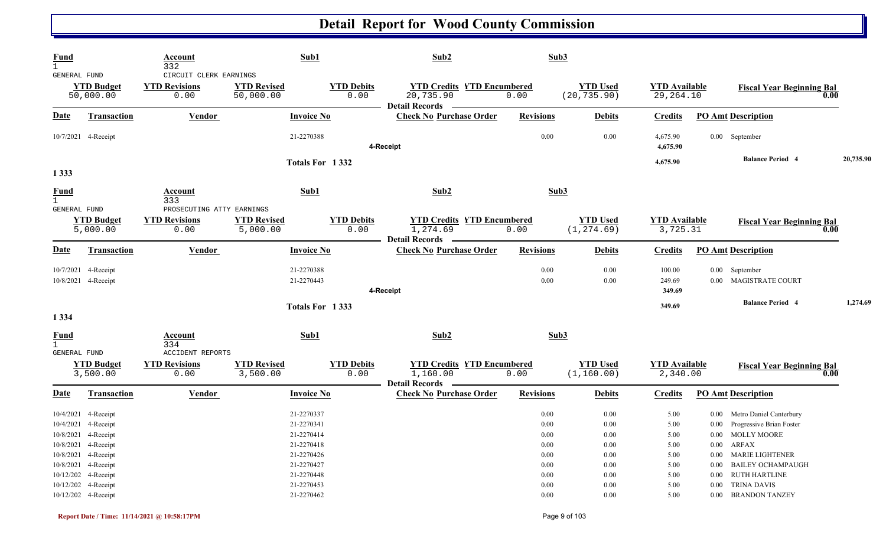| <b>Fund</b>                                            |                                                                                                                                                                                      | Account<br>332                                         | Sub1                                                                                                         |                           | Sub2                                                                                                                 | Sub3                                                                                         |                                                                                          |                                                              |                                                                                                                                                                                               |           |
|--------------------------------------------------------|--------------------------------------------------------------------------------------------------------------------------------------------------------------------------------------|--------------------------------------------------------|--------------------------------------------------------------------------------------------------------------|---------------------------|----------------------------------------------------------------------------------------------------------------------|----------------------------------------------------------------------------------------------|------------------------------------------------------------------------------------------|--------------------------------------------------------------|-----------------------------------------------------------------------------------------------------------------------------------------------------------------------------------------------|-----------|
| GENERAL FUND                                           | <b>YTD Budget</b><br>50,000.00                                                                                                                                                       | CIRCUIT CLERK EARNINGS<br><b>YTD Revisions</b><br>0.00 | <b>YTD Revised</b><br>50,000.00                                                                              | <b>YTD Debits</b><br>0.00 | <b>YTD Credits YTD Encumbered</b><br>20,735.90<br>Detail Records —                                                   | 0.00                                                                                         | <b>YTD Used</b><br>(20, 735.90)                                                          | <b>YTD Available</b><br>29,264.10                            | <b>Fiscal Year Beginning Bal</b>                                                                                                                                                              | 0.00      |
| Date                                                   | <b>Transaction</b>                                                                                                                                                                   | <b>Vendor</b>                                          | <b>Invoice No</b>                                                                                            |                           | <b>Check No Purchase Order</b>                                                                                       | <b>Revisions</b>                                                                             | <b>Debits</b>                                                                            | <b>Credits</b>                                               | <b>PO Amt Description</b>                                                                                                                                                                     |           |
|                                                        | 10/7/2021 4-Receipt                                                                                                                                                                  |                                                        | 21-2270388                                                                                                   |                           | 4-Receipt                                                                                                            | $0.00\,$                                                                                     | 0.00                                                                                     | 4,675.90<br>4,675.90                                         | 0.00 September                                                                                                                                                                                |           |
| 1 3 3 3                                                |                                                                                                                                                                                      |                                                        |                                                                                                              | Totals For 1332           |                                                                                                                      |                                                                                              |                                                                                          | 4,675.90                                                     | <b>Balance Period 4</b>                                                                                                                                                                       | 20,735.90 |
| <b>Fund</b><br>$\mathbf{1}$<br>GENERAL FUND            |                                                                                                                                                                                      | Account<br>333<br>PROSECUTING ATTY EARNINGS            | Sub1                                                                                                         |                           | Sub2                                                                                                                 | Sub3                                                                                         |                                                                                          |                                                              |                                                                                                                                                                                               |           |
|                                                        | <b>YTD Budget</b><br>5,000.00                                                                                                                                                        | <b>YTD Revisions</b><br>0.00                           | <b>YTD Revised</b><br>5,000.00                                                                               | <b>YTD Debits</b><br>0.00 | <b>YTD Credits YTD Encumbered</b><br>1,274.69<br>Detail Records —————                                                | 0.00                                                                                         | <b>YTD Used</b><br>(1, 274.69)                                                           | <b>YTD Available</b><br>3,725.31                             | <b>Fiscal Year Beginning Bal</b>                                                                                                                                                              | 0.00      |
| <u>Date</u>                                            | Transaction                                                                                                                                                                          | Vendor                                                 | <b>Invoice No</b>                                                                                            |                           | <b>Check No Purchase Order</b>                                                                                       | <b>Revisions</b>                                                                             | <b>Debits</b>                                                                            | <b>Credits</b>                                               | <b>PO Amt Description</b>                                                                                                                                                                     |           |
|                                                        | 10/7/2021 4-Receipt<br>10/8/2021 4-Receipt                                                                                                                                           |                                                        | 21-2270388<br>21-2270443                                                                                     |                           | 4-Receipt                                                                                                            | $0.00\,$<br>$0.00\,$                                                                         | 0.00<br>0.00                                                                             | 100.00<br>249.69<br>349.69                                   | 0.00 September<br>0.00 MAGISTRATE COURT                                                                                                                                                       |           |
|                                                        |                                                                                                                                                                                      |                                                        |                                                                                                              | Totals For 1333           |                                                                                                                      |                                                                                              |                                                                                          | 349.69                                                       | <b>Balance Period 4</b>                                                                                                                                                                       | 1,274.69  |
| 1 3 3 4<br><b>Fund</b><br>$\mathbf{1}$<br>GENERAL FUND |                                                                                                                                                                                      | Account<br>334<br><b>ACCIDENT REPORTS</b>              | Sub1                                                                                                         |                           | Sub2                                                                                                                 | Sub3                                                                                         |                                                                                          |                                                              |                                                                                                                                                                                               |           |
|                                                        | <b>YTD Budget</b><br>3,500.00                                                                                                                                                        | <b>YTD Revisions</b><br>0.00                           | <b>YTD Revised</b><br>3,500.00                                                                               | <b>YTD Debits</b><br>0.00 | <b>YTD Credits YTD Encumbered</b><br>1,160.00<br><b>Detail Records</b><br><b>Contract Contract Contract Contract</b> | 0.00                                                                                         | <b>YTD Used</b><br>(1, 160.00)                                                           | <b>YTD Available</b><br>2,340.00                             | <b>Fiscal Year Beginning Bal</b>                                                                                                                                                              | 0.00      |
| <u>Date</u>                                            | <b>Transaction</b>                                                                                                                                                                   | Vendor                                                 | <b>Invoice No</b>                                                                                            |                           | <b>Check No Purchase Order</b>                                                                                       | <b>Revisions</b>                                                                             | <b>Debits</b>                                                                            | <b>Credits</b>                                               | <b>PO Amt Description</b>                                                                                                                                                                     |           |
|                                                        | 10/4/2021 4-Receipt<br>10/4/2021 4-Receipt<br>10/8/2021 4-Receipt<br>10/8/2021 4-Receipt<br>10/8/2021 4-Receipt<br>10/8/2021 4-Receipt<br>10/12/202 4-Receipt<br>10/12/202 4-Receipt |                                                        | 21-2270337<br>21-2270341<br>21-2270414<br>21-2270418<br>21-2270426<br>21-2270427<br>21-2270448<br>21-2270453 |                           |                                                                                                                      | $0.00\,$<br>$0.00\,$<br>$0.00\,$<br>$0.00\,$<br>$0.00\,$<br>$0.00\,$<br>$0.00\,$<br>$0.00\,$ | $0.00\,$<br>$0.00\,$<br>$0.00\,$<br>0.00<br>$0.00\,$<br>$0.00\,$<br>$0.00\,$<br>$0.00\,$ | 5.00<br>5.00<br>5.00<br>5.00<br>5.00<br>5.00<br>5.00<br>5.00 | 0.00 Metro Daniel Canterbury<br>0.00 Progressive Brian Foster<br>0.00 MOLLY MOORE<br>$0.00$ ARFAX<br>0.00 MARIE LIGHTENER<br>0.00 BAILEY OCHAMPAUGH<br>0.00 RUTH HARTLINE<br>0.00 TRINA DAVIS |           |
|                                                        | 10/12/202 4-Receipt                                                                                                                                                                  |                                                        | 21-2270462                                                                                                   |                           |                                                                                                                      | $0.00\,$                                                                                     | $0.00\,$                                                                                 | 5.00                                                         | 0.00 BRANDON TANZEY                                                                                                                                                                           |           |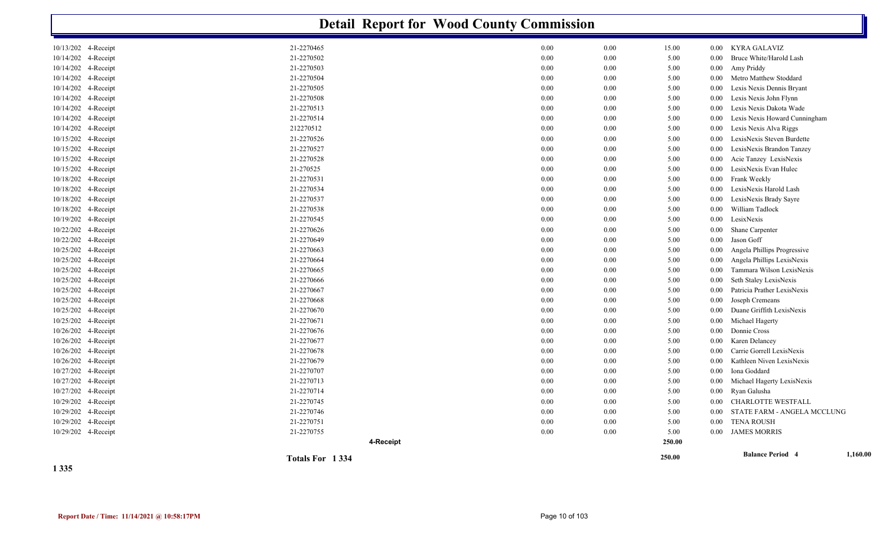|                        |                 | <b>Detail Report for Wood County Commission</b> |               |          |                                     |
|------------------------|-----------------|-------------------------------------------------|---------------|----------|-------------------------------------|
| 10/13/202 4-Receipt    | 21-2270465      | 0.00                                            | 0.00<br>15.00 | $0.00\,$ | KYRA GALAVIZ                        |
| 10/14/202 4-Receipt    | 21-2270502      | 0.00                                            | 0.00<br>5.00  | 0.00     | Bruce White/Harold Lash             |
| 10/14/202 4-Receipt    | 21-2270503      | 0.00                                            | 0.00<br>5.00  | $0.00\,$ | Amy Priddy                          |
| 10/14/202 4-Receipt    | 21-2270504      | 0.00                                            | 0.00<br>5.00  | 0.00     | Metro Matthew Stoddard              |
| 10/14/202 4-Receipt    | 21-2270505      | 0.00                                            | 0.00<br>5.00  | 0.00     | Lexis Nexis Dennis Bryant           |
| 10/14/202 4-Receipt    | 21-2270508      | 0.00                                            | 0.00<br>5.00  | 0.00     | Lexis Nexis John Flynn              |
| 10/14/202<br>4-Receipt | 21-2270513      | 0.00                                            | 0.00<br>5.00  | 0.00     | Lexis Nexis Dakota Wade             |
| 10/14/202 4-Receipt    | 21-2270514      | 0.00                                            | 0.00<br>5.00  | 0.00     | Lexis Nexis Howard Cunningham       |
| 10/14/202 4-Receipt    | 212270512       | 0.00                                            | 0.00<br>5.00  | 0.00     | Lexis Nexis Alva Riggs              |
| 10/15/202 4-Receipt    | 21-2270526      | 0.00                                            | 0.00<br>5.00  | 0.00     | LexisNexis Steven Burdette          |
| 10/15/202 4-Receipt    | 21-2270527      | 0.00                                            | 0.00<br>5.00  | 0.00     | LexisNexis Brandon Tanzey           |
| 10/15/202 4-Receipt    | 21-2270528      | 0.00                                            | 0.00<br>5.00  | 0.00     | Acie Tanzey LexisNexis              |
| 10/15/202 4-Receipt    | 21-270525       | 0.00                                            | 0.00<br>5.00  | 0.00     | LesixNexis Evan Hulec               |
| 10/18/202 4-Receipt    | 21-2270531      | 0.00                                            | 0.00<br>5.00  | 0.00     | Frank Weekly                        |
| 10/18/202 4-Receipt    | 21-2270534      | 0.00                                            | 0.00<br>5.00  | 0.00     | LexisNexis Harold Lash              |
| 10/18/202 4-Receipt    | 21-2270537      | 0.00                                            | 0.00<br>5.00  | 0.00     | LexisNexis Brady Sayre              |
| 10/18/202 4-Receipt    | 21-2270538      | 0.00                                            | 0.00<br>5.00  | 0.00     | William Tadlock                     |
| 10/19/202 4-Receipt    | 21-2270545      | 0.00                                            | 0.00<br>5.00  | 0.00     | LesixNexis                          |
| 10/22/202 4-Receipt    | 21-2270626      | 0.00                                            | 0.00<br>5.00  | 0.00     | Shane Carpenter                     |
| 10/22/202 4-Receipt    | 21-2270649      | 0.00                                            | 0.00<br>5.00  | 0.00     | Jason Goff                          |
| 10/25/202 4-Receipt    | 21-2270663      | 0.00                                            | 0.00<br>5.00  | $0.00\,$ | Angela Phillips Progressive         |
| 10/25/202 4-Receipt    | 21-2270664      | 0.00                                            | 0.00<br>5.00  | 0.00     | Angela Phillips LexisNexis          |
| 10/25/202 4-Receipt    | 21-2270665      | 0.00                                            | 0.00<br>5.00  | 0.00     | Tammara Wilson LexisNexis           |
| 10/25/202 4-Receipt    | 21-2270666      | 0.00                                            | 0.00<br>5.00  | 0.00     | Seth Staley LexisNexis              |
| 10/25/202 4-Receipt    | 21-2270667      | 0.00                                            | 0.00<br>5.00  | 0.00     | Patricia Prather LexisNexis         |
| 10/25/202 4-Receipt    | 21-2270668      | 0.00                                            | 0.00<br>5.00  | 0.00     | Joseph Cremeans                     |
| 10/25/202 4-Receipt    | 21-2270670      | 0.00                                            | 0.00<br>5.00  | 0.00     | Duane Griffith LexisNexis           |
| 10/25/202 4-Receipt    | 21-2270671      | 0.00                                            | 0.00<br>5.00  | 0.00     | Michael Hagerty                     |
| 10/26/202 4-Receipt    | 21-2270676      | 0.00                                            | 0.00<br>5.00  | 0.00     | Donnie Cross                        |
| 10/26/202 4-Receipt    | 21-2270677      | 0.00                                            | 0.00<br>5.00  | 0.00     | Karen Delancey                      |
| 10/26/202 4-Receipt    | 21-2270678      | 0.00                                            | 0.00<br>5.00  | 0.00     | Carrie Gorrell LexisNexis           |
| 10/26/202 4-Receipt    | 21-2270679      | 0.00                                            | 5.00<br>0.00  | 0.00     | Kathleen Niven LexisNexis           |
| 10/27/202 4-Receipt    | 21-2270707      | 0.00                                            | 0.00<br>5.00  | 0.00     | Iona Goddard                        |
| 10/27/202 4-Receipt    | 21-2270713      | 0.00                                            | 0.00<br>5.00  | 0.00     | Michael Hagerty LexisNexis          |
| 10/27/202 4-Receipt    | 21-2270714      | 0.00                                            | 0.00<br>5.00  | 0.00     | Ryan Galusha                        |
| 10/29/202 4-Receipt    | 21-2270745      | 0.00                                            | 0.00<br>5.00  | 0.00     | <b>CHARLOTTE WESTFALL</b>           |
| 10/29/202 4-Receipt    | 21-2270746      | 0.00                                            | 0.00<br>5.00  | 0.00     | STATE FARM - ANGELA MCCLUNG         |
| 10/29/202 4-Receipt    | 21-2270751      | 0.00                                            | 0.00<br>5.00  | 0.00     | <b>TENA ROUSH</b>                   |
| 10/29/202 4-Receipt    | 21-2270755      | 0.00                                            | 0.00<br>5.00  | 0.00     | <b>JAMES MORRIS</b>                 |
|                        | 4-Receipt       |                                                 | 250.00        |          |                                     |
|                        |                 |                                                 |               |          |                                     |
|                        | Totals For 1334 |                                                 | 250.00        |          | <b>Balance Period 4</b><br>1,160.00 |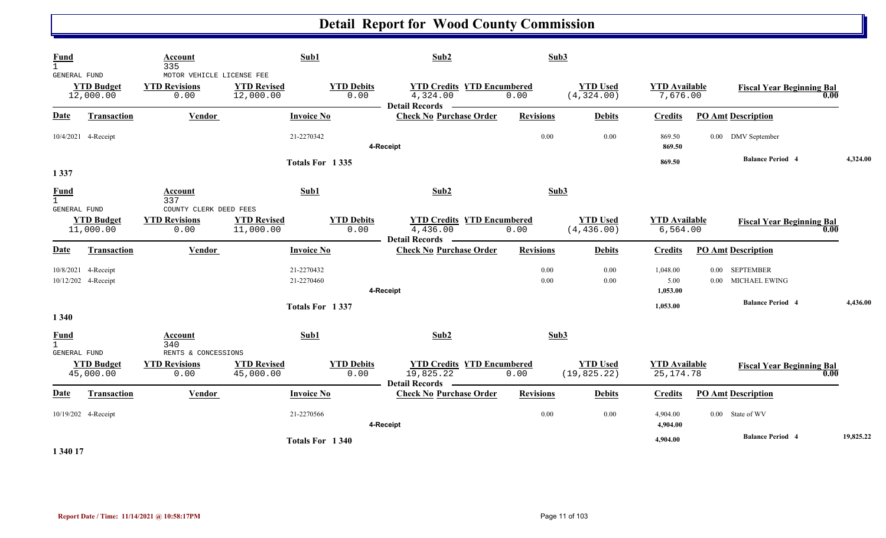| Fund<br>$\mathbf{1}$        |                                            | Account<br>335                                            | Sub1                            |                           | Sub2                                                                    | Sub3             |                                 |                                     |                           |                                   |           |
|-----------------------------|--------------------------------------------|-----------------------------------------------------------|---------------------------------|---------------------------|-------------------------------------------------------------------------|------------------|---------------------------------|-------------------------------------|---------------------------|-----------------------------------|-----------|
| GENERAL FUND                | <b>YTD Budget</b><br>12,000.00             | MOTOR VEHICLE LICENSE FEE<br><b>YTD Revisions</b><br>0.00 | <b>YTD Revised</b><br>12,000.00 | <b>YTD Debits</b><br>0.00 | <b>YTD Credits YTD Encumbered</b><br>4,324.00<br>Detail Records -       | 0.00             | <b>YTD Used</b><br>(4, 324.00)  | <b>YTD Available</b><br>7,676.00    |                           | <b>Fiscal Year Beginning Bal</b>  | 0.00      |
| Date                        | <b>Transaction</b>                         | <b>Vendor</b>                                             | <b>Invoice No</b>               |                           | <b>Check No Purchase Order</b>                                          | <b>Revisions</b> | <b>Debits</b>                   | <b>Credits</b>                      | <b>PO Amt Description</b> |                                   |           |
|                             | 10/4/2021 4-Receipt                        |                                                           | 21-2270342                      |                           | 4-Receipt                                                               | 0.00             | 0.00                            | 869.50<br>869.50                    |                           | 0.00 DMV September                |           |
| 1 3 3 7                     |                                            |                                                           |                                 | Totals For 1335           |                                                                         |                  |                                 | 869.50                              |                           | <b>Balance Period 4</b>           | 4,324.00  |
| Fund<br>$\mathbf{1}$        |                                            | Account<br>337                                            | Sub1                            |                           | Sub2                                                                    | Sub3             |                                 |                                     |                           |                                   |           |
| GENERAL FUND                | <b>YTD Budget</b><br>11,000.00             | COUNTY CLERK DEED FEES<br><b>YTD Revisions</b><br>0.00    | <b>YTD Revised</b><br>11,000.00 | <b>YTD Debits</b><br>0.00 | <b>YTD Credits YTD Encumbered</b><br>4,436.00<br><b>Detail Records</b>  | 0.00             | <b>YTD Used</b><br>(4, 436.00)  | <b>YTD Available</b><br>6, 564.00   |                           | <b>Fiscal Year Beginning Bal</b>  | 0.00      |
| <u>Date</u>                 | <b>Transaction</b>                         | Vendor                                                    | <b>Invoice No</b>               |                           | <b>Check No Purchase Order</b>                                          | <b>Revisions</b> | <b>Debits</b>                   | <b>Credits</b>                      | <b>PO Amt Description</b> |                                   |           |
|                             | 10/8/2021 4-Receipt<br>10/12/202 4-Receipt |                                                           | 21-2270432<br>21-2270460        |                           | 4-Receipt                                                               | 0.00<br>0.00     | 0.00<br>0.00                    | 1,048.00<br>5.00<br>1,053.00        | 0.00<br>0.00              | <b>SEPTEMBER</b><br>MICHAEL EWING |           |
| 1 3 4 0                     |                                            |                                                           | Totals For 1337                 |                           |                                                                         |                  |                                 | 1,053.00                            |                           | <b>Balance Period 4</b>           | 4,436.00  |
| <b>Fund</b><br>$\mathbf{1}$ |                                            | <b>Account</b><br>340                                     | Sub1                            |                           | Sub2                                                                    | Sub3             |                                 |                                     |                           |                                   |           |
| GENERAL FUND                | <b>YTD Budget</b><br>45,000.00             | RENTS & CONCESSIONS<br><b>YTD Revisions</b><br>0.00       | <b>YTD Revised</b><br>45,000.00 | <b>YTD Debits</b><br>0.00 | <b>YTD Credits YTD Encumbered</b><br>19,825.22<br><b>Detail Records</b> | 0.00             | <b>YTD Used</b><br>(19, 825.22) | <b>YTD Available</b><br>25, 174. 78 |                           | <b>Fiscal Year Beginning Bal</b>  | 0.00      |
| Date                        | Transaction                                | Vendor                                                    | <b>Invoice No</b>               |                           | <b>Check No Purchase Order</b>                                          | <b>Revisions</b> | <b>Debits</b>                   | <b>Credits</b>                      | <b>PO Amt Description</b> |                                   |           |
|                             | 10/19/202 4-Receipt                        |                                                           | 21-2270566                      |                           | 4-Receipt                                                               | 0.00             | 0.00                            | 4,904.00<br>4,904.00                | 0.00 State of WV          |                                   |           |
|                             |                                            |                                                           |                                 | Totals For 1340           |                                                                         |                  |                                 | 4,904.00                            |                           | <b>Balance Period 4</b>           | 19,825.22 |

**1 340 17**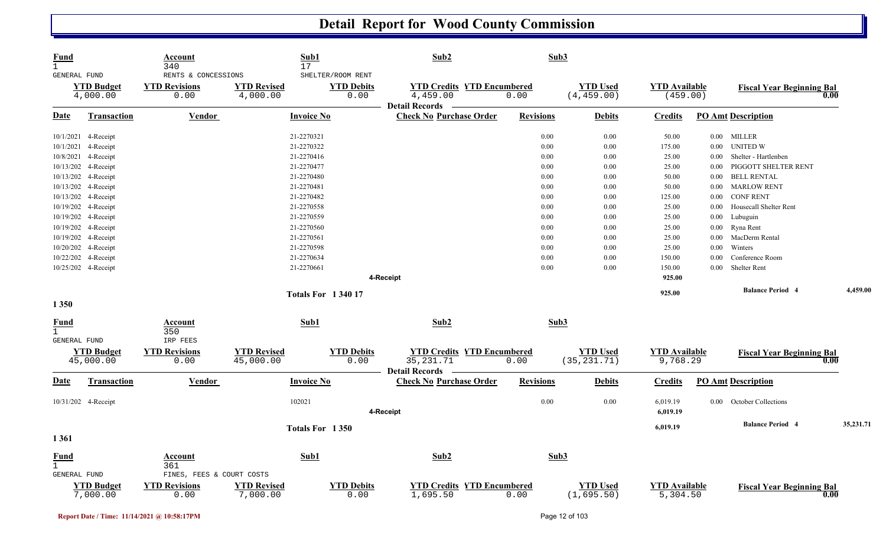| <b>Fund</b><br>$\mathbf{1}$<br>GENERAL FUND        |                                | Account<br>340<br>RENTS & CONCESSIONS | Sub1<br>17                      | SHELTER/ROOM RENT         | Sub2                                                                   |                  | Sub3                            |                                  |          |                                  |           |
|----------------------------------------------------|--------------------------------|---------------------------------------|---------------------------------|---------------------------|------------------------------------------------------------------------|------------------|---------------------------------|----------------------------------|----------|----------------------------------|-----------|
|                                                    | <b>YTD Budget</b><br>4,000.00  | <b>YTD Revisions</b><br>0.00          | <b>YTD Revised</b><br>4,000.00  | <b>YTD Debits</b><br>0.00 | <b>YTD Credits YTD Encumbered</b><br>4,459.00<br><b>Detail Records</b> | 0.00             | <b>YTD Used</b><br>(4, 459.00)  | <b>YTD</b> Available<br>(459.00) |          | <b>Fiscal Year Beginning Bal</b> | 0.00      |
| <u>Date</u>                                        | <b>Transaction</b>             | <b>Vendor</b>                         | <b>Invoice No</b>               |                           | <b>Check No Purchase Order</b>                                         | <b>Revisions</b> | <b>Debits</b>                   | <b>Credits</b>                   |          | <b>PO Amt Description</b>        |           |
|                                                    | 10/1/2021 4-Receipt            |                                       | 21-2270321                      |                           |                                                                        | 0.00             | 0.00                            | 50.00                            |          | 0.00 MILLER                      |           |
|                                                    | 10/1/2021 4-Receipt            |                                       | 21-2270322                      |                           |                                                                        | 0.00             | 0.00                            | 175.00                           | $0.00\,$ | <b>UNITED W</b>                  |           |
|                                                    | 10/8/2021 4-Receipt            |                                       | 21-2270416                      |                           |                                                                        | 0.00             | 0.00                            | 25.00                            | $0.00\,$ | Shelter - Hartlenben             |           |
|                                                    | 10/13/202 4-Receipt            |                                       | 21-2270477                      |                           |                                                                        | 0.00             | 0.00                            | 25.00                            | 0.00     | PIGGOTT SHELTER RENT             |           |
|                                                    | 10/13/202 4-Receipt            |                                       | 21-2270480                      |                           |                                                                        | 0.00             | 0.00                            | 50.00                            | $0.00\,$ | <b>BELL RENTAL</b>               |           |
|                                                    | 10/13/202 4-Receipt            |                                       | 21-2270481                      |                           |                                                                        | 0.00             | 0.00                            | 50.00                            | $0.00\,$ | <b>MARLOW RENT</b>               |           |
|                                                    | 10/13/202 4-Receipt            |                                       | 21-2270482                      |                           |                                                                        | 0.00             | 0.00                            | 125.00                           | $0.00\,$ | <b>CONF RENT</b>                 |           |
|                                                    | 10/19/202 4-Receipt            |                                       | 21-2270558                      |                           |                                                                        | 0.00             | 0.00                            | 25.00                            | 0.00     | Housecall Shelter Rent           |           |
|                                                    | 10/19/202 4-Receipt            |                                       | 21-2270559                      |                           |                                                                        | 0.00             | 0.00                            | 25.00                            | 0.00     | Lubuguin                         |           |
|                                                    | 10/19/202 4-Receipt            |                                       | 21-2270560                      |                           |                                                                        | 0.00             | 0.00                            | 25.00                            | $0.00\,$ | Ryna Rent                        |           |
|                                                    | 10/19/202 4-Receipt            |                                       | 21-2270561                      |                           |                                                                        | 0.00             | 0.00                            | 25.00                            | $0.00\,$ | MacDerm Rental                   |           |
|                                                    | 10/20/202 4-Receipt            |                                       | 21-2270598                      |                           |                                                                        | 0.00             | 0.00                            | 25.00                            | 0.00     | Winters                          |           |
|                                                    | 10/22/202 4-Receipt            |                                       | 21-2270634                      |                           |                                                                        | 0.00             | 0.00                            | 150.00                           | 0.00     | Conference Room                  |           |
|                                                    | 10/25/202 4-Receipt            |                                       | 21-2270661                      |                           |                                                                        | 0.00             | 0.00                            | 150.00                           | $0.00\,$ | Shelter Rent                     |           |
|                                                    |                                |                                       |                                 |                           | 4-Receipt                                                              |                  |                                 | 925.00                           |          |                                  |           |
|                                                    |                                |                                       |                                 | <b>Totals For 134017</b>  |                                                                        |                  |                                 | 925.00                           |          | <b>Balance Period 4</b>          | 4,459.00  |
| 1 3 5 0                                            |                                |                                       |                                 |                           |                                                                        |                  |                                 |                                  |          |                                  |           |
| <b>Fund</b><br>$\mathbf{1}$                        |                                | Account<br>350                        | Sub1                            |                           | Sub2                                                                   |                  | Sub3                            |                                  |          |                                  |           |
| <b>GENERAL FUND</b>                                |                                | IRP FEES                              |                                 |                           |                                                                        |                  |                                 |                                  |          |                                  |           |
|                                                    | <b>YTD Budget</b><br>45,000.00 | <b>YTD Revisions</b><br>0.00          | <b>YTD Revised</b><br>45,000.00 | <b>YTD Debits</b><br>0.00 | <b>YTD Credits YTD Encumbered</b><br>35, 231. 71<br>Detail Records -   | 0.00             | <b>YTD Used</b><br>(35, 231.71) | <b>YTD Available</b><br>9,768.29 |          | <b>Fiscal Year Beginning Bal</b> | 0.00      |
| <b>Date</b>                                        | <b>Transaction</b>             | <b>Vendor</b>                         | <b>Invoice No</b>               |                           | <b>Check No Purchase Order</b>                                         | <b>Revisions</b> | <b>Debits</b>                   | <b>Credits</b>                   |          | <b>PO Amt Description</b>        |           |
|                                                    | 10/31/202 4-Receipt            |                                       | 102021                          |                           | 4-Receipt                                                              | 0.00             | 0.00                            | 6,019.19<br>6,019.19             | $0.00\,$ | October Collections              |           |
|                                                    |                                |                                       |                                 | Totals For 1350           |                                                                        |                  |                                 | 6,019.19                         |          | <b>Balance Period 4</b>          | 35,231.71 |
| 1361                                               |                                |                                       |                                 |                           |                                                                        |                  |                                 |                                  |          |                                  |           |
| <b>Fund</b><br>$\mathbf{1}$<br><b>GENERAL FUND</b> |                                | Account<br>361                        | Sub1                            |                           | Sub2                                                                   |                  | Sub3                            |                                  |          |                                  |           |
|                                                    |                                | FINES, FEES & COURT COSTS             |                                 |                           |                                                                        |                  |                                 |                                  |          |                                  |           |
|                                                    | <b>YTD Budget</b><br>7,000.00  | <b>YTD Revisions</b><br>0.00          | <b>YTD Revised</b><br>7,000.00  | <b>YTD Debits</b><br>0.00 | <b>YTD Credits YTD Encumbered</b><br>1,695.50                          | 0.00             | <b>YTD Used</b><br>(1,695.50)   | <b>YTD Available</b><br>5,304.50 |          | <b>Fiscal Year Beginning Bal</b> | 0.00      |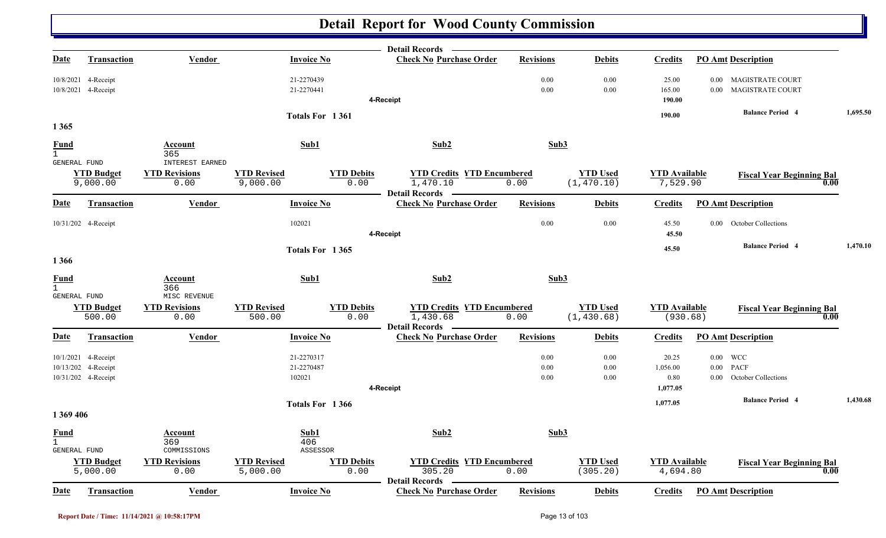|                                                    |                                                                   |                                                        |                                    |                           | Detail Records —                                                     |                      |                                |                                       |          |                                                                                  |          |
|----------------------------------------------------|-------------------------------------------------------------------|--------------------------------------------------------|------------------------------------|---------------------------|----------------------------------------------------------------------|----------------------|--------------------------------|---------------------------------------|----------|----------------------------------------------------------------------------------|----------|
| Date                                               | <b>Transaction</b>                                                | <b>Vendor</b>                                          | <b>Invoice No</b>                  |                           | <b>Check No Purchase Order</b>                                       | <b>Revisions</b>     | <b>Debits</b>                  | <b>Credits</b>                        |          | <b>PO Amt Description</b>                                                        |          |
|                                                    | 10/8/2021 4-Receipt<br>10/8/2021 4-Receipt                        |                                                        | 21-2270439<br>21-2270441           |                           | 4-Receipt                                                            | 0.00<br>0.00         | 0.00<br>$0.00\,$               | 25.00<br>165.00<br>190.00             |          | 0.00 MAGISTRATE COURT<br>0.00 MAGISTRATE COURT                                   |          |
|                                                    |                                                                   |                                                        |                                    | Totals For 1361           |                                                                      |                      |                                | 190.00                                |          | <b>Balance Period 4</b>                                                          | 1,695.50 |
| 1 3 6 5                                            |                                                                   |                                                        |                                    |                           |                                                                      |                      |                                |                                       |          |                                                                                  |          |
| <b>Fund</b><br>$\mathbf{1}$                        |                                                                   | Account<br>365                                         | Sub1                               |                           | Sub2                                                                 | Sub3                 |                                |                                       |          |                                                                                  |          |
| <b>GENERAL FUND</b>                                | <b>YTD Budget</b><br>9,000.00                                     | <b>INTEREST EARNED</b><br><b>YTD Revisions</b><br>0.00 | <b>YTD Revised</b><br>9,000.00     | <b>YTD Debits</b><br>0.00 | <b>YTD Credits YTD Encumbered</b><br>1,470.10<br>Detail Records -    | 0.00                 | <b>YTD Used</b><br>(1, 470.10) | <b>YTD Available</b><br>7,529.90      |          | <b>Fiscal Year Beginning Bal</b><br>0.00                                         |          |
| <b>Date</b>                                        | <b>Transaction</b>                                                | <b>Vendor</b>                                          | <b>Invoice No</b>                  |                           | <b>Check No Purchase Order</b>                                       | <b>Revisions</b>     | <b>Debits</b>                  | <b>Credits</b>                        |          | <b>PO Amt Description</b>                                                        |          |
|                                                    | 10/31/202 4-Receipt                                               |                                                        | 102021                             |                           | 4-Receipt                                                            | 0.00                 | $0.00\,$                       | 45.50<br>45.50                        |          | 0.00 October Collections                                                         |          |
| 1 3 6 6                                            |                                                                   |                                                        |                                    | Totals For 1365           |                                                                      |                      |                                | 45.50                                 |          | <b>Balance Period 4</b>                                                          | 1,470.10 |
| <b>Fund</b><br>$\mathbf{1}$<br><b>GENERAL FUND</b> |                                                                   | Account<br>366<br>MISC REVENUE                         | Sub1                               |                           | Sub2                                                                 | Sub3                 |                                |                                       |          |                                                                                  |          |
|                                                    | <b>YTD Budget</b><br>500.00                                       | <b>YTD Revisions</b><br>0.00                           | <b>YTD Revised</b><br>500.00       | <b>YTD Debits</b><br>0.00 | <b>YTD Credits YTD Encumbered</b><br>1,430.68<br>Detail Records -    | 0.00                 | <b>YTD</b> Used<br>(1, 430.68) | <b>YTD</b> Available<br>(930.68)      |          | <b>Fiscal Year Beginning Bal</b><br>0.00                                         |          |
| Date                                               | <b>Transaction</b>                                                | Vendor                                                 | <b>Invoice No</b>                  |                           | <b>Check No Purchase Order</b>                                       | <b>Revisions</b>     | <b>Debits</b>                  | <b>Credits</b>                        |          | <b>PO Amt Description</b>                                                        |          |
|                                                    | 10/1/2021 4-Receipt<br>10/13/202 4-Receipt<br>10/31/202 4-Receipt |                                                        | 21-2270317<br>21-2270487<br>102021 |                           | 4-Receipt                                                            | 0.00<br>0.00<br>0.00 | 0.00<br>0.00<br>0.00           | 20.25<br>1,056.00<br>0.80<br>1,077.05 | $0.00\,$ | $0.00$ WCC<br><b>PACF</b><br>0.00 October Collections<br><b>Balance Period 4</b> | 1,430.68 |
| 1 369 406                                          |                                                                   |                                                        |                                    | Totals For 1366           |                                                                      |                      |                                | 1,077.05                              |          |                                                                                  |          |
| <b>Fund</b><br>$\mathbf{1}$<br><b>GENERAL FUND</b> |                                                                   | Account<br>369<br>COMMISSIONS                          | Sub1<br>406                        | ASSESSOR                  | Sub2                                                                 | Sub3                 |                                |                                       |          |                                                                                  |          |
|                                                    | <b>YTD Budget</b><br>5,000.00                                     | <b>YTD Revisions</b><br>0.00                           | <b>YTD Revised</b><br>5,000.00     | <b>YTD Debits</b><br>0.00 | <b>YTD Credits YTD Encumbered</b><br>305.20<br><b>Detail Records</b> | 0.00                 | <b>YTD Used</b><br>(305.20)    | <b>YTD</b> Available<br>4,694.80      |          | <b>Fiscal Year Beginning Bal</b><br>0.00                                         |          |
| Date                                               | <b>Transaction</b>                                                | <b>Vendor</b>                                          | <b>Invoice No</b>                  |                           | <b>Check No Purchase Order</b>                                       | <b>Revisions</b>     | <b>Debits</b>                  | <b>Credits</b>                        |          | <b>PO Amt Description</b>                                                        |          |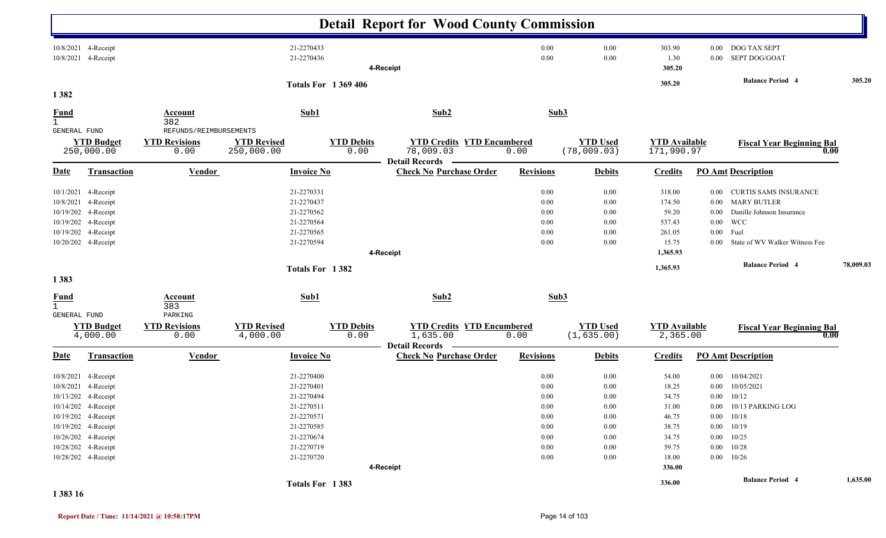|                                             |                                                                                                                                                                                                             |                                                        |                                                                                                                            |                           | <b>Detail Report for Wood County Commission</b>                         |                                                                                          |                                                                                          |                                                                                         |                                          |                                                                                                                                                                                             |           |
|---------------------------------------------|-------------------------------------------------------------------------------------------------------------------------------------------------------------------------------------------------------------|--------------------------------------------------------|----------------------------------------------------------------------------------------------------------------------------|---------------------------|-------------------------------------------------------------------------|------------------------------------------------------------------------------------------|------------------------------------------------------------------------------------------|-----------------------------------------------------------------------------------------|------------------------------------------|---------------------------------------------------------------------------------------------------------------------------------------------------------------------------------------------|-----------|
|                                             | 10/8/2021 4-Receipt<br>10/8/2021 4-Receipt                                                                                                                                                                  |                                                        | 21-2270433<br>21-2270436                                                                                                   |                           | 4-Receipt                                                               | 0.00<br>0.00                                                                             | 0.00<br>0.00                                                                             | 303.90<br>1.30<br>305.20                                                                | $0.00\,$                                 | 0.00 DOG TAX SEPT<br>SEPT DOG/GOAT                                                                                                                                                          |           |
|                                             |                                                                                                                                                                                                             |                                                        |                                                                                                                            | <b>Totals For 1369406</b> |                                                                         |                                                                                          |                                                                                          | 305.20                                                                                  |                                          | <b>Balance Period 4</b>                                                                                                                                                                     | 305.20    |
| 1382                                        |                                                                                                                                                                                                             | <b>Account</b>                                         | Sub1                                                                                                                       |                           | Sub2                                                                    | Sub3                                                                                     |                                                                                          |                                                                                         |                                          |                                                                                                                                                                                             |           |
| $rac{\text{Fund}}{1}$                       |                                                                                                                                                                                                             | 382                                                    |                                                                                                                            |                           |                                                                         |                                                                                          |                                                                                          |                                                                                         |                                          |                                                                                                                                                                                             |           |
| GENERAL FUND                                | <b>YTD Budget</b><br>250,000.00                                                                                                                                                                             | REFUNDS/REIMBURSEMENTS<br><b>YTD Revisions</b><br>0.00 | <b>YTD Revised</b><br>250,000.00                                                                                           | <b>YTD Debits</b><br>0.00 | <b>YTD Credits YTD Encumbered</b><br>78,009.03<br><b>Detail Records</b> | 0.00                                                                                     | <b>YTD Used</b><br>(78,009.03)                                                           | <b>YTD Available</b><br>171,990.97                                                      |                                          | <b>Fiscal Year Beginning Bal</b>                                                                                                                                                            | 0.00      |
| <u>Date</u>                                 | Transaction                                                                                                                                                                                                 | <b>Vendor</b>                                          | <b>Invoice No</b>                                                                                                          |                           | <b>Check No Purchase Order</b>                                          | <b>Revisions</b>                                                                         | <b>Debits</b>                                                                            | <b>Credits</b>                                                                          |                                          | <b>PO Amt Description</b>                                                                                                                                                                   |           |
|                                             | 10/1/2021 4-Receipt<br>10/8/2021 4-Receipt<br>10/19/202 4-Receipt<br>10/19/202 4-Receipt<br>10/19/202 4-Receipt<br>10/20/202 4-Receipt                                                                      |                                                        | 21-2270331<br>21-2270437<br>21-2270562<br>21-2270564<br>21-2270565<br>21-2270594                                           |                           | 4-Receipt                                                               | 0.00<br>0.00<br>0.00<br>0.00<br>0.00<br>0.00                                             | 0.00<br>0.00<br>0.00<br>0.00<br>0.00<br>0.00                                             | 318.00<br>174.50<br>59.20<br>537.43<br>261.05<br>15.75<br>1,365.93                      | $0.00\,$<br>$0.00\,$<br>$0.00\,$<br>0.00 | 0.00 CURTIS SAMS INSURANCE<br>0.00 MARY BUTLER<br>Danille Johnson Insurance<br>WCC<br>Fuel<br>State of WV Walker Witness Fee                                                                |           |
|                                             |                                                                                                                                                                                                             |                                                        | Totals For 1382                                                                                                            |                           |                                                                         |                                                                                          |                                                                                          | 1,365.93                                                                                |                                          | <b>Balance Period 4</b>                                                                                                                                                                     | 78,009.03 |
| 1383                                        |                                                                                                                                                                                                             |                                                        |                                                                                                                            |                           |                                                                         |                                                                                          |                                                                                          |                                                                                         |                                          |                                                                                                                                                                                             |           |
| <b>Fund</b><br>$\mathbf{1}$<br>GENERAL FUND |                                                                                                                                                                                                             | <b>Account</b><br>383<br>PARKING                       | Sub1                                                                                                                       |                           | Sub2                                                                    | Sub3                                                                                     |                                                                                          |                                                                                         |                                          |                                                                                                                                                                                             |           |
|                                             | <b>YTD Budget</b><br>4,000.00                                                                                                                                                                               | <b>YTD Revisions</b><br>0.00                           | <b>YTD Revised</b><br>4,000.00                                                                                             | <b>YTD Debits</b><br>0.00 | <b>YTD Credits YTD Encumbered</b><br>1,635.00                           | 0.00                                                                                     | <b>YTD Used</b><br>(1, 635.00)                                                           | <b>YTD Available</b><br>2,365.00                                                        |                                          | <b>Fiscal Year Beginning Bal</b>                                                                                                                                                            | 0.00      |
| <u>Date</u>                                 | <b>Transaction</b>                                                                                                                                                                                          | <b>Vendor</b>                                          | <b>Invoice No</b>                                                                                                          |                           | <b>Detail Records</b><br><b>Check No Purchase Order</b>                 | <b>Revisions</b>                                                                         | <b>Debits</b>                                                                            | <b>Credits</b>                                                                          |                                          | <b>PO Amt Description</b>                                                                                                                                                                   |           |
|                                             | 10/8/2021 4-Receipt<br>10/8/2021 4-Receipt<br>10/13/202 4-Receipt<br>10/14/202 4-Receipt<br>10/19/202 4-Receipt<br>10/19/202 4-Receipt<br>10/26/202 4-Receipt<br>10/28/202 4-Receipt<br>10/28/202 4-Receipt |                                                        | 21-2270400<br>21-2270401<br>21-2270494<br>21-2270511<br>21-2270571<br>21-2270585<br>21-2270674<br>21-2270719<br>21-2270720 |                           | 4-Receipt                                                               | 0.00<br>0.00<br>0.00<br>$0.00\,$<br>0.00<br>$0.00\,$<br>$0.00\,$<br>$0.00\,$<br>$0.00\,$ | 0.00<br>0.00<br>0.00<br>$0.00\,$<br>$0.00\,$<br>$0.00\,$<br>$0.00\,$<br>$0.00\,$<br>0.00 | 54.00<br>18.25<br>34.75<br>31.00<br>46.75<br>38.75<br>34.75<br>59.75<br>18.00<br>336.00 | $0.00\,$                                 | $0.00$ $10/04/2021$<br>10/05/2021<br>$0.00 \quad 10/12$<br>0.00 10/13 PARKING LOG<br>$0.00 \quad 10/18$<br>$0.00$ $10/19$<br>$0.00 \quad 10/25$<br>$0.00 \quad 10/28$<br>$0.00 \quad 10/26$ |           |
|                                             |                                                                                                                                                                                                             |                                                        | Totals For 1383                                                                                                            |                           |                                                                         |                                                                                          |                                                                                          | 336.00                                                                                  |                                          | <b>Balance Period</b> 4                                                                                                                                                                     | 1,635.00  |

**1 383 16**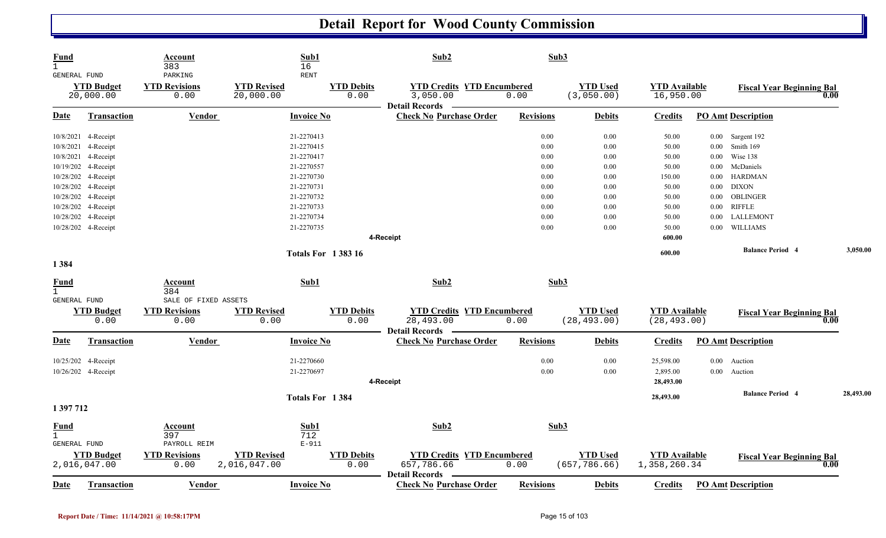| <b>Fund</b><br>$\mathbf{1}$<br>GENERAL FUND |                                   | Account<br>383<br>PARKING    | Sub1<br>16<br><b>RENT</b>          |                           | Sub2                                                                   | Sub3             |                                  |                                      |          |                                  |      |           |
|---------------------------------------------|-----------------------------------|------------------------------|------------------------------------|---------------------------|------------------------------------------------------------------------|------------------|----------------------------------|--------------------------------------|----------|----------------------------------|------|-----------|
|                                             | <b>YTD Budget</b><br>20,000.00    | <b>YTD Revisions</b><br>0.00 | <b>YTD Revised</b><br>20,000.00    | <b>YTD Debits</b><br>0.00 | <b>YTD Credits YTD Encumbered</b><br>3,050.00<br><b>Detail Records</b> | 0.00             | <b>YTD Used</b><br>(3,050.00)    | <b>YTD Available</b><br>16,950.00    |          | <b>Fiscal Year Beginning Bal</b> | 0.00 |           |
| <b>Date</b>                                 | Transaction                       | <b>Vendor</b>                | <b>Invoice No</b>                  |                           | <b>Check No Purchase Order</b>                                         | <b>Revisions</b> | <b>Debits</b>                    | <b>Credits</b>                       |          | <b>PO Amt Description</b>        |      |           |
|                                             | 10/8/2021 4-Receipt               |                              | 21-2270413                         |                           |                                                                        | 0.00             | 0.00                             | 50.00                                | $0.00\,$ | Sargent 192                      |      |           |
|                                             | 10/8/2021 4-Receipt               |                              | 21-2270415                         |                           |                                                                        | 0.00             | $0.00\,$                         | 50.00                                | 0.00     | Smith 169                        |      |           |
|                                             | 10/8/2021 4-Receipt               |                              | 21-2270417                         |                           |                                                                        | 0.00             | 0.00                             | 50.00                                | 0.00     | Wise 138                         |      |           |
|                                             | 10/19/202 4-Receipt               |                              | 21-2270557                         |                           |                                                                        | 0.00             | 0.00                             | 50.00                                | $0.00\,$ | McDaniels                        |      |           |
|                                             | 10/28/202 4-Receipt               |                              | 21-2270730                         |                           |                                                                        | 0.00             | 0.00                             | 150.00                               | 0.00     | <b>HARDMAN</b>                   |      |           |
|                                             | 10/28/202 4-Receipt               |                              | 21-2270731                         |                           |                                                                        | 0.00             | 0.00                             | 50.00                                | 0.00     | <b>DIXON</b>                     |      |           |
|                                             | 10/28/202 4-Receipt               |                              | 21-2270732                         |                           |                                                                        | 0.00             | 0.00                             | 50.00                                | $0.00\,$ | OBLINGER                         |      |           |
|                                             | 10/28/202 4-Receipt               |                              | 21-2270733                         |                           |                                                                        | 0.00             | 0.00                             | 50.00                                | 0.00     | <b>RIFFLE</b>                    |      |           |
|                                             | 10/28/202 4-Receipt               |                              | 21-2270734                         |                           |                                                                        | 0.00             | 0.00                             | 50.00                                | 0.00     | LALLEMONT                        |      |           |
|                                             | 10/28/202 4-Receipt               |                              | 21-2270735                         |                           |                                                                        | 0.00             | 0.00                             | 50.00                                | $0.00\,$ | WILLIAMS                         |      |           |
|                                             |                                   |                              |                                    |                           | 4-Receipt                                                              |                  |                                  | 600.00                               |          |                                  |      |           |
|                                             |                                   |                              | <b>Totals For 138316</b>           |                           |                                                                        |                  |                                  | 600.00                               |          | <b>Balance Period 4</b>          |      | 3,050.00  |
| 1384                                        |                                   |                              |                                    |                           |                                                                        |                  |                                  |                                      |          |                                  |      |           |
| <b>Fund</b><br>$\mathbf{1}$                 |                                   | Account<br>384               | Sub1                               |                           | Sub2                                                                   | Sub3             |                                  |                                      |          |                                  |      |           |
| GENERAL FUND                                |                                   | SALE OF FIXED ASSETS         |                                    |                           |                                                                        |                  |                                  |                                      |          |                                  |      |           |
|                                             | <b>YTD Budget</b><br>0.00         | <b>YTD Revisions</b><br>0.00 | <b>YTD Revised</b><br>0.00         | <b>YTD Debits</b><br>0.00 | <b>YTD Credits YTD Encumbered</b><br>28,493.00                         | 0.00             | <b>YTD Used</b><br>(28, 493.00)  | <b>YTD Available</b><br>(28, 493.00) |          | <b>Fiscal Year Beginning Bal</b> | 0.00 |           |
| Date                                        | <b>Transaction</b>                | Vendor                       | <b>Invoice No</b>                  |                           | <b>Detail Records</b><br><b>Check No Purchase Order</b>                | <b>Revisions</b> | <b>Debits</b>                    | Credits                              |          | <b>PO Amt Description</b>        |      |           |
|                                             |                                   |                              |                                    |                           |                                                                        |                  |                                  |                                      |          |                                  |      |           |
|                                             | 10/25/202 4-Receipt               |                              | 21-2270660                         |                           |                                                                        | 0.00             | 0.00                             | 25,598.00                            | $0.00\,$ | Auction                          |      |           |
|                                             | 10/26/202 4-Receipt               |                              | 21-2270697                         |                           |                                                                        | 0.00             | 0.00                             | 2,895.00                             | $0.00\,$ | Auction                          |      |           |
|                                             |                                   |                              |                                    |                           | 4-Receipt                                                              |                  |                                  | 28,493.00                            |          |                                  |      |           |
|                                             |                                   |                              | Totals For 1384                    |                           |                                                                        |                  |                                  | 28,493.00                            |          | <b>Balance Period 4</b>          |      | 28,493.00 |
| 1 397 712                                   |                                   |                              |                                    |                           |                                                                        |                  |                                  |                                      |          |                                  |      |           |
| <u>Fund</u>                                 |                                   | Account                      | Sub1                               |                           | Sub2                                                                   | Sub3             |                                  |                                      |          |                                  |      |           |
| $\mathbf{1}$                                |                                   | 397                          | 712                                |                           |                                                                        |                  |                                  |                                      |          |                                  |      |           |
| GENERAL FUND                                |                                   | PAYROLL REIM                 | $E-911$                            |                           |                                                                        |                  |                                  |                                      |          |                                  |      |           |
|                                             | <b>YTD Budget</b><br>2,016,047.00 | <b>YTD Revisions</b><br>0.00 | <b>YTD Revised</b><br>2,016,047.00 | <b>YTD Debits</b><br>0.00 | <b>YTD Credits YTD Encumbered</b><br>657,786.66                        | 0.00             | <b>YTD Used</b><br>(657, 786.66) | <b>YTD Available</b><br>1,358,260.34 |          | <b>Fiscal Year Beginning Bal</b> | 0.00 |           |
| <b>Date</b>                                 | Transaction                       | Vendor                       | <b>Invoice No</b>                  |                           | <b>Detail Records</b><br><b>Check No Purchase Order</b>                | <b>Revisions</b> | <b>Debits</b>                    | <b>Credits</b>                       |          | <b>PO Amt Description</b>        |      |           |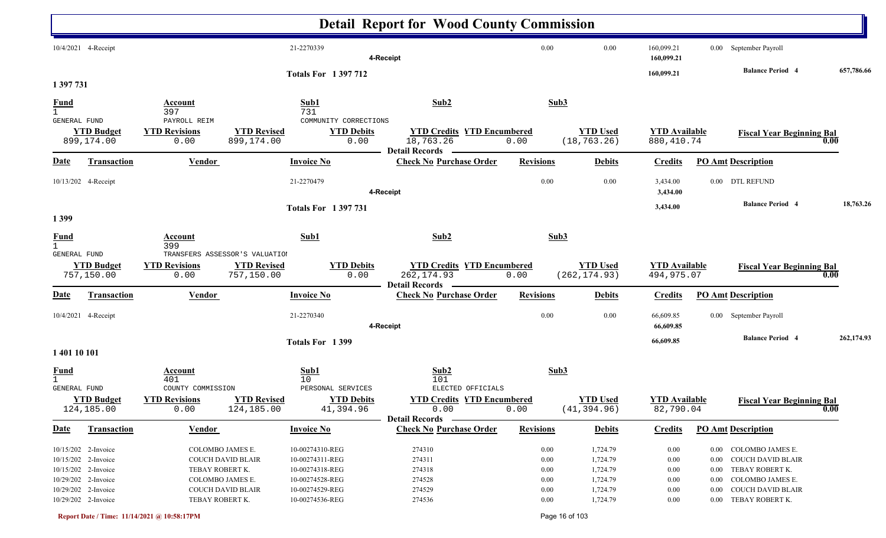|                                                    |                                                                                                                 |                                                         |                                                      |                                                                                             | <b>Detail Report for Wood County Commission</b>                           |                                      |                                                          |                                                          |                                              |                                                                                                                      |            |
|----------------------------------------------------|-----------------------------------------------------------------------------------------------------------------|---------------------------------------------------------|------------------------------------------------------|---------------------------------------------------------------------------------------------|---------------------------------------------------------------------------|--------------------------------------|----------------------------------------------------------|----------------------------------------------------------|----------------------------------------------|----------------------------------------------------------------------------------------------------------------------|------------|
|                                                    | 10/4/2021 4-Receipt                                                                                             |                                                         |                                                      | 21-2270339                                                                                  | 4-Receipt                                                                 | 0.00                                 | 0.00                                                     | 160,099.21<br>160,099.21                                 |                                              | 0.00 September Payroll<br><b>Balance Period 4</b>                                                                    | 657,786.66 |
| 1 397 731                                          |                                                                                                                 |                                                         |                                                      | <b>Totals For 1397712</b>                                                                   |                                                                           |                                      |                                                          | 160,099.21                                               |                                              |                                                                                                                      |            |
| $\frac{Fund}{1}$<br><b>GENERAL FUND</b>            |                                                                                                                 | Account<br>397<br>PAYROLL REIM                          |                                                      | Sub1<br>731<br>COMMUNITY CORRECTIONS                                                        | Sub2                                                                      |                                      | Sub3                                                     |                                                          |                                              |                                                                                                                      |            |
|                                                    | <b>YTD Budget</b><br>899,174.00                                                                                 | <b>YTD Revisions</b><br>0.00                            | <b>YTD Revised</b><br>899,174.00                     | <b>YTD Debits</b><br>0.00                                                                   | <b>YTD Credits YTD Encumbered</b><br>18,763.26<br><b>Detail Records</b>   | 0.00                                 | <b>YTD Used</b><br>(18, 763.26)                          | <b>YTD</b> Available<br>880, 410.74                      |                                              | <b>Fiscal Year Beginning Bal</b>                                                                                     | 0.00       |
| <u>Date</u>                                        | <b>Transaction</b>                                                                                              | <b>Vendor</b>                                           |                                                      | <b>Invoice No</b>                                                                           | <b>Check No Purchase Order</b>                                            | <b>Revisions</b>                     | <b>Debits</b>                                            | <b>Credits</b>                                           |                                              | <b>PO</b> Amt Description                                                                                            |            |
|                                                    | 10/13/202 4-Receipt                                                                                             |                                                         |                                                      | 21-2270479                                                                                  | 4-Receipt                                                                 | 0.00                                 | 0.00                                                     | 3,434.00<br>3,434.00                                     |                                              | 0.00 DTL REFUND                                                                                                      |            |
| 1399                                               |                                                                                                                 |                                                         |                                                      | <b>Totals For 1397731</b>                                                                   |                                                                           |                                      |                                                          | 3,434.00                                                 |                                              | <b>Balance Period 4</b>                                                                                              | 18,763.26  |
| <b>Fund</b><br>$\mathbf{1}$<br>GENERAL FUND        |                                                                                                                 | Account<br>399                                          | TRANSFERS ASSESSOR'S VALUATION                       | Sub1                                                                                        | Sub2                                                                      |                                      | Sub3                                                     |                                                          |                                              |                                                                                                                      |            |
|                                                    | <b>YTD Budget</b><br>757,150.00                                                                                 | <b>YTD Revisions</b><br>0.00                            | <b>YTD Revised</b><br>757,150.00                     | <b>YTD Debits</b><br>0.00                                                                   | <b>YTD Credits YTD Encumbered</b><br>262, 174.93<br><b>Detail Records</b> | 0.00                                 | <b>YTD</b> Used<br>(262, 174.93)                         | <b>YTD Available</b><br>494,975.07                       |                                              | <b>Fiscal Year Beginning Bal</b>                                                                                     | 0.00       |
| <u>Date</u>                                        | <b>Transaction</b>                                                                                              | <b>Vendor</b>                                           |                                                      | <b>Invoice No</b>                                                                           | <b>Check No Purchase Order</b>                                            | <b>Revisions</b>                     | <b>Debits</b>                                            | <b>Credits</b>                                           |                                              | <b>PO Amt Description</b>                                                                                            |            |
|                                                    | 10/4/2021 4-Receipt                                                                                             |                                                         |                                                      | 21-2270340                                                                                  | 4-Receipt                                                                 | 0.00                                 | 0.00                                                     | 66,609.85<br>66,609.85                                   |                                              | 0.00 September Payroll                                                                                               |            |
| 1 401 10 101                                       |                                                                                                                 |                                                         |                                                      | Totals For 1399                                                                             |                                                                           |                                      |                                                          | 66,609.85                                                |                                              | <b>Balance Period 4</b>                                                                                              | 262,174.93 |
| <u>Fund</u><br>$\mathbf{1}$<br><b>GENERAL FUND</b> |                                                                                                                 | <b>Account</b><br>401<br>COUNTY COMMISSION              |                                                      | Sub1<br>10<br>PERSONAL SERVICES                                                             | Sub2<br>101<br>ELECTED OFFICIALS                                          |                                      | Sub3                                                     |                                                          |                                              |                                                                                                                      |            |
|                                                    | <b>YTD Budget</b><br>124,185.00                                                                                 | <b>YTD Revisions</b><br>0.00                            | <b>YTD Revised</b><br>124,185.00                     | <b>YTD Debits</b><br>41,394.96                                                              | <b>YTD Credits YTD Encumbered</b><br>0.00<br>Detail Records –             | 0.00                                 | <b>YTD Used</b><br>(41, 394.96)                          | <b>YTD Available</b><br>82,790.04                        |                                              | <b>Fiscal Year Beginning Bal</b>                                                                                     | 0.00       |
| <b>Date</b>                                        | <b>Transaction</b>                                                                                              | <b>Vendor</b>                                           |                                                      | <b>Invoice No</b>                                                                           | <b>Check No Purchase Order</b>                                            | <b>Revisions</b>                     | <b>Debits</b>                                            | <b>Credits</b>                                           |                                              | <b>PO Amt Description</b>                                                                                            |            |
|                                                    | 10/15/202 2-Invoice<br>10/15/202 2-Invoice<br>10/15/202 2-Invoice<br>10/29/202 2-Invoice<br>10/29/202 2-Invoice | COLOMBO JAMES E.<br>TEBAY ROBERT K.<br>COLOMBO JAMES E. | <b>COUCH DAVID BLAIR</b><br><b>COUCH DAVID BLAIR</b> | 10-00274310-REG<br>10-00274311-REG<br>10-00274318-REG<br>10-00274528-REG<br>10-00274529-REG | 274310<br>274311<br>274318<br>274528<br>274529                            | 0.00<br>0.00<br>0.00<br>0.00<br>0.00 | 1,724.79<br>1,724.79<br>1,724.79<br>1,724.79<br>1,724.79 | $0.00\,$<br>$0.00\,$<br>$0.00\,$<br>$0.00\,$<br>$0.00\,$ | $0.00\,$<br>$0.00\,$<br>$0.00\,$<br>$0.00\,$ | 0.00 COLOMBO JAMES E.<br><b>COUCH DAVID BLAIR</b><br>TEBAY ROBERT K.<br>COLOMBO JAMES E.<br><b>COUCH DAVID BLAIR</b> |            |
|                                                    | 10/29/202 2-Invoice                                                                                             | TEBAY ROBERT K.                                         |                                                      | 10-00274536-REG                                                                             | 274536                                                                    | $0.00\,$                             | 1,724.79                                                 | $0.00\,$                                                 |                                              | 0.00 TEBAY ROBERT K.                                                                                                 |            |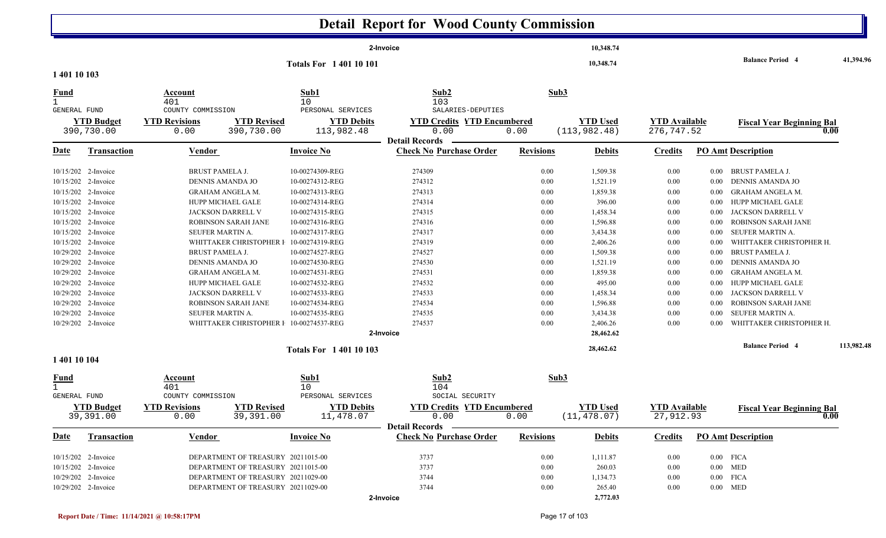|                             |                                                                                                                                                                                                                                                                                                                                                                              |                                                                                                                                                                                                                                                                                                                                                                                                |                                                                                                                                                                                                                                                                                           | <b>Detail Report for Wood County Commission</b>                                                                                                              |                                                                                                                                  |                                                                                                                                                                                          |                                                                                                                              |                                                                                                                                              |                                                                                                                                                                                                                                                                                                                                                                           |            |
|-----------------------------|------------------------------------------------------------------------------------------------------------------------------------------------------------------------------------------------------------------------------------------------------------------------------------------------------------------------------------------------------------------------------|------------------------------------------------------------------------------------------------------------------------------------------------------------------------------------------------------------------------------------------------------------------------------------------------------------------------------------------------------------------------------------------------|-------------------------------------------------------------------------------------------------------------------------------------------------------------------------------------------------------------------------------------------------------------------------------------------|--------------------------------------------------------------------------------------------------------------------------------------------------------------|----------------------------------------------------------------------------------------------------------------------------------|------------------------------------------------------------------------------------------------------------------------------------------------------------------------------------------|------------------------------------------------------------------------------------------------------------------------------|----------------------------------------------------------------------------------------------------------------------------------------------|---------------------------------------------------------------------------------------------------------------------------------------------------------------------------------------------------------------------------------------------------------------------------------------------------------------------------------------------------------------------------|------------|
|                             |                                                                                                                                                                                                                                                                                                                                                                              |                                                                                                                                                                                                                                                                                                                                                                                                |                                                                                                                                                                                                                                                                                           | 2-Invoice                                                                                                                                                    |                                                                                                                                  | 10,348.74                                                                                                                                                                                |                                                                                                                              |                                                                                                                                              |                                                                                                                                                                                                                                                                                                                                                                           |            |
|                             |                                                                                                                                                                                                                                                                                                                                                                              |                                                                                                                                                                                                                                                                                                                                                                                                | <b>Totals For 140110101</b>                                                                                                                                                                                                                                                               |                                                                                                                                                              |                                                                                                                                  | 10,348.74                                                                                                                                                                                |                                                                                                                              |                                                                                                                                              | <b>Balance Period 4</b>                                                                                                                                                                                                                                                                                                                                                   | 41,394.96  |
| 1 401 10 103                |                                                                                                                                                                                                                                                                                                                                                                              |                                                                                                                                                                                                                                                                                                                                                                                                |                                                                                                                                                                                                                                                                                           |                                                                                                                                                              |                                                                                                                                  |                                                                                                                                                                                          |                                                                                                                              |                                                                                                                                              |                                                                                                                                                                                                                                                                                                                                                                           |            |
| <u>Fund</u><br>$\mathbf{1}$ | <b>GENERAL FUND</b>                                                                                                                                                                                                                                                                                                                                                          | Account<br>401<br>COUNTY COMMISSION                                                                                                                                                                                                                                                                                                                                                            | Sub1<br>10<br>PERSONAL SERVICES                                                                                                                                                                                                                                                           | Sub2<br>103<br>SALARIES-DEPUTIES                                                                                                                             | Sub3                                                                                                                             |                                                                                                                                                                                          |                                                                                                                              |                                                                                                                                              |                                                                                                                                                                                                                                                                                                                                                                           |            |
|                             | <b>YTD Budget</b><br>390,730.00                                                                                                                                                                                                                                                                                                                                              | <b>YTD Revisions</b><br><b>YTD Revised</b><br>0.00<br>390,730.00                                                                                                                                                                                                                                                                                                                               | <b>YTD Debits</b><br>113,982.48                                                                                                                                                                                                                                                           | <b>YTD Credits YTD Encumbered</b><br>0.00                                                                                                                    | 0.00                                                                                                                             | <b>YTD Used</b><br>(113, 982.48)                                                                                                                                                         | <b>YTD</b> Available<br>276, 747.52                                                                                          |                                                                                                                                              | <b>Fiscal Year Beginning Bal</b><br>0.00                                                                                                                                                                                                                                                                                                                                  |            |
| <u>Date</u>                 | <b>Transaction</b>                                                                                                                                                                                                                                                                                                                                                           | <b>Vendor</b>                                                                                                                                                                                                                                                                                                                                                                                  | <b>Invoice No</b>                                                                                                                                                                                                                                                                         | <b>Detail Records</b><br><b>Check No Purchase Order</b>                                                                                                      | <b>Revisions</b>                                                                                                                 | <b>Debits</b>                                                                                                                                                                            | <b>Credits</b>                                                                                                               |                                                                                                                                              | <b>PO Amt Description</b>                                                                                                                                                                                                                                                                                                                                                 |            |
|                             | 10/15/202 2-Invoice<br>10/15/202 2-Invoice<br>10/15/202 2-Invoice<br>10/15/202 2-Invoice<br>10/15/202 2-Invoice<br>10/15/202 2-Invoice<br>10/15/202 2-Invoice<br>10/15/202 2-Invoice<br>10/29/202 2-Invoice<br>10/29/202 2-Invoice<br>10/29/202 2-Invoice<br>10/29/202 2-Invoice<br>10/29/202 2-Invoice<br>10/29/202 2-Invoice<br>10/29/202 2-Invoice<br>10/29/202 2-Invoice | <b>BRUST PAMELA J.</b><br>DENNIS AMANDA JO<br><b>GRAHAM ANGELA M.</b><br>HUPP MICHAEL GALE<br><b>JACKSON DARRELL V</b><br>ROBINSON SARAH JANE<br>SEUFER MARTIN A.<br>WHITTAKER CHRISTOPHER F<br><b>BRUST PAMELA J.</b><br>DENNIS AMANDA JO<br>GRAHAM ANGELA M.<br>HUPP MICHAEL GALE<br>JACKSON DARRELL V<br>ROBINSON SARAH JANE<br>SEUFER MARTIN A.<br>WHITTAKER CHRISTOPHER I 10-00274537-REG | 10-00274309-REG<br>10-00274312-REG<br>10-00274313-REG<br>10-00274314-REG<br>10-00274315-REG<br>10-00274316-REG<br>10-00274317-REG<br>10-00274319-REG<br>10-00274527-REG<br>10-00274530-REG<br>10-00274531-REG<br>10-00274532-REG<br>10-00274533-REG<br>10-00274534-REG<br>10-00274535-REG | 274309<br>274312<br>274313<br>274314<br>274315<br>274316<br>274317<br>274319<br>274527<br>274530<br>274531<br>274532<br>274533<br>274534<br>274535<br>274537 | $0.00\,$<br>0.00<br>0.00<br>0.00<br>0.00<br>0.00<br>0.00<br>0.00<br>0.00<br>0.00<br>0.00<br>0.00<br>0.00<br>0.00<br>0.00<br>0.00 | 1,509.38<br>1,521.19<br>1,859.38<br>396.00<br>1,458.34<br>1,596.88<br>3,434.38<br>2,406.26<br>1,509.38<br>1,521.19<br>1,859.38<br>495.00<br>1,458.34<br>1,596.88<br>3,434.38<br>2,406.26 | 0.00<br>0.00<br>0.00<br>0.00<br>0.00<br>0.00<br>0.00<br>0.00<br>0.00<br>0.00<br>0.00<br>0.00<br>0.00<br>0.00<br>0.00<br>0.00 | $0.00\,$<br>$0.00\,$<br>0.00<br>0.00<br>$0.00\,$<br>0.00<br>0.00<br>0.00<br>0.00<br>0.00<br>0.00<br>0.00<br>0.00<br>0.00<br>$0.00\,$<br>0.00 | BRUST PAMELA J.<br>DENNIS AMANDA JO<br><b>GRAHAM ANGELA M.</b><br>HUPP MICHAEL GALE<br>JACKSON DARRELL V<br>ROBINSON SARAH JANE<br>SEUFER MARTIN A.<br>WHITTAKER CHRISTOPHER H.<br><b>BRUST PAMELA J.</b><br>DENNIS AMANDA JO<br><b>GRAHAM ANGELA M.</b><br>HUPP MICHAEL GALE<br>JACKSON DARRELL V<br>ROBINSON SARAH JANE<br>SEUFER MARTIN A.<br>WHITTAKER CHRISTOPHER H. |            |
|                             |                                                                                                                                                                                                                                                                                                                                                                              |                                                                                                                                                                                                                                                                                                                                                                                                | <b>Totals For 140110103</b>                                                                                                                                                                                                                                                               | 2-Invoice                                                                                                                                                    |                                                                                                                                  | 28,462.62<br>28,462.62                                                                                                                                                                   |                                                                                                                              |                                                                                                                                              | <b>Balance Period 4</b>                                                                                                                                                                                                                                                                                                                                                   | 113,982.48 |
| 1 401 10 104                |                                                                                                                                                                                                                                                                                                                                                                              |                                                                                                                                                                                                                                                                                                                                                                                                |                                                                                                                                                                                                                                                                                           |                                                                                                                                                              |                                                                                                                                  |                                                                                                                                                                                          |                                                                                                                              |                                                                                                                                              |                                                                                                                                                                                                                                                                                                                                                                           |            |
| <b>Fund</b><br>$\mathbf{1}$ | <b>GENERAL FUND</b>                                                                                                                                                                                                                                                                                                                                                          | <u>Account</u><br>401<br>COUNTY COMMISSION                                                                                                                                                                                                                                                                                                                                                     | Sub1<br>10<br>PERSONAL SERVICES                                                                                                                                                                                                                                                           | Sub2<br>104<br>SOCIAL SECURITY                                                                                                                               | Sub3                                                                                                                             |                                                                                                                                                                                          |                                                                                                                              |                                                                                                                                              |                                                                                                                                                                                                                                                                                                                                                                           |            |
|                             | <b>YTD Budget</b><br>39,391.00                                                                                                                                                                                                                                                                                                                                               | <b>YTD Revisions</b><br><b>YTD Revised</b><br>39,391.00<br>0.00                                                                                                                                                                                                                                                                                                                                | <b>YTD Debits</b><br>11,478.07                                                                                                                                                                                                                                                            | <b>YTD Credits YTD Encumbered</b><br>0.00                                                                                                                    | 0.00                                                                                                                             | <b>YTD Used</b><br>(11, 478.07)                                                                                                                                                          | <b>YTD Available</b><br>27,912.93                                                                                            |                                                                                                                                              | <b>Fiscal Year Beginning Bal</b><br>0.00                                                                                                                                                                                                                                                                                                                                  |            |
| <b>Date</b>                 | <b>Transaction</b>                                                                                                                                                                                                                                                                                                                                                           | <b>Vendor</b>                                                                                                                                                                                                                                                                                                                                                                                  | <b>Invoice No</b>                                                                                                                                                                                                                                                                         | <b>Detail Records</b><br><b>Check No Purchase Order</b>                                                                                                      | <b>Revisions</b>                                                                                                                 | <b>Debits</b>                                                                                                                                                                            | <b>Credits</b>                                                                                                               |                                                                                                                                              | <b>PO Amt Description</b>                                                                                                                                                                                                                                                                                                                                                 |            |
|                             | 10/15/202 2-Invoice                                                                                                                                                                                                                                                                                                                                                          | DEPARTMENT OF TREASURY 20211015-00                                                                                                                                                                                                                                                                                                                                                             |                                                                                                                                                                                                                                                                                           | 3737                                                                                                                                                         | 0.00                                                                                                                             | 1,111.87                                                                                                                                                                                 | 0.00                                                                                                                         |                                                                                                                                              | $0.00$ FICA                                                                                                                                                                                                                                                                                                                                                               |            |

2-Invoice 20211015-00 0.00 DEPARTMENT OF TREASUR Y 3737 260.03 0.00 0.00 MED

2-Invoice 20211029-00 0.00 DEPARTMENT OF TREASUR Y 3744 1,134.73 0.00 0.00 FICA

2-Invoice 20211029-00 0.00 DEPARTMENT OF TREASUR Y 3744 265.40 0.00 0.00 MED

**2-Invoice**

10/15/202 2-Invoice

10/29/202 2-Invoice

10/29/202 2-Invoice

**2,772.03**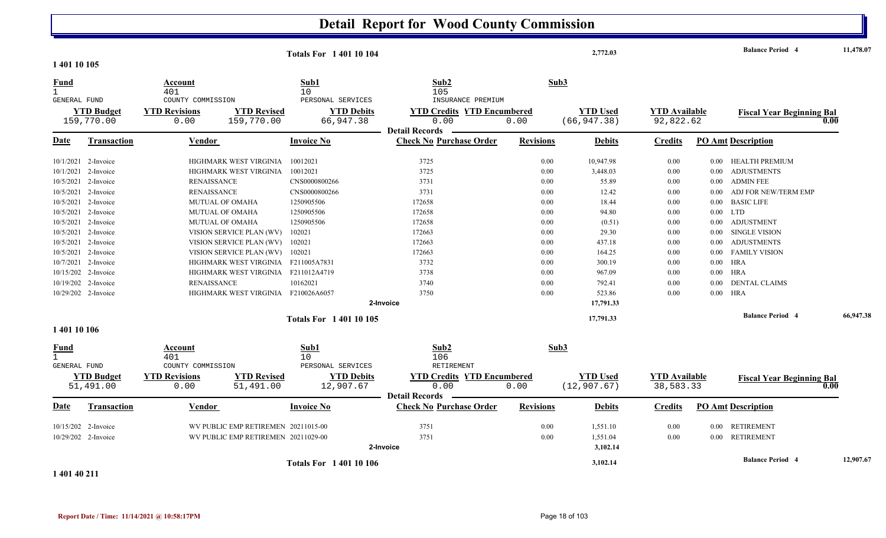|                                             |                                 |                                     |                                     | <b>Totals For 1 401 10 104</b>  |                                                                    |                  | 2,772.03                        |                                   |          | <b>Balance Period 4</b>                  | 11,478.07 |
|---------------------------------------------|---------------------------------|-------------------------------------|-------------------------------------|---------------------------------|--------------------------------------------------------------------|------------------|---------------------------------|-----------------------------------|----------|------------------------------------------|-----------|
| 1 401 10 105                                |                                 |                                     |                                     |                                 |                                                                    |                  |                                 |                                   |          |                                          |           |
| <b>Fund</b><br>$\mathbf{1}$<br>GENERAL FUND |                                 | Account<br>401<br>COUNTY COMMISSION |                                     | Sub1<br>10<br>PERSONAL SERVICES | Sub2<br>105<br>INSURANCE PREMIUM                                   | Sub3             |                                 |                                   |          |                                          |           |
|                                             | <b>YTD Budget</b><br>159,770.00 | <b>YTD Revisions</b><br>0.00        | <b>YTD Revised</b><br>159,770.00    | <b>YTD Debits</b><br>66,947.38  | <b>YTD Credits YTD Encumbered</b><br>0.00<br><b>Detail Records</b> | 0.00             | <b>YTD Used</b><br>(66, 947.38) | <b>YTD Available</b><br>92,822.62 |          | <b>Fiscal Year Beginning Bal</b><br>0.00 |           |
| Date                                        | Transaction                     | Vendor                              |                                     | <b>Invoice No</b>               | <b>Check No Purchase Order</b>                                     | <b>Revisions</b> | <b>Debits</b>                   | <b>Credits</b>                    |          | <b>PO Amt Description</b>                |           |
|                                             | 10/1/2021 2-Invoice             |                                     | HIGHMARK WEST VIRGINIA              | 10012021                        | 3725                                                               | 0.00             | 10,947.98                       | 0.00                              | 0.00     | HEALTH PREMIUM                           |           |
|                                             | 10/1/2021 2-Invoice             |                                     | HIGHMARK WEST VIRGINIA              | 10012021                        | 3725                                                               | 0.00             | 3,448.03                        | 0.00                              | $0.00\,$ | <b>ADJUSTMENTS</b>                       |           |
|                                             | 10/5/2021 2-Invoice             | <b>RENAISSANCE</b>                  |                                     | CNS0000800266                   | 3731                                                               | 0.00             | 55.89                           | 0.00                              | $0.00\,$ | <b>ADMIN FEE</b>                         |           |
|                                             | 10/5/2021 2-Invoice             | <b>RENAISSANCE</b>                  |                                     | CNS0000800266                   | 3731                                                               | 0.00             | 12.42                           | 0.00                              | 0.00     | ADJ FOR NEW/TERM EMP                     |           |
|                                             | 10/5/2021 2-Invoice             |                                     | MUTUAL OF OMAHA                     | 1250905506                      | 172658                                                             | 0.00             | 18.44                           | 0.00                              | 0.00     | <b>BASIC LIFE</b>                        |           |
|                                             | 10/5/2021 2-Invoice             |                                     | <b>MUTUAL OF OMAHA</b>              | 1250905506                      | 172658                                                             | 0.00             | 94.80                           | 0.00                              | $0.00\,$ | <b>LTD</b>                               |           |
|                                             | 10/5/2021 2-Invoice             |                                     | <b>MUTUAL OF OMAHA</b>              | 1250905506                      | 172658                                                             | 0.00             | (0.51)                          | 0.00                              |          | 0.00 ADJUSTMENT                          |           |
|                                             | 10/5/2021 2-Invoice             |                                     | VISION SERVICE PLAN (WV)            | 102021                          | 172663                                                             | 0.00             | 29.30                           | 0.00                              | $0.00\,$ | <b>SINGLE VISION</b>                     |           |
| 10/5/2021                                   | 2-Invoice                       |                                     | VISION SERVICE PLAN (WV)            | 102021                          | 172663                                                             | 0.00             | 437.18                          | 0.00                              | $0.00\,$ | <b>ADJUSTMENTS</b>                       |           |
|                                             | 10/5/2021 2-Invoice             |                                     | VISION SERVICE PLAN (WV)            | 102021                          | 172663                                                             | 0.00             | 164.25                          | 0.00                              | 0.00     | <b>FAMILY VISION</b>                     |           |
|                                             | 10/7/2021 2-Invoice             |                                     | HIGHMARK WEST VIRGINIA F211005A7831 |                                 | 3732                                                               | 0.00             | 300.19                          | 0.00                              | $0.00\,$ | <b>HRA</b>                               |           |
|                                             | 10/15/202 2-Invoice             |                                     | HIGHMARK WEST VIRGINIA F211012A4719 |                                 | 3738                                                               | 0.00             | 967.09                          | 0.00                              | $0.00\,$ | HRA                                      |           |
|                                             | 10/19/202 2-Invoice             | <b>RENAISSANCE</b>                  |                                     | 10162021                        | 3740                                                               | 0.00             | 792.41                          | 0.00                              | 0.00     | <b>DENTAL CLAIMS</b>                     |           |
|                                             | 10/29/202 2-Invoice             |                                     | HIGHMARK WEST VIRGINIA F210026A6057 |                                 | 3750                                                               | 0.00             | 523.86                          | 0.00                              | $0.00\,$ | HRA                                      |           |
|                                             |                                 |                                     |                                     |                                 | 2-Invoice                                                          |                  | 17,791.33                       |                                   |          |                                          |           |
|                                             |                                 |                                     |                                     | <b>Totals For 140110105</b>     |                                                                    |                  | 17,791.33                       |                                   |          | <b>Balance Period 4</b>                  | 66,947.38 |
| 1 401 10 106                                |                                 |                                     |                                     |                                 |                                                                    |                  |                                 |                                   |          |                                          |           |
| <b>Fund</b><br>$\mathbf{1}$<br>GENERAL FUND |                                 | Account<br>401<br>COUNTY COMMISSION |                                     | Sub1<br>10<br>PERSONAL SERVICES | Sub2<br>106<br>RETIREMENT                                          | Sub3             |                                 |                                   |          |                                          |           |
|                                             | <b>YTD Budget</b>               | <b>YTD Revisions</b>                | <b>YTD Revised</b>                  | <b>YTD Debits</b>               | <b>YTD Credits YTD Encumbered</b>                                  |                  | <b>YTD Used</b>                 | <b>YTD Available</b>              |          | <b>Fiscal Year Beginning Bal</b>         |           |
|                                             | 51,491.00                       | 0.00                                | 51,491.00                           | 12,907.67                       | 0.00<br><b>Detail Records</b>                                      | 0.00             | (12, 907.67)                    | 38,583.33                         |          | 0.00                                     |           |
| Date                                        | <b>Transaction</b>              | Vendor                              |                                     | <b>Invoice No</b>               | <b>Check No Purchase Order</b>                                     | <b>Revisions</b> | <b>Debits</b>                   | <b>Credits</b>                    |          | <b>PO Amt Description</b>                |           |
|                                             | 10/15/202 2-Invoice             |                                     | WV PUBLIC EMP RETIREMEN 20211015-00 |                                 | 3751                                                               | 0.00             | 1,551.10                        | 0.00                              | $0.00\,$ | <b>RETIREMENT</b>                        |           |
|                                             | 10/29/202 2-Invoice             |                                     | WV PUBLIC EMP RETIREMEN 20211029-00 |                                 | 3751                                                               | 0.00             | 1,551.04                        | 0.00                              |          | 0.00 RETIREMENT                          |           |
|                                             |                                 |                                     |                                     |                                 | 2-Invoice                                                          |                  | 3,102.14                        |                                   |          |                                          |           |
|                                             |                                 |                                     |                                     | <b>Totals For 140110106</b>     |                                                                    |                  | 3,102.14                        |                                   |          | <b>Balance Period 4</b>                  | 12,907.67 |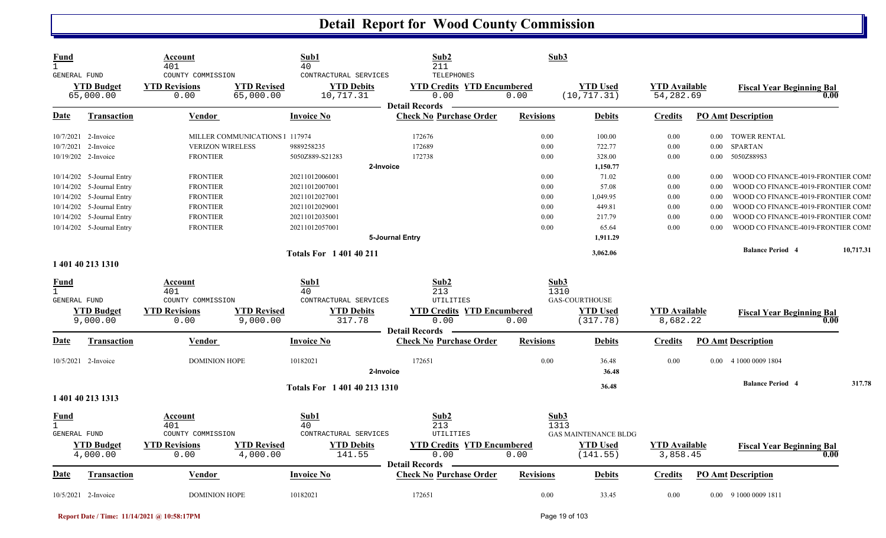| <b>Fund</b><br>$\mathbf{1}$<br><b>GENERAL FUND</b> |                           | Account<br>401<br>COUNTY COMMISSION | Sub1<br>40<br>CONTRACTURAL SERVICES                           | Sub2<br>211<br>TELEPHONES                 | Sub3             |                             |                                  |          |                                          |           |
|----------------------------------------------------|---------------------------|-------------------------------------|---------------------------------------------------------------|-------------------------------------------|------------------|-----------------------------|----------------------------------|----------|------------------------------------------|-----------|
|                                                    | <b>YTD Budget</b>         | <b>YTD Revisions</b>                | <b>YTD Revised</b><br><b>YTD Debits</b>                       | <b>YTD Credits YTD Encumbered</b>         |                  | <b>YTD Used</b>             | <b>YTD Available</b>             |          | <b>Fiscal Year Beginning Bal</b>         |           |
|                                                    | 65,000.00                 | 0.00                                | 65,000.00<br>10,717.31                                        | 0.00<br><b>Detail Records</b>             | 0.00             | (10, 717.31)                | 54,282.69                        |          | 0.00                                     |           |
| <u>Date</u>                                        | <b>Transaction</b>        | <u>Vendor</u>                       | Invoice No                                                    | <b>Check No Purchase Order</b>            | <b>Revisions</b> | <b>Debits</b>               | <b>Credits</b>                   |          | <b>PO Amt Description</b>                |           |
|                                                    | 10/7/2021 2-Invoice       |                                     | MILLER COMMUNICATIONS   117974                                | 172676                                    | 0.00             | 100.00                      | 0.00                             |          | 0.00 TOWER RENTAL                        |           |
|                                                    | 10/7/2021 2-Invoice       | <b>VERIZON WIRELESS</b>             | 9889258235                                                    | 172689                                    | 0.00             | 722.77                      | 0.00                             | $0.00\,$ | <b>SPARTAN</b>                           |           |
|                                                    | 10/19/202 2-Invoice       | <b>FRONTIER</b>                     | 5050Z889-S21283                                               | 172738                                    | 0.00             | 328.00                      | 0.00                             | $0.00\,$ | 5050Z889S3                               |           |
|                                                    |                           |                                     |                                                               | 2-Invoice                                 |                  | 1,150.77                    |                                  |          |                                          |           |
|                                                    | 10/14/202 5-Journal Entry | <b>FRONTIER</b>                     | 20211012006001                                                |                                           | 0.00             | 71.02                       | 0.00                             | 0.00     | WOOD CO FINANCE-4019-FRONTIER COMI       |           |
|                                                    | 10/14/202 5-Journal Entry | <b>FRONTIER</b>                     | 20211012007001                                                |                                           | 0.00             | 57.08                       | 0.00                             | 0.00     | WOOD CO FINANCE-4019-FRONTIER COMI       |           |
|                                                    | 10/14/202 5-Journal Entry | <b>FRONTIER</b>                     | 20211012027001                                                |                                           | 0.00             | 1,049.95                    | 0.00                             | 0.00     | WOOD CO FINANCE-4019-FRONTIER COMI       |           |
|                                                    | 10/14/202 5-Journal Entry | <b>FRONTIER</b>                     | 20211012029001                                                |                                           | 0.00             | 449.81                      | 0.00                             | 0.00     | WOOD CO FINANCE-4019-FRONTIER COMI       |           |
|                                                    | 10/14/202 5-Journal Entry | <b>FRONTIER</b>                     | 20211012035001                                                |                                           | 0.00             | 217.79                      | 0.00                             | 0.00     | WOOD CO FINANCE-4019-FRONTIER COM        |           |
|                                                    | 10/14/202 5-Journal Entry | <b>FRONTIER</b>                     | 20211012057001                                                |                                           | 0.00             | 65.64                       | 0.00                             | 0.00     | WOOD CO FINANCE-4019-FRONTIER COMI       |           |
|                                                    |                           |                                     |                                                               | 5-Journal Entry                           |                  | 1,911.29                    |                                  |          |                                          |           |
|                                                    |                           |                                     | <b>Totals For 140140211</b>                                   |                                           |                  | 3,062.06                    |                                  |          | <b>Balance Period 4</b>                  | 10,717.31 |
|                                                    | 1 401 40 213 1310         |                                     |                                                               |                                           |                  |                             |                                  |          |                                          |           |
| <u>Fund</u>                                        |                           | Account                             | Sub1                                                          | Sub2                                      | Sub3             |                             |                                  |          |                                          |           |
| $\mathbf{1}$                                       |                           | 401                                 | 40                                                            | 213                                       | 1310             |                             |                                  |          |                                          |           |
| GENERAL FUND                                       |                           | COUNTY COMMISSION                   | CONTRACTURAL SERVICES                                         | UTILITIES                                 |                  | GAS-COURTHOUSE              |                                  |          |                                          |           |
|                                                    | <b>YTD Budget</b>         | <b>YTD Revisions</b><br>0.00        | <b>YTD Revised</b><br><b>YTD Debits</b><br>9,000.00<br>317.78 | <b>YTD Credits YTD Encumbered</b><br>0.00 | 0.00             | <b>YTD Used</b><br>(317.78) | <b>YTD</b> Available<br>8,682.22 |          | <b>Fiscal Year Beginning Bal</b><br>0.00 |           |
|                                                    | 9,000.00                  |                                     |                                                               | <b>Detail Records</b>                     |                  |                             |                                  |          |                                          |           |
| Date                                               | <b>Transaction</b>        | <b>Vendor</b>                       | <b>Invoice No</b>                                             | <b>Check No Purchase Order</b>            | <b>Revisions</b> | <b>Debits</b>               | <b>Credits</b>                   |          | <b>PO Amt Description</b>                |           |
|                                                    | 10/5/2021 2-Invoice       | <b>DOMINION HOPE</b>                | 10182021                                                      | 172651                                    | 0.00             | 36.48                       | 0.00                             |          | 0.00 4 1000 0009 1804                    |           |
|                                                    |                           |                                     |                                                               | 2-Invoice                                 |                  | 36.48                       |                                  |          |                                          |           |
|                                                    |                           |                                     | Totals For 1 401 40 213 1310                                  |                                           |                  | 36.48                       |                                  |          | <b>Balance Period 4</b>                  | 317.78    |
|                                                    | 1 401 40 213 1313         |                                     |                                                               |                                           |                  |                             |                                  |          |                                          |           |
| <b>Fund</b>                                        |                           | Account                             | Sub1                                                          | Sub2                                      | Sub3             |                             |                                  |          |                                          |           |
| $\mathbf{1}$                                       |                           | 401                                 | 40                                                            | 213                                       | 1313             |                             |                                  |          |                                          |           |
| GENERAL FUND                                       |                           | COUNTY COMMISSION                   | CONTRACTURAL SERVICES                                         | UTILITIES                                 |                  | <b>GAS MAINTENANCE BLDG</b> |                                  |          |                                          |           |
|                                                    | <b>YTD Budget</b>         | <b>YTD Revisions</b>                | <b>YTD Revised</b><br><b>YTD Debits</b>                       | <b>YTD Credits YTD Encumbered</b>         |                  | <b>YTD Used</b>             | <b>YTD Available</b>             |          | <b>Fiscal Year Beginning Bal</b>         |           |
|                                                    | 4,000.00                  | 0.00                                | 4,000.00<br>141.55                                            | 0.00<br><b>Detail Records</b>             | 0.00             | (141.55)                    | 3,858.45                         |          | 0.00                                     |           |
|                                                    |                           |                                     |                                                               |                                           |                  |                             |                                  |          |                                          |           |
| Date                                               | <b>Transaction</b>        | <b>Vendor</b>                       | <b>Invoice No</b>                                             | <b>Check No Purchase Order</b>            | <b>Revisions</b> | <b>Debits</b>               | <b>Credits</b>                   |          | <b>PO Amt Description</b>                |           |
|                                                    | 10/5/2021 2-Invoice       | DOMINION HOPE                       | 10182021                                                      | 172651                                    | 0.00             | 33.45                       | 0.00                             |          | 0.00 9 1000 0009 1811                    |           |

**Report Date / Time: 11/14/2021 @ 10:58:17PM** Page 19 of 103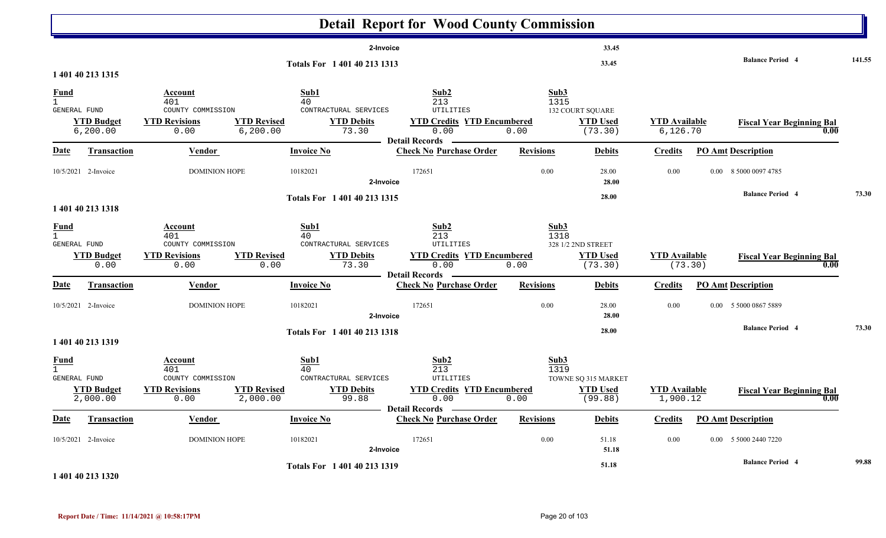|                                             |                                |                                                                                                        |                                                                           | <b>Detail Report for Wood County Commission</b>                                                |                      |                                                   |                                   |                                          |        |
|---------------------------------------------|--------------------------------|--------------------------------------------------------------------------------------------------------|---------------------------------------------------------------------------|------------------------------------------------------------------------------------------------|----------------------|---------------------------------------------------|-----------------------------------|------------------------------------------|--------|
|                                             | 1 401 40 213 1315              |                                                                                                        | Totals For 1 401 40 213 1313                                              | 2-Invoice                                                                                      |                      | 33.45<br>33.45                                    |                                   | <b>Balance Period 4</b>                  | 141.55 |
| $\frac{Fund}{1}$<br>GENERAL FUND            | <b>YTD Budget</b><br>6, 200.00 | Account<br>401<br>COUNTY COMMISSION<br><b>YTD Revised</b><br><b>YTD Revisions</b><br>0.00<br>6, 200.00 | Sub1<br>40<br>CONTRACTURAL SERVICES<br><b>YTD Debits</b><br>73.30         | Sub2<br>213<br>UTILITIES<br><b>YTD Credits YTD Encumbered</b><br>0.00<br><b>Detail Records</b> | Sub3<br>1315<br>0.00 | 132 COURT SQUARE<br><b>YTD Used</b><br>(73.30)    | <b>YTD Available</b><br>6, 126.70 | <b>Fiscal Year Beginning Bal</b><br>0.00 |        |
| <b>Date</b>                                 | <b>Transaction</b>             | <b>Vendor</b>                                                                                          | <b>Invoice No</b>                                                         | <b>Check No Purchase Order</b>                                                                 | <b>Revisions</b>     | <b>Debits</b>                                     | <b>Credits</b>                    | <b>PO Amt Description</b>                |        |
|                                             | 10/5/2021 2-Invoice            | DOMINION HOPE                                                                                          | 10182021                                                                  | 172651<br>2-Invoice                                                                            | 0.00                 | 28.00<br>28.00                                    | 0.00                              | 0.00 8 5000 0097 4785                    |        |
|                                             | 1 401 40 213 1318              |                                                                                                        | Totals For 1 401 40 213 1315                                              |                                                                                                |                      | 28.00                                             |                                   | <b>Balance Period 4</b>                  | 73.30  |
| <u>Fund</u><br>$\mathbf{1}$<br>GENERAL FUND | <b>YTD Budget</b><br>0.00      | Account<br>401<br>COUNTY COMMISSION<br><b>YTD Revised</b><br><b>YTD Revisions</b><br>0.00              | Sub1<br>40<br>CONTRACTURAL SERVICES<br><b>YTD Debits</b><br>73.30<br>0.00 | Sub2<br>213<br>UTILITIES<br><b>YTD Credits YTD Encumbered</b><br>0.00                          | Sub3<br>1318<br>0.00 | 328 1/2 2ND STREET<br><b>YTD</b> Used<br>(73.30)  | <b>YTD Available</b><br>(73.30)   | <b>Fiscal Year Beginning Bal</b><br>0.00 |        |
| Date                                        | <b>Transaction</b>             | Vendor                                                                                                 | <b>Invoice No</b>                                                         | <b>Detail Records</b><br><b>Check No Purchase Order</b>                                        | <b>Revisions</b>     | <b>Debits</b>                                     | <b>Credits</b>                    | <b>PO Amt Description</b>                |        |
|                                             | 10/5/2021 2-Invoice            | <b>DOMINION HOPE</b>                                                                                   | 10182021                                                                  | 172651<br>2-Invoice                                                                            | 0.00                 | 28.00<br>28.00                                    | 0.00                              | 5 5000 0867 5889<br>0.00                 |        |
|                                             | 1 401 40 213 1319              |                                                                                                        | Totals For 1 401 40 213 1318                                              |                                                                                                |                      | 28.00                                             |                                   | <b>Balance Period 4</b>                  | 73.30  |
| $\frac{Fund}{1}$<br>GENERAL FUND            | <b>YTD Budget</b><br>2,000.00  | Account<br>401<br>COUNTY COMMISSION<br><b>YTD Revisions</b><br><b>YTD Revised</b><br>0.00<br>2,000.00  | Sub1<br>40<br>CONTRACTURAL SERVICES<br><b>YTD Debits</b><br>99.88         | Sub2<br>213<br>UTILITIES<br><b>YTD Credits YTD Encumbered</b><br>0.00                          | Sub3<br>1319<br>0.00 | TOWNE SQ 315 MARKET<br><b>YTD Used</b><br>(99.88) | <b>YTD Available</b><br>1,900.12  | <b>Fiscal Year Beginning Bal</b><br>0.00 |        |
| <b>Date</b>                                 | <b>Transaction</b>             | Vendor                                                                                                 | <b>Invoice No</b>                                                         | Detail Records —<br><b>Check No Purchase Order</b>                                             | <b>Revisions</b>     | <b>Debits</b>                                     | <b>Credits</b>                    | <b>PO Amt Description</b>                |        |
|                                             | 10/5/2021 2-Invoice            | DOMINION HOPE                                                                                          | 10182021                                                                  | 172651<br>2-Invoice                                                                            | $0.00\,$             | 51.18<br>51.18                                    | $0.00\,$                          | 0.00 5 5000 2440 7220                    |        |
|                                             | 101.10.212.120                 |                                                                                                        | Totals For 1 401 40 213 1319                                              |                                                                                                |                      | 51.18                                             |                                   | <b>Balance Period 4</b>                  | 99.88  |

#### **1 401 40 213 1320**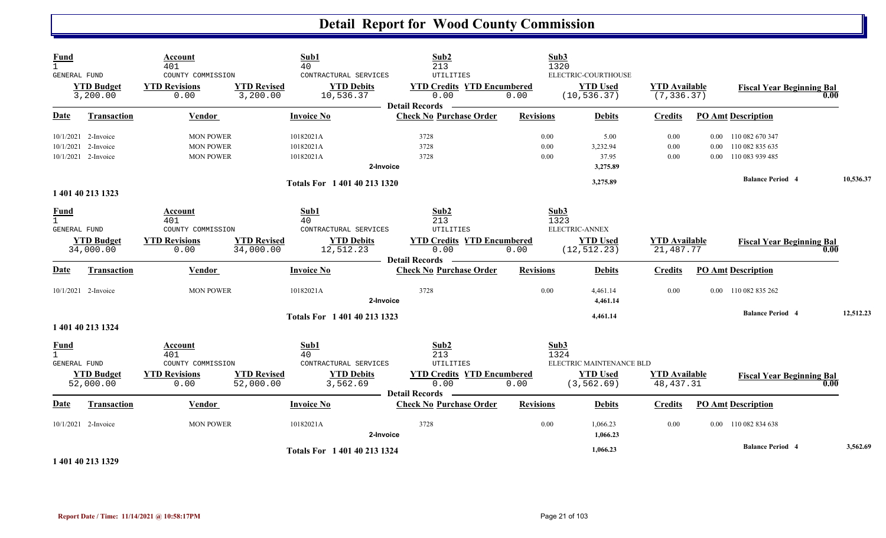| <b>Fund</b><br>$\mathbf{1}$                        |                                                                   | Account<br>401                                                      |                                 | Sub1<br>40                                                            | Sub2<br>213                                                                     |                      | Sub3<br>1320                                                      |                                     |                  |                                                            |           |  |
|----------------------------------------------------|-------------------------------------------------------------------|---------------------------------------------------------------------|---------------------------------|-----------------------------------------------------------------------|---------------------------------------------------------------------------------|----------------------|-------------------------------------------------------------------|-------------------------------------|------------------|------------------------------------------------------------|-----------|--|
| <b>GENERAL FUND</b>                                | <b>YTD Budget</b><br>3,200.00                                     | COUNTY COMMISSION<br><b>YTD Revisions</b><br>0.00                   | <b>YTD Revised</b><br>3,200.00  | CONTRACTURAL SERVICES<br><b>YTD Debits</b><br>10,536.37               | UTILITIES<br><b>YTD Credits YTD Encumbered</b><br>0.00<br><b>Detail Records</b> | 0.00                 | ELECTRIC-COURTHOUSE<br><b>YTD Used</b><br>(10, 536.37)            | <b>YTD</b> Available<br>(7, 336.37) |                  | <b>Fiscal Year Beginning Bal</b>                           | 0.00      |  |
| <b>Date</b>                                        | <b>Transaction</b>                                                | <b>Vendor</b>                                                       |                                 | <b>Invoice No</b>                                                     | <b>Check No Purchase Order</b>                                                  | <b>Revisions</b>     | <b>Debits</b>                                                     | <b>Credits</b>                      |                  | <b>PO Amt Description</b>                                  |           |  |
|                                                    | 10/1/2021 2-Invoice<br>10/1/2021 2-Invoice<br>10/1/2021 2-Invoice | <b>MON POWER</b><br><b>MON POWER</b><br><b>MON POWER</b>            |                                 | 10182021A<br>10182021A<br>10182021A<br>2-Invoice                      | 3728<br>3728<br>3728                                                            | 0.00<br>0.00<br>0.00 | 5.00<br>3,232.94<br>37.95<br>3,275.89                             | $0.00\,$<br>0.00<br>0.00            | 0.00<br>$0.00\,$ | 0.00 110 082 670 347<br>110 082 835 635<br>110 083 939 485 |           |  |
|                                                    |                                                                   |                                                                     |                                 | Totals For 1 401 40 213 1320                                          |                                                                                 |                      | 3,275.89                                                          |                                     |                  | <b>Balance Period 4</b>                                    | 10,536.37 |  |
|                                                    | 1 401 40 213 1323                                                 |                                                                     |                                 |                                                                       |                                                                                 |                      |                                                                   |                                     |                  |                                                            |           |  |
| <b>Fund</b><br>$\mathbf{1}$<br><b>GENERAL FUND</b> | <b>YTD Budget</b><br>34,000.00                                    | Account<br>401<br>COUNTY COMMISSION<br><b>YTD Revisions</b><br>0.00 | <b>YTD Revised</b><br>34,000.00 | Sub1<br>40<br>CONTRACTURAL SERVICES<br><b>YTD Debits</b><br>12,512.23 | Sub2<br>213<br>UTILITIES<br><b>YTD Credits YTD Encumbered</b><br>0.00           | 0.00                 | Sub3<br>1323<br>ELECTRIC-ANNEX<br><b>YTD Used</b><br>(12, 512.23) | <b>YTD</b> Available<br>21,487.77   |                  | <b>Fiscal Year Beginning Bal</b>                           | 0.00      |  |
| <u>Date</u>                                        | Transaction                                                       | Vendor                                                              |                                 | <b>Invoice No</b>                                                     | Detail Records<br><b>Check No Purchase Order</b>                                | <b>Revisions</b>     | <b>Debits</b>                                                     | <b>Credits</b>                      |                  | <b>PO Amt Description</b>                                  |           |  |
|                                                    | 10/1/2021 2-Invoice                                               | <b>MON POWER</b>                                                    |                                 | 10182021A<br>2-Invoice                                                | 3728                                                                            | 0.00                 | 4,461.14<br>4,461.14                                              | 0.00                                |                  | 0.00 110 082 835 262                                       |           |  |
|                                                    | 1 401 40 213 1324                                                 |                                                                     |                                 | Totals For 1 401 40 213 1323                                          |                                                                                 |                      | 4,461.14                                                          |                                     |                  | <b>Balance Period 4</b>                                    | 12,512.23 |  |
| <b>Fund</b><br>$\mathbf{1}$<br><b>GENERAL FUND</b> | <b>YTD Budget</b>                                                 | Account<br>401<br>COUNTY COMMISSION<br><b>YTD Revisions</b>         | <b>YTD Revised</b>              | Sub1<br>40<br>CONTRACTURAL SERVICES<br><b>YTD Debits</b>              | Sub2<br>213<br>UTILITIES<br><b>YTD Credits YTD Encumbered</b>                   |                      | Sub3<br>1324<br>ELECTRIC MAINTENANCE BLD<br><b>YTD Used</b>       | <b>YTD Available</b>                |                  |                                                            |           |  |
|                                                    | 52,000.00                                                         | 0.00                                                                | 52,000.00                       | 3,562.69                                                              | 0.00<br><b>Detail Records</b><br>$\frac{1}{2}$                                  | 0.00                 | (3, 562.69)                                                       | 48, 437.31                          |                  | <b>Fiscal Year Beginning Bal</b>                           |           |  |
| Date                                               | <b>Transaction</b>                                                | Vendor                                                              |                                 | <b>Invoice No</b>                                                     | <b>Check No Purchase Order</b>                                                  | <b>Revisions</b>     | <b>Debits</b>                                                     | <b>Credits</b>                      |                  | <b>PO Amt Description</b>                                  |           |  |
|                                                    | 10/1/2021 2-Invoice                                               | <b>MON POWER</b>                                                    |                                 | 10182021A<br>2-Invoice                                                | 3728                                                                            | 0.00                 | 1,066.23<br>1,066.23                                              | 0.00                                |                  | 0.00 110 082 834 638                                       |           |  |
|                                                    | 1.401.40.212.120                                                  |                                                                     |                                 | Totals For 1 401 40 213 1324                                          |                                                                                 |                      | 1,066.23                                                          |                                     |                  | <b>Balance Period 4</b>                                    | 3,562.69  |  |

**1 401 40 213 1329**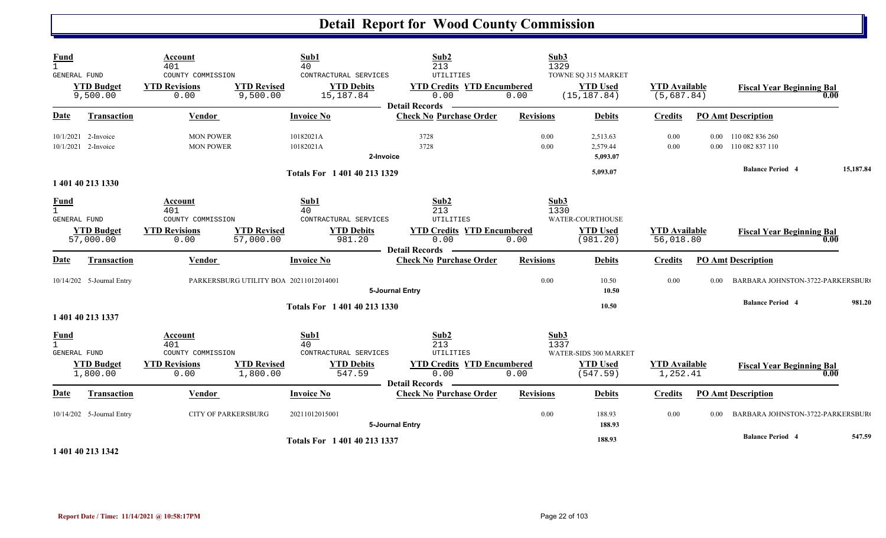| Fund                                                                     | Account<br>401                                                      | Sub1<br>40                                                                                            | Sub2<br>213                                                                                                | Sub3<br>1329         |                                                        |                                    |                                                                                      |        |
|--------------------------------------------------------------------------|---------------------------------------------------------------------|-------------------------------------------------------------------------------------------------------|------------------------------------------------------------------------------------------------------------|----------------------|--------------------------------------------------------|------------------------------------|--------------------------------------------------------------------------------------|--------|
| GENERAL FUND<br><b>YTD Budget</b><br>9,500.00                            | COUNTY COMMISSION<br><b>YTD Revisions</b><br>0.00                   | CONTRACTURAL SERVICES<br><b>YTD Revised</b><br><b>YTD Debits</b><br>9,500.00<br>15,187.84             | <b>UTILITIES</b><br><b>YTD Credits YTD Encumbered</b><br>0.00<br><b>Detail Records</b>                     | 0.00                 | TOWNE SQ 315 MARKET<br><b>YTD Used</b><br>(15, 187.84) | <b>YTD</b> Available<br>(5,687.84) | <b>Fiscal Year Beginning Bal</b><br>0.00                                             |        |
| <b>Date</b><br><b>Transaction</b>                                        | <b>Vendor</b>                                                       | <b>Invoice No</b>                                                                                     | <b>Check No Purchase Order</b>                                                                             | <b>Revisions</b>     | <b>Debits</b>                                          | <b>Credits</b>                     | <b>PO Amt Description</b>                                                            |        |
| 10/1/2021<br>2-Invoice<br>10/1/2021 2-Invoice                            | <b>MON POWER</b><br><b>MON POWER</b>                                | 10182021A<br>10182021A                                                                                | 3728<br>3728<br>2-Invoice                                                                                  | 0.00<br>0.00         | 2,513.63<br>2,579.44<br>5,093.07                       | $0.00\,$<br>0.00                   | 0.00 110 082 836 260<br>0.00 110 082 837 110<br><b>Balance Period 4</b><br>15,187.84 |        |
| 1 401 40 213 1330                                                        |                                                                     | Totals For 1 401 40 213 1329                                                                          |                                                                                                            |                      | 5,093.07                                               |                                    |                                                                                      |        |
| Fund<br>GENERAL FUND<br><b>YTD Budget</b><br>57,000.00                   | Account<br>401<br>COUNTY COMMISSION<br><b>YTD Revisions</b><br>0.00 | Sub1<br>40<br>CONTRACTURAL SERVICES<br><b>YTD Revised</b><br><b>YTD Debits</b><br>57,000.00<br>981.20 | Sub2<br>213<br>UTILITIES<br><b>YTD Credits YTD Encumbered</b><br>0.00<br><b>Detail Records</b>             | Sub3<br>1330<br>0.00 | WATER-COURTHOUSE<br><b>YTD Used</b><br>(981.20)        | <b>YTD Available</b><br>56,018.80  | <b>Fiscal Year Beginning Bal</b><br>0.00                                             |        |
| Date<br><b>Transaction</b>                                               | <b>Vendor</b>                                                       | <b>Invoice No</b>                                                                                     | <b>Check No Purchase Order</b>                                                                             | <b>Revisions</b>     | <b>Debits</b>                                          | <b>Credits</b>                     | <b>PO Amt Description</b>                                                            |        |
| 10/14/202 5-Journal Entry                                                |                                                                     | PARKERSBURG UTILITY BOA 20211012014001<br>Totals For 1 401 40 213 1330                                | 5-Journal Entry                                                                                            | 0.00                 | 10.50<br>10.50<br>10.50                                | 0.00<br>0.00 <sub>1</sub>          | BARBARA JOHNSTON-3722-PARKERSBUR<br><b>Balance Period 4</b>                          | 981.20 |
| 1 401 40 213 1337                                                        |                                                                     |                                                                                                       |                                                                                                            |                      |                                                        |                                    |                                                                                      |        |
| $\frac{Fund}{1}$<br><b>GENERAL FUND</b><br><b>YTD Budget</b><br>1,800.00 | Account<br>401<br>COUNTY COMMISSION<br><b>YTD Revisions</b><br>0.00 | Sub1<br>40<br>CONTRACTURAL SERVICES<br><b>YTD Revised</b><br><b>YTD Debits</b><br>1,800.00<br>547.59  | Sub <sub>2</sub><br>213<br>UTILITIES<br><b>YTD Credits YTD Encumbered</b><br>0.00<br><b>Detail Records</b> | Sub3<br>1337<br>0.00 | WATER-SIDS 300 MARKET<br><b>YTD Used</b><br>(547.59)   | <b>YTD Available</b><br>1,252.41   | <b>Fiscal Year Beginning Bal</b><br>0.00                                             |        |
| Date<br>Transaction                                                      | <b>Vendor</b>                                                       | <b>Invoice No</b>                                                                                     | <b>Check No Purchase Order</b>                                                                             | <b>Revisions</b>     | <b>Debits</b>                                          | <b>Credits</b>                     | <b>PO Amt Description</b>                                                            |        |
| 10/14/202 5-Journal Entry                                                | <b>CITY OF PARKERSBURG</b>                                          | 20211012015001                                                                                        | 5-Journal Entry                                                                                            | 0.00                 | 188.93<br>188.93                                       | 0.00<br>0.00 <sub>1</sub>          | BARBARA JOHNSTON-3722-PARKERSBUR<br><b>Balance Period 4</b>                          | 547.59 |
| .                                                                        |                                                                     | Totals For 1 401 40 213 1337                                                                          |                                                                                                            |                      | 188.93                                                 |                                    |                                                                                      |        |

**1 401 40 213 1342**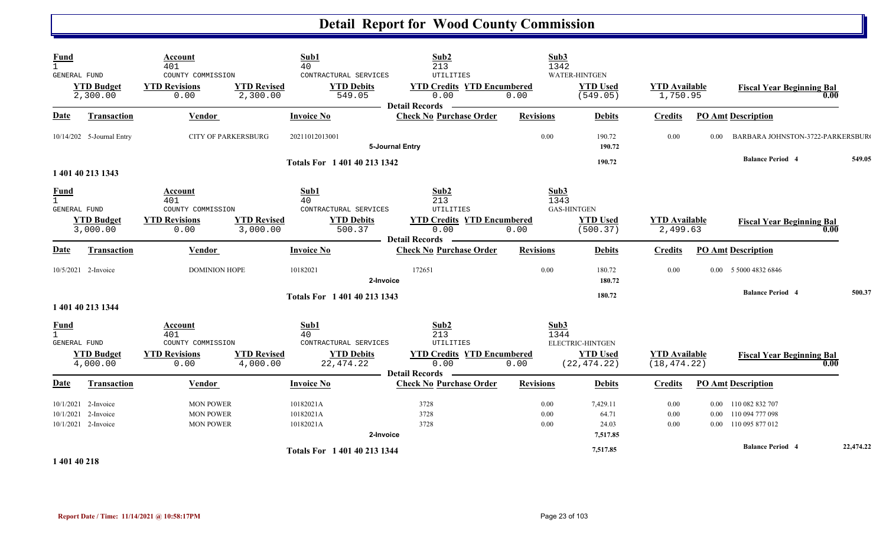| <b>Fund</b><br>$\mathbf{1}$<br>GENERAL FUND | <b>YTD Budget</b><br>2,300.00                                     | Account<br>401<br>COUNTY COMMISSION<br><b>YTD Revisions</b><br>0.00 | <b>YTD Revised</b><br>2,300.00 | Sub1<br>40<br>CONTRACTURAL SERVICES<br><b>YTD Debits</b><br>549.05               | Sub2<br>213<br><b>UTILITIES</b><br><b>YTD Credits YTD Encumbered</b><br>0.00<br><b>Detail Records</b> | Sub3<br>1342<br>0.00     | <b>WATER-HINTGEN</b><br><b>YTD Used</b><br>(549.05) | <b>YTD Available</b><br>1,750.95      |                      | <b>Fiscal Year Beginning Bal</b><br>0.00                                              |           |
|---------------------------------------------|-------------------------------------------------------------------|---------------------------------------------------------------------|--------------------------------|----------------------------------------------------------------------------------|-------------------------------------------------------------------------------------------------------|--------------------------|-----------------------------------------------------|---------------------------------------|----------------------|---------------------------------------------------------------------------------------|-----------|
| <b>Date</b>                                 | Transaction                                                       | <b>Vendor</b>                                                       |                                | <b>Invoice No</b>                                                                | <b>Check No Purchase Order</b>                                                                        | <b>Revisions</b>         | <b>Debits</b>                                       | <b>Credits</b>                        |                      | <b>PO Amt Description</b>                                                             |           |
|                                             | 10/14/202 5-Journal Entry                                         | <b>CITY OF PARKERSBURG</b>                                          |                                | 20211012013001                                                                   | 5-Journal Entry                                                                                       | 0.00                     | 190.72<br>190.72                                    | 0.00                                  | 0.00                 | BARBARA JOHNSTON-3722-PARKERSBUR                                                      |           |
|                                             | 1 401 40 213 1343                                                 |                                                                     |                                | Totals For 1 401 40 213 1342                                                     |                                                                                                       |                          | 190.72                                              |                                       |                      | <b>Balance Period 4</b>                                                               | 549.05    |
| <u>Fund</u><br>$\mathbf{1}$<br>GENERAL FUND | <b>YTD Budget</b><br>3,000.00                                     | Account<br>401<br>COUNTY COMMISSION<br><b>YTD Revisions</b><br>0.00 | <b>YTD Revised</b><br>3,000.00 | Sub1<br>40<br>CONTRACTURAL SERVICES<br><b>YTD Debits</b><br>500.37               | Sub2<br>213<br>UTILITIES<br><b>YTD Credits YTD Encumbered</b><br>0.00<br><b>Detail Records</b>        | Sub3<br>1343<br>0.00     | <b>GAS-HINTGEN</b><br><b>YTD Used</b><br>(500.37)   | <b>YTD Available</b><br>2,499.63      |                      | <b>Fiscal Year Beginning Bal</b><br>0.00                                              |           |
| Date                                        | <b>Transaction</b>                                                | Vendor                                                              |                                | <b>Invoice No</b>                                                                | <b>Check No Purchase Order</b>                                                                        | <b>Revisions</b>         | <b>Debits</b>                                       | <b>Credits</b>                        |                      | <b>PO Amt Description</b>                                                             |           |
|                                             | 10/5/2021 2-Invoice                                               | <b>DOMINION HOPE</b>                                                |                                | 10182021<br>2-Invoice                                                            | 172651                                                                                                | 0.00                     | 180.72<br>180.72                                    | 0.00                                  |                      | 0.00 5 5000 4832 6846                                                                 |           |
|                                             | 1 401 40 213 1344                                                 |                                                                     |                                | Totals For 1 401 40 213 1343                                                     |                                                                                                       |                          | 180.72                                              |                                       |                      | <b>Balance Period 4</b>                                                               | 500.37    |
| <b>Fund</b><br>$\mathbf{1}$<br>GENERAL FUND | <b>YTD Budget</b><br>4,000.00                                     | Account<br>401<br>COUNTY COMMISSION<br><b>YTD Revisions</b><br>0.00 | <b>YTD Revised</b><br>4,000.00 | Sub1<br>40<br>CONTRACTURAL SERVICES<br><b>YTD Debits</b><br>22,474.22            | Sub2<br>213<br>UTILITIES<br><b>YTD Credits YTD Encumbered</b><br>0.00<br>- Detail Records -           | Sub3<br>1344<br>0.00     | ELECTRIC-HINTGEN<br><b>YTD Used</b><br>(22, 474.22) | <b>YTD Available</b><br>(18, 474, 22) |                      | <b>Fiscal Year Beginning Bal</b><br>0.00                                              |           |
| <b>Date</b>                                 | <b>Transaction</b>                                                | Vendor                                                              |                                | <b>Invoice No</b>                                                                | <b>Check No Purchase Order</b>                                                                        | <b>Revisions</b>         | <b>Debits</b>                                       | <b>Credits</b>                        |                      | <b>PO Amt Description</b>                                                             |           |
|                                             | 10/1/2021 2-Invoice<br>10/1/2021 2-Invoice<br>10/1/2021 2-Invoice | <b>MON POWER</b><br><b>MON POWER</b><br><b>MON POWER</b>            |                                | 10182021A<br>10182021A<br>10182021A<br>2-Invoice<br>Totals For 1 401 40 213 1344 | 3728<br>3728<br>3728                                                                                  | 0.00<br>$0.00\,$<br>0.00 | 7,429.11<br>64.71<br>24.03<br>7,517.85<br>7,517.85  | 0.00<br>0.00<br>0.00                  | $0.00\,$<br>$0.00\,$ | 110 082 832 707<br>110 094 777 098<br>0.00 110 095 877 012<br><b>Balance Period 4</b> | 22,474.22 |
| 1.401.40.210                                |                                                                   |                                                                     |                                |                                                                                  |                                                                                                       |                          |                                                     |                                       |                      |                                                                                       |           |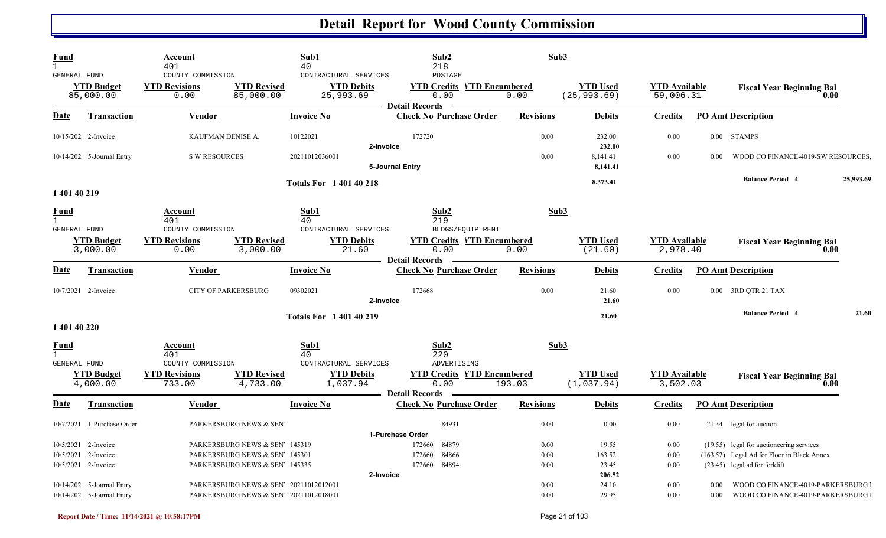| Fund<br>$\mathbf{1}$<br>GENERAL FUND                              |                                                        | Account<br>401<br>COUNTY COMMISSION               |                                                                                                               | Sub1<br>40<br>CONTRACTURAL SERVICES                 | Sub2<br>218<br>POSTAGE                                                                 | Sub3                 |                                    |                                   |              |                                                                                                                         |           |
|-------------------------------------------------------------------|--------------------------------------------------------|---------------------------------------------------|---------------------------------------------------------------------------------------------------------------|-----------------------------------------------------|----------------------------------------------------------------------------------------|----------------------|------------------------------------|-----------------------------------|--------------|-------------------------------------------------------------------------------------------------------------------------|-----------|
|                                                                   | <b>YTD Budget</b><br>85,000.00                         | <b>YTD Revisions</b><br>0.00                      | <b>YTD Revised</b><br>85,000.00                                                                               | <b>YTD Debits</b><br>25,993.69                      | <b>YTD Credits YTD Encumbered</b><br>0.00<br><b>Detail Records</b>                     | 0.00                 | <b>YTD Used</b><br>(25, 993.69)    | <b>YTD</b> Available<br>59,006.31 |              | <b>Fiscal Year Beginning Bal</b><br>0.00                                                                                |           |
| Date                                                              | <b>Transaction</b>                                     | <b>Vendor</b>                                     |                                                                                                               | <b>Invoice No</b>                                   | <b>Check No Purchase Order</b>                                                         | <b>Revisions</b>     | <b>Debits</b>                      | <b>Credits</b>                    |              | <b>PO Amt Description</b>                                                                                               |           |
| 10/15/202 2-Invoice                                               |                                                        | KAUFMAN DENISE A.                                 |                                                                                                               | 10122021                                            | 172720<br>2-Invoice                                                                    | 0.00                 | 232.00<br>232.00                   | 0.00                              |              | 0.00 STAMPS                                                                                                             |           |
|                                                                   | 10/14/202 5-Journal Entry                              | <b>S W RESOURCES</b>                              |                                                                                                               | 20211012036001                                      | 5-Journal Entry                                                                        | 0.00                 | 8,141.41<br>8,141.41               | 0.00                              | 0.00         | WOOD CO FINANCE-4019-SW RESOURCES                                                                                       |           |
| 1 401 40 219                                                      |                                                        |                                                   |                                                                                                               | <b>Totals For 140140218</b>                         |                                                                                        |                      | 8,373.41                           |                                   |              | <b>Balance Period 4</b>                                                                                                 | 25,993.69 |
| <b>Fund</b><br>$\mathbf{1}$                                       |                                                        | Account<br>401                                    |                                                                                                               | Sub1<br>40                                          | Sub2<br>219                                                                            | Sub3                 |                                    |                                   |              |                                                                                                                         |           |
| GENERAL FUND                                                      | <b>YTD Budget</b><br>3,000.00                          | COUNTY COMMISSION<br><b>YTD Revisions</b><br>0.00 | <b>YTD Revised</b><br>3,000.00                                                                                | CONTRACTURAL SERVICES<br><b>YTD Debits</b><br>21.60 | BLDGS/EQUIP RENT<br><b>YTD Credits YTD Encumbered</b><br>0.00<br><b>Detail Records</b> | 0.00                 | <b>YTD Used</b><br>(21.60)         | <b>YTD</b> Available<br>2,978.40  |              | <b>Fiscal Year Beginning Bal</b><br>0.00                                                                                |           |
| <b>Date</b>                                                       | <b>Transaction</b>                                     | Vendor                                            |                                                                                                               | <b>Invoice No</b>                                   | <b>Check No Purchase Order</b>                                                         | <b>Revisions</b>     | <b>Debits</b>                      | <b>Credits</b>                    |              | <b>PO Amt Description</b>                                                                                               |           |
| 10/7/2021 2-Invoice                                               |                                                        | <b>CITY OF PARKERSBURG</b>                        |                                                                                                               | 09302021                                            | 172668<br>2-Invoice                                                                    | 0.00                 | 21.60<br>21.60                     | 0.00                              |              | 0.00 3RD QTR 21 TAX                                                                                                     |           |
| 1 401 40 220                                                      |                                                        |                                                   |                                                                                                               | <b>Totals For 140140219</b>                         |                                                                                        |                      | 21.60                              |                                   |              | <b>Balance Period 4</b>                                                                                                 | 21.60     |
| Fund<br>$\mathbf{1}$<br>GENERAL FUND                              |                                                        | Account<br>401<br>COUNTY COMMISSION               |                                                                                                               | Sub1<br>40<br>CONTRACTURAL SERVICES                 | Sub2<br>220<br>ADVERTISING                                                             | Sub3                 |                                    |                                   |              |                                                                                                                         |           |
|                                                                   | <b>YTD Budget</b><br>4,000.00                          | <b>YTD Revisions</b><br>733.00                    | <b>YTD Revised</b><br>4,733.00                                                                                | <b>YTD Debits</b><br>1,037.94                       | <b>YTD Credits YTD Encumbered</b><br>0.00<br><b>Detail Records</b>                     | 193.03               | <b>YTD</b> Used<br>(1,037.94)      | <b>YTD</b> Available<br>3,502.03  |              | <b>Fiscal Year Beginning Bal</b><br>0.00                                                                                |           |
| <b>Date</b>                                                       | Transaction                                            | Vendor                                            |                                                                                                               | <b>Invoice No</b>                                   | <b>Check No Purchase Order</b>                                                         | <b>Revisions</b>     | <b>Debits</b>                      | <b>Credits</b>                    |              | <b>PO Amt Description</b>                                                                                               |           |
| 10/7/2021                                                         | 1-Purchase Order                                       |                                                   | PARKERSBURG NEWS & SEN'                                                                                       |                                                     | 84931<br>1-Purchase Order                                                              | 0.00                 | 0.00                               | 0.00                              |              | 21.34 legal for auction                                                                                                 |           |
| 10/5/2021 2-Invoice<br>10/5/2021 2-Invoice<br>10/5/2021 2-Invoice |                                                        |                                                   | PARKERSBURG NEWS & SEN <sup>7</sup> 145319<br>PARKERSBURG NEWS & SEN' 145301<br>PARKERSBURG NEWS & SEN 145335 |                                                     | 84879<br>172660<br>84866<br>172660<br>84894<br>172660<br>2-Invoice                     | 0.00<br>0.00<br>0.00 | 19.55<br>163.52<br>23.45<br>206.52 | 0.00<br>0.00<br>0.00              |              | (19.55) legal for auctioneering services<br>(163.52) Legal Ad for Floor in Black Annex<br>(23.45) legal ad for forklift |           |
|                                                                   | 10/14/202 5-Journal Entry<br>10/14/202 5-Journal Entry |                                                   | PARKERSBURG NEWS & SEN' 20211012012001<br>PARKERSBURG NEWS & SEN' 20211012018001                              |                                                     |                                                                                        | 0.00<br>0.00         | 24.10<br>29.95                     | 0.00<br>0.00                      | 0.00<br>0.00 | WOOD CO FINANCE-4019-PARKERSBURG<br>WOOD CO FINANCE-4019-PARKERSBURG                                                    |           |

N N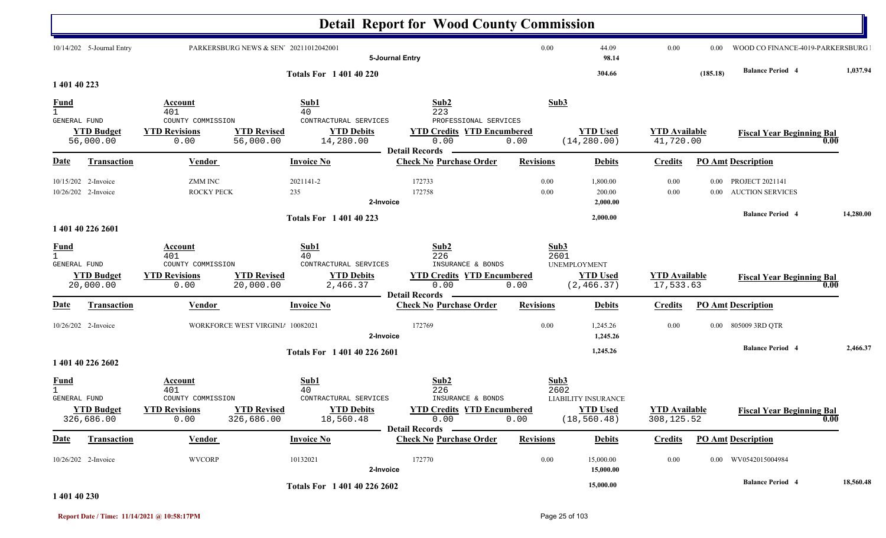|                                    |                                            |                                                                     |                                                                                                         | <b>Detail Report for Wood County Commission</b>                               |                      |                                                       |                                     |              |                                                   |           |
|------------------------------------|--------------------------------------------|---------------------------------------------------------------------|---------------------------------------------------------------------------------------------------------|-------------------------------------------------------------------------------|----------------------|-------------------------------------------------------|-------------------------------------|--------------|---------------------------------------------------|-----------|
|                                    | 10/14/202 5-Journal Entry                  |                                                                     | PARKERSBURG NEWS & SEN' 20211012042001                                                                  | 5-Journal Entry                                                               | 0.00                 | 44.09<br>98.14                                        | 0.00                                | 0.00         | WOOD CO FINANCE-4019-PARKERSBURG                  |           |
| 1 401 40 223                       |                                            |                                                                     | <b>Totals For 140140220</b>                                                                             |                                                                               |                      | 304.66                                                |                                     | (185.18)     | <b>Balance Period 4</b>                           | 1,037.94  |
| <u>Fund</u><br>$\mathbf{1}$        |                                            | Account<br>401                                                      | Sub1<br>40                                                                                              | Sub2<br>223                                                                   | Sub3                 |                                                       |                                     |              |                                                   |           |
| GENERAL FUND                       | <b>YTD Budget</b><br>56,000.00             | COUNTY COMMISSION<br><b>YTD Revisions</b><br>0.00                   | CONTRACTURAL SERVICES<br><b>YTD Revised</b><br><b>YTD Debits</b><br>56,000.00<br>14,280.00              | PROFESSIONAL SERVICES<br><b>YTD Credits YTD Encumbered</b><br>0.00            | 0.00                 | <b>YTD Used</b><br>(14, 280.00)                       | <b>YTD</b> Available<br>41,720.00   |              | <b>Fiscal Year Beginning Bal</b><br>0.00          |           |
| Date                               | <b>Transaction</b>                         | <b>Vendor</b>                                                       | <b>Invoice No</b>                                                                                       | <b>Detail Records</b><br><b>Check No Purchase Order</b>                       | <b>Revisions</b>     | <b>Debits</b>                                         | <b>Credits</b>                      |              | <b>PO Amt Description</b>                         |           |
|                                    | 10/15/202 2-Invoice<br>10/26/202 2-Invoice | <b>ZMM INC</b><br><b>ROCKY PECK</b>                                 | 2021141-2<br>235                                                                                        | 172733<br>172758<br>2-Invoice                                                 | 0.00<br>0.00         | 1,800.00<br>200.00<br>2,000.00                        | 0.00<br>0.00                        | 0.00<br>0.00 | <b>PROJECT 2021141</b><br><b>AUCTION SERVICES</b> |           |
|                                    |                                            |                                                                     | <b>Totals For 140140223</b>                                                                             |                                                                               |                      | 2,000.00                                              |                                     |              | <b>Balance Period 4</b>                           | 14,280.00 |
|                                    | 1 401 40 226 2601                          |                                                                     |                                                                                                         |                                                                               |                      |                                                       |                                     |              |                                                   |           |
| <b>Fund</b><br><b>GENERAL FUND</b> | <b>YTD Budget</b><br>20,000.00             | Account<br>401<br>COUNTY COMMISSION<br><b>YTD Revisions</b><br>0.00 | Sub1<br>40<br>CONTRACTURAL SERVICES<br><b>YTD Revised</b><br><b>YTD Debits</b><br>20,000.00<br>2,466.37 | Sub2<br>226<br>INSURANCE & BONDS<br><b>YTD Credits YTD Encumbered</b><br>0.00 | Sub3<br>2601<br>0.00 | <b>UNEMPLOYMENT</b><br><b>YTD Used</b><br>(2, 466.37) | <b>YTD Available</b><br>17,533.63   |              | <b>Fiscal Year Beginning Bal</b><br>0.00          |           |
| <u>Date</u>                        | <b>Transaction</b>                         | Vendor                                                              | <b>Invoice No</b>                                                                                       | <b>Detail Records</b><br><b>Check No Purchase Order</b>                       | <b>Revisions</b>     | <b>Debits</b>                                         | <b>Credits</b>                      |              | <b>PO</b> Amt Description                         |           |
|                                    | 10/26/202 2-Invoice                        |                                                                     | WORKFORCE WEST VIRGINI/ 10082021                                                                        | 172769<br>2-Invoice                                                           | 0.00                 | 1,245.26<br>1,245.26                                  | 0.00                                | $0.00\,$     | 805009 3RD QTR                                    |           |
|                                    | 1 401 40 226 2602                          |                                                                     | Totals For 1 401 40 226 2601                                                                            |                                                                               |                      | 1,245.26                                              |                                     |              | <b>Balance Period 4</b>                           | 2,466.37  |
| <u>Fund</u><br><b>GENERAL FUND</b> |                                            | Account<br>401<br>COUNTY COMMISSION                                 | Sub1<br>40<br>CONTRACTURAL SERVICES                                                                     | Sub2<br>226<br>INSURANCE & BONDS                                              | Sub3<br>2602         | <b>LIABILITY INSURANCE</b>                            |                                     |              |                                                   |           |
|                                    | <b>YTD Budget</b><br>326,686.00            | <b>YTD Revisions</b><br>0.00                                        | <b>YTD Revised</b><br><b>YTD Debits</b><br>326,686.00<br>18,560.48                                      | <b>YTD Credits YTD Encumbered</b><br>0.00<br><b>Detail Records</b>            | 0.00                 | <b>YTD Used</b><br>(18, 560.48)                       | <b>YTD Available</b><br>308, 125.52 |              | <b>Fiscal Year Beginning Bal</b><br>0.00          |           |
| <b>Date</b>                        | <b>Transaction</b>                         | <b>Vendor</b>                                                       | <b>Invoice No</b>                                                                                       | <b>Check No Purchase Order</b>                                                | <b>Revisions</b>     | <b>Debits</b>                                         | <b>Credits</b>                      |              | <b>PO Amt Description</b>                         |           |
|                                    | 10/26/202 2-Invoice                        | <b>WVCORP</b>                                                       | 10132021                                                                                                | 172770<br>2-Invoice                                                           | 0.00                 | 15,000.00<br>15,000.00                                | 0.00                                |              | 0.00 WV0542015004984                              |           |
|                                    |                                            |                                                                     | Totals For 1 401 40 226 2602                                                                            |                                                                               |                      | 15,000.00                                             |                                     |              | <b>Balance Period 4</b>                           | 18,560.48 |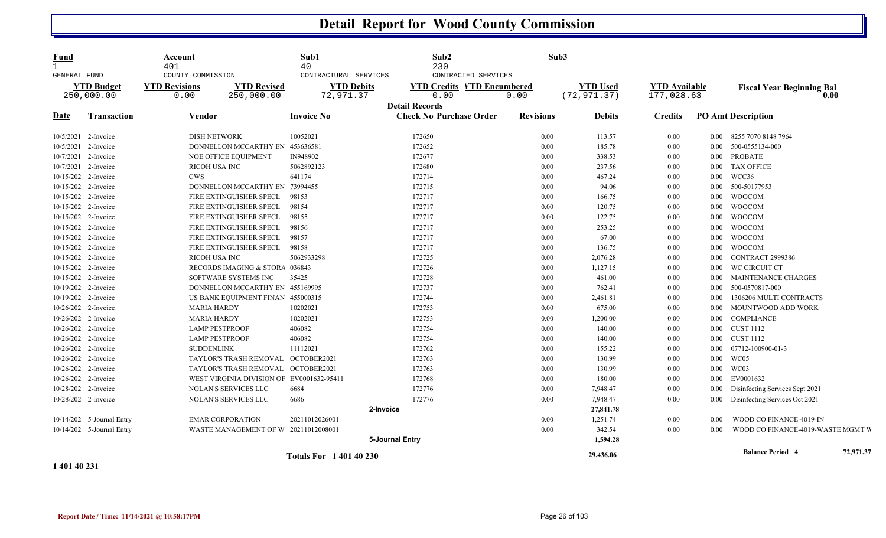| <b>Fund</b><br>1<br>GENERAL FUND | <b>YTD Budget</b><br>250,000.00 | Account<br>401<br>COUNTY COMMISSION<br><b>YTD Revisions</b><br><b>YTD Revised</b><br>250,000.00<br>0.00 | Sub1<br>40<br>CONTRACTURAL SERVICES<br><b>YTD Debits</b><br>72,971.37 | Sub2<br>230<br>CONTRACTED SERVICES<br><b>YTD Credits YTD Encumbered</b><br>0.00<br><b>Detail Records</b> | Sub3<br>0.00     | <b>YTD Used</b><br>(72, 971.37) | <b>YTD Available</b><br>177,028.63 |                   | <b>Fiscal Year Beginning Bal</b>  | 0.00      |
|----------------------------------|---------------------------------|---------------------------------------------------------------------------------------------------------|-----------------------------------------------------------------------|----------------------------------------------------------------------------------------------------------|------------------|---------------------------------|------------------------------------|-------------------|-----------------------------------|-----------|
| <b>Date</b>                      | <b>Transaction</b>              | <b>Vendor</b>                                                                                           | <b>Invoice No</b>                                                     | <b>Check No Purchase Order</b>                                                                           | <b>Revisions</b> | <b>Debits</b>                   | <b>Credits</b>                     |                   | <b>PO Amt Description</b>         |           |
|                                  | 10/5/2021 2-Invoice             | <b>DISH NETWORK</b>                                                                                     | 10052021                                                              | 172650                                                                                                   | 0.00             | 113.57                          | 0.00                               | $0.00\,$          | 8255 7070 8148 7964               |           |
| 10/5/2021                        | 2-Invoice                       | DONNELLON MCCARTHY EN 453636581                                                                         |                                                                       | 172652                                                                                                   | 0.00             | 185.78                          | 0.00                               | 0.00              | 500-0555134-000                   |           |
| 10/7/2021                        | 2-Invoice                       | NOE OFFICE EQUIPMENT                                                                                    | IN948902                                                              | 172677                                                                                                   | 0.00             | 338.53                          | 0.00                               | $0.00\,$          | <b>PROBATE</b>                    |           |
|                                  | 10/7/2021 2-Invoice             | <b>RICOH USA INC</b>                                                                                    | 5062892123                                                            | 172680                                                                                                   | 0.00             | 237.56                          | 0.00                               | $0.00\,$          | <b>TAX OFFICE</b>                 |           |
|                                  | 10/15/202 2-Invoice             | <b>CWS</b>                                                                                              | 641174                                                                | 172714                                                                                                   | 0.00             | 467.24                          | $0.00\,$                           | $0.00\,$          | WCC36                             |           |
|                                  | 10/15/202 2-Invoice             | DONNELLON MCCARTHY EN 73994455                                                                          |                                                                       | 172715                                                                                                   | 0.00             | 94.06                           | 0.00                               | $0.00\,$          | 500-50177953                      |           |
|                                  | 10/15/202 2-Invoice             | FIRE EXTINGUISHER SPECL                                                                                 | 98153                                                                 | 172717                                                                                                   | 0.00             | 166.75                          | $0.00\,$                           | 0.00              | <b>WOOCOM</b>                     |           |
| 10/15/202                        | 2-Invoice                       | FIRE EXTINGUISHER SPECL                                                                                 | 98154                                                                 | 172717                                                                                                   | 0.00             | 120.75                          | $0.00\,$                           | $0.00\,$          | <b>WOOCOM</b>                     |           |
| 10/15/202                        | 2-Invoice                       | FIRE EXTINGUISHER SPECL                                                                                 | 98155                                                                 | 172717                                                                                                   | 0.00             | 122.75                          | 0.00                               | 0.00              | <b>WOOCOM</b>                     |           |
|                                  | 10/15/202 2-Invoice             | FIRE EXTINGUISHER SPECL                                                                                 | 98156                                                                 | 172717                                                                                                   | 0.00             | 253.25                          | 0.00                               | $0.00\,$          | <b>WOOCOM</b>                     |           |
|                                  | 10/15/202 2-Invoice             | FIRE EXTINGUISHER SPECL                                                                                 | 98157                                                                 | 172717                                                                                                   | 0.00             | 67.00                           | 0.00                               | $0.00\,$          | <b>WOOCOM</b>                     |           |
|                                  | 10/15/202 2-Invoice             | FIRE EXTINGUISHER SPECL                                                                                 | 98158                                                                 | 172717                                                                                                   | 0.00             | 136.75                          | 0.00                               | $0.00\,$          | <b>WOOCOM</b>                     |           |
|                                  | 10/15/202 2-Invoice             | <b>RICOH USA INC</b>                                                                                    | 5062933298                                                            | 172725                                                                                                   | 0.00             | 2,076.28                        | 0.00                               | 0.00              | CONTRACT 2999386                  |           |
|                                  | 10/15/202 2-Invoice             | RECORDS IMAGING & STORA 036843                                                                          |                                                                       | 172726                                                                                                   | 0.00             | 1,127.15                        | 0.00                               | 0.00              | WC CIRCUIT CT                     |           |
|                                  | 10/15/202 2-Invoice             | SOFTWARE SYSTEMS INC                                                                                    | 35425                                                                 | 172728                                                                                                   | 0.00             | 461.00                          | 0.00                               | 0.00 <sub>1</sub> | <b>MAINTENANCE CHARGES</b>        |           |
|                                  | 10/19/202 2-Invoice             | DONNELLON MCCARTHY EN 455169995                                                                         |                                                                       | 172737                                                                                                   | 0.00             | 762.41                          | $0.00\,$                           | $0.00\,$          | 500-0570817-000                   |           |
|                                  | 10/19/202 2-Invoice             | US BANK EQUIPMENT FINAN 455000315                                                                       |                                                                       | 172744                                                                                                   | 0.00             | 2,461.81                        | 0.00                               | $0.00\,$          | 1306206 MULTI CONTRACTS           |           |
|                                  | 10/26/202 2-Invoice             | <b>MARIA HARDY</b>                                                                                      | 10202021                                                              | 172753                                                                                                   | 0.00             | 675.00                          | $0.00\,$                           | $0.00\,$          | MOUNTWOOD ADD WORK                |           |
| 10/26/202                        | 2-Invoice                       | <b>MARIA HARDY</b>                                                                                      | 10202021                                                              | 172753                                                                                                   | 0.00             | 1,200.00                        | $0.00\,$                           | $0.00\,$          | COMPLIANCE                        |           |
|                                  | 10/26/202 2-Invoice             | <b>LAMP PESTPROOF</b>                                                                                   | 406082                                                                | 172754                                                                                                   | 0.00             | 140.00                          | 0.00                               | $0.00\,$          | <b>CUST 1112</b>                  |           |
|                                  | 10/26/202 2-Invoice             | <b>LAMP PESTPROOF</b>                                                                                   | 406082                                                                | 172754                                                                                                   | 0.00             | 140.00                          | 0.00                               | $0.00\,$          | <b>CUST 1112</b>                  |           |
|                                  | 10/26/202 2-Invoice             | <b>SUDDENLINK</b>                                                                                       | 11112021                                                              | 172762                                                                                                   | 0.00             | 155.22                          | 0.00                               | 0.00              | 07712-100900-01-3                 |           |
|                                  | 10/26/202 2-Invoice             | TAYLOR'S TRASH REMOVAL OCTOBER2021                                                                      |                                                                       | 172763                                                                                                   | 0.00             | 130.99                          | 0.00                               | $0.00\,$          | WC05                              |           |
| 10/26/202                        | 2-Invoice                       | TAYLOR'S TRASH REMOVAL OCTOBER2021                                                                      |                                                                       | 172763                                                                                                   | 0.00             | 130.99                          | 0.00                               | 0.00              | WC03                              |           |
|                                  | 10/26/202 2-Invoice             | WEST VIRGINIA DIVISION OF EV0001632-95411                                                               |                                                                       | 172768                                                                                                   | 0.00             | 180.00                          | 0.00                               | $0.00\,$          | EV0001632                         |           |
|                                  | 10/28/202 2-Invoice             | NOLAN'S SERVICES LLC                                                                                    | 6684                                                                  | 172776                                                                                                   | 0.00             | 7,948.47                        | 0.00                               | $0.00\,$          | Disinfecting Services Sept 2021   |           |
|                                  | 10/28/202 2-Invoice             | NOLAN'S SERVICES LLC                                                                                    | 6686                                                                  | 172776                                                                                                   | 0.00             | 7,948.47                        | 0.00                               | $0.00\,$          | Disinfecting Services Oct 2021    |           |
|                                  |                                 |                                                                                                         |                                                                       | 2-Invoice                                                                                                |                  | 27,841.78                       |                                    |                   |                                   |           |
|                                  | 10/14/202 5-Journal Entry       | <b>EMAR CORPORATION</b>                                                                                 | 20211012026001                                                        |                                                                                                          | 0.00             | 1,251.74                        | $0.00\,$                           | 0.00              | WOOD CO FINANCE-4019-IN           |           |
|                                  | 10/14/202 5-Journal Entry       | WASTE MANAGEMENT OF W 20211012008001                                                                    |                                                                       |                                                                                                          | 0.00             | 342.54                          | $0.00\,$                           | 0.00              | WOOD CO FINANCE-4019-WASTE MGMT V |           |
|                                  |                                 |                                                                                                         |                                                                       | 5-Journal Entry                                                                                          |                  | 1,594.28                        |                                    |                   |                                   |           |
|                                  |                                 |                                                                                                         | <b>Totals For 1 401 40 230</b>                                        |                                                                                                          |                  | 29,436.06                       |                                    |                   | <b>Balance Period 4</b>           | 72,971.37 |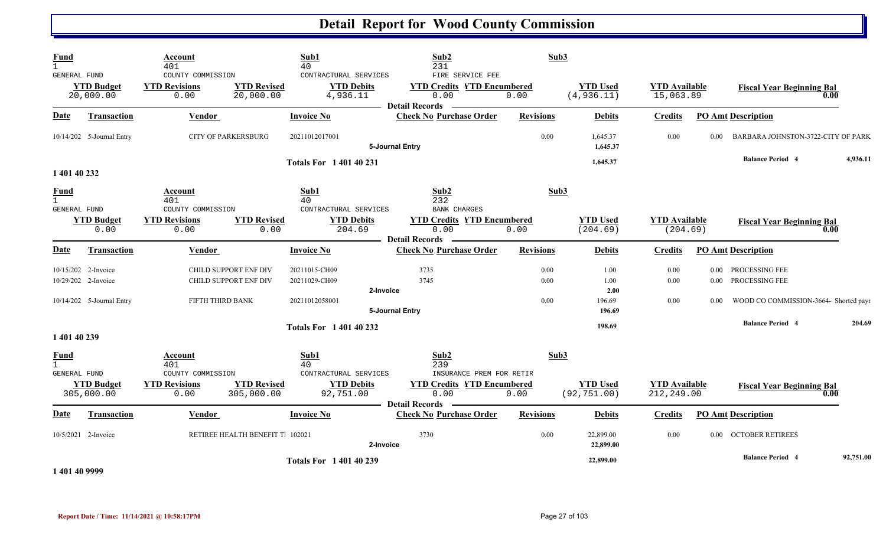| <b>Fund</b><br>$\mathbf{1}$                 |                                            | Account<br>401                                    |                                                | Sub1<br>40                                             | Sub2<br>231                                                        | Sub3             |                                 |                                    |          |                                            |           |
|---------------------------------------------|--------------------------------------------|---------------------------------------------------|------------------------------------------------|--------------------------------------------------------|--------------------------------------------------------------------|------------------|---------------------------------|------------------------------------|----------|--------------------------------------------|-----------|
| GENERAL FUND                                | <b>YTD Budget</b><br>20,000.00             | COUNTY COMMISSION<br><b>YTD Revisions</b><br>0.00 | <b>YTD Revised</b><br>20,000.00                | CONTRACTURAL SERVICES<br><b>YTD Debits</b><br>4,936.11 | FIRE SERVICE FEE<br><b>YTD Credits YTD Encumbered</b><br>0.00      | 0.00             | <b>YTD Used</b><br>(4, 936.11)  | <b>YTD Available</b><br>15,063.89  |          | <b>Fiscal Year Beginning Bal</b><br>0.00   |           |
| Date                                        | <b>Transaction</b>                         | <b>Vendor</b>                                     |                                                | <b>Invoice No</b>                                      | <b>Check No Purchase Order</b>                                     | <b>Revisions</b> | <b>Debits</b>                   | <b>Credits</b>                     |          | <b>PO Amt Description</b>                  |           |
|                                             | 10/14/202 5-Journal Entry                  |                                                   | <b>CITY OF PARKERSBURG</b>                     | 20211012017001                                         | 5-Journal Entry                                                    | 0.00             | 1,645.37<br>1,645.37            | 0.00                               | 0.00     | BARBARA JOHNSTON-3722-CITY OF PARK         |           |
| 1 401 40 232                                |                                            |                                                   |                                                | <b>Totals For 140140231</b>                            |                                                                    |                  | 1,645.37                        |                                    |          | <b>Balance Period 4</b>                    | 4,936.11  |
| <b>Fund</b><br>$\mathbf{1}$<br>GENERAL FUND |                                            | Account<br>401<br>COUNTY COMMISSION               |                                                | Sub1<br>40<br>CONTRACTURAL SERVICES                    | Sub <sub>2</sub><br>232<br><b>BANK CHARGES</b>                     | Sub3             |                                 |                                    |          |                                            |           |
|                                             | <b>YTD Budget</b><br>0.00                  | <b>YTD Revisions</b><br>0.00                      | <b>YTD Revised</b><br>0.00                     | <b>YTD Debits</b><br>204.69                            | <b>YTD Credits YTD Encumbered</b><br>0.00<br>Detail Records        | 0.00             | <b>YTD Used</b><br>(204.69)     | <b>YTD Available</b><br>(204.69)   |          | <b>Fiscal Year Beginning Bal</b><br>0.00   |           |
| <b>Date</b>                                 | Transaction                                | Vendor                                            |                                                | <b>Invoice No</b>                                      | <b>Check No Purchase Order</b>                                     | <b>Revisions</b> | <b>Debits</b>                   | <b>Credits</b>                     |          | <b>PO Amt Description</b>                  |           |
|                                             | 10/15/202 2-Invoice<br>10/29/202 2-Invoice |                                                   | CHILD SUPPORT ENF DIV<br>CHILD SUPPORT ENF DIV | 20211015-CH09<br>20211029-CH09<br>2-Invoice            | 3735<br>3745                                                       | $0.00\,$<br>0.00 | 1.00<br>1.00<br>2.00            | 0.00<br>0.00                       |          | 0.00 PROCESSING FEE<br>0.00 PROCESSING FEE |           |
|                                             | 10/14/202 5-Journal Entry                  | FIFTH THIRD BANK                                  |                                                | 20211012058001                                         | 5-Journal Entry                                                    | $0.00\,$         | 196.69<br>196.69                | 0.00                               | $0.00\,$ | WOOD CO COMMISSION-3664- Shorted payr      |           |
| 1 401 40 239                                |                                            |                                                   |                                                | <b>Totals For 140140232</b>                            |                                                                    |                  | 198.69                          |                                    |          | <b>Balance Period 4</b>                    | 204.69    |
| <b>Fund</b><br>$\mathbf{1}$<br>GENERAL FUND |                                            | Account<br>401<br>COUNTY COMMISSION               |                                                | Sub1<br>40<br>CONTRACTURAL SERVICES                    | Sub2<br>239<br>INSURANCE PREM FOR RETIR                            | Sub3             |                                 |                                    |          |                                            |           |
|                                             | <b>YTD Budget</b><br>305,000.00            | <b>YTD Revisions</b><br>0.00                      | <b>YTD Revised</b><br>305,000.00               | <b>YTD Debits</b><br>92,751.00                         | <b>YTD Credits YTD Encumbered</b><br>0.00<br><b>Detail Records</b> | 0.00             | <b>YTD Used</b><br>(92, 751.00) | <b>YTD Available</b><br>212,249.00 |          | <b>Fiscal Year Beginning Bal</b><br>0.00   |           |
| <u>Date</u>                                 | <b>Transaction</b>                         | <b>Vendor</b>                                     |                                                | <b>Invoice No</b>                                      | <b>Check No Purchase Order</b>                                     | <b>Revisions</b> | <b>Debits</b>                   | <b>Credits</b>                     |          | <b>PO Amt Description</b>                  |           |
|                                             | 10/5/2021 2-Invoice                        |                                                   | RETIREE HEALTH BENEFIT T. 102021               | 2-Invoice                                              | 3730                                                               | $0.00\,$         | 22,899.00<br>22,899.00          | 0.00                               |          | 0.00 OCTOBER RETIREES                      |           |
|                                             |                                            |                                                   |                                                | <b>Totals For 140140239</b>                            |                                                                    |                  | 22,899.00                       |                                    |          | <b>Balance Period 4</b>                    | 92,751.00 |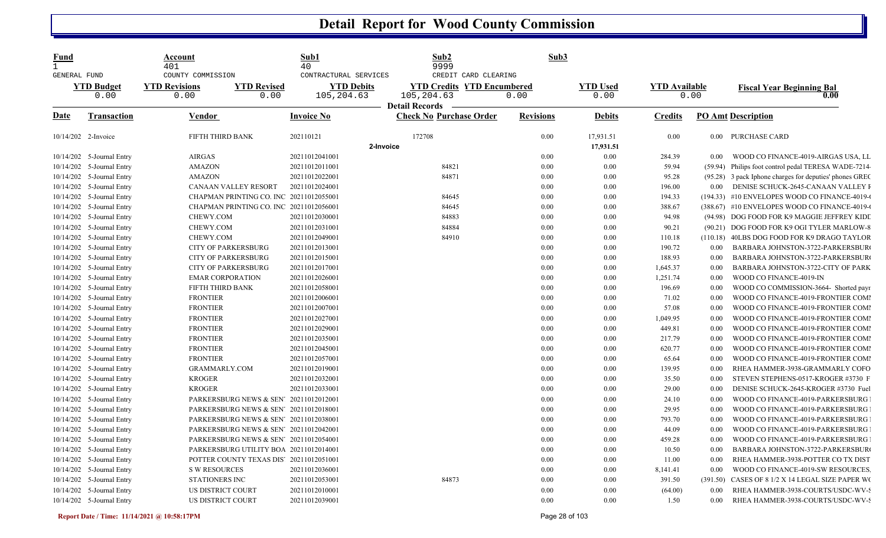| <u>Fund</u><br>$\mathbf{1}$<br>GENERAL FUND |                           | Account<br>401<br>COUNTY COMMISSION                        | Sub1<br>40<br>CONTRACTURAL SERVICES | Sub2<br>9999<br>CREDIT CARD CLEARING                                     | Sub3             |                         |                      |          |                                                         |
|---------------------------------------------|---------------------------|------------------------------------------------------------|-------------------------------------|--------------------------------------------------------------------------|------------------|-------------------------|----------------------|----------|---------------------------------------------------------|
|                                             | <b>YTD Budget</b><br>0.00 | <b>YTD Revisions</b><br><b>YTD Revised</b><br>0.00<br>0.00 | <b>YTD Debits</b><br>105,204.63     | <b>YTD Credits YTD Encumbered</b><br>105,204.63<br><b>Detail Records</b> | 0.00             | <b>YTD Used</b><br>0.00 | <b>YTD Available</b> | 0.00     | <b>Fiscal Year Beginning Bal</b><br>$\overline{0.00}$   |
| Date                                        | <b>Transaction</b>        | <b>Vendor</b>                                              | <b>Invoice No</b>                   | <b>Check No Purchase Order</b>                                           | <b>Revisions</b> | <b>Debits</b>           | <b>Credits</b>       |          | <b>PO Amt Description</b>                               |
| 10/14/202 2-Invoice                         |                           | FIFTH THIRD BANK                                           | 202110121                           | 172708                                                                   | 0.00             | 17,931.51               | 0.00                 |          | 0.00 PURCHASE CARD                                      |
|                                             |                           |                                                            |                                     | 2-Invoice                                                                |                  | 17,931.51               |                      |          |                                                         |
|                                             | 10/14/202 5-Journal Entry | AIRGAS                                                     | 20211012041001                      |                                                                          | 0.00             | 0.00                    | 284.39               | $0.00\,$ | WOOD CO FINANCE-4019-AIRGAS USA, LL                     |
|                                             | 10/14/202 5-Journal Entry | <b>AMAZON</b>                                              | 20211012011001                      | 84821                                                                    | 0.00             | 0.00                    | 59.94                |          | (59.94) Philips foot control pedal TERESA WADE-7214     |
|                                             | 10/14/202 5-Journal Entry | <b>AMAZON</b>                                              | 20211012022001                      | 84871                                                                    | 0.00             | 0.00                    | 95.28                |          | (95.28) 3 pack Iphone charges for deputies' phones GREC |
|                                             | 10/14/202 5-Journal Entry | CANAAN VALLEY RESORT                                       | 20211012024001                      |                                                                          | 0.00             | 0.00                    | 196.00               | 0.00     | DENISE SCHUCK-2645-CANAAN VALLEY I                      |
|                                             | 10/14/202 5-Journal Entry | CHAPMAN PRINTING CO. INC 20211012055001                    |                                     | 84645                                                                    | 0.00             | 0.00                    | 194.33               |          | (194.33) #10 ENVELOPES WOOD CO FINANCE-4019-            |
|                                             | 10/14/202 5-Journal Entry | CHAPMAN PRINTING CO. INC 20211012056001                    |                                     | 84645                                                                    | 0.00             | 0.00                    | 388.67               |          | (388.67) #10 ENVELOPES WOOD CO FINANCE-4019-0           |
|                                             | 10/14/202 5-Journal Entry | CHEWY.COM                                                  | 20211012030001                      | 84883                                                                    | 0.00             | 0.00                    | 94.98                |          | (94.98) DOG FOOD FOR K9 MAGGIE JEFFREY KIDI             |
| 10/14/202                                   | 5-Journal Entry           | CHEWY.COM                                                  | 20211012031001                      | 84884                                                                    | 0.00             | 0.00                    | 90.21                |          | (90.21) DOG FOOD FOR K9 OGI TYLER MARLOW-8              |
|                                             | 10/14/202 5-Journal Entry | CHEWY.COM                                                  | 20211012049001                      | 84910                                                                    | 0.00             | 0.00                    | 110.18               |          | (110.18) 40LBS DOG FOOD FOR K9 DRAGO TAYLOR             |
|                                             | 10/14/202 5-Journal Entry | <b>CITY OF PARKERSBURG</b>                                 | 20211012013001                      |                                                                          | 0.00             | 0.00                    | 190.72               | 0.00     | BARBARA JOHNSTON-3722-PARKERSBUR                        |
|                                             | 10/14/202 5-Journal Entry | <b>CITY OF PARKERSBURG</b>                                 | 20211012015001                      |                                                                          | 0.00             | 0.00                    | 188.93               | 0.00     | BARBARA JOHNSTON-3722-PARKERSBUR                        |
|                                             | 10/14/202 5-Journal Entry | <b>CITY OF PARKERSBURG</b>                                 | 20211012017001                      |                                                                          | 0.00             | 0.00                    | 1,645.37             | 0.00     | BARBARA JOHNSTON-3722-CITY OF PARK                      |
|                                             | 10/14/202 5-Journal Entry | <b>EMAR CORPORATION</b>                                    | 20211012026001                      |                                                                          | 0.00             | 0.00                    | 1,251.74             | 0.00     | WOOD CO FINANCE-4019-IN                                 |
|                                             | 10/14/202 5-Journal Entry | FIFTH THIRD BANK                                           | 20211012058001                      |                                                                          | 0.00             | 0.00                    | 196.69               | 0.00     | WOOD CO COMMISSION-3664- Shorted payr                   |
|                                             | 10/14/202 5-Journal Entry | <b>FRONTIER</b>                                            | 20211012006001                      |                                                                          | 0.00             | 0.00                    | 71.02                | 0.00     | WOOD CO FINANCE-4019-FRONTIER COMI                      |
|                                             | 10/14/202 5-Journal Entry | <b>FRONTIER</b>                                            | 20211012007001                      |                                                                          | 0.00             | 0.00                    | 57.08                | 0.00     | WOOD CO FINANCE-4019-FRONTIER COMI                      |
|                                             | 10/14/202 5-Journal Entry | <b>FRONTIER</b>                                            | 20211012027001                      |                                                                          | 0.00             | 0.00                    | 1,049.95             | 0.00     | WOOD CO FINANCE-4019-FRONTIER COMI                      |
| 10/14/202                                   | 5-Journal Entry           | <b>FRONTIER</b>                                            | 20211012029001                      |                                                                          | 0.00             | 0.00                    | 449.81               | 0.00     | WOOD CO FINANCE-4019-FRONTIER COMI                      |
| 10/14/202                                   | 5-Journal Entry           | <b>FRONTIER</b>                                            | 20211012035001                      |                                                                          | 0.00             | 0.00                    | 217.79               | 0.00     | WOOD CO FINANCE-4019-FRONTIER COMI                      |
| 10/14/202                                   | 5-Journal Entry           | <b>FRONTIER</b>                                            | 20211012045001                      |                                                                          | 0.00             | 0.00                    | 620.77               | 0.00     | WOOD CO FINANCE-4019-FRONTIER COMI                      |
| 10/14/202                                   | 5-Journal Entry           | <b>FRONTIER</b>                                            | 20211012057001                      |                                                                          | 0.00             | 0.00                    | 65.64                | 0.00     | WOOD CO FINANCE-4019-FRONTIER COMI                      |
|                                             | 10/14/202 5-Journal Entry | <b>GRAMMARLY.COM</b>                                       | 20211012019001                      |                                                                          | 0.00             | 0.00                    | 139.95               | 0.00     | RHEA HAMMER-3938-GRAMMARLY COFO                         |
|                                             | 10/14/202 5-Journal Entry | <b>KROGER</b>                                              | 20211012032001                      |                                                                          | 0.00             | 0.00                    | 35.50                | 0.00     | STEVEN STEPHENS-0517-KROGER #3730 F                     |
|                                             | 10/14/202 5-Journal Entry | <b>KROGER</b>                                              | 20211012033001                      |                                                                          | 0.00             | 0.00                    | 29.00                | 0.00     | DENISE SCHUCK-2645-KROGER #3730 Fuel                    |
|                                             | 10/14/202 5-Journal Entry | PARKERSBURG NEWS & SEN' 20211012012001                     |                                     |                                                                          | 0.00             | 0.00                    | 24.10                | 0.00     | WOOD CO FINANCE-4019-PARKERSBURG                        |
|                                             | 10/14/202 5-Journal Entry | PARKERSBURG NEWS & SEN' 20211012018001                     |                                     |                                                                          | 0.00             | 0.00                    | 29.95                | 0.00     | WOOD CO FINANCE-4019-PARKERSBURG                        |
|                                             | 10/14/202 5-Journal Entry | PARKERSBURG NEWS & SEN' 20211012038001                     |                                     |                                                                          | 0.00             | 0.00                    | 793.70               | 0.00     | WOOD CO FINANCE-4019-PARKERSBURG                        |
|                                             | 10/14/202 5-Journal Entry | PARKERSBURG NEWS & SEN 20211012042001                      |                                     |                                                                          | 0.00             | 0.00                    | 44.09                | 0.00     | WOOD CO FINANCE-4019-PARKERSBURG                        |
|                                             | 10/14/202 5-Journal Entry | PARKERSBURG NEWS & SEN' 20211012054001                     |                                     |                                                                          | $0.00\,$         | $0.00\,$                | 459.28               | $0.00\,$ | WOOD CO FINANCE-4019-PARKERSBURG                        |
|                                             | 10/14/202 5-Journal Entry | PARKERSBURG UTILITY BOA 20211012014001                     |                                     |                                                                          | 0.00             | 0.00                    | 10.50                | 0.00     | BARBARA JOHNSTON-3722-PARKERSBUR                        |
|                                             | 10/14/202 5-Journal Entry | POTTER COUNTY TEXAS DIS' 20211012051001                    |                                     |                                                                          | 0.00             | 0.00                    | 11.00                | 0.00     | RHEA HAMMER-3938-POTTER CO TX DIST                      |
|                                             | 10/14/202 5-Journal Entry | S W RESOURCES                                              | 20211012036001                      |                                                                          | 0.00             | 0.00                    | 8,141.41             | 0.00     | WOOD CO FINANCE-4019-SW RESOURCES.                      |
|                                             | 10/14/202 5-Journal Entry | STATIONERS INC                                             | 20211012053001                      | 84873                                                                    | 0.00             | 0.00                    | 391.50               |          | (391.50) CASES OF 8 1/2 X 14 LEGAL SIZE PAPER WO        |
|                                             | 10/14/202 5-Journal Entry | US DISTRICT COURT                                          | 20211012010001                      |                                                                          | 0.00             | 0.00                    | (64.00)              | 0.00     | RHEA HAMMER-3938-COURTS/USDC-WV-9                       |
|                                             | 10/14/202 5-Journal Entry | US DISTRICT COURT                                          | 20211012039001                      |                                                                          | 0.00             | 0.00                    | 1.50                 | 0.00     | RHEA HAMMER-3938-COURTS/USDC-WV-9                       |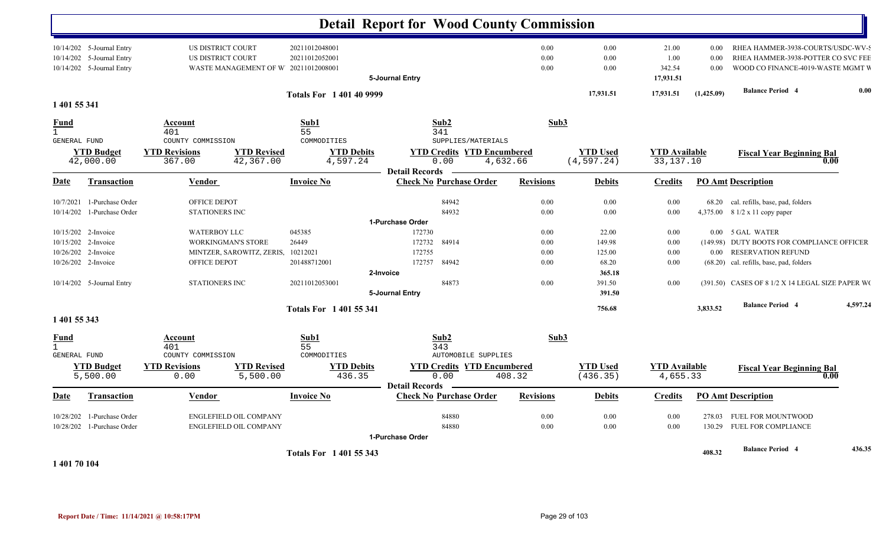|                                                                                          |                                                                                                        |                                              | <b>Detail Report for Wood County Commission</b>                                                      |                                  |                                    |                                      |                      |                                                                                                                                       |
|------------------------------------------------------------------------------------------|--------------------------------------------------------------------------------------------------------|----------------------------------------------|------------------------------------------------------------------------------------------------------|----------------------------------|------------------------------------|--------------------------------------|----------------------|---------------------------------------------------------------------------------------------------------------------------------------|
| 10/14/202 5-Journal Entry<br>10/14/202 5-Journal Entry<br>10/14/202 5-Journal Entry      | US DISTRICT COURT<br>US DISTRICT COURT<br>WASTE MANAGEMENT OF W 20211012008001                         | 20211012048001<br>20211012052001             | 5-Journal Entry                                                                                      | $0.00\,$<br>0.00<br>0.00         | 0.00<br>0.00<br>0.00               | 21.00<br>1.00<br>342.54<br>17,931.51 | 0.00<br>0.00<br>0.00 | RHEA HAMMER-3938-COURTS/USDC-WV-9<br>RHEA HAMMER-3938-POTTER CO SVC FEE<br>WOOD CO FINANCE-4019-WASTE MGMT V                          |
| 1 401 55 341                                                                             |                                                                                                        | <b>Totals For 1401409999</b>                 |                                                                                                      |                                  | 17,931.51                          | 17,931.51                            | (1,425.09)           | <b>Balance Period 4</b><br>0.00                                                                                                       |
| Fund<br>$\mathbf{1}$                                                                     | Account<br>401                                                                                         | Sub1<br>55                                   | Sub2<br>341                                                                                          | Sub3                             |                                    |                                      |                      |                                                                                                                                       |
| GENERAL FUND<br><b>YTD Budget</b><br>42,000.00                                           | COUNTY COMMISSION<br><b>YTD Revised</b><br><b>YTD Revisions</b><br>367.00<br>42,367.00                 | COMMODITIES<br><b>YTD Debits</b><br>4,597.24 | SUPPLIES/MATERIALS<br><b>YTD Credits YTD Encumbered</b><br>0.00<br>4,632.66<br><b>Detail Records</b> |                                  | <b>YTD Used</b><br>(4, 597.24)     | <b>YTD Available</b><br>33, 137. 10  |                      | <b>Fiscal Year Beginning Bal</b><br>0.00                                                                                              |
| Date<br><b>Transaction</b>                                                               | <b>Vendor</b>                                                                                          | <b>Invoice No</b>                            | <b>Check No Purchase Order</b>                                                                       | <b>Revisions</b>                 | <b>Debits</b>                      | <b>Credits</b>                       |                      | <b>PO Amt Description</b>                                                                                                             |
| 10/7/2021 1-Purchase Order<br>10/14/202 1-Purchase Order                                 | OFFICE DEPOT<br>STATIONERS INC                                                                         |                                              | 84942<br>84932                                                                                       | 0.00<br>0.00                     | 0.00<br>0.00                       | 0.00<br>0.00                         |                      | 68.20 cal. refills, base, pad, folders<br>4,375.00 8 1/2 x 11 copy paper                                                              |
| 10/15/202 2-Invoice<br>10/15/202 2-Invoice<br>10/26/202 2-Invoice<br>10/26/202 2-Invoice | <b>WATERBOY LLC</b><br><b>WORKINGMAN'S STORE</b><br>MINTZER, SAROWITZ, ZERIS, 10212021<br>OFFICE DEPOT | 045385<br>26449<br>201488712001              | 1-Purchase Order<br>172730<br>172732<br>84914<br>172755<br>84942<br>172757                           | $0.00\,$<br>0.00<br>0.00<br>0.00 | 22.00<br>149.98<br>125.00<br>68.20 | 0.00<br>0.00<br>0.00<br>0.00         |                      | 0.00 5 GAL WATER<br>(149.98) DUTY BOOTS FOR COMPLIANCE OFFICER<br>0.00 RESERVATION REFUND<br>(68.20) cal. refills, base, pad, folders |
| 10/14/202 5-Journal Entry                                                                | <b>STATIONERS INC</b>                                                                                  | 20211012053001                               | 2-Invoice<br>84873<br>5-Journal Entry                                                                | $0.00\,$                         | 365.18<br>391.50<br>391.50         | 0.00                                 |                      | (391.50) CASES OF 8 1/2 X 14 LEGAL SIZE PAPER WO                                                                                      |
| 1 401 55 343                                                                             |                                                                                                        | <b>Totals For 140155341</b>                  |                                                                                                      |                                  | 756.68                             |                                      | 3,833.52             | 4,597.24<br><b>Balance Period 4</b>                                                                                                   |
| <u>Fund</u><br>$\mathbf{1}$<br>GENERAL FUND                                              | <b>Account</b><br>401<br>COUNTY COMMISSION                                                             | Sub1<br>55<br>COMMODITIES                    | Sub2<br>343<br><b>AUTOMOBILE SUPPLIES</b>                                                            | Sub3                             |                                    |                                      |                      |                                                                                                                                       |
| <b>YTD Budget</b><br>5,500.00                                                            | <b>YTD Revised</b><br><b>YTD Revisions</b><br>0.00<br>5,500.00                                         | <b>YTD Debits</b><br>436.35                  | <b>YTD Credits YTD Encumbered</b><br>0.00<br><b>Detail Records</b>                                   | 408.32                           | <b>YTD Used</b><br>(436.35)        | <b>YTD Available</b><br>4,655.33     |                      | <b>Fiscal Year Beginning Bal</b><br>0.00                                                                                              |
| Date<br><b>Transaction</b>                                                               | <u>Vendor</u>                                                                                          | <b>Invoice No</b>                            | <b>Check No Purchase Order</b>                                                                       | <b>Revisions</b>                 | <b>Debits</b>                      | <b>Credits</b>                       |                      | <b>PO Amt Description</b>                                                                                                             |
| 10/28/202 1-Purchase Order<br>10/28/202 1-Purchase Order                                 | ENGLEFIELD OIL COMPANY<br>ENGLEFIELD OIL COMPANY                                                       |                                              | 84880<br>84880<br>1-Purchase Order                                                                   | $0.00\,$<br>0.00                 | 0.00<br>0.00                       | 0.00<br>0.00                         | 130.29               | 278.03 FUEL FOR MOUNTWOOD<br>FUEL FOR COMPLIANCE                                                                                      |
| $-4.404 - 0.404$                                                                         |                                                                                                        | <b>Totals For 140155343</b>                  |                                                                                                      |                                  |                                    |                                      | 408.32               | 436.35<br><b>Balance Period 4</b>                                                                                                     |

**1 401 70 104**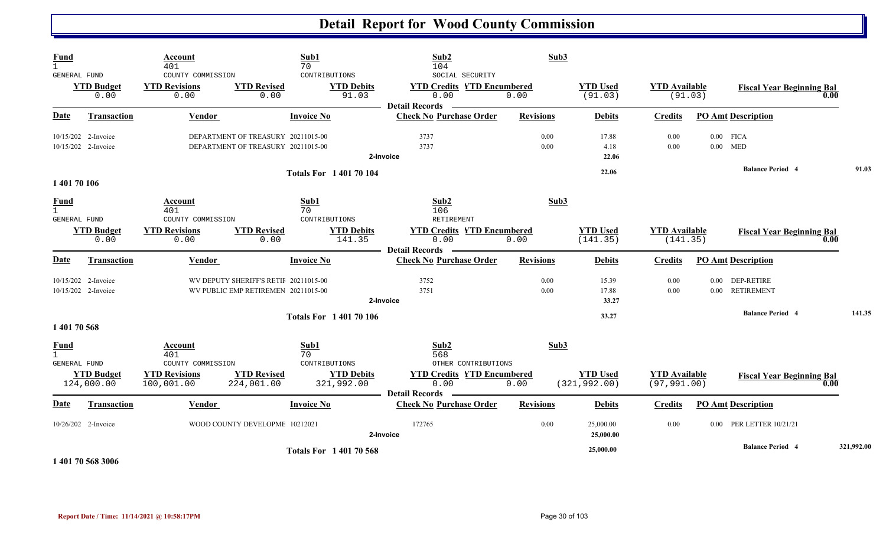|                                                    | $\overline{1}$ 104 = 0 = 20,000 $\overline{2}$ |                                                          |                                                                          | <b>Totals For 140170568</b>                 |                                                                                              |                          | 25,000.00                        |                                      |                           | <b>Balance Period 4</b>                  | 321,992.00 |
|----------------------------------------------------|------------------------------------------------|----------------------------------------------------------|--------------------------------------------------------------------------|---------------------------------------------|----------------------------------------------------------------------------------------------|--------------------------|----------------------------------|--------------------------------------|---------------------------|------------------------------------------|------------|
|                                                    | 10/26/202 2-Invoice                            |                                                          | WOOD COUNTY DEVELOPME 10212021                                           |                                             | 172765<br>2-Invoice                                                                          | 0.00                     | 25,000.00<br>25,000.00           | 0.00                                 |                           | 0.00 PER LETTER 10/21/21                 |            |
| <b>Date</b>                                        | <b>Transaction</b>                             | Vendor                                                   | Invoice No                                                               |                                             | <b>Check No Purchase Order</b>                                                               | <b>Revisions</b>         | <b>Debits</b>                    | Credits                              |                           | <b>PO Amt Description</b>                |            |
|                                                    | <b>YTD Budget</b><br>124,000.00                | <b>YTD Revisions</b><br>100,001.00                       | <b>YTD Revised</b><br>224,001.00                                         | <b>YTD Debits</b><br>321,992.00             | <b>YTD Credits YTD Encumbered</b><br>0.00<br><b>Detail Records</b>                           | 0.00                     | <b>YTD Used</b><br>(321, 992.00) | <b>YTD Available</b><br>(97, 991.00) |                           | <b>Fiscal Year Beginning Bal</b><br>0.00 |            |
| <b>Fund</b><br>$\mathbf{1}$<br><b>GENERAL FUND</b> |                                                | Account<br>401<br>COUNTY COMMISSION                      | Sub1<br>70                                                               | CONTRIBUTIONS                               | Sub2<br>568<br>OTHER CONTRIBUTIONS                                                           | Sub3                     |                                  |                                      |                           |                                          |            |
| 1 401 70 568                                       |                                                |                                                          |                                                                          |                                             |                                                                                              |                          |                                  |                                      |                           |                                          |            |
|                                                    |                                                |                                                          |                                                                          | <b>Totals For 140170106</b>                 |                                                                                              |                          | 33.27                            |                                      |                           | <b>Balance Period 4</b>                  | 141.35     |
|                                                    | 10/15/202 2-Invoice                            |                                                          | WV PUBLIC EMP RETIREMEN 20211015-00                                      |                                             | 3751<br>2-Invoice                                                                            | 0.00                     | 17.88<br>33.27                   | 0.00                                 |                           | 0.00 RETIREMENT                          |            |
| Date                                               | <b>Transaction</b><br>10/15/202 2-Invoice      | <b>Vendor</b>                                            | <b>Invoice No</b><br>WV DEPUTY SHERIFF'S RETIF 20211015-00               |                                             | <b>Check No Purchase Order</b><br>3752                                                       | <b>Revisions</b><br>0.00 | <b>Debits</b><br>15.39           | <b>Credits</b><br>0.00               | 0.00                      | <b>PO Amt Description</b><br>DEP-RETIRE  |            |
|                                                    | <b>YTD Budget</b><br>0.00                      | <b>YTD Revisions</b><br>0.00                             | <b>YTD Revised</b><br>0.00                                               | <b>YTD Debits</b><br>141.35                 | <b>YTD Credits YTD Encumbered</b><br>0.00<br><b>Detail Records</b>                           | 0.00                     | <b>YTD Used</b><br>(141.35)      | <b>YTD Available</b><br>(141.35)     |                           | <b>Fiscal Year Beginning Bal</b><br>0.00 |            |
| <b>Fund</b><br>$\mathbf{1}$<br><b>GENERAL FUND</b> |                                                | <b>Account</b><br>401<br>COUNTY COMMISSION               | Sub1<br>70                                                               | CONTRIBUTIONS                               | Sub2<br>106<br>RETIREMENT                                                                    | Sub3                     |                                  |                                      |                           |                                          |            |
| 1 401 70 106                                       |                                                |                                                          |                                                                          |                                             |                                                                                              |                          |                                  |                                      |                           |                                          |            |
|                                                    |                                                |                                                          |                                                                          | <b>Totals For 140170104</b>                 | 2-Invoice                                                                                    |                          | 22.06<br>22.06                   |                                      |                           | <b>Balance Period 4</b>                  | 91.03      |
|                                                    | 10/15/202 2-Invoice<br>10/15/202 2-Invoice     |                                                          | DEPARTMENT OF TREASURY 20211015-00<br>DEPARTMENT OF TREASURY 20211015-00 |                                             | 3737<br>3737                                                                                 | 0.00<br>0.00             | 17.88<br>4.18                    | 0.00<br>0.00                         | $0.00$ FICA<br>$0.00$ MED |                                          |            |
| Date                                               | <b>Transaction</b>                             | <b>Vendor</b>                                            | <b>Invoice No</b>                                                        |                                             | <b>Check No Purchase Order</b>                                                               | <b>Revisions</b>         | <b>Debits</b>                    | <b>Credits</b>                       |                           | <b>PO Amt Description</b>                |            |
| $\mathbf{1}$<br>GENERAL FUND                       | <b>YTD Budget</b><br>0.00                      | 401<br>COUNTY COMMISSION<br><b>YTD Revisions</b><br>0.00 | 70<br><b>YTD Revised</b><br>0.00                                         | CONTRIBUTIONS<br><b>YTD Debits</b><br>91.03 | 104<br>SOCIAL SECURITY<br><b>YTD Credits YTD Encumbered</b><br>0.00<br><b>Detail Records</b> | 0.00                     | <b>YTD Used</b><br>(91.03)       | <b>YTD</b> Available<br>(91.03)      |                           | <b>Fiscal Year Beginning Bal</b><br>0.00 |            |
| Fund                                               |                                                | Account                                                  | Sub1                                                                     |                                             | Sub2                                                                                         | Sub3                     |                                  |                                      |                           |                                          |            |

**1 401 70 568 3006**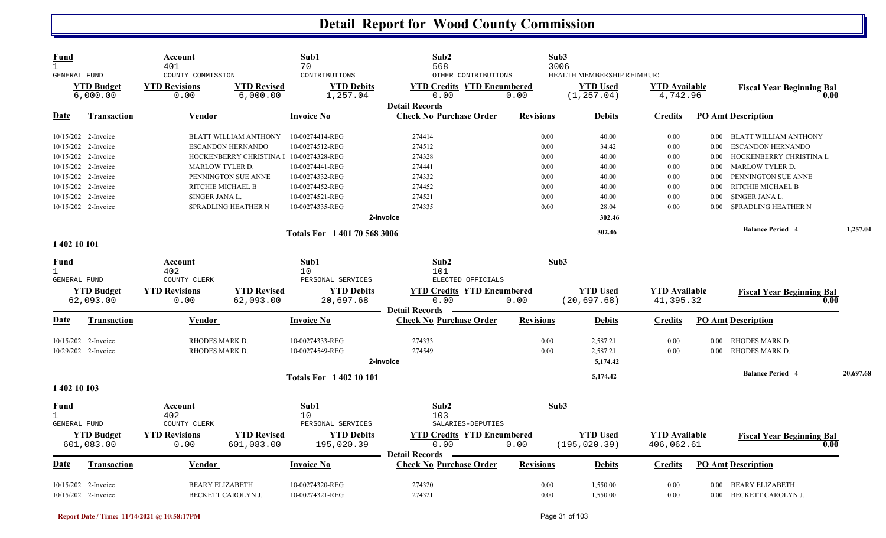| Fund<br>$\mathbf{1}$<br>GENERAL FUND               |                                | Account<br>401<br>COUNTY COMMISSION |                                         | Sub1<br>70<br>CONTRIBUTIONS     | Sub2<br>568<br>OTHER CONTRIBUTIONS                                 |                  | Sub3<br>3006<br>HEALTH MEMBERSHIP REIMBUR! |                                   |          |                                          |           |
|----------------------------------------------------|--------------------------------|-------------------------------------|-----------------------------------------|---------------------------------|--------------------------------------------------------------------|------------------|--------------------------------------------|-----------------------------------|----------|------------------------------------------|-----------|
|                                                    | <b>YTD Budget</b><br>6,000.00  | <b>YTD Revisions</b><br>0.00        | <b>YTD Revised</b><br>6,000.00          | <b>YTD Debits</b><br>1,257.04   | <b>YTD Credits YTD Encumbered</b><br>0.00<br><b>Detail Records</b> | 0.00             | <b>YTD Used</b><br>(1, 257.04)             | <b>YTD</b> Available<br>4,742.96  |          | <b>Fiscal Year Beginning Bal</b><br>0.00 |           |
| Date                                               | <b>Transaction</b>             | <b>Vendor</b>                       |                                         | <b>Invoice No</b>               | <b>Check No Purchase Order</b>                                     | <b>Revisions</b> | <b>Debits</b>                              | <b>Credits</b>                    |          | <b>PO Amt Description</b>                |           |
|                                                    | 10/15/202 2-Invoice            |                                     | <b>BLATT WILLIAM ANTHONY</b>            | 10-00274414-REG                 | 274414                                                             | 0.00             | 40.00                                      | 0.00                              |          | 0.00 BLATT WILLIAM ANTHONY               |           |
|                                                    | 10/15/202 2-Invoice            |                                     | ESCANDON HERNANDO                       | 10-00274512-REG                 | 274512                                                             | 0.00             | 34.42                                      | 0.00                              | $0.00\,$ | <b>ESCANDON HERNANDO</b>                 |           |
|                                                    | 10/15/202 2-Invoice            |                                     | HOCKENBERRY CHRISTINA I 10-00274328-REG |                                 | 274328                                                             | 0.00             | 40.00                                      | 0.00                              | 0.00     | HOCKENBERRY CHRISTINA L                  |           |
|                                                    | 10/15/202 2-Invoice            | <b>MARLOW TYLER D.</b>              |                                         | 10-00274441-REG                 | 274441                                                             | 0.00             | 40.00                                      | 0.00                              | $0.00\,$ | <b>MARLOW TYLER D.</b>                   |           |
|                                                    | 10/15/202 2-Invoice            |                                     | PENNINGTON SUE ANNE                     | 10-00274332-REG                 | 274332                                                             | 0.00             | 40.00                                      | 0.00                              | 0.00     | PENNINGTON SUE ANNE                      |           |
|                                                    | 10/15/202 2-Invoice            | RITCHIE MICHAEL B                   |                                         | 10-00274452-REG                 | 274452                                                             | 0.00             | 40.00                                      | 0.00                              | 0.00     | RITCHIE MICHAEL B                        |           |
|                                                    | 10/15/202 2-Invoice            | SINGER JANA L.                      |                                         | 10-00274521-REG                 | 274521                                                             | 0.00             | 40.00                                      | 0.00                              | 0.00     | SINGER JANA L.                           |           |
|                                                    | 10/15/202 2-Invoice            |                                     | SPRADLING HEATHER N                     | 10-00274335-REG                 | 274335                                                             | 0.00             | 28.04                                      | 0.00                              | 0.00     | SPRADLING HEATHER N                      |           |
|                                                    |                                |                                     |                                         |                                 | 2-Invoice                                                          |                  | 302.46                                     |                                   |          |                                          |           |
|                                                    |                                |                                     |                                         | Totals For 1 401 70 568 3006    |                                                                    |                  | 302.46                                     |                                   |          | <b>Balance Period 4</b>                  | 1,257.04  |
| 1 402 10 101                                       |                                |                                     |                                         |                                 |                                                                    |                  |                                            |                                   |          |                                          |           |
| <b>Fund</b><br>$\mathbf{1}$<br><b>GENERAL FUND</b> |                                | Account<br>402<br>COUNTY CLERK      |                                         | Sub1<br>10<br>PERSONAL SERVICES | Sub2<br>101<br>ELECTED OFFICIALS                                   |                  | Sub3                                       |                                   |          |                                          |           |
|                                                    |                                |                                     |                                         |                                 |                                                                    |                  |                                            |                                   |          |                                          |           |
|                                                    | <b>YTD Budget</b><br>62,093.00 | <b>YTD Revisions</b><br>0.00        | <b>YTD Revised</b><br>62,093.00         | <b>YTD Debits</b><br>20,697.68  | <b>YTD Credits YTD Encumbered</b><br>0.00                          | 0.00             | <b>YTD Used</b><br>(20, 697.68)            | <b>YTD</b> Available<br>41,395.32 |          | <b>Fiscal Year Beginning Bal</b><br>0.00 |           |
|                                                    |                                |                                     |                                         |                                 | <b>Detail Records</b>                                              |                  |                                            |                                   |          |                                          |           |
| Date                                               | <b>Transaction</b>             | <b>Vendor</b>                       |                                         | Invoice No                      | <b>Check No Purchase Order</b>                                     | <b>Revisions</b> | <b>Debits</b>                              | <b>Credits</b>                    |          | <b>PO Amt Description</b>                |           |
|                                                    | 10/15/202 2-Invoice            | RHODES MARK D.                      |                                         | 10-00274333-REG                 | 274333                                                             | 0.00             | 2,587.21                                   | 0.00                              | $0.00\,$ | RHODES MARK D.                           |           |
|                                                    | 10/29/202 2-Invoice            | RHODES MARK D.                      |                                         | 10-00274549-REG                 | 274549                                                             | 0.00             | 2,587.21                                   | 0.00                              | 0.00     | <b>RHODES MARK D.</b>                    |           |
|                                                    |                                |                                     |                                         |                                 | 2-Invoice                                                          |                  | 5,174.42                                   |                                   |          |                                          |           |
|                                                    |                                |                                     |                                         | <b>Totals For 140210101</b>     |                                                                    |                  | 5,174.42                                   |                                   |          | <b>Balance Period 4</b>                  | 20,697.68 |
| 1 402 10 103                                       |                                |                                     |                                         |                                 |                                                                    |                  |                                            |                                   |          |                                          |           |
| Fund                                               |                                | Account                             |                                         | Sub1                            | Sub2                                                               |                  | Sub3                                       |                                   |          |                                          |           |
| $\mathbf{1}$                                       |                                | 402                                 |                                         | 10 <sup>°</sup>                 | 103                                                                |                  |                                            |                                   |          |                                          |           |
| <b>GENERAL FUND</b>                                |                                | COUNTY CLERK                        |                                         | PERSONAL SERVICES               | SALARIES-DEPUTIES                                                  |                  |                                            |                                   |          |                                          |           |
|                                                    | <b>YTD Budget</b>              | <b>YTD Revisions</b>                | <b>YTD Revised</b>                      | <b>YTD Debits</b>               | <b>YTD Credits YTD Encumbered</b>                                  |                  | <b>YTD</b> Used                            | <b>YTD</b> Available              |          | <b>Fiscal Year Beginning Bal</b>         |           |
|                                                    | 601,083.00                     | 0.00                                | 601,083.00                              | 195,020.39                      | 0.00                                                               | 0.00             | (195, 020.39)                              | 406,062.61                        |          | 0.00                                     |           |
| Date                                               | Transaction                    | Vendor                              |                                         | <b>Invoice No</b>               | <b>Detail Records</b><br><b>Check No Purchase Order</b>            | <b>Revisions</b> | <b>Debits</b>                              | <b>Credits</b>                    |          | <b>PO Amt Description</b>                |           |
|                                                    |                                |                                     |                                         |                                 |                                                                    |                  |                                            |                                   |          |                                          |           |
|                                                    | 10/15/202 2-Invoice            | <b>BEARY ELIZABETH</b>              |                                         | 10-00274320-REG                 | 274320                                                             | 0.00             | 1,550.00                                   | 0.00                              | $0.00\,$ | <b>BEARY ELIZABETH</b>                   |           |
|                                                    | 10/15/202 2-Invoice            |                                     | BECKETT CAROLYN J.                      | 10-00274321-REG                 | 274321                                                             | 0.00             | 1,550.00                                   | 0.00                              |          | 0.00 BECKETT CAROLYN J.                  |           |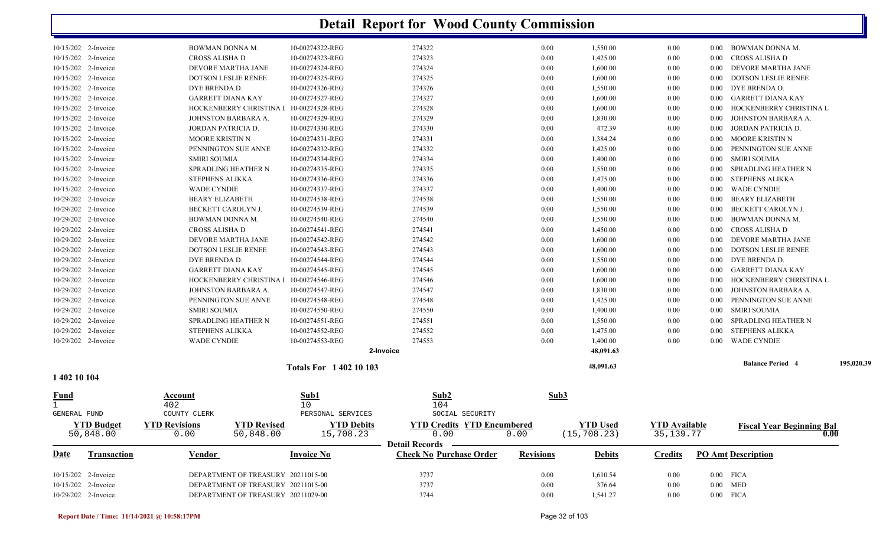|              | 10/15/202 2-Invoice | BOWMAN DONNA M.                            | 10-00274322-REG                         | 274322                            | 0.00             | 1,550.00        | 0.00                 | 0.00     | BOWMAN DONNA M.                  |             |
|--------------|---------------------|--------------------------------------------|-----------------------------------------|-----------------------------------|------------------|-----------------|----------------------|----------|----------------------------------|-------------|
|              | 10/15/202 2-Invoice | CROSS ALISHA D                             | 10-00274323-REG                         | 274323                            | 0.00             | 1,425.00        | 0.00                 | $0.00\,$ | CROSS ALISHA D                   |             |
|              | 10/15/202 2-Invoice | DEVORE MARTHA JANE                         | 10-00274324-REG                         | 274324                            | 0.00             | 1,600.00        | 0.00                 | $0.00\,$ | DEVORE MARTHA JANE               |             |
|              | 10/15/202 2-Invoice | DOTSON LESLIE RENEE                        | 10-00274325-REG                         | 274325                            | 0.00             | 1,600.00        | 0.00                 | 0.00     | DOTSON LESLIE RENEE              |             |
|              | 10/15/202 2-Invoice | DYE BRENDA D.                              | 10-00274326-REG                         | 274326                            | 0.00             | 1,550.00        | 0.00                 | $0.00\,$ | DYE BRENDA D.                    |             |
|              | 10/15/202 2-Invoice | <b>GARRETT DIANA KAY</b>                   | 10-00274327-REG                         | 274327                            | 0.00             | 1,600.00        | 0.00                 | 0.00     | GARRETT DIANA KAY                |             |
|              | 10/15/202 2-Invoice |                                            | HOCKENBERRY CHRISTINA I 10-00274328-REG | 274328                            | 0.00             | 1,600.00        | 0.00                 | 0.00     | HOCKENBERRY CHRISTINA L          |             |
|              | 10/15/202 2-Invoice | JOHNSTON BARBARA A.                        | 10-00274329-REG                         | 274329                            | 0.00             | 1,830.00        | 0.00                 | $0.00\,$ | JOHNSTON BARBARA A.              |             |
|              | 10/15/202 2-Invoice | JORDAN PATRICIA D.                         | 10-00274330-REG                         | 274330                            | 0.00             | 472.39          | 0.00                 | $0.00\,$ | JORDAN PATRICIA D.               |             |
|              | 10/15/202 2-Invoice | <b>MOORE KRISTIN N</b>                     | 10-00274331-REG                         | 274331                            | 0.00             | 1,384.24        | 0.00                 | $0.00\,$ | MOORE KRISTIN N                  |             |
|              | 10/15/202 2-Invoice | PENNINGTON SUE ANNE                        | 10-00274332-REG                         | 274332                            | 0.00             | 1,425.00        | 0.00                 | 0.00     | PENNINGTON SUE ANNE              |             |
|              | 10/15/202 2-Invoice | <b>SMIRI SOUMIA</b>                        | 10-00274334-REG                         | 274334                            | 0.00             | 1,400.00        | 0.00                 | $0.00\,$ | <b>SMIRI SOUMIA</b>              |             |
|              | 10/15/202 2-Invoice | SPRADLING HEATHER N                        | 10-00274335-REG                         | 274335                            | 0.00             | 1,550.00        | 0.00                 | $0.00\,$ | SPRADLING HEATHER N              |             |
|              | 10/15/202 2-Invoice | <b>STEPHENS ALIKKA</b>                     | 10-00274336-REG                         | 274336                            | 0.00             | 1,475.00        | 0.00                 | $0.00\,$ | STEPHENS ALIKKA                  |             |
|              | 10/15/202 2-Invoice | WADE CYNDIE                                | 10-00274337-REG                         | 274337                            | 0.00             | 1,400.00        | 0.00                 | $0.00\,$ | WADE CYNDIE                      |             |
|              | 10/29/202 2-Invoice | <b>BEARY ELIZABETH</b>                     | 10-00274538-REG                         | 274538                            | 0.00             | 1,550.00        | 0.00                 | 0.00     | BEARY ELIZABETH                  |             |
|              | 10/29/202 2-Invoice | BECKETT CAROLYN J.                         | 10-00274539-REG                         | 274539                            | 0.00             | 1,550.00        | 0.00                 | 0.00     | BECKETT CAROLYN J.               |             |
|              | 10/29/202 2-Invoice | BOWMAN DONNA M.                            | 10-00274540-REG                         | 274540                            | 0.00             | 1,550.00        | 0.00                 | 0.00     | BOWMAN DONNA M.                  |             |
|              | 10/29/202 2-Invoice | CROSS ALISHA D                             | 10-00274541-REG                         | 274541                            | 0.00             | 1,450.00        | 0.00                 | $0.00\,$ | CROSS ALISHA D                   |             |
|              | 10/29/202 2-Invoice | DEVORE MARTHA JANE                         | 10-00274542-REG                         | 274542                            | 0.00             | 1,600.00        | 0.00                 | $0.00\,$ | DEVORE MARTHA JANE               |             |
|              | 10/29/202 2-Invoice | <b>DOTSON LESLIE RENEE</b>                 | 10-00274543-REG                         | 274543                            | 0.00             | 1,600.00        | 0.00                 | $0.00\,$ | <b>DOTSON LESLIE RENEE</b>       |             |
|              | 10/29/202 2-Invoice | DYE BRENDA D.                              | 10-00274544-REG                         | 274544                            | 0.00             | 1,550.00        | 0.00                 | 0.00     | DYE BRENDA D.                    |             |
|              | 10/29/202 2-Invoice | <b>GARRETT DIANA KAY</b>                   | 10-00274545-REG                         | 274545                            | 0.00             | 1,600.00        | 0.00                 | 0.00     | GARRETT DIANA KAY                |             |
|              | 10/29/202 2-Invoice | HOCKENBERRY CHRISTINA I                    | 10-00274546-REG                         | 274546                            | 0.00             | 1,600.00        | 0.00                 | 0.00     | HOCKENBERRY CHRISTINA L          |             |
|              | 10/29/202 2-Invoice | JOHNSTON BARBARA A.                        | 10-00274547-REG                         | 274547                            | 0.00             | 1,830.00        | 0.00                 | 0.00     | JOHNSTON BARBARA A.              |             |
|              | 10/29/202 2-Invoice | PENNINGTON SUE ANNE                        | 10-00274548-REG                         | 274548                            | 0.00             | 1,425.00        | 0.00                 | $0.00\,$ | PENNINGTON SUE ANNE              |             |
|              | 10/29/202 2-Invoice | <b>SMIRI SOUMIA</b>                        | 10-00274550-REG                         | 274550                            | 0.00             | 1,400.00        | 0.00                 | $0.00\,$ | SMIRI SOUMIA                     |             |
|              | 10/29/202 2-Invoice | SPRADLING HEATHER N                        | 10-00274551-REG                         | 274551                            | 0.00             | 1,550.00        | 0.00                 | $0.00\,$ | SPRADLING HEATHER N              |             |
|              | 10/29/202 2-Invoice | <b>STEPHENS ALIKKA</b>                     | 10-00274552-REG                         | 274552                            | 0.00             | 1,475.00        | 0.00                 | $0.00\,$ | STEPHENS ALIKKA                  |             |
|              | 10/29/202 2-Invoice | <b>WADE CYNDIE</b>                         | 10-00274553-REG                         | 274553                            | 0.00             | 1,400.00        | 0.00                 | 0.00     | <b>WADE CYNDIE</b>               |             |
|              |                     |                                            |                                         | 2-Invoice                         |                  | 48,091.63       |                      |          |                                  |             |
|              |                     |                                            |                                         |                                   |                  |                 |                      |          | <b>Balance Period 4</b>          | 195,020.39  |
|              |                     |                                            | <b>Totals For 140210103</b>             |                                   |                  | 48,091.63       |                      |          |                                  |             |
| 1 402 10 104 |                     |                                            |                                         |                                   |                  |                 |                      |          |                                  |             |
| <u>Fund</u>  |                     | Account                                    | Sub1                                    | Sub2                              | Sub3             |                 |                      |          |                                  |             |
|              |                     | 402                                        | 10                                      | 104                               |                  |                 |                      |          |                                  |             |
| GENERAL FUND |                     | COUNTY CLERK                               | PERSONAL SERVICES                       | SOCIAL SECURITY                   |                  |                 |                      |          |                                  |             |
|              | <b>YTD Budget</b>   | <b>YTD Revised</b><br><b>YTD Revisions</b> | <b>YTD Debits</b>                       | <b>YTD Credits YTD Encumbered</b> |                  | <b>YTD Used</b> | <b>YTD</b> Available |          | <b>Fiscal Year Beginning Bal</b> |             |
|              | 50,848.00           | 0.00<br>50,848.00                          | 15,708.23                               | 0.00                              | 0.00             | (15, 708.23)    | 35, 139. 77          |          |                                  | $\bm{0.00}$ |
|              |                     |                                            |                                         | Detail Records —————              |                  |                 |                      |          |                                  |             |
| <b>Date</b>  | <b>Transaction</b>  | Vendor                                     | <b>Invoice No</b>                       | <b>Check No Purchase Order</b>    | <b>Revisions</b> | <b>Debits</b>   | <b>Credits</b>       |          | <b>PO Amt Description</b>        |             |
|              |                     |                                            |                                         |                                   |                  |                 |                      |          |                                  |             |
|              | 10/15/202 2-Invoice | DEPARTMENT OF TREASURY 20211015-00         |                                         | 3737                              | 0.00             | 1,610.54        | 0.00                 |          | $0.00$ FICA                      |             |
|              | 10/15/202 2-Invoice | DEPARTMENT OF TREASURY 20211015-00         |                                         | 3737                              | 0.00             | 376.64          | 0.00                 |          | $0.00$ MED                       |             |
|              | 10/29/202 2-Invoice | DEPARTMENT OF TREASURY 20211029-00         |                                         | 3744                              | 0.00             | 1,541.27        | 0.00                 |          | $0.00$ FICA                      |             |
|              |                     |                                            |                                         |                                   |                  |                 |                      |          |                                  |             |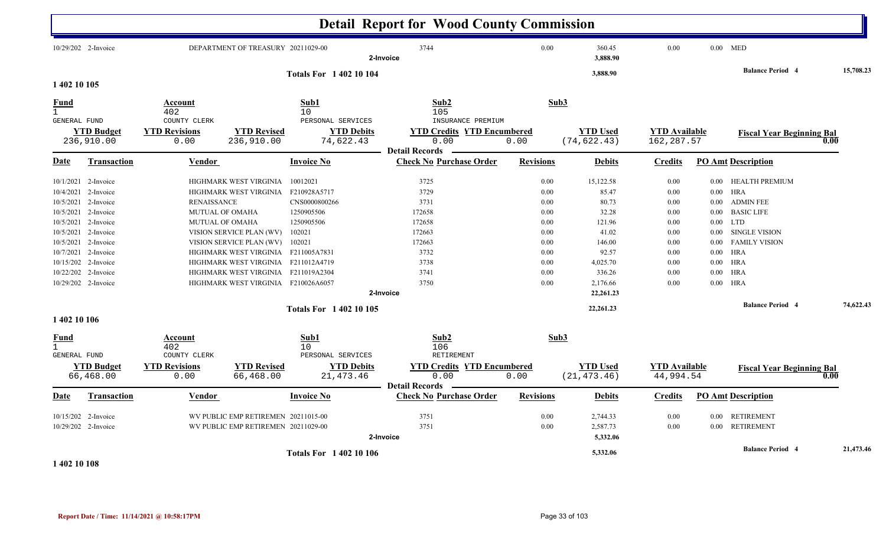|                     |                                |                              |                                     |                                 | <b>Detail Report for Wood County Commission</b> |                  |                                 |                                   |          |                                       |           |
|---------------------|--------------------------------|------------------------------|-------------------------------------|---------------------------------|-------------------------------------------------|------------------|---------------------------------|-----------------------------------|----------|---------------------------------------|-----------|
|                     | 10/29/202 2-Invoice            |                              | DEPARTMENT OF TREASURY 20211029-00  |                                 | 3744<br>2-Invoice                               | 0.00             | 360.45<br>3,888.90              | 0.00                              |          | $0.00$ MED<br><b>Balance Period 4</b> | 15,708.23 |
| 1 402 10 105        |                                |                              |                                     | <b>Totals For 1 402 10 104</b>  |                                                 |                  | 3,888.90                        |                                   |          |                                       |           |
| Fund                |                                | Account                      |                                     | Sub1                            | Sub2                                            |                  | Sub3                            |                                   |          |                                       |           |
| $\mathbf{1}$        |                                | 402                          |                                     | 10                              | 105                                             |                  |                                 |                                   |          |                                       |           |
| <b>GENERAL FUND</b> |                                | COUNTY CLERK                 |                                     | PERSONAL SERVICES               | INSURANCE PREMIUM                               |                  |                                 |                                   |          |                                       |           |
|                     | <b>YTD Budget</b>              | <b>YTD Revisions</b>         | <b>YTD Revised</b>                  | <b>YTD Debits</b>               | <b>YTD Credits YTD Encumbered</b>               |                  | <b>YTD Used</b>                 | <b>YTD</b> Available              |          | <b>Fiscal Year Beginning Bal</b>      |           |
|                     | 236,910.00                     | 0.00                         | 236,910.00                          | 74,622.43                       | 0.00<br><b>Detail Records</b>                   | 0.00             | (74, 622.43)                    | 162, 287.57                       |          |                                       | 0.00      |
| Date                | Transaction                    | Vendor                       |                                     | <b>Invoice No</b>               | <b>Check No Purchase Order</b>                  | <b>Revisions</b> | <b>Debits</b>                   | <b>Credits</b>                    |          | <b>PO Amt Description</b>             |           |
|                     | 10/1/2021 2-Invoice            |                              | HIGHMARK WEST VIRGINIA              | 10012021                        | 3725                                            | 0.00             | 15,122.58                       | 0.00                              | 0.00     | <b>HEALTH PREMIUM</b>                 |           |
| 10/4/2021           | 2-Invoice                      |                              | HIGHMARK WEST VIRGINIA              | F210928A5717                    | 3729                                            | 0.00             | 85.47                           | 0.00                              | 0.00     | <b>HRA</b>                            |           |
|                     | 10/5/2021 2-Invoice            | <b>RENAISSANCE</b>           |                                     | CNS0000800266                   | 3731                                            | 0.00             | 80.73                           | 0.00                              | $0.00\,$ | <b>ADMIN FEE</b>                      |           |
|                     | 10/5/2021 2-Invoice            |                              | MUTUAL OF OMAHA                     | 1250905506                      | 172658                                          | 0.00             | 32.28                           | 0.00                              | $0.00\,$ | <b>BASIC LIFE</b>                     |           |
| 10/5/2021           | 2-Invoice                      |                              | <b>MUTUAL OF OMAHA</b>              | 1250905506                      | 172658                                          | 0.00             | 121.96                          | 0.00                              | 0.00     | <b>LTD</b>                            |           |
|                     | 10/5/2021 2-Invoice            |                              | VISION SERVICE PLAN (WV)            | 102021                          | 172663                                          | 0.00             | 41.02                           | 0.00                              | $0.00\,$ | SINGLE VISION                         |           |
|                     | 10/5/2021 2-Invoice            |                              | VISION SERVICE PLAN (WV)            | 102021                          | 172663                                          | 0.00             | 146.00                          | 0.00                              | 0.00     | <b>FAMILY VISION</b>                  |           |
| 10/7/2021           | 2-Invoice                      |                              | HIGHMARK WEST VIRGINIA F211005A7831 |                                 | 3732                                            | 0.00             | 92.57                           | 0.00                              | 0.00     | <b>HRA</b>                            |           |
|                     | 10/15/202 2-Invoice            |                              | HIGHMARK WEST VIRGINIA F211012A4719 |                                 | 3738                                            | 0.00             | 4,025.70                        | 0.00                              | $0.00\,$ | HRA                                   |           |
|                     | 10/22/202 2-Invoice            |                              | HIGHMARK WEST VIRGINIA F211019A2304 |                                 | 3741                                            | 0.00             | 336.26                          | 0.00                              | $0.00\,$ | <b>HRA</b>                            |           |
|                     | 10/29/202 2-Invoice            |                              | HIGHMARK WEST VIRGINIA F210026A6057 |                                 | 3750                                            | 0.00             | 2,176.66                        | 0.00                              | $0.00\,$ | HRA                                   |           |
|                     |                                |                              |                                     |                                 | 2-Invoice                                       |                  | 22,261.23                       |                                   |          |                                       |           |
| 1 402 10 106        |                                |                              |                                     | <b>Totals For 1 402 10 105</b>  |                                                 |                  | 22,261.23                       |                                   |          | <b>Balance Period 4</b>               | 74,622.43 |
| <u>Fund</u>         |                                | Account                      |                                     | Sub1                            | Sub2                                            | Sub3             |                                 |                                   |          |                                       |           |
| 1                   |                                | 402                          |                                     | 10                              | 106                                             |                  |                                 |                                   |          |                                       |           |
| <b>GENERAL FUND</b> |                                | COUNTY CLERK                 |                                     | PERSONAL SERVICES               | RETIREMENT                                      |                  |                                 |                                   |          |                                       |           |
|                     | <b>YTD Budget</b><br>66,468.00 | <b>YTD Revisions</b><br>0.00 | <b>YTD Revised</b><br>66,468.00     | <b>YTD Debits</b><br>21, 473.46 | <b>YTD Credits YTD Encumbered</b><br>0.00       | 0.00             | <b>YTD Used</b><br>(21, 473.46) | <b>YTD</b> Available<br>44,994.54 |          | <b>Fiscal Year Beginning Bal</b>      | 0.00      |
|                     |                                |                              |                                     |                                 | <b>Detail Records</b>                           |                  |                                 |                                   |          |                                       |           |
| Date                | Transaction                    | Vendor                       |                                     | <b>Invoice No</b>               | <b>Check No Purchase Order</b>                  | <b>Revisions</b> | <b>Debits</b>                   | <b>Credits</b>                    |          | <b>PO Amt Description</b>             |           |
|                     | 10/15/202 2-Invoice            |                              | WV PUBLIC EMP RETIREMEN 20211015-00 |                                 | 3751                                            | 0.00             | 2,744.33                        | 0.00                              | 0.00     | <b>RETIREMENT</b>                     |           |
|                     | 10/29/202 2-Invoice            |                              | WV PUBLIC EMP RETIREMEN 20211029-00 |                                 | 3751                                            | 0.00             | 2,587.73                        | 0.00                              | $0.00\,$ | <b>RETIREMENT</b>                     |           |
|                     |                                |                              |                                     |                                 | 2-Invoice                                       |                  | 5,332.06                        |                                   |          |                                       |           |
|                     |                                |                              |                                     |                                 |                                                 |                  |                                 |                                   |          | <b>Balance Period 4</b>               | 21,473.46 |
| 1 402 10 108        |                                |                              |                                     | <b>Totals For 140210106</b>     |                                                 |                  | 5,332.06                        |                                   |          |                                       |           |

#### **Report Date / Time: 11/14/2021 @ 10:58:17PM** Page 33 of 103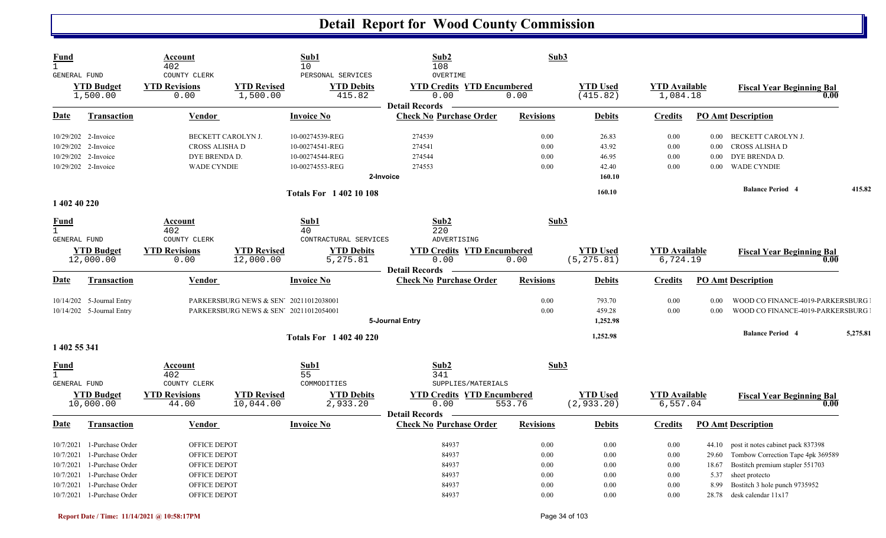| <b>Fund</b><br>$\mathbf{1}$<br><b>GENERAL FUND</b>                 |                                                                                                                                | Account<br>402<br>COUNTY CLERK                                                               |                                                                                  | Sub1<br>10 <sup>°</sup><br>PERSONAL SERVICES                                          | Sub2<br>108<br>OVERTIME                                                        | Sub3                                         |                                              |                                              |                                                  |                                                                                                                                                                                     |          |
|--------------------------------------------------------------------|--------------------------------------------------------------------------------------------------------------------------------|----------------------------------------------------------------------------------------------|----------------------------------------------------------------------------------|---------------------------------------------------------------------------------------|--------------------------------------------------------------------------------|----------------------------------------------|----------------------------------------------|----------------------------------------------|--------------------------------------------------|-------------------------------------------------------------------------------------------------------------------------------------------------------------------------------------|----------|
|                                                                    | <b>YTD Budget</b><br>1,500.00                                                                                                  | <b>YTD Revisions</b><br>0.00                                                                 | <b>YTD Revised</b><br>1,500.00                                                   | <b>YTD Debits</b><br>415.82                                                           | <b>YTD Credits YTD Encumbered</b><br>0.00<br><b>Detail Records</b>             | 0.00                                         | <b>YTD Used</b><br>(415.82)                  | <b>YTD</b> Available<br>1,084.18             |                                                  | <b>Fiscal Year Beginning Bal</b><br>0.00                                                                                                                                            |          |
| Date                                                               | <b>Transaction</b>                                                                                                             | Vendor                                                                                       |                                                                                  | <b>Invoice No</b>                                                                     | <b>Check No Purchase Order</b>                                                 | <b>Revisions</b>                             | <b>Debits</b>                                | <b>Credits</b>                               |                                                  | <b>PO Amt Description</b>                                                                                                                                                           |          |
|                                                                    | 10/29/202 2-Invoice<br>10/29/202 2-Invoice<br>10/29/202 2-Invoice<br>10/29/202 2-Invoice                                       | BECKETT CAROLYN J.<br>CROSS ALISHA D<br>DYE BRENDA D.<br><b>WADE CYNDIE</b>                  |                                                                                  | 10-00274539-REG<br>10-00274541-REG<br>10-00274544-REG<br>10-00274553-REG<br>2-Invoice | 274539<br>274541<br>274544<br>274553                                           | 0.00<br>0.00<br>0.00<br>0.00                 | 26.83<br>43.92<br>46.95<br>42.40<br>160.10   | 0.00<br>0.00<br>0.00<br>0.00                 | $0.00\,$<br>$0.00\,$<br>0.00<br>$0.00\,$         | BECKETT CAROLYN J.<br>CROSS ALISHA D<br>DYE BRENDA D.<br><b>WADE CYNDIE</b>                                                                                                         |          |
|                                                                    |                                                                                                                                |                                                                                              |                                                                                  | <b>Totals For 1 402 10 108</b>                                                        |                                                                                |                                              | 160.10                                       |                                              |                                                  | <b>Balance Period 4</b>                                                                                                                                                             | 415.82   |
| 1 402 40 220<br><u>Fund</u><br>$\mathbf{1}$<br><b>GENERAL FUND</b> | <b>YTD Budget</b><br>12,000.00                                                                                                 | Account<br>402<br>COUNTY CLERK<br><b>YTD Revisions</b><br>0.00                               | <b>YTD Revised</b><br>12,000.00                                                  | Sub1<br>40<br>CONTRACTURAL SERVICES<br><b>YTD Debits</b><br>5,275.81                  | Sub2<br>220<br>ADVERTISING<br><b>YTD Credits YTD Encumbered</b><br>0.00        | Sub3<br>0.00                                 | <b>YTD Used</b><br>(5, 275.81)               | <b>YTD</b> Available<br>6,724.19             |                                                  | <b>Fiscal Year Beginning Bal</b><br>0.00                                                                                                                                            |          |
| Date                                                               | <b>Transaction</b>                                                                                                             | <b>Vendor</b>                                                                                |                                                                                  | <b>Invoice No</b>                                                                     | <b>Detail Records</b><br><b>Check No Purchase Order</b>                        | <b>Revisions</b>                             | <b>Debits</b>                                | <b>Credits</b>                               |                                                  | <b>PO Amt Description</b>                                                                                                                                                           |          |
|                                                                    | 10/14/202 5-Journal Entry<br>10/14/202 5-Journal Entry                                                                         |                                                                                              | PARKERSBURG NEWS & SEN' 20211012038001<br>PARKERSBURG NEWS & SEN' 20211012054001 |                                                                                       | 5-Journal Entry                                                                | 0.00<br>0.00                                 | 793.70<br>459.28<br>1,252.98                 | 0.00<br>0.00                                 | 0.00<br>0.00                                     | WOOD CO FINANCE-4019-PARKERSBURG<br>WOOD CO FINANCE-4019-PARKERSBURG                                                                                                                |          |
| 1 402 55 341                                                       |                                                                                                                                |                                                                                              |                                                                                  | <b>Totals For 1 402 40 220</b>                                                        |                                                                                |                                              | 1,252.98                                     |                                              |                                                  | <b>Balance Period 4</b>                                                                                                                                                             | 5,275.81 |
| <u>Fund</u><br>$\mathbf{1}$<br>GENERAL FUND                        | <b>YTD Budget</b><br>10,000.00                                                                                                 | <u>Account</u><br>402<br>COUNTY CLERK<br><b>YTD Revisions</b><br>44.00                       | <b>YTD Revised</b><br>10,044.00                                                  | Sub1<br>55<br>COMMODITIES<br><b>YTD Debits</b><br>2,933.20                            | Sub2<br>341<br>SUPPLIES/MATERIALS<br><b>YTD Credits YTD Encumbered</b><br>0.00 | Sub3<br>553.76                               | <b>YTD Used</b><br>(2, 933.20)               | <b>YTD</b> Available<br>6,557.04             |                                                  | <b>Fiscal Year Beginning Bal</b><br>0.00                                                                                                                                            |          |
| Date                                                               | <b>Transaction</b>                                                                                                             | <b>Vendor</b>                                                                                |                                                                                  | <b>Invoice No</b>                                                                     | <b>Detail Records</b><br><b>Check No Purchase Order</b>                        | <b>Revisions</b>                             | <b>Debits</b>                                | <b>Credits</b>                               |                                                  | <b>PO Amt Description</b>                                                                                                                                                           |          |
| 10/7/2021<br>10/7/2021<br>10/7/2021<br>10/7/2021<br>10/7/2021      | 1-Purchase Order<br>1-Purchase Order<br>1-Purchase Order<br>1-Purchase Order<br>1-Purchase Order<br>10/7/2021 1-Purchase Order | OFFICE DEPOT<br>OFFICE DEPOT<br>OFFICE DEPOT<br>OFFICE DEPOT<br>OFFICE DEPOT<br>OFFICE DEPOT |                                                                                  |                                                                                       | 84937<br>84937<br>84937<br>84937<br>84937<br>84937                             | 0.00<br>0.00<br>0.00<br>0.00<br>0.00<br>0.00 | 0.00<br>0.00<br>0.00<br>0.00<br>0.00<br>0.00 | 0.00<br>0.00<br>0.00<br>0.00<br>0.00<br>0.00 | 44.10<br>29.60<br>18.67<br>5.37<br>8.99<br>28.78 | post it notes cabinet pack 837398<br>Tombow Correction Tape 4pk 369589<br>Bostitch premium stapler 551703<br>sheet protecto<br>Bostitch 3 hole punch 9735952<br>desk calendar 11x17 |          |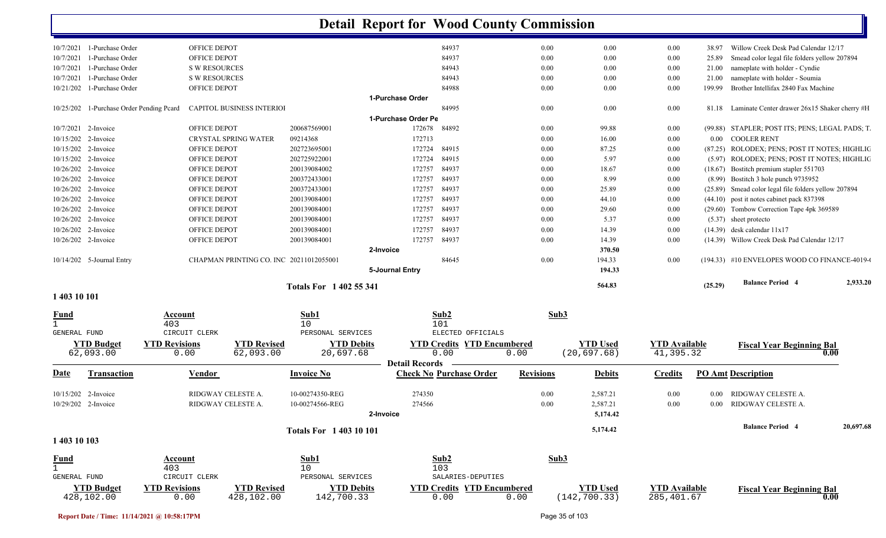|                                     | 10/7/2021 1-Purchase Order     | OFFICE DEPOT         |                                         |                                |                       | 84937                             | 0.00             | 0.00            | 0.00                 | 38.97    | Willow Creek Desk Pad Calendar 12/17                 |                   |
|-------------------------------------|--------------------------------|----------------------|-----------------------------------------|--------------------------------|-----------------------|-----------------------------------|------------------|-----------------|----------------------|----------|------------------------------------------------------|-------------------|
| 10/7/2021                           | 1-Purchase Order               | OFFICE DEPOT         |                                         |                                |                       | 84937                             | 0.00             | 0.00            | 0.00                 | 25.89    | Smead color legal file folders yellow 207894         |                   |
| 10/7/2021                           | 1-Purchase Order               | <b>S W RESOURCES</b> |                                         |                                |                       | 84943                             | 0.00             | 0.00            | 0.00                 | 21.00    | nameplate with holder - Cyndie                       |                   |
| 10/7/2021                           | 1-Purchase Order               | <b>S W RESOURCES</b> |                                         |                                |                       | 84943                             | 0.00             | 0.00            | 0.00                 | 21.00    | nameplate with holder - Soumia                       |                   |
|                                     | 10/21/202 1-Purchase Order     | OFFICE DEPOT         |                                         |                                |                       | 84988                             | 0.00             | 0.00            | 0.00                 | 199.99   | Brother Intellifax 2840 Fax Machine                  |                   |
|                                     |                                |                      |                                         |                                | 1-Purchase Order      |                                   |                  |                 |                      |          |                                                      |                   |
| 10/25/202                           | 1-Purchase Order Pending Peard |                      | CAPITOL BUSINESS INTERIOI               |                                |                       | 84995                             | 0.00             | 0.00            | 0.00                 |          | 81.18 Laminate Center drawer 26x15 Shaker cherry #H  |                   |
|                                     |                                |                      |                                         |                                | 1-Purchase Order Pe   |                                   |                  |                 |                      |          |                                                      |                   |
|                                     | 10/7/2021 2-Invoice            | OFFICE DEPOT         |                                         | 200687569001                   | 172678                | 84892                             | 0.00             | 99.88           | 0.00                 |          | (99.88) STAPLER; POST ITS; PENS; LEGAL PADS; T.      |                   |
|                                     | 10/15/202 2-Invoice            |                      | <b>CRYSTAL SPRING WATER</b>             | 09214368                       | 172713                |                                   | 0.00             | 16.00           | 0.00                 |          | 0.00 COOLER RENT                                     |                   |
| 10/15/202 2-Invoice                 |                                | OFFICE DEPOT         |                                         | 202723695001                   | 172724                | 84915                             | 0.00             | 87.25           | 0.00                 |          | (87.25) ROLODEX; PENS; POST IT NOTES; HIGHLIC        |                   |
|                                     | 10/15/202 2-Invoice            | OFFICE DEPOT         |                                         | 202725922001                   | 172724                | 84915                             | 0.00             | 5.97            | 0.00                 |          | (5.97) ROLODEX; PENS; POST IT NOTES; HIGHLIC         |                   |
|                                     | 10/26/202 2-Invoice            | OFFICE DEPOT         |                                         | 200139084002                   | 172757                | 84937                             | 0.00             | 18.67           | 0.00                 |          | (18.67) Bostitch premium stapler 551703              |                   |
|                                     | 10/26/202 2-Invoice            | OFFICE DEPOT         |                                         | 200372433001                   | 172757                | 84937                             | 0.00             | 8.99            | 0.00                 |          | (8.99) Bostitch 3 hole punch 9735952                 |                   |
|                                     | 10/26/202 2-Invoice            | OFFICE DEPOT         |                                         | 200372433001                   | 172757                | 84937                             | 0.00             | 25.89           | 0.00                 |          | (25.89) Smead color legal file folders yellow 207894 |                   |
|                                     | 10/26/202 2-Invoice            | <b>OFFICE DEPOT</b>  |                                         | 200139084001                   | 172757                | 84937                             | 0.00             | 44.10           | 0.00                 |          | (44.10) post it notes cabinet pack 837398            |                   |
|                                     | 10/26/202 2-Invoice            | OFFICE DEPOT         |                                         | 200139084001                   | 172757                | 84937                             | 0.00             | 29.60           | 0.00                 |          | (29.60) Tombow Correction Tape 4pk 369589            |                   |
|                                     | 10/26/202 2-Invoice            | OFFICE DEPOT         |                                         | 200139084001                   | 172757                | 84937                             | 0.00             | 5.37            | 0.00                 |          | $(5.37)$ sheet protecto                              |                   |
|                                     | 10/26/202 2-Invoice            | OFFICE DEPOT         |                                         | 200139084001                   | 172757                | 84937                             | 0.00             | 14.39           | 0.00                 |          | $(14.39)$ desk calendar $11x17$                      |                   |
|                                     | 10/26/202 2-Invoice            | OFFICE DEPOT         |                                         | 200139084001                   | 172757                | 84937                             | 0.00             | 14.39           | 0.00                 |          | (14.39) Willow Creek Desk Pad Calendar 12/17         |                   |
|                                     |                                |                      |                                         |                                | 2-Invoice             |                                   |                  | 370.50          |                      |          |                                                      |                   |
|                                     | 10/14/202 5-Journal Entry      |                      | CHAPMAN PRINTING CO. INC 20211012055001 |                                |                       | 84645                             | 0.00             | 194.33          | 0.00                 |          | $(194.33)$ #10 ENVELOPES WOOD CO FINANCE-4019-0      |                   |
|                                     |                                |                      |                                         |                                | 5-Journal Entry       |                                   |                  | 194.33          |                      |          |                                                      |                   |
|                                     |                                |                      |                                         | <b>Totals For 1402 55 341</b>  |                       |                                   |                  | 564.83          |                      | (25.29)  | <b>Balance Period 4</b>                              | 2,933.20          |
| 1 403 10 101                        |                                |                      |                                         |                                |                       |                                   |                  |                 |                      |          |                                                      |                   |
| <u>Fund</u>                         |                                | Account              |                                         | Sub1                           |                       | Sub2                              |                  | Sub3            |                      |          |                                                      |                   |
| $\mathbf{1}$<br><b>GENERAL FUND</b> |                                | 403<br>CIRCUIT CLERK |                                         | 10<br>PERSONAL SERVICES        |                       | 101<br>ELECTED OFFICIALS          |                  |                 |                      |          |                                                      |                   |
|                                     | <b>YTD Budget</b>              | <b>YTD Revisions</b> | <b>YTD Revised</b>                      | <b>YTD Debits</b>              |                       | <b>YTD Credits YTD Encumbered</b> |                  | <b>YTD Used</b> | <b>YTD</b> Available |          |                                                      |                   |
|                                     | 62,093.00                      | 0.00                 | 62,093.00                               | 20,697.68                      |                       | 0.00                              | 0.00             | (20, 697.68)    | 41,395.32            |          | <b>Fiscal Year Beginning Bal</b>                     | 0.00              |
|                                     |                                |                      |                                         |                                | <b>Detail Records</b> |                                   |                  |                 |                      |          |                                                      |                   |
| Date                                | <b>Transaction</b>             | Vendor               |                                         | <b>Invoice No</b>              |                       | <b>Check No Purchase Order</b>    | <b>Revisions</b> | <b>Debits</b>   | <b>Credits</b>       |          | <b>PO Amt Description</b>                            |                   |
| 10/15/202 2-Invoice                 |                                |                      | RIDGWAY CELESTE A.                      | 10-00274350-REG                | 274350                |                                   | 0.00             | 2,587.21        | 0.00                 | $0.00\,$ | RIDGWAY CELESTE A.                                   |                   |
|                                     | 10/29/202 2-Invoice            |                      | RIDGWAY CELESTE A.                      | 10-00274566-REG                | 274566                |                                   | 0.00             | 2,587.21        | 0.00                 | $0.00\,$ | RIDGWAY CELESTE A.                                   |                   |
|                                     |                                |                      |                                         |                                | 2-Invoice             |                                   |                  | 5,174.42        |                      |          |                                                      |                   |
|                                     |                                |                      |                                         |                                |                       |                                   |                  |                 |                      |          |                                                      | 20,697.68         |
|                                     |                                |                      |                                         | <b>Totals For 1 403 10 101</b> |                       |                                   |                  | 5,174.42        |                      |          | <b>Balance Period 4</b>                              |                   |
| 1 403 10 103                        |                                |                      |                                         |                                |                       |                                   |                  |                 |                      |          |                                                      |                   |
| <b>Fund</b>                         |                                | <b>Account</b>       |                                         | Sub1                           |                       | Sub2                              |                  | Sub3            |                      |          |                                                      |                   |
| $\mathbf{1}$                        |                                | 403                  |                                         | 10                             |                       | 103                               |                  |                 |                      |          |                                                      |                   |
| GENERAL FUND                        |                                | CIRCUIT CLERK        |                                         | PERSONAL SERVICES              |                       | SALARIES-DEPUTIES                 |                  |                 |                      |          |                                                      |                   |
|                                     | <b>YTD Budget</b>              | <b>YTD Revisions</b> | <b>YTD Revised</b>                      | <b>YTD Debits</b>              |                       | <b>YTD Credits YTD Encumbered</b> |                  | <b>YTD Used</b> | <b>YTD Available</b> |          | <b>Fiscal Year Beginning Bal</b>                     |                   |
|                                     | 428,102.00                     | 0.00                 | 428,102.00                              | 142,700.33                     |                       | 0.00                              | 0.00             | (142, 700.33)   | 285, 401.67          |          |                                                      | $\overline{0.00}$ |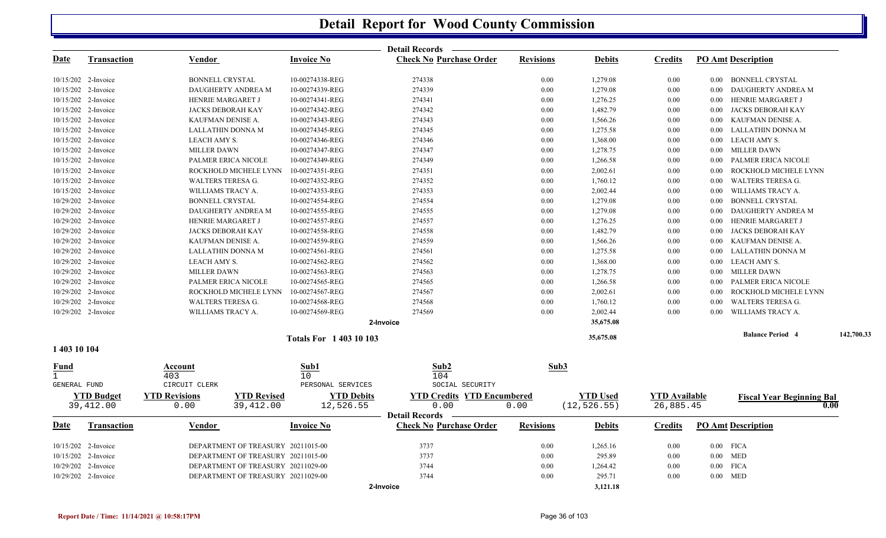|                             |                     |                          |                                    |                             | <b>Detail Records</b>             |                  |                 |                      |          |                                  |            |
|-----------------------------|---------------------|--------------------------|------------------------------------|-----------------------------|-----------------------------------|------------------|-----------------|----------------------|----------|----------------------------------|------------|
| <u>Date</u>                 | <b>Transaction</b>  | <b>Vendor</b>            |                                    | <b>Invoice No</b>           | <b>Check No Purchase Order</b>    | <b>Revisions</b> | <b>Debits</b>   | <u>Credits</u>       |          | <b>PO Amt Description</b>        |            |
|                             | 10/15/202 2-Invoice | <b>BONNELL CRYSTAL</b>   |                                    | 10-00274338-REG             | 274338                            | 0.00             | 1,279.08        | 0.00                 | $0.00\,$ | <b>BONNELL CRYSTAL</b>           |            |
|                             | 10/15/202 2-Invoice |                          | DAUGHERTY ANDREA M                 | 10-00274339-REG             | 274339                            | 0.00             | 1,279.08        | 0.00                 | 0.00     | DAUGHERTY ANDREA M               |            |
|                             | 10/15/202 2-Invoice | HENRIE MARGARET J        |                                    | 10-00274341-REG             | 274341                            | 0.00             | 1,276.25        | 0.00                 | 0.00     | HENRIE MARGARET J                |            |
|                             | 10/15/202 2-Invoice | JACKS DEBORAH KAY        |                                    | 10-00274342-REG             | 274342                            | 0.00             | 1,482.79        | 0.00                 | 0.00     | JACKS DEBORAH KAY                |            |
|                             | 10/15/202 2-Invoice | KAUFMAN DENISE A.        |                                    | 10-00274343-REG             | 274343                            | 0.00             | 1,566.26        | 0.00                 | 0.00     | KAUFMAN DENISE A.                |            |
|                             | 10/15/202 2-Invoice | LALLATHIN DONNA M        |                                    | 10-00274345-REG             | 274345                            | 0.00             | 1,275.58        | 0.00                 | 0.00     | LALLATHIN DONNA M                |            |
|                             | 10/15/202 2-Invoice | LEACH AMY S.             |                                    | 10-00274346-REG             | 274346                            | 0.00             | 1,368.00        | 0.00                 | 0.00     | LEACH AMY S.                     |            |
|                             | 10/15/202 2-Invoice | <b>MILLER DAWN</b>       |                                    | 10-00274347-REG             | 274347                            | 0.00             | 1,278.75        | 0.00                 | 0.00     | <b>MILLER DAWN</b>               |            |
|                             | 10/15/202 2-Invoice |                          | PALMER ERICA NICOLE                | 10-00274349-REG             | 274349                            | 0.00             | 1,266.58        | 0.00                 | $0.00\,$ | PALMER ERICA NICOLE              |            |
|                             | 10/15/202 2-Invoice |                          | ROCKHOLD MICHELE LYNN              | 10-00274351-REG             | 274351                            | 0.00             | 2,002.61        | 0.00                 | 0.00     | ROCKHOLD MICHELE LYNN            |            |
|                             | 10/15/202 2-Invoice | WALTERS TERESA G.        |                                    | 10-00274352-REG             | 274352                            | 0.00             | 1,760.12        | 0.00                 | 0.00     | WALTERS TERESA G.                |            |
|                             | 10/15/202 2-Invoice | WILLIAMS TRACY A.        |                                    | 10-00274353-REG             | 274353                            | 0.00             | 2,002.44        | 0.00                 | 0.00     | WILLIAMS TRACY A.                |            |
|                             | 10/29/202 2-Invoice | <b>BONNELL CRYSTAL</b>   |                                    | 10-00274554-REG             | 274554                            | 0.00             | 1,279.08        | 0.00                 | $0.00\,$ | <b>BONNELL CRYSTAL</b>           |            |
|                             | 10/29/202 2-Invoice |                          | DAUGHERTY ANDREA M                 | 10-00274555-REG             | 274555                            | 0.00             | 1,279.08        | 0.00                 | 0.00     | DAUGHERTY ANDREA M               |            |
|                             | 10/29/202 2-Invoice | HENRIE MARGARET J        |                                    | 10-00274557-REG             | 274557                            | 0.00             | 1,276.25        | 0.00                 | $0.00\,$ | HENRIE MARGARET J                |            |
|                             | 10/29/202 2-Invoice | JACKS DEBORAH KAY        |                                    | 10-00274558-REG             | 274558                            | 0.00             | 1,482.79        | 0.00                 | 0.00     | <b>JACKS DEBORAH KAY</b>         |            |
|                             | 10/29/202 2-Invoice | KAUFMAN DENISE A.        |                                    | 10-00274559-REG             | 274559                            | 0.00             | 1,566.26        | 0.00                 | 0.00     | KAUFMAN DENISE A.                |            |
|                             | 10/29/202 2-Invoice | LALLATHIN DONNA M        |                                    | 10-00274561-REG             | 274561                            | 0.00             | 1,275.58        | 0.00                 | 0.00     | LALLATHIN DONNA M                |            |
|                             | 10/29/202 2-Invoice | LEACH AMY S.             |                                    | 10-00274562-REG             | 274562                            | 0.00             | 1,368.00        | 0.00                 | $0.00\,$ | LEACH AMY S.                     |            |
|                             | 10/29/202 2-Invoice | <b>MILLER DAWN</b>       |                                    | 10-00274563-REG             | 274563                            | 0.00             | 1,278.75        | $0.00\,$             | 0.00     | <b>MILLER DAWN</b>               |            |
|                             | 10/29/202 2-Invoice |                          | PALMER ERICA NICOLE                | 10-00274565-REG             | 274565                            | 0.00             | 1,266.58        | 0.00                 | 0.00     | PALMER ERICA NICOLE              |            |
|                             | 10/29/202 2-Invoice |                          | ROCKHOLD MICHELE LYNN              | 10-00274567-REG             | 274567                            | 0.00             | 2,002.61        | 0.00                 | 0.00     | ROCKHOLD MICHELE LYNN            |            |
|                             | 10/29/202 2-Invoice | <b>WALTERS TERESA G.</b> |                                    | 10-00274568-REG             | 274568                            | 0.00             | 1,760.12        | 0.00                 | 0.00     | <b>WALTERS TERESA G.</b>         |            |
|                             | 10/29/202 2-Invoice | WILLIAMS TRACY A.        |                                    | 10-00274569-REG             | 274569                            | 0.00             | 2,002.44        | 0.00                 | 0.00     | WILLIAMS TRACY A.                |            |
|                             |                     |                          |                                    |                             | 2-Invoice                         |                  | 35,675.08       |                      |          |                                  |            |
|                             |                     |                          |                                    | <b>Totals For 140310103</b> |                                   |                  | 35,675.08       |                      |          | <b>Balance Period 4</b>          | 142,700.33 |
| 1 403 10 104                |                     |                          |                                    |                             |                                   |                  |                 |                      |          |                                  |            |
| <u>Fund</u><br>$\mathbf{1}$ |                     | Account<br>403           |                                    | Sub1<br>10                  | Sub2<br>104                       | Sub3             |                 |                      |          |                                  |            |
| GENERAL FUND                |                     | CIRCUIT CLERK            |                                    | PERSONAL SERVICES           | SOCIAL SECURITY                   |                  |                 |                      |          |                                  |            |
|                             | <b>YTD Budget</b>   | <b>YTD Revisions</b>     | <b>YTD Revised</b>                 | <b>YTD Debits</b>           | <b>YTD Credits YTD Encumbered</b> |                  | <b>YTD Used</b> | <b>YTD Available</b> |          | <b>Fiscal Year Beginning Bal</b> |            |
|                             | 39,412.00           | 0.00                     | 39,412.00                          | 12,526.55                   | 0.00                              | 0.00             | (12, 526.55)    | 26,885.45            |          | 0.00                             |            |
|                             |                     |                          |                                    |                             | <b>Detail Records</b>             |                  |                 |                      |          |                                  |            |
| Date                        | Transaction         | Vendor                   |                                    | <b>Invoice No</b>           | <b>Check No Purchase Order</b>    | <b>Revisions</b> | <b>Debits</b>   | <b>Credits</b>       |          | <b>PO Amt Description</b>        |            |
|                             | 10/15/202 2-Invoice |                          | DEPARTMENT OF TREASURY 20211015-00 |                             | 3737                              | 0.00             | 1,265.16        | $0.00\,$             |          | $0.00$ FICA                      |            |
|                             | 10/15/202 2-Invoice |                          | DEPARTMENT OF TREASURY 20211015-00 |                             | 3737                              | 0.00             | 295.89          | 0.00                 |          | $0.00$ MED                       |            |
|                             | 10/29/202 2-Invoice |                          | DEPARTMENT OF TREASURY 20211029-00 |                             | 3744                              | 0.00             | 1,264.42        | 0.00                 |          | $0.00$ $\,$ FICA                 |            |
|                             | 10/29/202 2-Invoice |                          | DEPARTMENT OF TREASURY 20211029-00 |                             | 3744                              | 0.00             | 295.71          | 0.00                 |          | $0.00$ MED                       |            |
|                             |                     |                          |                                    |                             | 2-Invoice                         |                  | 3,121.18        |                      |          |                                  |            |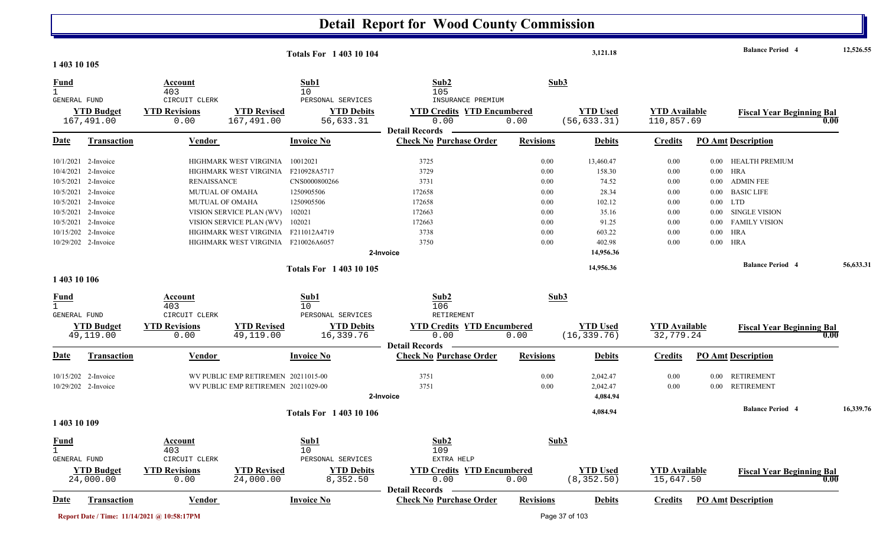|                                             |                                 |                                             |                                     | <b>Totals For 140310104</b>     |                                                         |                  | 3,121.18                        |                                    |          | <b>Balance Period 4</b>                  | 12,526.55 |
|---------------------------------------------|---------------------------------|---------------------------------------------|-------------------------------------|---------------------------------|---------------------------------------------------------|------------------|---------------------------------|------------------------------------|----------|------------------------------------------|-----------|
| 1 403 10 105                                |                                 |                                             |                                     |                                 |                                                         |                  |                                 |                                    |          |                                          |           |
| <b>Fund</b><br>$\mathbf{1}$<br>GENERAL FUND |                                 | Account<br>403<br>CIRCUIT CLERK             |                                     | Sub1<br>10<br>PERSONAL SERVICES | Sub2<br>105<br>INSURANCE PREMIUM                        |                  | Sub3                            |                                    |          |                                          |           |
|                                             | <b>YTD Budget</b><br>167,491.00 | <b>YTD Revisions</b><br>0.00                | <b>YTD Revised</b><br>167,491.00    | <b>YTD Debits</b><br>56,633.31  | <b>YTD Credits YTD Encumbered</b><br>0.00               | 0.00             | <b>YTD Used</b><br>(56, 633.31) | <b>YTD</b> Available<br>110,857.69 |          | <b>Fiscal Year Beginning Bal</b><br>0.00 |           |
| <b>Date</b>                                 | <b>Transaction</b>              | Vendor                                      |                                     | <b>Invoice No</b>               | <b>Detail Records</b><br><b>Check No Purchase Order</b> | <b>Revisions</b> | <b>Debits</b>                   | <b>Credits</b>                     |          | <b>PO Amt Description</b>                |           |
|                                             | 10/1/2021 2-Invoice             |                                             | HIGHMARK WEST VIRGINIA              | 10012021                        | 3725                                                    | 0.00             | 13,460.47                       | 0.00                               | $0.00\,$ | HEALTH PREMIUM                           |           |
|                                             | 10/4/2021 2-Invoice             |                                             | HIGHMARK WEST VIRGINIA              | F210928A5717                    | 3729                                                    | 0.00             | 158.30                          | 0.00                               | $0.00\,$ | <b>HRA</b>                               |           |
|                                             | 10/5/2021 2-Invoice             | <b>RENAISSANCE</b>                          |                                     | CNS0000800266                   | 3731                                                    | 0.00             | 74.52                           | 0.00                               | $0.00\,$ | <b>ADMIN FEE</b>                         |           |
|                                             | 10/5/2021 2-Invoice             | <b>MUTUAL OF OMAHA</b>                      |                                     | 1250905506                      | 172658                                                  | 0.00             | 28.34                           | 0.00                               | $0.00\,$ | <b>BASIC LIFE</b>                        |           |
|                                             | 10/5/2021 2-Invoice             | MUTUAL OF OMAHA                             |                                     | 1250905506                      | 172658                                                  | 0.00             | 102.12                          | 0.00                               |          | $0.00$ LTD                               |           |
|                                             | 10/5/2021 2-Invoice             |                                             | VISION SERVICE PLAN (WV)            | 102021                          | 172663                                                  | 0.00             | 35.16                           | 0.00                               | $0.00\,$ | <b>SINGLE VISION</b>                     |           |
|                                             | 10/5/2021 2-Invoice             |                                             | VISION SERVICE PLAN (WV)            | 102021                          | 172663                                                  | 0.00             | 91.25                           | 0.00                               |          | 0.00 FAMILY VISION                       |           |
|                                             | 10/15/202 2-Invoice             |                                             | HIGHMARK WEST VIRGINIA              | F211012A4719                    | 3738                                                    | 0.00             | 603.22                          | 0.00                               | $0.00\,$ | <b>HRA</b>                               |           |
|                                             | 10/29/202 2-Invoice             |                                             | HIGHMARK WEST VIRGINIA F210026A6057 |                                 | 3750                                                    | 0.00             | 402.98                          | 0.00                               | $0.00\,$ | HRA                                      |           |
|                                             |                                 |                                             |                                     |                                 | 2-Invoice                                               |                  | 14,956.36                       |                                    |          |                                          |           |
|                                             |                                 |                                             |                                     | <b>Totals For 140310105</b>     |                                                         |                  | 14,956.36                       |                                    |          | <b>Balance Period 4</b>                  | 56,633.31 |
| 1 403 10 106                                |                                 |                                             |                                     |                                 |                                                         |                  |                                 |                                    |          |                                          |           |
| <b>Fund</b>                                 |                                 | Account                                     |                                     | Sub1                            | Sub2                                                    |                  | Sub3                            |                                    |          |                                          |           |
| $\mathbf{1}$                                |                                 | 403                                         |                                     | 10                              | 106                                                     |                  |                                 |                                    |          |                                          |           |
| GENERAL FUND                                |                                 | CIRCUIT CLERK                               |                                     | PERSONAL SERVICES               | RETIREMENT                                              |                  |                                 |                                    |          |                                          |           |
|                                             | <b>YTD Budget</b>               | <b>YTD Revisions</b>                        | <b>YTD Revised</b>                  | <b>YTD Debits</b>               | <b>YTD Credits YTD Encumbered</b>                       |                  | <b>YTD</b> Used                 | <b>YTD Available</b>               |          | <b>Fiscal Year Beginning Bal</b>         |           |
|                                             | 49,119.00                       | 0.00                                        | 49,119.00                           | 16,339.76                       | 0.00                                                    | 0.00             | (16, 339.76)                    | 32,779.24                          |          | 0.00                                     |           |
|                                             |                                 |                                             |                                     |                                 | <b>Detail Records</b>                                   |                  |                                 |                                    |          |                                          |           |
| Date                                        | <b>Transaction</b>              | <b>Vendor</b>                               |                                     | <b>Invoice No</b>               | <b>Check No Purchase Order</b>                          | <b>Revisions</b> | <b>Debits</b>                   | <b>Credits</b>                     |          | <b>PO Amt Description</b>                |           |
|                                             | 10/15/202 2-Invoice             |                                             | WV PUBLIC EMP RETIREMEN 20211015-00 |                                 | 3751                                                    | 0.00             | 2,042.47                        | 0.00                               |          | 0.00 RETIREMENT                          |           |
|                                             | 10/29/202 2-Invoice             |                                             | WV PUBLIC EMP RETIREMEN 20211029-00 |                                 | 3751                                                    | 0.00             | 2,042.47                        | 0.00                               |          | 0.00 RETIREMENT                          |           |
|                                             |                                 |                                             |                                     |                                 | 2-Invoice                                               |                  | 4,084.94                        |                                    |          |                                          |           |
|                                             |                                 |                                             |                                     | <b>Totals For 140310106</b>     |                                                         |                  | 4,084.94                        |                                    |          | <b>Balance Period 4</b>                  | 16,339.76 |
| 1 403 10 109                                |                                 |                                             |                                     |                                 |                                                         |                  |                                 |                                    |          |                                          |           |
| <b>Fund</b>                                 |                                 | Account                                     |                                     | Sub1                            | Sub2                                                    |                  | Sub3                            |                                    |          |                                          |           |
| $\mathbf{1}$                                |                                 | 403                                         |                                     | 10                              | 109                                                     |                  |                                 |                                    |          |                                          |           |
| GENERAL FUND                                |                                 | CIRCUIT CLERK                               |                                     | PERSONAL SERVICES               | EXTRA HELP                                              |                  |                                 |                                    |          |                                          |           |
|                                             | <b>YTD Budget</b>               | <b>YTD Revisions</b>                        | <b>YTD Revised</b>                  | <b>YTD Debits</b>               | <b>YTD Credits YTD Encumbered</b>                       |                  | <b>YTD Used</b>                 | <b>YTD Available</b>               |          | <b>Fiscal Year Beginning Bal</b>         |           |
|                                             | 24,000.00                       | 0.00                                        | 24,000.00                           | 8,352.50                        | 0.00<br><b>Detail Records</b>                           | 0.00             | (8, 352.50)                     | 15,647.50                          |          | 0.00                                     |           |
| <b>Date</b>                                 | <b>Transaction</b>              | <b>Vendor</b>                               |                                     | <b>Invoice No</b>               | <b>Check No Purchase Order</b>                          | <b>Revisions</b> | <b>Debits</b>                   | <b>Credits</b>                     |          | <b>PO Amt Description</b>                |           |
|                                             |                                 |                                             |                                     |                                 |                                                         |                  |                                 |                                    |          |                                          |           |
|                                             |                                 | Report Date / Time: 11/14/2021 @ 10:58:17PM |                                     |                                 |                                                         |                  | Page 37 of 103                  |                                    |          |                                          |           |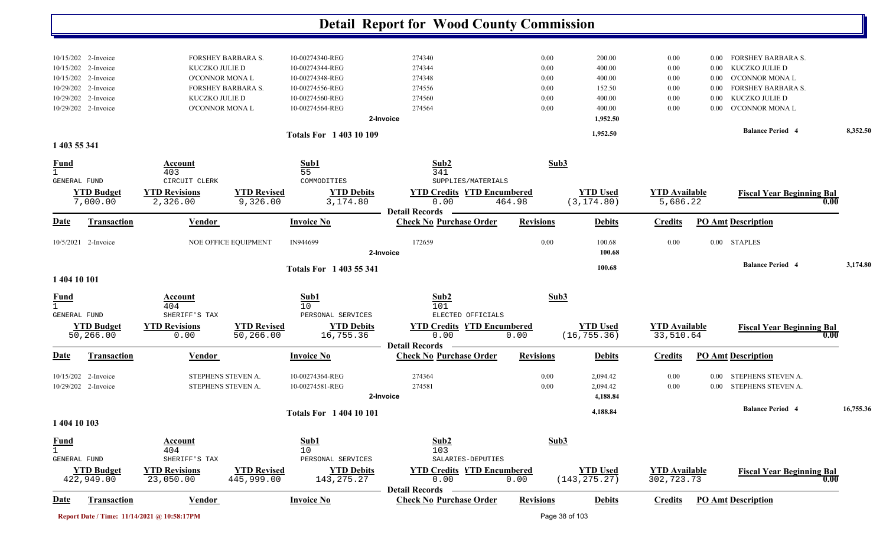|                                       |                                            |                                             |                                  |                                    | <b>Detail Report for Wood County Commission</b>                    |                  |                                  |                                    |                  |                                          |           |
|---------------------------------------|--------------------------------------------|---------------------------------------------|----------------------------------|------------------------------------|--------------------------------------------------------------------|------------------|----------------------------------|------------------------------------|------------------|------------------------------------------|-----------|
|                                       |                                            |                                             |                                  |                                    |                                                                    |                  |                                  |                                    |                  |                                          |           |
|                                       | 10/15/202 2-Invoice                        |                                             | FORSHEY BARBARA S.               | 10-00274340-REG                    | 274340                                                             | 0.00             | 200.00                           | 0.00                               | 0.00             | <b>FORSHEY BARBARA S.</b>                |           |
|                                       | 10/15/202 2-Invoice<br>10/15/202 2-Invoice | KUCZKO JULIE D<br>O'CONNOR MONA L           |                                  | 10-00274344-REG<br>10-00274348-REG | 274344<br>274348                                                   | 0.00<br>0.00     | 400.00<br>400.00                 | 0.00<br>0.00                       | 0.00<br>$0.00\,$ | KUCZKO JULIE D<br>O'CONNOR MONA L        |           |
|                                       | 10/29/202 2-Invoice                        |                                             | FORSHEY BARBARA S.               | 10-00274556-REG                    | 274556                                                             | 0.00             | 152.50                           | 0.00                               | 0.00             | <b>FORSHEY BARBARA S.</b>                |           |
|                                       | 10/29/202 2-Invoice                        | KUCZKO JULIE D                              |                                  | 10-00274560-REG                    | 274560                                                             | 0.00             | 400.00                           | 0.00                               | 0.00             | KUCZKO JULIE D                           |           |
|                                       | 10/29/202 2-Invoice                        | <b>O'CONNOR MONAL</b>                       |                                  | 10-00274564-REG                    | 274564                                                             | 0.00             | 400.00                           | 0.00                               | 0.00             | O'CONNOR MONA L                          |           |
|                                       |                                            |                                             |                                  |                                    | 2-Invoice                                                          |                  | 1,952.50                         |                                    |                  |                                          |           |
| 1 403 55 341                          |                                            |                                             |                                  | <b>Totals For 140310109</b>        |                                                                    |                  | 1,952.50                         |                                    |                  | <b>Balance Period 4</b>                  | 8,352.50  |
| <u>Fund</u>                           |                                            | Account                                     |                                  | Sub1                               | Sub2                                                               | Sub3             |                                  |                                    |                  |                                          |           |
| $\mathbf{1}$<br>GENERAL FUND          |                                            | 403<br>CIRCUIT CLERK                        |                                  | 55<br>COMMODITIES                  | 341<br>SUPPLIES/MATERIALS                                          |                  |                                  |                                    |                  |                                          |           |
|                                       | <b>YTD Budget</b><br>7,000.00              | <b>YTD Revisions</b><br>2,326.00            | <b>YTD Revised</b><br>9,326.00   | <b>YTD Debits</b><br>3,174.80      | <b>YTD Credits YTD Encumbered</b><br>0.00                          | 464.98           | <b>YTD Used</b><br>(3, 174.80)   | <b>YTD Available</b><br>5,686.22   |                  | <b>Fiscal Year Beginning Bal</b>         | 0.00      |
| Date                                  | <b>Transaction</b>                         | <b>Vendor</b>                               |                                  | <b>Invoice No</b>                  | <b>Detail Records</b><br><b>Check No Purchase Order</b>            | <b>Revisions</b> | <b>Debits</b>                    | <b>Credits</b>                     |                  | <b>PO Amt Description</b>                |           |
|                                       | 10/5/2021 2-Invoice                        |                                             | NOE OFFICE EQUIPMENT             | IN944699                           | 172659<br>2-Invoice                                                | 0.00             | 100.68<br>100.68                 | 0.00                               |                  | 0.00 STAPLES                             |           |
| 1 404 10 101                          |                                            |                                             |                                  | Totals For 1 403 55 341            |                                                                    |                  | 100.68                           |                                    |                  | <b>Balance Period 4</b>                  | 3,174.80  |
|                                       |                                            |                                             |                                  |                                    |                                                                    |                  |                                  |                                    |                  |                                          |           |
| <b>Fund</b>                           |                                            | Account<br>404                              |                                  | Sub1<br>10                         | Sub2<br>101                                                        | Sub3             |                                  |                                    |                  |                                          |           |
| GENERAL FUND                          |                                            | SHERIFF'S TAX                               |                                  | PERSONAL SERVICES                  | ELECTED OFFICIALS                                                  |                  |                                  |                                    |                  |                                          |           |
|                                       | <b>YTD Budget</b><br>50,266.00             | <b>YTD Revisions</b><br>0.00                | <b>YTD Revised</b><br>50,266.00  | <b>YTD Debits</b><br>16,755.36     | <b>YTD Credits YTD Encumbered</b><br>0.00                          | 0.00             | <b>YTD Used</b><br>(16, 755.36)  | <b>YTD Available</b><br>33,510.64  |                  | <b>Fiscal Year Beginning Bal</b>         | 0.00      |
| Date                                  | <b>Transaction</b>                         | <b>Vendor</b>                               |                                  | <b>Invoice No</b>                  | <b>Detail Records</b><br><b>Check No Purchase Order</b>            | <b>Revisions</b> | <b>Debits</b>                    | <b>Credits</b>                     |                  | <b>PO Amt Description</b>                |           |
|                                       | 10/15/202 2-Invoice<br>10/29/202 2-Invoice | STEPHENS STEVEN A.<br>STEPHENS STEVEN A.    |                                  | 10-00274364-REG<br>10-00274581-REG | 274364<br>274581                                                   | 0.00<br>0.00     | 2,094.42<br>2,094.42             | 0.00<br>0.00                       | 0.00<br>0.00     | STEPHENS STEVEN A.<br>STEPHENS STEVEN A. |           |
|                                       |                                            |                                             |                                  |                                    | 2-Invoice                                                          |                  | 4,188.84                         |                                    |                  |                                          |           |
| 1 404 10 103                          |                                            |                                             |                                  | <b>Totals For 1 404 10 101</b>     |                                                                    |                  | 4,188.84                         |                                    |                  | <b>Balance Period 4</b>                  | 16,755.36 |
| $rac{\text{Fund}}{1}$<br>GENERAL FUND |                                            | <b>Account</b><br>404<br>SHERIFF'S TAX      |                                  | Sub1<br>10<br>PERSONAL SERVICES    | Sub2<br>103<br>SALARIES-DEPUTIES                                   | Sub3             |                                  |                                    |                  |                                          |           |
|                                       | <b>YTD Budget</b><br>422,949.00            | <b>YTD Revisions</b><br>23,050.00           | <b>YTD Revised</b><br>445,999.00 | <b>YTD Debits</b><br>143, 275. 27  | <b>YTD Credits YTD Encumbered</b><br>0.00<br><b>Detail Records</b> | 0.00             | <b>YTD Used</b><br>(143, 275.27) | <b>YTD</b> Available<br>302,723.73 |                  | <b>Fiscal Year Beginning Bal</b>         | 0.00      |
| <u>Date</u>                           | <b>Transaction</b>                         | <b>Vendor</b>                               |                                  | <b>Invoice No</b>                  | <b>Check No Purchase Order</b>                                     | <b>Revisions</b> | <b>Debits</b>                    | <b>Credits</b>                     |                  | <b>PO Amt Description</b>                |           |
|                                       |                                            | Report Date / Time: 11/14/2021 @ 10:58:17PM |                                  |                                    |                                                                    |                  | Page 38 of 103                   |                                    |                  |                                          |           |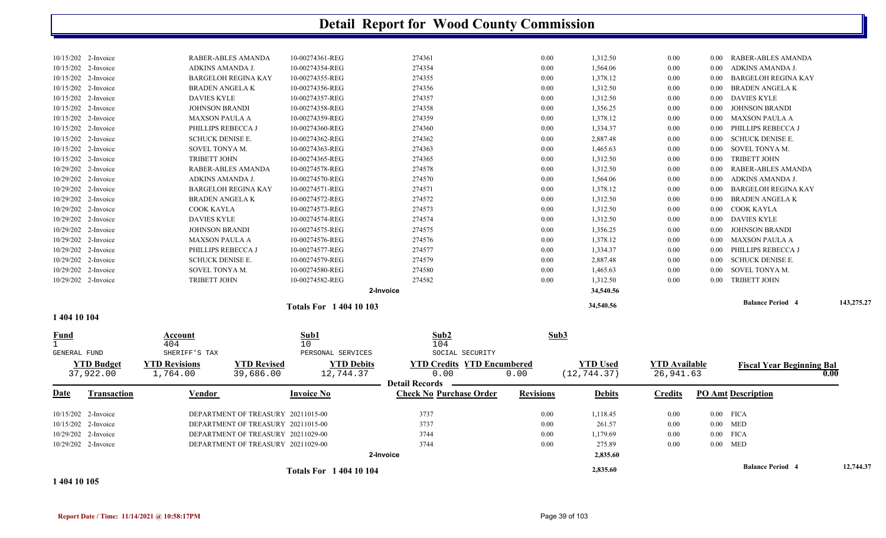|                     |                            | <b>Totals For 140410103</b> |        |          | 34,540.56 |          |          | <b>Balance Period 4</b> | 143,275.27 |
|---------------------|----------------------------|-----------------------------|--------|----------|-----------|----------|----------|-------------------------|------------|
|                     |                            | 2-Invoice                   |        |          | 34,540.56 |          |          |                         |            |
| 10/29/202 2-Invoice | <b>TRIBETT JOHN</b>        | 10-00274582-REG             | 274582 | 0.00     | 1,312.50  | 0.00     |          | 0.00 TRIBETT JOHN       |            |
| 10/29/202 2-Invoice | SOVEL TONYA M.             | 10-00274580-REG             | 274580 | 0.00     | 1,465.63  | 0.00     |          | 0.00 SOVEL TONYA M.     |            |
| 10/29/202 2-Invoice | <b>SCHUCK DENISE E.</b>    | 10-00274579-REG             | 274579 | $0.00\,$ | 2,887.48  | $0.00\,$ | $0.00\,$ | SCHUCK DENISE E.        |            |
| 10/29/202 2-Invoice | PHILLIPS REBECCA J         | 10-00274577-REG             | 274577 | $0.00\,$ | 1,334.37  | 0.00     |          | 0.00 PHILLIPS REBECCA J |            |
| 10/29/202 2-Invoice | <b>MAXSON PAULA A</b>      | 10-00274576-REG             | 274576 | 0.00     | 1,378.12  | 0.00     |          | 0.00 MAXSON PAULA A     |            |
| 10/29/202 2-Invoice | <b>JOHNSON BRANDI</b>      | 10-00274575-REG             | 274575 | 0.00     | 1,356.25  | 0.00     |          | 0.00 JOHNSON BRANDI     |            |
| 10/29/202 2-Invoice | <b>DAVIES KYLE</b>         | 10-00274574-REG             | 274574 | $0.00\,$ | 1,312.50  | 0.00     |          | 0.00 DAVIES KYLE        |            |
| 10/29/202 2-Invoice | COOK KAYLA                 | 10-00274573-REG             | 274573 | $0.00\,$ | 1,312.50  | 0.00     | $0.00\,$ | COOK KAYLA              |            |
| 10/29/202 2-Invoice | <b>BRADEN ANGELA K</b>     | 10-00274572-REG             | 274572 | 0.00     | 1,312.50  | 0.00     | $0.00\,$ | BRADEN ANGELA K         |            |
| 10/29/202 2-Invoice | <b>BARGELOH REGINA KAY</b> | 10-00274571-REG             | 274571 | $0.00\,$ | 1,378.12  | 0.00     | $0.00\,$ | BARGELOH REGINA KAY     |            |
| 10/29/202 2-Invoice | ADKINS AMANDA J.           | 10-00274570-REG             | 274570 | 0.00     | 1,564.06  | 0.00     |          | 0.00 ADKINS AMANDA J.   |            |
| 10/29/202 2-Invoice | RABER-ABLES AMANDA         | 10-00274578-REG             | 274578 | 0.00     | 1,312.50  | 0.00     |          | 0.00 RABER-ABLES AMANDA |            |
| 10/15/202 2-Invoice | <b>TRIBETT JOHN</b>        | 10-00274365-REG             | 274365 | $0.00\,$ | 1,312.50  | 0.00     | $0.00\,$ | TRIBETT JOHN            |            |
| 10/15/202 2-Invoice | SOVEL TONYA M.             | 10-00274363-REG             | 274363 | $0.00\,$ | 1,465.63  | 0.00     | $0.00\,$ | SOVEL TONYA M.          |            |
| 10/15/202 2-Invoice | <b>SCHUCK DENISE E.</b>    | 10-00274362-REG             | 274362 | 0.00     | 2,887.48  | 0.00     | $0.00\,$ | SCHUCK DENISE E.        |            |
| 10/15/202 2-Invoice | PHILLIPS REBECCA J         | 10-00274360-REG             | 274360 | $0.00\,$ | 1,334.37  | 0.00     |          | 0.00 PHILLIPS REBECCA J |            |
| 10/15/202 2-Invoice | <b>MAXSON PAULA A</b>      | 10-00274359-REG             | 274359 | $0.00\,$ | 1,378.12  | 0.00     |          | 0.00 MAXSON PAULA A     |            |
| 10/15/202 2-Invoice | <b>JOHNSON BRANDI</b>      | 10-00274358-REG             | 274358 | 0.00     | 1,356.25  | 0.00     |          | 0.00 JOHNSON BRANDI     |            |
| 10/15/202 2-Invoice | <b>DAVIES KYLE</b>         | 10-00274357-REG             | 274357 | $0.00\,$ | 1,312.50  | 0.00     |          | 0.00 DAVIES KYLE        |            |
| 10/15/202 2-Invoice | <b>BRADEN ANGELA K</b>     | 10-00274356-REG             | 274356 | $0.00\,$ | 1,312.50  | 0.00     | $0.00\,$ | BRADEN ANGELA K         |            |
| 10/15/202 2-Invoice | <b>BARGELOH REGINA KAY</b> | 10-00274355-REG             | 274355 | $0.00\,$ | 1,378.12  | 0.00     | $0.00\,$ | BARGELOH REGINA KAY     |            |
| 10/15/202 2-Invoice | ADKINS AMANDA J.           | 10-00274354-REG             | 274354 | 0.00     | 1,564.06  | 0.00     |          | 0.00 ADKINS AMANDA J.   |            |
| 10/15/202 2-Invoice | RABER-ABLES AMANDA         | 10-00274361-REG             | 274361 | 0.00     | 1,312.50  | 0.00     |          | 0.00 RABER-ABLES AMANDA |            |
|                     |                            |                             |        |          |           |          |          |                         |            |

**1 404 10 104** 

| <b>Fund</b>           |                                | Account                          |                                    | Sub1                           | Sub2                                      |                  | Sub3                            |                                   |                                  |           |
|-----------------------|--------------------------------|----------------------------------|------------------------------------|--------------------------------|-------------------------------------------|------------------|---------------------------------|-----------------------------------|----------------------------------|-----------|
|                       |                                | 404                              |                                    | 10                             | 104                                       |                  |                                 |                                   |                                  |           |
| <b>GENERAL FUND</b>   |                                | SHERIFF'S TAX                    |                                    | PERSONAL SERVICES              | SOCIAL SECURITY                           |                  |                                 |                                   |                                  |           |
|                       | <b>YTD Budget</b><br>37,922.00 | <b>YTD Revisions</b><br>1,764.00 | <b>YTD Revised</b><br>39,686.00    | <b>YTD Debits</b><br>12,744.37 | <b>YTD Credits YTD Encumbered</b><br>0.00 | 0.00             | <b>YTD</b> Used<br>(12, 744.37) | <b>YTD</b> Available<br>26,941.63 | <b>Fiscal Year Beginning Bal</b> | 0.00      |
|                       |                                |                                  |                                    |                                | <b>Detail Records</b>                     |                  |                                 |                                   |                                  |           |
| Date                  | <b>Transaction</b>             | <b>Vendor</b>                    |                                    | <b>Invoice No</b>              | <b>Check No Purchase Order</b>            | <b>Revisions</b> | <b>Debits</b>                   | <b>Credits</b>                    | <b>PO Amt Description</b>        |           |
| $10/15/202$ 2-Invoice |                                |                                  | DEPARTMENT OF TREASURY 20211015-00 |                                | 3737                                      | 0.00             | 1,118.45                        | 0.00                              | $0.00$ FICA                      |           |
| $10/15/202$ 2-Invoice |                                |                                  | DEPARTMENT OF TREASURY 20211015-00 |                                | 3737                                      | 0.00             | 261.57                          | 0.00                              | $0.00$ MED                       |           |
| $10/29/202$ 2-Invoice |                                |                                  | DEPARTMENT OF TREASURY 20211029-00 |                                | 3744                                      | 0.00             | 1,179.69                        | 0.00                              | $0.00$ FICA                      |           |
| $10/29/202$ 2-Invoice |                                |                                  | DEPARTMENT OF TREASURY 20211029-00 |                                | 3744                                      | 0.00             | 275.89                          | 0.00                              | $0.00$ MED                       |           |
|                       |                                |                                  |                                    |                                | 2-Invoice                                 |                  | 2,835.60                        |                                   |                                  |           |
|                       |                                |                                  |                                    | <b>Totals For 140410104</b>    |                                           |                  | 2,835.60                        |                                   | <b>Balance Period 4</b>          | 12,744.37 |

#### **1 404 10 105**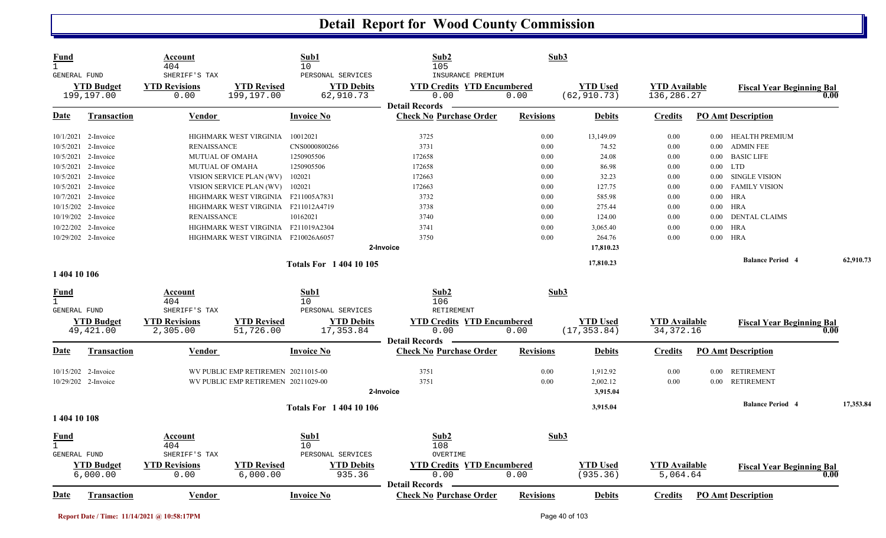| <b>Fund</b><br>$\mathbf{1}$<br><b>GENERAL FUND</b> |                                 | Account<br>404<br>SHERIFF'S TAX  |                                     | Sub1<br>10<br>PERSONAL SERVICES | Sub2<br>105<br>INSURANCE PREMIUM                        |                  | Sub3                            |                                     |          |                                  |           |
|----------------------------------------------------|---------------------------------|----------------------------------|-------------------------------------|---------------------------------|---------------------------------------------------------|------------------|---------------------------------|-------------------------------------|----------|----------------------------------|-----------|
|                                                    | <b>YTD Budget</b><br>199,197.00 | <b>YTD Revisions</b><br>0.00     | <b>YTD Revised</b><br>199,197.00    | <b>YTD Debits</b><br>62,910.73  | <b>YTD Credits YTD Encumbered</b><br>0.00               | 0.00             | <b>YTD</b> Used<br>(62, 910.73) | <b>YTD</b> Available<br>136,286.27  |          | <b>Fiscal Year Beginning Bal</b> | 0.00      |
| Date                                               | <b>Transaction</b>              | Vendor                           |                                     | <b>Invoice No</b>               | <b>Detail Records</b><br><b>Check No Purchase Order</b> | <b>Revisions</b> | <b>Debits</b>                   | <b>Credits</b>                      |          | <b>PO Amt Description</b>        |           |
|                                                    | 10/1/2021 2-Invoice             |                                  | HIGHMARK WEST VIRGINIA              | 10012021                        | 3725                                                    | 0.00             | 13,149.09                       | 0.00                                | 0.00     | HEALTH PREMIUM                   |           |
|                                                    | 10/5/2021 2-Invoice             | <b>RENAISSANCE</b>               |                                     | CNS0000800266                   | 3731                                                    | 0.00             | 74.52                           | 0.00                                | $0.00\,$ | <b>ADMIN FEE</b>                 |           |
| 10/5/2021                                          | 2-Invoice                       |                                  | <b>MUTUAL OF OMAHA</b>              | 1250905506                      | 172658                                                  | 0.00             | 24.08                           | 0.00                                | $0.00\,$ | <b>BASIC LIFE</b>                |           |
|                                                    | 10/5/2021 2-Invoice             |                                  | <b>MUTUAL OF OMAHA</b>              | 1250905506                      | 172658                                                  | 0.00             | 86.98                           | 0.00                                |          | $0.00$ LTD                       |           |
|                                                    | 10/5/2021 2-Invoice             |                                  | VISION SERVICE PLAN (WV)            | 102021                          | 172663                                                  | 0.00             | 32.23                           | 0.00                                | $0.00\,$ | <b>SINGLE VISION</b>             |           |
| 10/5/2021                                          | 2-Invoice                       |                                  | VISION SERVICE PLAN (WV)            | 102021                          | 172663                                                  | 0.00             | 127.75                          | 0.00                                | 0.00     | <b>FAMILY VISION</b>             |           |
|                                                    | 10/7/2021 2-Invoice             |                                  | HIGHMARK WEST VIRGINIA F211005A7831 |                                 | 3732                                                    | 0.00             | 585.98                          | 0.00                                |          | $0.00$ HRA                       |           |
|                                                    | 10/15/202 2-Invoice             |                                  | HIGHMARK WEST VIRGINIA F211012A4719 |                                 | 3738                                                    | 0.00             | 275.44                          | 0.00                                |          | $0.00$ HRA                       |           |
|                                                    | 10/19/202 2-Invoice             | <b>RENAISSANCE</b>               |                                     | 10162021                        | 3740                                                    | 0.00             | 124.00                          | 0.00                                | $0.00\,$ | <b>DENTAL CLAIMS</b>             |           |
|                                                    | 10/22/202 2-Invoice             |                                  | HIGHMARK WEST VIRGINIA              | F211019A2304                    | 3741                                                    | 0.00             | 3,065.40                        | 0.00                                | $0.00\,$ | HRA                              |           |
|                                                    | 10/29/202 2-Invoice             |                                  | HIGHMARK WEST VIRGINIA F210026A6057 |                                 | 3750                                                    | 0.00             | 264.76                          | 0.00                                |          | $0.00$ HRA                       |           |
|                                                    |                                 |                                  |                                     |                                 | 2-Invoice                                               |                  | 17,810.23                       |                                     |          |                                  |           |
|                                                    |                                 |                                  |                                     | <b>Totals For 140410105</b>     |                                                         |                  | 17,810.23                       |                                     |          | <b>Balance Period 4</b>          | 62,910.73 |
| 1 404 10 106                                       |                                 |                                  |                                     |                                 |                                                         |                  |                                 |                                     |          |                                  |           |
| Fund                                               |                                 | Account                          |                                     | Sub1                            | Sub2                                                    |                  | Sub3                            |                                     |          |                                  |           |
| $\mathbf{1}$                                       |                                 | 404                              |                                     | 10                              | 106                                                     |                  |                                 |                                     |          |                                  |           |
| <b>GENERAL FUND</b>                                |                                 | SHERIFF'S TAX                    |                                     | PERSONAL SERVICES               | <b>RETIREMENT</b>                                       |                  |                                 |                                     |          |                                  |           |
|                                                    | <b>YTD Budget</b><br>49, 421.00 | <b>YTD Revisions</b><br>2,305.00 | <b>YTD Revised</b><br>51,726.00     | <b>YTD Debits</b><br>17,353.84  | <b>YTD Credits YTD Encumbered</b><br>0.00               | 0.00             | <b>YTD Used</b><br>(17, 353.84) | <b>YTD</b> Available<br>34, 372. 16 |          | <b>Fiscal Year Beginning Bal</b> | 0.00      |
|                                                    |                                 |                                  |                                     |                                 | <b>Detail Records</b>                                   |                  |                                 |                                     |          |                                  |           |
| Date                                               | <b>Transaction</b>              | <u>Vendor</u>                    |                                     | <b>Invoice No</b>               | <b>Check No Purchase Order</b>                          | <b>Revisions</b> | <b>Debits</b>                   | <b>Credits</b>                      |          | <b>PO Amt Description</b>        |           |
|                                                    | 10/15/202 2-Invoice             |                                  | WV PUBLIC EMP RETIREMEN 20211015-00 |                                 | 3751                                                    | 0.00             | 1,912.92                        | 0.00                                | $0.00\,$ | <b>RETIREMENT</b>                |           |
|                                                    | 10/29/202 2-Invoice             |                                  | WV PUBLIC EMP RETIREMEN 20211029-00 |                                 | 3751                                                    | 0.00             | 2,002.12                        | 0.00                                | $0.00\,$ | <b>RETIREMENT</b>                |           |
|                                                    |                                 |                                  |                                     |                                 | 2-Invoice                                               |                  | 3,915.04                        |                                     |          |                                  |           |
|                                                    |                                 |                                  |                                     |                                 |                                                         |                  | 3,915.04                        |                                     |          | <b>Balance Period 4</b>          | 17,353.84 |
| 1 404 10 108                                       |                                 |                                  |                                     | <b>Totals For 140410106</b>     |                                                         |                  |                                 |                                     |          |                                  |           |
| <b>Fund</b>                                        |                                 | Account                          |                                     | Sub1                            | Sub2                                                    |                  | Sub3                            |                                     |          |                                  |           |
| $\mathbf{1}$                                       |                                 | 404                              |                                     | 10                              | 108                                                     |                  |                                 |                                     |          |                                  |           |
| <b>GENERAL FUND</b>                                |                                 | SHERIFF'S TAX                    |                                     | PERSONAL SERVICES               | OVERTIME                                                |                  |                                 |                                     |          |                                  |           |
|                                                    | <b>YTD Budget</b>               | <b>YTD Revisions</b>             | <b>YTD Revised</b>                  | <b>YTD Debits</b>               | <b>YTD Credits YTD Encumbered</b>                       |                  | <b>YTD Used</b>                 | <b>YTD Available</b>                |          | <b>Fiscal Year Beginning Bal</b> |           |
|                                                    | 6,000.00                        | 0.00                             | 6,000.00                            | 935.36                          | 0.00                                                    | 0.00             | (935.36)                        | 5,064.64                            |          |                                  | 0.00      |
|                                                    |                                 |                                  |                                     |                                 | <b>Detail Records</b>                                   |                  |                                 |                                     |          |                                  |           |
| Date                                               | <b>Transaction</b>              | Vendor                           |                                     | <b>Invoice No</b>               | <b>Check No Purchase Order</b>                          | <b>Revisions</b> | <b>Debits</b>                   | <b>Credits</b>                      |          | <b>PO Amt Description</b>        |           |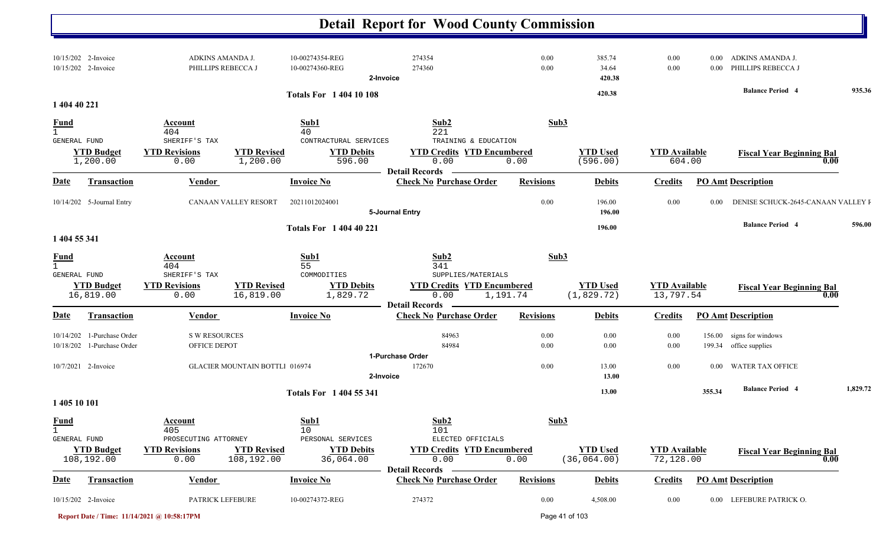|                                             |                                                |                                                         |                                       |                                                          | <b>Detail Report for Wood County Commission</b>                          |                  |                                 |                                   |                      |                                             |                     |
|---------------------------------------------|------------------------------------------------|---------------------------------------------------------|---------------------------------------|----------------------------------------------------------|--------------------------------------------------------------------------|------------------|---------------------------------|-----------------------------------|----------------------|---------------------------------------------|---------------------|
|                                             | 10/15/202 2-Invoice<br>10/15/202 2-Invoice     | ADKINS AMANDA J.<br>PHILLIPS REBECCA J                  |                                       | 10-00274354-REG<br>10-00274360-REG                       | 274354<br>274360<br>2-Invoice                                            | 0.00<br>0.00     | 385.74<br>34.64<br>420.38       | 0.00<br>0.00                      | $0.00\,$<br>$0.00\,$ | ADKINS AMANDA J.<br>PHILLIPS REBECCA J      |                     |
| 1 404 40 221                                |                                                |                                                         |                                       | <b>Totals For 140410108</b>                              |                                                                          |                  | 420.38                          |                                   |                      | <b>Balance Period 4</b>                     | 935.36              |
| <b>Fund</b><br>GENERAL FUND                 | <b>YTD Budget</b>                              | Account<br>404<br>SHERIFF'S TAX<br><b>YTD Revisions</b> | <b>YTD Revised</b>                    | Sub1<br>40<br>CONTRACTURAL SERVICES<br><b>YTD Debits</b> | Sub2<br>221<br>TRAINING & EDUCATION<br><b>YTD Credits YTD Encumbered</b> | Sub3             | <b>YTD Used</b>                 | <b>YTD Available</b>              |                      | <b>Fiscal Year Beginning Bal</b>            |                     |
|                                             | 1,200.00                                       | 0.00                                                    | 1,200.00                              | 596.00                                                   | 0.00<br><b>Detail Records</b>                                            | 0.00             | (596.00)                        | 604.00                            |                      |                                             | 0.00                |
| <b>Date</b>                                 | Transaction                                    | <b>Vendor</b>                                           |                                       | <b>Invoice No</b>                                        | <b>Check No Purchase Order</b>                                           | <b>Revisions</b> | <b>Debits</b>                   | <b>Credits</b>                    |                      | <b>PO Amt Description</b>                   |                     |
|                                             | 10/14/202 5-Journal Entry                      | CANAAN VALLEY RESORT                                    |                                       | 20211012024001                                           | 5-Journal Entry                                                          | 0.00             | 196.00<br>196.00                | 0.00                              | 0.00                 | DENISE SCHUCK-2645-CANAAN VALLEY I          |                     |
|                                             |                                                |                                                         |                                       | <b>Totals For 1 404 40 221</b>                           |                                                                          |                  | 196.00                          |                                   |                      | <b>Balance Period 4</b>                     | 596.00              |
| 1 404 55 341                                |                                                |                                                         |                                       |                                                          |                                                                          |                  |                                 |                                   |                      |                                             |                     |
| $\frac{Fund}{1}$<br><b>GENERAL FUND</b>     |                                                | Account<br>404<br>SHERIFF'S TAX                         |                                       | Sub1<br>55<br>COMMODITIES                                | Sub2<br>341<br>SUPPLIES/MATERIALS                                        | Sub3             |                                 |                                   |                      |                                             |                     |
|                                             | <b>YTD Budget</b><br>16,819.00                 | <b>YTD Revisions</b><br>0.00                            | <b>YTD Revised</b><br>16,819.00       | <b>YTD Debits</b><br>1,829.72                            | <b>YTD Credits YTD Encumbered</b><br>0.00                                | 1,191.74         | <b>YTD Used</b><br>(1, 829.72)  | <b>YTD Available</b><br>13,797.54 |                      | <b>Fiscal Year Beginning Bal</b>            | $\boldsymbol{0.00}$ |
| Date                                        | Transaction                                    | Vendor                                                  |                                       | <b>Invoice No</b>                                        | <b>Detail Records</b><br><b>Check No Purchase Order</b>                  | <b>Revisions</b> | <b>Debits</b>                   | <b>Credits</b>                    |                      | <b>PO Amt Description</b>                   |                     |
| 10/14/202                                   | 1-Purchase Order<br>10/18/202 1-Purchase Order | <b>S W RESOURCES</b><br>OFFICE DEPOT                    |                                       |                                                          | 84963<br>84984                                                           | 0.00<br>0.00     | 0.00<br>0.00                    | 0.00<br>0.00                      | 156.00               | signs for windows<br>199.34 office supplies |                     |
|                                             | 10/7/2021 2-Invoice                            |                                                         | <b>GLACIER MOUNTAIN BOTTLI 016974</b> |                                                          | 1-Purchase Order<br>172670<br>2-Invoice                                  | 0.00             | 13.00<br>13.00                  | 0.00                              | $0.00\,$             | <b>WATER TAX OFFICE</b>                     |                     |
| 1 405 10 101                                |                                                |                                                         |                                       | <b>Totals For 1 404 55 341</b>                           |                                                                          |                  | 13.00                           |                                   | 355.34               | <b>Balance Period 4</b>                     | 1,829.72            |
| <b>Fund</b><br>$\mathbf{1}$<br>GENERAL FUND |                                                | Account<br>405<br>PROSECUTING ATTORNEY                  |                                       | Sub1<br>10<br>PERSONAL SERVICES                          | Sub2<br>101<br>ELECTED OFFICIALS                                         | Sub3             |                                 |                                   |                      |                                             |                     |
|                                             | <b>YTD Budget</b><br>108,192.00                | <b>YTD Revisions</b><br>0.00                            | <b>YTD Revised</b><br>108,192.00      | <b>YTD Debits</b><br>36,064.00                           | <b>YTD Credits YTD Encumbered</b><br>0.00                                | 0.00             | <b>YTD Used</b><br>(36, 064.00) | <b>YTD</b> Available<br>72,128.00 |                      | <b>Fiscal Year Beginning Bal</b>            | 0.00                |
| <u>Date</u>                                 | <b>Transaction</b>                             | <b>Vendor</b>                                           |                                       | <b>Invoice No</b>                                        | <b>Detail Records</b><br><b>Check No Purchase Order</b>                  | <b>Revisions</b> | <b>Debits</b>                   | <b>Credits</b>                    |                      | <b>PO Amt Description</b>                   |                     |
|                                             | 10/15/202 2-Invoice                            | PATRICK LEFEBURE                                        |                                       | 10-00274372-REG                                          | 274372                                                                   | 0.00             | 4,508.00                        | $0.00\,$                          |                      | 0.00 LEFEBURE PATRICK O.                    |                     |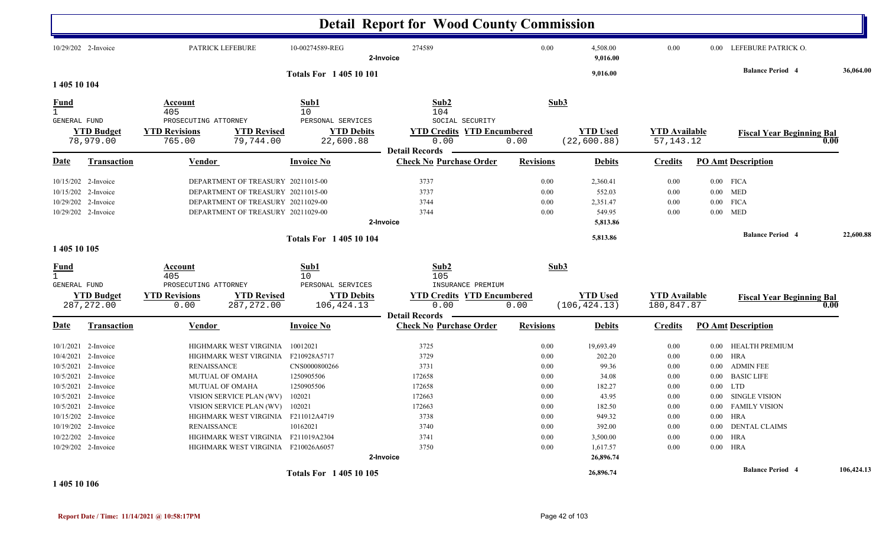|                                                                                                                 |                                                                                                                                        |                                                        |                                                                                                                                                                                                                                                                                   |                                                                                             | <b>Detail Report for Wood County Commission</b>                                                           |                                                                                          |                                                                                                                             |                                                                                      |                      |                                                                                                                                                                                                    |                 |
|-----------------------------------------------------------------------------------------------------------------|----------------------------------------------------------------------------------------------------------------------------------------|--------------------------------------------------------|-----------------------------------------------------------------------------------------------------------------------------------------------------------------------------------------------------------------------------------------------------------------------------------|---------------------------------------------------------------------------------------------|-----------------------------------------------------------------------------------------------------------|------------------------------------------------------------------------------------------|-----------------------------------------------------------------------------------------------------------------------------|--------------------------------------------------------------------------------------|----------------------|----------------------------------------------------------------------------------------------------------------------------------------------------------------------------------------------------|-----------------|
|                                                                                                                 | 10/29/202 2-Invoice                                                                                                                    |                                                        | PATRICK LEFEBURE                                                                                                                                                                                                                                                                  | 10-00274589-REG                                                                             | 274589<br>2-Invoice                                                                                       | 0.00                                                                                     | 4,508.00<br>9,016.00                                                                                                        | 0.00                                                                                 |                      | 0.00 LEFEBURE PATRICK O.                                                                                                                                                                           |                 |
| 1 405 10 104                                                                                                    |                                                                                                                                        |                                                        |                                                                                                                                                                                                                                                                                   | <b>Totals For 140510101</b>                                                                 |                                                                                                           |                                                                                          | 9,016.00                                                                                                                    |                                                                                      |                      | <b>Balance Period 4</b>                                                                                                                                                                            | 36,064.00       |
| <b>Fund</b>                                                                                                     |                                                                                                                                        | Account<br>405                                         |                                                                                                                                                                                                                                                                                   | Sub1<br>10                                                                                  | Sub2<br>104                                                                                               | Sub3                                                                                     |                                                                                                                             |                                                                                      |                      |                                                                                                                                                                                                    |                 |
| GENERAL FUND                                                                                                    | <b>YTD Budget</b><br>78,979.00                                                                                                         | PROSECUTING ATTORNEY<br><b>YTD Revisions</b><br>765.00 | <b>YTD Revised</b><br>79,744.00                                                                                                                                                                                                                                                   | PERSONAL SERVICES<br><b>YTD Debits</b><br>22,600.88                                         | SOCIAL SECURITY<br><b>YTD Credits YTD Encumbered</b><br>0.00                                              | 0.00                                                                                     | <b>YTD Used</b><br>(22, 600.88)                                                                                             | <b>YTD</b> Available<br>57, 143. 12                                                  |                      | <b>Fiscal Year Beginning Bal</b>                                                                                                                                                                   | 0.00            |
| Date                                                                                                            | Transaction                                                                                                                            | Vendor                                                 |                                                                                                                                                                                                                                                                                   | <b>Invoice No</b>                                                                           | <b>Detail Records</b><br><b>Check No Purchase Order</b>                                                   | <b>Revisions</b>                                                                         | <b>Debits</b>                                                                                                               | <b>Credits</b>                                                                       |                      | <b>PO Amt Description</b>                                                                                                                                                                          |                 |
|                                                                                                                 | 10/15/202 2-Invoice<br>10/15/202 2-Invoice<br>10/29/202 2-Invoice<br>10/29/202 2-Invoice                                               |                                                        | DEPARTMENT OF TREASURY 20211015-00<br>DEPARTMENT OF TREASURY 20211015-00<br>DEPARTMENT OF TREASURY 20211029-00<br>DEPARTMENT OF TREASURY 20211029-00                                                                                                                              |                                                                                             | 3737<br>3737<br>3744<br>3744<br>2-Invoice                                                                 | 0.00<br>0.00<br>0.00<br>0.00                                                             | 2,360.41<br>552.03<br>2,351.47<br>549.95<br>5,813.86                                                                        | 0.00<br>0.00<br>0.00<br>0.00                                                         |                      | $0.00$ FICA<br>$0.00$ MED<br>$0.00$ FICA<br>$0.00$ MED                                                                                                                                             |                 |
| 1 405 10 105                                                                                                    |                                                                                                                                        |                                                        |                                                                                                                                                                                                                                                                                   | <b>Totals For 140510104</b>                                                                 |                                                                                                           |                                                                                          | 5,813.86                                                                                                                    |                                                                                      |                      | <b>Balance Period 4</b>                                                                                                                                                                            | 22,600.88       |
| <u>Fund</u><br>$\mathbf{1}$<br><b>GENERAL FUND</b>                                                              |                                                                                                                                        | Account<br>405<br>PROSECUTING ATTORNEY                 |                                                                                                                                                                                                                                                                                   | Sub1<br>10<br>PERSONAL SERVICES                                                             | Sub2<br>105<br>INSURANCE PREMIUM                                                                          | Sub3                                                                                     |                                                                                                                             |                                                                                      |                      |                                                                                                                                                                                                    |                 |
|                                                                                                                 | <b>YTD Budget</b><br>287, 272.00                                                                                                       | <b>YTD Revisions</b><br>0.00                           | <b>YTD Revised</b><br>287, 272.00                                                                                                                                                                                                                                                 | <b>YTD Debits</b><br>106,424.13                                                             | <b>YTD Credits YTD Encumbered</b><br>0.00<br><b>Detail Records</b>                                        | 0.00                                                                                     | <b>YTD Used</b><br>(106, 424.13)                                                                                            | <b>YTD Available</b><br>180,847.87                                                   |                      | <b>Fiscal Year Beginning Bal</b>                                                                                                                                                                   | $\mathbf{0.00}$ |
| Date                                                                                                            | <b>Transaction</b>                                                                                                                     | <u>Vendor</u>                                          |                                                                                                                                                                                                                                                                                   | <b>Invoice No</b>                                                                           | <b>Check No Purchase Order</b>                                                                            | <b>Revisions</b>                                                                         | <b>Debits</b>                                                                                                               | <b>Credits</b>                                                                       |                      | <b>PO Amt Description</b>                                                                                                                                                                          |                 |
| 10/5/2021 2-Invoice<br>10/15/202 2-Invoice<br>10/19/202 2-Invoice<br>10/22/202 2-Invoice<br>10/29/202 2-Invoice | 10/1/2021 2-Invoice<br>10/4/2021 2-Invoice<br>10/5/2021 2-Invoice<br>10/5/2021 2-Invoice<br>10/5/2021 2-Invoice<br>10/5/2021 2-Invoice | <b>RENAISSANCE</b><br><b>RENAISSANCE</b>               | HIGHMARK WEST VIRGINIA<br>HIGHMARK WEST VIRGINIA<br><b>MUTUAL OF OMAHA</b><br>MUTUAL OF OMAHA<br>VISION SERVICE PLAN (WV)<br>VISION SERVICE PLAN (WV) 102021<br>HIGHMARK WEST VIRGINIA F211012A4719<br>HIGHMARK WEST VIRGINIA F211019A2304<br>HIGHMARK WEST VIRGINIA F210026A6057 | 10012021<br>F210928A5717<br>CNS0000800266<br>1250905506<br>1250905506<br>102021<br>10162021 | 3725<br>3729<br>3731<br>172658<br>172658<br>172663<br>172663<br>3738<br>3740<br>3741<br>3750<br>2-Invoice | 0.00<br>0.00<br>0.00<br>0.00<br>0.00<br>0.00<br>$0.00\,$<br>0.00<br>0.00<br>0.00<br>0.00 | 19,693.49<br>202.20<br>99.36<br>34.08<br>182.27<br>43.95<br>182.50<br>949.32<br>392.00<br>3,500.00<br>1,617.57<br>26,896.74 | 0.00<br>0.00<br>0.00<br>0.00<br>0.00<br>0.00<br>0.00<br>0.00<br>0.00<br>0.00<br>0.00 | $0.00\,$<br>$0.00\,$ | <b>HEALTH PREMIUM</b><br><b>HRA</b><br>0.00 ADMIN FEE<br>0.00 BASIC LIFE<br>$0.00$ LTD<br>0.00 SINGLE VISION<br>0.00 FAMILY VISION<br>$0.00$ HRA<br>0.00 DENTAL CLAIMS<br>$0.00$ HRA<br>$0.00$ HRA |                 |
| 1 405 10 106                                                                                                    |                                                                                                                                        |                                                        |                                                                                                                                                                                                                                                                                   | <b>Totals For 140510105</b>                                                                 |                                                                                                           |                                                                                          | 26,896.74                                                                                                                   |                                                                                      |                      | <b>Balance Period 4</b>                                                                                                                                                                            | 106,424.13      |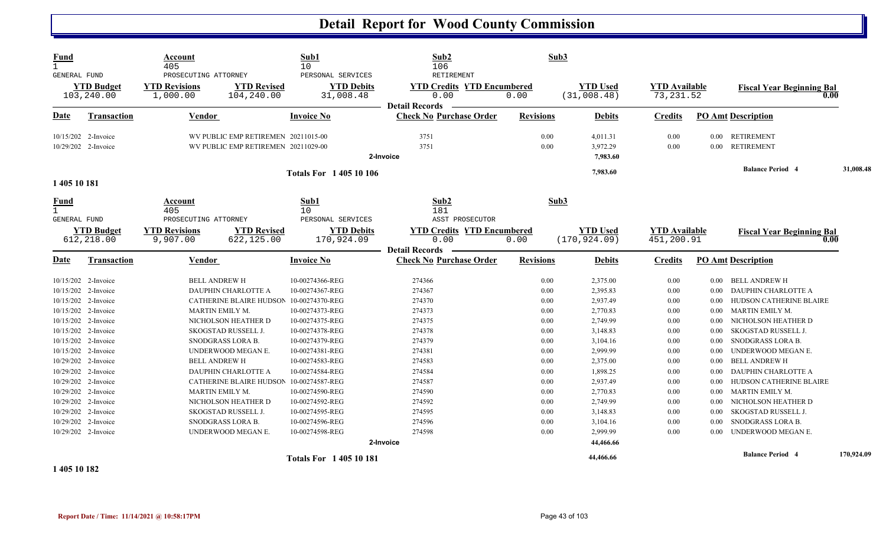| <b>Fund</b><br>$\mathbf{1}$                          |                                                                   | Account<br>405                                           |                                                                            | Sub1<br>10                                            | Sub2<br>106                                                        | Sub3                 |                                  |                                    |                          |                                                                        |            |
|------------------------------------------------------|-------------------------------------------------------------------|----------------------------------------------------------|----------------------------------------------------------------------------|-------------------------------------------------------|--------------------------------------------------------------------|----------------------|----------------------------------|------------------------------------|--------------------------|------------------------------------------------------------------------|------------|
| GENERAL FUND                                         | <b>YTD Budget</b><br>103,240.00                                   | PROSECUTING ATTORNEY<br><b>YTD Revisions</b><br>1,000.00 | <b>YTD Revised</b><br>104,240.00                                           | PERSONAL SERVICES<br><b>YTD Debits</b><br>31,008.48   | RETIREMENT<br><b>YTD Credits YTD Encumbered</b><br>0.00            | 0.00                 | <b>YTD Used</b><br>(31,008.48)   | <b>YTD</b> Available<br>73, 231.52 |                          | <b>Fiscal Year Beginning Bal</b><br>0.00                               |            |
| Date                                                 | <b>Transaction</b>                                                | <b>Vendor</b>                                            |                                                                            | <b>Invoice No</b>                                     | <b>Detail Records</b><br><b>Check No Purchase Order</b>            | <b>Revisions</b>     | <b>Debits</b>                    | <b>Credits</b>                     |                          | <b>PO Amt Description</b>                                              |            |
|                                                      | 10/15/202 2-Invoice<br>10/29/202 2-Invoice                        |                                                          | WV PUBLIC EMP RETIREMEN 20211015-00<br>WV PUBLIC EMP RETIREMEN 20211029-00 |                                                       | 3751<br>3751<br>2-Invoice                                          | 0.00<br>0.00         | 4,011.31<br>3,972.29<br>7,983.60 | 0.00<br>0.00                       | 0.00                     | 0.00 RETIREMENT<br><b>RETIREMENT</b>                                   |            |
| 1 405 10 181                                         |                                                                   |                                                          |                                                                            | <b>Totals For 140510106</b>                           |                                                                    |                      | 7,983.60                         |                                    |                          | <b>Balance Period 4</b>                                                | 31,008.48  |
| <b>Fund</b><br><b>GENERAL FUND</b>                   |                                                                   | Account<br>405<br>PROSECUTING ATTORNEY                   |                                                                            | Sub1<br>10<br>PERSONAL SERVICES                       | Sub2<br>181<br>ASST PROSECUTOR                                     | Sub3                 |                                  |                                    |                          |                                                                        |            |
|                                                      | <b>YTD Budget</b><br>612,218.00                                   | <b>YTD Revisions</b><br>9,907.00                         | <b>YTD Revised</b><br>622,125.00                                           | <b>YTD Debits</b><br>170,924.09                       | <b>YTD Credits YTD Encumbered</b><br>0.00<br><b>Detail Records</b> | 0.00                 | <b>YTD Used</b><br>(170, 924.09) | <b>YTD Available</b><br>451,200.91 |                          | <b>Fiscal Year Beginning Bal</b><br>0.00                               |            |
| Date                                                 | <b>Transaction</b>                                                | <b>Vendor</b>                                            |                                                                            | <b>Invoice No</b>                                     | <b>Check No Purchase Order</b>                                     | <b>Revisions</b>     | <b>Debits</b>                    | <b>Credits</b>                     |                          | <b>PO Amt Description</b>                                              |            |
|                                                      | 10/15/202 2-Invoice<br>10/15/202 2-Invoice                        | <b>BELL ANDREW H</b>                                     | DAUPHIN CHARLOTTE A                                                        | 10-00274366-REG<br>10-00274367-REG                    | 274366<br>274367                                                   | 0.00<br>0.00         | 2,375.00<br>2,395.83             | 0.00<br>0.00                       | $0.00\,$<br>$0.00\,$     | <b>BELL ANDREW H</b><br>DAUPHIN CHARLOTTE A                            |            |
|                                                      | 10/15/202 2-Invoice<br>10/15/202 2-Invoice                        |                                                          | <b>CATHERINE BLAIRE HUDSON</b><br>MARTIN EMILY M.                          | 10-00274370-REG<br>10-00274373-REG                    | 274370<br>274373                                                   | 0.00<br>0.00         | 2,937.49<br>2,770.83             | 0.00<br>0.00                       | $0.00\,$<br>$0.00\,$     | HUDSON CATHERINE BLAIRE<br>MARTIN EMILY M.                             |            |
|                                                      | 10/15/202 2-Invoice<br>10/15/202 2-Invoice                        |                                                          | NICHOLSON HEATHER D<br>SKOGSTAD RUSSELL J.                                 | 10-00274375-REG<br>10-00274378-REG                    | 274375<br>274378                                                   | 0.00<br>0.00         | 2,749.99<br>3,148.83             | 0.00<br>0.00                       | 0.00<br>0.00             | NICHOLSON HEATHER D<br>SKOGSTAD RUSSELL J.                             |            |
|                                                      | 10/15/202 2-Invoice<br>10/15/202 2-Invoice<br>10/29/202 2-Invoice |                                                          | SNODGRASS LORA B.<br>UNDERWOOD MEGAN E.                                    | 10-00274379-REG<br>10-00274381-REG                    | 274379<br>274381                                                   | 0.00<br>0.00<br>0.00 | 3,104.16<br>2,999.99             | 0.00<br>0.00                       | $0.00\,$<br>$0.00\,$     | SNODGRASS LORA B.<br>UNDERWOOD MEGAN E.                                |            |
|                                                      | 10/29/202 2-Invoice<br>10/29/202 2-Invoice                        | <b>BELL ANDREW H</b>                                     | DAUPHIN CHARLOTTE A<br><b>CATHERINE BLAIRE HUDSON</b>                      | 10-00274583-REG<br>10-00274584-REG<br>10-00274587-REG | 274583<br>274584<br>274587                                         | 0.00<br>0.00         | 2,375.00<br>1,898.25<br>2,937.49 | 0.00<br>0.00<br>0.00               | $0.00\,$<br>0.00<br>0.00 | <b>BELL ANDREW H</b><br>DAUPHIN CHARLOTTE A<br>HUDSON CATHERINE BLAIRE |            |
|                                                      | 10/29/202 2-Invoice<br>10/29/202 2-Invoice                        |                                                          | MARTIN EMILY M.<br>NICHOLSON HEATHER D                                     | 10-00274590-REG<br>10-00274592-REG                    | 274590<br>274592                                                   | 0.00<br>0.00         | 2,770.83<br>2,749.99             | 0.00<br>0.00                       | $0.00\,$<br>$0.00\,$     | MARTIN EMILY M.<br>NICHOLSON HEATHER D                                 |            |
|                                                      | 10/29/202 2-Invoice<br>10/29/202 2-Invoice                        |                                                          | SKOGSTAD RUSSELL J.<br>SNODGRASS LORA B.                                   | 10-00274595-REG<br>10-00274596-REG                    | 274595<br>274596                                                   | 0.00<br>0.00         | 3,148.83<br>3,104.16             | 0.00<br>0.00                       | 0.00<br>0.00             | <b>SKOGSTAD RUSSELL J.</b><br>SNODGRASS LORA B.                        |            |
|                                                      | 10/29/202 2-Invoice                                               |                                                          | UNDERWOOD MEGAN E.                                                         | 10-00274598-REG                                       | 274598<br>2-Invoice                                                | 0.00                 | 2,999.99<br>44,466.66            | 0.00                               | 0.00                     | UNDERWOOD MEGAN E.                                                     |            |
| $\overline{a}$ and $\overline{a}$ and $\overline{a}$ |                                                                   |                                                          |                                                                            | <b>Totals For 140510181</b>                           |                                                                    |                      | 44,466.66                        |                                    |                          | <b>Balance Period 4</b>                                                | 170,924.09 |

**1 405 10 182**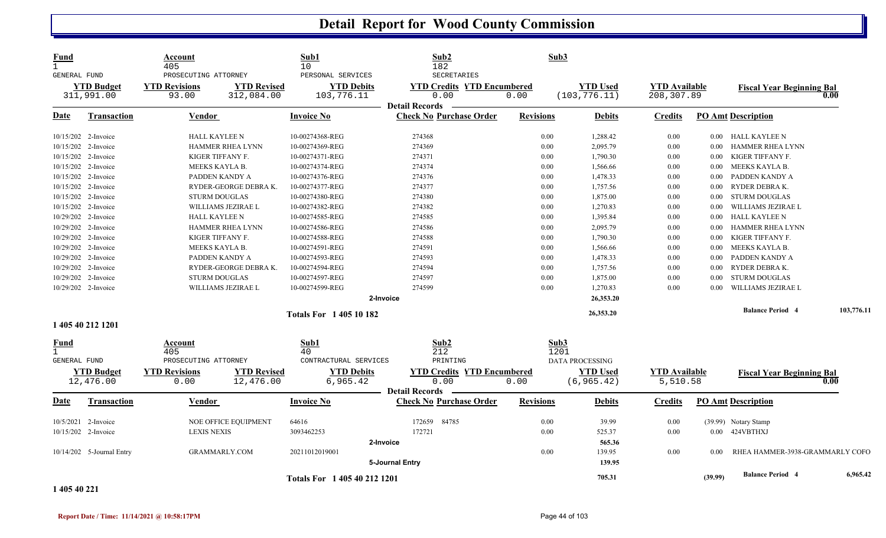| <b>YTD Revised</b><br><b>YTD Debits</b><br><b>YTD Credits YTD Encumbered</b><br><b>YTD Used</b><br><b>YTD Available</b><br><b>YTD</b> Budget<br><b>YTD Revisions</b><br><b>Fiscal Year Beginning Bal</b><br>311,991.00<br>312,084.00<br>103,776.11<br>0.00<br>0.00<br>(103, 776.11)<br>208,307.89<br>93.00<br><b>Detail Records</b><br><b>Check No Purchase Order</b><br><b>PO Amt Description</b><br>Date<br>Vendor<br><b>Invoice No</b><br><b>Revisions</b><br><b>Debits</b><br><b>Credits</b><br>Transaction | 0.00                            |
|-----------------------------------------------------------------------------------------------------------------------------------------------------------------------------------------------------------------------------------------------------------------------------------------------------------------------------------------------------------------------------------------------------------------------------------------------------------------------------------------------------------------|---------------------------------|
|                                                                                                                                                                                                                                                                                                                                                                                                                                                                                                                 |                                 |
|                                                                                                                                                                                                                                                                                                                                                                                                                                                                                                                 |                                 |
| <b>HALL KAYLEE N</b><br>10-00274368-REG<br>274368<br>0.00<br>1,288.42<br>0.00<br>10/15/202 2-Invoice<br>0.00 HALL KAYLEE N                                                                                                                                                                                                                                                                                                                                                                                      |                                 |
| 10/15/202 2-Invoice<br><b>HAMMER RHEA LYNN</b><br>10-00274369-REG<br>274369<br>0.00<br>2,095.79<br>0.00<br>HAMMER RHEA LYNN<br>0.00                                                                                                                                                                                                                                                                                                                                                                             |                                 |
| 274371<br>KIGER TIFFANY F.<br>10/15/202 2-Invoice<br>KIGER TIFFANY F.<br>10-00274371-REG<br>0.00<br>1,790.30<br>0.00<br>0.00                                                                                                                                                                                                                                                                                                                                                                                    |                                 |
| 274374<br>10/15/202 2-Invoice<br>MEEKS KAYLA B.<br>10-00274374-REG<br>0.00<br>1,566.66<br>MEEKS KAYLA B.<br>0.00<br>$0.00\,$                                                                                                                                                                                                                                                                                                                                                                                    |                                 |
| 274376<br>PADDEN KANDY A<br>10/15/202 2-Invoice<br>PADDEN KANDY A<br>10-00274376-REG<br>0.00<br>1,478.33<br>0.00<br>$0.00\,$                                                                                                                                                                                                                                                                                                                                                                                    |                                 |
| 10/15/202 2-Invoice<br>10-00274377-REG<br>274377<br>RYDER DEBRA K.<br>RYDER-GEORGE DEBRAK.<br>0.00<br>1,757.56<br>0.00<br>$0.00\,$                                                                                                                                                                                                                                                                                                                                                                              |                                 |
| 10/15/202 2-Invoice<br><b>STURM DOUGLAS</b><br>10-00274380-REG<br>274380<br>0.00<br>1,875.00<br>0.00<br>STURM DOUGLAS<br>$0.00\,$                                                                                                                                                                                                                                                                                                                                                                               |                                 |
| 274382<br>1,270.83<br>WILLIAMS JEZIRAE L<br>10/15/202 2-Invoice<br>WILLIAMS JEZIRAE L<br>10-00274382-REG<br>0.00<br>0.00<br>$0.00\,$                                                                                                                                                                                                                                                                                                                                                                            |                                 |
| 10/29/202 2-Invoice<br>274585<br>HALL KAYLEE N<br><b>HALL KAYLEE N</b><br>10-00274585-REG<br>0.00<br>1,395.84<br>0.00<br>$0.00\,$                                                                                                                                                                                                                                                                                                                                                                               |                                 |
| 10/29/202 2-Invoice<br>10-00274586-REG<br>274586<br>2,095.79<br>HAMMER RHEA LYNN<br>HAMMER RHEA LYNN<br>0.00<br>0.00<br>$0.00\,$                                                                                                                                                                                                                                                                                                                                                                                |                                 |
| 10/29/202 2-Invoice<br>10-00274588-REG<br>274588<br>0.00<br>1,790.30<br>KIGER TIFFANY F.<br>KIGER TIFFANY F.<br>0.00<br>$0.00\,$                                                                                                                                                                                                                                                                                                                                                                                |                                 |
| MEEKS KAYLA B.<br>10/29/202 2-Invoice<br>MEEKS KAYLA B.<br>10-00274591-REG<br>274591<br>0.00<br>1,566.66<br>0.00<br>0.00                                                                                                                                                                                                                                                                                                                                                                                        |                                 |
| 10/29/202 2-Invoice<br>PADDEN KANDY A<br>10-00274593-REG<br>274593<br>0.00<br>1,478.33<br>PADDEN KANDY A<br>0.00<br>0.00                                                                                                                                                                                                                                                                                                                                                                                        |                                 |
| 10/29/202 2-Invoice<br>RYDER-GEORGE DEBRAK.<br>10-00274594-REG<br>274594<br>0.00<br>1,757.56<br>0.00<br>RYDER DEBRA K.<br>$0.00\,$                                                                                                                                                                                                                                                                                                                                                                              |                                 |
| <b>STURM DOUGLAS</b><br>274597<br>10/29/202 2-Invoice<br>10-00274597-REG<br>0.00<br>1,875.00<br>0.00<br>STURM DOUGLAS<br>0.00                                                                                                                                                                                                                                                                                                                                                                                   |                                 |
| 274599<br>10/29/202 2-Invoice<br>WILLIAMS JEZIRAE L<br>10-00274599-REG<br>0.00<br>1,270.83<br>WILLIAMS JEZIRAE L<br>0.00<br>0.00                                                                                                                                                                                                                                                                                                                                                                                |                                 |
| 26,353.20<br>2-Invoice                                                                                                                                                                                                                                                                                                                                                                                                                                                                                          |                                 |
| <b>Balance Period 4</b><br>26,353.20<br><b>Totals For 140510182</b>                                                                                                                                                                                                                                                                                                                                                                                                                                             | 103,776.11                      |
| 1 405 40 212 1201                                                                                                                                                                                                                                                                                                                                                                                                                                                                                               |                                 |
| Sub1<br>Sub2<br>Sub3<br><b>Fund</b><br>Account<br>212<br>$\mathbf{1}$<br>405<br>40<br>1201                                                                                                                                                                                                                                                                                                                                                                                                                      |                                 |
| GENERAL FUND<br>PROSECUTING ATTORNEY<br>CONTRACTURAL SERVICES<br>PRINTING<br>DATA PROCESSING                                                                                                                                                                                                                                                                                                                                                                                                                    |                                 |
| <b>YTD Budget</b><br><b>YTD Revisions</b><br><b>YTD Revised</b><br><b>YTD Debits</b><br><b>YTD Credits YTD Encumbered</b><br><b>YTD Used</b><br><b>YTD Available</b><br><b>Fiscal Year Beginning Bal</b><br>12,476.00<br>12,476.00<br>6,965.42<br>0.00<br>(6, 965.42)<br>5,510.58<br>0.00<br>0.00                                                                                                                                                                                                               | 0.00                            |
| <b>Detail Records</b>                                                                                                                                                                                                                                                                                                                                                                                                                                                                                           |                                 |
| <b>Invoice No</b><br><b>Check No Purchase Order</b><br><b>Revisions</b><br><b>PO Amt Description</b><br>Date<br><b>Transaction</b><br>Vendor<br><b>Debits</b><br><b>Credits</b>                                                                                                                                                                                                                                                                                                                                 |                                 |
| 84785<br>10/5/2021 2-Invoice<br>NOE OFFICE EQUIPMENT<br>64616<br>172659<br>0.00<br>39.99<br>0.00<br>(39.99) Notary Stamp                                                                                                                                                                                                                                                                                                                                                                                        |                                 |
| 172721<br>0.00<br>0.00 424VBTHXJ<br>10/15/202 2-Invoice<br><b>LEXIS NEXIS</b><br>3093462253<br>525.37<br>0.00                                                                                                                                                                                                                                                                                                                                                                                                   |                                 |
| 565.36<br>2-Invoice                                                                                                                                                                                                                                                                                                                                                                                                                                                                                             |                                 |
| 0.00<br>10/14/202 5-Journal Entry<br><b>GRAMMARLY.COM</b><br>20211012019001<br>139.95<br>0.00<br>0.00                                                                                                                                                                                                                                                                                                                                                                                                           | RHEA HAMMER-3938-GRAMMARLY COFO |
| 5-Journal Entry<br>139.95                                                                                                                                                                                                                                                                                                                                                                                                                                                                                       |                                 |
| <b>Balance Period 4</b><br>(39.99)<br>705.31<br>Totals For 1 405 40 212 1201<br>1.0710733                                                                                                                                                                                                                                                                                                                                                                                                                       | 6,965.42                        |

**1 405 40 221**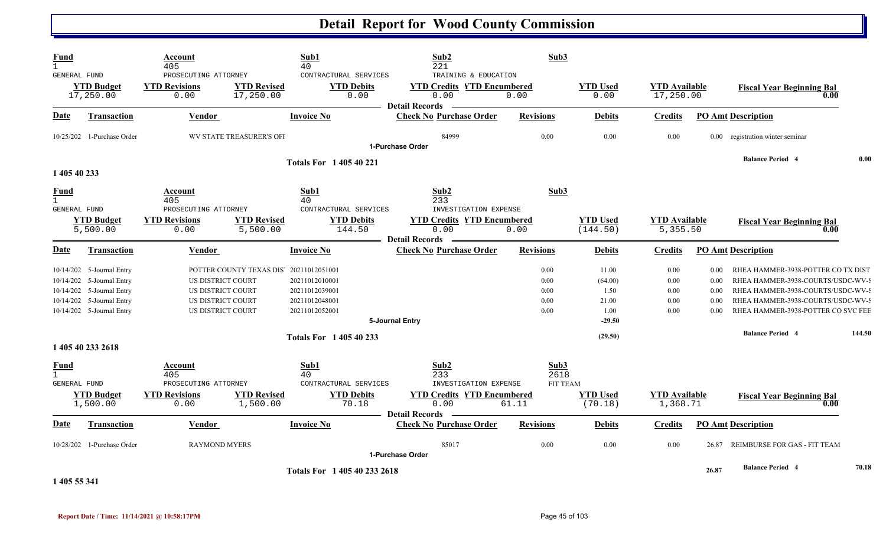| Fund<br><b>GENERAL FUND</b>                        |                                                                                                                                               | Account<br>405<br>PROSECUTING ATTORNEY                                           |                                 | Sub1<br>40<br>CONTRACTURAL SERVICES                                                    | Sub2<br>221<br>TRAINING & EDUCATION                                                                        | Sub3                                          |                                                       |                                      |                                      |                                                                                                                                                                                         |        |
|----------------------------------------------------|-----------------------------------------------------------------------------------------------------------------------------------------------|----------------------------------------------------------------------------------|---------------------------------|----------------------------------------------------------------------------------------|------------------------------------------------------------------------------------------------------------|-----------------------------------------------|-------------------------------------------------------|--------------------------------------|--------------------------------------|-----------------------------------------------------------------------------------------------------------------------------------------------------------------------------------------|--------|
|                                                    | <b>YTD Budget</b><br>17,250.00                                                                                                                | <b>YTD Revisions</b><br>0.00                                                     | <b>YTD Revised</b><br>17,250.00 | <b>YTD Debits</b><br>0.00                                                              | <b>YTD Credits YTD Encumbered</b><br>0.00<br><b>Detail Records</b>                                         | 0.00                                          | <b>YTD Used</b><br>0.00                               | <b>YTD Available</b><br>17,250.00    |                                      | <b>Fiscal Year Beginning Bal</b><br>0.00                                                                                                                                                |        |
| Date                                               | <b>Transaction</b>                                                                                                                            | Vendor                                                                           |                                 | <b>Invoice No</b>                                                                      | <b>Check No Purchase Order</b>                                                                             | <b>Revisions</b>                              | Debits                                                | <b>Credits</b>                       |                                      | <b>PO Amt Description</b>                                                                                                                                                               |        |
|                                                    | 10/25/202 1-Purchase Order                                                                                                                    |                                                                                  | <b>WV STATE TREASURER'S OFI</b> |                                                                                        | 84999<br>1-Purchase Order                                                                                  | 0.00                                          | 0.00                                                  | 0.00                                 |                                      | 0.00 registration winter seminar                                                                                                                                                        |        |
| 1 405 40 233                                       |                                                                                                                                               |                                                                                  |                                 | <b>Totals For 140540221</b>                                                            |                                                                                                            |                                               |                                                       |                                      |                                      | <b>Balance Period 4</b>                                                                                                                                                                 | 0.00   |
| Fund<br>GENERAL FUND                               |                                                                                                                                               | Account<br>405<br>PROSECUTING ATTORNEY                                           |                                 | Sub1<br>40<br>CONTRACTURAL SERVICES                                                    | Sub2<br>233<br>INVESTIGATION EXPENSE                                                                       | Sub3                                          |                                                       |                                      |                                      |                                                                                                                                                                                         |        |
|                                                    | <b>YTD Budget</b><br>5,500.00                                                                                                                 | <b>YTD Revisions</b><br>0.00                                                     | <b>YTD Revised</b><br>5,500.00  | <b>YTD Debits</b><br>144.50                                                            | <b>YTD Credits YTD Encumbered</b><br>0.00<br><b>Detail Records</b>                                         | 0.00                                          | <b>YTD Used</b><br>(144.50)                           | <b>YTD Available</b><br>5,355.50     |                                      | <b>Fiscal Year Beginning Bal</b><br>0.00                                                                                                                                                |        |
| Date                                               | <b>Transaction</b>                                                                                                                            | Vendor                                                                           |                                 | <b>Invoice No</b>                                                                      | <b>Check No Purchase Order</b>                                                                             | <b>Revisions</b>                              | <b>Debits</b>                                         | <b>Credits</b>                       |                                      | <b>PO Amt Description</b>                                                                                                                                                               |        |
|                                                    | 10/14/202 5-Journal Entry<br>10/14/202 5-Journal Entry<br>10/14/202 5-Journal Entry<br>10/14/202 5-Journal Entry<br>10/14/202 5-Journal Entry | US DISTRICT COURT<br>US DISTRICT COURT<br>US DISTRICT COURT<br>US DISTRICT COURT | POTTER COUNTY TEXAS DIS'        | 20211012051001<br>20211012010001<br>20211012039001<br>20211012048001<br>20211012052001 | 5-Journal Entry                                                                                            | 0.00<br>0.00<br>$0.00\,$<br>0.00<br>0.00      | 11.00<br>(64.00)<br>1.50<br>21.00<br>1.00<br>$-29.50$ | 0.00<br>0.00<br>0.00<br>0.00<br>0.00 | 0.00<br>0.00<br>0.00<br>0.00<br>0.00 | RHEA HAMMER-3938-POTTER CO TX DIST<br>RHEA HAMMER-3938-COURTS/USDC-WV-9<br>RHEA HAMMER-3938-COURTS/USDC-WV-S<br>RHEA HAMMER-3938-COURTS/USDC-WV-S<br>RHEA HAMMER-3938-POTTER CO SVC FEE |        |
|                                                    |                                                                                                                                               |                                                                                  |                                 | <b>Totals For 140540233</b>                                                            |                                                                                                            |                                               | (29.50)                                               |                                      |                                      | <b>Balance Period 4</b>                                                                                                                                                                 | 144.50 |
|                                                    | 1 405 40 233 2618                                                                                                                             |                                                                                  |                                 |                                                                                        |                                                                                                            |                                               |                                                       |                                      |                                      |                                                                                                                                                                                         |        |
| <b>Fund</b><br>$\mathbf{1}$<br><b>GENERAL FUND</b> | <b>YTD Budget</b><br>1,500.00                                                                                                                 | Account<br>405<br>PROSECUTING ATTORNEY<br><b>YTD Revisions</b><br>0.00           | <b>YTD Revised</b><br>1,500.00  | Sub1<br>40<br>CONTRACTURAL SERVICES<br><b>YTD Debits</b><br>70.18                      | Sub2<br>233<br>INVESTIGATION EXPENSE<br><b>YTD Credits YTD Encumbered</b><br>0.00<br><b>Detail Records</b> | Sub <sub>3</sub><br>2618<br>FIT TEAM<br>61.11 | <b>YTD Used</b><br>(70.18)                            | <b>YTD Available</b><br>1,368.71     |                                      | <b>Fiscal Year Beginning Bal</b><br>0.00                                                                                                                                                |        |
| Date                                               | Transaction                                                                                                                                   | Vendor                                                                           |                                 | <b>Invoice No</b>                                                                      | <b>Check No Purchase Order</b>                                                                             | <b>Revisions</b>                              | <b>Debits</b>                                         | <b>Credits</b>                       |                                      | <b>PO Amt Description</b>                                                                                                                                                               |        |
|                                                    | 10/28/202 1-Purchase Order                                                                                                                    | <b>RAYMOND MYERS</b>                                                             |                                 |                                                                                        | 85017<br>1-Purchase Order                                                                                  | 0.00                                          | 0.00                                                  | 0.00                                 | 26.87                                | REIMBURSE FOR GAS - FIT TEAM                                                                                                                                                            |        |
| 1 405 55 341                                       |                                                                                                                                               |                                                                                  |                                 | Totals For 1 405 40 233 2618                                                           |                                                                                                            |                                               |                                                       |                                      | 26.87                                | <b>Balance Period 4</b>                                                                                                                                                                 | 70.18  |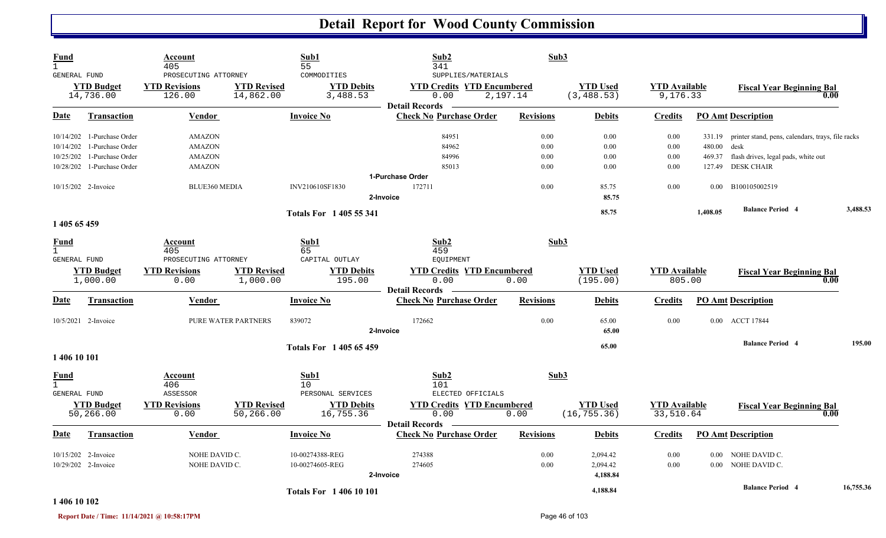| Fund<br>$\mathbf{1}$ |                                | Account<br>405                                         |                                 | Sub1<br>55                                   | Sub2<br>341                                                     | Sub3             |                                |                                  |             |                                                          |           |
|----------------------|--------------------------------|--------------------------------------------------------|---------------------------------|----------------------------------------------|-----------------------------------------------------------------|------------------|--------------------------------|----------------------------------|-------------|----------------------------------------------------------|-----------|
| <b>GENERAL FUND</b>  | <b>YTD Budget</b><br>14,736.00 | PROSECUTING ATTORNEY<br><b>YTD Revisions</b><br>126.00 | <b>YTD Revised</b><br>14,862.00 | COMMODITIES<br><b>YTD Debits</b><br>3,488.53 | SUPPLIES/MATERIALS<br><b>YTD Credits YTD Encumbered</b><br>0.00 | 2,197.14         | <b>YTD Used</b><br>(3, 488.53) | <b>YTD Available</b><br>9,176.33 |             | <b>Fiscal Year Beginning Bal</b>                         | 0.00      |
| Date                 | <b>Transaction</b>             | <b>Vendor</b>                                          |                                 | <b>Invoice No</b>                            | <b>Detail Records</b><br><b>Check No Purchase Order</b>         | <b>Revisions</b> | <b>Debits</b>                  | <b>Credits</b>                   |             | <b>PO Amt Description</b>                                |           |
|                      | 10/14/202 1-Purchase Order     | <b>AMAZON</b>                                          |                                 |                                              | 84951                                                           | 0.00             | 0.00                           | 0.00                             |             | 331.19 printer stand, pens, calendars, trays, file racks |           |
|                      | 10/14/202 1-Purchase Order     | <b>AMAZON</b>                                          |                                 |                                              | 84962                                                           | 0.00             | 0.00                           | 0.00                             | 480.00 desk |                                                          |           |
|                      | 10/25/202 1-Purchase Order     | AMAZON                                                 |                                 |                                              | 84996                                                           | $0.00\,$         | 0.00                           | 0.00                             | 469.37      | flash drives, legal pads, white out                      |           |
|                      | 10/28/202 1-Purchase Order     | <b>AMAZON</b>                                          |                                 |                                              | 85013                                                           | 0.00             | 0.00                           | 0.00                             | 127.49      | <b>DESK CHAIR</b>                                        |           |
|                      |                                |                                                        |                                 |                                              | 1-Purchase Order                                                |                  |                                |                                  |             |                                                          |           |
|                      | 10/15/202 2-Invoice            | BLUE360 MEDIA                                          |                                 | INV210610SF1830                              | 172711                                                          | 0.00             | 85.75                          | 0.00                             | $0.00\,$    | B100105002519                                            |           |
|                      |                                |                                                        |                                 |                                              | 2-Invoice                                                       |                  | 85.75                          |                                  |             |                                                          |           |
|                      |                                |                                                        |                                 | <b>Totals For 140555341</b>                  |                                                                 |                  | 85.75                          |                                  | 1,408.05    | <b>Balance Period 4</b>                                  | 3,488.53  |
| 1 405 65 459         |                                |                                                        |                                 |                                              |                                                                 |                  |                                |                                  |             |                                                          |           |
| Fund<br>$\mathbf{1}$ |                                | Account<br>405                                         |                                 | Sub1<br>65                                   | Sub2<br>459                                                     | Sub3             |                                |                                  |             |                                                          |           |
| GENERAL FUND         |                                | PROSECUTING ATTORNEY                                   |                                 | CAPITAL OUTLAY                               | EQUIPMENT                                                       |                  |                                |                                  |             |                                                          |           |
|                      | <b>YTD Budget</b><br>1,000.00  | <b>YTD Revisions</b><br>0.00                           | <b>YTD Revised</b><br>1,000.00  | <b>YTD Debits</b><br>195.00                  | <b>YTD Credits YTD Encumbered</b><br>0.00                       | 0.00             | <b>YTD Used</b><br>(195.00)    | <b>YTD</b> Available<br>805.00   |             | <b>Fiscal Year Beginning Bal</b>                         | 0.00      |
|                      |                                |                                                        |                                 |                                              | <b>Detail Records</b>                                           |                  |                                |                                  |             |                                                          |           |
| <b>Date</b>          | Transaction                    | Vendor                                                 |                                 | <b>Invoice No</b>                            | <b>Check No Purchase Order</b>                                  | <b>Revisions</b> | <b>Debits</b>                  | <b>Credits</b>                   |             | <b>PO Amt Description</b>                                |           |
|                      | 10/5/2021 2-Invoice            |                                                        | PURE WATER PARTNERS             | 839072                                       | 172662                                                          | 0.00             | 65.00                          | 0.00                             |             | 0.00 ACCT 17844                                          |           |
|                      |                                |                                                        |                                 |                                              | 2-Invoice                                                       |                  | 65.00                          |                                  |             |                                                          |           |
|                      |                                |                                                        |                                 | <b>Totals For 140565459</b>                  |                                                                 |                  | 65.00                          |                                  |             | <b>Balance Period 4</b>                                  | 195.00    |
| 1 406 10 101         |                                |                                                        |                                 |                                              |                                                                 |                  |                                |                                  |             |                                                          |           |
| Fund<br>$\mathbf{1}$ |                                | Account<br>406                                         |                                 | Sub1<br>10                                   | Sub2<br>101                                                     | Sub3             |                                |                                  |             |                                                          |           |
| <b>GENERAL FUND</b>  |                                | ASSESSOR                                               |                                 | PERSONAL SERVICES                            | ELECTED OFFICIALS                                               |                  |                                |                                  |             |                                                          |           |
|                      | <b>YTD Budget</b>              | <b>YTD Revisions</b>                                   | <b>YTD Revised</b>              | <b>YTD Debits</b>                            | <b>YTD Credits YTD Encumbered</b>                               |                  | <b>YTD Used</b>                | <b>YTD Available</b>             |             | <b>Fiscal Year Beginning Bal</b>                         |           |
|                      | 50,266.00                      | 0.00                                                   | 50,266.00                       | 16,755.36                                    | 0.00<br><b>Detail Records</b>                                   | 0.00             | (16, 755.36)                   | 33,510.64                        |             |                                                          | 0.00      |
| Date                 | Transaction                    | Vendor                                                 |                                 | <b>Invoice No</b>                            | <b>Check No Purchase Order</b>                                  | <b>Revisions</b> | <b>Debits</b>                  | <b>Credits</b>                   |             | <b>PO Amt Description</b>                                |           |
|                      | 10/15/202 2-Invoice            | NOHE DAVID C.                                          |                                 | 10-00274388-REG                              | 274388                                                          | 0.00             | 2,094.42                       | 0.00                             |             | 0.00 NOHE DAVID C.                                       |           |
|                      | 10/29/202 2-Invoice            | NOHE DAVID C.                                          |                                 | 10-00274605-REG                              | 274605                                                          | 0.00             | 2,094.42                       | 0.00                             |             | 0.00 NOHE DAVID C.                                       |           |
|                      |                                |                                                        |                                 |                                              | 2-Invoice                                                       |                  | 4,188.84                       |                                  |             |                                                          |           |
|                      |                                |                                                        |                                 |                                              |                                                                 |                  |                                |                                  |             | <b>Balance Period 4</b>                                  | 16,755.36 |
|                      |                                |                                                        |                                 | <b>Totals For 140610101</b>                  |                                                                 |                  | 4,188.84                       |                                  |             |                                                          |           |

#### **1 406 10 102**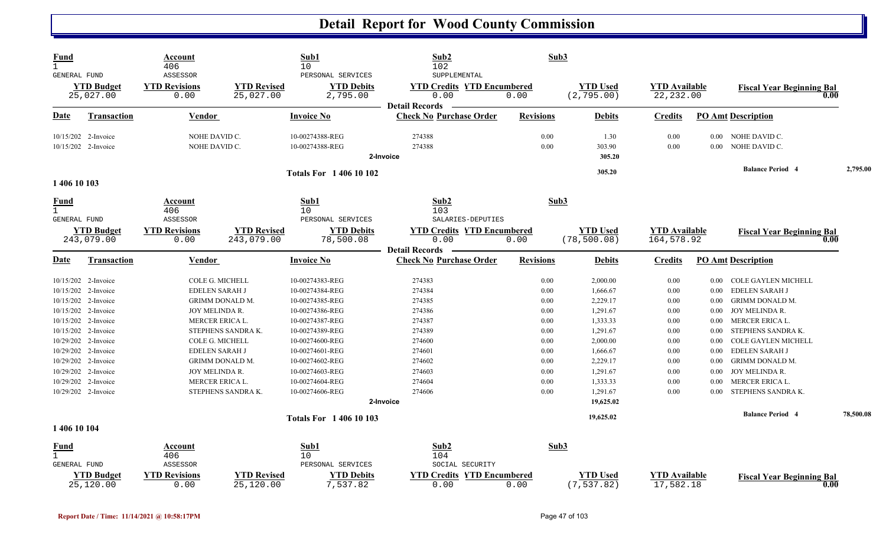| Fund<br>GENERAL FUND                 | <b>YTD Budget</b>                          | Account<br>406<br>ASSESSOR<br><b>YTD Revisions</b> | <b>YTD Revised</b>               | Sub1<br>10<br>PERSONAL SERVICES<br><b>YTD Debits</b> | Sub2<br>102<br>SUPPLEMENTAL<br><b>YTD Credits YTD Encumbered</b>   | Sub3             | <b>YTD Used</b>                 | <b>YTD</b> Available               |              |                                          |           |
|--------------------------------------|--------------------------------------------|----------------------------------------------------|----------------------------------|------------------------------------------------------|--------------------------------------------------------------------|------------------|---------------------------------|------------------------------------|--------------|------------------------------------------|-----------|
|                                      | 25,027.00                                  | 0.00                                               | 25,027.00                        | 2,795.00                                             | 0.00                                                               | 0.00             | (2, 795.00)                     | 22, 232.00                         |              | <b>Fiscal Year Beginning Bal</b><br>0.00 |           |
| Date                                 | Transaction                                | Vendor                                             |                                  | Invoice No                                           | <b>Detail Records</b><br><b>Check No Purchase Order</b>            | <b>Revisions</b> | <b>Debits</b>                   | <b>Credits</b>                     |              | <b>PO Amt Description</b>                |           |
|                                      | 10/15/202 2-Invoice<br>10/15/202 2-Invoice | NOHE DAVID C.<br>NOHE DAVID C.                     |                                  | 10-00274388-REG<br>10-00274388-REG                   | 274388<br>274388                                                   | 0.00<br>0.00     | 1.30<br>303.90                  | 0.00<br>0.00                       | 0.00<br>0.00 | NOHE DAVID C.<br>NOHE DAVID C.           |           |
|                                      |                                            |                                                    |                                  |                                                      | 2-Invoice                                                          |                  | 305.20                          |                                    |              |                                          |           |
| 1 406 10 103                         |                                            |                                                    |                                  | <b>Totals For 140610102</b>                          |                                                                    |                  | 305.20                          |                                    |              | <b>Balance Period 4</b>                  | 2,795.00  |
| Fund<br>$\mathbf{1}$<br>GENERAL FUND |                                            | Account<br>406<br>ASSESSOR                         |                                  | Sub1<br>10 <sup>°</sup><br>PERSONAL SERVICES         | Sub2<br>103<br>SALARIES-DEPUTIES                                   | Sub3             |                                 |                                    |              |                                          |           |
|                                      | <b>YTD Budget</b><br>243,079.00            | <b>YTD Revisions</b><br>0.00                       | <b>YTD Revised</b><br>243,079.00 | <b>YTD Debits</b><br>78,500.08                       | <b>YTD Credits YTD Encumbered</b><br>0.00<br><b>Detail Records</b> | 0.00             | <b>YTD Used</b><br>(78, 500.08) | <b>YTD</b> Available<br>164,578.92 |              | <b>Fiscal Year Beginning Bal</b><br>0.00 |           |
| <b>Date</b>                          | <b>Transaction</b>                         | Vendor                                             |                                  | <b>Invoice No</b>                                    | <b>Check No Purchase Order</b>                                     | <b>Revisions</b> | <b>Debits</b>                   | <b>Credits</b>                     |              | <b>PO Amt Description</b>                |           |
|                                      | 10/15/202 2-Invoice                        |                                                    | COLE G. MICHELL                  | 10-00274383-REG                                      | 274383                                                             | 0.00             | 2,000.00                        | 0.00                               | $0.00\,$     | COLE GAYLEN MICHELL                      |           |
|                                      | 10/15/202 2-Invoice                        | EDELEN SARAH J                                     |                                  | 10-00274384-REG                                      | 274384                                                             | 0.00             | 1,666.67                        | 0.00                               | 0.00         | <b>EDELEN SARAH J</b>                    |           |
|                                      | 10/15/202 2-Invoice                        |                                                    | GRIMM DONALD M.                  | 10-00274385-REG                                      | 274385                                                             | 0.00             | 2,229.17                        | 0.00                               | 0.00         | <b>GRIMM DONALD M.</b>                   |           |
|                                      | 10/15/202 2-Invoice                        | JOY MELINDA R.                                     |                                  | 10-00274386-REG                                      | 274386                                                             | 0.00             | 1,291.67                        | 0.00                               | $0.00\,$     | JOY MELINDA R.                           |           |
|                                      | 10/15/202 2-Invoice                        | MERCER ERICA L.                                    |                                  | 10-00274387-REG                                      | 274387                                                             | 0.00             | 1,333.33                        | 0.00                               | 0.00         | MERCER ERICA L.                          |           |
|                                      | 10/15/202 2-Invoice                        |                                                    | STEPHENS SANDRA K.               | 10-00274389-REG                                      | 274389                                                             | 0.00             | 1,291.67                        | 0.00                               | 0.00         | STEPHENS SANDRA K.                       |           |
|                                      | 10/29/202 2-Invoice                        | COLE G. MICHELL                                    |                                  | 10-00274600-REG                                      | 274600                                                             | 0.00             | 2,000.00                        | 0.00                               | 0.00         | <b>COLE GAYLEN MICHELL</b>               |           |
|                                      | 10/29/202 2-Invoice                        | EDELEN SARAH J                                     |                                  | 10-00274601-REG                                      | 274601                                                             | 0.00             | 1,666.67                        | 0.00                               | 0.00         | <b>EDELEN SARAH J</b>                    |           |
|                                      | 10/29/202 2-Invoice                        |                                                    | GRIMM DONALD M.                  | 10-00274602-REG                                      | 274602                                                             | 0.00             | 2,229.17                        | 0.00                               | 0.00         | <b>GRIMM DONALD M.</b>                   |           |
|                                      | 10/29/202 2-Invoice                        | JOY MELINDA R.                                     |                                  | 10-00274603-REG                                      | 274603                                                             | 0.00             | 1,291.67                        | 0.00                               | 0.00         | JOY MELINDA R.                           |           |
|                                      | 10/29/202 2-Invoice                        | MERCER ERICA L.                                    |                                  | 10-00274604-REG                                      | 274604                                                             | 0.00             | 1,333.33                        | 0.00                               | 0.00         | MERCER ERICA L.                          |           |
|                                      | 10/29/202 2-Invoice                        |                                                    | STEPHENS SANDRA K.               | 10-00274606-REG                                      | 274606                                                             | 0.00             | 1,291.67                        | 0.00                               | 0.00         | STEPHENS SANDRA K.                       |           |
|                                      |                                            |                                                    |                                  |                                                      | 2-Invoice                                                          |                  | 19,625.02                       |                                    |              |                                          |           |
| 1 406 10 104                         |                                            |                                                    |                                  | <b>Totals For 1 406 10 103</b>                       |                                                                    |                  | 19,625.02                       |                                    |              | <b>Balance Period 4</b>                  | 78,500.08 |
| <b>Fund</b>                          |                                            | Account                                            |                                  | Sub1                                                 | Sub2                                                               | Sub3             |                                 |                                    |              |                                          |           |
| $\mathbf{1}$                         |                                            | 406                                                |                                  | 10                                                   | 104                                                                |                  |                                 |                                    |              |                                          |           |
| <b>GENERAL FUND</b>                  |                                            | ASSESSOR                                           |                                  | PERSONAL SERVICES                                    | SOCIAL SECURITY                                                    |                  |                                 |                                    |              |                                          |           |
|                                      | <b>YTD Budget</b><br>25,120.00             | <b>YTD Revisions</b><br>0.00                       | <b>YTD Revised</b><br>25,120.00  | <b>YTD Debits</b><br>7,537.82                        | <b>YTD Credits</b><br><b>YTD Encumbered</b><br>0.00                | 0.00             | <b>YTD Used</b><br>(7, 537.82)  | <b>YTD Available</b><br>17,582.18  |              | <b>Fiscal Year Beginning Bal</b><br>0.00 |           |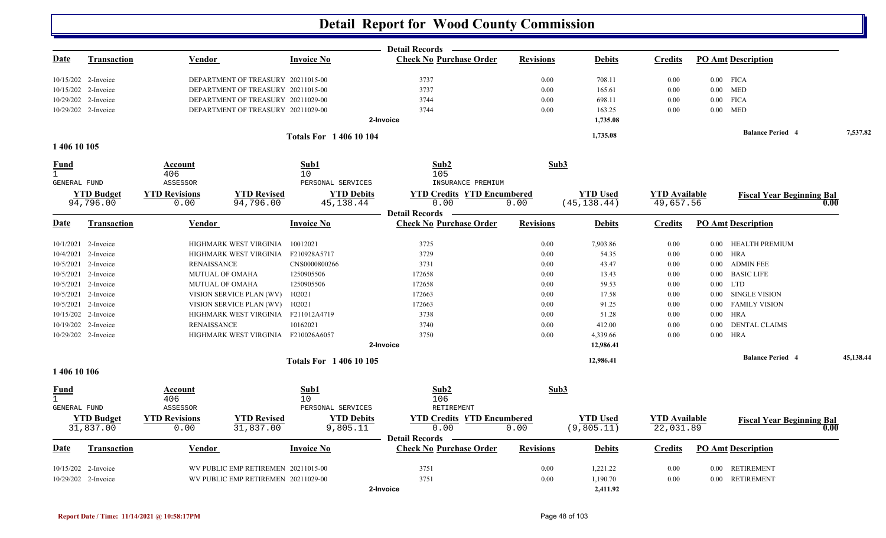|              |                     |                      |                                     |                             | <b>Detail Records</b>             |                  |                 |                      |          |                                  |           |
|--------------|---------------------|----------------------|-------------------------------------|-----------------------------|-----------------------------------|------------------|-----------------|----------------------|----------|----------------------------------|-----------|
| Date         | <b>Transaction</b>  | <b>Vendor</b>        |                                     | <b>Invoice No</b>           | <b>Check No Purchase Order</b>    | <b>Revisions</b> | <b>Debits</b>   | <b>Credits</b>       |          | <b>PO Amt Description</b>        |           |
|              | 10/15/202 2-Invoice |                      | DEPARTMENT OF TREASURY 20211015-00  |                             | 3737                              | 0.00             | 708.11          | 0.00                 |          | $0.00$ FICA                      |           |
|              | 10/15/202 2-Invoice |                      | DEPARTMENT OF TREASURY 20211015-00  |                             | 3737                              | 0.00             | 165.61          | 0.00                 |          | $0.00$ MED                       |           |
|              | 10/29/202 2-Invoice |                      | DEPARTMENT OF TREASURY 20211029-00  |                             | 3744                              | 0.00             | 698.11          | 0.00                 |          | $0.00$ FICA                      |           |
|              | 10/29/202 2-Invoice |                      | DEPARTMENT OF TREASURY 20211029-00  |                             | 3744                              | 0.00             | 163.25          | 0.00                 |          | $0.00$ MED                       |           |
|              |                     |                      |                                     |                             | 2-Invoice                         |                  | 1,735.08        |                      |          |                                  |           |
|              |                     |                      |                                     | <b>Totals For 140610104</b> |                                   |                  | 1,735.08        |                      |          | <b>Balance Period 4</b>          | 7,537.82  |
| 1 406 10 105 |                     |                      |                                     |                             |                                   |                  |                 |                      |          |                                  |           |
| Fund         |                     | Account              |                                     | Sub1                        | Sub2                              | Sub3             |                 |                      |          |                                  |           |
|              |                     | 406                  |                                     | 10                          | 105                               |                  |                 |                      |          |                                  |           |
| GENERAL FUND |                     | ASSESSOR             |                                     | PERSONAL SERVICES           | INSURANCE PREMIUM                 |                  |                 |                      |          |                                  |           |
|              | <b>YTD Budget</b>   | <b>YTD Revisions</b> | <b>YTD Revised</b>                  | <b>YTD Debits</b>           | <b>YTD Credits YTD Encumbered</b> |                  | <b>YTD</b> Used | <b>YTD Available</b> |          | <b>Fiscal Year Beginning Bal</b> |           |
|              | 94,796.00           | 0.00                 | 94,796.00                           | 45, 138. 44                 | 0.00<br><b>Detail Records</b>     | 0.00             | (45, 138.44)    | 49,657.56            |          |                                  | 0.00      |
| Date         | <b>Transaction</b>  | <b>Vendor</b>        |                                     | <b>Invoice No</b>           | <b>Check No Purchase Order</b>    | <b>Revisions</b> | <b>Debits</b>   | <b>Credits</b>       |          | <b>PO Amt Description</b>        |           |
|              | 10/1/2021 2-Invoice |                      | HIGHMARK WEST VIRGINIA              | 10012021                    | 3725                              | 0.00             | 7,903.86        | 0.00                 |          | 0.00 HEALTH PREMIUM              |           |
|              | 10/4/2021 2-Invoice |                      | HIGHMARK WEST VIRGINIA              | F210928A5717                | 3729                              | 0.00             | 54.35           | 0.00                 |          | $0.00$ HRA                       |           |
|              | 10/5/2021 2-Invoice | <b>RENAISSANCE</b>   |                                     | CNS0000800266               | 3731                              | 0.00             | 43.47           | 0.00                 | 0.00     | <b>ADMIN FEE</b>                 |           |
|              | 10/5/2021 2-Invoice |                      | MUTUAL OF OMAHA                     | 1250905506                  | 172658                            | 0.00             | 13.43           | 0.00                 |          | 0.00 BASIC LIFE                  |           |
|              | 10/5/2021 2-Invoice |                      | MUTUAL OF OMAHA                     | 1250905506                  | 172658                            | 0.00             | 59.53           | 0.00                 |          | $0.00$ LTD                       |           |
|              | 10/5/2021 2-Invoice |                      | VISION SERVICE PLAN (WV)            | 102021                      | 172663                            | 0.00             | 17.58           | 0.00                 | 0.00     | <b>SINGLE VISION</b>             |           |
|              | 10/5/2021 2-Invoice |                      | VISION SERVICE PLAN (WV)            | 102021                      | 172663                            | 0.00             | 91.25           | 0.00                 |          | 0.00 FAMILY VISION               |           |
|              | 10/15/202 2-Invoice |                      | HIGHMARK WEST VIRGINIA              | F211012A4719                | 3738                              | 0.00             | 51.28           | 0.00                 | 0.00     | <b>HRA</b>                       |           |
|              | 10/19/202 2-Invoice | <b>RENAISSANCE</b>   |                                     | 10162021                    | 3740                              | 0.00             | 412.00          | 0.00                 | $0.00\,$ | <b>DENTAL CLAIMS</b>             |           |
|              | 10/29/202 2-Invoice |                      | HIGHMARK WEST VIRGINIA              | F210026A6057                | 3750                              | 0.00             | 4,339.66        | 0.00                 |          | $0.00$ HRA                       |           |
|              |                     |                      |                                     |                             | 2-Invoice                         |                  | 12,986.41       |                      |          |                                  |           |
|              |                     |                      |                                     | <b>Totals For 140610105</b> |                                   |                  | 12,986.41       |                      |          | <b>Balance Period 4</b>          | 45,138.44 |
| 1 406 10 106 |                     |                      |                                     |                             |                                   |                  |                 |                      |          |                                  |           |
| Fund         |                     | Account              |                                     | Sub1                        | Sub2                              | Sub3             |                 |                      |          |                                  |           |
| $\mathbf{1}$ |                     | 406                  |                                     | 10                          | 106                               |                  |                 |                      |          |                                  |           |
| GENERAL FUND |                     | ASSESSOR             |                                     | PERSONAL SERVICES           | RETIREMENT                        |                  |                 |                      |          |                                  |           |
|              | <b>YTD Budget</b>   | <b>YTD Revisions</b> | <b>YTD Revised</b>                  | <b>YTD Debits</b>           | <b>YTD Credits YTD Encumbered</b> |                  | <b>YTD Used</b> | <b>YTD</b> Available |          | <b>Fiscal Year Beginning Bal</b> |           |
|              | 31,837.00           | 0.00                 | 31,837.00                           | 9,805.11                    | 0.00<br><b>Detail Records</b>     | 0.00             | (9,805.11)      | 22,031.89            |          |                                  | 0.00      |
| Date         | Transaction         | Vendor               |                                     | <b>Invoice No</b>           | <b>Check No Purchase Order</b>    | <b>Revisions</b> | <b>Debits</b>   | <b>Credits</b>       |          | <b>PO Amt Description</b>        |           |
|              | 10/15/202 2-Invoice |                      | WV PUBLIC EMP RETIREMEN 20211015-00 |                             | 3751                              | 0.00             | 1,221.22        | 0.00                 |          | 0.00 RETIREMENT                  |           |
|              | 10/29/202 2-Invoice |                      | WV PUBLIC EMP RETIREMEN 20211029-00 |                             | 3751                              | 0.00             | 1,190.70        | 0.00                 |          | 0.00 RETIREMENT                  |           |
|              |                     |                      |                                     |                             | 2-Invoice                         |                  | 2,411.92        |                      |          |                                  |           |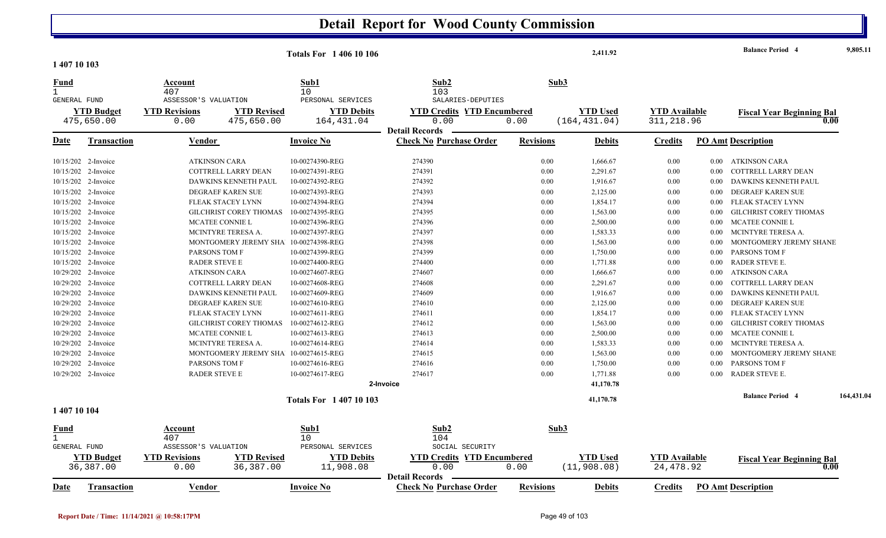| 1 407 10 103                                |                                 |                                        |                                       | <b>Totals For 140610106</b>                  |                                                                    |                  |      | 2,411.92                         |                                     |          | <b>Balance Period 4</b>                  | 9,805.11   |
|---------------------------------------------|---------------------------------|----------------------------------------|---------------------------------------|----------------------------------------------|--------------------------------------------------------------------|------------------|------|----------------------------------|-------------------------------------|----------|------------------------------------------|------------|
| <b>Fund</b><br>$\mathbf{1}$<br>GENERAL FUND |                                 | Account<br>407<br>ASSESSOR'S VALUATION |                                       | Sub1<br>10 <sup>°</sup><br>PERSONAL SERVICES | Sub2<br>103<br>SALARIES-DEPUTIES                                   |                  | Sub3 |                                  |                                     |          |                                          |            |
|                                             | <b>YTD Budget</b><br>475,650.00 | <b>YTD Revisions</b><br>0.00           | <b>YTD Revised</b><br>475,650.00      | <b>YTD Debits</b><br>164,431.04              | <b>YTD Credits YTD Encumbered</b><br>0.00<br><b>Detail Records</b> | 0.00             |      | <b>YTD Used</b><br>(164, 431.04) | <b>YTD Available</b><br>311, 218.96 |          | <b>Fiscal Year Beginning Bal</b><br>0.00 |            |
| <u>Date</u>                                 | Transaction                     | Vendor                                 |                                       | <b>Invoice No</b>                            | <b>Check No Purchase Order</b>                                     | <b>Revisions</b> |      | <b>Debits</b>                    | <b>Credits</b>                      |          | <b>PO Amt Description</b>                |            |
|                                             | 10/15/202 2-Invoice             | <b>ATKINSON CARA</b>                   |                                       | 10-00274390-REG                              | 274390                                                             |                  | 0.00 | 1,666.67                         | 0.00                                | $0.00\,$ | ATKINSON CARA                            |            |
|                                             | 10/15/202 2-Invoice             |                                        | COTTRELL LARRY DEAN                   | 10-00274391-REG                              | 274391                                                             |                  | 0.00 | 2,291.67                         | 0.00                                | 0.00     | COTTRELL LARRY DEAN                      |            |
|                                             | 10/15/202 2-Invoice             |                                        | DAWKINS KENNETH PAUL                  | 10-00274392-REG                              | 274392                                                             |                  | 0.00 | 1,916.67                         | 0.00                                | 0.00     | DAWKINS KENNETH PAUL                     |            |
|                                             | 10/15/202 2-Invoice             |                                        | DEGRAEF KAREN SUE                     | 10-00274393-REG                              | 274393                                                             |                  | 0.00 | 2,125.00                         | 0.00                                | 0.00     | DEGRAEF KAREN SUE                        |            |
|                                             | 10/15/202 2-Invoice             |                                        | FLEAK STACEY LYNN                     | 10-00274394-REG                              | 274394                                                             |                  | 0.00 | 1,854.17                         | 0.00                                | 0.00     | FLEAK STACEY LYNN                        |            |
|                                             | 10/15/202 2-Invoice             |                                        | GILCHRIST COREY THOMAS                | 10-00274395-REG                              | 274395                                                             |                  | 0.00 | 1,563.00                         | 0.00                                | 0.00     | <b>GILCHRIST COREY THOMAS</b>            |            |
|                                             | 10/15/202 2-Invoice             |                                        | MCATEE CONNIE L                       | 10-00274396-REG                              | 274396                                                             |                  | 0.00 | 2,500.00                         | 0.00                                | 0.00     | <b>MCATEE CONNIE L</b>                   |            |
|                                             | 10/15/202 2-Invoice             |                                        | MCINTYRE TERESA A.                    | 10-00274397-REG                              | 274397                                                             |                  | 0.00 | 1,583.33                         | 0.00                                | $0.00\,$ | MCINTYRE TERESA A.                       |            |
|                                             | 10/15/202 2-Invoice             |                                        | MONTGOMERY JEREMY SHA 10-00274398-REG |                                              | 274398                                                             |                  | 0.00 | 1,563.00                         | 0.00                                | 0.00     | MONTGOMERY JEREMY SHANE                  |            |
|                                             | 10/15/202 2-Invoice             | PARSONS TOM F                          |                                       | 10-00274399-REG                              | 274399                                                             |                  | 0.00 | 1,750.00                         | 0.00                                | 0.00     | PARSONS TOM F                            |            |
|                                             | 10/15/202 2-Invoice             | RADER STEVE E                          |                                       | 10-00274400-REG                              | 274400                                                             |                  | 0.00 | 1,771.88                         | 0.00                                | $0.00\,$ | RADER STEVE E.                           |            |
|                                             | 10/29/202 2-Invoice             | <b>ATKINSON CARA</b>                   |                                       | 10-00274607-REG                              | 274607                                                             |                  | 0.00 | 1,666.67                         | 0.00                                | 0.00     | ATKINSON CARA                            |            |
|                                             | 10/29/202 2-Invoice             |                                        | COTTRELL LARRY DEAN                   | 10-00274608-REG                              | 274608                                                             |                  | 0.00 | 2,291.67                         | 0.00                                | 0.00     | COTTRELL LARRY DEAN                      |            |
|                                             | 10/29/202 2-Invoice             |                                        | DAWKINS KENNETH PAUL                  | 10-00274609-REG                              | 274609                                                             |                  | 0.00 | 1,916.67                         | 0.00                                | 0.00     | DAWKINS KENNETH PAUL                     |            |
|                                             | 10/29/202 2-Invoice             |                                        | DEGRAEF KAREN SUE                     | 10-00274610-REG                              | 274610                                                             |                  | 0.00 | 2,125.00                         | 0.00                                | 0.00     | DEGRAEF KAREN SUE                        |            |
|                                             | 10/29/202 2-Invoice             |                                        | FLEAK STACEY LYNN                     | 10-00274611-REG                              | 274611                                                             |                  | 0.00 | 1,854.17                         | 0.00                                | 0.00     | FLEAK STACEY LYNN                        |            |
|                                             | 10/29/202 2-Invoice             |                                        | <b>GILCHRIST COREY THOMAS</b>         | 10-00274612-REG                              | 274612                                                             |                  | 0.00 | 1,563.00                         | 0.00                                | 0.00     | <b>GILCHRIST COREY THOMAS</b>            |            |
|                                             | 10/29/202 2-Invoice             |                                        | MCATEE CONNIE L                       | 10-00274613-REG                              | 274613                                                             |                  | 0.00 | 2,500.00                         | 0.00                                | 0.00     | MCATEE CONNIE L                          |            |
|                                             | 10/29/202 2-Invoice             |                                        | MCINTYRE TERESA A.                    | 10-00274614-REG                              | 274614                                                             |                  | 0.00 | 1,583.33                         | 0.00                                | 0.00     | MCINTYRE TERESA A.                       |            |
|                                             | 10/29/202 2-Invoice             |                                        | MONTGOMERY JEREMY SHA 10-00274615-REG |                                              | 274615                                                             |                  | 0.00 | 1,563.00                         | 0.00                                | 0.00     | MONTGOMERY JEREMY SHANE                  |            |
|                                             | 10/29/202 2-Invoice             | PARSONS TOM F                          |                                       | 10-00274616-REG                              | 274616                                                             |                  | 0.00 | 1,750.00                         | 0.00                                | 0.00     | PARSONS TOM F                            |            |
|                                             | 10/29/202 2-Invoice             | <b>RADER STEVE E</b>                   |                                       | 10-00274617-REG                              | 274617                                                             |                  | 0.00 | 1,771.88                         | 0.00                                | 0.00     | RADER STEVE E.                           |            |
|                                             |                                 |                                        |                                       |                                              | 2-Invoice                                                          |                  |      | 41,170.78                        |                                     |          |                                          |            |
|                                             |                                 |                                        |                                       | <b>Totals For 140710103</b>                  |                                                                    |                  |      | 41,170.78                        |                                     |          | <b>Balance Period 4</b>                  | 164,431.04 |
| 1 407 10 104                                |                                 |                                        |                                       |                                              |                                                                    |                  |      |                                  |                                     |          |                                          |            |
| <u>Fund</u><br>$\mathbf{1}$                 |                                 | Account<br>407                         |                                       | Sub1<br>10 <sup>°</sup>                      | Sub2<br>104                                                        |                  | Sub3 |                                  |                                     |          |                                          |            |
| GENERAL FUND                                |                                 | ASSESSOR'S VALUATION                   |                                       | PERSONAL SERVICES                            | SOCIAL SECURITY                                                    |                  |      |                                  |                                     |          |                                          |            |
|                                             | <b>YTD Budget</b><br>36,387.00  | <b>YTD Revisions</b><br>0.00           | <b>YTD Revised</b><br>36, 387.00      | <b>YTD Debits</b><br>11,908.08               | <b>YTD Credits YTD Encumbered</b><br>0.00                          | 0.00             |      | <b>YTD Used</b><br>(11, 908.08)  | <b>YTD Available</b><br>24, 478.92  |          | <b>Fiscal Year Beginning Bal</b><br>0.00 |            |
|                                             |                                 |                                        |                                       |                                              | - Detail Records                                                   |                  |      |                                  |                                     |          |                                          |            |

**Vendor Invoice NoTransaction**

**Vendor Invoice No** 

**Date**

**Purchase Order Revisions Debits Credits PO Amt Description**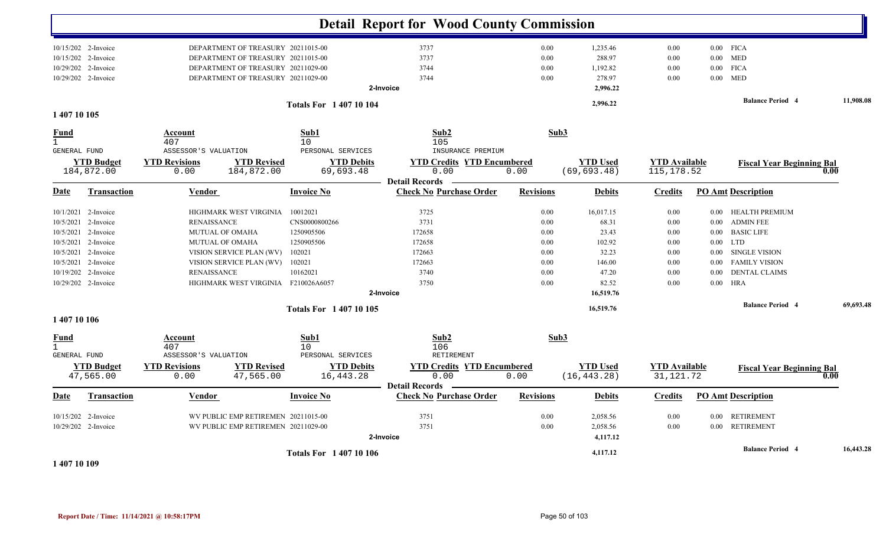|                               |                     |                        |                                     |                             | <b>Detail Report for Wood County Commission</b>         |                  |                 |                      |          |                                  |           |
|-------------------------------|---------------------|------------------------|-------------------------------------|-----------------------------|---------------------------------------------------------|------------------|-----------------|----------------------|----------|----------------------------------|-----------|
|                               | 10/15/202 2-Invoice |                        | DEPARTMENT OF TREASURY 20211015-00  |                             | 3737                                                    | $0.00\,$         | 1,235.46        | 0.00                 |          | $0.00$ FICA                      |           |
|                               | 10/15/202 2-Invoice |                        | DEPARTMENT OF TREASURY 20211015-00  |                             | 3737                                                    | 0.00             | 288.97          | 0.00                 |          | $0.00\quad \, \mathrm{MED}$      |           |
|                               | 10/29/202 2-Invoice |                        | DEPARTMENT OF TREASURY 20211029-00  |                             | 3744                                                    | 0.00             | 1,192.82        | 0.00                 |          | $0.00$ FICA                      |           |
|                               | 10/29/202 2-Invoice |                        | DEPARTMENT OF TREASURY 20211029-00  |                             | 3744                                                    | 0.00             | 278.97          | 0.00                 |          | $0.00$ MED                       |           |
|                               |                     |                        |                                     |                             | 2-Invoice                                               |                  | 2,996.22        |                      |          |                                  |           |
|                               |                     |                        |                                     | <b>Totals For 140710104</b> |                                                         |                  | 2,996.22        |                      |          | <b>Balance Period 4</b>          | 11,908.08 |
| 1 407 10 105                  |                     |                        |                                     |                             |                                                         |                  |                 |                      |          |                                  |           |
| <b>Fund</b><br>$\overline{1}$ |                     | Account<br>407         |                                     | Sub1<br>10                  | Sub2<br>105                                             |                  | Sub3            |                      |          |                                  |           |
| GENERAL FUND                  |                     | ASSESSOR'S VALUATION   |                                     | PERSONAL SERVICES           | INSURANCE PREMIUM                                       |                  |                 |                      |          |                                  |           |
|                               | <b>YTD Budget</b>   | <b>YTD Revisions</b>   | <b>YTD Revised</b>                  | <b>YTD Debits</b>           | <b>YTD Credits YTD Encumbered</b>                       |                  | <b>YTD</b> Used | <b>YTD Available</b> |          | <b>Fiscal Year Beginning Bal</b> |           |
|                               | 184,872.00          | 0.00                   | 184,872.00                          | 69,693.48                   | 0.00                                                    | 0.00             | (69, 693.48)    | 115, 178.52          |          |                                  | 0.00      |
| Date                          | <b>Transaction</b>  | Vendor                 |                                     | <b>Invoice No</b>           | <b>Detail Records</b><br><b>Check No Purchase Order</b> | <b>Revisions</b> | <b>Debits</b>   | <b>Credits</b>       |          | <b>PO Amt Description</b>        |           |
|                               | 10/1/2021 2-Invoice |                        | HIGHMARK WEST VIRGINIA              | 10012021                    | 3725                                                    | 0.00             | 16,017.15       | 0.00                 |          | 0.00 HEALTH PREMIUM              |           |
|                               | 10/5/2021 2-Invoice | <b>RENAISSANCE</b>     |                                     | CNS0000800266               | 3731                                                    | 0.00             | 68.31           | 0.00                 | 0.00     | <b>ADMIN FEE</b>                 |           |
| 10/5/2021                     | 2-Invoice           | <b>MUTUAL OF OMAHA</b> |                                     | 1250905506                  | 172658                                                  | 0.00             | 23.43           | 0.00                 | 0.00     | <b>BASIC LIFE</b>                |           |
|                               | 10/5/2021 2-Invoice | MUTUAL OF OMAHA        |                                     | 1250905506                  | 172658                                                  | 0.00             | 102.92          | 0.00                 |          | $0.00$ LTD                       |           |
|                               | 10/5/2021 2-Invoice |                        | VISION SERVICE PLAN (WV)            | 102021                      | 172663                                                  | 0.00             | 32.23           | 0.00                 | 0.00     | <b>SINGLE VISION</b>             |           |
|                               | 10/5/2021 2-Invoice |                        | VISION SERVICE PLAN (WV)            | 102021                      | 172663                                                  | 0.00             | 146.00          | 0.00                 | 0.00     | <b>FAMILY VISION</b>             |           |
|                               | 10/19/202 2-Invoice | <b>RENAISSANCE</b>     |                                     | 10162021                    | 3740                                                    | 0.00             | 47.20           | 0.00                 | 0.00     | <b>DENTAL CLAIMS</b>             |           |
|                               | 10/29/202 2-Invoice |                        | HIGHMARK WEST VIRGINIA F210026A6057 |                             | 3750                                                    | 0.00             | 82.52           | 0.00                 | $0.00\,$ | HRA                              |           |
|                               |                     |                        |                                     |                             | 2-Invoice                                               |                  | 16,519.76       |                      |          |                                  |           |
|                               |                     |                        |                                     | <b>Totals For 140710105</b> |                                                         |                  | 16,519.76       |                      |          | <b>Balance Period 4</b>          | 69,693.48 |
| 1 407 10 106                  |                     |                        |                                     |                             |                                                         |                  |                 |                      |          |                                  |           |
| <b>Fund</b><br>$\mathbf{1}$   |                     | Account<br>407         |                                     | Sub1<br>10                  | Sub2<br>106                                             |                  | Sub3            |                      |          |                                  |           |
| GENERAL FUND                  |                     | ASSESSOR'S VALUATION   |                                     | PERSONAL SERVICES           | RETIREMENT                                              |                  |                 |                      |          |                                  |           |
|                               | <b>YTD Budget</b>   | <b>YTD Revisions</b>   | <b>YTD Revised</b>                  | <b>YTD Debits</b>           | <b>YTD Credits YTD Encumbered</b>                       |                  | <b>YTD Used</b> | <b>YTD Available</b> |          | <b>Fiscal Year Beginning Bal</b> |           |
|                               | 47,565.00           | 0.00                   | 47,565.00                           | 16,443.28                   | 0.00                                                    | 0.00             | (16, 443.28)    | 31, 121. 72          |          |                                  | 0.00      |
| Date                          | <b>Transaction</b>  | <u>Vendor</u>          |                                     | <b>Invoice No</b>           | <b>Detail Records</b><br><b>Check No Purchase Order</b> | <b>Revisions</b> | <b>Debits</b>   | <b>Credits</b>       |          | <b>PO Amt Description</b>        |           |
|                               | 10/15/202 2-Invoice |                        | WV PUBLIC EMP RETIREMEN 20211015-00 |                             | 3751                                                    | 0.00             | 2,058.56        | 0.00                 |          | 0.00 RETIREMENT                  |           |
|                               | 10/29/202 2-Invoice |                        | WV PUBLIC EMP RETIREMEN 20211029-00 |                             | 3751                                                    | 0.00             | 2,058.56        | 0.00                 |          | 0.00 RETIREMENT                  |           |
|                               |                     |                        |                                     |                             | 2-Invoice                                               |                  | 4,117.12        |                      |          |                                  |           |
|                               |                     |                        |                                     |                             |                                                         |                  | 4,117.12        |                      |          | <b>Balance Period 4</b>          | 16,443.28 |
| 4.10730300                    |                     |                        |                                     | <b>Totals For 140710106</b> |                                                         |                  |                 |                      |          |                                  |           |

**1 407 10 109**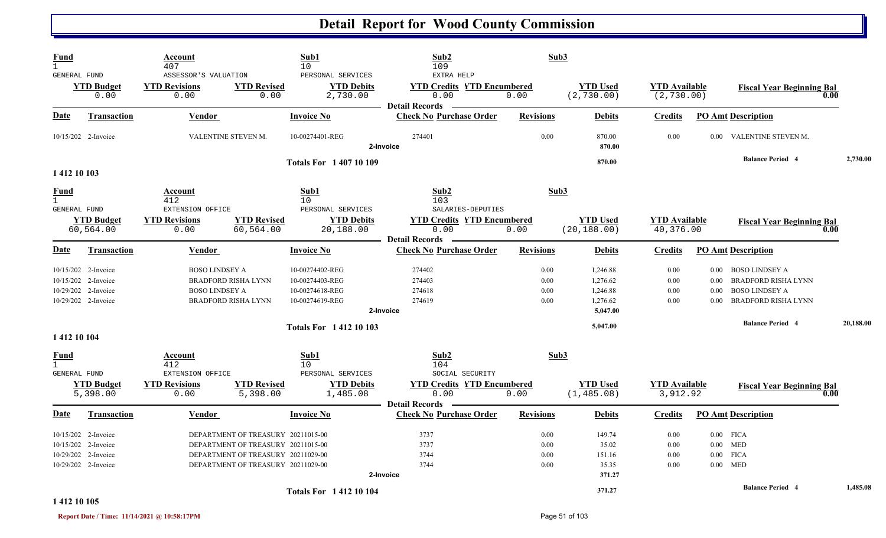| Fund<br>$\mathbf{1}$                               |                                                                                          | Account<br>407                                       |                                                                                                                                                      | Sub1<br>10                                                               | Sub2<br>109                                                        | Sub3                         |                                                          |                                     |                                                        |                                                                                                   |      |           |
|----------------------------------------------------|------------------------------------------------------------------------------------------|------------------------------------------------------|------------------------------------------------------------------------------------------------------------------------------------------------------|--------------------------------------------------------------------------|--------------------------------------------------------------------|------------------------------|----------------------------------------------------------|-------------------------------------|--------------------------------------------------------|---------------------------------------------------------------------------------------------------|------|-----------|
| <b>GENERAL FUND</b>                                | <b>YTD Budget</b><br>0.00                                                                | ASSESSOR'S VALUATION<br><b>YTD Revisions</b><br>0.00 | <b>YTD Revised</b><br>0.00                                                                                                                           | PERSONAL SERVICES<br><b>YTD Debits</b><br>2,730.00                       | EXTRA HELP<br><b>YTD Credits YTD Encumbered</b><br>0.00            | 0.00                         | <b>YTD Used</b><br>(2, 730.00)                           | <b>YTD Available</b><br>(2, 730.00) |                                                        | <b>Fiscal Year Beginning Bal</b>                                                                  | 0.00 |           |
| <b>Date</b>                                        | <b>Transaction</b>                                                                       | <b>Vendor</b>                                        |                                                                                                                                                      | <b>Invoice No</b>                                                        | <b>Detail Records</b><br><b>Check No Purchase Order</b>            | <b>Revisions</b>             | <b>Debits</b>                                            | <b>Credits</b>                      |                                                        | <b>PO Amt Description</b>                                                                         |      |           |
|                                                    | 10/15/202 2-Invoice                                                                      |                                                      | VALENTINE STEVEN M.                                                                                                                                  | 10-00274401-REG                                                          | 274401<br>2-Invoice                                                | 0.00                         | 870.00<br>870.00                                         | 0.00                                |                                                        | 0.00 VALENTINE STEVEN M.                                                                          |      |           |
| 1 412 10 103                                       |                                                                                          |                                                      |                                                                                                                                                      | <b>Totals For 140710109</b>                                              |                                                                    |                              | 870.00                                                   |                                     |                                                        | <b>Balance Period 4</b>                                                                           |      | 2,730.00  |
| <u>Fund</u><br>$\mathbf{1}$<br><b>GENERAL FUND</b> |                                                                                          | Account<br>412<br>EXTENSION OFFICE                   |                                                                                                                                                      | Sub1<br>10<br>PERSONAL SERVICES                                          | Sub <sub>2</sub><br>103<br>SALARIES-DEPUTIES                       | Sub3                         |                                                          |                                     |                                                        |                                                                                                   |      |           |
|                                                    | <b>YTD Budget</b><br>60,564.00                                                           | <b>YTD Revisions</b><br>0.00                         | <b>YTD Revised</b><br>60,564.00                                                                                                                      | <b>YTD Debits</b><br>20,188.00                                           | <b>YTD Credits YTD Encumbered</b><br>0.00<br><b>Detail Records</b> | 0.00                         | <b>YTD Used</b><br>(20, 188.00)                          | <b>YTD</b> Available<br>40,376.00   |                                                        | <b>Fiscal Year Beginning Bal</b>                                                                  | 0.00 |           |
| Date                                               | <b>Transaction</b>                                                                       | Vendor                                               |                                                                                                                                                      | <b>Invoice No</b>                                                        | <b>Check No Purchase Order</b>                                     | <b>Revisions</b>             | <b>Debits</b>                                            | <b>Credits</b>                      |                                                        | <b>PO Amt Description</b>                                                                         |      |           |
|                                                    | 10/15/202 2-Invoice<br>10/15/202 2-Invoice<br>10/29/202 2-Invoice<br>10/29/202 2-Invoice | <b>BOSO LINDSEY A</b><br><b>BOSO LINDSEY A</b>       | <b>BRADFORD RISHA LYNN</b><br><b>BRADFORD RISHA LYNN</b>                                                                                             | 10-00274402-REG<br>10-00274403-REG<br>10-00274618-REG<br>10-00274619-REG | 274402<br>274403<br>274618<br>274619<br>2-Invoice                  | 0.00<br>0.00<br>0.00<br>0.00 | 1,246.88<br>1,276.62<br>1,246.88<br>1,276.62<br>5,047.00 | 0.00<br>0.00<br>0.00<br>0.00        | 0.00<br>0.00<br>0.00                                   | 0.00 BOSO LINDSEY A<br>BRADFORD RISHA LYNN<br><b>BOSO LINDSEY A</b><br><b>BRADFORD RISHA LYNN</b> |      |           |
| 1 412 10 104                                       |                                                                                          |                                                      |                                                                                                                                                      | <b>Totals For 141210103</b>                                              |                                                                    |                              | 5,047.00                                                 |                                     |                                                        | <b>Balance Period 4</b>                                                                           |      | 20,188.00 |
| <b>Fund</b><br>$\mathbf{1}$<br><b>GENERAL FUND</b> |                                                                                          | Account<br>412<br>EXTENSION OFFICE                   |                                                                                                                                                      | Sub1<br>10<br>PERSONAL SERVICES                                          | Sub2<br>104<br>SOCIAL SECURITY                                     | Sub3                         |                                                          |                                     |                                                        |                                                                                                   |      |           |
|                                                    | <b>YTD Budget</b><br>5,398.00                                                            | <b>YTD Revisions</b><br>0.00                         | <b>YTD Revised</b><br>5,398.00                                                                                                                       | <b>YTD Debits</b><br>1,485.08                                            | <b>YTD Credits YTD Encumbered</b><br>0.00<br><b>Detail Records</b> | 0.00                         | <b>YTD Used</b><br>(1, 485.08)                           | <b>YTD</b> Available<br>3,912.92    |                                                        | <b>Fiscal Year Beginning Bal</b>                                                                  | 0.00 |           |
| <u>Date</u>                                        | <b>Transaction</b>                                                                       | Vendor                                               |                                                                                                                                                      | <b>Invoice No</b>                                                        | <b>Check No Purchase Order</b>                                     | <b>Revisions</b>             | <b>Debits</b>                                            | <b>Credits</b>                      |                                                        | <b>PO Amt Description</b>                                                                         |      |           |
|                                                    | 10/15/202 2-Invoice<br>10/15/202 2-Invoice<br>10/29/202 2-Invoice<br>10/29/202 2-Invoice |                                                      | DEPARTMENT OF TREASURY 20211015-00<br>DEPARTMENT OF TREASURY 20211015-00<br>DEPARTMENT OF TREASURY 20211029-00<br>DEPARTMENT OF TREASURY 20211029-00 |                                                                          | 3737<br>3737<br>3744<br>3744<br>2-Invoice                          | 0.00<br>0.00<br>0.00<br>0.00 | 149.74<br>35.02<br>151.16<br>35.35<br>371.27             | 0.00<br>0.00<br>0.00<br>0.00        | $0.00$ FICA<br>$0.00$ MED<br>$0.00$ FICA<br>$0.00$ MED |                                                                                                   |      |           |
| 1 412 10 105                                       |                                                                                          |                                                      |                                                                                                                                                      | <b>Totals For 141210104</b>                                              |                                                                    |                              | 371.27                                                   |                                     |                                                        | <b>Balance Period 4</b>                                                                           |      | 1,485.08  |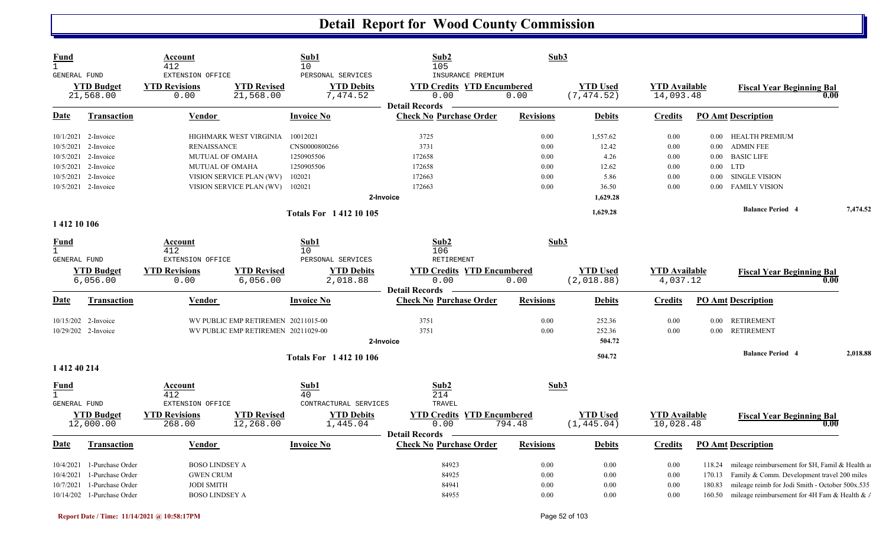| $\mathbf{1}$<br>10<br>105<br>412<br>EXTENSION OFFICE<br>PERSONAL SERVICES<br>INSURANCE PREMIUM<br>GENERAL FUND<br><b>YTD Revised</b><br><b>YTD Debits</b><br><b>YTD Used</b><br><b>YTD Budget</b><br><b>YTD Revisions</b><br><b>YTD Credits YTD Encumbered</b><br><b>YTD</b> Available<br><b>Fiscal Year Beginning Bal</b><br>0.00<br>21,568.00<br>0.00<br>(7, 474.52)<br>14,093.48<br>21,568.00<br>7,474.52<br>0.00<br>0.00<br><b>Detail Records</b><br>Date<br>Transaction<br><b>Invoice No</b><br><b>Check No Purchase Order</b><br><b>Revisions</b><br><b>Debits</b><br><b>Credits</b><br><b>PO Amt Description</b><br>Vendor<br>3725<br>1,557.62<br><b>HEALTH PREMIUM</b><br>10/1/2021 2-Invoice<br>HIGHMARK WEST VIRGINIA<br>10012021<br>0.00<br>0.00<br>$0.00\,$<br>3731<br>12.42<br><b>ADMIN FEE</b><br>10/5/2021<br><b>RENAISSANCE</b><br>CNS0000800266<br>0.00<br>0.00<br>2-Invoice<br>0.00<br><b>BASIC LIFE</b><br>10/5/2021 2-Invoice<br>1250905506<br>172658<br>0.00<br>4.26<br><b>MUTUAL OF OMAHA</b><br>0.00<br>$0.00\,$<br>1250905506<br>172658<br>12.62<br><b>LTD</b><br>10/5/2021 2-Invoice<br>MUTUAL OF OMAHA<br>0.00<br>0.00<br>$0.00\,$<br>172663<br>102021<br>0.00<br>5.86<br><b>SINGLE VISION</b><br>10/5/2021<br>2-Invoice<br>VISION SERVICE PLAN (WV)<br>0.00<br>0.00<br>10/5/2021 2-Invoice<br>102021<br>172663<br>0.00<br>36.50<br><b>FAMILY VISION</b><br>VISION SERVICE PLAN (WV)<br>0.00<br>$0.00\,$<br>1,629.28<br>2-Invoice<br>7,474.52<br><b>Balance Period 4</b><br>1,629.28<br><b>Totals For 141210105</b><br>1412 10 106<br>Sub2<br>Sub3<br>Sub1<br><b>Fund</b><br>Account<br>$\mathbf{1}$<br>412<br>10 <sup>°</sup><br>106<br>RETIREMENT<br><b>GENERAL FUND</b><br>EXTENSION OFFICE<br>PERSONAL SERVICES<br><b>YTD Credits YTD Encumbered</b><br><b>YTD Used</b><br><b>YTD Budget</b><br><b>YTD Revisions</b><br><b>YTD Revised</b><br><b>YTD Debits</b><br><b>YTD Available</b><br><b>Fiscal Year Beginning Bal</b><br>0.00<br>(2,018.88)<br>6,056.00<br>0.00<br>6,056.00<br>2,018.88<br>0.00<br>4,037.12<br>0.00<br><b>Detail Records</b><br><b>Invoice No</b><br><b>Check No Purchase Order</b><br><b>Revisions</b><br><b>PO Amt Description</b><br><u>Date</u><br><b>Transaction</b><br>Vendor<br><b>Debits</b><br><b>Credits</b><br>10/15/202 2-Invoice<br>WV PUBLIC EMP RETIREMEN 20211015-00<br>3751<br>0.00<br>0.00<br><b>RETIREMENT</b><br>252.36<br>0.00<br>10/29/202 2-Invoice<br>3751<br><b>RETIREMENT</b><br>WV PUBLIC EMP RETIREMEN 20211029-00<br>0.00<br>252.36<br>0.00<br>0.00<br>2-Invoice<br>504.72<br><b>Balance Period 4</b><br>2,018.88<br>504.72<br><b>Totals For 141210106</b><br>1 412 40 214<br>Sub2<br>Sub3<br>Sub1<br>Fund<br>Account<br>214<br>412<br>40<br>GENERAL FUND<br>EXTENSION OFFICE<br>CONTRACTURAL SERVICES<br>TRAVEL<br><b>YTD Revisions</b><br><b>YTD Revised</b><br><b>YTD Debits</b><br><b>YTD Credits YTD Encumbered</b><br><b>YTD Used</b><br><b>YTD Available</b><br><b>YTD Budget</b><br><b>Fiscal Year Beginning Bal</b> | <b>Fund</b> | Account |           | Sub1     | Sub2 | Sub3 |             |  |      |  |
|---------------------------------------------------------------------------------------------------------------------------------------------------------------------------------------------------------------------------------------------------------------------------------------------------------------------------------------------------------------------------------------------------------------------------------------------------------------------------------------------------------------------------------------------------------------------------------------------------------------------------------------------------------------------------------------------------------------------------------------------------------------------------------------------------------------------------------------------------------------------------------------------------------------------------------------------------------------------------------------------------------------------------------------------------------------------------------------------------------------------------------------------------------------------------------------------------------------------------------------------------------------------------------------------------------------------------------------------------------------------------------------------------------------------------------------------------------------------------------------------------------------------------------------------------------------------------------------------------------------------------------------------------------------------------------------------------------------------------------------------------------------------------------------------------------------------------------------------------------------------------------------------------------------------------------------------------------------------------------------------------------------------------------------------------------------------------------------------------------------------------------------------------------------------------------------------------------------------------------------------------------------------------------------------------------------------------------------------------------------------------------------------------------------------------------------------------------------------------------------------------------------------------------------------------------------------------------------------------------------------------------------------------------------------------------------------------------------------------------------------------------------------------------------------------------------------------------------------------------------------------------------------------------------------------------------------------------------------------------------------------------------|-------------|---------|-----------|----------|------|------|-------------|--|------|--|
|                                                                                                                                                                                                                                                                                                                                                                                                                                                                                                                                                                                                                                                                                                                                                                                                                                                                                                                                                                                                                                                                                                                                                                                                                                                                                                                                                                                                                                                                                                                                                                                                                                                                                                                                                                                                                                                                                                                                                                                                                                                                                                                                                                                                                                                                                                                                                                                                                                                                                                                                                                                                                                                                                                                                                                                                                                                                                                                                                                                                               |             |         |           |          |      |      |             |  |      |  |
|                                                                                                                                                                                                                                                                                                                                                                                                                                                                                                                                                                                                                                                                                                                                                                                                                                                                                                                                                                                                                                                                                                                                                                                                                                                                                                                                                                                                                                                                                                                                                                                                                                                                                                                                                                                                                                                                                                                                                                                                                                                                                                                                                                                                                                                                                                                                                                                                                                                                                                                                                                                                                                                                                                                                                                                                                                                                                                                                                                                                               |             |         |           |          |      |      |             |  |      |  |
|                                                                                                                                                                                                                                                                                                                                                                                                                                                                                                                                                                                                                                                                                                                                                                                                                                                                                                                                                                                                                                                                                                                                                                                                                                                                                                                                                                                                                                                                                                                                                                                                                                                                                                                                                                                                                                                                                                                                                                                                                                                                                                                                                                                                                                                                                                                                                                                                                                                                                                                                                                                                                                                                                                                                                                                                                                                                                                                                                                                                               |             |         |           |          |      |      |             |  |      |  |
|                                                                                                                                                                                                                                                                                                                                                                                                                                                                                                                                                                                                                                                                                                                                                                                                                                                                                                                                                                                                                                                                                                                                                                                                                                                                                                                                                                                                                                                                                                                                                                                                                                                                                                                                                                                                                                                                                                                                                                                                                                                                                                                                                                                                                                                                                                                                                                                                                                                                                                                                                                                                                                                                                                                                                                                                                                                                                                                                                                                                               |             |         |           |          |      |      |             |  |      |  |
|                                                                                                                                                                                                                                                                                                                                                                                                                                                                                                                                                                                                                                                                                                                                                                                                                                                                                                                                                                                                                                                                                                                                                                                                                                                                                                                                                                                                                                                                                                                                                                                                                                                                                                                                                                                                                                                                                                                                                                                                                                                                                                                                                                                                                                                                                                                                                                                                                                                                                                                                                                                                                                                                                                                                                                                                                                                                                                                                                                                                               |             |         |           |          |      |      |             |  |      |  |
|                                                                                                                                                                                                                                                                                                                                                                                                                                                                                                                                                                                                                                                                                                                                                                                                                                                                                                                                                                                                                                                                                                                                                                                                                                                                                                                                                                                                                                                                                                                                                                                                                                                                                                                                                                                                                                                                                                                                                                                                                                                                                                                                                                                                                                                                                                                                                                                                                                                                                                                                                                                                                                                                                                                                                                                                                                                                                                                                                                                                               |             |         |           |          |      |      |             |  |      |  |
|                                                                                                                                                                                                                                                                                                                                                                                                                                                                                                                                                                                                                                                                                                                                                                                                                                                                                                                                                                                                                                                                                                                                                                                                                                                                                                                                                                                                                                                                                                                                                                                                                                                                                                                                                                                                                                                                                                                                                                                                                                                                                                                                                                                                                                                                                                                                                                                                                                                                                                                                                                                                                                                                                                                                                                                                                                                                                                                                                                                                               |             |         |           |          |      |      |             |  |      |  |
|                                                                                                                                                                                                                                                                                                                                                                                                                                                                                                                                                                                                                                                                                                                                                                                                                                                                                                                                                                                                                                                                                                                                                                                                                                                                                                                                                                                                                                                                                                                                                                                                                                                                                                                                                                                                                                                                                                                                                                                                                                                                                                                                                                                                                                                                                                                                                                                                                                                                                                                                                                                                                                                                                                                                                                                                                                                                                                                                                                                                               |             |         |           |          |      |      |             |  |      |  |
|                                                                                                                                                                                                                                                                                                                                                                                                                                                                                                                                                                                                                                                                                                                                                                                                                                                                                                                                                                                                                                                                                                                                                                                                                                                                                                                                                                                                                                                                                                                                                                                                                                                                                                                                                                                                                                                                                                                                                                                                                                                                                                                                                                                                                                                                                                                                                                                                                                                                                                                                                                                                                                                                                                                                                                                                                                                                                                                                                                                                               |             |         |           |          |      |      |             |  |      |  |
|                                                                                                                                                                                                                                                                                                                                                                                                                                                                                                                                                                                                                                                                                                                                                                                                                                                                                                                                                                                                                                                                                                                                                                                                                                                                                                                                                                                                                                                                                                                                                                                                                                                                                                                                                                                                                                                                                                                                                                                                                                                                                                                                                                                                                                                                                                                                                                                                                                                                                                                                                                                                                                                                                                                                                                                                                                                                                                                                                                                                               |             |         |           |          |      |      |             |  |      |  |
|                                                                                                                                                                                                                                                                                                                                                                                                                                                                                                                                                                                                                                                                                                                                                                                                                                                                                                                                                                                                                                                                                                                                                                                                                                                                                                                                                                                                                                                                                                                                                                                                                                                                                                                                                                                                                                                                                                                                                                                                                                                                                                                                                                                                                                                                                                                                                                                                                                                                                                                                                                                                                                                                                                                                                                                                                                                                                                                                                                                                               |             |         |           |          |      |      |             |  |      |  |
|                                                                                                                                                                                                                                                                                                                                                                                                                                                                                                                                                                                                                                                                                                                                                                                                                                                                                                                                                                                                                                                                                                                                                                                                                                                                                                                                                                                                                                                                                                                                                                                                                                                                                                                                                                                                                                                                                                                                                                                                                                                                                                                                                                                                                                                                                                                                                                                                                                                                                                                                                                                                                                                                                                                                                                                                                                                                                                                                                                                                               |             |         |           |          |      |      |             |  |      |  |
|                                                                                                                                                                                                                                                                                                                                                                                                                                                                                                                                                                                                                                                                                                                                                                                                                                                                                                                                                                                                                                                                                                                                                                                                                                                                                                                                                                                                                                                                                                                                                                                                                                                                                                                                                                                                                                                                                                                                                                                                                                                                                                                                                                                                                                                                                                                                                                                                                                                                                                                                                                                                                                                                                                                                                                                                                                                                                                                                                                                                               |             |         |           |          |      |      |             |  |      |  |
|                                                                                                                                                                                                                                                                                                                                                                                                                                                                                                                                                                                                                                                                                                                                                                                                                                                                                                                                                                                                                                                                                                                                                                                                                                                                                                                                                                                                                                                                                                                                                                                                                                                                                                                                                                                                                                                                                                                                                                                                                                                                                                                                                                                                                                                                                                                                                                                                                                                                                                                                                                                                                                                                                                                                                                                                                                                                                                                                                                                                               |             |         |           |          |      |      |             |  |      |  |
|                                                                                                                                                                                                                                                                                                                                                                                                                                                                                                                                                                                                                                                                                                                                                                                                                                                                                                                                                                                                                                                                                                                                                                                                                                                                                                                                                                                                                                                                                                                                                                                                                                                                                                                                                                                                                                                                                                                                                                                                                                                                                                                                                                                                                                                                                                                                                                                                                                                                                                                                                                                                                                                                                                                                                                                                                                                                                                                                                                                                               |             |         |           |          |      |      |             |  |      |  |
|                                                                                                                                                                                                                                                                                                                                                                                                                                                                                                                                                                                                                                                                                                                                                                                                                                                                                                                                                                                                                                                                                                                                                                                                                                                                                                                                                                                                                                                                                                                                                                                                                                                                                                                                                                                                                                                                                                                                                                                                                                                                                                                                                                                                                                                                                                                                                                                                                                                                                                                                                                                                                                                                                                                                                                                                                                                                                                                                                                                                               |             |         |           |          |      |      |             |  |      |  |
|                                                                                                                                                                                                                                                                                                                                                                                                                                                                                                                                                                                                                                                                                                                                                                                                                                                                                                                                                                                                                                                                                                                                                                                                                                                                                                                                                                                                                                                                                                                                                                                                                                                                                                                                                                                                                                                                                                                                                                                                                                                                                                                                                                                                                                                                                                                                                                                                                                                                                                                                                                                                                                                                                                                                                                                                                                                                                                                                                                                                               |             |         |           |          |      |      |             |  |      |  |
|                                                                                                                                                                                                                                                                                                                                                                                                                                                                                                                                                                                                                                                                                                                                                                                                                                                                                                                                                                                                                                                                                                                                                                                                                                                                                                                                                                                                                                                                                                                                                                                                                                                                                                                                                                                                                                                                                                                                                                                                                                                                                                                                                                                                                                                                                                                                                                                                                                                                                                                                                                                                                                                                                                                                                                                                                                                                                                                                                                                                               |             |         |           |          |      |      |             |  |      |  |
|                                                                                                                                                                                                                                                                                                                                                                                                                                                                                                                                                                                                                                                                                                                                                                                                                                                                                                                                                                                                                                                                                                                                                                                                                                                                                                                                                                                                                                                                                                                                                                                                                                                                                                                                                                                                                                                                                                                                                                                                                                                                                                                                                                                                                                                                                                                                                                                                                                                                                                                                                                                                                                                                                                                                                                                                                                                                                                                                                                                                               |             |         |           |          |      |      |             |  |      |  |
|                                                                                                                                                                                                                                                                                                                                                                                                                                                                                                                                                                                                                                                                                                                                                                                                                                                                                                                                                                                                                                                                                                                                                                                                                                                                                                                                                                                                                                                                                                                                                                                                                                                                                                                                                                                                                                                                                                                                                                                                                                                                                                                                                                                                                                                                                                                                                                                                                                                                                                                                                                                                                                                                                                                                                                                                                                                                                                                                                                                                               |             |         |           |          |      |      |             |  |      |  |
|                                                                                                                                                                                                                                                                                                                                                                                                                                                                                                                                                                                                                                                                                                                                                                                                                                                                                                                                                                                                                                                                                                                                                                                                                                                                                                                                                                                                                                                                                                                                                                                                                                                                                                                                                                                                                                                                                                                                                                                                                                                                                                                                                                                                                                                                                                                                                                                                                                                                                                                                                                                                                                                                                                                                                                                                                                                                                                                                                                                                               |             |         |           |          |      |      |             |  |      |  |
|                                                                                                                                                                                                                                                                                                                                                                                                                                                                                                                                                                                                                                                                                                                                                                                                                                                                                                                                                                                                                                                                                                                                                                                                                                                                                                                                                                                                                                                                                                                                                                                                                                                                                                                                                                                                                                                                                                                                                                                                                                                                                                                                                                                                                                                                                                                                                                                                                                                                                                                                                                                                                                                                                                                                                                                                                                                                                                                                                                                                               |             |         |           |          |      |      |             |  |      |  |
|                                                                                                                                                                                                                                                                                                                                                                                                                                                                                                                                                                                                                                                                                                                                                                                                                                                                                                                                                                                                                                                                                                                                                                                                                                                                                                                                                                                                                                                                                                                                                                                                                                                                                                                                                                                                                                                                                                                                                                                                                                                                                                                                                                                                                                                                                                                                                                                                                                                                                                                                                                                                                                                                                                                                                                                                                                                                                                                                                                                                               |             |         |           |          |      |      |             |  |      |  |
|                                                                                                                                                                                                                                                                                                                                                                                                                                                                                                                                                                                                                                                                                                                                                                                                                                                                                                                                                                                                                                                                                                                                                                                                                                                                                                                                                                                                                                                                                                                                                                                                                                                                                                                                                                                                                                                                                                                                                                                                                                                                                                                                                                                                                                                                                                                                                                                                                                                                                                                                                                                                                                                                                                                                                                                                                                                                                                                                                                                                               |             |         |           |          |      |      |             |  |      |  |
|                                                                                                                                                                                                                                                                                                                                                                                                                                                                                                                                                                                                                                                                                                                                                                                                                                                                                                                                                                                                                                                                                                                                                                                                                                                                                                                                                                                                                                                                                                                                                                                                                                                                                                                                                                                                                                                                                                                                                                                                                                                                                                                                                                                                                                                                                                                                                                                                                                                                                                                                                                                                                                                                                                                                                                                                                                                                                                                                                                                                               |             |         |           |          |      |      |             |  |      |  |
|                                                                                                                                                                                                                                                                                                                                                                                                                                                                                                                                                                                                                                                                                                                                                                                                                                                                                                                                                                                                                                                                                                                                                                                                                                                                                                                                                                                                                                                                                                                                                                                                                                                                                                                                                                                                                                                                                                                                                                                                                                                                                                                                                                                                                                                                                                                                                                                                                                                                                                                                                                                                                                                                                                                                                                                                                                                                                                                                                                                                               |             |         |           |          |      |      |             |  |      |  |
|                                                                                                                                                                                                                                                                                                                                                                                                                                                                                                                                                                                                                                                                                                                                                                                                                                                                                                                                                                                                                                                                                                                                                                                                                                                                                                                                                                                                                                                                                                                                                                                                                                                                                                                                                                                                                                                                                                                                                                                                                                                                                                                                                                                                                                                                                                                                                                                                                                                                                                                                                                                                                                                                                                                                                                                                                                                                                                                                                                                                               |             |         |           |          |      |      |             |  |      |  |
|                                                                                                                                                                                                                                                                                                                                                                                                                                                                                                                                                                                                                                                                                                                                                                                                                                                                                                                                                                                                                                                                                                                                                                                                                                                                                                                                                                                                                                                                                                                                                                                                                                                                                                                                                                                                                                                                                                                                                                                                                                                                                                                                                                                                                                                                                                                                                                                                                                                                                                                                                                                                                                                                                                                                                                                                                                                                                                                                                                                                               |             |         |           |          |      |      |             |  |      |  |
|                                                                                                                                                                                                                                                                                                                                                                                                                                                                                                                                                                                                                                                                                                                                                                                                                                                                                                                                                                                                                                                                                                                                                                                                                                                                                                                                                                                                                                                                                                                                                                                                                                                                                                                                                                                                                                                                                                                                                                                                                                                                                                                                                                                                                                                                                                                                                                                                                                                                                                                                                                                                                                                                                                                                                                                                                                                                                                                                                                                                               |             |         |           |          |      |      |             |  |      |  |
| 794.48<br>12,000.00<br>10,028.48                                                                                                                                                                                                                                                                                                                                                                                                                                                                                                                                                                                                                                                                                                                                                                                                                                                                                                                                                                                                                                                                                                                                                                                                                                                                                                                                                                                                                                                                                                                                                                                                                                                                                                                                                                                                                                                                                                                                                                                                                                                                                                                                                                                                                                                                                                                                                                                                                                                                                                                                                                                                                                                                                                                                                                                                                                                                                                                                                                              |             | 268.00  | 12,268.00 | 1,445.04 | 0.00 |      | (1, 445.04) |  | 0.00 |  |
| <b>Detail Records</b>                                                                                                                                                                                                                                                                                                                                                                                                                                                                                                                                                                                                                                                                                                                                                                                                                                                                                                                                                                                                                                                                                                                                                                                                                                                                                                                                                                                                                                                                                                                                                                                                                                                                                                                                                                                                                                                                                                                                                                                                                                                                                                                                                                                                                                                                                                                                                                                                                                                                                                                                                                                                                                                                                                                                                                                                                                                                                                                                                                                         |             |         |           |          |      |      |             |  |      |  |
| <b>Check No Purchase Order</b><br><b>PO Amt Description</b><br><b>Transaction</b><br><b>Vendor</b><br><b>Invoice No</b><br><b>Revisions</b><br><b>Credits</b><br><u>Date</u><br><b>Debits</b>                                                                                                                                                                                                                                                                                                                                                                                                                                                                                                                                                                                                                                                                                                                                                                                                                                                                                                                                                                                                                                                                                                                                                                                                                                                                                                                                                                                                                                                                                                                                                                                                                                                                                                                                                                                                                                                                                                                                                                                                                                                                                                                                                                                                                                                                                                                                                                                                                                                                                                                                                                                                                                                                                                                                                                                                                 |             |         |           |          |      |      |             |  |      |  |
| <b>BOSO LINDSEY A</b><br>84923<br>0.00<br>0.00<br>0.00<br>mileage reimbursement for \$H, Famil & Health a<br>10/4/2021<br>1-Purchase Order<br>118.24                                                                                                                                                                                                                                                                                                                                                                                                                                                                                                                                                                                                                                                                                                                                                                                                                                                                                                                                                                                                                                                                                                                                                                                                                                                                                                                                                                                                                                                                                                                                                                                                                                                                                                                                                                                                                                                                                                                                                                                                                                                                                                                                                                                                                                                                                                                                                                                                                                                                                                                                                                                                                                                                                                                                                                                                                                                          |             |         |           |          |      |      |             |  |      |  |
| 1-Purchase Order<br><b>GWEN CRUM</b><br>84925<br>0.00<br>0.00<br>Family & Comm. Development travel 200 miles<br>10/4/2021<br>0.00<br>170.13                                                                                                                                                                                                                                                                                                                                                                                                                                                                                                                                                                                                                                                                                                                                                                                                                                                                                                                                                                                                                                                                                                                                                                                                                                                                                                                                                                                                                                                                                                                                                                                                                                                                                                                                                                                                                                                                                                                                                                                                                                                                                                                                                                                                                                                                                                                                                                                                                                                                                                                                                                                                                                                                                                                                                                                                                                                                   |             |         |           |          |      |      |             |  |      |  |
| <b>JODI SMITH</b><br>84941<br>0.00<br>0.00<br>0.00<br>180.83<br>mileage reimb for Jodi Smith - October 500x.535<br>10/7/2021<br>1-Purchase Order                                                                                                                                                                                                                                                                                                                                                                                                                                                                                                                                                                                                                                                                                                                                                                                                                                                                                                                                                                                                                                                                                                                                                                                                                                                                                                                                                                                                                                                                                                                                                                                                                                                                                                                                                                                                                                                                                                                                                                                                                                                                                                                                                                                                                                                                                                                                                                                                                                                                                                                                                                                                                                                                                                                                                                                                                                                              |             |         |           |          |      |      |             |  |      |  |
| 10/14/202 1-Purchase Order<br><b>BOSO LINDSEY A</b><br>84955<br>0.00<br>0.00<br>mileage reimbursement for 4H Fam & Health & /<br>0.00<br>160.50                                                                                                                                                                                                                                                                                                                                                                                                                                                                                                                                                                                                                                                                                                                                                                                                                                                                                                                                                                                                                                                                                                                                                                                                                                                                                                                                                                                                                                                                                                                                                                                                                                                                                                                                                                                                                                                                                                                                                                                                                                                                                                                                                                                                                                                                                                                                                                                                                                                                                                                                                                                                                                                                                                                                                                                                                                                               |             |         |           |          |      |      |             |  |      |  |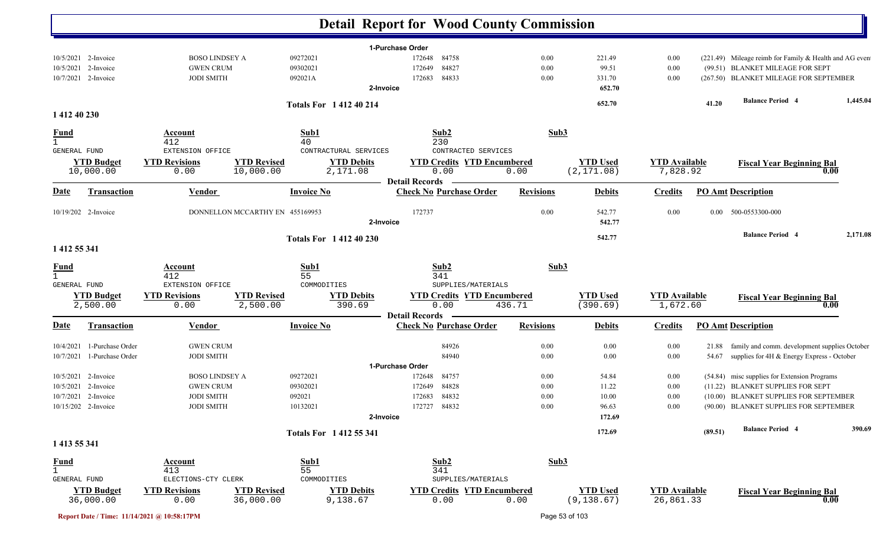|              |                                |                              |                                 |                               | <b>Detail Report for Wood County Commission</b>         |                  |                                |                                   |          |                                                        |          |
|--------------|--------------------------------|------------------------------|---------------------------------|-------------------------------|---------------------------------------------------------|------------------|--------------------------------|-----------------------------------|----------|--------------------------------------------------------|----------|
|              |                                |                              |                                 |                               | 1-Purchase Order                                        |                  |                                |                                   |          |                                                        |          |
|              | 10/5/2021 2-Invoice            | <b>BOSO LINDSEY A</b>        | 09272021                        |                               | 172648<br>84758                                         | $0.00\,$         | 221.49                         | 0.00                              |          | (221.49) Mileage reimb for Family & Health and AG even |          |
|              | 10/5/2021 2-Invoice            | <b>GWEN CRUM</b>             | 09302021                        |                               | 84827<br>172649                                         | 0.00             | 99.51                          | 0.00                              |          | (99.51) BLANKET MILEAGE FOR SEPT                       |          |
|              | 10/7/2021 2-Invoice            | <b>JODI SMITH</b>            | 092021A                         |                               | 172683<br>84833                                         | 0.00             | 331.70                         | 0.00                              |          | (267.50) BLANKET MILEAGE FOR SEPTEMBER                 |          |
|              |                                |                              |                                 | 2-Invoice                     |                                                         |                  | 652.70                         |                                   |          |                                                        |          |
|              |                                |                              |                                 | <b>Totals For 141240214</b>   |                                                         |                  | 652.70                         |                                   | 41.20    | <b>Balance Period 4</b>                                | 1,445.04 |
| 1 412 40 230 |                                |                              |                                 |                               |                                                         |                  |                                |                                   |          |                                                        |          |
| <b>Fund</b>  |                                | <b>Account</b>               |                                 | Sub1                          | Sub2                                                    | Sub3             |                                |                                   |          |                                                        |          |
| $\mathbf{1}$ |                                | 412                          | 40                              |                               | 230                                                     |                  |                                |                                   |          |                                                        |          |
| GENERAL FUND |                                | EXTENSION OFFICE             |                                 | CONTRACTURAL SERVICES         | CONTRACTED SERVICES                                     |                  |                                |                                   |          |                                                        |          |
|              | <b>YTD Budget</b>              | <b>YTD Revisions</b>         | <b>YTD Revised</b>              | <b>YTD Debits</b>             | <b>YTD Credits YTD Encumbered</b>                       |                  | <b>YTD Used</b>                | <b>YTD Available</b>              |          | <b>Fiscal Year Beginning Bal</b>                       |          |
|              | 10,000.00                      | 0.00                         | 10,000.00                       | 2,171.08                      | 0.00<br><b>Detail Records</b>                           | 0.00             | (2, 171.08)                    | 7,828.92                          |          | 0.00                                                   |          |
| Date         | <b>Transaction</b>             | Vendor                       |                                 | <b>Invoice No</b>             | <b>Check No Purchase Order</b>                          | <b>Revisions</b> | <b>Debits</b>                  | <b>Credits</b>                    |          | <b>PO Amt Description</b>                              |          |
|              | 10/19/202 2-Invoice            |                              | DONNELLON MCCARTHY EN 455169953 |                               | 172737                                                  | 0.00             | 542.77                         | 0.00                              | $0.00\,$ | 500-0553300-000                                        |          |
|              |                                |                              |                                 | 2-Invoice                     |                                                         |                  | 542.77                         |                                   |          |                                                        |          |
|              |                                |                              |                                 |                               |                                                         |                  |                                |                                   |          | <b>Balance Period 4</b>                                | 2,171.08 |
|              |                                |                              |                                 | <b>Totals For 141240230</b>   |                                                         |                  | 542.77                         |                                   |          |                                                        |          |
| 1 412 55 341 |                                |                              |                                 |                               |                                                         |                  |                                |                                   |          |                                                        |          |
| <b>Fund</b>  |                                | <b>Account</b>               |                                 | Sub1                          | Sub2                                                    | Sub3             |                                |                                   |          |                                                        |          |
| $\mathbf{1}$ |                                | 412                          | 55                              |                               | 341                                                     |                  |                                |                                   |          |                                                        |          |
| GENERAL FUND |                                | EXTENSION OFFICE             |                                 | COMMODITIES                   | SUPPLIES/MATERIALS                                      |                  |                                |                                   |          |                                                        |          |
|              | <b>YTD Budget</b>              | <b>YTD Revisions</b>         | <b>YTD Revised</b>              | <b>YTD Debits</b>             | <b>YTD Credits YTD Encumbered</b>                       |                  | <b>YTD Used</b>                | <b>YTD Available</b>              |          | <b>Fiscal Year Beginning Bal</b>                       |          |
|              | 2,500.00                       | 0.00                         | 2,500.00                        | 390.69                        | 0.00                                                    | 436.71           | (390.69)                       | 1,672.60                          |          | 0.00                                                   |          |
| Date         | <b>Transaction</b>             | <b>Vendor</b>                |                                 | <b>Invoice No</b>             | <b>Detail Records</b><br><b>Check No Purchase Order</b> | <b>Revisions</b> | <b>Debits</b>                  | <b>Credits</b>                    |          | <b>PO Amt Description</b>                              |          |
|              |                                |                              |                                 |                               |                                                         |                  |                                |                                   |          |                                                        |          |
| 10/4/2021    | 1-Purchase Order               | <b>GWEN CRUM</b>             |                                 |                               | 84926                                                   | 0.00             | 0.00                           | 0.00                              |          | 21.88 family and comm. development supplies October    |          |
| 10/7/2021    | 1-Purchase Order               | <b>JODI SMITH</b>            |                                 |                               | 84940                                                   | 0.00             | 0.00                           | 0.00                              |          | 54.67 supplies for 4H & Energy Express - October       |          |
|              |                                |                              |                                 |                               | 1-Purchase Order                                        |                  |                                |                                   |          |                                                        |          |
|              | 10/5/2021 2-Invoice            | <b>BOSO LINDSEY A</b>        | 09272021                        |                               | 84757<br>172648                                         | $0.00\,$         | 54.84                          | 0.00                              |          | (54.84) misc supplies for Extension Programs           |          |
|              | 10/5/2021 2-Invoice            | <b>GWEN CRUM</b>             | 09302021                        |                               | 84828<br>172649                                         | $0.00\,$         | 11.22                          | 0.00                              |          | (11.22) BLANKET SUPPLIES FOR SEPT                      |          |
|              | 10/7/2021 2-Invoice            | <b>JODI SMITH</b>            | 092021                          |                               | 84832<br>172683                                         | 0.00             | 10.00                          | 0.00                              |          | (10.00) BLANKET SUPPLIES FOR SEPTEMBER                 |          |
|              | 10/15/202 2-Invoice            | <b>JODI SMITH</b>            | 10132021                        |                               | 172727<br>84832                                         | $0.00\,$         | 96.63                          | $0.00\,$                          |          | (90.00) BLANKET SUPPLIES FOR SEPTEMBER                 |          |
|              |                                |                              |                                 | 2-Invoice                     |                                                         |                  | 172.69                         |                                   |          |                                                        |          |
|              |                                |                              |                                 | Totals For 1412 55 341        |                                                         |                  | 172.69                         |                                   | (89.51)  | <b>Balance Period 4</b>                                | 390.69   |
| 1 413 55 341 |                                |                              |                                 |                               |                                                         |                  |                                |                                   |          |                                                        |          |
| <u>Fund</u>  |                                | Account                      |                                 | Sub1                          | Sub2                                                    | Sub3             |                                |                                   |          |                                                        |          |
| $\mathbf{1}$ |                                | 413                          | 55                              |                               | 341                                                     |                  |                                |                                   |          |                                                        |          |
| GENERAL FUND |                                | ELECTIONS-CTY CLERK          |                                 | COMMODITIES                   | SUPPLIES/MATERIALS                                      |                  |                                |                                   |          |                                                        |          |
|              | <b>YTD Budget</b><br>36,000.00 | <b>YTD Revisions</b><br>0.00 | <b>YTD Revised</b><br>36,000.00 | <b>YTD Debits</b><br>9,138.67 | <b>YTD Credits YTD Encumbered</b><br>0.00               | 0.00             | <b>YTD Used</b><br>(9, 138.67) | <b>YTD Available</b><br>26,861.33 |          | <b>Fiscal Year Beginning Bal</b><br>0.00               |          |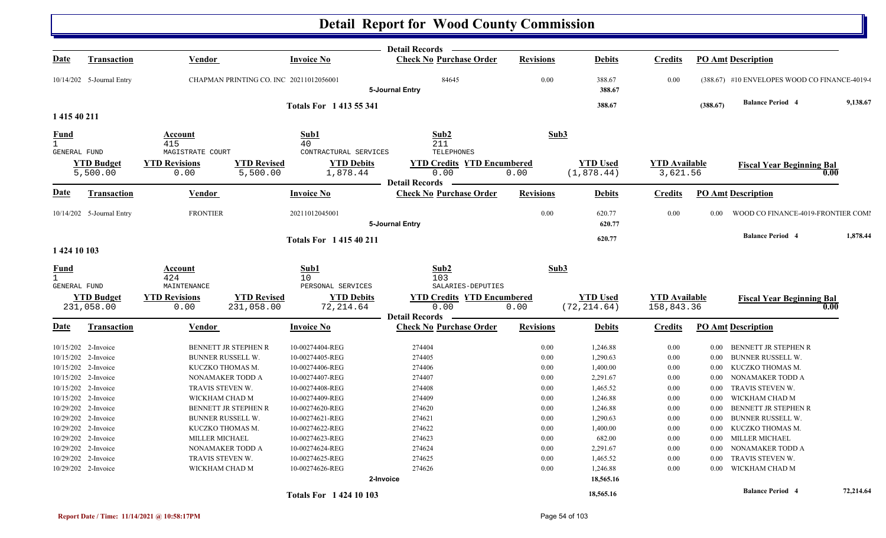|                                     |                               |                                                                |                               | Detail Records -                                        |                  |                               |                                  |                            |                                               |           |
|-------------------------------------|-------------------------------|----------------------------------------------------------------|-------------------------------|---------------------------------------------------------|------------------|-------------------------------|----------------------------------|----------------------------|-----------------------------------------------|-----------|
| <u>Date</u>                         | <b>Transaction</b>            | Vendor                                                         | <b>Invoice No</b>             | <b>Check No Purchase Order</b>                          | <b>Revisions</b> | <b>Debits</b>                 | <b>Credits</b>                   | <b>PO Amt Description</b>  |                                               |           |
|                                     | 10/14/202 5-Journal Entry     | CHAPMAN PRINTING CO. INC 20211012056001                        |                               | 84645<br>5-Journal Entry                                | 0.00             | 388.67<br>388.67              | 0.00                             |                            | (388.67) #10 ENVELOPES WOOD CO FINANCE-4019-0 |           |
|                                     |                               |                                                                | <b>Totals For 1413 55 341</b> |                                                         |                  | 388.67                        |                                  | (388.67)                   | <b>Balance Period 4</b>                       | 9,138.67  |
| 1 415 40 211                        |                               |                                                                |                               |                                                         |                  |                               |                                  |                            |                                               |           |
| Fund                                |                               | Account                                                        | Sub1                          | Sub2                                                    | Sub3             |                               |                                  |                            |                                               |           |
| $\mathbf{1}$                        |                               | 415                                                            | 40                            | 211                                                     |                  |                               |                                  |                            |                                               |           |
| GENERAL FUND                        |                               | MAGISTRATE COURT                                               | CONTRACTURAL SERVICES         | <b>TELEPHONES</b>                                       |                  |                               |                                  |                            |                                               |           |
|                                     | <b>YTD Budget</b><br>5,500.00 | <b>YTD Revisions</b><br><b>YTD Revised</b><br>5,500.00<br>0.00 | <b>YTD Debits</b><br>1,878.44 | <b>YTD Credits YTD Encumbered</b><br>0.00               | 0.00             | <b>YTD Used</b><br>(1,878.44) | <b>YTD Available</b><br>3,621.56 |                            | <b>Fiscal Year Beginning Bal</b><br>0.00      |           |
| <u>Date</u>                         | <b>Transaction</b>            | Vendor                                                         | <b>Invoice No</b>             | <b>Detail Records</b><br><b>Check No Purchase Order</b> | <b>Revisions</b> | <b>Debits</b>                 | <b>Credits</b>                   | <b>PO Amt Description</b>  |                                               |           |
|                                     |                               |                                                                |                               |                                                         |                  |                               |                                  |                            |                                               |           |
|                                     | 10/14/202 5-Journal Entry     | <b>FRONTIER</b>                                                | 20211012045001                | 5-Journal Entry                                         | 0.00             | 620.77<br>620.77              | 0.00                             | 0.00                       | WOOD CO FINANCE-4019-FRONTIER COMI            |           |
|                                     |                               |                                                                |                               |                                                         |                  |                               |                                  |                            | <b>Balance Period 4</b>                       | 1,878.44  |
|                                     |                               |                                                                | <b>Totals For 141540211</b>   |                                                         |                  | 620.77                        |                                  |                            |                                               |           |
| 1 424 10 103                        |                               |                                                                |                               |                                                         |                  |                               |                                  |                            |                                               |           |
| <u>Fund</u>                         |                               | Account                                                        | Sub1                          | Sub2                                                    | Sub3             |                               |                                  |                            |                                               |           |
| $\mathbf{1}$<br><b>GENERAL FUND</b> |                               | 424<br>MAINTENANCE                                             | 10<br>PERSONAL SERVICES       | 103<br>SALARIES-DEPUTIES                                |                  |                               |                                  |                            |                                               |           |
|                                     | <b>YTD Budget</b>             | <b>YTD Revisions</b><br><b>YTD Revised</b>                     | <b>YTD Debits</b>             | <b>YTD Credits YTD Encumbered</b>                       |                  | <b>YTD Used</b>               | <b>YTD</b> Available             |                            | <b>Fiscal Year Beginning Bal</b>              |           |
|                                     | 231,058.00                    | 231,058.00<br>0.00                                             | 72, 214.64                    | 0.00                                                    | 0.00             | (72, 214.64)                  | 158,843.36                       |                            | 0.00                                          |           |
|                                     |                               |                                                                |                               | <b>Detail Records</b>                                   |                  |                               |                                  |                            |                                               |           |
| <u>Date</u>                         | <b>Transaction</b>            | Vendor                                                         | <b>Invoice No</b>             | <b>Check No Purchase Order</b>                          | <b>Revisions</b> | <b>Debits</b>                 | <b>Credits</b>                   | <b>PO Amt Description</b>  |                                               |           |
|                                     | 10/15/202 2-Invoice           | BENNETT JR STEPHEN R                                           | 10-00274404-REG               | 274404                                                  | 0.00             | 1,246.88                      | 0.00                             | $0.00\,$                   | BENNETT JR STEPHEN R                          |           |
|                                     | 10/15/202 2-Invoice           | <b>BUNNER RUSSELL W.</b>                                       | 10-00274405-REG               | 274405                                                  | 0.00             | 1,290.63                      | 0.00                             | $0.00\,$                   | <b>BUNNER RUSSELL W.</b>                      |           |
|                                     | 10/15/202 2-Invoice           | KUCZKO THOMAS M.                                               | 10-00274406-REG               | 274406                                                  | 0.00             | 1,400.00                      | $0.00\,$                         | $0.00\,$                   | KUCZKO THOMAS M.                              |           |
|                                     | 10/15/202 2-Invoice           | NONAMAKER TODD A                                               | 10-00274407-REG               | 274407                                                  | 0.00             | 2,291.67                      | 0.00                             | $0.00\,$                   | NONAMAKER TODD A                              |           |
|                                     | 10/15/202 2-Invoice           | TRAVIS STEVEN W.                                               | 10-00274408-REG               | 274408                                                  | 0.00             | 1,465.52                      | 0.00                             | 0.00                       | TRAVIS STEVEN W.                              |           |
|                                     | 10/15/202 2-Invoice           | WICKHAM CHAD M                                                 | 10-00274409-REG               | 274409                                                  | 0.00             | 1,246.88                      | 0.00                             | 0.00                       | WICKHAM CHAD M                                |           |
|                                     | 10/29/202 2-Invoice           | BENNETT JR STEPHEN R                                           | 10-00274620-REG               | 274620                                                  | 0.00             | 1,246.88                      | 0.00                             | $0.00\,$                   | BENNETT JR STEPHEN R                          |           |
|                                     | 10/29/202 2-Invoice           | BUNNER RUSSELL W.                                              | 10-00274621-REG               | 274621                                                  | 0.00             | 1,290.63                      | 0.00                             | 0.00                       | <b>BUNNER RUSSELL W.</b>                      |           |
|                                     | 10/29/202 2-Invoice           | KUCZKO THOMAS M.                                               | 10-00274622-REG               | 274622                                                  | 0.00             | 1,400.00                      | 0.00                             | $0.00\,$                   | KUCZKO THOMAS M.                              |           |
|                                     | 10/29/202 2-Invoice           | MILLER MICHAEL                                                 | 10-00274623-REG               | 274623                                                  | 0.00             | 682.00                        | $0.00\,$                         | MILLER MICHAEL<br>$0.00\,$ |                                               |           |
|                                     | 10/29/202 2-Invoice           | NONAMAKER TODD A                                               | 10-00274624-REG               | 274624                                                  | 0.00             | 2,291.67                      | 0.00                             | $0.00\,$                   | NONAMAKER TODD A                              |           |
|                                     | 10/29/202 2-Invoice           | TRAVIS STEVEN W.                                               | 10-00274625-REG               | 274625                                                  | 0.00             | 1,465.52                      | 0.00                             | 0.00                       | TRAVIS STEVEN W.                              |           |
|                                     | 10/29/202 2-Invoice           | WICKHAM CHAD M                                                 | 10-00274626-REG               | 274626                                                  | 0.00             | 1,246.88                      | 0.00                             | $0.00\,$                   | WICKHAM CHAD M                                |           |
|                                     |                               |                                                                | 2-Invoice                     |                                                         |                  | 18,565.16                     |                                  |                            |                                               |           |
|                                     |                               |                                                                | <b>Totals For 142410103</b>   |                                                         |                  | 18,565.16                     |                                  |                            | <b>Balance Period 4</b>                       | 72,214.64 |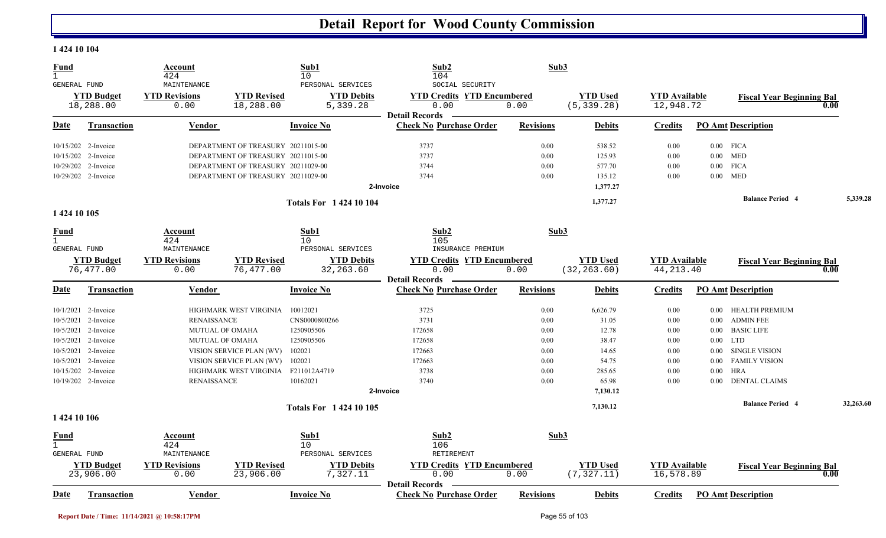#### **1 424 10 104**

| $\mathbf{1}$                                                                                                                         | 424                                                                                 |                                          | Sub1<br>10                                                                                                                             | Sub2<br>104                                                                                                                                                                        | Sub3             |                                                     |                                                                |          |                                                                                                   |           |
|--------------------------------------------------------------------------------------------------------------------------------------|-------------------------------------------------------------------------------------|------------------------------------------|----------------------------------------------------------------------------------------------------------------------------------------|------------------------------------------------------------------------------------------------------------------------------------------------------------------------------------|------------------|-----------------------------------------------------|----------------------------------------------------------------|----------|---------------------------------------------------------------------------------------------------|-----------|
| GENERAL FUND                                                                                                                         | MAINTENANCE                                                                         |                                          | PERSONAL SERVICES                                                                                                                      | SOCIAL SECURITY                                                                                                                                                                    |                  |                                                     |                                                                |          |                                                                                                   |           |
| <b>YTD Budget</b>                                                                                                                    | <b>YTD Revisions</b>                                                                | <b>YTD Revised</b>                       | <b>YTD Debits</b>                                                                                                                      | <b>YTD Credits YTD Encumbered</b>                                                                                                                                                  |                  | <b>YTD Used</b>                                     | <b>YTD Available</b>                                           |          | <b>Fiscal Year Beginning Bal</b>                                                                  |           |
| 18,288.00                                                                                                                            | 0.00                                                                                | 18,288.00                                | 5,339.28                                                                                                                               | 0.00<br><b>Detail Records</b>                                                                                                                                                      | 0.00             | (5, 339.28)                                         | 12,948.72                                                      |          |                                                                                                   | 0.00      |
| <b>Date</b><br>Transaction                                                                                                           | Vendor                                                                              |                                          | <b>Invoice No</b>                                                                                                                      | <b>Check No Purchase Order</b>                                                                                                                                                     | <b>Revisions</b> | <b>Debits</b>                                       | <b>Credits</b>                                                 |          | <b>PO Amt Description</b>                                                                         |           |
| 10/15/202 2-Invoice                                                                                                                  |                                                                                     | DEPARTMENT OF TREASURY 20211015-00       |                                                                                                                                        | 3737                                                                                                                                                                               | 0.00             | 538.52                                              | 0.00                                                           |          | $0.00$ FICA                                                                                       |           |
| 10/15/202 2-Invoice                                                                                                                  |                                                                                     | DEPARTMENT OF TREASURY 20211015-00       |                                                                                                                                        | 3737                                                                                                                                                                               | 0.00             | 125.93                                              | 0.00                                                           |          | $0.00$ MED                                                                                        |           |
| 10/29/202 2-Invoice                                                                                                                  |                                                                                     | DEPARTMENT OF TREASURY 20211029-00       |                                                                                                                                        | 3744                                                                                                                                                                               | 0.00             | 577.70                                              | 0.00                                                           |          | $0.00$ FICA                                                                                       |           |
| 10/29/202 2-Invoice                                                                                                                  |                                                                                     | DEPARTMENT OF TREASURY 20211029-00       |                                                                                                                                        | 3744                                                                                                                                                                               | 0.00             | 135.12                                              | 0.00                                                           |          | $0.00$ MED                                                                                        |           |
|                                                                                                                                      |                                                                                     |                                          |                                                                                                                                        | 2-Invoice                                                                                                                                                                          |                  | 1,377.27                                            |                                                                |          |                                                                                                   |           |
|                                                                                                                                      |                                                                                     |                                          | <b>Totals For 142410104</b>                                                                                                            |                                                                                                                                                                                    |                  | 1,377.27                                            |                                                                |          | <b>Balance Period 4</b>                                                                           | 5,339.28  |
| 1 424 10 105                                                                                                                         |                                                                                     |                                          |                                                                                                                                        |                                                                                                                                                                                    |                  |                                                     |                                                                |          |                                                                                                   |           |
| Fund                                                                                                                                 | Account                                                                             |                                          | Sub1                                                                                                                                   | Sub2                                                                                                                                                                               |                  | Sub3                                                |                                                                |          |                                                                                                   |           |
|                                                                                                                                      | MAINTENANCE                                                                         |                                          |                                                                                                                                        |                                                                                                                                                                                    |                  |                                                     |                                                                |          |                                                                                                   |           |
|                                                                                                                                      |                                                                                     |                                          |                                                                                                                                        |                                                                                                                                                                                    |                  |                                                     |                                                                |          |                                                                                                   |           |
| 76,477.00                                                                                                                            | 0.00                                                                                | 76,477.00                                | 32, 263.60                                                                                                                             | 0.00                                                                                                                                                                               | 0.00             | (32, 263.60)                                        | 44, 213.40                                                     |          |                                                                                                   | 0.00      |
|                                                                                                                                      |                                                                                     |                                          |                                                                                                                                        | <b>Detail Records</b>                                                                                                                                                              |                  |                                                     |                                                                |          |                                                                                                   |           |
| Transaction<br>Date                                                                                                                  | Vendor                                                                              |                                          |                                                                                                                                        | <b>Check No Purchase Order</b>                                                                                                                                                     | <b>Revisions</b> | <b>Debits</b>                                       | <b>Credits</b>                                                 |          | <b>PO Amt Description</b>                                                                         |           |
| 10/1/2021 2-Invoice                                                                                                                  |                                                                                     | HIGHMARK WEST VIRGINIA                   | 10012021                                                                                                                               | 3725                                                                                                                                                                               | 0.00             | 6,626.79                                            | 0.00                                                           | $0.00\,$ | HEALTH PREMIUM                                                                                    |           |
| 10/5/2021<br>2-Invoice                                                                                                               | <b>RENAISSANCE</b>                                                                  |                                          | CNS0000800266                                                                                                                          | 3731                                                                                                                                                                               | 0.00             | 31.05                                               | 0.00                                                           | $0.00\,$ | <b>ADMIN FEE</b>                                                                                  |           |
| 10/5/2021<br>2-Invoice                                                                                                               | <b>MUTUAL OF OMAHA</b>                                                              |                                          | 1250905506                                                                                                                             | 172658                                                                                                                                                                             | 0.00             | 12.78                                               | 0.00                                                           | $0.00\,$ | <b>BASIC LIFE</b>                                                                                 |           |
| 10/5/2021<br>2-Invoice                                                                                                               | MUTUAL OF OMAHA                                                                     |                                          | 1250905506                                                                                                                             | 172658                                                                                                                                                                             | 0.00             | 38.47                                               | 0.00                                                           | $0.00\,$ | <b>LTD</b>                                                                                        |           |
| 10/5/2021 2-Invoice                                                                                                                  |                                                                                     | VISION SERVICE PLAN (WV)                 | 102021                                                                                                                                 | 172663                                                                                                                                                                             | 0.00             | 14.65                                               | 0.00                                                           | $0.00\,$ | SINGLE VISION                                                                                     |           |
| 10/5/2021<br>2-Invoice                                                                                                               |                                                                                     | VISION SERVICE PLAN (WV)                 | 102021                                                                                                                                 | 172663                                                                                                                                                                             | 0.00             | 54.75                                               | 0.00                                                           | $0.00\,$ | <b>FAMILY VISION</b>                                                                              |           |
| 2-Invoice<br>10/15/202                                                                                                               |                                                                                     | HIGHMARK WEST VIRGINIA F211012A4719      |                                                                                                                                        | 3738                                                                                                                                                                               | 0.00             | 285.65                                              | 0.00                                                           | $0.00\,$ | <b>HRA</b>                                                                                        |           |
| 10/19/202 2-Invoice                                                                                                                  | <b>RENAISSANCE</b>                                                                  |                                          | 10162021                                                                                                                               | 3740                                                                                                                                                                               | 0.00             | 65.98                                               | 0.00                                                           | 0.00     | <b>DENTAL CLAIMS</b>                                                                              |           |
|                                                                                                                                      |                                                                                     |                                          |                                                                                                                                        | 2-Invoice                                                                                                                                                                          |                  | 7,130.12                                            |                                                                |          |                                                                                                   |           |
|                                                                                                                                      |                                                                                     |                                          | <b>Totals For 142410105</b>                                                                                                            |                                                                                                                                                                                    |                  | 7,130.12                                            |                                                                |          | <b>Balance Period 4</b>                                                                           | 32,263.60 |
|                                                                                                                                      |                                                                                     |                                          |                                                                                                                                        |                                                                                                                                                                                    |                  |                                                     |                                                                |          |                                                                                                   |           |
| Fund                                                                                                                                 | Account                                                                             |                                          | Sub1                                                                                                                                   | Sub2                                                                                                                                                                               |                  | Sub3                                                |                                                                |          |                                                                                                   |           |
|                                                                                                                                      |                                                                                     |                                          |                                                                                                                                        |                                                                                                                                                                                    |                  |                                                     |                                                                |          |                                                                                                   |           |
|                                                                                                                                      |                                                                                     |                                          |                                                                                                                                        |                                                                                                                                                                                    |                  |                                                     |                                                                |          |                                                                                                   |           |
| 23,906.00                                                                                                                            | 0.00                                                                                | 23,906.00                                | 7,327.11                                                                                                                               | 0.00                                                                                                                                                                               | 0.00             | (7, 327.11)                                         | 16,578.89                                                      |          |                                                                                                   | 0.00      |
|                                                                                                                                      |                                                                                     |                                          |                                                                                                                                        |                                                                                                                                                                                    |                  |                                                     |                                                                |          |                                                                                                   |           |
| GENERAL FUND<br><b>YTD Budget</b><br>1 424 10 106<br>$\mathbf{1}$<br>GENERAL FUND<br><b>YTD Budget</b><br>Date<br><b>Transaction</b> | 424<br><b>YTD Revisions</b><br>424<br>MAINTENANCE<br><b>YTD Revisions</b><br>Vendor | <b>YTD Revised</b><br><b>YTD Revised</b> | 10<br>PERSONAL SERVICES<br><b>YTD Debits</b><br><b>Invoice No</b><br>10<br>PERSONAL SERVICES<br><b>YTD Debits</b><br><b>Invoice No</b> | 105<br>INSURANCE PREMIUM<br><b>YTD Credits YTD Encumbered</b><br>106<br>RETIREMENT<br><b>YTD Credits YTD Encumbered</b><br><b>Detail Records</b><br><b>Check No Purchase Order</b> | <b>Revisions</b> | <b>YTD</b> Used<br><b>YTD Used</b><br><b>Debits</b> | <b>YTD Available</b><br><b>YTD Available</b><br><b>Credits</b> |          | <b>Fiscal Year Beginning Bal</b><br><b>Fiscal Year Beginning Bal</b><br><b>PO Amt Description</b> |           |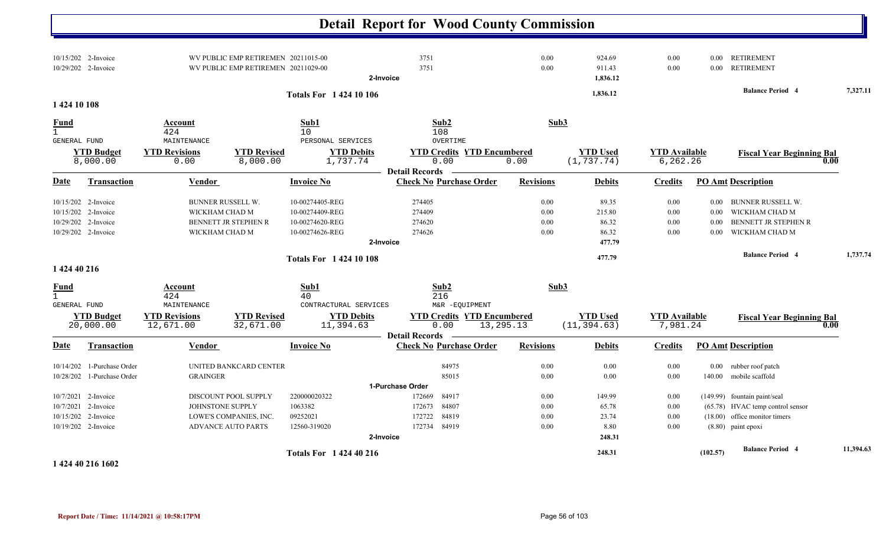|                                                                                             |                                                       |                                                                             |                                                                          | <b>Detail Report for Wood County Commission</b>                                                           |                              |                                             |                                      |                                      |                                                                                                                             |           |
|---------------------------------------------------------------------------------------------|-------------------------------------------------------|-----------------------------------------------------------------------------|--------------------------------------------------------------------------|-----------------------------------------------------------------------------------------------------------|------------------------------|---------------------------------------------|--------------------------------------|--------------------------------------|-----------------------------------------------------------------------------------------------------------------------------|-----------|
| 10/15/202 2-Invoice<br>10/29/202 2-Invoice                                                  |                                                       | WV PUBLIC EMP RETIREMEN 20211015-00<br>WV PUBLIC EMP RETIREMEN 20211029-00  |                                                                          | 3751<br>3751<br>2-Invoice                                                                                 | 0.00<br>0.00                 | 924.69<br>911.43<br>1,836.12                | 0.00<br>$0.00\,$                     |                                      | 0.00 RETIREMENT<br>0.00 RETIREMENT                                                                                          |           |
| 1 424 10 108                                                                                |                                                       |                                                                             | <b>Totals For 142410106</b>                                              |                                                                                                           |                              | 1,836.12                                    |                                      |                                      | <b>Balance Period 4</b>                                                                                                     | 7,327.11  |
| <b>Fund</b>                                                                                 | Account                                               |                                                                             | Sub1                                                                     | Sub2                                                                                                      | Sub3                         |                                             |                                      |                                      |                                                                                                                             |           |
| $\mathbf{1}$                                                                                | 424                                                   |                                                                             | 10                                                                       | 108                                                                                                       |                              |                                             |                                      |                                      |                                                                                                                             |           |
| GENERAL FUND<br><b>YTD Budget</b><br>8,000.00                                               | MAINTENANCE<br><b>YTD Revisions</b><br>0.00           | <b>YTD Revised</b><br>8,000.00                                              | PERSONAL SERVICES<br><b>YTD Debits</b><br>1,737.74                       | OVERTIME<br><b>YTD Credits YTD Encumbered</b><br>0.00<br><b>Detail Records</b>                            | 0.00                         | <b>YTD Used</b><br>(1, 737.74)              | <b>YTD</b> Available<br>6, 262.26    |                                      | <b>Fiscal Year Beginning Bal</b><br>0.00                                                                                    |           |
| <b>Date</b><br><b>Transaction</b>                                                           | <b>Vendor</b>                                         |                                                                             | Invoice No                                                               | <b>Check No Purchase Order</b>                                                                            | <b>Revisions</b>             | <b>Debits</b>                               | <b>Credits</b>                       |                                      | <b>PO Amt Description</b>                                                                                                   |           |
| 10/15/202 2-Invoice<br>10/15/202<br>2-Invoice<br>10/29/202 2-Invoice<br>10/29/202 2-Invoice | BUNNER RUSSELL W.<br>WICKHAM CHAD M<br>WICKHAM CHAD M | BENNETT JR STEPHEN R                                                        | 10-00274405-REG<br>10-00274409-REG<br>10-00274620-REG<br>10-00274626-REG | 274405<br>274409<br>274620<br>274626<br>2-Invoice                                                         | 0.00<br>0.00<br>0.00<br>0.00 | 89.35<br>215.80<br>86.32<br>86.32<br>477.79 | $0.00\,$<br>$0.00\,$<br>0.00<br>0.00 | $0.00\,$<br>$0.00\,$<br>0.00<br>0.00 | BUNNER RUSSELL W.<br>WICKHAM CHAD M<br>BENNETT JR STEPHEN R<br>WICKHAM CHAD M                                               |           |
| 1 424 40 216                                                                                |                                                       |                                                                             | <b>Totals For 142410108</b>                                              |                                                                                                           |                              | 477.79                                      |                                      |                                      | <b>Balance Period 4</b>                                                                                                     | 1,737.74  |
| <u>Fund</u><br>$\mathbf{1}$<br><b>GENERAL FUND</b>                                          | Account<br>424<br>MAINTENANCE                         |                                                                             | Sub1<br>40<br>CONTRACTURAL SERVICES                                      | Sub2<br>216<br>M&R -EQUIPMENT                                                                             | Sub3                         |                                             |                                      |                                      |                                                                                                                             |           |
| <b>YTD Budget</b><br>20,000.00                                                              | <b>YTD Revisions</b><br>12,671.00                     | <b>YTD Revised</b><br>32,671.00                                             | <b>YTD Debits</b><br>11,394.63                                           | <b>YTD Credits YTD Encumbered</b><br>0.00<br><b>Detail Records</b>                                        | 13, 295. 13                  | <b>YTD Used</b><br>(11, 394.63)             | <b>YTD</b> Available<br>7,981.24     |                                      | <b>Fiscal Year Beginning Bal</b><br>0.00                                                                                    |           |
| <b>Date</b><br><b>Transaction</b>                                                           | Vendor                                                |                                                                             | Invoice No                                                               | <b>Check No Purchase Order</b>                                                                            | <b>Revisions</b>             | <b>Debits</b>                               | <b>Credits</b>                       |                                      | <b>PO Amt Description</b>                                                                                                   |           |
| 10/14/202 1-Purchase Order<br>10/28/202 1-Purchase Order                                    | <b>GRAINGER</b>                                       | UNITED BANKCARD CENTER                                                      |                                                                          | 84975<br>85015                                                                                            | 0.00<br>$0.00\,$             | $0.00\,$<br>0.00                            | $0.00\,$<br>0.00                     | 140.00                               | 0.00 rubber roof patch<br>mobile scaffold                                                                                   |           |
| 10/7/2021 2-Invoice<br>10/7/2021 2-Invoice<br>10/15/202 2-Invoice<br>10/19/202 2-Invoice    | JOHNSTONE SUPPLY                                      | DISCOUNT POOL SUPPLY<br>LOWE'S COMPANIES, INC.<br><b>ADVANCE AUTO PARTS</b> | 220000020322<br>1063382<br>09252021<br>12560-319020                      | 1-Purchase Order<br>84917<br>172669<br>84807<br>172673<br>84819<br>172722<br>172734<br>84919<br>2-Invoice | 0.00<br>0.00<br>0.00<br>0.00 | 149.99<br>65.78<br>23.74<br>8.80<br>248.31  | $0.00\,$<br>0.00<br>0.00<br>$0.00\,$ |                                      | (149.99) fountain paint/seal<br>(65.78) HVAC temp control sensor<br>$(18.00)$ office monitor timers<br>$(8.80)$ paint epoxi |           |
| 1 424 40 216 1602                                                                           |                                                       |                                                                             | <b>Totals For 1 424 40 216</b>                                           |                                                                                                           |                              | 248.31                                      |                                      | (102.57)                             | <b>Balance Period 4</b>                                                                                                     | 11,394.63 |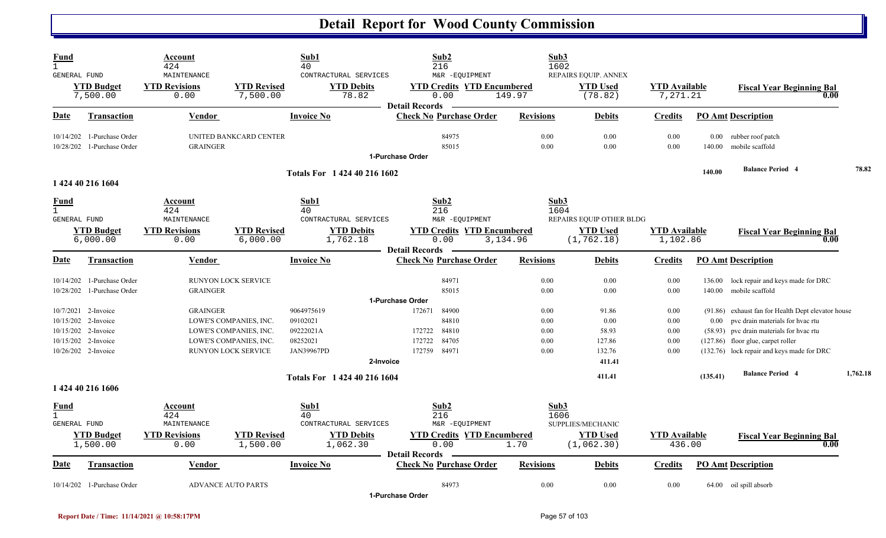| <b>Fund</b><br>$\overline{1}$<br>GENERAL FUND | <b>YTD Budget</b><br>7,500.00                                                                         | Account<br>424<br>MAINTENANCE<br><b>YTD Revisions</b><br>0.00 | <b>YTD Revised</b><br>7,500.00                                                                           | Sub1<br>40<br>CONTRACTURAL SERVICES<br><b>YTD Debits</b><br>78.82                 | Sub2<br>216<br>M&R -EQUIPMENT<br><b>YTD Credits YTD Encumbered</b><br>0.00                            | Sub3<br>1602<br>149.97               | REPAIRS EQUIP. ANNEX<br><b>YTD Used</b><br>(78.82)         | <b>YTD Available</b><br>7,271.21     |          | <b>Fiscal Year Beginning Bal</b><br>0.00                                                                                                                                                                                 |          |
|-----------------------------------------------|-------------------------------------------------------------------------------------------------------|---------------------------------------------------------------|----------------------------------------------------------------------------------------------------------|-----------------------------------------------------------------------------------|-------------------------------------------------------------------------------------------------------|--------------------------------------|------------------------------------------------------------|--------------------------------------|----------|--------------------------------------------------------------------------------------------------------------------------------------------------------------------------------------------------------------------------|----------|
| Date                                          | <b>Transaction</b>                                                                                    | Vendor                                                        |                                                                                                          | <b>Invoice No</b>                                                                 | <b>Detail Records</b><br><b>Check No Purchase Order</b>                                               | <b>Revisions</b>                     | <b>Debits</b>                                              | <b>Credits</b>                       |          | <b>PO Amt Description</b>                                                                                                                                                                                                |          |
|                                               | 10/14/202 1-Purchase Order<br>10/28/202 1-Purchase Order                                              | <b>GRAINGER</b>                                               | UNITED BANKCARD CENTER                                                                                   |                                                                                   | 84975<br>85015<br>1-Purchase Order                                                                    | 0.00<br>0.00                         | 0.00<br>0.00                                               | 0.00<br>0.00                         | 140.00   | 0.00 rubber roof patch<br>mobile scaffold                                                                                                                                                                                |          |
|                                               | 1 424 40 216 1604                                                                                     |                                                               |                                                                                                          | Totals For 1 424 40 216 1602                                                      |                                                                                                       |                                      |                                                            |                                      | 140.00   | <b>Balance Period 4</b>                                                                                                                                                                                                  | 78.82    |
| <u>Fund</u><br>$\mathbf{1}$<br>GENERAL FUND   | <b>YTD Budget</b><br>6,000.00                                                                         | Account<br>424<br>MAINTENANCE<br><b>YTD Revisions</b><br>0.00 | <b>YTD Revised</b><br>6,000.00                                                                           | Sub1<br>40<br>CONTRACTURAL SERVICES<br><b>YTD Debits</b><br>1,762.18              | Sub2<br>216<br>M&R -EQUIPMENT<br><b>YTD Credits YTD Encumbered</b><br>0.00                            | Sub3<br>1604<br>3,134.96             | REPAIRS EQUIP OTHER BLDG<br><b>YTD Used</b><br>(1, 762.18) | <b>YTD Available</b><br>1,102.86     |          | <b>Fiscal Year Beginning Bal</b><br>0.00                                                                                                                                                                                 |          |
| Date                                          | <b>Transaction</b>                                                                                    | Vendor                                                        |                                                                                                          | <b>Invoice No</b>                                                                 | <b>Detail Records</b><br><b>Check No Purchase Order</b>                                               | <b>Revisions</b>                     | <b>Debits</b>                                              | <b>Credits</b>                       |          | <b>PO Amt Description</b>                                                                                                                                                                                                |          |
| 10/28/202                                     | 10/14/202 1-Purchase Order<br>1-Purchase Order                                                        | <b>GRAINGER</b>                                               | RUNYON LOCK SERVICE                                                                                      |                                                                                   | 84971<br>85015                                                                                        | 0.00<br>0.00                         | 0.00<br>0.00                                               | 0.00<br>0.00                         | 136.00   | lock repair and keys made for DRC<br>140.00 mobile scaffold                                                                                                                                                              |          |
| 10/15/202                                     | 10/7/2021 2-Invoice<br>10/15/202 2-Invoice<br>2-Invoice<br>10/15/202 2-Invoice<br>10/26/202 2-Invoice | <b>GRAINGER</b>                                               | LOWE'S COMPANIES, INC.<br>LOWE'S COMPANIES, INC.<br>LOWE'S COMPANIES, INC.<br><b>RUNYON LOCK SERVICE</b> | 9064975619<br>09102021<br>09222021A<br>08252021<br><b>JAN39967PD</b><br>2-Invoice | 1-Purchase Order<br>172671<br>84900<br>84810<br>172722<br>84810<br>84705<br>172722<br>172759<br>84971 | 0.00<br>0.00<br>0.00<br>0.00<br>0.00 | 91.86<br>0.00<br>58.93<br>127.86<br>132.76<br>411.41       | 0.00<br>0.00<br>0.00<br>0.00<br>0.00 | $0.00\,$ | (91.86) exhaust fan for Health Dept elevator house<br>pvc drain materials for hvac rtu<br>(58.93) pvc drain materials for hvac rtu<br>$(127.86)$ floor glue, carpet roller<br>(132.76) lock repair and keys made for DRC |          |
|                                               | 1 424 40 216 1606                                                                                     |                                                               |                                                                                                          | Totals For 1 424 40 216 1604                                                      |                                                                                                       |                                      | 411.41                                                     |                                      | (135.41) | <b>Balance Period 4</b>                                                                                                                                                                                                  | 1,762.18 |
| Fund<br>$\mathbf{1}$<br><b>GENERAL FUND</b>   | <b>YTD Budget</b><br>1,500.00                                                                         | Account<br>424<br>MAINTENANCE<br><b>YTD Revisions</b><br>0.00 | <b>YTD Revised</b><br>1,500.00                                                                           | Sub1<br>40<br>CONTRACTURAL SERVICES<br><b>YTD Debits</b><br>1,062.30              | Sub2<br>216<br>M&R -EQUIPMENT<br><b>YTD Credits YTD Encumbered</b><br>0.00<br><b>Detail Records</b>   | Sub3<br>1606<br>1.70                 | SUPPLIES/MECHANIC<br><b>YTD Used</b><br>(1,062.30)         | <b>YTD Available</b><br>436.00       |          | <b>Fiscal Year Beginning Bal</b><br>0.00                                                                                                                                                                                 |          |
| Date                                          | <b>Transaction</b>                                                                                    | Vendor                                                        |                                                                                                          | <b>Invoice No</b>                                                                 | <b>Check No Purchase Order</b>                                                                        | <b>Revisions</b>                     | <b>Debits</b>                                              | <b>Credits</b>                       |          | <b>PO Amt Description</b>                                                                                                                                                                                                |          |
|                                               | 10/14/202 1-Purchase Order                                                                            |                                                               | <b>ADVANCE AUTO PARTS</b>                                                                                |                                                                                   | 84973<br>1-Purchase Order                                                                             | 0.00                                 | 0.00                                                       | 0.00                                 |          | 64.00 oil spill absorb                                                                                                                                                                                                   |          |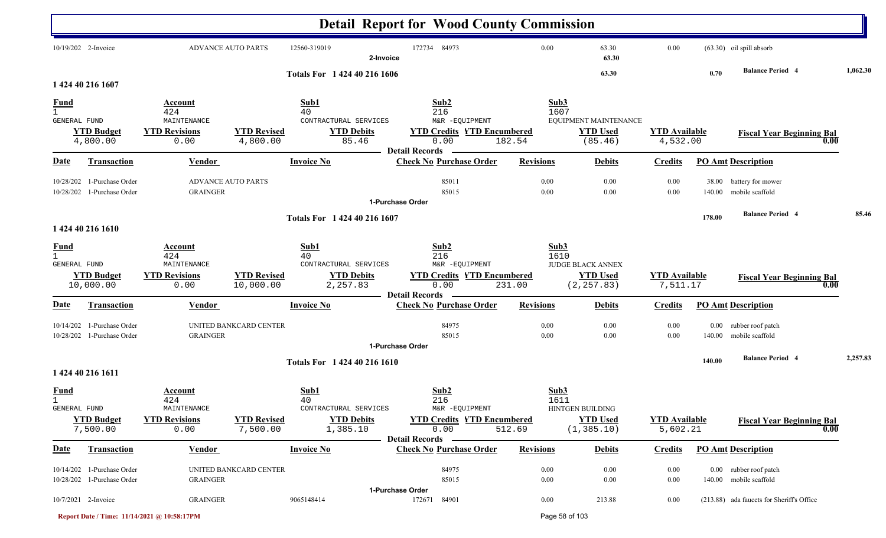|                                                    |                                                          |                                                               |                                 |                                                                      | <b>Detail Report for Wood County Commission</b>                                                |                        |                                                     |                                  |                    |                                                  |          |
|----------------------------------------------------|----------------------------------------------------------|---------------------------------------------------------------|---------------------------------|----------------------------------------------------------------------|------------------------------------------------------------------------------------------------|------------------------|-----------------------------------------------------|----------------------------------|--------------------|--------------------------------------------------|----------|
|                                                    | 10/19/202 2-Invoice                                      |                                                               | <b>ADVANCE AUTO PARTS</b>       | 12560-319019                                                         | 172734 84973<br>2-Invoice                                                                      | 0.00                   | 63.30<br>63.30                                      | 0.00                             |                    | $(63.30)$ oil spill absorb                       |          |
|                                                    | 1 424 40 216 1607                                        |                                                               |                                 | Totals For 1 424 40 216 1606                                         |                                                                                                |                        | 63.30                                               |                                  | 0.70               | <b>Balance Period 4</b>                          | 1,062.30 |
|                                                    |                                                          | Account                                                       |                                 | Sub1                                                                 | Sub2                                                                                           | Sub3                   |                                                     |                                  |                    |                                                  |          |
| <b>Fund</b><br>$\mathbf{1}$<br>GENERAL FUND        |                                                          | 424<br>MAINTENANCE                                            |                                 | 40<br>CONTRACTURAL SERVICES                                          | 216<br>M&R -EQUIPMENT                                                                          | 1607                   | EQUIPMENT MAINTENANCE                               |                                  |                    |                                                  |          |
|                                                    | <b>YTD Budget</b><br>4,800.00                            | <b>YTD Revisions</b><br>0.00                                  | <b>YTD Revised</b><br>4,800.00  | <b>YTD Debits</b><br>85.46                                           | <b>YTD Credits YTD Encumbered</b><br>0.00<br><b>Detail Records</b>                             | 182.54                 | <b>YTD Used</b><br>(85.46)                          | <b>YTD</b> Available<br>4,532.00 |                    | <b>Fiscal Year Beginning Bal</b>                 | 0.00     |
| <b>Date</b>                                        | <b>Transaction</b>                                       | <b>Vendor</b>                                                 |                                 | <b>Invoice No</b>                                                    | <b>Check No Purchase Order</b>                                                                 | <b>Revisions</b>       | <b>Debits</b>                                       | <b>Credits</b>                   |                    | <b>PO Amt Description</b>                        |          |
|                                                    | 10/28/202 1-Purchase Order<br>10/28/202 1-Purchase Order | <b>GRAINGER</b>                                               | <b>ADVANCE AUTO PARTS</b>       |                                                                      | 85011<br>85015<br>1-Purchase Order                                                             | 0.00<br>0.00           | 0.00<br>0.00                                        | 0.00<br>0.00                     | 38.00<br>140.00    | battery for mower<br>mobile scaffold             |          |
|                                                    | 1 424 40 216 1610                                        |                                                               |                                 | Totals For 1 424 40 216 1607                                         |                                                                                                |                        |                                                     |                                  | 178.00             | <b>Balance Period 4</b>                          | 85.46    |
| <b>Fund</b><br>$\mathbf{1}$<br><b>GENERAL FUND</b> | <b>YTD Budget</b><br>10,000.00                           | Account<br>424<br>MAINTENANCE<br><b>YTD Revisions</b><br>0.00 | <b>YTD Revised</b><br>10,000.00 | Sub1<br>40<br>CONTRACTURAL SERVICES<br><b>YTD Debits</b><br>2,257.83 | Sub2<br>216<br>M&R -EQUIPMENT<br><b>YTD Credits YTD Encumbered</b><br>0.00                     | Sub3<br>1610<br>231.00 | JUDGE BLACK ANNEX<br><b>YTD Used</b><br>(2, 257.83) | <b>YTD Available</b><br>7,511.17 |                    | <b>Fiscal Year Beginning Bal</b>                 |          |
| Date                                               | <b>Transaction</b>                                       | <b>Vendor</b>                                                 |                                 | <b>Invoice No</b>                                                    | <b>Detail Records</b><br><b>Check No Purchase Order</b>                                        | <b>Revisions</b>       | <b>Debits</b>                                       | <b>Credits</b>                   |                    | <b>PO Amt Description</b>                        | 0.00     |
|                                                    | 10/14/202 1-Purchase Order<br>10/28/202 1-Purchase Order | <b>GRAINGER</b>                                               | UNITED BANKCARD CENTER          |                                                                      | 84975<br>85015<br>1-Purchase Order                                                             | 0.00<br>0.00           | 0.00<br>0.00                                        | 0.00<br>0.00                     | $0.00\,$<br>140.00 | rubber roof patch<br>mobile scaffold             |          |
|                                                    | 1 424 40 216 1611                                        |                                                               |                                 | Totals For 1 424 40 216 1610                                         |                                                                                                |                        |                                                     |                                  | 140.00             | <b>Balance Period 4</b>                          | 2,257.83 |
| <b>Fund</b><br>$\mathbf{1}$<br>GENERAL FUND        | <b>YTD Budget</b><br>7,500.00                            | Account<br>424<br>MAINTENANCE<br><b>YTD Revisions</b><br>0.00 | <b>YTD Revised</b><br>7,500.00  | Sub1<br>40<br>CONTRACTURAL SERVICES<br><b>YTD Debits</b><br>1,385.10 | Sub2<br>216<br>M&R -EQUIPMENT<br><b>YTD Credits YTD Encumbered</b><br>0.00<br>Detail Records - | Sub3<br>1611<br>512.69 | HINTGEN BUILDING<br><b>YTD</b> Used<br>(1, 385.10)  | <b>YTD Available</b><br>5,602.21 |                    | <b>Fiscal Year Beginning Bal</b>                 | 0.00     |
| <u>Date</u>                                        | Transaction                                              | Vendor                                                        |                                 | <b>Invoice No</b>                                                    | <b>Check No Purchase Order</b>                                                                 | <b>Revisions</b>       | <b>Debits</b>                                       | <b>Credits</b>                   |                    | <b>PO Amt Description</b>                        |          |
|                                                    | 10/14/202 1-Purchase Order<br>10/28/202 1-Purchase Order | <b>GRAINGER</b>                                               | UNITED BANKCARD CENTER          |                                                                      | 84975<br>85015<br>1-Purchase Order                                                             | 0.00<br>0.00           | 0.00<br>0.00                                        | $0.00\,$<br>$0.00\,$             |                    | 0.00 rubber roof patch<br>140.00 mobile scaffold |          |
|                                                    | 10/7/2021 2-Invoice                                      | <b>GRAINGER</b>                                               |                                 | 9065148414                                                           | 172671 84901                                                                                   | $0.00\,$               | 213.88                                              | $0.00\,$                         |                    | (213.88) ada faucets for Sheriff's Office        |          |

**Report Date / Time: 11/14/2021 @ 10:58:17PM** Page 58 of 103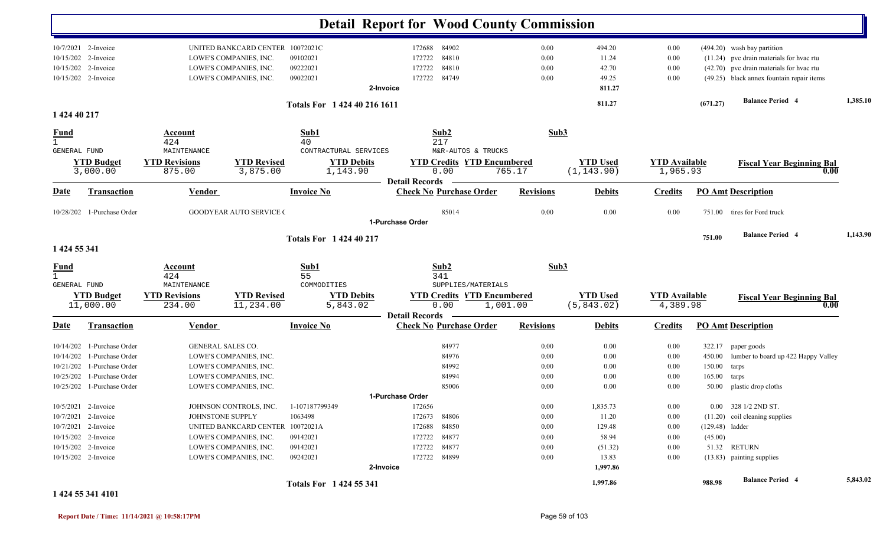|                                     |                                                                                                                                        |                                               |                                                                                                                                                         |                                                        | <b>Detail Report for Wood County Commission</b>                                                                         |                                              |                                                                      |                                                  |                                     |                                                                                                                                                                  |          |
|-------------------------------------|----------------------------------------------------------------------------------------------------------------------------------------|-----------------------------------------------|---------------------------------------------------------------------------------------------------------------------------------------------------------|--------------------------------------------------------|-------------------------------------------------------------------------------------------------------------------------|----------------------------------------------|----------------------------------------------------------------------|--------------------------------------------------|-------------------------------------|------------------------------------------------------------------------------------------------------------------------------------------------------------------|----------|
|                                     | 10/7/2021 2-Invoice<br>10/15/202 2-Invoice<br>10/15/202 2-Invoice<br>10/15/202 2-Invoice                                               |                                               | UNITED BANKCARD CENTER 10072021C<br>LOWE'S COMPANIES, INC.<br>LOWE'S COMPANIES, INC.<br>LOWE'S COMPANIES, INC.                                          | 09102021<br>09222021<br>09022021                       | 172688 84902<br>84810<br>172722<br>84810<br>172722<br>84749<br>172722<br>2-Invoice                                      | 0.00<br>0.00<br>0.00<br>0.00                 | 494.20<br>11.24<br>42.70<br>49.25<br>811.27                          | 0.00<br>0.00<br>0.00<br>0.00                     |                                     | (494.20) wash bay partition<br>(11.24) pvc drain materials for hvac rtu<br>(42.70) pvc drain materials for hvac rtu<br>(49.25) black annex fountain repair items |          |
| 1 424 40 217                        |                                                                                                                                        |                                               |                                                                                                                                                         | Totals For 1 424 40 216 1611                           |                                                                                                                         |                                              | 811.27                                                               |                                                  | (671.27)                            | <b>Balance Period 4</b>                                                                                                                                          | 1,385.10 |
| $\frac{Fund}{1}$                    |                                                                                                                                        | Account<br>424                                |                                                                                                                                                         | Sub1<br>40                                             | Sub2<br>217                                                                                                             | Sub3                                         |                                                                      |                                                  |                                     |                                                                                                                                                                  |          |
| GENERAL FUND                        | <b>YTD Budget</b><br>3,000.00                                                                                                          | MAINTENANCE<br><b>YTD Revisions</b><br>875.00 | <b>YTD Revised</b><br>3,875.00                                                                                                                          | CONTRACTURAL SERVICES<br><b>YTD Debits</b><br>1,143.90 | M&R-AUTOS & TRUCKS<br><b>YTD Credits YTD Encumbered</b><br>0.00                                                         | 765.17                                       | <b>YTD Used</b><br>(1, 143.90)                                       | <b>YTD Available</b><br>1,965.93                 |                                     | <b>Fiscal Year Beginning Bal</b><br>0.00                                                                                                                         |          |
| Date                                | <b>Transaction</b>                                                                                                                     | <b>Vendor</b>                                 |                                                                                                                                                         | <b>Invoice No</b>                                      | <b>Detail Records</b><br><b>Check No Purchase Order</b>                                                                 | <b>Revisions</b>                             | <b>Debits</b>                                                        | <b>Credits</b>                                   |                                     | <b>PO Amt Description</b>                                                                                                                                        |          |
|                                     | 10/28/202 1-Purchase Order                                                                                                             |                                               | <b>GOODYEAR AUTO SERVICE (</b>                                                                                                                          |                                                        | 85014<br>1-Purchase Order                                                                                               | 0.00                                         | 0.00                                                                 | 0.00                                             | 751.00                              | tires for Ford truck                                                                                                                                             |          |
| 1 424 55 341                        |                                                                                                                                        |                                               |                                                                                                                                                         | <b>Totals For 142440217</b>                            |                                                                                                                         |                                              |                                                                      |                                                  | 751.00                              | <b>Balance Period 4</b>                                                                                                                                          | 1,143.90 |
| <b>Fund</b><br>GENERAL FUND         |                                                                                                                                        | Account<br>424<br>MAINTENANCE                 |                                                                                                                                                         | Sub1<br>55<br>COMMODITIES                              | Sub2<br>341<br>SUPPLIES/MATERIALS                                                                                       | Sub3                                         |                                                                      |                                                  |                                     |                                                                                                                                                                  |          |
|                                     | <b>YTD Budget</b><br>11,000.00                                                                                                         | <b>YTD Revisions</b><br>234.00                | <b>YTD Revised</b><br>11,234.00                                                                                                                         | <b>YTD Debits</b><br>5,843.02                          | <b>YTD Credits YTD Encumbered</b><br>0.00<br><b>Detail Records</b>                                                      | 1,001.00                                     | <b>YTD Used</b><br>(5,843.02)                                        | <b>YTD</b> Available<br>4,389.98                 |                                     | <b>Fiscal Year Beginning Bal</b><br>0.00                                                                                                                         |          |
| Date                                | <b>Transaction</b>                                                                                                                     | <b>Vendor</b>                                 |                                                                                                                                                         | <b>Invoice No</b>                                      | <b>Check No Purchase Order</b>                                                                                          | <b>Revisions</b>                             | <b>Debits</b>                                                        | <b>Credits</b>                                   |                                     | <b>PO Amt Description</b>                                                                                                                                        |          |
| 10/14/202<br>10/21/202<br>10/25/202 | 10/14/202 1-Purchase Order<br>1-Purchase Order<br>1-Purchase Order<br>1-Purchase Order<br>10/25/202 1-Purchase Order                   | <b>GENERAL SALES CO.</b>                      | LOWE'S COMPANIES, INC.<br>LOWE'S COMPANIES, INC.<br>LOWE'S COMPANIES, INC.<br>LOWE'S COMPANIES, INC.                                                    |                                                        | 84977<br>84976<br>84992<br>84994<br>85006                                                                               | 0.00<br>0.00<br>0.00<br>0.00<br>0.00         | 0.00<br>0.00<br>0.00<br>0.00<br>0.00                                 | 0.00<br>0.00<br>0.00<br>0.00<br>0.00             | 450.00<br>150.00<br>165.00<br>50.00 | 322.17 paper goods<br>lumber to board up 422 Happy Valley<br>tarps<br>tarps<br>plastic drop cloths                                                               |          |
|                                     | 10/5/2021 2-Invoice<br>10/7/2021 2-Invoice<br>10/7/2021 2-Invoice<br>10/15/202 2-Invoice<br>10/15/202 2-Invoice<br>10/15/202 2-Invoice | JOHNSTONE SUPPLY                              | JOHNSON CONTROLS, INC. 1-107187799349<br>UNITED BANKCARD CENTER 10072021A<br>LOWE'S COMPANIES, INC.<br>LOWE'S COMPANIES, INC.<br>LOWE'S COMPANIES, INC. | 1063498<br>09142021<br>09142021<br>09242021            | 1-Purchase Order<br>172656<br>172673 84806<br>172688 84850<br>172722 84877<br>172722 84877<br>172722 84899<br>2-Invoice | 0.00<br>0.00<br>0.00<br>0.00<br>0.00<br>0.00 | 1,835.73<br>11.20<br>129.48<br>58.94<br>(51.32)<br>13.83<br>1,997.86 | $0.00\,$<br>0.00<br>0.00<br>0.00<br>0.00<br>0.00 | (45.00)                             | 0.00 328 1/2 2ND ST.<br>(11.20) coil cleaning supplies<br>$(129.48)$ ladder<br>51.32 RETURN<br>(13.83) painting supplies                                         |          |
|                                     |                                                                                                                                        |                                               |                                                                                                                                                         | Totals For 1424 55 341                                 |                                                                                                                         |                                              | 1,997.86                                                             |                                                  | 988.98                              | <b>Balance Period 4</b>                                                                                                                                          | 5,843.02 |

**1 424 55 341 4101**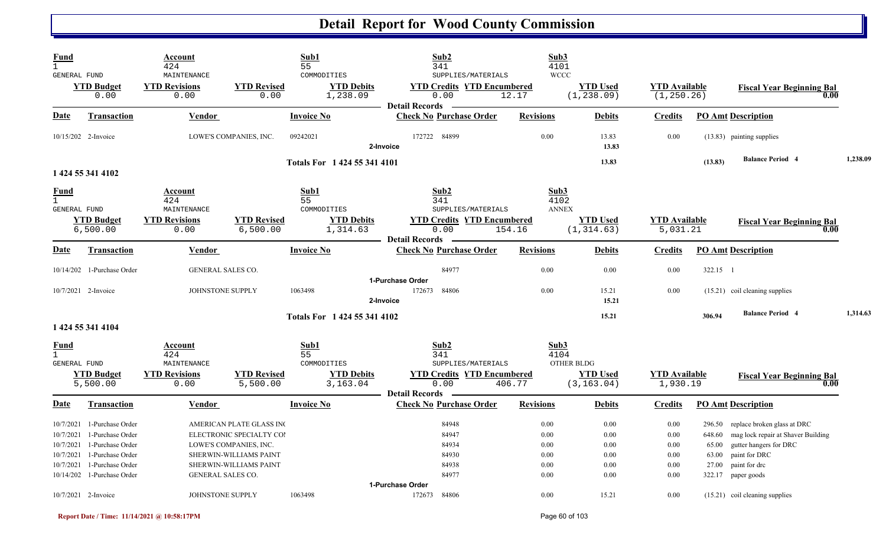| <b>Fund</b><br>$\mathbf{1}$<br><b>GENERAL FUND</b>            |                                                                                                  | Account<br>424<br>MAINTENANCE                         |                                                                                                                                    | Sub1<br>55<br>COMMODITIES                      | Sub2<br>341<br>SUPPLIES/MATERIALS                                      | Sub3<br>4101<br><b>WCCC</b>          |                                      |                                      |                                             |                                                                                                                               |          |
|---------------------------------------------------------------|--------------------------------------------------------------------------------------------------|-------------------------------------------------------|------------------------------------------------------------------------------------------------------------------------------------|------------------------------------------------|------------------------------------------------------------------------|--------------------------------------|--------------------------------------|--------------------------------------|---------------------------------------------|-------------------------------------------------------------------------------------------------------------------------------|----------|
|                                                               | <b>YTD Budget</b><br>0.00                                                                        | <b>YTD Revisions</b><br>0.00                          | <b>YTD Revised</b><br>0.00                                                                                                         | <b>YTD Debits</b><br>1,238.09                  | <b>YTD Credits YTD Encumbered</b><br>0.00                              | 12.17                                | <b>YTD Used</b><br>(1, 238.09)       | <b>YTD Available</b><br>(1, 250.26)  |                                             | <b>Fiscal Year Beginning Bal</b><br>0.00                                                                                      |          |
| <b>Date</b>                                                   | <b>Transaction</b>                                                                               | <b>Vendor</b>                                         |                                                                                                                                    | <b>Invoice No</b>                              | <b>Detail Records</b><br><b>Check No Purchase Order</b>                | <b>Revisions</b>                     | <b>Debits</b>                        | <b>Credits</b>                       |                                             | <b>PO Amt Description</b>                                                                                                     |          |
|                                                               | 10/15/202 2-Invoice                                                                              |                                                       | LOWE'S COMPANIES, INC.                                                                                                             | 09242021                                       | 172722 84899<br>2-Invoice                                              | 0.00                                 | 13.83<br>13.83                       | 0.00                                 |                                             | (13.83) painting supplies                                                                                                     |          |
|                                                               | 1 424 55 341 4102                                                                                |                                                       |                                                                                                                                    | Totals For 1424 55 341 4101                    |                                                                        |                                      | 13.83                                |                                      | (13.83)                                     | <b>Balance Period 4</b>                                                                                                       | 1,238.09 |
| <b>Fund</b><br>$\mathbf{1}$<br><b>GENERAL FUND</b>            |                                                                                                  | Account<br>424<br>MAINTENANCE                         |                                                                                                                                    | Sub1<br>55<br>COMMODITIES                      | Sub2<br>341<br>SUPPLIES/MATERIALS                                      | Sub3<br>4102<br><b>ANNEX</b>         |                                      |                                      |                                             |                                                                                                                               |          |
|                                                               | <b>YTD Budget</b><br>6,500.00                                                                    | <b>YTD Revisions</b><br>0.00                          | <b>YTD Revised</b><br>6,500.00                                                                                                     | <b>YTD Debits</b><br>1,314.63                  | <b>YTD Credits YTD Encumbered</b><br>0.00<br><b>Detail Records</b>     | 154.16                               | <b>YTD</b> Used<br>(1, 314.63)       | <b>YTD</b> Available<br>5,031.21     |                                             | <b>Fiscal Year Beginning Bal</b><br>0.00                                                                                      |          |
| <u>Date</u>                                                   | Transaction                                                                                      | Vendor                                                |                                                                                                                                    | <b>Invoice No</b>                              | <b>Check No Purchase Order</b>                                         | <b>Revisions</b>                     | <b>Debits</b>                        | <b>Credits</b>                       |                                             | <b>PO Amt Description</b>                                                                                                     |          |
|                                                               | 10/14/202 1-Purchase Order                                                                       | <b>GENERAL SALES CO.</b>                              |                                                                                                                                    |                                                | 84977                                                                  | 0.00                                 | 0.00                                 | 0.00                                 | 322.15 1                                    |                                                                                                                               |          |
|                                                               | 10/7/2021 2-Invoice                                                                              | JOHNSTONE SUPPLY                                      |                                                                                                                                    | 1063498                                        | 1-Purchase Order<br>84806<br>172673<br>2-Invoice                       | 0.00                                 | 15.21<br>15.21                       | 0.00                                 |                                             | $(15.21)$ coil cleaning supplies                                                                                              |          |
|                                                               | 1 424 55 341 4104                                                                                |                                                       |                                                                                                                                    | Totals For 1 424 55 341 4102                   |                                                                        |                                      | 15.21                                |                                      | 306.94                                      | <b>Balance Period 4</b>                                                                                                       | 1,314.63 |
| <b>Fund</b><br>$\mathbf{1}$<br><b>GENERAL FUND</b>            | <b>YTD Budget</b>                                                                                | Account<br>424<br>MAINTENANCE<br><b>YTD Revisions</b> | <b>YTD Revised</b>                                                                                                                 | Sub1<br>55<br>COMMODITIES<br><b>YTD Debits</b> | Sub2<br>341<br>SUPPLIES/MATERIALS<br><b>YTD Credits YTD Encumbered</b> | Sub3<br>4104                         | OTHER BLDG<br><b>YTD Used</b>        | <b>YTD Available</b>                 |                                             | <b>Fiscal Year Beginning Bal</b>                                                                                              |          |
|                                                               | 5,500.00                                                                                         | 0.00                                                  | 5,500.00                                                                                                                           | 3,163.04                                       | 0.00<br><b>Detail Records</b>                                          | 406.77                               | (3, 163.04)                          | 1,930.19                             |                                             | 0.00                                                                                                                          |          |
| Date                                                          | Transaction                                                                                      | Vendor                                                |                                                                                                                                    | <b>Invoice No</b>                              | <b>Check No Purchase Order</b>                                         | <b>Revisions</b>                     | <b>Debits</b>                        | <b>Credits</b>                       |                                             | <b>PO Amt Description</b>                                                                                                     |          |
| 10/7/2021<br>10/7/2021<br>10/7/2021<br>10/7/2021<br>10/7/2021 | 1-Purchase Order<br>1-Purchase Order<br>1-Purchase Order<br>1-Purchase Order<br>1-Purchase Order |                                                       | AMERICAN PLATE GLASS INC<br>ELECTRONIC SPECIALTY COI<br>LOWE'S COMPANIES, INC.<br>SHERWIN-WILLIAMS PAINT<br>SHERWIN-WILLIAMS PAINT |                                                | 84948<br>84947<br>84934<br>84930<br>84938                              | 0.00<br>0.00<br>0.00<br>0.00<br>0.00 | 0.00<br>0.00<br>0.00<br>0.00<br>0.00 | 0.00<br>0.00<br>0.00<br>0.00<br>0.00 | 296.50<br>648.60<br>65.00<br>63.00<br>27.00 | replace broken glass at DRC<br>mag lock repair at Shaver Building<br>gutter hangers for DRC<br>paint for DRC<br>paint for drc |          |
| 10/14/202                                                     | 1-Purchase Order                                                                                 | GENERAL SALES CO.                                     |                                                                                                                                    |                                                | 84977<br>1-Purchase Order                                              | 0.00                                 | 0.00                                 | 0.00                                 |                                             | 322.17 paper goods                                                                                                            |          |
|                                                               | 10/7/2021 2-Invoice                                                                              | JOHNSTONE SUPPLY                                      |                                                                                                                                    | 1063498                                        | 172673<br>84806                                                        | 0.00                                 | 15.21                                | 0.00                                 |                                             | $(15.21)$ coil cleaning supplies                                                                                              |          |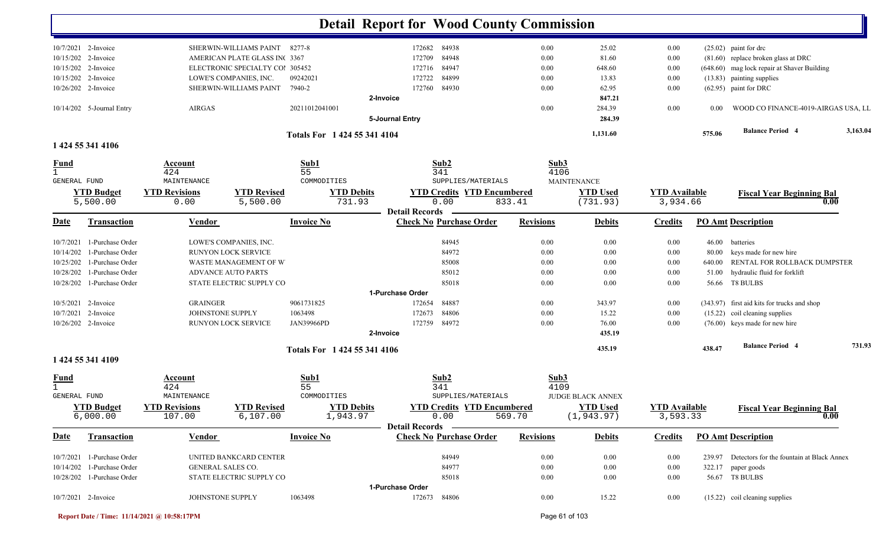|                     |                               |                              |                                 |                              | <b>Detail Report for Wood County Commission</b> |                  |                             |                                  |          |                                                  |          |
|---------------------|-------------------------------|------------------------------|---------------------------------|------------------------------|-------------------------------------------------|------------------|-----------------------------|----------------------------------|----------|--------------------------------------------------|----------|
|                     | 10/7/2021 2-Invoice           |                              | SHERWIN-WILLIAMS PAINT 8277-8   |                              | 172682<br>84938                                 | 0.00             | 25.02                       | 0.00                             |          | $(25.02)$ paint for drc                          |          |
|                     | 10/15/202 2-Invoice           |                              | AMERICAN PLATE GLASS INC 3367   |                              | 84948<br>172709                                 | 0.00             | 81.60                       | 0.00                             |          | (81.60) replace broken glass at DRC              |          |
|                     | 10/15/202 2-Invoice           |                              | ELECTRONIC SPECIALTY COl 305452 |                              | 84947<br>172716                                 | 0.00             | 648.60                      | 0.00                             |          | (648.60) mag lock repair at Shaver Building      |          |
|                     | 10/15/202 2-Invoice           |                              | LOWE'S COMPANIES, INC.          | 09242021                     | 84899<br>172722                                 | 0.00             | 13.83                       | 0.00                             |          | (13.83) painting supplies                        |          |
|                     | 10/26/202 2-Invoice           |                              | SHERWIN-WILLIAMS PAINT          | 7940-2                       | 84930<br>172760                                 | 0.00             | 62.95                       | 0.00                             |          | (62.95) paint for DRC                            |          |
|                     |                               |                              |                                 |                              | 2-Invoice                                       |                  | 847.21                      |                                  |          |                                                  |          |
|                     | 10/14/202 5-Journal Entry     | AIRGAS                       |                                 | 20211012041001               |                                                 | 0.00             | 284.39                      | 0.00                             | $0.00\,$ | WOOD CO FINANCE-4019-AIRGAS USA, LL              |          |
|                     |                               |                              |                                 |                              | 5-Journal Entry                                 |                  | 284.39                      |                                  |          |                                                  |          |
|                     |                               |                              |                                 | Totals For 1 424 55 341 4104 |                                                 |                  | 1,131.60                    |                                  | 575.06   | <b>Balance Period 4</b>                          | 3,163.04 |
|                     | 1 424 55 341 4106             |                              |                                 |                              |                                                 |                  |                             |                                  |          |                                                  |          |
| <u>Fund</u>         |                               | Account                      |                                 | Sub1                         | Sub2                                            | Sub3             |                             |                                  |          |                                                  |          |
| $\mathbf{1}$        |                               | 424                          |                                 | 55                           | 341                                             | 4106             |                             |                                  |          |                                                  |          |
| GENERAL FUND        |                               | MAINTENANCE                  |                                 | COMMODITIES                  | SUPPLIES/MATERIALS                              |                  | <b>MAINTENANCE</b>          |                                  |          |                                                  |          |
|                     | <b>YTD Budget</b><br>5,500.00 | <b>YTD Revisions</b><br>0.00 | <b>YTD Revised</b><br>5,500.00  | <b>YTD Debits</b><br>731.93  | <b>YTD Credits YTD Encumbered</b><br>0.00       | 833.41           | <b>YTD Used</b><br>(731.93) | <b>YTD Available</b><br>3,934.66 |          | <b>Fiscal Year Beginning Bal</b><br>0.00         |          |
|                     |                               |                              |                                 |                              | <b>Detail Records</b>                           |                  |                             |                                  |          |                                                  |          |
| Date                | <b>Transaction</b>            | Vendor                       |                                 | <b>Invoice No</b>            | <b>Check No Purchase Order</b>                  | <b>Revisions</b> | <b>Debits</b>               | <b>Credits</b>                   |          | <b>PO Amt Description</b>                        |          |
| 10/7/2021           | 1-Purchase Order              |                              | LOWE'S COMPANIES, INC.          |                              | 84945                                           | 0.00             | 0.00                        | 0.00                             | 46.00    | batteries                                        |          |
| 10/14/202           | 1-Purchase Order              |                              | <b>RUNYON LOCK SERVICE</b>      |                              | 84972                                           | 0.00             | 0.00                        | 0.00                             | 80.00    | keys made for new hire                           |          |
| 10/25/202           | 1-Purchase Order              |                              | WASTE MANAGEMENT OF W           |                              | 85008                                           | 0.00             | 0.00                        | 0.00                             | 640.00   | RENTAL FOR ROLLBACK DUMPSTER                     |          |
|                     | 10/28/202 1-Purchase Order    |                              | <b>ADVANCE AUTO PARTS</b>       |                              | 85012                                           | 0.00             | 0.00                        | 0.00                             | 51.00    | hydraulic fluid for forklift                     |          |
|                     | 10/28/202 1-Purchase Order    |                              | STATE ELECTRIC SUPPLY CO        |                              | 85018                                           | 0.00             | 0.00                        | 0.00                             |          | 56.66 T8 BULBS                                   |          |
|                     |                               |                              |                                 |                              | 1-Purchase Order                                |                  |                             |                                  |          |                                                  |          |
|                     | 10/5/2021 2-Invoice           | <b>GRAINGER</b>              |                                 | 9061731825                   | 84887<br>172654                                 | 0.00             | 343.97                      | 0.00                             |          | (343.97) first aid kits for trucks and shop      |          |
|                     | 10/7/2021 2-Invoice           | JOHNSTONE SUPPLY             |                                 | 1063498                      | 84806<br>172673                                 | 0.00             | 15.22                       | 0.00                             |          | (15.22) coil cleaning supplies                   |          |
|                     | 10/26/202 2-Invoice           |                              | RUNYON LOCK SERVICE             | <b>JAN39966PD</b>            | 84972<br>172759                                 | 0.00             | 76.00                       | 0.00                             |          | (76.00) keys made for new hire                   |          |
|                     |                               |                              |                                 |                              | 2-Invoice                                       |                  | 435.19                      |                                  |          |                                                  |          |
|                     |                               |                              |                                 | Totals For 1 424 55 341 4106 |                                                 |                  | 435.19                      |                                  | 438.47   | <b>Balance Period 4</b>                          | 731.93   |
|                     | 1 424 55 341 4109             |                              |                                 |                              |                                                 |                  |                             |                                  |          |                                                  |          |
| <u>Fund</u>         |                               | Account                      |                                 | Sub1                         | Sub2                                            | Sub3             |                             |                                  |          |                                                  |          |
|                     |                               | 424                          |                                 | 55                           | 341                                             | 4109             |                             |                                  |          |                                                  |          |
| <b>GENERAL FUND</b> |                               | MAINTENANCE                  |                                 | COMMODITIES                  | SUPPLIES/MATERIALS                              |                  | <b>JUDGE BLACK ANNEX</b>    |                                  |          |                                                  |          |
|                     | <b>YTD Budget</b>             | <b>YTD Revisions</b>         | <b>YTD Revised</b>              | <b>YTD Debits</b>            | <b>YTD Credits YTD Encumbered</b>               |                  | <b>YTD Used</b>             | <b>YTD Available</b>             |          | <b>Fiscal Year Beginning Bal</b>                 |          |
|                     | 6,000.00                      | 107.00                       | 6,107.00                        | 1,943.97                     | 0.00<br>Detail Records -                        | 569.70           | (1, 943.97)                 | 3,593.33                         |          | 0.00                                             |          |
| Date                | Transaction                   | <b>Vendor</b>                |                                 | <b>Invoice No</b>            | <b>Check No Purchase Order</b>                  | <b>Revisions</b> | <b>Debits</b>               | <b>Credits</b>                   |          | <b>PO Amt Description</b>                        |          |
|                     | 10/7/2021 1-Purchase Order    |                              | UNITED BANKCARD CENTER          |                              | 84949                                           | $0.00\,$         | 0.00                        | 0.00                             |          | 239.97 Detectors for the fountain at Black Annex |          |
|                     | 10/14/202 1-Purchase Order    | GENERAL SALES CO.            |                                 |                              | 84977                                           | 0.00             | 0.00                        | 0.00                             |          | 322.17 paper goods                               |          |
|                     | 10/28/202 1-Purchase Order    |                              | STATE ELECTRIC SUPPLY CO        |                              | 85018                                           | $0.00\,$         | 0.00                        | 0.00                             |          | 56.67 T8 BULBS                                   |          |
|                     |                               |                              |                                 |                              | 1-Purchase Order                                |                  |                             |                                  |          |                                                  |          |
|                     | 10/7/2021 2-Invoice           | JOHNSTONE SUPPLY             |                                 | 1063498                      | 172673 84806                                    | $0.00\,$         | 15.22                       | $0.00\,$                         |          | (15.22) coil cleaning supplies                   |          |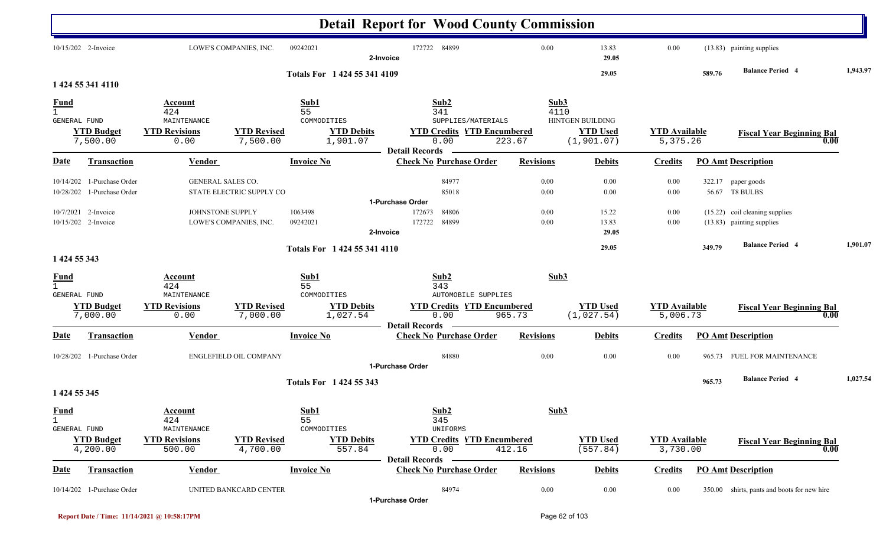|                                                    |                                                          |                                                               |                                |                                                            | <b>Detail Report for Wood County Commission</b>                                                         |                        |                                                    |                                  |        |                                                             |          |
|----------------------------------------------------|----------------------------------------------------------|---------------------------------------------------------------|--------------------------------|------------------------------------------------------------|---------------------------------------------------------------------------------------------------------|------------------------|----------------------------------------------------|----------------------------------|--------|-------------------------------------------------------------|----------|
|                                                    | 10/15/202 2-Invoice                                      |                                                               | LOWE'S COMPANIES, INC.         | 09242021                                                   | 172722 84899<br>2-Invoice                                                                               | 0.00                   | 13.83<br>29.05                                     | 0.00                             |        | (13.83) painting supplies                                   |          |
|                                                    | 1 424 55 341 4110                                        |                                                               |                                | Totals For 1 424 55 341 4109                               |                                                                                                         |                        | 29.05                                              |                                  | 589.76 | <b>Balance Period 4</b>                                     | 1,943.97 |
| <b>Fund</b><br>$\mathbf{1}$<br>GENERAL FUND        | <b>YTD Budget</b><br>7,500.00                            | Account<br>424<br>MAINTENANCE<br><b>YTD Revisions</b><br>0.00 | <b>YTD Revised</b><br>7,500.00 | Sub1<br>55<br>COMMODITIES<br><b>YTD Debits</b><br>1,901.07 | Sub2<br>341<br>SUPPLIES/MATERIALS<br><b>YTD Credits YTD Encumbered</b><br>0.00<br><b>Detail Records</b> | Sub3<br>4110<br>223.67 | HINTGEN BUILDING<br><b>YTD Used</b><br>(1, 901.07) | <b>YTD</b> Available<br>5,375.26 |        | <b>Fiscal Year Beginning Bal</b><br>0.00                    |          |
| <b>Date</b>                                        | <b>Transaction</b>                                       | Vendor                                                        |                                | <b>Invoice No</b>                                          | <b>Check No Purchase Order</b>                                                                          | <b>Revisions</b>       | <b>Debits</b>                                      | <b>Credits</b>                   |        | <b>PO Amt Description</b>                                   |          |
|                                                    | 10/14/202 1-Purchase Order<br>10/28/202 1-Purchase Order | <b>GENERAL SALES CO.</b>                                      | STATE ELECTRIC SUPPLY CO       |                                                            | 84977<br>85018                                                                                          | 0.00<br>0.00           | 0.00<br>0.00                                       | 0.00<br>0.00                     |        | 322.17 paper goods<br>56.67 T8 BULBS                        |          |
|                                                    | 10/7/2021 2-Invoice<br>10/15/202 2-Invoice               | JOHNSTONE SUPPLY                                              | LOWE'S COMPANIES, INC.         | 1063498<br>09242021                                        | 1-Purchase Order<br>172673<br>84806<br>84899<br>172722<br>2-Invoice                                     | 0.00<br>0.00           | 15.22<br>13.83<br>29.05                            | 0.00<br>0.00                     |        | (15.22) coil cleaning supplies<br>(13.83) painting supplies |          |
| 1 424 55 343                                       |                                                          |                                                               |                                | Totals For 1 424 55 341 4110                               |                                                                                                         |                        | 29.05                                              |                                  | 349.79 | <b>Balance Period 4</b>                                     | 1,901.07 |
| <u>Fund</u><br>$\mathbf{1}$<br><b>GENERAL FUND</b> |                                                          | Account<br>424<br>MAINTENANCE                                 |                                | Sub1<br>55<br>COMMODITIES                                  | Sub2<br>343<br>AUTOMOBILE SUPPLIES                                                                      | Sub3                   |                                                    |                                  |        |                                                             |          |
|                                                    | <b>YTD Budget</b><br>7,000.00                            | <b>YTD Revisions</b><br>0.00                                  | <b>YTD Revised</b><br>7,000.00 | <b>YTD Debits</b><br>1,027.54                              | <b>YTD Credits YTD Encumbered</b><br>0.00<br><b>Detail Records</b>                                      | 965.73                 | <b>YTD Used</b><br>(1,027.54)                      | <b>YTD Available</b><br>5,006.73 |        | <b>Fiscal Year Beginning Bal</b><br>0.00                    |          |
| <b>Date</b>                                        | <b>Transaction</b>                                       | <b>Vendor</b>                                                 |                                | <b>Invoice No</b>                                          | <b>Check No Purchase Order</b>                                                                          | <b>Revisions</b>       | <b>Debits</b>                                      | <b>Credits</b>                   |        | <b>PO Amt Description</b>                                   |          |
|                                                    | 10/28/202 1-Purchase Order                               |                                                               | <b>ENGLEFIELD OIL COMPANY</b>  |                                                            | 84880<br>1-Purchase Order                                                                               | 0.00                   | 0.00                                               | 0.00                             |        | 965.73 FUEL FOR MAINTENANCE                                 |          |
| 1 424 55 345                                       |                                                          |                                                               |                                | <b>Totals For 1424 55 343</b>                              |                                                                                                         |                        |                                                    |                                  | 965.73 | <b>Balance Period 4</b>                                     | 1,027.54 |
| <b>Fund</b><br>$\mathbf{1}$<br>GENERAL FUND        |                                                          | <b>Account</b><br>424<br>MAINTENANCE                          |                                | Sub1<br>55<br>COMMODITIES                                  | Sub2<br>345<br>UNIFORMS                                                                                 | Sub3                   |                                                    |                                  |        |                                                             |          |
|                                                    | <b>YTD Budget</b><br>4,200.00                            | <b>YTD Revisions</b><br>500.00                                | <b>YTD Revised</b><br>4,700.00 | <b>YTD Debits</b><br>557.84                                | <b>YTD Credits YTD Encumbered</b><br>0.00<br><b>Detail Records</b>                                      | 412.16                 | <b>YTD Used</b><br>(557.84)                        | <b>YTD</b> Available<br>3,730.00 |        | <b>Fiscal Year Beginning Bal</b><br>0.00                    |          |
| Date                                               | <b>Transaction</b>                                       | <b>Vendor</b>                                                 |                                | <b>Invoice No</b>                                          | <b>Check No Purchase Order</b>                                                                          | <b>Revisions</b>       | <b>Debits</b>                                      | <b>Credits</b>                   |        | <b>PO Amt Description</b>                                   |          |
|                                                    | 10/14/202 1-Purchase Order                               |                                                               | UNITED BANKCARD CENTER         |                                                            | 84974<br>1-Purchase Order                                                                               | $0.00\,$               | $0.00\,$                                           | $0.00\,$                         |        | 350.00 shirts, pants and boots for new hire                 |          |

**Report Date / Time: 11/14/2021 @ 10:58:17PM** Page 62 of 103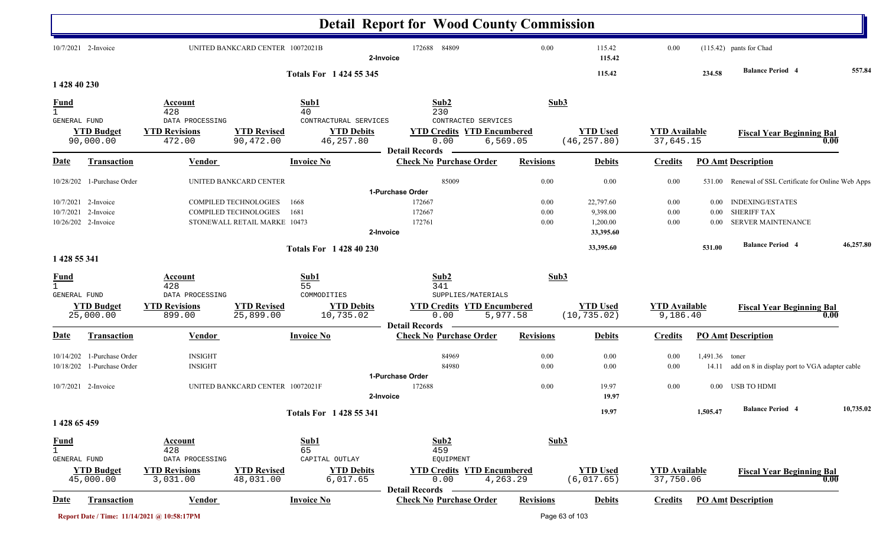|                                                      |                                                         |                                                   |                                                                                       |                                               | <b>Detail Report for Wood County Commission</b>                    |           |                          |                                                |                                   |                              |                                                                            |           |
|------------------------------------------------------|---------------------------------------------------------|---------------------------------------------------|---------------------------------------------------------------------------------------|-----------------------------------------------|--------------------------------------------------------------------|-----------|--------------------------|------------------------------------------------|-----------------------------------|------------------------------|----------------------------------------------------------------------------|-----------|
|                                                      | 10/7/2021 2-Invoice                                     |                                                   | UNITED BANKCARD CENTER 10072021B                                                      |                                               | 172688 84809<br>2-Invoice                                          |           | 0.00                     | 115.42<br>115.42                               | $0.00\,$                          |                              | (115.42) pants for Chad                                                    |           |
|                                                      |                                                         |                                                   |                                                                                       | Totals For 1 424 55 345                       |                                                                    |           |                          | 115.42                                         |                                   | 234.58                       | <b>Balance Period 4</b>                                                    | 557.84    |
| 1 428 40 230                                         |                                                         |                                                   |                                                                                       |                                               |                                                                    |           |                          |                                                |                                   |                              |                                                                            |           |
| <u>Fund</u><br>$\overline{1}$<br><b>GENERAL FUND</b> |                                                         | Account<br>428<br>DATA PROCESSING                 |                                                                                       | Sub1<br>40<br>CONTRACTURAL SERVICES           | Sub2<br>230<br>CONTRACTED SERVICES                                 |           | Sub3                     |                                                |                                   |                              |                                                                            |           |
|                                                      | <b>YTD Budget</b><br>90,000.00                          | <b>YTD Revisions</b><br>472.00                    | <b>YTD Revised</b><br>90,472.00                                                       | <b>YTD Debits</b><br>46,257.80                | <b>YTD Credits YTD Encumbered</b><br>0.00<br><b>Detail Records</b> | 6, 569.05 |                          | <b>YTD Used</b><br>(46, 257.80)                | <b>YTD</b> Available<br>37,645.15 |                              | <b>Fiscal Year Beginning Bal</b>                                           | 0.00      |
| <u>Date</u>                                          | <b>Transaction</b>                                      | Vendor                                            |                                                                                       | <b>Invoice No</b>                             | <b>Check No Purchase Order</b>                                     |           | <b>Revisions</b>         | <b>Debits</b>                                  | <b>Credits</b>                    |                              | <b>PO Amt Description</b>                                                  |           |
| 10/28/202                                            | 1-Purchase Order                                        |                                                   | UNITED BANKCARD CENTER                                                                |                                               | 85009<br>1-Purchase Order                                          |           | 0.00                     | 0.00                                           | 0.00                              |                              | 531.00 Renewal of SSL Certificate for Online Web Apps                      |           |
| 10/7/2021                                            | 10/7/2021 2-Invoice<br>2-Invoice<br>10/26/202 2-Invoice |                                                   | <b>COMPILED TECHNOLOGIES</b><br>COMPILED TECHNOLOGIES<br>STONEWALL RETAIL MARKE 10473 | 1668<br>1681                                  | 172667<br>172667<br>172761<br>2-Invoice                            |           | $0.00\,$<br>0.00<br>0.00 | 22,797.60<br>9,398.00<br>1,200.00<br>33,395.60 | $0.00\,$<br>$0.00\,$<br>$0.00\,$  | $0.00\,$<br>0.00<br>$0.00\,$ | <b>INDEXING/ESTATES</b><br><b>SHERIFF TAX</b><br><b>SERVER MAINTENANCE</b> |           |
| 1 428 55 341                                         |                                                         |                                                   |                                                                                       | <b>Totals For 142840230</b>                   |                                                                    |           |                          | 33,395.60                                      |                                   | 531.00                       | <b>Balance Period 4</b>                                                    | 46,257.80 |
| <u>Fund</u><br>$\mathbf{1}$                          |                                                         | Account<br>428                                    |                                                                                       | Sub1<br>55                                    | Sub2<br>341                                                        |           | Sub3                     |                                                |                                   |                              |                                                                            |           |
| GENERAL FUND                                         | <b>YTD Budget</b><br>25,000.00                          | DATA PROCESSING<br><b>YTD Revisions</b><br>899.00 | <b>YTD Revised</b><br>25,899.00                                                       | COMMODITIES<br><b>YTD Debits</b><br>10,735.02 | SUPPLIES/MATERIALS<br><b>YTD Credits YTD Encumbered</b><br>0.00    | 5,977.58  |                          | <b>YTD Used</b><br>(10, 735.02)                | <b>YTD Available</b><br>9,186.40  |                              | <b>Fiscal Year Beginning Bal</b>                                           | 0.00      |
| <b>Date</b>                                          | <b>Transaction</b>                                      | Vendor                                            |                                                                                       | <b>Invoice No</b>                             | <b>Detail Records</b><br><b>Check No Purchase Order</b>            |           | <b>Revisions</b>         | <b>Debits</b>                                  | <b>Credits</b>                    |                              | <b>PO Amt Description</b>                                                  |           |
| 10/14/202<br>10/18/202                               | 1-Purchase Order<br>1-Purchase Order                    | <b>INSIGHT</b><br><b>INSIGHT</b>                  |                                                                                       |                                               | 84969<br>84980                                                     |           | 0.00<br>0.00             | $0.00\,$<br>0.00                               | 0.00<br>0.00                      | 1,491.36 toner               | 14.11 add on 8 in display port to VGA adapter cable                        |           |
|                                                      | 10/7/2021 2-Invoice                                     |                                                   | UNITED BANKCARD CENTER 10072021F                                                      |                                               | 1-Purchase Order<br>172688<br>2-Invoice                            |           | 0.00                     | 19.97<br>19.97                                 | $0.00\,$                          |                              | 0.00 USB TO HDMI                                                           |           |
|                                                      |                                                         |                                                   |                                                                                       | Totals For 1 428 55 341                       |                                                                    |           |                          | 19.97                                          |                                   | 1,505.47                     | <b>Balance Period</b> 4                                                    | 10,735.02 |
| 1 428 65 459                                         |                                                         |                                                   |                                                                                       |                                               |                                                                    |           |                          |                                                |                                   |                              |                                                                            |           |
| <b>Fund</b><br>$\mathbf{1}$<br>GENERAL FUND          |                                                         | <b>Account</b><br>428<br>DATA PROCESSING          |                                                                                       | Sub1<br>65<br>CAPITAL OUTLAY                  | Sub2<br>459<br>EQUIPMENT                                           |           | Sub3                     |                                                |                                   |                              |                                                                            |           |
|                                                      | <b>YTD Budget</b><br>45,000.00                          | <b>YTD Revisions</b><br>3,031.00                  | <b>YTD Revised</b><br>48,031.00                                                       | <b>YTD Debits</b><br>6,017.65                 | <b>YTD Credits YTD Encumbered</b><br>0.00<br><b>Detail Records</b> | 4,263.29  |                          | <b>YTD Used</b><br>(6,017.65)                  | <b>YTD Available</b><br>37,750.06 |                              | <b>Fiscal Year Beginning Bal</b>                                           | 0.00      |
| <u>Date</u>                                          | <b>Transaction</b>                                      | <b>Vendor</b>                                     |                                                                                       | <b>Invoice No</b>                             | <b>Check No Purchase Order</b>                                     |           | <b>Revisions</b>         | <b>Debits</b>                                  | <b>Credits</b>                    |                              | <b>PO Amt Description</b>                                                  |           |
|                                                      |                                                         | Report Date / Time: 11/14/2021 @ 10:58:17PM       |                                                                                       |                                               |                                                                    |           |                          | Page 63 of 103                                 |                                   |                              |                                                                            |           |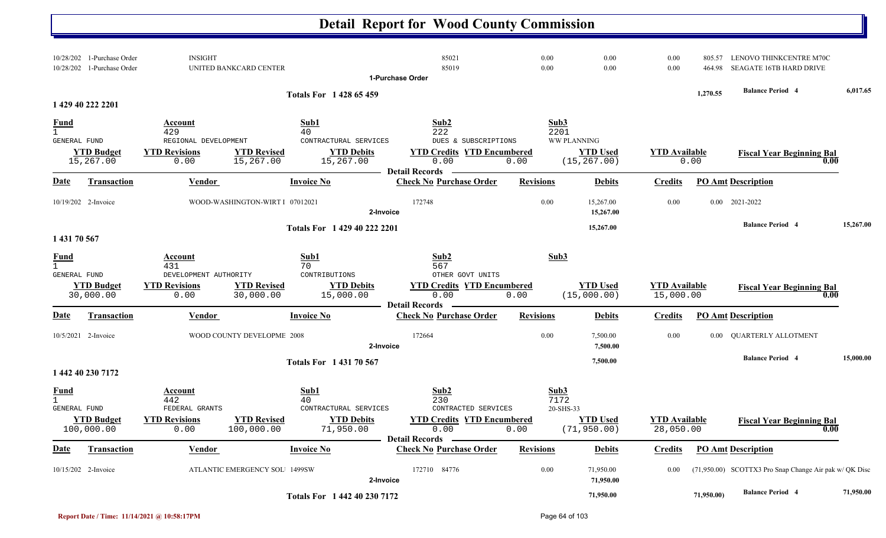|                                             |                                      |                                                                         |                                  |                                                                       | <b>Detail Report for Wood County Commission</b>                                                       |                                   |                                                |                                   |                  |                                                        |           |
|---------------------------------------------|--------------------------------------|-------------------------------------------------------------------------|----------------------------------|-----------------------------------------------------------------------|-------------------------------------------------------------------------------------------------------|-----------------------------------|------------------------------------------------|-----------------------------------|------------------|--------------------------------------------------------|-----------|
| 10/28/202<br>10/28/202                      | 1-Purchase Order<br>1-Purchase Order | <b>INSIGHT</b>                                                          | UNITED BANKCARD CENTER           |                                                                       | 85021<br>85019<br>1-Purchase Order                                                                    | 0.00<br>0.00                      | 0.00<br>0.00                                   | $0.00\,$<br>$0.00\,$              | 805.57<br>464.98 | LENOVO THINKCENTRE M70C<br>SEAGATE 16TB HARD DRIVE     |           |
|                                             | 1 429 40 222 2201                    |                                                                         |                                  | Totals For 1428 65459                                                 |                                                                                                       |                                   |                                                |                                   | 1,270.55         | <b>Balance Period 4</b>                                | 6,017.65  |
| <b>Fund</b><br>$\mathbf{1}$<br>GENERAL FUND | <b>YTD Budget</b><br>15,267.00       | Account<br>429<br>REGIONAL DEVELOPMENT<br><b>YTD Revisions</b><br>0.00  | <b>YTD Revised</b><br>15,267.00  | Sub1<br>40<br>CONTRACTURAL SERVICES<br><b>YTD Debits</b><br>15,267.00 | Sub2<br>222<br>DUES & SUBSCRIPTIONS<br><b>YTD Credits YTD Encumbered</b><br>0.00                      | Sub3<br>2201<br>0.00              | WW PLANNING<br><b>YTD Used</b><br>(15, 267.00) | <b>YTD Available</b>              | 0.00             | <b>Fiscal Year Beginning Bal</b><br>0.00               |           |
| <u>Date</u>                                 | <b>Transaction</b>                   | Vendor                                                                  |                                  | <b>Invoice No</b>                                                     | <b>Detail Records</b><br><b>Check No Purchase Order</b>                                               | <b>Revisions</b>                  | <b>Debits</b>                                  | <b>Credits</b>                    |                  | <b>PO Amt Description</b>                              |           |
|                                             | 10/19/202 2-Invoice                  |                                                                         | WOOD-WASHINGTON-WIRT I 07012021  |                                                                       | 172748<br>2-Invoice                                                                                   | 0.00                              | 15,267.00<br>15,267.00                         | 0.00                              | $0.00\,$         | 2021-2022                                              |           |
| 1 431 70 567                                |                                      |                                                                         |                                  | Totals For 1 429 40 222 2201                                          |                                                                                                       |                                   | 15,267.00                                      |                                   |                  | <b>Balance Period 4</b>                                | 15,267.00 |
| <u>Fund</u><br>$\mathbf{1}$<br>GENERAL FUND | <b>YTD Budget</b><br>30,000.00       | Account<br>431<br>DEVELOPMENT AUTHORITY<br><b>YTD Revisions</b><br>0.00 | <b>YTD Revised</b><br>30,000.00  | Sub1<br>70<br>CONTRIBUTIONS<br><b>YTD Debits</b><br>15,000.00         | Sub2<br>567<br>OTHER GOVT UNITS<br><b>YTD Credits YTD Encumbered</b><br>0.00<br><b>Detail Records</b> | Sub3<br>0.00                      | <b>YTD Used</b><br>(15,000.00)                 | <b>YTD Available</b><br>15,000.00 |                  | <b>Fiscal Year Beginning Bal</b><br>0.00               |           |
| Date                                        | <b>Transaction</b>                   | <b>Vendor</b>                                                           |                                  | <b>Invoice No</b>                                                     | <b>Check No Purchase Order</b>                                                                        | <b>Revisions</b>                  | <b>Debits</b>                                  | <b>Credits</b>                    |                  | <b>PO Amt Description</b>                              |           |
|                                             | 10/5/2021 2-Invoice                  |                                                                         | WOOD COUNTY DEVELOPME 2008       |                                                                       | 172664<br>2-Invoice                                                                                   | 0.00                              | 7,500.00<br>7,500.00                           | $0.00\,$                          |                  | 0.00 QUARTERLY ALLOTMENT                               |           |
|                                             | 1 442 40 230 7172                    |                                                                         |                                  | Totals For 1 431 70 567                                               |                                                                                                       |                                   | 7,500.00                                       |                                   |                  | <b>Balance Period 4</b>                                | 15,000.00 |
| <u>Fund</u><br>GENERAL FUND                 | <b>YTD Budget</b><br>100,000.00      | <b>Account</b><br>442<br>FEDERAL GRANTS<br><b>YTD Revisions</b><br>0.00 | <b>YTD Revised</b><br>100,000.00 | Sub1<br>40<br>CONTRACTURAL SERVICES<br><b>YTD Debits</b><br>71,950.00 | Sub2<br>230<br>CONTRACTED SERVICES<br><b>YTD Credits YTD Encumbered</b><br>0.00                       | Sub3<br>7172<br>20-SHS-33<br>0.00 | <b>YTD Used</b><br>(71, 950.00)                | <b>YTD Available</b><br>28,050.00 |                  | <b>Fiscal Year Beginning Bal</b><br>0.00               |           |
| <u>Date</u>                                 | <b>Transaction</b>                   | <b>Vendor</b>                                                           |                                  | <b>Invoice No</b>                                                     | <b>Detail Records -</b><br><b>Check No Purchase Order</b>                                             | <b>Revisions</b>                  | <b>Debits</b>                                  | <b>Credits</b>                    |                  | <b>PO Amt Description</b>                              |           |
|                                             | 10/15/202 2-Invoice                  |                                                                         | ATLANTIC EMERGENCY SOL 1499SW    |                                                                       | 172710 84776<br>2-Invoice                                                                             | 0.00                              | 71,950.00<br>71,950.00                         | 0.00                              |                  | (71,950.00) SCOTTX3 Pro Snap Change Air pak w/ QK Disc |           |
|                                             |                                      |                                                                         |                                  | Totals For 1 442 40 230 7172                                          |                                                                                                       |                                   | 71,950.00                                      |                                   | 71,950.00)       | <b>Balance Period 4</b>                                | 71,950.00 |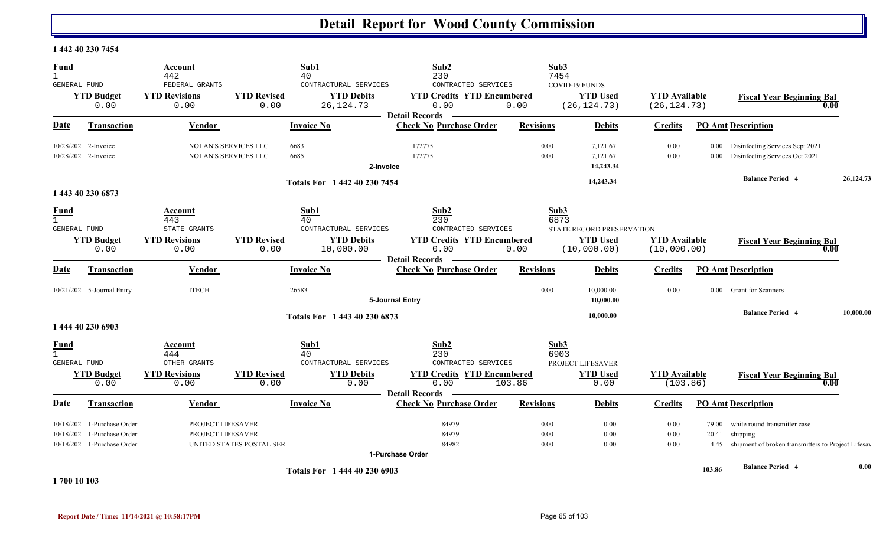#### **1 442 40 230 7454**

| <b>Fund</b><br>$\mathbf{1}$<br>GENERAL FUND |                                                                              | Account<br>442<br>FEDERAL GRANTS                               |                                                     | Sub1<br>40<br>CONTRACTURAL SERVICES                                   | Sub2<br>230<br>CONTRACTED SERVICES                                              |                      | Sub3<br>7454<br>COVID-19 FUNDS                                                          |                                      |                  |                                                                                                     |           |
|---------------------------------------------|------------------------------------------------------------------------------|----------------------------------------------------------------|-----------------------------------------------------|-----------------------------------------------------------------------|---------------------------------------------------------------------------------|----------------------|-----------------------------------------------------------------------------------------|--------------------------------------|------------------|-----------------------------------------------------------------------------------------------------|-----------|
|                                             | <b>YTD Budget</b><br>0.00                                                    | <b>YTD Revisions</b><br>0.00                                   | <b>YTD Revised</b><br>0.00                          | <b>YTD Debits</b><br>26, 124. 73                                      | <b>YTD Credits YTD Encumbered</b><br>0.00<br><b>Detail Records</b>              | 0.00                 | <b>YTD Used</b><br>(26, 124.73)                                                         | <b>YTD</b> Available<br>(26, 124.73) |                  | <b>Fiscal Year Beginning Bal</b><br>0.00                                                            |           |
| Date                                        | <b>Transaction</b>                                                           | Vendor                                                         |                                                     | <b>Invoice No</b>                                                     | <b>Check No Purchase Order</b>                                                  | <b>Revisions</b>     | <b>Debits</b>                                                                           | <b>Credits</b>                       |                  | <b>PO Amt Description</b>                                                                           |           |
|                                             | 10/28/202 2-Invoice<br>10/28/202 2-Invoice                                   |                                                                | <b>NOLAN'S SERVICES LLC</b><br>NOLAN'S SERVICES LLC | 6683<br>6685<br>2-Invoice                                             | 172775<br>172775                                                                | 0.00<br>0.00         | 7,121.67<br>7,121.67<br>14,243.34                                                       | 0.00<br>0.00                         | $0.00\,$<br>0.00 | Disinfecting Services Sept 2021<br>Disinfecting Services Oct 2021                                   |           |
|                                             | 1 443 40 230 6873                                                            |                                                                |                                                     | Totals For 1 442 40 230 7454                                          |                                                                                 |                      | 14,243.34                                                                               |                                      |                  | <b>Balance Period 4</b>                                                                             | 26,124.73 |
| <u>Fund</u><br>GENERAL FUND                 | <b>YTD Budget</b><br>0.00                                                    | Account<br>443<br>STATE GRANTS<br><b>YTD Revisions</b><br>0.00 | <b>YTD Revised</b><br>0.00                          | Sub1<br>40<br>CONTRACTURAL SERVICES<br><b>YTD Debits</b><br>10,000.00 | Sub2<br>230<br>CONTRACTED SERVICES<br><b>YTD Credits YTD Encumbered</b><br>0.00 | 0.00                 | Sub <sub>3</sub><br>6873<br>STATE RECORD PRESERVATION<br><b>YTD Used</b><br>(10,000.00) | <b>YTD</b> Available<br>(10,000.00)  |                  | <b>Fiscal Year Beginning Bal</b><br>0.00                                                            |           |
| Date                                        | <b>Transaction</b>                                                           | Vendor                                                         |                                                     | <b>Invoice No</b>                                                     | <b>Detail Records</b><br><b>Check No Purchase Order</b>                         | <b>Revisions</b>     | <b>Debits</b>                                                                           | <b>Credits</b>                       |                  | <b>PO Amt Description</b>                                                                           |           |
|                                             | 10/21/202 5-Journal Entry                                                    | <b>ITECH</b>                                                   |                                                     | 26583                                                                 | 5-Journal Entry                                                                 | 0.00                 | 10,000.00<br>10,000.00                                                                  | 0.00                                 |                  | 0.00 Grant for Scanners                                                                             |           |
|                                             | 1 444 40 230 6903                                                            |                                                                |                                                     | Totals For 1 443 40 230 6873                                          |                                                                                 |                      | 10,000.00                                                                               |                                      |                  | <b>Balance Period 4</b>                                                                             | 10,000.00 |
| <b>Fund</b><br><b>GENERAL FUND</b>          |                                                                              | Account<br>444<br>OTHER GRANTS                                 |                                                     | Sub1<br>40<br>CONTRACTURAL SERVICES                                   | Sub2<br>230<br>CONTRACTED SERVICES                                              |                      | Sub3<br>6903<br>PROJECT LIFESAVER                                                       |                                      |                  |                                                                                                     |           |
|                                             | <b>YTD Budget</b><br>0.00                                                    | <b>YTD Revisions</b><br>0.00                                   | <b>YTD Revised</b><br>0.00                          | <b>YTD Debits</b><br>0.00                                             | <b>YTD Credits YTD Encumbered</b><br>0.00<br><b>Detail Records</b>              | 103.86               | <b>YTD Used</b><br>0.00                                                                 | <b>YTD</b> Available<br>(103.86)     |                  | <b>Fiscal Year Beginning Bal</b><br>0.00                                                            |           |
| Date                                        | <b>Transaction</b>                                                           | <b>Vendor</b>                                                  |                                                     | <b>Invoice No</b>                                                     | <b>Check No Purchase Order</b>                                                  | <b>Revisions</b>     | <b>Debits</b>                                                                           | <b>Credits</b>                       |                  | <b>PO Amt Description</b>                                                                           |           |
| 10/18/202                                   | 10/18/202 1-Purchase Order<br>1-Purchase Order<br>10/18/202 1-Purchase Order | PROJECT LIFESAVER<br>PROJECT LIFESAVER                         | UNITED STATES POSTAL SER                            |                                                                       | 84979<br>84979<br>84982<br>1-Purchase Order                                     | 0.00<br>0.00<br>0.00 | 0.00<br>0.00<br>0.00                                                                    | 0.00<br>0.00<br>0.00                 | 79.00<br>20.41   | white round transmitter case<br>shipping<br>4.45 shipment of broken transmitters to Project Lifesay |           |
|                                             |                                                                              |                                                                |                                                     | Totals For 1 444 40 230 6903                                          |                                                                                 |                      |                                                                                         |                                      | 103.86           | <b>Balance Period 4</b>                                                                             | 0.00      |

**1 700 10 103**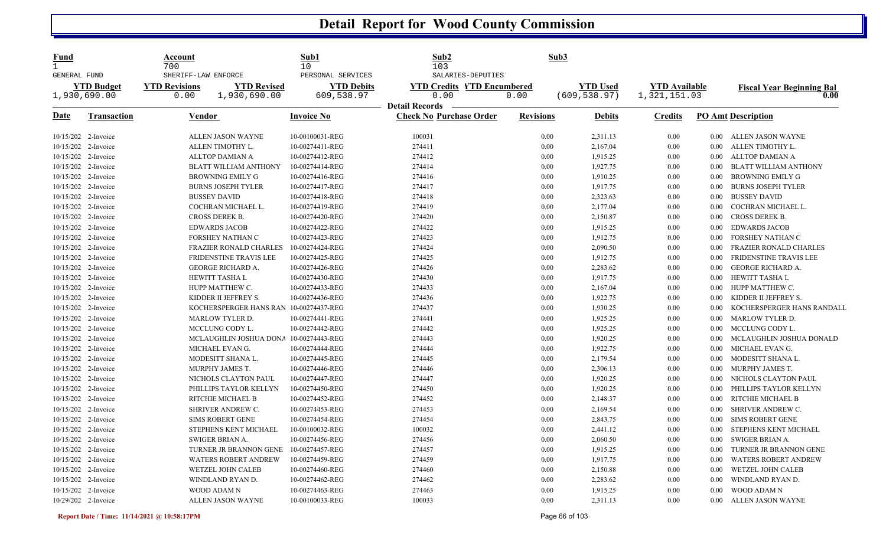| <u>Fund</u><br>$\mathbf{1}$<br><b>GENERAL FUND</b> |                                   | Account<br>700               | SHERIFF-LAW ENFORCE                    | Sub1<br>10<br>PERSONAL SERVICES | Sub2<br>103<br>SALARIES-DEPUTIES          |                  | Sub3                             |                                      |                   |                                          |
|----------------------------------------------------|-----------------------------------|------------------------------|----------------------------------------|---------------------------------|-------------------------------------------|------------------|----------------------------------|--------------------------------------|-------------------|------------------------------------------|
|                                                    | <b>YTD Budget</b><br>1,930,690.00 | <b>YTD Revisions</b><br>0.00 | <b>YTD Revised</b><br>1,930,690.00     | <b>YTD Debits</b><br>609,538.97 | <b>YTD Credits YTD Encumbered</b><br>0.00 | 0.00             | <b>YTD</b> Used<br>(609, 538.97) | <b>YTD</b> Available<br>1,321,151.03 |                   | <b>Fiscal Year Beginning Bal</b><br>0.00 |
|                                                    |                                   |                              |                                        |                                 | <b>Detail Records</b>                     |                  |                                  |                                      |                   |                                          |
| Date                                               | <b>Transaction</b>                |                              | <u>Vendor</u>                          | <b>Invoice No</b>               | <b>Check No Purchase Order</b>            | <b>Revisions</b> | <b>Debits</b>                    | <b>Credits</b>                       |                   | <b>PO Amt Description</b>                |
| 10/15/202 2-Invoice                                |                                   |                              | ALLEN JASON WAYNE                      | 10-00100031-REG                 | 100031                                    | 0.00             | 2,311.13                         | $0.00\,$                             |                   | 0.00 ALLEN JASON WAYNE                   |
| 10/15/202 2-Invoice                                |                                   |                              | ALLEN TIMOTHY L.                       | 10-00274411-REG                 | 274411                                    | 0.00             | 2,167.04                         | 0.00                                 | $0.00\,$          | ALLEN TIMOTHY L.                         |
|                                                    | 10/15/202 2-Invoice               |                              | <b>ALLTOP DAMIAN A</b>                 | 10-00274412-REG                 | 274412                                    | 0.00             | 1,915.25                         | 0.00                                 | $0.00\,$          | <b>ALLTOP DAMIAN A</b>                   |
| 10/15/202 2-Invoice                                |                                   |                              | <b>BLATT WILLIAM ANTHONY</b>           | 10-00274414-REG                 | 274414                                    | 0.00             | 1,927.75                         | 0.00                                 | 0.00              | <b>BLATT WILLIAM ANTHONY</b>             |
| 10/15/202 2-Invoice                                |                                   |                              | <b>BROWNING EMILY G</b>                | 10-00274416-REG                 | 274416                                    | 0.00             | 1,910.25                         | 0.00                                 | $0.00\,$          | <b>BROWNING EMILY G</b>                  |
| 10/15/202 2-Invoice                                |                                   |                              | <b>BURNS JOSEPH TYLER</b>              | 10-00274417-REG                 | 274417                                    | 0.00             | 1,917.75                         | 0.00                                 | 0.00 <sub>1</sub> | <b>BURNS JOSEPH TYLER</b>                |
| 10/15/202 2-Invoice                                |                                   |                              | <b>BUSSEY DAVID</b>                    | 10-00274418-REG                 | 274418                                    | 0.00             | 2,323.63                         | 0.00                                 | $0.00\,$          | <b>BUSSEY DAVID</b>                      |
|                                                    | 10/15/202 2-Invoice               |                              | COCHRAN MICHAEL L.                     | 10-00274419-REG                 | 274419                                    | 0.00             | 2,177.04                         | 0.00                                 | $0.00\,$          | COCHRAN MICHAEL L.                       |
|                                                    | 10/15/202 2-Invoice               |                              | CROSS DEREK B.                         | 10-00274420-REG                 | 274420                                    | 0.00             | 2,150.87                         | 0.00                                 | $0.00\,$          | <b>CROSS DEREK B.</b>                    |
| 10/15/202 2-Invoice                                |                                   |                              | <b>EDWARDS JACOB</b>                   | 10-00274422-REG                 | 274422                                    | 0.00             | 1,915.25                         | 0.00                                 | $0.00\,$          | <b>EDWARDS JACOB</b>                     |
| 10/15/202 2-Invoice                                |                                   |                              | FORSHEY NATHAN C                       | 10-00274423-REG                 | 274423                                    | 0.00             | 1,912.75                         | 0.00                                 | $0.00\,$          | FORSHEY NATHAN C                         |
| 10/15/202 2-Invoice                                |                                   |                              | <b>FRAZIER RONALD CHARLES</b>          | 10-00274424-REG                 | 274424                                    | 0.00             | 2,090.50                         | 0.00                                 | $0.00^{\circ}$    | <b>FRAZIER RONALD CHARLES</b>            |
| 10/15/202 2-Invoice                                |                                   |                              | FRIDENSTINE TRAVIS LEE                 | 10-00274425-REG                 | 274425                                    | 0.00             | 1,912.75                         | 0.00                                 | 0.00 <sub>1</sub> | FRIDENSTINE TRAVIS LEE                   |
| 10/15/202 2-Invoice                                |                                   |                              | <b>GEORGE RICHARD A.</b>               | 10-00274426-REG                 | 274426                                    | 0.00             | 2,283.62                         | $0.00\,$                             | $0.00\,$          | <b>GEORGE RICHARD A.</b>                 |
| 10/15/202 2-Invoice                                |                                   |                              | <b>HEWITT TASHA L</b>                  | 10-00274430-REG                 | 274430                                    | 0.00             | 1,917.75                         | 0.00                                 | $0.00\,$          | HEWITT TASHA L                           |
| 10/15/202 2-Invoice                                |                                   |                              | HUPP MATTHEW C.                        | 10-00274433-REG                 | 274433                                    | 0.00             | 2,167.04                         | 0.00                                 | $0.00\,$          | HUPP MATTHEW C.                          |
|                                                    | 10/15/202 2-Invoice               |                              | KIDDER II JEFFREY S.                   | 10-00274436-REG                 | 274436                                    | 0.00             | 1,922.75                         | 0.00                                 | $0.00\,$          | KIDDER II JEFFREY S.                     |
|                                                    | 10/15/202 2-Invoice               |                              | KOCHERSPERGER HANS RAN 10-00274437-REG |                                 | 274437                                    | 0.00             | 1,930.25                         | 0.00                                 | $0.00\,$          | KOCHERSPERGER HANS RANDALL               |
| 10/15/202 2-Invoice                                |                                   |                              | <b>MARLOW TYLER D.</b>                 | 10-00274441-REG                 | 274441                                    | 0.00             | 1,925.25                         | 0.00                                 | $0.00\,$          | <b>MARLOW TYLER D.</b>                   |
|                                                    | 10/15/202 2-Invoice               |                              | MCCLUNG CODY L.                        | 10-00274442-REG                 | 274442                                    | 0.00             | 1,925.25                         | 0.00                                 | $0.00\,$          | MCCLUNG CODY L.                          |
| 10/15/202 2-Invoice                                |                                   |                              | MCLAUGHLIN JOSHUA DONA 10-00274443-REG |                                 | 274443                                    | 0.00             | 1,920.25                         | 0.00                                 | $0.00\,$          | MCLAUGHLIN JOSHUA DONALD                 |
| 10/15/202 2-Invoice                                |                                   |                              | MICHAEL EVAN G.                        | 10-00274444-REG                 | 274444                                    | 0.00             | 1,922.75                         | 0.00                                 | $0.00\,$          | MICHAEL EVAN G.                          |
|                                                    | 10/15/202 2-Invoice               |                              | MODESITT SHANA L.                      | 10-00274445-REG                 | 274445                                    | 0.00             | 2,179.54                         | 0.00                                 | $0.00\,$          | MODESITT SHANA L.                        |
| 10/15/202 2-Invoice                                |                                   |                              | MURPHY JAMES T.                        | 10-00274446-REG                 | 274446                                    | 0.00             | 2,306.13                         | $0.00\,$                             | $0.00\,$          | MURPHY JAMES T.                          |
| 10/15/202 2-Invoice                                |                                   |                              | NICHOLS CLAYTON PAUL                   | 10-00274447-REG                 | 274447                                    | 0.00             | 1,920.25                         | 0.00                                 | $0.00\,$          | NICHOLS CLAYTON PAUL                     |
| 10/15/202 2-Invoice                                |                                   |                              | PHILLIPS TAYLOR KELLYN                 | 10-00274450-REG                 | 274450                                    | 0.00             | 1,920.25                         | 0.00                                 | 0.00 <sub>1</sub> | PHILLIPS TAYLOR KELLYN                   |
| 10/15/202 2-Invoice                                |                                   |                              | RITCHIE MICHAEL B                      | 10-00274452-REG                 | 274452                                    | 0.00             | 2,148.37                         | 0.00                                 | $0.00\,$          | RITCHIE MICHAEL B                        |
|                                                    | 10/15/202 2-Invoice               |                              | SHRIVER ANDREW C.                      | 10-00274453-REG                 | 274453                                    | 0.00             | 2,169.54                         | 0.00                                 | $0.00\,$          | SHRIVER ANDREW C.                        |
| 10/15/202 2-Invoice                                |                                   |                              | <b>SIMS ROBERT GENE</b>                | 10-00274454-REG                 | 274454                                    | 0.00             | 2,843.75                         | 0.00                                 | $0.00^{\circ}$    | <b>SIMS ROBERT GENE</b>                  |
| 10/15/202 2-Invoice                                |                                   |                              | STEPHENS KENT MICHAEL                  | 10-00100032-REG                 | 100032                                    | 0.00             | 2,441.12                         | 0.00                                 | $0.00\,$          | STEPHENS KENT MICHAEL                    |
|                                                    | 10/15/202 2-Invoice               |                              | SWIGER BRIAN A.                        | 10-00274456-REG                 | 274456                                    | 0.00             | 2,060.50                         | $0.00\,$                             | $0.00\,$          | SWIGER BRIAN A.                          |
| 10/15/202 2-Invoice                                |                                   |                              | TURNER JR BRANNON GENE                 | 10-00274457-REG                 | 274457                                    | 0.00             | 1,915.25                         | 0.00                                 | $0.00\,$          | TURNER JR BRANNON GENE                   |
| 10/15/202 2-Invoice                                |                                   |                              | <b>WATERS ROBERT ANDREW</b>            | 10-00274459-REG                 | 274459                                    | 0.00             | 1,917.75                         | 0.00                                 | 0.00              | <b>WATERS ROBERT ANDREW</b>              |
|                                                    | 10/15/202 2-Invoice               |                              | <b>WETZEL JOHN CALEB</b>               | 10-00274460-REG                 | 274460                                    | 0.00             | 2,150.88                         | 0.00                                 | 0.00              | WETZEL JOHN CALEB                        |
| 10/15/202 2-Invoice                                |                                   |                              | WINDLAND RYAN D.                       | 10-00274462-REG                 | 274462                                    | 0.00             | 2,283.62                         | 0.00                                 | 0.00              | WINDLAND RYAN D.                         |
| 10/15/202 2-Invoice                                |                                   |                              | WOOD ADAM N                            | 10-00274463-REG                 | 274463                                    | 0.00             | 1,915.25                         | 0.00                                 | 0.00 <sub>1</sub> | WOOD ADAM N                              |
| 10/29/202 2-Invoice                                |                                   |                              | ALLEN JASON WAYNE                      | 10-00100033-REG                 | 100033                                    | 0.00             | 2,311.13                         | 0.00                                 | $0.00\,$          | ALLEN JASON WAYNE                        |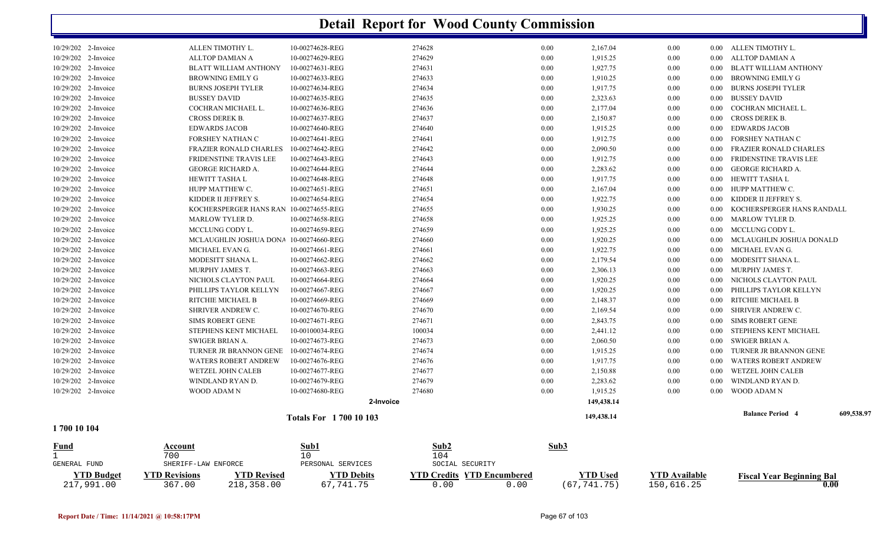| Fund        |                                            | Account                                | Sub1                               | Sub2             | Sub3         |                      |              |                   |                                      |            |
|-------------|--------------------------------------------|----------------------------------------|------------------------------------|------------------|--------------|----------------------|--------------|-------------------|--------------------------------------|------------|
| 1700 10 104 |                                            |                                        | <b>Totals For 1700 10 103</b>      |                  |              | 149,438.14           |              |                   |                                      |            |
|             |                                            |                                        |                                    |                  |              |                      |              |                   | <b>Balance Period 4</b>              | 609,538.97 |
|             |                                            |                                        |                                    | 2-Invoice        |              | 149,438.14           |              |                   |                                      |            |
|             | 10/29/202 2-Invoice<br>10/29/202 2-Invoice | WINDLAND RYAN D.<br><b>WOOD ADAM N</b> | 10-00274679-REG<br>10-00274680-REG | 274679<br>274680 | 0.00<br>0.00 | 2,283.62<br>1,915.25 | 0.00<br>0.00 | $0.00\,$          | WINDLAND RYAN D.<br>0.00 WOOD ADAM N |            |
|             | 10/29/202 2-Invoice                        | WETZEL JOHN CALEB                      | 10-00274677-REG                    | 274677           | 0.00         | 2,150.88             | 0.00         | $0.00\,$          | WETZEL JOHN CALEB                    |            |
|             | 10/29/202 2-Invoice                        | <b>WATERS ROBERT ANDREW</b>            | 10-00274676-REG                    | 274676           | 0.00         | 1,917.75             | 0.00         | 0.00              | <b>WATERS ROBERT ANDREW</b>          |            |
|             | 10/29/202 2-Invoice                        | TURNER JR BRANNON GENE                 | 10-00274674-REG                    | 274674           | 0.00         | 1,915.25             | 0.00         | 0.00              | TURNER JR BRANNON GENE               |            |
|             | 10/29/202 2-Invoice                        | SWIGER BRIAN A.                        | 10-00274673-REG                    | 274673           | 0.00         | 2,060.50             | 0.00         | 0.00              | SWIGER BRIAN A.                      |            |
|             | 10/29/202 2-Invoice                        | <b>STEPHENS KENT MICHAEL</b>           | 10-00100034-REG                    | 100034           | 0.00         | 2,441.12             | 0.00         | $0.00\,$          | STEPHENS KENT MICHAEL                |            |
|             | 10/29/202 2-Invoice                        | <b>SIMS ROBERT GENE</b>                | 10-00274671-REG                    | 274671           | 0.00         | 2,843.75             | 0.00         | $0.00\,$          | SIMS ROBERT GENE                     |            |
|             | 10/29/202 2-Invoice                        | SHRIVER ANDREW C.                      | 10-00274670-REG                    | 274670           | 0.00         | 2,169.54             | 0.00         | $0.00\,$          | SHRIVER ANDREW C.                    |            |
|             | 10/29/202 2-Invoice                        | RITCHIE MICHAEL B                      | 10-00274669-REG                    | 274669           | 0.00         | 2,148.37             | 0.00         | $0.00\,$          | RITCHIE MICHAEL B                    |            |
|             | 10/29/202 2-Invoice                        | PHILLIPS TAYLOR KELLYN                 | 10-00274667-REG                    | 274667           | 0.00         | 1,920.25             | 0.00         | 0.00 <sub>1</sub> | PHILLIPS TAYLOR KELLYN               |            |
|             | 10/29/202 2-Invoice                        | NICHOLS CLAYTON PAUL                   | 10-00274664-REG                    | 274664           | 0.00         | 1,920.25             | 0.00         | 0.00              | NICHOLS CLAYTON PAUL                 |            |
|             | 10/29/202 2-Invoice                        | MURPHY JAMES T.                        | 10-00274663-REG                    | 274663           | 0.00         | 2,306.13             | 0.00         | $0.00\,$          | MURPHY JAMES T.                      |            |
|             | 10/29/202 2-Invoice                        | MODESITT SHANA L.                      | 10-00274662-REG                    | 274662           | 0.00         | 2,179.54             | 0.00         | $0.00\,$          | MODESITT SHANA L.                    |            |
|             | 10/29/202 2-Invoice                        | MICHAEL EVAN G.                        | 10-00274661-REG                    | 274661           | 0.00         | 1,922.75             | 0.00         |                   | 0.00 MICHAEL EVAN G.                 |            |
|             | 10/29/202 2-Invoice                        | MCLAUGHLIN JOSHUA DONA                 | 10-00274660-REG                    | 274660           | 0.00         | 1,920.25             | 0.00         | $0.00\,$          | MCLAUGHLIN JOSHUA DONALD             |            |
|             | 10/29/202 2-Invoice                        | MCCLUNG CODY L.                        | 10-00274659-REG                    | 274659           | 0.00         | 1,925.25             | 0.00         | $0.00\,$          | MCCLUNG CODY L.                      |            |
|             | 10/29/202 2-Invoice                        | <b>MARLOW TYLER D.</b>                 | 10-00274658-REG                    | 274658           | 0.00         | 1,925.25             | 0.00         | $0.00\,$          | MARLOW TYLER D.                      |            |
|             | 10/29/202 2-Invoice                        | KOCHERSPERGER HANS RAN 10-00274655-REG |                                    | 274655           | 0.00         | 1,930.25             | 0.00         | 0.00              | KOCHERSPERGER HANS RANDALL           |            |
|             | 10/29/202 2-Invoice                        | KIDDER II JEFFREY S.                   | 10-00274654-REG                    | 274654           | 0.00         | 1,922.75             | 0.00         | $0.00\,$          | KIDDER II JEFFREY S.                 |            |
|             | 10/29/202 2-Invoice                        | HUPP MATTHEW C.                        | 10-00274651-REG                    | 274651           | 0.00         | 2,167.04             | 0.00         |                   | 0.00 HUPP MATTHEW C.                 |            |
|             | 10/29/202 2-Invoice                        | HEWITT TASHA L                         | 10-00274648-REG                    | 274648           | 0.00         | 1,917.75             | 0.00         |                   | 0.00 HEWITT TASHA L                  |            |
|             | 10/29/202 2-Invoice                        | <b>GEORGE RICHARD A.</b>               | 10-00274644-REG                    | 274644           | 0.00         | 2,283.62             | 0.00         | $0.00\,$          | GEORGE RICHARD A.                    |            |
|             | 10/29/202 2-Invoice                        | FRIDENSTINE TRAVIS LEE                 | 10-00274643-REG                    | 274643           | 0.00         | 1,912.75             | 0.00         | 0.00              | FRIDENSTINE TRAVIS LEE               |            |
|             | 10/29/202 2-Invoice                        | <b>FRAZIER RONALD CHARLES</b>          | 10-00274642-REG                    | 274642           | 0.00         | 2,090.50             | 0.00         | 0.00              | FRAZIER RONALD CHARLES               |            |
|             | 10/29/202 2-Invoice                        | FORSHEY NATHAN C                       | 10-00274641-REG                    | 274641           | 0.00         | 1,912.75             | 0.00         | $0.00\,$          | FORSHEY NATHAN C                     |            |
|             | 10/29/202 2-Invoice                        | <b>EDWARDS JACOB</b>                   | 10-00274640-REG                    | 274640           | 0.00         | 1,915.25             | 0.00         | $0.00\,$          | <b>EDWARDS JACOB</b>                 |            |
|             | 10/29/202 2-Invoice                        | CROSS DEREK B.                         | 10-00274637-REG                    | 274637           | 0.00         | 2,150.87             | 0.00         | $0.00\,$          | CROSS DEREK B.                       |            |
|             | 10/29/202 2-Invoice                        | COCHRAN MICHAEL L.                     | 10-00274636-REG                    | 274636           | 0.00         | 2,177.04             | 0.00         | $0.00\,$          | COCHRAN MICHAEL L.                   |            |
|             | 10/29/202 2-Invoice                        | <b>BUSSEY DAVID</b>                    | 10-00274635-REG                    | 274635           | 0.00         | 2,323.63             | 0.00         | $0.00\,$          | <b>BUSSEY DAVID</b>                  |            |
|             | 10/29/202 2-Invoice                        | <b>BURNS JOSEPH TYLER</b>              | 10-00274634-REG                    | 274634           | 0.00         | 1,917.75             | 0.00         | 0.00              | BURNS JOSEPH TYLER                   |            |
|             | 10/29/202 2-Invoice                        | <b>BROWNING EMILY G</b>                | 10-00274633-REG                    | 274633           | 0.00         | 1,910.25             | 0.00         | 0.00              | BROWNING EMILY G                     |            |
|             | 10/29/202 2-Invoice                        | <b>BLATT WILLIAM ANTHONY</b>           | 10-00274631-REG                    | 274631           | 0.00         | 1,927.75             | 0.00         | $0.00\,$          | BLATT WILLIAM ANTHONY                |            |
|             | 10/29/202 2-Invoice                        | ALLTOP DAMIAN A                        | 10-00274629-REG                    | 274629           | 0.00         | 1,915.25             | 0.00         |                   | 0.00 ALLTOP DAMIAN A                 |            |
|             | 10/29/202 2-Invoice                        | ALLEN TIMOTHY L.                       | 10-00274628-REG                    | 274628           | 0.00         | 2,167.04             | 0.00         |                   | 0.00 ALLEN TIMOTHY L.                |            |

|                   | 700                 |                   |                   | 104                               |      |               |                      |                                  |
|-------------------|---------------------|-------------------|-------------------|-----------------------------------|------|---------------|----------------------|----------------------------------|
| GENERAL FUND      | SHERIFF-LAW ENFORCE |                   | PERSONAL SERVICES | SOCIAL SECURITY                   |      |               |                      |                                  |
| <b>YTD Budget</b> | YTD Revisions       | <b>TD Revised</b> | <b>TD Debits</b>  | <b>YTD Credits YTD Encumbered</b> |      | ''TD Used     | <b>YTD Available</b> | <b>Fiscal Year Beginning Bal</b> |
| 217,991.00        | 367.00              | 218,358.00        | 67,741.75         |                                   | 0.00 | (67, 741, 75) | 150,616.25           |                                  |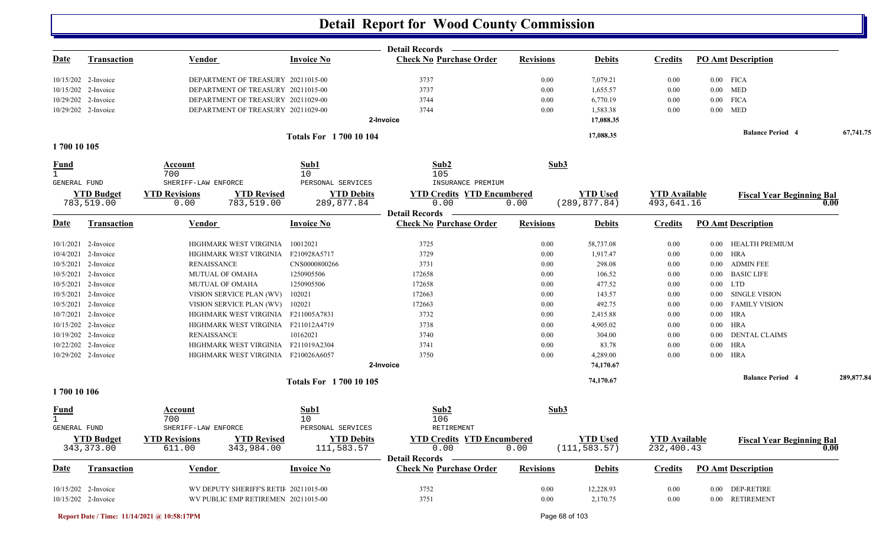|              |                                 |                                                                    |                                 | <b>Detail Records</b>                                   |                  |                                  |                                    |                           |                                  |                   |
|--------------|---------------------------------|--------------------------------------------------------------------|---------------------------------|---------------------------------------------------------|------------------|----------------------------------|------------------------------------|---------------------------|----------------------------------|-------------------|
| <u>Date</u>  | <b>Transaction</b>              | <b>Vendor</b>                                                      | <b>Invoice No</b>               | <b>Check No Purchase Order</b>                          | <b>Revisions</b> | <b>Debits</b>                    | <b>Credits</b>                     | <b>PO Amt Description</b> |                                  |                   |
|              | $10/15/202$ 2-Invoice           | DEPARTMENT OF TREASURY 20211015-00                                 |                                 | 3737                                                    | 0.00             | 7,079.21                         | 0.00                               | $0.00$ FICA               |                                  |                   |
|              | 10/15/202 2-Invoice             | DEPARTMENT OF TREASURY 20211015-00                                 |                                 | 3737                                                    | 0.00             | 1,655.57                         | 0.00                               | $0.00$ MED                |                                  |                   |
|              | 10/29/202 2-Invoice             | DEPARTMENT OF TREASURY 20211029-00                                 |                                 | 3744                                                    | 0.00             | 6,770.19                         | 0.00                               | $0.00$ FICA               |                                  |                   |
|              | 10/29/202 2-Invoice             | DEPARTMENT OF TREASURY 20211029-00                                 |                                 | 3744                                                    | 0.00             | 1,583.38                         | 0.00                               | $0.00$ MED                |                                  |                   |
|              |                                 |                                                                    |                                 | 2-Invoice                                               |                  | 17,088.35                        |                                    |                           |                                  |                   |
|              |                                 |                                                                    | <b>Totals For 170010104</b>     |                                                         |                  | 17,088.35                        |                                    |                           | <b>Balance Period 4</b>          | 67,741.75         |
| 1700 10 105  |                                 |                                                                    |                                 |                                                         |                  |                                  |                                    |                           |                                  |                   |
| <b>Fund</b>  |                                 | Account<br>700                                                     | Sub1<br>10                      | Sub2<br>105                                             | Sub3             |                                  |                                    |                           |                                  |                   |
| GENERAL FUND |                                 | SHERIFF-LAW ENFORCE                                                | PERSONAL SERVICES               | INSURANCE PREMIUM                                       |                  |                                  |                                    |                           |                                  |                   |
|              | <b>YTD Budget</b><br>783,519.00 | <b>YTD Revisions</b><br><b>YTD Revised</b><br>783,519.00           | <b>YTD Debits</b>               | <b>YTD Credits YTD Encumbered</b><br>0.00               |                  | <b>YTD Used</b><br>(289, 877.84) | <b>YTD Available</b><br>493,641.16 |                           | <b>Fiscal Year Beginning Bal</b> | 0.00              |
|              |                                 | 0.00                                                               | 289,877.84                      | <b>Detail Records</b>                                   | 0.00             |                                  |                                    |                           |                                  |                   |
| Date         | <b>Transaction</b>              | Vendor                                                             | <b>Invoice No</b>               | <b>Check No Purchase Order</b>                          | <b>Revisions</b> | <b>Debits</b>                    | <b>Credits</b>                     | <b>PO Amt Description</b> |                                  |                   |
|              | 10/1/2021 2-Invoice             | HIGHMARK WEST VIRGINIA                                             | 10012021                        | 3725                                                    | 0.00             | 58,737.08                        | 0.00                               |                           | 0.00 HEALTH PREMIUM              |                   |
|              | 10/4/2021 2-Invoice             | HIGHMARK WEST VIRGINIA F210928A5717                                |                                 | 3729                                                    | 0.00             | 1,917.47                         | 0.00                               | $0.00$ HRA                |                                  |                   |
|              | 10/5/2021 2-Invoice             | <b>RENAISSANCE</b>                                                 | CNS0000800266                   | 3731                                                    | 0.00             | 298.08                           | 0.00                               | $0.00\,$                  | <b>ADMIN FEE</b>                 |                   |
|              | 10/5/2021 2-Invoice             | <b>MUTUAL OF OMAHA</b>                                             | 1250905506                      | 172658                                                  | 0.00             | 106.52                           | 0.00                               |                           | 0.00 BASIC LIFE                  |                   |
| 10/5/2021    | 2-Invoice                       | <b>MUTUAL OF OMAHA</b>                                             | 1250905506                      | 172658                                                  | 0.00             | 477.52                           | 0.00                               | $0.00$ LTD                |                                  |                   |
| 10/5/2021    | 2-Invoice                       | VISION SERVICE PLAN (WV)                                           | 102021                          | 172663                                                  | 0.00             | 143.57                           | 0.00                               | $0.00\,$                  | SINGLE VISION                    |                   |
| 10/5/2021    | 2-Invoice                       | VISION SERVICE PLAN (WV)                                           | 102021                          | 172663                                                  | 0.00             | 492.75                           | 0.00                               |                           | 0.00 FAMILY VISION               |                   |
|              | 10/7/2021 2-Invoice             | HIGHMARK WEST VIRGINIA F211005A7831                                |                                 | 3732                                                    | 0.00             | 2,415.88                         | 0.00                               | 0.00 HRA                  |                                  |                   |
|              | 10/15/202 2-Invoice             | HIGHMARK WEST VIRGINIA                                             | F211012A4719                    | 3738                                                    | 0.00             | 4,905.02                         | 0.00                               | $0.00$ HRA                |                                  |                   |
|              | 10/19/202 2-Invoice             | <b>RENAISSANCE</b>                                                 | 10162021                        | 3740                                                    | 0.00             | 304.00                           | 0.00                               | $0.00\,$                  | <b>DENTAL CLAIMS</b>             |                   |
|              | 10/22/202 2-Invoice             | HIGHMARK WEST VIRGINIA F211019A2304                                |                                 | 3741                                                    | 0.00             | 83.78                            | 0.00                               | $0.00$ HRA                |                                  |                   |
|              | 10/29/202 2-Invoice             | HIGHMARK WEST VIRGINIA F210026A6057                                |                                 | 3750<br>2-Invoice                                       | 0.00             | 4,289.00<br>74,170.67            | 0.00                               | $0.00$ HRA                |                                  |                   |
|              |                                 |                                                                    | <b>Totals For 1700 10 105</b>   |                                                         |                  | 74,170.67                        |                                    |                           | <b>Balance Period 4</b>          | 289,877.84        |
| 1700 10 106  |                                 |                                                                    |                                 |                                                         |                  |                                  |                                    |                           |                                  |                   |
| <u>Fund</u>  |                                 | Account                                                            | Sub1                            | Sub2                                                    | Sub3             |                                  |                                    |                           |                                  |                   |
| GENERAL FUND |                                 | 700<br>SHERIFF-LAW ENFORCE                                         | 10<br>PERSONAL SERVICES         | 106<br>RETIREMENT                                       |                  |                                  |                                    |                           |                                  |                   |
|              |                                 |                                                                    |                                 | <b>YTD Credits YTD Encumbered</b>                       |                  | <b>YTD Used</b>                  | <b>YTD Available</b>               |                           |                                  |                   |
|              | <b>YTD Budget</b><br>343,373.00 | <b>YTD Revisions</b><br><b>YTD Revised</b><br>343,984.00<br>611.00 | <b>YTD Debits</b><br>111,583.57 | 0.00                                                    | 0.00             | (111, 583.57)                    | 232,400.43                         |                           | <b>Fiscal Year Beginning Bal</b> | $\overline{0.00}$ |
|              |                                 |                                                                    |                                 | <b>Detail Records</b><br><b>Check No Purchase Order</b> |                  |                                  |                                    |                           |                                  |                   |
| <b>Date</b>  | <b>Transaction</b>              | <b>Vendor</b>                                                      | <b>Invoice No</b>               |                                                         | <b>Revisions</b> | <b>Debits</b>                    | <b>Credits</b>                     | <b>PO Amt Description</b> |                                  |                   |
|              | 10/15/202 2-Invoice             | WV DEPUTY SHERIFF'S RETII 20211015-00                              |                                 | 3752                                                    | 0.00             | 12,228.93                        | 0.00                               |                           | 0.00 DEP-RETIRE                  |                   |
|              | 10/15/202 2-Invoice             | WV PUBLIC EMP RETIREMEN 20211015-00                                |                                 | 3751                                                    | 0.00             | 2,170.75                         | $0.00\,$                           |                           | 0.00 RETIREMENT                  |                   |

**Report Date / Time: 11/14/2021 @ 10:58:17PM** Page 68 of 103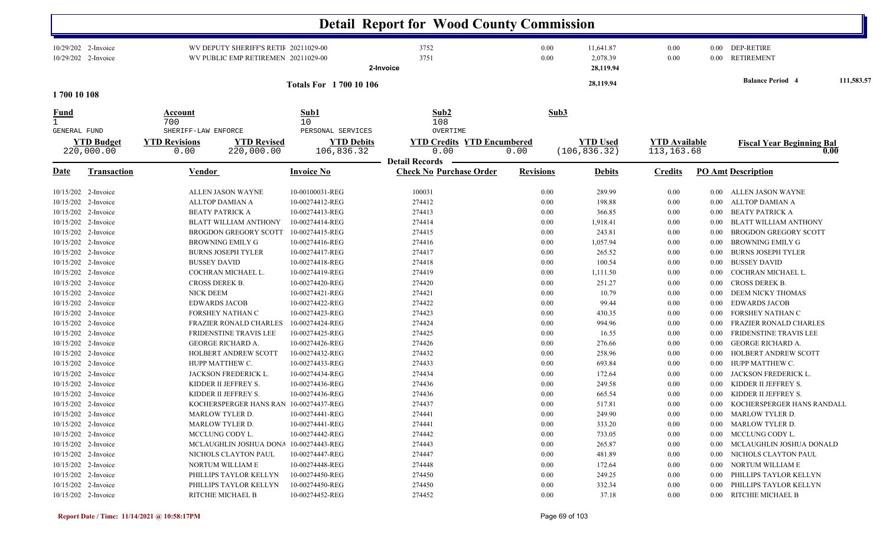|              |                                                                                                                                                                                                                                                                                                                                                                                                     |                                                                            |                                                                                                                                                                                                                                                                                                                                   |                                                                                                                                                                                                                                                                                                                                 | <b>Detail Report for Wood County Commission</b>                                                                                                                        |                                                                                                                                      |                                                                                                                                                                           |                                                                                                                                      |                                                                                                                                                      |                                                                                                                                                                                                                                                                                                                                                                                                                                |            |
|--------------|-----------------------------------------------------------------------------------------------------------------------------------------------------------------------------------------------------------------------------------------------------------------------------------------------------------------------------------------------------------------------------------------------------|----------------------------------------------------------------------------|-----------------------------------------------------------------------------------------------------------------------------------------------------------------------------------------------------------------------------------------------------------------------------------------------------------------------------------|---------------------------------------------------------------------------------------------------------------------------------------------------------------------------------------------------------------------------------------------------------------------------------------------------------------------------------|------------------------------------------------------------------------------------------------------------------------------------------------------------------------|--------------------------------------------------------------------------------------------------------------------------------------|---------------------------------------------------------------------------------------------------------------------------------------------------------------------------|--------------------------------------------------------------------------------------------------------------------------------------|------------------------------------------------------------------------------------------------------------------------------------------------------|--------------------------------------------------------------------------------------------------------------------------------------------------------------------------------------------------------------------------------------------------------------------------------------------------------------------------------------------------------------------------------------------------------------------------------|------------|
|              | 10/29/202 2-Invoice<br>10/29/202 2-Invoice                                                                                                                                                                                                                                                                                                                                                          |                                                                            | WV DEPUTY SHERIFF'S RETII 20211029-00<br>WV PUBLIC EMP RETIREMEN 20211029-00                                                                                                                                                                                                                                                      |                                                                                                                                                                                                                                                                                                                                 | 3752<br>3751<br>2-Invoice                                                                                                                                              | 0.00<br>0.00                                                                                                                         | 11,641.87<br>2,078.39<br>28,119.94                                                                                                                                        | 0.00<br>0.00                                                                                                                         | $0.00\,$                                                                                                                                             | 0.00 DEP-RETIRE<br><b>RETIREMENT</b>                                                                                                                                                                                                                                                                                                                                                                                           |            |
| 1700 10 108  |                                                                                                                                                                                                                                                                                                                                                                                                     |                                                                            |                                                                                                                                                                                                                                                                                                                                   | <b>Totals For 1700 10 106</b>                                                                                                                                                                                                                                                                                                   |                                                                                                                                                                        |                                                                                                                                      | 28,119.94                                                                                                                                                                 |                                                                                                                                      |                                                                                                                                                      | <b>Balance Period 4</b>                                                                                                                                                                                                                                                                                                                                                                                                        | 111,583.57 |
| <u>Fund</u>  |                                                                                                                                                                                                                                                                                                                                                                                                     | <b>Account</b><br>700                                                      |                                                                                                                                                                                                                                                                                                                                   | Sub1<br>10                                                                                                                                                                                                                                                                                                                      | Sub <sub>2</sub><br>108                                                                                                                                                | Sub3                                                                                                                                 |                                                                                                                                                                           |                                                                                                                                      |                                                                                                                                                      |                                                                                                                                                                                                                                                                                                                                                                                                                                |            |
| GENERAL FUND | <b>YTD Budget</b><br>220,000.00                                                                                                                                                                                                                                                                                                                                                                     | SHERIFF-LAW ENFORCE<br><b>YTD Revisions</b><br>0.00                        | <b>YTD Revised</b><br>220,000.00                                                                                                                                                                                                                                                                                                  | PERSONAL SERVICES<br><b>YTD Debits</b><br>106,836.32                                                                                                                                                                                                                                                                            | OVERTIME<br><b>YTD Credits YTD Encumbered</b><br>0.00<br><b>Detail Records</b>                                                                                         | 0.00                                                                                                                                 | <b>YTD Used</b><br>(106, 836.32)                                                                                                                                          | <b>YTD Available</b><br>113,163.68                                                                                                   |                                                                                                                                                      | <b>Fiscal Year Beginning Bal</b>                                                                                                                                                                                                                                                                                                                                                                                               | 0.00       |
| <u>Date</u>  | <b>Transaction</b>                                                                                                                                                                                                                                                                                                                                                                                  | Vendor                                                                     |                                                                                                                                                                                                                                                                                                                                   | <b>Invoice No</b>                                                                                                                                                                                                                                                                                                               | <b>Check No Purchase Order</b>                                                                                                                                         | <b>Revisions</b>                                                                                                                     | <b>Debits</b>                                                                                                                                                             | <b>Credits</b>                                                                                                                       |                                                                                                                                                      | <b>PO Amt Description</b>                                                                                                                                                                                                                                                                                                                                                                                                      |            |
|              | 10/15/202 2-Invoice<br>10/15/202 2-Invoice<br>10/15/202 2-Invoice<br>10/15/202 2-Invoice<br>10/15/202 2-Invoice<br>10/15/202 2-Invoice<br>10/15/202 2-Invoice<br>10/15/202 2-Invoice<br>10/15/202 2-Invoice<br>10/15/202 2-Invoice<br>10/15/202 2-Invoice<br>10/15/202 2-Invoice<br>10/15/202 2-Invoice<br>10/15/202 2-Invoice<br>10/15/202 2-Invoice<br>10/15/202 2-Invoice<br>10/15/202 2-Invoice | <b>BUSSEY DAVID</b><br>CROSS DEREK B.<br>NICK DEEM<br><b>EDWARDS JACOB</b> | ALLEN JASON WAYNE<br>ALLTOP DAMIAN A<br><b>BEATY PATRICK A</b><br><b>BLATT WILLIAM ANTHONY</b><br><b>BROGDON GREGORY SCOTT</b><br>BROWNING EMILY G<br><b>BURNS JOSEPH TYLER</b><br>COCHRAN MICHAEL L.<br>FORSHEY NATHAN C<br><b>FRAZIER RONALD CHARLES</b><br>FRIDENSTINE TRAVIS LEE<br>GEORGE RICHARD A.<br>HOLBERT ANDREW SCOTT | 10-00100031-REG<br>10-00274412-REG<br>10-00274413-REG<br>10-00274414-REG<br>10-00274415-REG<br>10-00274416-REG<br>10-00274417-REG<br>10-00274418-REG<br>10-00274419-REG<br>10-00274420-REG<br>10-00274421-REG<br>10-00274422-REG<br>10-00274423-REG<br>10-00274424-REG<br>10-00274425-REG<br>10-00274426-REG<br>10-00274432-REG | 100031<br>274412<br>274413<br>274414<br>274415<br>274416<br>274417<br>274418<br>274419<br>274420<br>274421<br>274422<br>274423<br>274424<br>274425<br>274426<br>274432 | 0.00<br>0.00<br>0.00<br>0.00<br>0.00<br>0.00<br>0.00<br>0.00<br>0.00<br>0.00<br>0.00<br>0.00<br>0.00<br>0.00<br>0.00<br>0.00<br>0.00 | 289.99<br>198.88<br>366.85<br>1,918.41<br>243.81<br>1,057.94<br>265.52<br>100.54<br>1,111.50<br>251.27<br>10.79<br>99.44<br>430.35<br>994.96<br>16.55<br>276.66<br>258.96 | 0.00<br>0.00<br>0.00<br>0.00<br>0.00<br>0.00<br>0.00<br>0.00<br>0.00<br>0.00<br>0.00<br>0.00<br>0.00<br>0.00<br>0.00<br>0.00<br>0.00 | 0.00<br>$0.00\,$<br>$0.00\,$<br>0.00<br>0.00<br>0.00<br>0.00<br>0.00<br>0.00<br>0.00<br>$0.00\,$<br>$0.00\,$<br>0.00<br>0.00<br>0.00<br>0.00<br>0.00 | ALLEN JASON WAYNE<br>ALLTOP DAMIAN A<br><b>BEATY PATRICK A</b><br><b>BLATT WILLIAM ANTHONY</b><br>BROGDON GREGORY SCOTT<br><b>BROWNING EMILY G</b><br><b>BURNS JOSEPH TYLER</b><br><b>BUSSEY DAVID</b><br>COCHRAN MICHAEL L.<br>CROSS DEREK B.<br>DEEM NICKY THOMAS<br><b>EDWARDS JACOB</b><br>FORSHEY NATHAN C<br><b>FRAZIER RONALD CHARLES</b><br>FRIDENSTINE TRAVIS LEE<br><b>GEORGE RICHARD A.</b><br>HOLBERT ANDREW SCOTT |            |
|              | 10/15/202 2-Invoice<br>10/15/202 2-Invoice<br>10/15/202 2-Invoice<br>10/15/202 2-Invoice<br>10/15/202 2-Invoice<br>10/15/202 2-Invoice<br>10/15/202 2-Invoice<br>10/15/202 2-Invoice                                                                                                                                                                                                                |                                                                            | HUPP MATTHEW C.<br>JACKSON FREDERICK L.<br>KIDDER II JEFFREY S.<br>KIDDER II JEFFREY S.<br>KOCHERSPERGER HANS RAN 10-00274437-REG<br>MARLOW TYLER D.<br>MARLOW TYLER D.<br>MCCLUNG CODY L.                                                                                                                                        | 10-00274433-REG<br>10-00274434-REG<br>10-00274436-REG<br>10-00274436-REG<br>10-00274441-REG<br>10-00274441-REG<br>10-00274442-REG                                                                                                                                                                                               | 274433<br>274434<br>274436<br>274436<br>274437<br>274441<br>274441<br>274442                                                                                           | 0.00<br>0.00<br>0.00<br>0.00<br>0.00<br>0.00<br>0.00<br>0.00                                                                         | 693.84<br>172.64<br>249.58<br>665.54<br>517.81<br>249.90<br>333.20<br>733.05                                                                                              | 0.00<br>0.00<br>0.00<br>0.00<br>0.00<br>$0.00\,$<br>$0.00\,$<br>$0.00\,$                                                             | 0.00<br>0.00<br>0.00<br>0.00                                                                                                                         | HUPP MATTHEW C.<br>JACKSON FREDERICK L.<br>KIDDER II JEFFREY S.<br>KIDDER II JEFFREY S.<br>0.00 KOCHERSPERGER HANS RANDALL<br>0.00 MARLOW TYLER D.<br>0.00 MARLOW TYLER D.<br>0.00 MCCLUNG CODY L.                                                                                                                                                                                                                             |            |
|              | 10/15/202 2-Invoice<br>10/15/202 2-Invoice<br>10/15/202 2-Invoice<br>10/15/202 2-Invoice<br>10/15/202 2-Invoice<br>10/15/202 2-Invoice                                                                                                                                                                                                                                                              |                                                                            | MCLAUGHLIN JOSHUA DONA 10-00274443-REG<br>NICHOLS CLAYTON PAUL<br>NORTUM WILLIAM E<br>PHILLIPS TAYLOR KELLYN<br>PHILLIPS TAYLOR KELLYN<br>RITCHIE MICHAEL B                                                                                                                                                                       | 10-00274447-REG<br>10-00274448-REG<br>10-00274450-REG<br>10-00274450-REG<br>10-00274452-REG                                                                                                                                                                                                                                     | 274443<br>274447<br>274448<br>274450<br>274450<br>274452                                                                                                               | 0.00<br>0.00<br>0.00<br>0.00<br>0.00<br>0.00                                                                                         | 265.87<br>481.89<br>172.64<br>249.25<br>332.34<br>37.18                                                                                                                   | $0.00\,$<br>$0.00\,$<br>$0.00\,$<br>0.00<br>0.00<br>$0.00\,$                                                                         | $0.00\,$<br>$0.00\,$<br>$0.00\,$<br>$0.00\,$<br>$0.00\,$                                                                                             | MCLAUGHLIN JOSHUA DONALD<br>NICHOLS CLAYTON PAUL<br>NORTUM WILLIAM E<br>PHILLIPS TAYLOR KELLYN<br>PHILLIPS TAYLOR KELLYN<br>0.00 RITCHIE MICHAEL B                                                                                                                                                                                                                                                                             |            |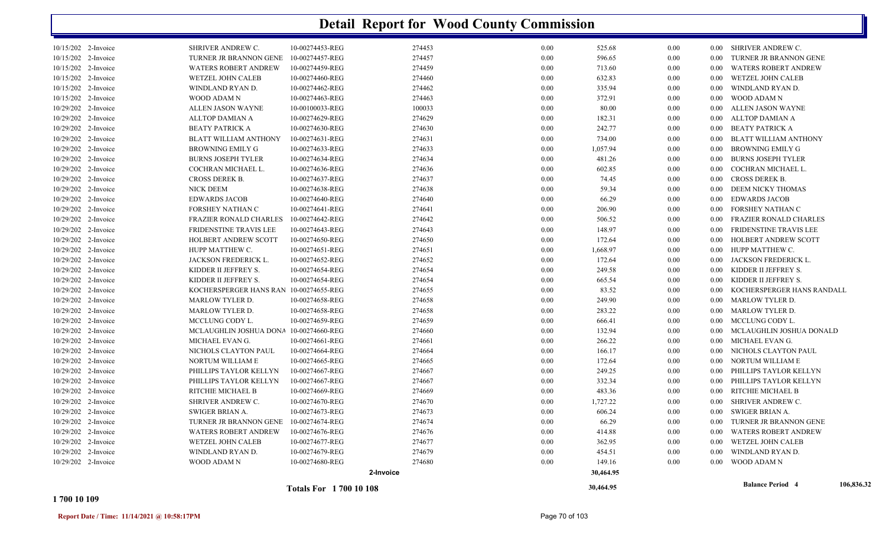|                     |                                        | <b>Totals For 1700 10 108</b> |           |      | 30,464.95 |      |          | <b>Balance Period 4</b>       | 106,836.32 |
|---------------------|----------------------------------------|-------------------------------|-----------|------|-----------|------|----------|-------------------------------|------------|
|                     |                                        |                               | 2-Invoice |      | 30,464.95 |      |          |                               |            |
| 10/29/202 2-Invoice | WOOD ADAM N                            | 10-00274680-REG               | 274680    | 0.00 | 149.16    | 0.00 | $0.00\,$ | WOOD ADAM N                   |            |
| 10/29/202 2-Invoice | WINDLAND RYAN D.                       | 10-00274679-REG               | 274679    | 0.00 | 454.51    | 0.00 | 0.00     | WINDLAND RYAN D.              |            |
| 10/29/202 2-Invoice | WETZEL JOHN CALEB                      | 10-00274677-REG               | 274677    | 0.00 | 362.95    | 0.00 | $0.00\,$ | WETZEL JOHN CALEB             |            |
| 10/29/202 2-Invoice | <b>WATERS ROBERT ANDREW</b>            | 10-00274676-REG               | 274676    | 0.00 | 414.88    | 0.00 | 0.00     | <b>WATERS ROBERT ANDREW</b>   |            |
| 10/29/202 2-Invoice | TURNER JR BRANNON GENE                 | 10-00274674-REG               | 274674    | 0.00 | 66.29     | 0.00 | $0.00\,$ | TURNER JR BRANNON GENE        |            |
| 10/29/202 2-Invoice | SWIGER BRIAN A.                        | 10-00274673-REG               | 274673    | 0.00 | 606.24    | 0.00 | 0.00     | SWIGER BRIAN A.               |            |
| 10/29/202 2-Invoice | SHRIVER ANDREW C.                      | 10-00274670-REG               | 274670    | 0.00 | 1,727.22  | 0.00 | $0.00\,$ | SHRIVER ANDREW C.             |            |
| 10/29/202 2-Invoice | RITCHIE MICHAEL B                      | 10-00274669-REG               | 274669    | 0.00 | 483.36    | 0.00 | 0.00     | RITCHIE MICHAEL B             |            |
| 10/29/202 2-Invoice | PHILLIPS TAYLOR KELLYN                 | 10-00274667-REG               | 274667    | 0.00 | 332.34    | 0.00 | 0.00     | PHILLIPS TAYLOR KELLYN        |            |
| 10/29/202 2-Invoice | PHILLIPS TAYLOR KELLYN                 | 10-00274667-REG               | 274667    | 0.00 | 249.25    | 0.00 | 0.00     | PHILLIPS TAYLOR KELLYN        |            |
| 10/29/202 2-Invoice | NORTUM WILLIAM E                       | 10-00274665-REG               | 274665    | 0.00 | 172.64    | 0.00 | 0.00     | NORTUM WILLIAM E              |            |
| 10/29/202 2-Invoice | NICHOLS CLAYTON PAUL                   | 10-00274664-REG               | 274664    | 0.00 | 166.17    | 0.00 |          | 0.00 NICHOLS CLAYTON PAUL     |            |
| 10/29/202 2-Invoice | MICHAEL EVAN G.                        | 10-00274661-REG               | 274661    | 0.00 | 266.22    | 0.00 | 0.00     | MICHAEL EVAN G.               |            |
| 10/29/202 2-Invoice | MCLAUGHLIN JOSHUA DONA 10-00274660-REG |                               | 274660    | 0.00 | 132.94    | 0.00 | 0.00     | MCLAUGHLIN JOSHUA DONALD      |            |
| 10/29/202 2-Invoice | MCCLUNG CODY L.                        | 10-00274659-REG               | 274659    | 0.00 | 666.41    | 0.00 | $0.00\,$ | MCCLUNG CODY L.               |            |
| 10/29/202 2-Invoice | <b>MARLOW TYLER D.</b>                 | 10-00274658-REG               | 274658    | 0.00 | 283.22    | 0.00 | $0.00\,$ | MARLOW TYLER D.               |            |
| 10/29/202 2-Invoice | <b>MARLOW TYLER D.</b>                 | 10-00274658-REG               | 274658    | 0.00 | 249.90    | 0.00 | 0.00     | MARLOW TYLER D.               |            |
| 10/29/202 2-Invoice | KOCHERSPERGER HANS RAN 10-00274655-REG |                               | 274655    | 0.00 | 83.52     | 0.00 | $0.00\,$ | KOCHERSPERGER HANS RANDALL    |            |
| 10/29/202 2-Invoice | KIDDER II JEFFREY S.                   | 10-00274654-REG               | 274654    | 0.00 | 665.54    | 0.00 | $0.00\,$ | KIDDER II JEFFREY S.          |            |
| 10/29/202 2-Invoice | KIDDER II JEFFREY S.                   | 10-00274654-REG               | 274654    | 0.00 | 249.58    | 0.00 | $0.00\,$ | KIDDER II JEFFREY S.          |            |
| 10/29/202 2-Invoice | JACKSON FREDERICK L.                   | 10-00274652-REG               | 274652    | 0.00 | 172.64    | 0.00 | $0.00\,$ | JACKSON FREDERICK L.          |            |
| 10/29/202 2-Invoice | HUPP MATTHEW C.                        | 10-00274651-REG               | 274651    | 0.00 | 1,668.97  | 0.00 | $0.00\,$ | HUPP MATTHEW C.               |            |
| 10/29/202 2-Invoice | HOLBERT ANDREW SCOTT                   | 10-00274650-REG               | 274650    | 0.00 | 172.64    | 0.00 | 0.00     | HOLBERT ANDREW SCOTT          |            |
| 10/29/202 2-Invoice | FRIDENSTINE TRAVIS LEE                 | 10-00274643-REG               | 274643    | 0.00 | 148.97    | 0.00 | $0.00\,$ | FRIDENSTINE TRAVIS LEE        |            |
| 10/29/202 2-Invoice | <b>FRAZIER RONALD CHARLES</b>          | 10-00274642-REG               | 274642    | 0.00 | 506.52    | 0.00 | $0.00\,$ | <b>FRAZIER RONALD CHARLES</b> |            |
| 10/29/202 2-Invoice | FORSHEY NATHAN C                       | 10-00274641-REG               | 274641    | 0.00 | 206.90    | 0.00 | 0.00     | FORSHEY NATHAN C              |            |
| 10/29/202 2-Invoice | <b>EDWARDS JACOB</b>                   | 10-00274640-REG               | 274640    | 0.00 | 66.29     | 0.00 | $0.00\,$ | <b>EDWARDS JACOB</b>          |            |
| 10/29/202 2-Invoice | NICK DEEM                              | 10-00274638-REG               | 274638    | 0.00 | 59.34     | 0.00 | $0.00\,$ | DEEM NICKY THOMAS             |            |
| 10/29/202 2-Invoice | CROSS DEREK B.                         | 10-00274637-REG               | 274637    | 0.00 | 74.45     | 0.00 | $0.00\,$ | CROSS DEREK B.                |            |
| 10/29/202 2-Invoice | COCHRAN MICHAEL L.                     | 10-00274636-REG               | 274636    | 0.00 | 602.85    | 0.00 | $0.00\,$ | COCHRAN MICHAEL L.            |            |
| 10/29/202 2-Invoice | <b>BURNS JOSEPH TYLER</b>              | 10-00274634-REG               | 274634    | 0.00 | 481.26    | 0.00 | $0.00\,$ | <b>BURNS JOSEPH TYLER</b>     |            |
| 10/29/202 2-Invoice | <b>BROWNING EMILY G</b>                | 10-00274633-REG               | 274633    | 0.00 | 1,057.94  | 0.00 | $0.00\,$ | <b>BROWNING EMILY G</b>       |            |
| 10/29/202 2-Invoice | BLATT WILLIAM ANTHONY                  | 10-00274631-REG               | 274631    | 0.00 | 734.00    | 0.00 | 0.00     | BLATT WILLIAM ANTHONY         |            |
| 10/29/202 2-Invoice | <b>BEATY PATRICK A</b>                 | 10-00274630-REG               | 274630    | 0.00 | 242.77    | 0.00 | $0.00\,$ | BEATY PATRICK A               |            |
| 10/29/202 2-Invoice | ALLTOP DAMIAN A                        | 10-00274629-REG               | 274629    | 0.00 | 182.31    | 0.00 | 0.00     | ALLTOP DAMIAN A               |            |
| 10/29/202 2-Invoice | ALLEN JASON WAYNE                      | 10-00100033-REG               | 100033    | 0.00 | 80.00     | 0.00 | 0.00     | ALLEN JASON WAYNE             |            |
| 10/15/202 2-Invoice | WOOD ADAM N                            | 10-00274463-REG               | 274463    | 0.00 | 372.91    | 0.00 | 0.00     | WOOD ADAM N                   |            |
| 10/15/202 2-Invoice | WINDLAND RYAN D.                       | 10-00274462-REG               | 274462    | 0.00 | 335.94    | 0.00 | 0.00     | WINDLAND RYAN D.              |            |
| 10/15/202 2-Invoice | WETZEL JOHN CALEB                      | 10-00274460-REG               | 274460    | 0.00 | 632.83    | 0.00 | $0.00\,$ | WETZEL JOHN CALEB             |            |
| 10/15/202 2-Invoice | <b>WATERS ROBERT ANDREW</b>            | 10-00274459-REG               | 274459    | 0.00 | 713.60    | 0.00 | 0.00     | <b>WATERS ROBERT ANDREW</b>   |            |
| 10/15/202 2-Invoice | TURNER JR BRANNON GENE                 | 10-00274457-REG               | 274457    | 0.00 | 596.65    | 0.00 | 0.00     | TURNER JR BRANNON GENE        |            |
| 10/15/202 2-Invoice | SHRIVER ANDREW C.                      | 10-00274453-REG               | 274453    | 0.00 | 525.68    | 0.00 |          | 0.00 SHRIVER ANDREW C.        |            |
|                     |                                        |                               |           |      |           |      |          |                               |            |

#### **1 700 10 109**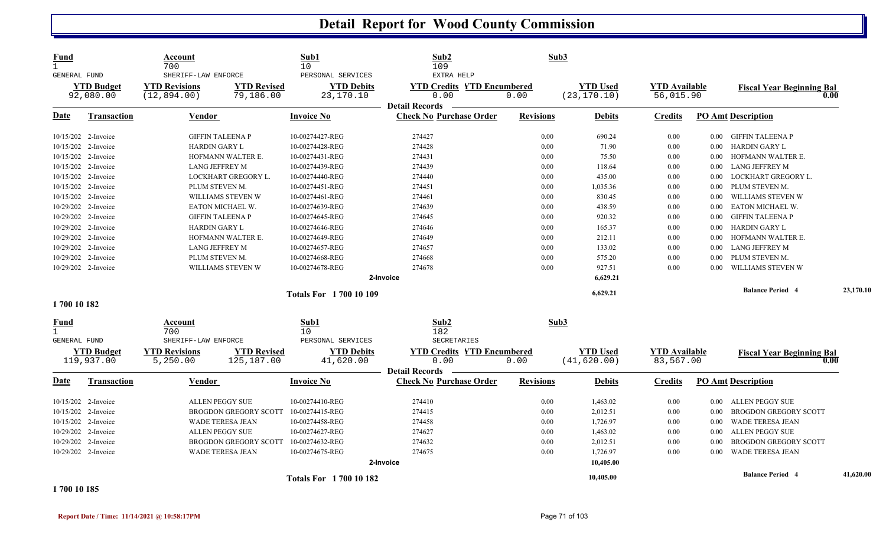| Fund<br>$\mathbf{1}$<br>GENERAL FUND<br><b>YTD Budget</b><br>92,080.00 |                                              | Account<br>700<br>SHERIFF-LAW ENFORCE                                   |                         | Sub1<br>10<br>PERSONAL SERVICES | Sub2<br>109<br>EXTRA HELP                               | Sub3                                    |                                 |                                   |                              |                                          |           |
|------------------------------------------------------------------------|----------------------------------------------|-------------------------------------------------------------------------|-------------------------|---------------------------------|---------------------------------------------------------|-----------------------------------------|---------------------------------|-----------------------------------|------------------------------|------------------------------------------|-----------|
|                                                                        |                                              | <b>YTD Revisions</b><br><b>YTD Revised</b><br>(12, 894.00)<br>79,186.00 |                         | <b>YTD Debits</b><br>23,170.10  | <b>YTD Credits YTD Encumbered</b><br>0.00               | <b>YTD Used</b><br>0.00<br>(23, 170.10) |                                 | <b>YTD Available</b><br>56,015.90 |                              | <b>Fiscal Year Beginning Bal</b><br>0.00 |           |
| Date                                                                   | <b>Transaction</b>                           | Vendor                                                                  |                         | <b>Invoice No</b>               | <b>Detail Records</b><br><b>Check No Purchase Order</b> | <b>Revisions</b>                        | <b>Debits</b>                   | <b>Credits</b>                    |                              | <b>PO Amt Description</b>                |           |
|                                                                        | 10/15/202 2-Invoice                          | <b>GIFFIN TALEENA P</b>                                                 |                         | 10-00274427-REG                 | 274427                                                  | 0.00                                    | 690.24                          | 0.00                              | $0.00\,$                     | GIFFIN TALEENA P                         |           |
|                                                                        | 10/15/202 2-Invoice                          | <b>HARDIN GARY L</b>                                                    |                         | 10-00274428-REG                 | 274428                                                  | 0.00                                    | 71.90                           | 0.00                              | $0.00\,$                     | <b>HARDIN GARY L</b>                     |           |
|                                                                        | 10/15/202 2-Invoice                          |                                                                         | HOFMANN WALTER E.       | 10-00274431-REG                 | 274431                                                  | 0.00                                    | 75.50                           | 0.00                              | $0.00\,$                     | HOFMANN WALTER E.                        |           |
|                                                                        | 10/15/202 2-Invoice                          | <b>LANG JEFFREY M</b>                                                   |                         | 10-00274439-REG                 | 274439                                                  | 0.00                                    | 118.64                          | 0.00                              | $0.00\,$                     | LANG JEFFREY M                           |           |
|                                                                        | 10/15/202 2-Invoice                          |                                                                         | LOCKHART GREGORY L.     | 10-00274440-REG                 | 274440                                                  | 0.00                                    | 435.00                          | 0.00                              | 0.00                         | LOCKHART GREGORY L.                      |           |
|                                                                        | 10/15/202 2-Invoice                          | PLUM STEVEN M.                                                          |                         | 10-00274451-REG                 | 274451                                                  | 0.00                                    | 1,035.36                        | 0.00                              | 0.00                         | PLUM STEVEN M.                           |           |
|                                                                        | 10/15/202 2-Invoice                          |                                                                         | WILLIAMS STEVEN W       | 10-00274461-REG                 | 274461                                                  | 0.00                                    | 830.45                          | 0.00                              | $0.00\,$                     | WILLIAMS STEVEN W                        |           |
|                                                                        | 10/29/202 2-Invoice                          |                                                                         | EATON MICHAEL W.        | 10-00274639-REG                 | 274639                                                  | 0.00                                    | 438.59                          | 0.00                              | 0.00                         | EATON MICHAEL W.                         |           |
|                                                                        | 10/29/202 2-Invoice                          |                                                                         | <b>GIFFIN TALEENA P</b> | 10-00274645-REG                 | 274645                                                  | 0.00                                    | 920.32                          | 0.00                              | 0.00                         | <b>GIFFIN TALEENA P</b>                  |           |
|                                                                        | 10/29/202 2-Invoice                          | <b>HARDIN GARY L</b>                                                    |                         | 10-00274646-REG                 | 274646                                                  | 0.00                                    | 165.37                          | 0.00                              | $0.00\,$                     | HARDIN GARY L                            |           |
|                                                                        | 10/29/202 2-Invoice                          | HOFMANN WALTER E.                                                       |                         | 10-00274649-REG                 | 274649                                                  | 0.00                                    | 212.11                          | 0.00                              | 0.00                         | HOFMANN WALTER E.                        |           |
|                                                                        | 10/29/202 2-Invoice                          | <b>LANG JEFFREY M</b>                                                   |                         | 10-00274657-REG                 | 274657                                                  | 0.00                                    | 133.02                          | 0.00                              | $0.00\,$                     | LANG JEFFREY M                           |           |
|                                                                        | 10/29/202 2-Invoice                          | PLUM STEVEN M.                                                          |                         | 10-00274668-REG                 | 274668                                                  | 0.00                                    | 575.20                          | 0.00                              | 0.00                         | PLUM STEVEN M.                           |           |
|                                                                        | 10/29/202 2-Invoice                          |                                                                         | WILLIAMS STEVEN W       | 10-00274678-REG                 | 274678                                                  | 0.00                                    | 927.51                          | 0.00                              | 0.00                         | WILLIAMS STEVEN W                        |           |
|                                                                        |                                              |                                                                         |                         |                                 | 2-Invoice                                               |                                         | 6,629.21                        |                                   |                              |                                          |           |
|                                                                        |                                              |                                                                         |                         | <b>Totals For 1700 10 109</b>   | 6,629.21                                                |                                         |                                 |                                   | <b>Balance Period 4</b>      | 23,170.10                                |           |
| 1700 10 182                                                            |                                              |                                                                         |                         |                                 |                                                         |                                         |                                 |                                   |                              |                                          |           |
| Fund<br>$\mathbf{1}$<br><b>GENERAL FUND</b>                            |                                              | Account<br>700<br>SHERIFF-LAW ENFORCE                                   |                         | Sub1<br>10<br>PERSONAL SERVICES | Sub2<br>182<br>SECRETARIES                              | Sub3                                    |                                 |                                   |                              |                                          |           |
| <b>YTD Budget</b><br>119,937.00                                        |                                              | <b>YTD Revisions</b><br><b>YTD Revised</b><br>5,250.00<br>125,187.00    |                         | <b>YTD Debits</b><br>41,620.00  | <b>YTD Credits YTD Encumbered</b><br>0.00<br>0.00       |                                         | <b>YTD Used</b><br>(41, 620.00) | <b>YTD Available</b><br>83,567.00 |                              | <b>Fiscal Year Beginning Bal</b><br>0.00 |           |
| Date                                                                   | <b>Transaction</b>                           | Vendor                                                                  |                         | <b>Invoice No</b>               | <b>Detail Records</b><br><b>Check No Purchase Order</b> | <b>Revisions</b>                        | <b>Debits</b>                   | <b>Credits</b>                    |                              | <b>PO Amt Description</b>                |           |
|                                                                        | 10/15/202 2-Invoice                          | <b>ALLEN PEGGY SUE</b>                                                  |                         | 10-00274410-REG                 | 274410                                                  | 0.00                                    | 1,463.02                        | 0.00                              | $0.00\,$                     | ALLEN PEGGY SUE                          |           |
|                                                                        | 10/15/202 2-Invoice                          | BROGDON GREGORY SCOTT                                                   |                         | 10-00274415-REG                 | 274415                                                  | 0.00                                    | 2,012.51                        | 0.00                              | 0.00                         | <b>BROGDON GREGORY SCOTT</b>             |           |
|                                                                        | 10/15/202 2-Invoice                          | <b>WADE TERESA JEAN</b>                                                 |                         | 10-00274458-REG                 | 274458                                                  | 0.00                                    | 1,726.97                        | 0.00                              | 0.00                         | WADE TERESA JEAN                         |           |
|                                                                        | 10/29/202 2-Invoice                          | ALLEN PEGGY SUE                                                         |                         | 10-00274627-REG                 | 274627                                                  | 0.00                                    | 1,463.02                        | 0.00                              | $0.00\,$                     | ALLEN PEGGY SUE                          |           |
|                                                                        | 10/29/202 2-Invoice<br>BROGDON GREGORY SCOTT |                                                                         | 10-00274632-REG         | 274632                          | 0.00                                                    | 2,012.51                                | 0.00                            | 0.00                              | <b>BROGDON GREGORY SCOTT</b> |                                          |           |
| 10/29/202 2-Invoice                                                    |                                              | <b>WADE TERESA JEAN</b>                                                 |                         | 10-00274675-REG                 | 274675                                                  | 0.00                                    | 1,726.97                        | 0.00                              | 0.00                         | WADE TERESA JEAN                         |           |
|                                                                        |                                              |                                                                         |                         |                                 | 2-Invoice                                               |                                         | 10,405.00                       |                                   |                              |                                          |           |
|                                                                        |                                              |                                                                         |                         |                                 |                                                         |                                         |                                 |                                   |                              | <b>Balance Period</b> 4                  | 41,620.00 |
| 001101000                                                              |                                              |                                                                         |                         | Totals For 1700 10 182          |                                                         |                                         | 10,405.00                       |                                   |                              |                                          |           |

**1 700 10 185**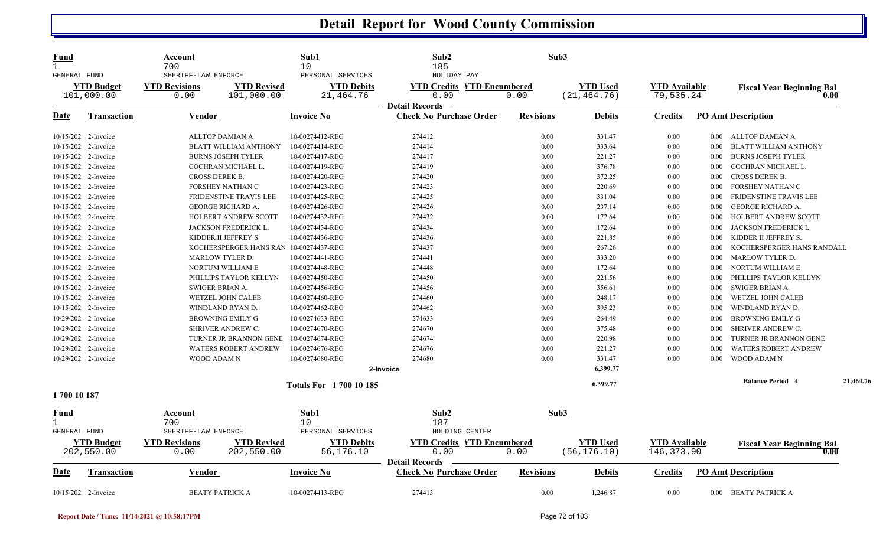| <b>Fund</b><br>$\mathbf{1}$                 |                     | Account<br>700                             |                    | Sub1<br>10                      | Sub2<br>185                                             | Sub3                              |                 |                      |          |                                  |           |
|---------------------------------------------|---------------------|--------------------------------------------|--------------------|---------------------------------|---------------------------------------------------------|-----------------------------------|-----------------|----------------------|----------|----------------------------------|-----------|
| <b>GENERAL FUND</b>                         |                     | SHERIFF-LAW ENFORCE                        |                    | PERSONAL SERVICES               | HOLIDAY PAY                                             |                                   |                 |                      |          |                                  |           |
| <b>YTD Budget</b>                           |                     | <b>YTD Revised</b><br><b>YTD Revisions</b> |                    | <b>YTD Debits</b>               | <b>YTD Credits YTD Encumbered</b>                       | <b>YTD Used</b>                   |                 | <b>YTD</b> Available |          | <b>Fiscal Year Beginning Bal</b> |           |
|                                             | 101,000.00          | 0.00                                       | 101,000.00         | 21,464.76                       | 0.00                                                    | 0.00                              | (21, 464.76)    | 79,535.24            |          | 0.00                             |           |
|                                             |                     |                                            |                    |                                 | <b>Detail Records</b>                                   |                                   |                 |                      |          |                                  |           |
| Date                                        | <b>Transaction</b>  | <b>Vendor</b>                              |                    | <b>Invoice No</b>               | <b>Check No Purchase Order</b>                          | <b>Revisions</b>                  | <b>Debits</b>   | <b>Credits</b>       |          | <b>PO Amt Description</b>        |           |
|                                             | 10/15/202 2-Invoice | ALLTOP DAMIAN A                            |                    | 10-00274412-REG                 | 274412                                                  | 0.00                              | 331.47          | 0.00                 |          | 0.00 ALLTOP DAMIAN A             |           |
|                                             | 10/15/202 2-Invoice | <b>BLATT WILLIAM ANTHONY</b>               |                    | 10-00274414-REG                 | 274414                                                  | 0.00                              | 333.64          | 0.00                 | 0.00     | <b>BLATT WILLIAM ANTHONY</b>     |           |
|                                             | 10/15/202 2-Invoice | <b>BURNS JOSEPH TYLER</b>                  |                    | 10-00274417-REG                 | 274417                                                  | 0.00                              | 221.27          | 0.00                 | 0.00     | <b>BURNS JOSEPH TYLER</b>        |           |
|                                             | 10/15/202 2-Invoice | COCHRAN MICHAEL L.                         |                    | 10-00274419-REG                 | 274419                                                  | 0.00                              | 376.78          | 0.00                 | 0.00     | COCHRAN MICHAEL L.               |           |
|                                             | 10/15/202 2-Invoice | <b>CROSS DEREK B.</b>                      |                    | 10-00274420-REG                 | 274420                                                  | 0.00                              | 372.25          | 0.00                 | 0.00     | <b>CROSS DEREK B.</b>            |           |
|                                             | 10/15/202 2-Invoice | <b>FORSHEY NATHAN C</b>                    |                    | 10-00274423-REG                 | 274423                                                  | 0.00                              | 220.69          | 0.00                 | 0.00     | FORSHEY NATHAN C                 |           |
|                                             | 10/15/202 2-Invoice | FRIDENSTINE TRAVIS LEE                     |                    | 10-00274425-REG                 | 274425                                                  | 0.00                              | 331.04          | 0.00                 | 0.00     | FRIDENSTINE TRAVIS LEE           |           |
|                                             | 10/15/202 2-Invoice | <b>GEORGE RICHARD A.</b>                   |                    | 10-00274426-REG                 | 274426                                                  | 0.00                              | 237.14          | 0.00                 | 0.00     | <b>GEORGE RICHARD A.</b>         |           |
|                                             | 10/15/202 2-Invoice | <b>HOLBERT ANDREW SCOTT</b>                |                    | 10-00274432-REG                 | 274432                                                  | 0.00                              | 172.64          | 0.00                 | 0.00     | HOLBERT ANDREW SCOTT             |           |
|                                             | 10/15/202 2-Invoice | JACKSON FREDERICK L.                       |                    | 10-00274434-REG                 | 274434                                                  | 0.00                              | 172.64          | 0.00                 | $0.00\,$ | JACKSON FREDERICK L.             |           |
|                                             | 10/15/202 2-Invoice | KIDDER II JEFFREY S.                       |                    | 10-00274436-REG                 | 274436                                                  | 0.00                              | 221.85          | 0.00                 | 0.00     | KIDDER II JEFFREY S.             |           |
|                                             | 10/15/202 2-Invoice | KOCHERSPERGER HANS RAN                     |                    | 10-00274437-REG                 | 274437                                                  | 0.00                              | 267.26          | 0.00                 | 0.00     | KOCHERSPERGER HANS RANDALL       |           |
|                                             | 10/15/202 2-Invoice | MARLOW TYLER D.                            |                    | 10-00274441-REG                 | 274441                                                  | 0.00                              | 333.20          | 0.00                 | $0.00\,$ | <b>MARLOW TYLER D.</b>           |           |
|                                             | 10/15/202 2-Invoice | NORTUM WILLIAM E                           |                    | 10-00274448-REG                 | 274448                                                  | 0.00                              | 172.64          | 0.00                 | 0.00     | NORTUM WILLIAM E                 |           |
|                                             | 10/15/202 2-Invoice | PHILLIPS TAYLOR KELLYN                     |                    | 10-00274450-REG                 | 274450                                                  | 0.00                              | 221.56          | 0.00                 | 0.00     | PHILLIPS TAYLOR KELLYN           |           |
|                                             | 10/15/202 2-Invoice | SWIGER BRIAN A.                            |                    | 10-00274456-REG                 | 274456                                                  | 0.00                              | 356.61          | 0.00                 | $0.00\,$ | SWIGER BRIAN A.                  |           |
|                                             | 10/15/202 2-Invoice | WETZEL JOHN CALEB                          |                    | 10-00274460-REG                 | 274460                                                  | 0.00                              | 248.17          | 0.00                 | 0.00     | <b>WETZEL JOHN CALEB</b>         |           |
|                                             | 10/15/202 2-Invoice | WINDLAND RYAN D.                           |                    | 10-00274462-REG                 | 274462                                                  | 0.00                              | 395.23          | 0.00                 | 0.00     | WINDLAND RYAN D.                 |           |
|                                             | 10/29/202 2-Invoice | BROWNING EMILY G                           |                    | 10-00274633-REG                 | 274633                                                  | 0.00                              | 264.49          | 0.00                 | $0.00\,$ | <b>BROWNING EMILY G</b>          |           |
| 10/29/202 2-Invoice                         |                     | <b>SHRIVER ANDREW C.</b>                   |                    | 10-00274670-REG                 | 274670                                                  | 0.00                              | 375.48          | 0.00                 | $0.00\,$ | SHRIVER ANDREW C.                |           |
|                                             | 10/29/202 2-Invoice | TURNER JR BRANNON GENE                     |                    | 10-00274674-REG                 | 274674                                                  | 0.00                              | 220.98          | 0.00                 | 0.00     | <b>TURNER JR BRANNON GENE</b>    |           |
|                                             | 10/29/202 2-Invoice | <b>WATERS ROBERT ANDREW</b>                |                    | 10-00274676-REG                 | 274676                                                  | 0.00                              | 221.27          | 0.00                 | $0.00\,$ | <b>WATERS ROBERT ANDREW</b>      |           |
|                                             | 10/29/202 2-Invoice | <b>WOOD ADAM N</b>                         |                    | 10-00274680-REG                 | 274680                                                  | 0.00                              | 331.47          | 0.00                 | 0.00     | WOOD ADAM N                      |           |
|                                             |                     |                                            |                    |                                 | 2-Invoice                                               |                                   | 6,399.77        |                      |          |                                  |           |
|                                             |                     | <b>Totals For 1700 10 185</b>              |                    |                                 |                                                         |                                   | 6,399.77        |                      |          | <b>Balance Period 4</b>          | 21,464.76 |
| 1700 10 187                                 |                     |                                            |                    |                                 |                                                         |                                   |                 |                      |          |                                  |           |
| <u>Fund</u><br>$\mathbf{1}$<br>GENERAL FUND |                     | Account<br>700<br>SHERIFF-LAW ENFORCE      |                    | Sub1<br>10<br>PERSONAL SERVICES | Sub2<br>187<br>HOLDING CENTER                           | Sub3                              |                 |                      |          |                                  |           |
| <b>YTD Budget</b>                           |                     | <b>YTD Revisions</b>                       | <b>YTD Revised</b> | <b>YTD Debits</b>               | <b>YTD Credits YTD Encumbered</b>                       |                                   | <b>YTD Used</b> | <b>YTD</b> Available |          | <b>Fiscal Year Beginning Bal</b> |           |
| 202,550.00                                  |                     | 202,550.00<br>0.00                         |                    | 56,176.10                       | 0.00                                                    | 0.00                              | (56, 176.10)    | 146, 373.90          |          | 0.00                             |           |
| <u>Date</u>                                 | <b>Transaction</b>  | <b>Vendor</b>                              |                    | <b>Invoice No</b>               | <b>Detail Records</b><br><b>Check No Purchase Order</b> | <b>Revisions</b><br><b>Debits</b> |                 | <b>Credits</b>       |          | <b>PO</b> Amt Description        |           |
|                                             | 10/15/202 2-Invoice | <b>BEATY PATRICK A</b>                     |                    | 10-00274413-REG                 | 274413                                                  | 0.00                              | 1,246.87        | 0.00                 |          | 0.00 BEATY PATRICK A             |           |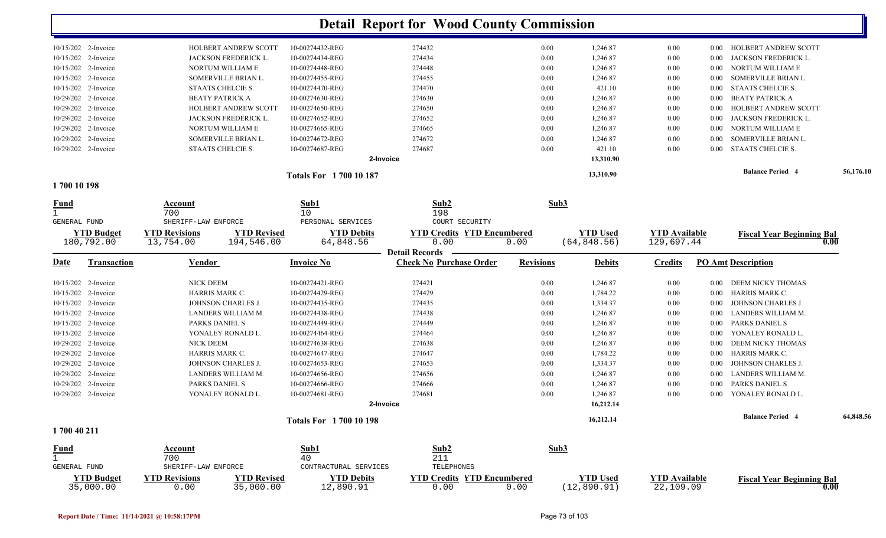|                                 |                                   |                                  |                                | <b>Detail Report for Wood County Commission</b>     |                  |                                 |                                    |          |                                  |           |
|---------------------------------|-----------------------------------|----------------------------------|--------------------------------|-----------------------------------------------------|------------------|---------------------------------|------------------------------------|----------|----------------------------------|-----------|
| 10/15/202 2-Invoice             | HOLBERT ANDREW SCOTT              |                                  | 10-00274432-REG                | 274432                                              | $0.00\,$         | 1,246.87                        | $0.00\,$                           | $0.00\,$ | HOLBERT ANDREW SCOTT             |           |
| 10/15/202 2-Invoice             | JACKSON FREDERICK L.              |                                  | 10-00274434-REG                | 274434                                              | 0.00             | 1,246.87                        | $0.00\,$                           | $0.00\,$ | JACKSON FREDERICK L.             |           |
| 10/15/202<br>2-Invoice          | NORTUM WILLIAM E                  |                                  | 10-00274448-REG                | 274448                                              | 0.00             | 1,246.87                        | $0.00\,$                           | 0.00     | NORTUM WILLIAM E                 |           |
| 10/15/202<br>2-Invoice          | SOMERVILLE BRIAN L.               |                                  | 10-00274455-REG                | 274455                                              | 0.00             | 1,246.87                        | 0.00                               | $0.00\,$ | SOMERVILLE BRIAN L.              |           |
| 2-Invoice<br>10/15/202          | STAATS CHELCIE S.                 |                                  | 10-00274470-REG                | 274470                                              | 0.00             | 421.10                          | 0.00                               | 0.00     | STAATS CHELCIE S.                |           |
| 10/29/202<br>2-Invoice          | <b>BEATY PATRICK A</b>            |                                  | 10-00274630-REG                | 274630                                              | 0.00             | 1,246.87                        | 0.00                               | 0.00     | <b>BEATY PATRICK A</b>           |           |
| 10/29/202 2-Invoice             | HOLBERT ANDREW SCOTT              |                                  | 10-00274650-REG                | 274650                                              | 0.00             | 1,246.87                        | 0.00                               | 0.00     | HOLBERT ANDREW SCOTT             |           |
| 10/29/202 2-Invoice             | JACKSON FREDERICK L.              |                                  | 10-00274652-REG                | 274652                                              | 0.00             | 1,246.87                        | 0.00                               | 0.00     | JACKSON FREDERICK L.             |           |
| 10/29/202 2-Invoice             | NORTUM WILLIAM E                  |                                  | 10-00274665-REG                | 274665                                              | 0.00             | 1,246.87                        | 0.00                               | 0.00     | NORTUM WILLIAM E                 |           |
| 10/29/202 2-Invoice             | SOMERVILLE BRIAN L.               |                                  | 10-00274672-REG                | 274672                                              | 0.00             | 1,246.87                        | 0.00                               | 0.00     | SOMERVILLE BRIAN L.              |           |
| 10/29/202 2-Invoice             | STAATS CHELCIE S.                 |                                  | 10-00274687-REG                | 274687                                              | 0.00             | 421.10                          | $0.00\,$                           | $0.00\,$ | STAATS CHELCIE S.                |           |
|                                 |                                   |                                  |                                | 2-Invoice                                           |                  | 13,310.90                       |                                    |          |                                  |           |
|                                 |                                   |                                  | <b>Totals For 1700 10 187</b>  |                                                     |                  | 13,310.90                       |                                    |          | <b>Balance Period 4</b>          | 56,176.10 |
| 1700 10 198                     |                                   |                                  |                                |                                                     |                  |                                 |                                    |          |                                  |           |
| <b>Fund</b>                     | Account<br>700                    |                                  | Sub1<br>10                     | Sub2<br>198                                         |                  | Sub3                            |                                    |          |                                  |           |
| GENERAL FUND                    | SHERIFF-LAW ENFORCE               |                                  | PERSONAL SERVICES              | COURT SECURITY                                      |                  |                                 |                                    |          |                                  |           |
| <b>YTD Budget</b><br>180,792.00 | <b>YTD Revisions</b><br>13,754.00 | <b>YTD Revised</b><br>194,546.00 | <b>YTD Debits</b><br>64,848.56 | <b>YTD Encumbered</b><br><b>YTD Credits</b><br>0.00 | 0.00             | <b>YTD Used</b><br>(64, 848.56) | <b>YTD Available</b><br>129,697.44 |          | <b>Fiscal Year Beginning Bal</b> | 0.00      |
|                                 |                                   |                                  |                                | <b>Detail Records</b>                               |                  |                                 |                                    |          |                                  |           |
| Transaction<br><u>Date</u>      | Vendor                            |                                  | <b>Invoice No</b>              | <b>Check No Purchase Order</b>                      | <b>Revisions</b> | <b>Debits</b>                   | <b>Credits</b>                     |          | PO Amt Description               |           |
| 10/15/202 2-Invoice             | <b>NICK DEEM</b>                  |                                  | 10-00274421-REG                | 274421                                              | 0.00             | 1,246.87                        | $0.00\,$                           | 0.00     | DEEM NICKY THOMAS                |           |
| 10/15/202 2-Invoice             | HARRIS MARK C.                    |                                  | 10-00274429-REG                | 274429                                              | 0.00             | 1,784.22                        | 0.00                               | 0.00     | HARRIS MARK C.                   |           |
| 10/15/202 2-Invoice             | JOHNSON CHARLES J.                |                                  | 10-00274435-REG                | 274435                                              | $0.00\,$         | 1,334.37                        | 0.00                               | 0.00     | JOHNSON CHARLES J.               |           |
| 10/15/202 2-Invoice             | LANDERS WILLIAM M.                |                                  | 10-00274438-REG                | 274438                                              | 0.00             | 1,246.87                        | 0.00                               | 0.00     | LANDERS WILLIAM M.               |           |
| 10/15/202 2-Invoice             | PARKS DANIEL S                    |                                  | 10-00274449-REG                | 274449                                              | 0.00             | 1,246.87                        | $0.00\,$                           | 0.00     | PARKS DANIEL S                   |           |
| 10/15/202 2-Invoice             | YONALEY RONALD L.                 |                                  | 10-00274464-REG                | 274464                                              | 0.00             | 1,246.87                        | $0.00\,$                           | 0.00     | YONALEY RONALD L.                |           |
| 10/29/202 2-Invoice             | <b>NICK DEEM</b>                  |                                  | 10-00274638-REG                | 274638                                              | 0.00             | 1,246.87                        | $0.00\,$                           | 0.00     | DEEM NICKY THOMAS                |           |
| 10/29/202 2-Invoice             | HARRIS MARK C.                    |                                  | 10-00274647-REG                | 274647                                              | 0.00             | 1,784.22                        | $0.00\,$                           | 0.00     | <b>HARRIS MARK C.</b>            |           |
| 10/29/202 2-Invoice             | JOHNSON CHARLES J.                |                                  | 10-00274653-REG                | 274653                                              | 0.00             | 1,334.37                        | $0.00\,$                           | 0.00     | JOHNSON CHARLES J.               |           |
| 10/29/202 2-Invoice             | LANDERS WILLIAM M.                |                                  | 10-00274656-REG                | 274656                                              | 0.00             | 1,246.87                        | 0.00                               | 0.00     | LANDERS WILLIAM M.               |           |
| 10/29/202 2-Invoice             | PARKS DANIEL S                    |                                  | 10-00274666-REG                | 274666                                              | 0.00             | 1,246.87                        | 0.00                               | 0.00     | PARKS DANIEL S                   |           |
| 10/29/202 2-Invoice             | YONALEY RONALD L.                 |                                  | 10-00274681-REG                | 274681                                              | 0.00             | 1,246.87                        | 0.00                               | $0.00\,$ | YONALEY RONALD L.                |           |
|                                 |                                   |                                  |                                | 2-Invoice                                           |                  | 16,212.14                       |                                    |          |                                  |           |
|                                 |                                   |                                  | <b>Totals For 1700 10 198</b>  |                                                     |                  | 16,212.14                       |                                    |          | <b>Balance Period 4</b>          | 64,848.56 |
| 1700 40 211                     |                                   |                                  |                                |                                                     |                  |                                 |                                    |          |                                  |           |
| <b>Fund</b>                     | Account                           |                                  | Sub1                           | Sub2                                                |                  | Sub3                            |                                    |          |                                  |           |
| $\mathbf{1}$                    | 700                               |                                  | 40                             | 211                                                 |                  |                                 |                                    |          |                                  |           |
| <b>GENERAL FUND</b>             | SHERIFF-LAW ENFORCE               |                                  | CONTRACTURAL SERVICES          | TELEPHONES                                          |                  |                                 |                                    |          |                                  |           |
| <b>YTD Budget</b><br>35,000.00  | <b>YTD Revisions</b><br>0.00      | <b>YTD Revised</b><br>35,000.00  | <b>YTD Debits</b><br>12,890.91 | <b>YTD Credits YTD Encumbered</b><br>0.00           | 0.00             | <b>YTD Used</b><br>(12, 890.91) | <b>YTD Available</b><br>22,109.09  |          | <b>Fiscal Year Beginning Bal</b> | 0.00      |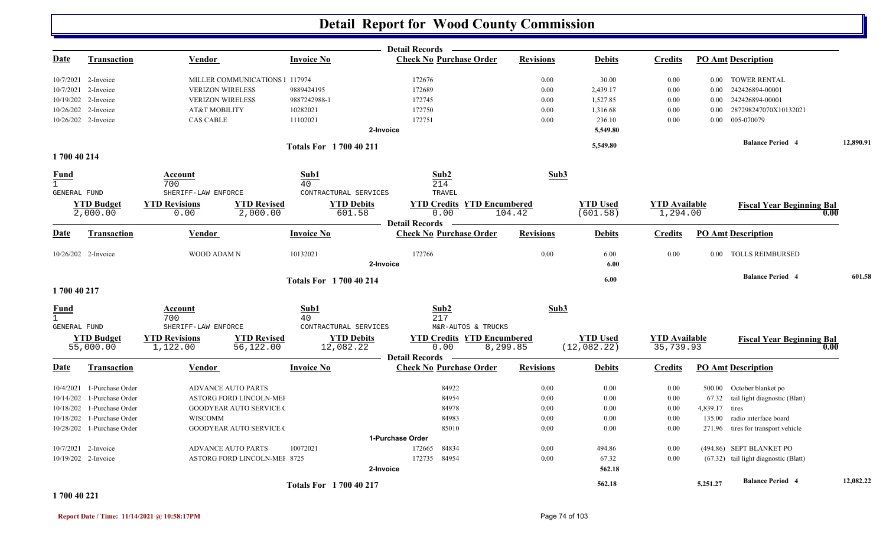|                             |                               |                                                                |                               |                             | <b>Detail Records</b>                                              |                  |                             |                                  |          |                                       |           |
|-----------------------------|-------------------------------|----------------------------------------------------------------|-------------------------------|-----------------------------|--------------------------------------------------------------------|------------------|-----------------------------|----------------------------------|----------|---------------------------------------|-----------|
| <u>Date</u>                 | <b>Transaction</b>            | Vendor                                                         | <b>Invoice No</b>             |                             | <b>Check No Purchase Order</b>                                     | <b>Revisions</b> | <b>Debits</b>               | <b>Credits</b>                   |          | <b>PO Amt Description</b>             |           |
|                             | 10/7/2021 2-Invoice           | MILLER COMMUNICATIONS 1 117974                                 |                               |                             | 172676                                                             | 0.00             | 30.00                       | 0.00                             | $0.00\,$ | <b>TOWER RENTAL</b>                   |           |
|                             | 10/7/2021 2-Invoice           | <b>VERIZON WIRELESS</b>                                        | 9889424195                    |                             | 172689                                                             | 0.00             | 2,439.17                    | 0.00                             | 0.00     | 242426894-00001                       |           |
|                             | 10/19/202 2-Invoice           | <b>VERIZON WIRELESS</b>                                        | 9887242988-1                  |                             | 172745                                                             | 0.00             | 1,527.85                    | 0.00                             | 0.00     | 242426894-00001                       |           |
|                             | 10/26/202 2-Invoice           | AT&T MOBILITY                                                  | 10282021                      |                             | 172750                                                             | 0.00             | 1,316.68                    | 0.00                             | 0.00     | 287298247070X10132021                 |           |
|                             | 10/26/202 2-Invoice           | <b>CAS CABLE</b>                                               | 11102021                      |                             | 172751                                                             | 0.00             | 236.10                      | 0.00                             | 0.00     | 005-070079                            |           |
|                             |                               |                                                                |                               | 2-Invoice                   |                                                                    |                  | 5,549.80                    |                                  |          |                                       |           |
|                             |                               |                                                                | <b>Totals For 1700 40 211</b> |                             |                                                                    |                  | 5,549.80                    |                                  |          | <b>Balance Period 4</b>               | 12,890.91 |
| 1700 40 214                 |                               |                                                                |                               |                             |                                                                    |                  |                             |                                  |          |                                       |           |
| <b>Fund</b><br>$\mathbf{1}$ |                               | Account<br>700                                                 | Sub1<br>40                    |                             | Sub2<br>214                                                        | Sub3             |                             |                                  |          |                                       |           |
| GENERAL FUND                |                               | SHERIFF-LAW ENFORCE                                            |                               | CONTRACTURAL SERVICES       | TRAVEL                                                             |                  |                             |                                  |          |                                       |           |
|                             | <b>YTD Budget</b><br>2,000.00 | <b>YTD Revised</b><br><b>YTD Revisions</b><br>0.00<br>2,000.00 |                               | <b>YTD Debits</b><br>601.58 | <b>YTD Credits YTD Encumbered</b><br>0.00<br><b>Detail Records</b> | 104.42           | <b>YTD Used</b><br>(601.58) | <b>YTD</b> Available<br>1,294.00 |          | <b>Fiscal Year Beginning Bal</b>      | 0.00      |
| <u>Date</u>                 | <b>Transaction</b>            | Vendor                                                         | <b>Invoice No</b>             |                             | <b>Check No Purchase Order</b>                                     | <b>Revisions</b> | <b>Debits</b>               | Credits                          |          | <b>PO Amt Description</b>             |           |
|                             | 10/26/202 2-Invoice           | WOOD ADAM N                                                    | 10132021                      | 2-Invoice                   | 172766                                                             | 0.00             | 6.00<br>6.00                | 0.00                             |          | 0.00 TOLLS REIMBURSED                 |           |
|                             |                               |                                                                | <b>Totals For 1700 40 214</b> |                             |                                                                    |                  | 6.00                        |                                  |          | <b>Balance Period 4</b>               | 601.58    |
| 1700 40 217                 |                               |                                                                |                               |                             |                                                                    |                  |                             |                                  |          |                                       |           |
| <u>Fund</u><br>$\mathbf{1}$ |                               | Account<br>700                                                 | Sub1<br>40                    |                             | Sub2<br>217                                                        | Sub3             |                             |                                  |          |                                       |           |
| GENERAL FUND                |                               | SHERIFF-LAW ENFORCE                                            |                               | CONTRACTURAL SERVICES       | M&R-AUTOS & TRUCKS                                                 |                  |                             |                                  |          |                                       |           |
|                             | <b>YTD Budget</b>             | <b>YTD Revisions</b><br><b>YTD Revised</b>                     |                               | <b>YTD Debits</b>           | <b>YTD Credits YTD Encumbered</b>                                  |                  | <b>YTD Used</b>             | <b>YTD Available</b>             |          |                                       |           |
|                             | 55,000.00                     | 1,122.00<br>56,122.00                                          |                               | 12,082.22                   | 0.00                                                               | 8,299.85         | (12, 082.22)                | 35,739.93                        |          | <b>Fiscal Year Beginning Bal</b>      | 0.00      |
|                             |                               |                                                                |                               |                             | <b>Detail Records</b>                                              |                  |                             |                                  |          |                                       |           |
| Date                        | <b>Transaction</b>            | Vendor                                                         | <b>Invoice No</b>             |                             | <b>Check No Purchase Order</b>                                     | <b>Revisions</b> | <b>Debits</b>               | <b>Credits</b>                   |          | <b>PO Amt Description</b>             |           |
| 10/4/2021                   | 1-Purchase Order              | <b>ADVANCE AUTO PARTS</b>                                      |                               |                             | 84922                                                              | 0.00             | $0.00\,$                    | 0.00                             |          | 500.00 October blanket po             |           |
| 10/14/202                   | 1-Purchase Order              | ASTORG FORD LINCOLN-MEI                                        |                               |                             | 84954                                                              | 0.00             | 0.00                        | 0.00                             | 67.32    | tail light diagnostic (Blatt)         |           |
| 10/18/202                   | 1-Purchase Order              | <b>GOODYEAR AUTO SERVICE (</b>                                 |                               |                             | 84978                                                              | 0.00             | 0.00                        | 0.00                             | 4,839.17 | tires                                 |           |
| 10/18/202                   | 1-Purchase Order              | <b>WISCOMM</b>                                                 |                               |                             | 84983                                                              | 0.00             | 0.00                        | 0.00                             | 135.00   | radio interface board                 |           |
|                             | 10/28/202 1-Purchase Order    | <b>GOODYEAR AUTO SERVICE (</b>                                 |                               |                             | 85010                                                              | 0.00             | 0.00                        | 0.00                             | 271.96   | tires for transport vehicle           |           |
|                             |                               |                                                                |                               | 1-Purchase Order            |                                                                    |                  |                             |                                  |          |                                       |           |
|                             | 10/7/2021 2-Invoice           | <b>ADVANCE AUTO PARTS</b>                                      | 10072021                      |                             | 84834<br>172665                                                    | 0.00             | 494.86                      | 0.00                             |          | (494.86) SEPT BLANKET PO              |           |
|                             | 10/19/202 2-Invoice           | ASTORG FORD LINCOLN-MEI 8725                                   |                               |                             | 172735<br>84954                                                    | 0.00             | 67.32                       | 0.00                             |          | (67.32) tail light diagnostic (Blatt) |           |
|                             |                               |                                                                |                               | 2-Invoice                   |                                                                    |                  | 562.18                      |                                  |          |                                       |           |
|                             |                               |                                                                | <b>Totals For 1700 40 217</b> |                             |                                                                    |                  | 562.18                      |                                  | 5,251.27 | <b>Balance Period 4</b>               | 12,082.22 |

**1 700 40 221**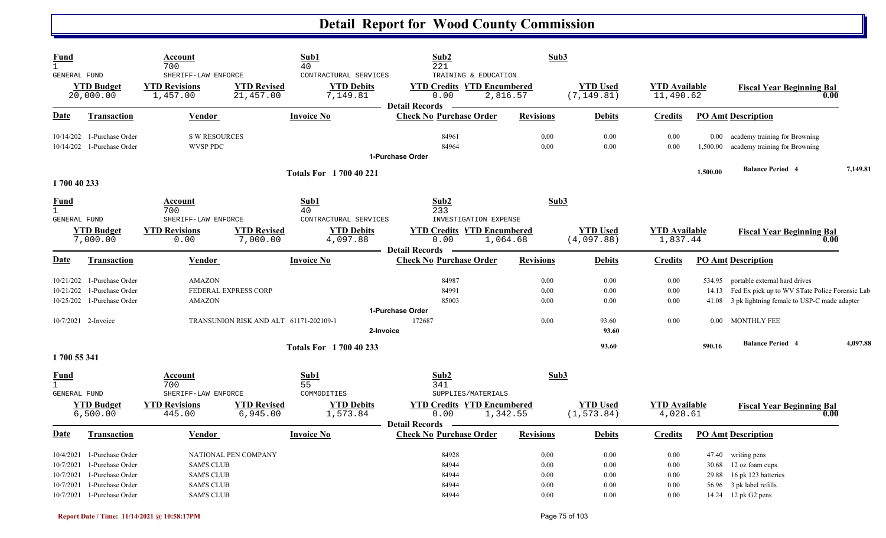| <b>Fund</b><br>$\mathbf{1}$                       |                                                                                                     | Account<br>700                                              |                                                                | Sub1<br>40                                             | Sub2<br>221                                                        | Sub3                         |                                |                                   |                             |                                                                                                                                                           |          |
|---------------------------------------------------|-----------------------------------------------------------------------------------------------------|-------------------------------------------------------------|----------------------------------------------------------------|--------------------------------------------------------|--------------------------------------------------------------------|------------------------------|--------------------------------|-----------------------------------|-----------------------------|-----------------------------------------------------------------------------------------------------------------------------------------------------------|----------|
| <b>GENERAL FUND</b>                               | <b>YTD Budget</b><br>20,000.00                                                                      | SHERIFF-LAW ENFORCE<br><b>YTD Revisions</b><br>1,457.00     | <b>YTD Revised</b><br>21,457.00                                | CONTRACTURAL SERVICES<br><b>YTD Debits</b><br>7,149.81 | TRAINING & EDUCATION<br><b>YTD Credits YTD Encumbered</b><br>0.00  | 2,816.57                     | <b>YTD Used</b><br>(7, 149.81) | <b>YTD</b> Available<br>11,490.62 |                             | <b>Fiscal Year Beginning Bal</b>                                                                                                                          | 0.00     |
| <b>Date</b>                                       | <b>Transaction</b>                                                                                  | <b>Vendor</b>                                               |                                                                | <b>Invoice No</b>                                      | <b>Detail Records</b><br><b>Check No Purchase Order</b>            | <b>Revisions</b>             | <b>Debits</b>                  | <b>Credits</b>                    |                             | <b>PO Amt Description</b>                                                                                                                                 |          |
|                                                   | 10/14/202 1-Purchase Order<br>10/14/202 1-Purchase Order                                            | <b>S W RESOURCES</b><br><b>WVSP PDC</b>                     |                                                                |                                                        | 84961<br>84964<br>1-Purchase Order                                 | 0.00<br>0.00                 | 0.00<br>0.00                   | 0.00<br>0.00                      | $0.00\,$<br>1,500.00        | academy training for Browning<br>academy training for Browning                                                                                            |          |
| 1700 40 233                                       |                                                                                                     |                                                             |                                                                | <b>Totals For 1700 40 221</b>                          |                                                                    |                              |                                |                                   | 1,500.00                    | <b>Balance Period 4</b>                                                                                                                                   | 7,149.81 |
| <u>Fund</u><br>$\mathbf 1$<br><b>GENERAL FUND</b> |                                                                                                     | Account<br>700<br>SHERIFF-LAW ENFORCE                       |                                                                | Sub1<br>40<br>CONTRACTURAL SERVICES                    | Sub2<br>233<br>INVESTIGATION EXPENSE                               | Sub3                         |                                |                                   |                             |                                                                                                                                                           |          |
|                                                   | <b>YTD Budget</b><br>7,000.00                                                                       | <b>YTD Revisions</b><br>0.00                                | <b>YTD Revised</b><br>7,000.00                                 | <b>YTD Debits</b><br>4,097.88                          | <b>YTD Credits YTD Encumbered</b><br>0.00<br><b>Detail Records</b> | 1,064.68                     | <b>YTD Used</b><br>(4,097.88)  | <b>YTD Available</b><br>1,837.44  |                             | <b>Fiscal Year Beginning Bal</b>                                                                                                                          | 0.00     |
| Date                                              | <b>Transaction</b>                                                                                  | <b>Vendor</b>                                               |                                                                | <b>Invoice No</b>                                      | <b>Check No Purchase Order</b>                                     | <b>Revisions</b>             | <b>Debits</b>                  | <b>Credits</b>                    |                             | <b>PO Amt Description</b>                                                                                                                                 |          |
| 10/21/202                                         | 1-Purchase Order<br>10/21/202 1-Purchase Order<br>10/25/202 1-Purchase Order<br>10/7/2021 2-Invoice | <b>AMAZON</b><br><b>AMAZON</b>                              | FEDERAL EXPRESS CORP<br>TRANSUNION RISK AND ALT 61171-202109-1 |                                                        | 84987<br>84991<br>85003<br>1-Purchase Order<br>172687              | 0.00<br>0.00<br>0.00<br>0.00 | 0.00<br>0.00<br>0.00<br>93.60  | 0.00<br>0.00<br>0.00<br>0.00      | 534.95<br>0.00 <sub>1</sub> | portable external hard drives<br>14.13 Fed Ex pick up to WV STate Police Forensic Lab<br>41.08 3 pk lightning female to USP-C made adapter<br>MONTHLY FEE |          |
|                                                   |                                                                                                     |                                                             |                                                                | 2-Invoice<br><b>Totals For 1700 40 233</b>             |                                                                    |                              | 93.60<br>93.60                 |                                   | 590.16                      | <b>Balance Period 4</b>                                                                                                                                   | 4,097.88 |
| 1700 55 341                                       |                                                                                                     |                                                             |                                                                |                                                        |                                                                    |                              |                                |                                   |                             |                                                                                                                                                           |          |
| Fund<br>$\mathbf{1}$<br>GENERAL FUND              |                                                                                                     | Account<br>700<br>SHERIFF-LAW ENFORCE                       |                                                                | Sub1<br>55<br>COMMODITIES                              | Sub2<br>341<br>SUPPLIES/MATERIALS                                  | Sub3                         |                                |                                   |                             |                                                                                                                                                           |          |
|                                                   | <b>YTD Budget</b><br>6,500.00                                                                       | <b>YTD Revisions</b><br>445.00                              | <b>YTD Revised</b><br>6,945.00                                 | <b>YTD Debits</b><br>1,573.84                          | <b>YTD Credits YTD Encumbered</b><br>0.00<br><b>Detail Records</b> | 1,342.55                     | <b>YTD Used</b><br>(1, 573.84) | <b>YTD</b> Available<br>4,028.61  |                             | <b>Fiscal Year Beginning Bal</b>                                                                                                                          | 0.00     |
| Date                                              | Transaction                                                                                         | Vendor                                                      |                                                                | <b>Invoice No</b>                                      | <b>Check No Purchase Order</b>                                     | <b>Revisions</b>             | <b>Debits</b>                  | <b>Credits</b>                    |                             | <b>PO Amt Description</b>                                                                                                                                 |          |
| 10/7/2021<br>10/7/2021<br>10/7/2021               | 10/4/2021 1-Purchase Order<br>1-Purchase Order<br>1-Purchase Order<br>1-Purchase Order              | <b>SAM'S CLUB</b><br><b>SAM'S CLUB</b><br><b>SAM'S CLUB</b> | NATIONAL PEN COMPANY                                           |                                                        | 84928<br>84944<br>84944<br>84944                                   | 0.00<br>0.00<br>0.00<br>0.00 | 0.00<br>0.00<br>0.00<br>0.00   | 0.00<br>0.00<br>0.00<br>0.00      | 29.88                       | 47.40 writing pens<br>30.68 12 oz foam cups<br>16 pk 123 batteries<br>56.96 3 pk label refills                                                            |          |
|                                                   | 10/7/2021 1-Purchase Order                                                                          | <b>SAM'S CLUB</b>                                           |                                                                |                                                        | 84944                                                              | 0.00                         | 0.00                           | 0.00                              |                             | 14.24 12 pk G2 pens                                                                                                                                       |          |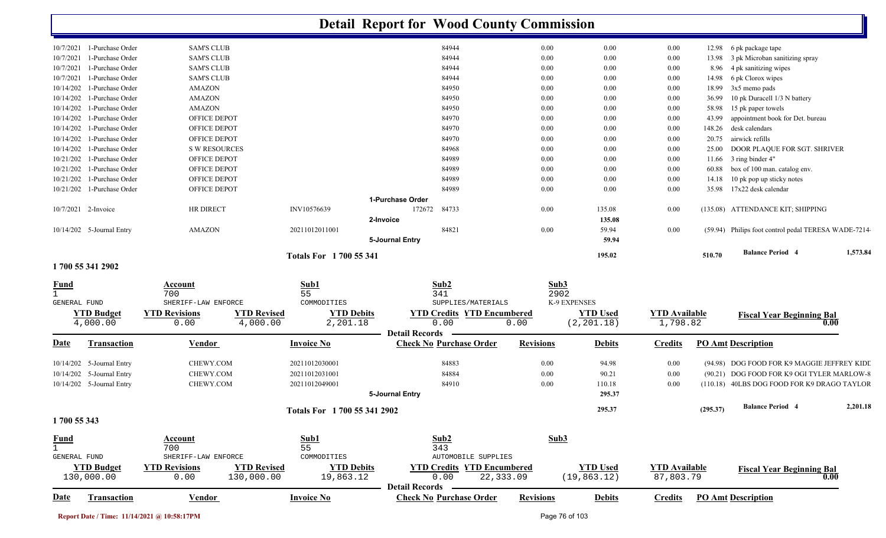|                                   |                                                                  |                                | <b>Detail Report for Wood County Commission</b>        |                  |                                 |                                   |          |                                                     |          |
|-----------------------------------|------------------------------------------------------------------|--------------------------------|--------------------------------------------------------|------------------|---------------------------------|-----------------------------------|----------|-----------------------------------------------------|----------|
| 10/7/2021 1-Purchase Order        | <b>SAM'S CLUB</b>                                                |                                | 84944                                                  | 0.00             | 0.00                            | 0.00                              |          | 12.98 6 pk package tape                             |          |
| 1-Purchase Order<br>10/7/2021     | <b>SAM'S CLUB</b>                                                |                                | 84944                                                  | 0.00             | 0.00                            | 0.00                              | 13.98    | 3 pk Microban sanitizing spray                      |          |
| 1-Purchase Order<br>10/7/2021     | <b>SAM'S CLUB</b>                                                |                                | 84944                                                  | 0.00             | 0.00                            | 0.00                              | 8.96     | 4 pk sanitizing wipes                               |          |
| 1-Purchase Order<br>10/7/2021     | <b>SAM'S CLUB</b>                                                |                                | 84944                                                  | 0.00             | 0.00                            | 0.00                              | 14.98    | 6 pk Clorox wipes                                   |          |
| 10/14/202<br>1-Purchase Order     | <b>AMAZON</b>                                                    |                                | 84950                                                  | 0.00             | 0.00                            | 0.00                              | 18.99    | 3x5 memo pads                                       |          |
| 10/14/202<br>1-Purchase Order     | <b>AMAZON</b>                                                    |                                | 84950                                                  | 0.00             | 0.00                            | 0.00                              | 36.99    | 10 pk Duracell 1/3 N battery                        |          |
| 1-Purchase Order<br>10/14/202     | <b>AMAZON</b>                                                    |                                | 84950                                                  | 0.00             | 0.00                            | 0.00                              | 58.98    | 15 pk paper towels                                  |          |
| 10/14/202<br>1-Purchase Order     | OFFICE DEPOT                                                     |                                | 84970                                                  | 0.00             | 0.00                            | 0.00                              | 43.99    | appointment book for Det. bureau                    |          |
| 10/14/202<br>1-Purchase Order     | OFFICE DEPOT                                                     |                                | 84970                                                  | 0.00             | 0.00                            | 0.00                              | 148.26   | desk calendars                                      |          |
| 10/14/202<br>1-Purchase Order     | OFFICE DEPOT                                                     |                                | 84970                                                  | 0.00             | 0.00                            | 0.00                              | 20.75    | airwick refills                                     |          |
| 10/14/202<br>1-Purchase Order     | <b>S W RESOURCES</b>                                             |                                | 84968                                                  | 0.00             | 0.00                            | 0.00                              | 25.00    | DOOR PLAQUE FOR SGT. SHRIVER                        |          |
| 10/21/202<br>1-Purchase Order     | OFFICE DEPOT                                                     |                                | 84989                                                  | 0.00             | 0.00                            | 0.00                              | 11.66    | 3 ring binder 4"                                    |          |
| 1-Purchase Order<br>10/21/202     | <b>OFFICE DEPOT</b>                                              |                                | 84989                                                  | 0.00             | 0.00                            | 0.00                              | 60.88    | box of 100 man. catalog env.                        |          |
| 10/21/202<br>1-Purchase Order     | OFFICE DEPOT                                                     |                                | 84989                                                  | 0.00             | 0.00                            | 0.00                              | 14.18    | 10 pk pop up sticky notes                           |          |
| 10/21/202 1-Purchase Order        | OFFICE DEPOT                                                     |                                | 84989                                                  | 0.00             | 0.00                            | 0.00                              | 35.98    | 17x22 desk calendar                                 |          |
|                                   |                                                                  |                                | 1-Purchase Order                                       |                  |                                 |                                   |          |                                                     |          |
| 10/7/2021 2-Invoice               | HR DIRECT                                                        | INV10576639                    | 84733<br>172672                                        | 0.00             | 135.08                          | 0.00                              |          | (135.08) ATTENDANCE KIT; SHIPPING                   |          |
|                                   |                                                                  |                                | 2-Invoice                                              |                  | 135.08                          |                                   |          |                                                     |          |
| 10/14/202 5-Journal Entry         | <b>AMAZON</b>                                                    | 20211012011001                 | 84821                                                  | 0.00             | 59.94                           | 0.00                              |          | (59.94) Philips foot control pedal TERESA WADE-7214 |          |
|                                   |                                                                  |                                | 5-Journal Entry                                        |                  | 59.94                           |                                   |          |                                                     |          |
| 1700 55 341 2902                  |                                                                  | <b>Totals For 1700 55 341</b>  |                                                        |                  | 195.02                          |                                   | 510.70   | <b>Balance Period 4</b>                             | 1,573.84 |
|                                   |                                                                  |                                |                                                        |                  |                                 |                                   |          |                                                     |          |
| <u>Fund</u>                       | Account                                                          | Sub1                           | Sub2                                                   | Sub3             |                                 |                                   |          |                                                     |          |
| $\mathbf{1}$                      | 700                                                              | 55                             | 341                                                    | 2902             |                                 |                                   |          |                                                     |          |
| GENERAL FUND                      | SHERIFF-LAW ENFORCE                                              | COMMODITIES                    | SUPPLIES/MATERIALS                                     | K-9 EXPENSES     |                                 |                                   |          |                                                     |          |
| <b>YTD Budget</b>                 | <b>YTD Revisions</b><br><b>YTD Revised</b>                       | <b>YTD Debits</b>              | <b>YTD Credits YTD Encumbered</b>                      |                  | <b>YTD</b> Used                 | <b>YTD</b> Available              |          | <b>Fiscal Year Beginning Bal</b><br>0.00            |          |
| 4,000.00                          | 4,000.00<br>0.00                                                 | 2,201.18                       | 0.00<br><b>Detail Records</b>                          | 0.00             | (2, 201.18)                     | 1,798.82                          |          |                                                     |          |
| <b>Date</b><br><b>Transaction</b> | <u>Vendor</u>                                                    | <b>Invoice No</b>              | <b>Check No Purchase Order</b>                         | <b>Revisions</b> | <b>Debits</b>                   | <b>Credits</b>                    |          | <b>PO Amt Description</b>                           |          |
| 10/14/202 5-Journal Entry         | CHEWY.COM                                                        | 20211012030001                 | 84883                                                  | 0.00             | 94.98                           | 0.00                              |          | (94.98) DOG FOOD FOR K9 MAGGIE JEFFREY KIDI         |          |
| 10/14/202 5-Journal Entry         | CHEWY.COM                                                        | 20211012031001                 | 84884                                                  | 0.00             | 90.21                           | 0.00                              |          | (90.21) DOG FOOD FOR K9 OGI TYLER MARLOW-8          |          |
| 10/14/202 5-Journal Entry         | CHEWY.COM                                                        | 20211012049001                 | 84910                                                  | 0.00             | 110.18                          | 0.00                              |          | (110.18) 40LBS DOG FOOD FOR K9 DRAGO TAYLOR         |          |
|                                   |                                                                  |                                |                                                        |                  | 295.37                          |                                   |          |                                                     |          |
|                                   |                                                                  |                                | 5-Journal Entry                                        |                  |                                 |                                   |          |                                                     |          |
|                                   |                                                                  | Totals For 1 700 55 341 2902   |                                                        |                  | 295.37                          |                                   | (295.37) | <b>Balance Period 4</b>                             | 2,201.18 |
| 1700 55 343                       |                                                                  |                                |                                                        |                  |                                 |                                   |          |                                                     |          |
| <b>Fund</b>                       | Account                                                          | Sub1                           | Sub2                                                   | Sub <sub>3</sub> |                                 |                                   |          |                                                     |          |
| $\mathbf{1}$                      | 700                                                              | 55                             | 343                                                    |                  |                                 |                                   |          |                                                     |          |
| GENERAL FUND                      | SHERIFF-LAW ENFORCE                                              | COMMODITIES                    | <b>AUTOMOBILE SUPPLIES</b>                             |                  |                                 |                                   |          |                                                     |          |
| <b>YTD Budget</b><br>130,000.00   | <b>YTD Revisions</b><br><b>YTD Revised</b><br>130,000.00<br>0.00 | <b>YTD Debits</b><br>19,863.12 | <b>YTD Credits YTD Encumbered</b><br>22,333.09<br>0.00 |                  | <b>YTD Used</b><br>(19, 863.12) | <b>YTD Available</b><br>87,803.79 |          | <b>Fiscal Year Beginning Bal</b><br>0.00            |          |
|                                   |                                                                  |                                | <b>Detail Records</b>                                  |                  |                                 |                                   |          |                                                     |          |
| <b>Date</b><br><b>Transaction</b> | <b>Vendor</b>                                                    | <b>Invoice No</b>              | <b>Check No Purchase Order</b>                         | <b>Revisions</b> | <b>Debits</b>                   | <b>Credits</b>                    |          | <b>PO Amt Description</b>                           |          |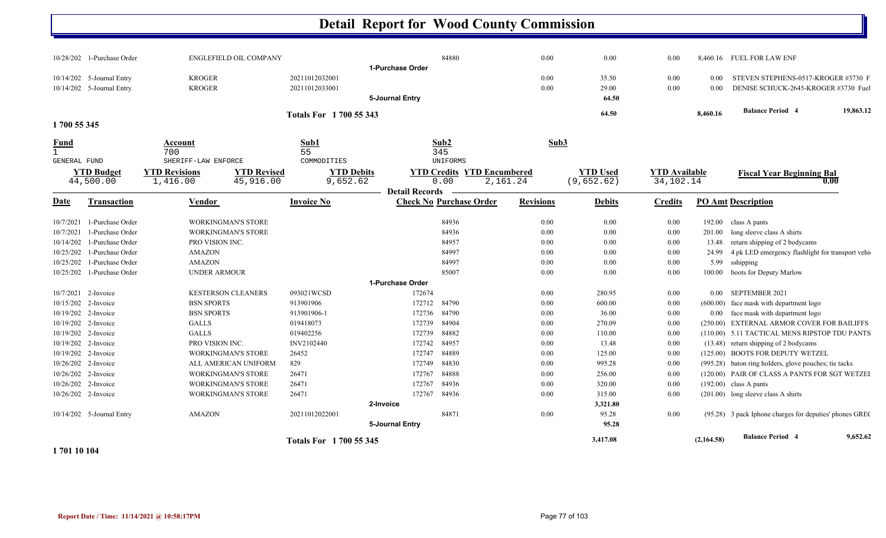|                     | 10/28/202 1-Purchase Order  | <b>ENGLEFIELD OIL COMPANY</b>               |                    |                                  | 1-Purchase Order       | 84880                                                | 0.00             | 0.00            | 0.00                 |            | 8,460.16 FUEL FOR LAW ENF                               |
|---------------------|-----------------------------|---------------------------------------------|--------------------|----------------------------------|------------------------|------------------------------------------------------|------------------|-----------------|----------------------|------------|---------------------------------------------------------|
|                     | $10/14/202$ 5-Journal Entry | <b>KROGER</b>                               |                    | 20211012032001                   |                        |                                                      | 0.00             | 35.50           | 0.00                 | 0.00       | STEVEN STEPHENS-0517-KROGER #3730 F                     |
|                     | 10/14/202 5-Journal Entry   | <b>KROGER</b>                               |                    | 20211012033001                   | <b>5-Journal Entry</b> |                                                      | 0.00             | 29.00<br>64.50  | 0.00                 | 0.00       | DENISE SCHUCK-2645-KROGER #3730 Fuel                    |
|                     |                             |                                             |                    |                                  |                        |                                                      |                  | 64.50           |                      | 8,460.16   | <b>Balance Period 4</b><br>19,863.12                    |
| 1700 55 345         |                             |                                             |                    | <b>Totals For 1700 55 343</b>    |                        |                                                      |                  |                 |                      |            |                                                         |
| <b>Fund</b>         |                             | Account                                     |                    | Sub1                             |                        | Sub2                                                 | Sub3             |                 |                      |            |                                                         |
| $\mathbf{1}$        |                             | 700                                         |                    | 55                               |                        | 345                                                  |                  |                 |                      |            |                                                         |
| <b>GENERAL FUND</b> | <b>YTD Budget</b>           | SHERIFF-LAW ENFORCE<br><b>YTD Revisions</b> | <b>YTD Revised</b> | COMMODITIES<br><b>YTD Debits</b> |                        | <b>UNIFORMS</b><br><b>YTD Credits YTD Encumbered</b> |                  | <b>YTD Used</b> | <b>YTD</b> Available |            |                                                         |
|                     | 44,500.00                   | 1,416.00                                    | 45,916.00          | 9,652.62                         |                        | 0.00                                                 | 2,161.24         | (9,652.62)      | 34,102.14            |            | <b>Fiscal Year Beginning Bal</b><br>0.00                |
|                     |                             |                                             |                    |                                  | <b>Detail Records</b>  |                                                      |                  |                 |                      |            |                                                         |
| <u>Date</u>         | <b>Transaction</b>          | Vendor                                      |                    | <b>Invoice No</b>                |                        | <b>Check No Purchase Order</b>                       | <b>Revisions</b> | <b>Debits</b>   | <b>Credits</b>       |            | <b>PO Amt Description</b>                               |
| 10/7/2021           | 1-Purchase Order            | <b>WORKINGMAN'S STORE</b>                   |                    |                                  |                        | 84936                                                | 0.00             | 0.00            | 0.00                 | 192.00     | class A pants                                           |
| 10/7/2021           | 1-Purchase Order            | <b>WORKINGMAN'S STORE</b>                   |                    |                                  |                        | 84936                                                | 0.00             | 0.00            | 0.00                 | 201.00     | long sleeve class A shirts                              |
| 10/14/202           | 1-Purchase Order            | PRO VISION INC.                             |                    |                                  |                        | 84957                                                | 0.00             | 0.00            | 0.00                 | 13.48      | return shipping of 2 bodycams                           |
| 10/25/202           | 1-Purchase Order            | <b>AMAZON</b>                               |                    |                                  |                        | 84997                                                | 0.00             | 0.00            | 0.00                 | 24.99      | 4 pk LED emergency flashlight for transport vehi-       |
| 10/25/202           | 1-Purchase Order            | <b>AMAZON</b>                               |                    |                                  |                        | 84997                                                | 0.00             | 0.00            | 0.00                 |            | 5.99 sshipping                                          |
|                     | 10/25/202 1-Purchase Order  | <b>UNDER ARMOUR</b>                         |                    |                                  |                        | 85007                                                | 0.00             | 0.00            | 0.00                 | 100.00     | boots for Deputy Marlow                                 |
|                     |                             |                                             |                    |                                  | 1-Purchase Order       |                                                      |                  |                 |                      |            |                                                         |
| 10/7/2021           | 2-Invoice                   | <b>KESTERSON CLEANERS</b>                   |                    | 093021WCSD                       | 172674                 |                                                      | 0.00             | 280.95          | 0.00                 | 0.00       | SEPTEMBER 2021                                          |
| 10/15/202 2-Invoice |                             | <b>BSN SPORTS</b>                           |                    | 913901906                        | 172712                 | 84790                                                | 0.00             | 600.00          | 0.00                 |            | $(600.00)$ face mask with department logo               |
| 10/19/202 2-Invoice |                             | <b>BSN SPORTS</b>                           |                    | 913901906-1                      | 172736                 | 84790                                                | 0.00             | 36.00           | 0.00                 | $0.00\,$   | face mask with department logo                          |
| 10/19/202           | 2-Invoice                   | <b>GALLS</b>                                |                    | 019418073                        | 172739                 | 84904                                                | 0.00             | 270.09          | 0.00                 |            | (250.00) EXTERNAL ARMOR COVER FOR BAILIFFS              |
| 10/19/202 2-Invoice |                             | <b>GALLS</b>                                |                    | 019402256                        | 172739                 | 84882                                                | 0.00             | 110.00          | 0.00                 |            | (110.00) 5.11 TACTICAL MENS RIPSTOP TDU PANTS           |
| 10/19/202 2-Invoice |                             | PRO VISION INC.                             |                    | INV2102440                       | 172742                 | 84957                                                | 0.00             | 13.48           | 0.00                 |            | (13.48) return shipping of 2 bodycams                   |
| 10/19/202 2-Invoice |                             | <b>WORKINGMAN'S STORE</b>                   |                    | 26452                            | 172747                 | 84889                                                | 0.00             | 125.00          | 0.00                 |            | (125.00) BOOTS FOR DEPUTY WETZEL                        |
| 10/26/202 2-Invoice |                             | ALL AMERICAN UNIFORM                        |                    | 829                              | 172749                 | 84830                                                | 0.00             | 995.28          | 0.00                 |            | (995.28) baton ring holders, glove pouches; tie tacks   |
| 10/26/202 2-Invoice |                             | <b>WORKINGMAN'S STORE</b>                   |                    | 26471                            | 172767                 | 84888                                                | 0.00             | 256.00          | 0.00                 |            | (120.00) PAIR OF CLASS A PANTS FOR SGT WETZEI           |
| 10/26/202 2-Invoice |                             | <b>WORKINGMAN'S STORE</b>                   |                    | 26471                            | 172767                 | 84936                                                | 0.00             | 320.00          | 0.00                 |            | $(192.00)$ class A pants                                |
| 10/26/202 2-Invoice |                             | <b>WORKINGMAN'S STORE</b>                   |                    | 26471                            | 172767                 | 84936                                                | 0.00             | 315.00          | 0.00                 |            | (201.00) long sleeve class A shirts                     |
|                     |                             |                                             |                    |                                  | 2-Invoice              |                                                      |                  | 3,321.80        |                      |            |                                                         |
|                     | 10/14/202 5-Journal Entry   | <b>AMAZON</b>                               |                    | 20211012022001                   |                        | 84871                                                | 0.00             | 95.28           | 0.00                 |            | (95.28) 3 pack Iphone charges for deputies' phones GREC |
|                     |                             |                                             |                    |                                  | <b>5-Journal Entry</b> |                                                      |                  | 95.28           |                      |            |                                                         |
|                     |                             |                                             |                    | <b>Totals For 1700 55 345</b>    |                        |                                                      |                  | 3,417.08        |                      | (2,164.58) | 9,652.62<br><b>Balance Period 4</b>                     |

**1 701 10 104**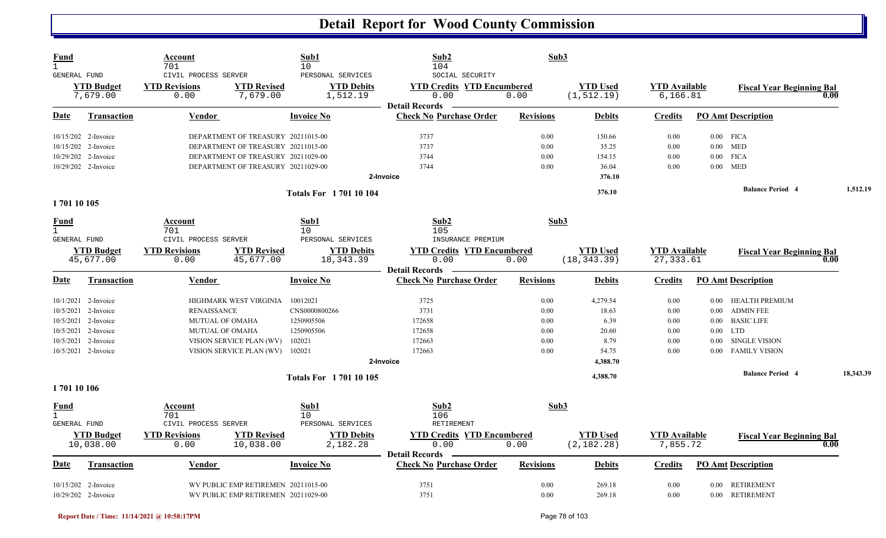| Fund<br>$\mathbf{1}$<br>GENERAL FUND | Account<br>701<br>CIVIL PROCESS SERVER |                                     | Sub1<br>10<br>PERSONAL SERVICES | Sub2<br>104<br>SOCIAL SECURITY                                     | Sub3             |                                |                                   |          |                                  |      |           |
|--------------------------------------|----------------------------------------|-------------------------------------|---------------------------------|--------------------------------------------------------------------|------------------|--------------------------------|-----------------------------------|----------|----------------------------------|------|-----------|
| <b>YTD Budget</b><br>7,679.00        | <b>YTD Revisions</b><br>0.00           | <b>YTD Revised</b><br>7,679.00      | <b>YTD Debits</b><br>1,512.19   | <b>YTD Credits YTD Encumbered</b><br>0.00<br><b>Detail Records</b> | 0.00             | <b>YTD Used</b><br>(1, 512.19) | <b>YTD Available</b><br>6, 166.81 |          | <b>Fiscal Year Beginning Bal</b> | 0.00 |           |
| Date<br><b>Transaction</b>           | Vendor                                 |                                     | <b>Invoice No</b>               | <b>Check No Purchase Order</b>                                     | <b>Revisions</b> | <b>Debits</b>                  | <b>Credits</b>                    |          | <b>PO Amt Description</b>        |      |           |
| 10/15/202 2-Invoice                  |                                        | DEPARTMENT OF TREASURY 20211015-00  |                                 | 3737                                                               | 0.00             | 150.66                         | 0.00                              |          | $0.00$ FICA                      |      |           |
| 10/15/202 2-Invoice                  |                                        | DEPARTMENT OF TREASURY 20211015-00  |                                 | 3737                                                               | 0.00             | 35.25                          | 0.00                              |          | $0.00$ MED                       |      |           |
| 10/29/202 2-Invoice                  |                                        | DEPARTMENT OF TREASURY 20211029-00  |                                 | 3744                                                               | 0.00             | 154.15                         | 0.00                              |          | $0.00$ FICA                      |      |           |
| 10/29/202 2-Invoice                  |                                        | DEPARTMENT OF TREASURY 20211029-00  |                                 | 3744                                                               | 0.00             | 36.04                          | 0.00                              |          | $0.00$ MED                       |      |           |
|                                      |                                        |                                     |                                 | 2-Invoice                                                          |                  | 376.10                         |                                   |          |                                  |      |           |
|                                      |                                        |                                     | <b>Totals For 170110104</b>     |                                                                    |                  | 376.10                         |                                   |          | <b>Balance Period 4</b>          |      | 1,512.19  |
| 170110105                            |                                        |                                     |                                 |                                                                    |                  |                                |                                   |          |                                  |      |           |
| <u>Fund</u><br>$\mathbf{1}$          | Account<br>701                         |                                     | Sub1<br>10                      | Sub <sub>2</sub><br>105                                            | Sub3             |                                |                                   |          |                                  |      |           |
| <b>GENERAL FUND</b>                  | CIVIL PROCESS SERVER                   |                                     | PERSONAL SERVICES               | INSURANCE PREMIUM                                                  |                  |                                |                                   |          |                                  |      |           |
| <b>YTD Budget</b>                    | <b>YTD Revisions</b>                   | <b>YTD Revised</b>                  | <b>YTD Debits</b>               | <b>YTD Credits YTD Encumbered</b>                                  |                  | <b>YTD</b> Used                | <b>YTD</b> Available              |          | <b>Fiscal Year Beginning Bal</b> |      |           |
| 45,677.00                            | 0.00                                   | 45,677.00                           | 18,343.39                       | 0.00                                                               | 0.00             | (18, 343.39)                   | 27, 333.61                        |          |                                  | 0.00 |           |
|                                      |                                        |                                     |                                 | <b>Detail Records</b>                                              |                  |                                |                                   |          |                                  |      |           |
| Date<br><b>Transaction</b>           | <b>Vendor</b>                          |                                     | <b>Invoice No</b>               | <b>Check No Purchase Order</b>                                     | <b>Revisions</b> | <b>Debits</b>                  | <b>Credits</b>                    |          | <b>PO Amt Description</b>        |      |           |
| 10/1/2021 2-Invoice                  |                                        | HIGHMARK WEST VIRGINIA              | 10012021                        | 3725                                                               | 0.00             | 4,279.54                       | 0.00                              |          | 0.00 HEALTH PREMIUM              |      |           |
| 10/5/2021 2-Invoice                  | <b>RENAISSANCE</b>                     |                                     | CNS0000800266                   | 3731                                                               | 0.00             | 18.63                          | 0.00                              |          | 0.00 ADMIN FEE                   |      |           |
| 10/5/2021 2-Invoice                  |                                        | <b>MUTUAL OF OMAHA</b>              | 1250905506                      | 172658                                                             | 0.00             | 6.39                           | 0.00                              |          | 0.00 BASIC LIFE                  |      |           |
| 10/5/2021 2-Invoice                  |                                        | <b>MUTUAL OF OMAHA</b>              | 1250905506                      | 172658                                                             | 0.00             | 20.60                          | 0.00                              |          | $0.00$ LTD                       |      |           |
| 10/5/2021 2-Invoice                  |                                        | VISION SERVICE PLAN (WV)            | 102021                          | 172663                                                             | 0.00             | 8.79                           | 0.00                              | $0.00\,$ | <b>SINGLE VISION</b>             |      |           |
| 10/5/2021 2-Invoice                  |                                        | VISION SERVICE PLAN (WV) 102021     |                                 | 172663                                                             | 0.00             | 54.75                          | 0.00                              | 0.00     | <b>FAMILY VISION</b>             |      |           |
|                                      |                                        |                                     |                                 | 2-Invoice                                                          |                  | 4,388.70                       |                                   |          |                                  |      |           |
|                                      |                                        |                                     | <b>Totals For 170110105</b>     |                                                                    |                  | 4,388.70                       |                                   |          | <b>Balance Period 4</b>          |      | 18,343.39 |
| 170110106                            |                                        |                                     |                                 |                                                                    |                  |                                |                                   |          |                                  |      |           |
| Fund                                 | Account                                |                                     | Sub1                            | Sub2                                                               | Sub3             |                                |                                   |          |                                  |      |           |
| $\mathbf{1}$                         | 701                                    |                                     | 10                              | 106                                                                |                  |                                |                                   |          |                                  |      |           |
| GENERAL FUND                         | CIVIL PROCESS SERVER                   |                                     | PERSONAL SERVICES               | RETIREMENT                                                         |                  |                                |                                   |          |                                  |      |           |
| <b>YTD Budget</b>                    | <b>YTD Revisions</b>                   | <b>YTD Revised</b>                  | <b>YTD Debits</b>               | <b>YTD Credits YTD Encumbered</b>                                  |                  | <b>YTD</b> Used                | <b>YTD Available</b>              |          | <b>Fiscal Year Beginning Bal</b> |      |           |
| 10,038.00                            | 0.00                                   | 10,038.00                           | 2,182.28                        | 0.00                                                               | 0.00             | (2, 182.28)                    | 7,855.72                          |          |                                  | 0.00 |           |
| Date<br>Transaction                  | <b>Vendor</b>                          |                                     | <b>Invoice No</b>               | <b>Detail Records</b><br><b>Check No Purchase Order</b>            | <b>Revisions</b> | <b>Debits</b>                  | <b>Credits</b>                    |          | <b>PO Amt Description</b>        |      |           |
| 10/15/202 2-Invoice                  |                                        | WV PUBLIC EMP RETIREMEN 20211015-00 |                                 | 3751                                                               | 0.00             | 269.18                         | 0.00                              |          | 0.00 RETIREMENT                  |      |           |
| 10/29/202 2-Invoice                  |                                        | WV PUBLIC EMP RETIREMEN 20211029-00 |                                 | 3751                                                               | 0.00             | 269.18                         | 0.00                              |          | 0.00 RETIREMENT                  |      |           |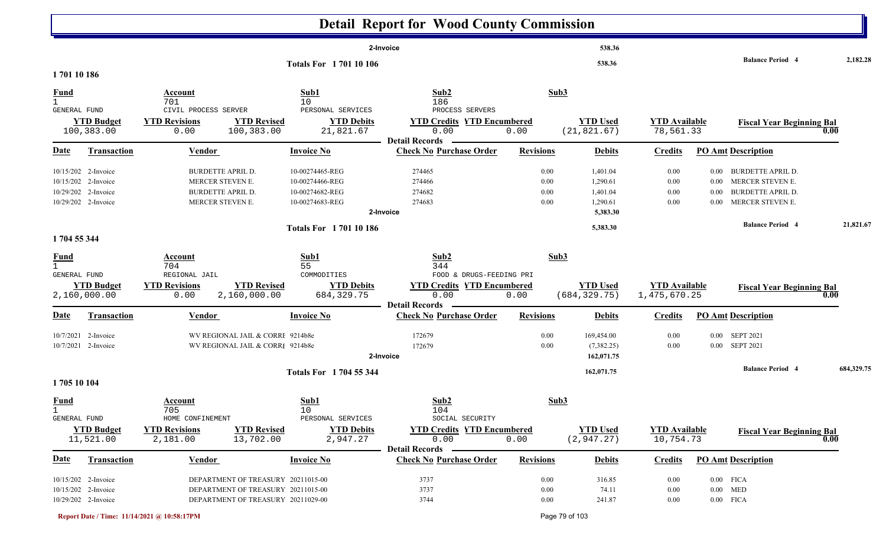|                              |                                |                                                     |                                    |                                              | <b>Detail Report for Wood County Commission</b>             |                  |                                |                                   |          |                                          |            |
|------------------------------|--------------------------------|-----------------------------------------------------|------------------------------------|----------------------------------------------|-------------------------------------------------------------|------------------|--------------------------------|-----------------------------------|----------|------------------------------------------|------------|
|                              |                                |                                                     |                                    |                                              | 2-Invoice                                                   |                  | 538.36                         |                                   |          |                                          |            |
| 170110186                    |                                |                                                     |                                    | <b>Totals For 170110106</b>                  |                                                             |                  | 538.36                         |                                   |          | <b>Balance Period 4</b>                  | 2,182.28   |
| <b>Fund</b>                  |                                | Account                                             |                                    | Sub1                                         | Sub2                                                        | Sub3             |                                |                                   |          |                                          |            |
| $\mathbf{1}$<br>GENERAL FUND | <b>YTD Budget</b>              | 701<br>CIVIL PROCESS SERVER<br><b>YTD Revisions</b> | <b>YTD Revised</b>                 | 10<br>PERSONAL SERVICES<br><b>YTD Debits</b> | 186<br>PROCESS SERVERS<br><b>YTD Credits YTD Encumbered</b> |                  | <b>YTD Used</b>                | <b>YTD Available</b>              |          | <b>Fiscal Year Beginning Bal</b>         |            |
|                              | 100,383.00                     | 0.00                                                | 100,383.00                         | 21,821.67                                    | 0.00<br><b>Detail Records</b>                               | 0.00             | (21, 821.67)                   | 78,561.33                         |          | 0.00                                     |            |
| Date                         | <b>Transaction</b>             | <b>Vendor</b>                                       |                                    | <b>Invoice No</b>                            | <b>Check No Purchase Order</b>                              | <b>Revisions</b> | <b>Debits</b>                  | <b>Credits</b>                    |          | <b>PO Amt Description</b>                |            |
|                              | 10/15/202 2-Invoice            | <b>BURDETTE APRIL D.</b>                            |                                    | 10-00274465-REG                              | 274465                                                      | 0.00             | 1,401.04                       | 0.00                              |          | 0.00 BURDETTE APRIL D.                   |            |
|                              | 10/15/202 2-Invoice            | MERCER STEVEN E.                                    |                                    | 10-00274466-REG                              | 274466                                                      | $0.00\,$         | 1,290.61                       | $0.00\,$                          | $0.00\,$ | MERCER STEVEN E.                         |            |
|                              | 10/29/202 2-Invoice            | <b>BURDETTE APRIL D.</b>                            |                                    | 10-00274682-REG                              | 274682                                                      | $0.00\,$         | 1,401.04                       | $0.00\,$                          | $0.00\,$ | <b>BURDETTE APRIL D.</b>                 |            |
|                              | 10/29/202 2-Invoice            | MERCER STEVEN E.                                    |                                    | 10-00274683-REG                              | 274683                                                      | 0.00             | 1,290.61                       | $0.00\,$                          | $0.00\,$ | MERCER STEVEN E.                         |            |
|                              |                                |                                                     |                                    |                                              | 2-Invoice                                                   |                  | 5,383.30                       |                                   |          |                                          |            |
|                              |                                |                                                     |                                    | <b>Totals For 170110186</b>                  |                                                             |                  | 5,383.30                       |                                   |          | <b>Balance Period 4</b>                  | 21,821.67  |
| 1704 55 344                  |                                |                                                     |                                    |                                              |                                                             |                  |                                |                                   |          |                                          |            |
| <u>Fund</u>                  |                                | Account                                             |                                    | Sub1                                         | Sub2                                                        | Sub3             |                                |                                   |          |                                          |            |
| $\mathbf{1}$<br>GENERAL FUND |                                | 704<br>REGIONAL JAIL                                |                                    | 55<br>COMMODITIES                            | 344<br>FOOD & DRUGS-FEEDING PRI                             |                  |                                |                                   |          |                                          |            |
|                              | <b>YTD Budget</b>              | <b>YTD Revisions</b>                                | <b>YTD Revised</b>                 | <b>YTD Debits</b>                            | <b>YTD Credits YTD Encumbered</b>                           |                  | <b>YTD Used</b>                | <b>YTD Available</b>              |          | <b>Fiscal Year Beginning Bal</b>         |            |
|                              | 2,160,000.00                   | 0.00                                                | 2,160,000.00                       | 684, 329.75                                  | 0.00                                                        | 0.00             | (684, 329.75)                  | 1,475,670.25                      |          | 0.00                                     |            |
|                              |                                |                                                     |                                    |                                              | <b>Detail Records</b>                                       |                  |                                |                                   |          |                                          |            |
| Date                         | <b>Transaction</b>             | <b>Vendor</b>                                       |                                    | <b>Invoice No</b>                            | <b>Check No Purchase Order</b>                              | <b>Revisions</b> | <b>Debits</b>                  | <b>Credits</b>                    |          | <b>PO Amt Description</b>                |            |
|                              | 10/7/2021 2-Invoice            |                                                     | WV REGIONAL JAIL & CORRI 9214b8e   |                                              | 172679                                                      | $0.00\,$         | 169,454.00                     | 0.00                              |          | 0.00 SEPT 2021                           |            |
|                              | 10/7/2021 2-Invoice            |                                                     | WV REGIONAL JAIL & CORRI 9214b8e   |                                              | 172679                                                      | $0.00\,$         | (7,382.25)                     | 0.00                              |          | 0.00 SEPT 2021                           |            |
|                              |                                |                                                     |                                    |                                              | 2-Invoice                                                   |                  | 162,071.75                     |                                   |          |                                          |            |
|                              |                                |                                                     |                                    | Totals For 1704 55 344                       |                                                             |                  | 162,071.75                     |                                   |          | <b>Balance Period 4</b>                  | 684,329.75 |
| 1705 10 104                  |                                |                                                     |                                    |                                              |                                                             |                  |                                |                                   |          |                                          |            |
| <b>Fund</b>                  |                                | Account                                             |                                    | Sub1                                         | Sub2                                                        | Sub3             |                                |                                   |          |                                          |            |
| $\mathbf{1}$                 |                                | 705                                                 |                                    | 10                                           | 104                                                         |                  |                                |                                   |          |                                          |            |
| GENERAL FUND                 |                                | HOME CONFINEMENT                                    |                                    | PERSONAL SERVICES                            | SOCIAL SECURITY                                             |                  |                                |                                   |          |                                          |            |
|                              | <b>YTD Budget</b><br>11,521.00 | <b>YTD Revisions</b><br>2,181.00                    | <b>YTD Revised</b><br>13,702.00    | <b>YTD Debits</b><br>2,947.27                | <b>YTD Credits YTD Encumbered</b><br>0.00                   | 0.00             | <b>YTD Used</b><br>(2, 947.27) | <b>YTD Available</b><br>10,754.73 |          | <b>Fiscal Year Beginning Bal</b><br>0.00 |            |
|                              |                                |                                                     |                                    |                                              | <b>Detail Records</b>                                       |                  |                                |                                   |          |                                          |            |
| <b>Date</b>                  | <b>Transaction</b>             | <b>Vendor</b>                                       |                                    | <b>Invoice No</b>                            | <b>Check No Purchase Order</b>                              | <b>Revisions</b> | <b>Debits</b>                  | <b>Credits</b>                    |          | <b>PO Amt Description</b>                |            |
|                              | 10/15/202 2-Invoice            |                                                     | DEPARTMENT OF TREASURY 20211015-00 |                                              | 3737                                                        | $0.00\,$         | 316.85                         | 0.00                              |          | $0.00$ FICA                              |            |
|                              | 10/15/202 2-Invoice            |                                                     | DEPARTMENT OF TREASURY 20211015-00 |                                              | 3737                                                        | $0.00\,$         | 74.11                          | $0.00\,$                          |          | $0.00$ MED                               |            |
|                              | 10/29/202 2-Invoice            |                                                     | DEPARTMENT OF TREASURY 20211029-00 |                                              | 3744                                                        | 0.00             | 241.87                         | $0.00\,$                          |          | $0.00$ FICA                              |            |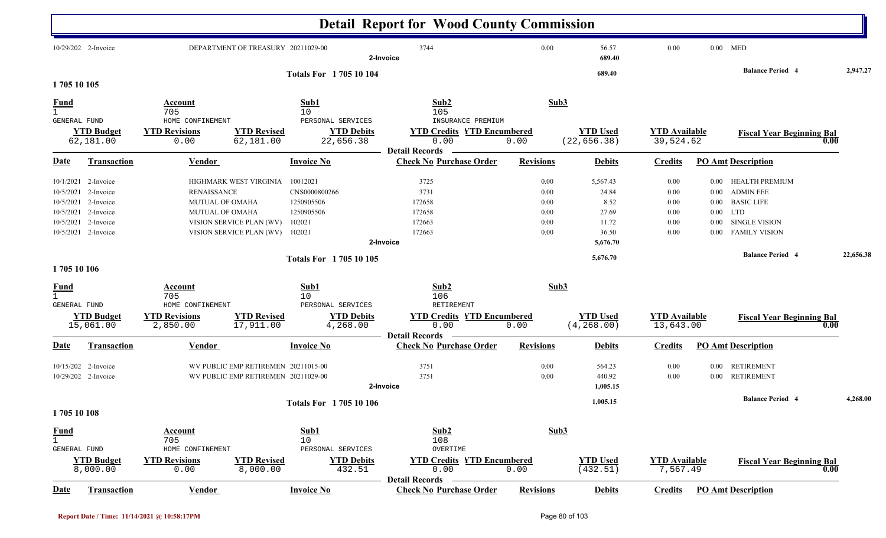|                                                            |                                                                                                                              |                                                                        |                                                                                |                                                                           | <b>Detail Report for Wood County Commission</b>                        |                                              |                                                                  |                                              |                                                      |                                                                                                                       |           |
|------------------------------------------------------------|------------------------------------------------------------------------------------------------------------------------------|------------------------------------------------------------------------|--------------------------------------------------------------------------------|---------------------------------------------------------------------------|------------------------------------------------------------------------|----------------------------------------------|------------------------------------------------------------------|----------------------------------------------|------------------------------------------------------|-----------------------------------------------------------------------------------------------------------------------|-----------|
|                                                            | 10/29/202 2-Invoice                                                                                                          |                                                                        | DEPARTMENT OF TREASURY 20211029-00                                             |                                                                           | 3744<br>2-Invoice                                                      | 0.00                                         | 56.57<br>689.40                                                  | 0.00                                         |                                                      | $0.00$ MED                                                                                                            |           |
| 1705 10 105                                                |                                                                                                                              |                                                                        |                                                                                | <b>Totals For 170510104</b>                                               |                                                                        |                                              | 689.40                                                           |                                              |                                                      | <b>Balance Period 4</b>                                                                                               | 2,947.27  |
| <b>Fund</b><br>$\mathbf{1}$<br>GENERAL FUND                |                                                                                                                              | Account<br>705<br>HOME CONFINEMENT                                     |                                                                                | Sub1<br>10<br>PERSONAL SERVICES                                           | Sub2<br>105<br>INSURANCE PREMIUM                                       |                                              | Sub3                                                             |                                              |                                                      |                                                                                                                       |           |
|                                                            | <b>YTD Budget</b><br>62,181.00                                                                                               | <b>YTD Revisions</b><br>0.00                                           | <b>YTD Revised</b><br>62,181.00                                                | <b>YTD Debits</b><br>22,656.38                                            | <b>YTD Credits YTD Encumbered</b><br>0.00                              | 0.00                                         | <b>YTD Used</b><br>(22, 656.38)                                  | <b>YTD Available</b><br>39,524.62            |                                                      | <b>Fiscal Year Beginning Bal</b>                                                                                      | 0.00      |
| Date                                                       | <b>Transaction</b>                                                                                                           | <u>Vendor</u>                                                          |                                                                                | <b>Invoice No</b>                                                         | <b>Detail Records</b><br><b>Check No Purchase Order</b>                | <b>Revisions</b>                             | <b>Debits</b>                                                    | <b>Credits</b>                               |                                                      | <b>PO Amt Description</b>                                                                                             |           |
| 10/5/2021                                                  | 10/1/2021 2-Invoice<br>10/5/2021 2-Invoice<br>10/5/2021 2-Invoice<br>10/5/2021 2-Invoice<br>2-Invoice<br>10/5/2021 2-Invoice | <b>RENAISSANCE</b><br><b>MUTUAL OF OMAHA</b><br><b>MUTUAL OF OMAHA</b> | HIGHMARK WEST VIRGINIA<br>VISION SERVICE PLAN (WV)<br>VISION SERVICE PLAN (WV) | 10012021<br>CNS0000800266<br>1250905506<br>1250905506<br>102021<br>102021 | 3725<br>3731<br>172658<br>172658<br>172663<br>172663<br>2-Invoice      | 0.00<br>0.00<br>0.00<br>0.00<br>0.00<br>0.00 | 5,567.43<br>24.84<br>8.52<br>27.69<br>11.72<br>36.50<br>5,676.70 | 0.00<br>0.00<br>0.00<br>0.00<br>0.00<br>0.00 | $0.00\,$<br>$0.00\,$<br>$0.00\,$<br>$0.00\,$<br>0.00 | HEALTH PREMIUM<br><b>ADMIN FEE</b><br><b>BASIC LIFE</b><br>$0.00$ LTD<br><b>SINGLE VISION</b><br><b>FAMILY VISION</b> |           |
|                                                            |                                                                                                                              |                                                                        |                                                                                | Totals For 1705 10 105                                                    |                                                                        |                                              | 5,676.70                                                         |                                              |                                                      | <b>Balance Period 4</b>                                                                                               | 22,656.38 |
| 1705 10 106<br><b>Fund</b><br>$\mathbf{1}$<br>GENERAL FUND | <b>YTD Budget</b><br>15,061.00                                                                                               | Account<br>705<br>HOME CONFINEMENT<br><b>YTD Revisions</b><br>2,850.00 | <b>YTD Revised</b><br>17,911.00                                                | Sub1<br>10<br>PERSONAL SERVICES<br><b>YTD Debits</b><br>4,268.00          | Sub2<br>106<br>RETIREMENT<br><b>YTD Credits YTD Encumbered</b><br>0.00 | 0.00                                         | Sub3<br><b>YTD Used</b><br>(4, 268.00)                           | <b>YTD Available</b><br>13,643.00            |                                                      | <b>Fiscal Year Beginning Bal</b>                                                                                      | 0.00      |
| <b>Date</b>                                                | <b>Transaction</b>                                                                                                           | <b>Vendor</b>                                                          |                                                                                | <b>Invoice No</b>                                                         | <b>Detail Records</b><br><b>Check No Purchase Order</b>                | <b>Revisions</b>                             | <b>Debits</b>                                                    | <b>Credits</b>                               |                                                      | <b>PO Amt Description</b>                                                                                             |           |
|                                                            | 10/15/202 2-Invoice<br>10/29/202 2-Invoice                                                                                   |                                                                        | WV PUBLIC EMP RETIREMEN 20211015-00<br>WV PUBLIC EMP RETIREMEN 20211029-00     |                                                                           | 3751<br>3751<br>2-Invoice                                              | 0.00<br>0.00                                 | 564.23<br>440.92<br>1,005.15                                     | 0.00<br>0.00                                 | $0.00\,$                                             | <b>RETIREMENT</b><br>0.00 RETIREMENT                                                                                  |           |
| 1705 10 108                                                |                                                                                                                              |                                                                        |                                                                                | <b>Totals For 170510106</b>                                               |                                                                        |                                              | 1,005.15                                                         |                                              |                                                      | <b>Balance Period 4</b>                                                                                               | 4,268.00  |
| <b>Fund</b><br>$\mathbf{1}$<br>GENERAL FUND                |                                                                                                                              | <b>Account</b><br>705<br>HOME CONFINEMENT                              |                                                                                | Sub1<br>10<br>PERSONAL SERVICES                                           | Sub2<br>108<br>OVERTIME                                                |                                              | Sub3                                                             |                                              |                                                      |                                                                                                                       |           |
|                                                            | <b>YTD Budget</b><br>8,000.00                                                                                                | <b>YTD Revisions</b><br>0.00                                           | <b>YTD Revised</b><br>8,000.00                                                 | <b>YTD Debits</b><br>432.51                                               | <b>YTD Credits YTD Encumbered</b><br>0.00<br><b>Detail Records</b>     | 0.00                                         | <b>YTD Used</b><br>(432.51)                                      | <b>YTD Available</b><br>7,567.49             |                                                      | <b>Fiscal Year Beginning Bal</b>                                                                                      | 0.00      |
| <u>Date</u>                                                | Transaction                                                                                                                  | <b>Vendor</b>                                                          |                                                                                | <b>Invoice No</b>                                                         | <b>Check No Purchase Order</b>                                         | <b>Revisions</b>                             | <b>Debits</b>                                                    | <b>Credits</b>                               |                                                      | <b>PO_Amt</b> Description                                                                                             |           |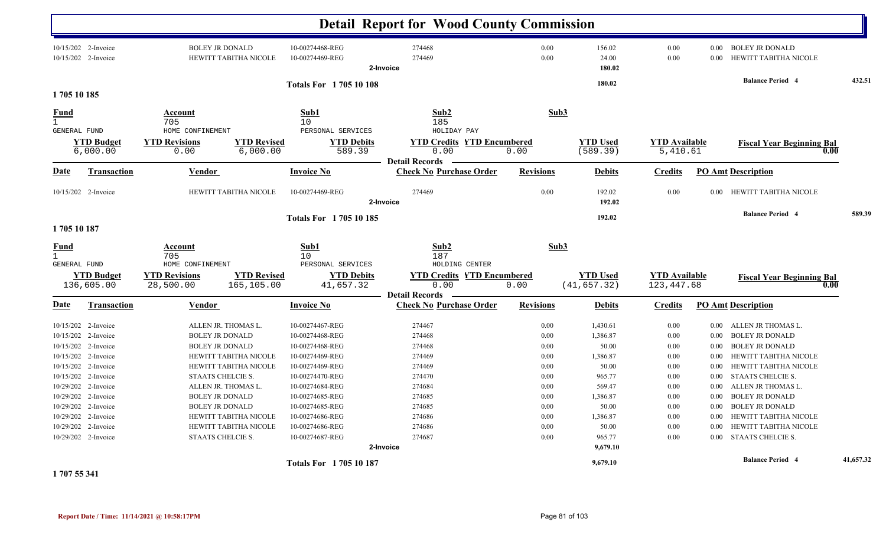|                             |                                            |                                                                                    |                                                  | <b>Detail Report for Wood County Commission</b>          |                  |                             |                                  |              |                                                 |           |
|-----------------------------|--------------------------------------------|------------------------------------------------------------------------------------|--------------------------------------------------|----------------------------------------------------------|------------------|-----------------------------|----------------------------------|--------------|-------------------------------------------------|-----------|
|                             | 10/15/202 2-Invoice<br>10/15/202 2-Invoice | <b>BOLEY JR DONALD</b><br>HEWITT TABITHA NICOLE                                    | 10-00274468-REG<br>10-00274469-REG               | 274468<br>274469<br>2-Invoice                            | 0.00<br>0.00     | 156.02<br>24.00<br>180.02   | 0.00<br>0.00                     | 0.00<br>0.00 | <b>BOLEY JR DONALD</b><br>HEWITT TABITHA NICOLE |           |
| 1705 10 185                 |                                            |                                                                                    | <b>Totals For 170510108</b>                      |                                                          |                  | 180.02                      |                                  |              | <b>Balance Period 4</b>                         | 432.51    |
| <b>Fund</b>                 |                                            | Account                                                                            | Sub1                                             | Sub2                                                     |                  | Sub3                        |                                  |              |                                                 |           |
| $\mathbf{1}$                |                                            | 705                                                                                | 10                                               | 185                                                      |                  |                             |                                  |              |                                                 |           |
| <b>GENERAL FUND</b>         | <b>YTD Budget</b><br>6,000.00              | HOME CONFINEMENT<br><b>YTD Revisions</b><br><b>YTD Revised</b><br>0.00<br>6,000.00 | PERSONAL SERVICES<br><b>YTD Debits</b><br>589.39 | HOLIDAY PAY<br><b>YTD Credits YTD Encumbered</b><br>0.00 | 0.00             | <b>YTD Used</b><br>(589.39) | <b>YTD</b> Available<br>5,410.61 |              | <b>Fiscal Year Beginning Bal</b><br>0.00        |           |
| Date                        | <b>Transaction</b>                         | <b>Vendor</b>                                                                      | <b>Invoice No</b>                                | <b>Detail Records</b><br><b>Check No Purchase Order</b>  | <b>Revisions</b> | <b>Debits</b>               | <b>Credits</b>                   |              | <b>PO Amt Description</b>                       |           |
|                             | 10/15/202 2-Invoice                        | HEWITT TABITHA NICOLE                                                              | 10-00274469-REG                                  | 274469<br>2-Invoice                                      | 0.00             | 192.02<br>192.02            | 0.00                             | 0.00         | HEWITT TABITHA NICOLE                           |           |
|                             |                                            |                                                                                    | <b>Totals For 170510185</b>                      |                                                          |                  | 192.02                      |                                  |              | <b>Balance Period 4</b>                         | 589.39    |
| 1705 10 187                 |                                            |                                                                                    |                                                  |                                                          |                  |                             |                                  |              |                                                 |           |
| <u>Fund</u><br>$\mathbf{1}$ |                                            | Account<br>705                                                                     | Sub1<br>10                                       | Sub2<br>187                                              |                  | Sub3                        |                                  |              |                                                 |           |
| <b>GENERAL FUND</b>         | <b>YTD Budget</b>                          | HOME CONFINEMENT<br><b>YTD Revised</b><br><b>YTD Revisions</b>                     | PERSONAL SERVICES<br><b>YTD Debits</b>           | HOLDING CENTER<br><b>YTD Credits YTD Encumbered</b>      |                  | <b>YTD Used</b>             | <b>YTD</b> Available             |              | <b>Fiscal Year Beginning Bal</b>                |           |
|                             | 136,605.00                                 | 28,500.00<br>165,105.00                                                            | 41,657.32                                        | 0.00                                                     | 0.00             | (41, 657.32)                | 123, 447.68                      |              | 0.00                                            |           |
| Date                        | <b>Transaction</b>                         | <b>Vendor</b>                                                                      | <b>Invoice No</b>                                | <b>Detail Records</b><br><b>Check No Purchase Order</b>  | <b>Revisions</b> | <b>Debits</b>               | <b>Credits</b>                   |              | <b>PO Amt Description</b>                       |           |
|                             | 10/15/202 2-Invoice                        | ALLEN JR. THOMAS L.                                                                | 10-00274467-REG                                  | 274467                                                   | 0.00             | 1,430.61                    | 0.00                             | $0.00\,$     | ALLEN JR THOMAS L.                              |           |
|                             | 10/15/202 2-Invoice                        | <b>BOLEY JR DONALD</b>                                                             | 10-00274468-REG                                  | 274468                                                   | 0.00             | 1,386.87                    | 0.00                             | 0.00         | <b>BOLEY JR DONALD</b>                          |           |
|                             | 10/15/202 2-Invoice                        | <b>BOLEY JR DONALD</b>                                                             | 10-00274468-REG                                  | 274468                                                   | 0.00             | 50.00                       | 0.00                             | 0.00         | <b>BOLEY JR DONALD</b>                          |           |
|                             | 10/15/202 2-Invoice                        | <b>HEWITT TABITHA NICOLE</b>                                                       | 10-00274469-REG                                  | 274469                                                   | 0.00             | 1,386.87                    | 0.00                             | 0.00         | HEWITT TABITHA NICOLE                           |           |
|                             | 10/15/202 2-Invoice                        | HEWITT TABITHA NICOLE                                                              | 10-00274469-REG                                  | 274469                                                   | 0.00             | 50.00                       | 0.00                             | 0.00         | HEWITT TABITHA NICOLE                           |           |
|                             | 10/15/202 2-Invoice                        | STAATS CHELCIE S.                                                                  | 10-00274470-REG                                  | 274470                                                   | 0.00             | 965.77                      | 0.00                             | 0.00         | STAATS CHELCIE S.                               |           |
|                             | 10/29/202 2-Invoice                        | ALLEN JR. THOMAS L.                                                                | 10-00274684-REG                                  | 274684                                                   | 0.00             | 569.47                      | 0.00                             | 0.00         | ALLEN JR THOMAS L.                              |           |
|                             | 10/29/202 2-Invoice                        | <b>BOLEY JR DONALD</b>                                                             | 10-00274685-REG                                  | 274685                                                   | 0.00             | 1,386.87                    | 0.00                             | 0.00         | <b>BOLEY JR DONALD</b>                          |           |
|                             | 10/29/202 2-Invoice                        | <b>BOLEY JR DONALD</b>                                                             | 10-00274685-REG                                  | 274685                                                   | 0.00             | 50.00                       | 0.00                             | 0.00         | <b>BOLEY JR DONALD</b>                          |           |
|                             | 10/29/202 2-Invoice                        | <b>HEWITT TABITHA NICOLE</b>                                                       | 10-00274686-REG                                  | 274686                                                   | 0.00             | 1,386.87                    | 0.00                             | 0.00         | HEWITT TABITHA NICOLE                           |           |
|                             | 10/29/202 2-Invoice                        | HEWITT TABITHA NICOLE                                                              | 10-00274686-REG                                  | 274686                                                   | 0.00             | 50.00                       | 0.00                             | 0.00         | HEWITT TABITHA NICOLE                           |           |
|                             | 10/29/202 2-Invoice                        | STAATS CHELCIE S.                                                                  | 10-00274687-REG                                  | 274687                                                   | 0.00             | 965.77                      | 0.00                             | $0.00\,$     | <b>STAATS CHELCIE S.</b>                        |           |
|                             |                                            |                                                                                    |                                                  | 2-Invoice                                                |                  | 9,679.10                    |                                  |              |                                                 |           |
|                             |                                            |                                                                                    | <b>Totals For 170510187</b>                      |                                                          |                  | 9,679.10                    |                                  |              | <b>Balance Period 4</b>                         | 41,657.32 |

**1 707 55 341**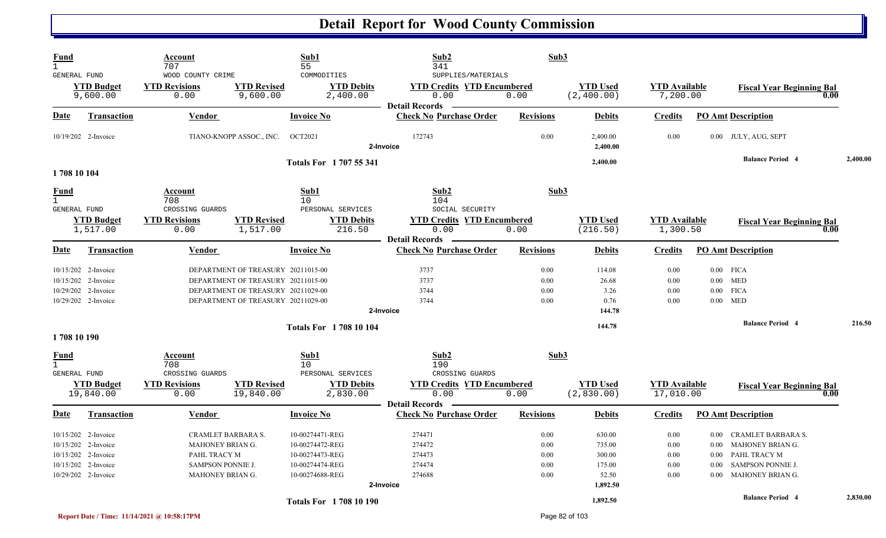| <b>Fund</b><br>$\mathbf{1}$                                                                                     | Account<br>707                                                                                  |                                                                                                                                                      | Sub1<br>55                                                                                  | Sub2<br>341                                                        | Sub3                                     |                                                           |                                                  |          |                                                                                                                          |          |
|-----------------------------------------------------------------------------------------------------------------|-------------------------------------------------------------------------------------------------|------------------------------------------------------------------------------------------------------------------------------------------------------|---------------------------------------------------------------------------------------------|--------------------------------------------------------------------|------------------------------------------|-----------------------------------------------------------|--------------------------------------------------|----------|--------------------------------------------------------------------------------------------------------------------------|----------|
| <b>GENERAL FUND</b><br><b>YTD Budget</b><br>9,600.00                                                            | WOOD COUNTY CRIME<br><b>YTD Revisions</b><br>0.00                                               | <b>YTD Revised</b><br>9,600.00                                                                                                                       | COMMODITIES<br><b>YTD Debits</b><br>2,400.00                                                | SUPPLIES/MATERIALS<br><b>YTD Credits YTD Encumbered</b><br>0.00    | 0.00                                     | <b>YTD</b> Used<br>(2, 400.00)                            | <b>YTD</b> Available<br>7,200.00                 |          | <b>Fiscal Year Beginning Bal</b><br>0.00                                                                                 |          |
| Date<br><b>Transaction</b>                                                                                      | <b>Vendor</b>                                                                                   |                                                                                                                                                      | <b>Invoice No</b>                                                                           | <b>Detail Records</b><br><b>Check No Purchase Order</b>            | <b>Revisions</b>                         | <b>Debits</b>                                             | <b>Credits</b>                                   |          | <b>PO Amt Description</b>                                                                                                |          |
| 10/19/202 2-Invoice                                                                                             |                                                                                                 | TIANO-KNOPP ASSOC., INC.                                                                                                                             | <b>OCT2021</b>                                                                              | 172743<br>2-Invoice                                                | 0.00                                     | 2,400.00<br>2,400.00                                      | 0.00                                             |          | 0.00 JULY, AUG, SEPT                                                                                                     |          |
| 1708 10 104                                                                                                     |                                                                                                 |                                                                                                                                                      | Totals For 1707 55 341                                                                      |                                                                    |                                          | 2,400.00                                                  |                                                  |          | <b>Balance Period 4</b>                                                                                                  | 2,400.00 |
| <b>Fund</b><br>$\mathbf{1}$<br>GENERAL FUND                                                                     | Account<br>708<br>CROSSING GUARDS                                                               |                                                                                                                                                      | Sub1<br>10<br>PERSONAL SERVICES                                                             | Sub2<br>104<br>SOCIAL SECURITY                                     | Sub3                                     |                                                           |                                                  |          |                                                                                                                          |          |
| <b>YTD Budget</b><br>1,517.00                                                                                   | <b>YTD Revisions</b><br>0.00                                                                    | <b>YTD Revised</b><br>1,517.00                                                                                                                       | <b>YTD Debits</b><br>216.50                                                                 | <b>YTD Credits YTD Encumbered</b><br>0.00<br><b>Detail Records</b> | 0.00                                     | <b>YTD Used</b><br>(216.50)                               | <b>YTD</b> Available<br>1,300.50                 |          | <b>Fiscal Year Beginning Bal</b><br>0.00                                                                                 |          |
| Date<br><b>Transaction</b>                                                                                      | Vendor                                                                                          |                                                                                                                                                      | <b>Invoice No</b>                                                                           | <b>Check No Purchase Order</b>                                     | <b>Revisions</b>                         | <b>Debits</b>                                             | <b>Credits</b>                                   |          | <b>PO Amt Description</b>                                                                                                |          |
| 10/15/202 2-Invoice<br>10/15/202 2-Invoice<br>10/29/202 2-Invoice<br>10/29/202 2-Invoice                        |                                                                                                 | DEPARTMENT OF TREASURY 20211015-00<br>DEPARTMENT OF TREASURY 20211015-00<br>DEPARTMENT OF TREASURY 20211029-00<br>DEPARTMENT OF TREASURY 20211029-00 |                                                                                             | 3737<br>3737<br>3744<br>3744                                       | 0.00<br>0.00<br>0.00<br>0.00             | 114.08<br>26.68<br>3.26<br>0.76                           | 0.00<br>0.00<br>0.00<br>0.00                     | $0.00\,$ | $0.00$ FICA<br>$0.00$ MED<br><b>FICA</b><br>$0.00$ MED                                                                   |          |
| 1708 10 190                                                                                                     |                                                                                                 |                                                                                                                                                      | <b>Totals For 1708 10 104</b>                                                               | 2-Invoice                                                          |                                          | 144.78<br>144.78                                          |                                                  |          | <b>Balance Period 4</b>                                                                                                  | 216.50   |
| $\frac{Fund}{1}$<br><b>GENERAL FUND</b>                                                                         | Account<br>708<br>CROSSING GUARDS                                                               |                                                                                                                                                      | Sub1<br>10<br>PERSONAL SERVICES                                                             | Sub2<br>190<br>CROSSING GUARDS                                     | Sub3                                     |                                                           |                                                  |          |                                                                                                                          |          |
| <b>YTD Budget</b><br>19,840.00                                                                                  | <b>YTD Revisions</b><br>0.00                                                                    | <b>YTD Revised</b><br>19,840.00                                                                                                                      | <b>YTD Debits</b><br>2,830.00                                                               | <b>YTD Credits YTD Encumbered</b><br>0.00<br><b>Detail Records</b> | 0.00                                     | <b>YTD Used</b><br>(2,830.00)                             | <b>YTD Available</b><br>17,010.00                |          | <b>Fiscal Year Beginning Bal</b><br>$\bf{0.00}$                                                                          |          |
| <u>Date</u><br><b>Transaction</b>                                                                               | <b>Vendor</b>                                                                                   |                                                                                                                                                      | <b>Invoice No</b>                                                                           | <b>Check No Purchase Order</b>                                     | <b>Revisions</b>                         | <b>Debits</b>                                             | <b>Credits</b>                                   |          | <b>PO Amt Description</b>                                                                                                |          |
| 10/15/202 2-Invoice<br>10/15/202 2-Invoice<br>10/15/202 2-Invoice<br>10/15/202 2-Invoice<br>10/29/202 2-Invoice | CRAMLET BARBARA S.<br>MAHONEY BRIAN G.<br>PAHL TRACY M<br>SAMPSON PONNIE J.<br>MAHONEY BRIAN G. |                                                                                                                                                      | 10-00274471-REG<br>10-00274472-REG<br>10-00274473-REG<br>10-00274474-REG<br>10-00274688-REG | 274471<br>274472<br>274473<br>274474<br>274688<br>2-Invoice        | 0.00<br>0.00<br>0.00<br>0.00<br>$0.00\,$ | 630.00<br>735.00<br>300.00<br>175.00<br>52.50<br>1,892.50 | 0.00<br>0.00<br>$0.00\,$<br>$0.00\,$<br>$0.00\,$ |          | 0.00 CRAMLET BARBARA S.<br>0.00 MAHONEY BRIAN G.<br>0.00 PAHL TRACY M<br>0.00 SAMPSON PONNIE J.<br>0.00 MAHONEY BRIAN G. |          |
|                                                                                                                 |                                                                                                 |                                                                                                                                                      | <b>Totals For 1708 10 190</b>                                                               |                                                                    |                                          | 1,892.50                                                  |                                                  |          | <b>Balance Period 4</b>                                                                                                  | 2,830.00 |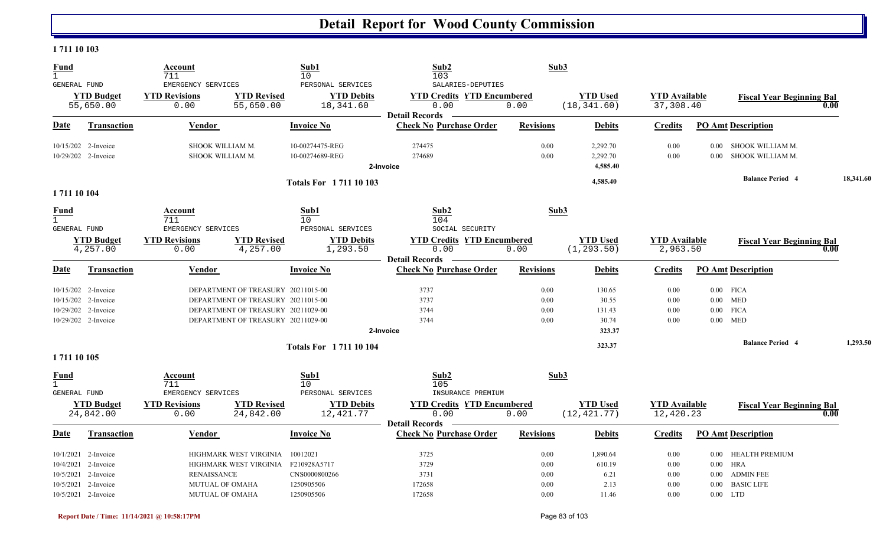#### **1 711 10 103**

| <b>Fund</b><br>$\mathbf{1}$                          |                                                                                                       | Account<br>711                                                         |                                                                                                                                                      | Sub1<br>10                                                            | Sub2<br>103                                                                             | Sub3                                     |                                              |                                      |                                                        |                                                              |           |
|------------------------------------------------------|-------------------------------------------------------------------------------------------------------|------------------------------------------------------------------------|------------------------------------------------------------------------------------------------------------------------------------------------------|-----------------------------------------------------------------------|-----------------------------------------------------------------------------------------|------------------------------------------|----------------------------------------------|--------------------------------------|--------------------------------------------------------|--------------------------------------------------------------|-----------|
| GENERAL FUND                                         | <b>YTD Budget</b><br>55,650.00                                                                        | EMERGENCY SERVICES<br><b>YTD Revisions</b><br>0.00                     | <b>YTD Revised</b><br>55,650.00                                                                                                                      | PERSONAL SERVICES<br><b>YTD Debits</b><br>18,341.60                   | SALARIES-DEPUTIES<br><b>YTD Credits YTD Encumbered</b><br>0.00<br><b>Detail Records</b> | 0.00                                     | <b>YTD Used</b><br>(18, 341.60)              | <b>YTD Available</b><br>37,308.40    |                                                        | <b>Fiscal Year Beginning Bal</b>                             | 0.00      |
| <b>Date</b>                                          | <b>Transaction</b>                                                                                    | Vendor                                                                 |                                                                                                                                                      | <b>Invoice No</b>                                                     | <b>Check No Purchase Order</b>                                                          | <b>Revisions</b>                         | <b>Debits</b>                                | <b>Credits</b>                       |                                                        | <b>PO</b> Amt Description                                    |           |
|                                                      | 10/15/202 2-Invoice<br>10/29/202 2-Invoice                                                            | SHOOK WILLIAM M.<br>SHOOK WILLIAM M.                                   |                                                                                                                                                      | 10-00274475-REG<br>10-00274689-REG                                    | 274475<br>274689<br>2-Invoice                                                           | 0.00<br>0.00                             | 2,292.70<br>2,292.70<br>4,585.40             | 0.00<br>0.00                         | 0.00                                                   | 0.00 SHOOK WILLIAM M.<br>SHOOK WILLIAM M.                    |           |
| 1711 10 104                                          |                                                                                                       |                                                                        |                                                                                                                                                      | <b>Totals For 171110103</b>                                           |                                                                                         |                                          | 4,585.40                                     |                                      |                                                        | <b>Balance Period 4</b>                                      | 18,341.60 |
| <b>Fund</b><br>$\mathbf{1}$<br><b>GENERAL FUND</b>   |                                                                                                       | Account<br>711<br>EMERGENCY SERVICES                                   |                                                                                                                                                      | Sub1<br>10<br>PERSONAL SERVICES                                       | Sub2<br>104<br>SOCIAL SECURITY                                                          | Sub3                                     |                                              |                                      |                                                        |                                                              |           |
|                                                      | <b>YTD Budget</b><br>4,257.00                                                                         | <b>YTD Revisions</b><br>0.00                                           | <b>YTD Revised</b><br>4,257.00                                                                                                                       | <b>YTD Debits</b><br>1,293.50                                         | <b>YTD Credits YTD Encumbered</b><br>0.00<br><b>Detail Records</b>                      | 0.00                                     | <b>YTD Used</b><br>(1, 293.50)               | <b>YTD Available</b><br>2,963.50     |                                                        | <b>Fiscal Year Beginning Bal</b>                             | 0.00      |
| Date                                                 | <b>Transaction</b>                                                                                    | Vendor                                                                 |                                                                                                                                                      | <b>Invoice No</b>                                                     | <b>Check No Purchase Order</b>                                                          | <b>Revisions</b>                         | <b>Debits</b>                                | <b>Credits</b>                       |                                                        | <b>PO Amt Description</b>                                    |           |
|                                                      | 10/15/202 2-Invoice<br>10/15/202 2-Invoice<br>10/29/202 2-Invoice<br>10/29/202 2-Invoice              |                                                                        | DEPARTMENT OF TREASURY 20211015-00<br>DEPARTMENT OF TREASURY 20211015-00<br>DEPARTMENT OF TREASURY 20211029-00<br>DEPARTMENT OF TREASURY 20211029-00 |                                                                       | 3737<br>3737<br>3744<br>3744<br>2-Invoice                                               | 0.00<br>0.00<br>0.00<br>0.00             | 130.65<br>30.55<br>131.43<br>30.74<br>323.37 | 0.00<br>0.00<br>0.00<br>0.00         | $0.00$ FICA<br>$0.00$ MED<br>$0.00$ FICA<br>$0.00$ MED |                                                              |           |
| 1711 10 105                                          |                                                                                                       |                                                                        |                                                                                                                                                      | <b>Totals For 171110104</b>                                           |                                                                                         |                                          | 323.37                                       |                                      |                                                        | <b>Balance Period 4</b>                                      | 1,293.50  |
| <b>Fund</b><br>$\overline{1}$<br><b>GENERAL FUND</b> |                                                                                                       | Account<br>711<br>EMERGENCY SERVICES                                   |                                                                                                                                                      | Sub1<br>10<br>PERSONAL SERVICES                                       | Sub2<br>105<br>INSURANCE PREMIUM                                                        | Sub3                                     |                                              |                                      |                                                        |                                                              |           |
|                                                      | <b>YTD Budget</b><br>24,842.00                                                                        | <b>YTD Revisions</b><br>0.00                                           | <b>YTD Revised</b><br>24,842.00                                                                                                                      | <b>YTD Debits</b><br>12,421.77                                        | <b>YTD Credits YTD Encumbered</b><br>0.00<br><b>Detail Records</b>                      | 0.00                                     | <b>YTD Used</b><br>(12, 421.77)              | <b>YTD Available</b><br>12,420.23    |                                                        | <b>Fiscal Year Beginning Bal</b>                             | 0.00      |
| Date                                                 | <b>Transaction</b>                                                                                    | <b>Vendor</b>                                                          |                                                                                                                                                      | <b>Invoice No</b>                                                     | <b>Check No Purchase Order</b>                                                          | <b>Revisions</b>                         | <b>Debits</b>                                | <b>Credits</b>                       |                                                        | <b>PO Amt Description</b>                                    |           |
| 10/5/2021                                            | 10/1/2021 2-Invoice<br>10/4/2021 2-Invoice<br>10/5/2021 2-Invoice<br>2-Invoice<br>10/5/2021 2-Invoice | <b>RENAISSANCE</b><br><b>MUTUAL OF OMAHA</b><br><b>MUTUAL OF OMAHA</b> | HIGHMARK WEST VIRGINIA<br>HIGHMARK WEST VIRGINIA                                                                                                     | 10012021<br>F210928A5717<br>CNS0000800266<br>1250905506<br>1250905506 | 3725<br>3729<br>3731<br>172658<br>172658                                                | 0.00<br>0.00<br>$0.00\,$<br>0.00<br>0.00 | 1,890.64<br>610.19<br>6.21<br>2.13<br>11.46  | 0.00<br>0.00<br>0.00<br>0.00<br>0.00 | $0.00$ HRA<br>$0.00\,$<br>$0.00\,$<br>$0.00$ LTD       | 0.00 HEALTH PREMIUM<br><b>ADMIN FEE</b><br><b>BASIC LIFE</b> |           |
|                                                      |                                                                                                       |                                                                        |                                                                                                                                                      |                                                                       |                                                                                         |                                          |                                              |                                      |                                                        |                                                              |           |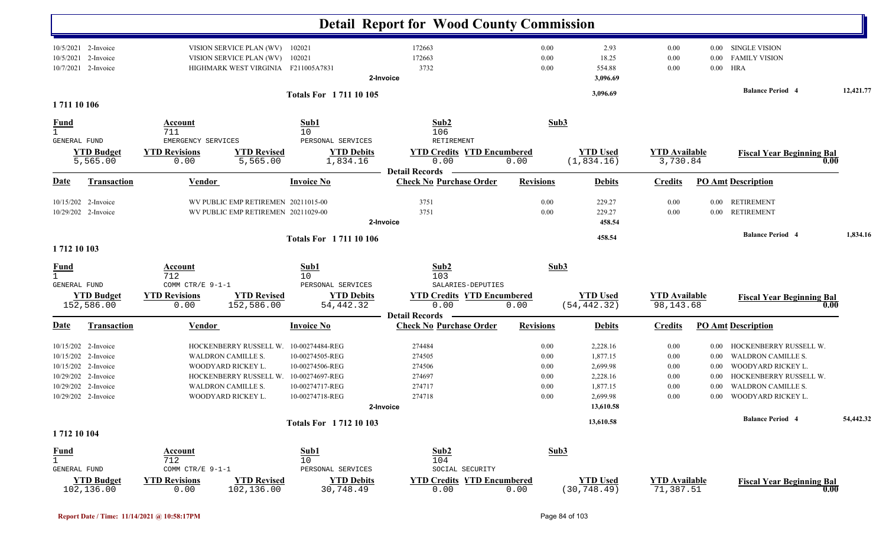|                                       |                                                                                                                                        |                                                                           |                                                                                                                                          |                                                                                                                | <b>Detail Report for Wood County Commission</b>                                         |                                              |                                                                                   |                                              |                                                  |                                                                                                                                                        |           |
|---------------------------------------|----------------------------------------------------------------------------------------------------------------------------------------|---------------------------------------------------------------------------|------------------------------------------------------------------------------------------------------------------------------------------|----------------------------------------------------------------------------------------------------------------|-----------------------------------------------------------------------------------------|----------------------------------------------|-----------------------------------------------------------------------------------|----------------------------------------------|--------------------------------------------------|--------------------------------------------------------------------------------------------------------------------------------------------------------|-----------|
| 10/5/2021                             | 10/5/2021 2-Invoice<br>2-Invoice<br>10/7/2021 2-Invoice                                                                                |                                                                           | VISION SERVICE PLAN (WV) 102021<br>VISION SERVICE PLAN (WV)<br>HIGHMARK WEST VIRGINIA F211005A7831                                       | 102021                                                                                                         | 172663<br>172663<br>3732<br>2-Invoice                                                   | 0.00<br>0.00<br>0.00                         | 2.93<br>18.25<br>554.88<br>3,096.69                                               | 0.00<br>0.00<br>0.00                         | 0.00<br>0.00<br>$0.00\,$                         | <b>SINGLE VISION</b><br><b>FAMILY VISION</b><br>HRA                                                                                                    |           |
| 1711 10 106                           |                                                                                                                                        |                                                                           |                                                                                                                                          | <b>Totals For 171110105</b>                                                                                    |                                                                                         |                                              | 3,096.69                                                                          |                                              |                                                  | <b>Balance Period 4</b>                                                                                                                                | 12,421.77 |
| <u>Fund</u><br>$\mathbf{1}$           |                                                                                                                                        | Account<br>711                                                            |                                                                                                                                          | Sub1                                                                                                           | Sub2                                                                                    | Sub3                                         |                                                                                   |                                              |                                                  |                                                                                                                                                        |           |
| GENERAL FUND                          | <b>YTD Budget</b><br>5,565.00                                                                                                          | EMERGENCY SERVICES<br><b>YTD Revisions</b><br>0.00                        | <b>YTD Revised</b><br>5,565.00                                                                                                           | 10<br>PERSONAL SERVICES<br><b>YTD Debits</b><br>1,834.16                                                       | 106<br>RETIREMENT<br><b>YTD Credits YTD Encumbered</b><br>0.00                          | 0.00                                         | <b>YTD Used</b><br>(1, 834.16)                                                    | <b>YTD Available</b><br>3,730.84             |                                                  | <b>Fiscal Year Beginning Bal</b><br>0.00                                                                                                               |           |
| <b>Date</b>                           | <b>Transaction</b>                                                                                                                     | <b>Vendor</b>                                                             |                                                                                                                                          | <b>Invoice No</b>                                                                                              | <b>Detail Records</b><br><b>Check No Purchase Order</b>                                 | <b>Revisions</b>                             | <b>Debits</b>                                                                     | <b>Credits</b>                               |                                                  | <b>PO Amt Description</b>                                                                                                                              |           |
|                                       | 10/15/202 2-Invoice<br>10/29/202 2-Invoice                                                                                             |                                                                           | WV PUBLIC EMP RETIREMEN 20211015-00<br>WV PUBLIC EMP RETIREMEN 20211029-00                                                               |                                                                                                                | 3751<br>3751<br>2-Invoice                                                               | 0.00<br>0.00                                 | 229.27<br>229.27<br>458.54                                                        | 0.00<br>0.00                                 | $0.00\,$<br>$0.00\,$                             | <b>RETIREMENT</b><br><b>RETIREMENT</b>                                                                                                                 |           |
| 1712 10 103                           |                                                                                                                                        |                                                                           |                                                                                                                                          | <b>Totals For 171110106</b>                                                                                    |                                                                                         |                                              | 458.54                                                                            |                                              |                                                  | <b>Balance Period 4</b>                                                                                                                                | 1,834.16  |
| <u>Fund</u><br>$\mathbf{1}$           |                                                                                                                                        | Account<br>712                                                            |                                                                                                                                          | Sub1<br>10                                                                                                     | Sub2<br>103                                                                             |                                              | Sub3                                                                              |                                              |                                                  |                                                                                                                                                        |           |
| GENERAL FUND                          | <b>YTD Budget</b><br>152,586.00                                                                                                        | COMM CTR/E 9-1-1<br><b>YTD Revisions</b><br>0.00                          | <b>YTD Revised</b><br>152,586.00                                                                                                         | PERSONAL SERVICES<br><b>YTD Debits</b><br>54, 442.32                                                           | SALARIES-DEPUTIES<br><b>YTD Credits YTD Encumbered</b><br>0.00<br><b>Detail Records</b> | 0.00                                         | <b>YTD Used</b><br>(54, 442.32)                                                   | <b>YTD Available</b><br>98, 143.68           |                                                  | <b>Fiscal Year Beginning Bal</b><br>$\bf{0.00}$                                                                                                        |           |
| Date                                  | <b>Transaction</b>                                                                                                                     | <b>Vendor</b>                                                             |                                                                                                                                          | <b>Invoice No</b>                                                                                              | <b>Check No Purchase Order</b>                                                          | <b>Revisions</b>                             | <b>Debits</b>                                                                     | <b>Credits</b>                               |                                                  | <b>PO Amt Description</b>                                                                                                                              |           |
|                                       | 10/15/202 2-Invoice<br>10/15/202 2-Invoice<br>10/15/202 2-Invoice<br>10/29/202 2-Invoice<br>10/29/202 2-Invoice<br>10/29/202 2-Invoice |                                                                           | HOCKENBERRY RUSSELL W.<br>WALDRON CAMILLE S.<br>WOODYARD RICKEY L.<br>HOCKENBERRY RUSSELL W.<br>WALDRON CAMILLE S.<br>WOODYARD RICKEY L. | 10-00274484-REG<br>10-00274505-REG<br>10-00274506-REG<br>10-00274697-REG<br>10-00274717-REG<br>10-00274718-REG | 274484<br>274505<br>274506<br>274697<br>274717<br>274718<br>2-Invoice                   | 0.00<br>0.00<br>0.00<br>0.00<br>0.00<br>0.00 | 2,228.16<br>1,877.15<br>2,699.98<br>2,228.16<br>1,877.15<br>2,699.98<br>13,610.58 | 0.00<br>0.00<br>0.00<br>0.00<br>0.00<br>0.00 | 0.00<br>0.00<br>0.00<br>$0.00\,$<br>0.00<br>0.00 | HOCKENBERRY RUSSELL W.<br><b>WALDRON CAMILLE S.</b><br>WOODYARD RICKEY L.<br>HOCKENBERRY RUSSELL W.<br><b>WALDRON CAMILLE S.</b><br>WOODYARD RICKEY L. |           |
|                                       |                                                                                                                                        |                                                                           |                                                                                                                                          | <b>Totals For 171210103</b>                                                                                    |                                                                                         |                                              | 13,610.58                                                                         |                                              |                                                  | <b>Balance Period 4</b>                                                                                                                                | 54,442.32 |
| 1712 10 104                           |                                                                                                                                        |                                                                           |                                                                                                                                          |                                                                                                                |                                                                                         |                                              |                                                                                   |                                              |                                                  |                                                                                                                                                        |           |
| $rac{\text{Fund}}{1}$<br>GENERAL FUND | <b>YTD Budget</b><br>102,136.00                                                                                                        | <b>Account</b><br>712<br>COMM CTR/E 9-1-1<br><b>YTD Revisions</b><br>0.00 | <b>YTD Revised</b><br>102,136.00                                                                                                         | Sub1<br>10<br>PERSONAL SERVICES<br><b>YTD Debits</b><br>30,748.49                                              | Sub2<br>104<br>SOCIAL SECURITY<br><b>YTD Credits YTD Encumbered</b><br>0.00             | 0.00                                         | Sub3<br><b>YTD Used</b><br>(30, 748.49)                                           | <b>YTD Available</b><br>71,387.51            |                                                  | <b>Fiscal Year Beginning Bal</b><br>0.00                                                                                                               |           |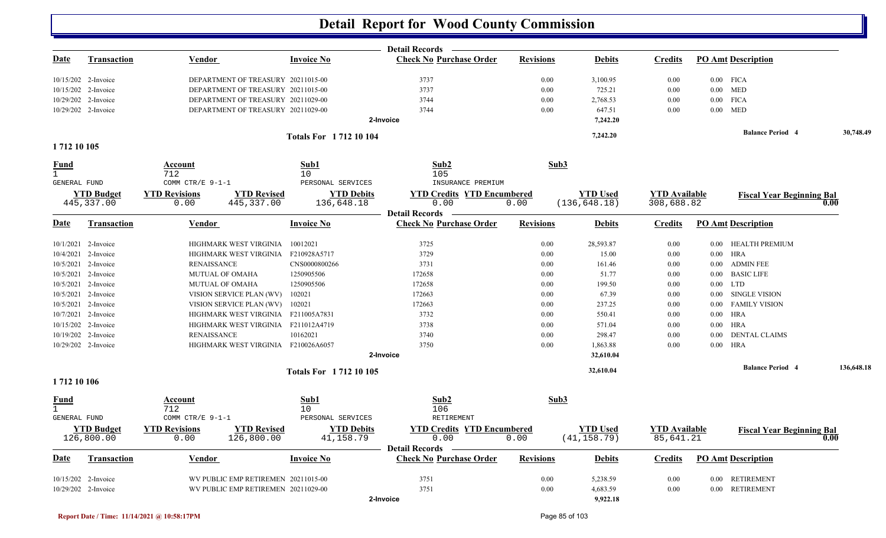|                      |                                 |                                                                  |                                 | <b>Detail Records</b>                                   |                  |                                 |                                   |          |                                  |            |
|----------------------|---------------------------------|------------------------------------------------------------------|---------------------------------|---------------------------------------------------------|------------------|---------------------------------|-----------------------------------|----------|----------------------------------|------------|
| Date                 | <b>Transaction</b>              | Vendor                                                           | <b>Invoice No</b>               | <b>Check No Purchase Order</b>                          | <b>Revisions</b> | <b>Debits</b>                   | <b>Credits</b>                    |          | <b>PO Amt Description</b>        |            |
|                      | 10/15/202 2-Invoice             | DEPARTMENT OF TREASURY 20211015-00                               |                                 | 3737                                                    | 0.00             | 3,100.95                        | 0.00                              |          | $0.00$ FICA                      |            |
|                      | 10/15/202 2-Invoice             | DEPARTMENT OF TREASURY 20211015-00                               |                                 | 3737                                                    | 0.00             | 725.21                          | 0.00                              |          | $0.00$ MED                       |            |
|                      | 10/29/202 2-Invoice             | DEPARTMENT OF TREASURY 20211029-00                               |                                 | 3744                                                    | 0.00             | 2,768.53                        | 0.00                              |          | $0.00$ FICA                      |            |
|                      | 10/29/202 2-Invoice             | DEPARTMENT OF TREASURY 20211029-00                               |                                 | 3744                                                    | 0.00             | 647.51                          | 0.00                              |          | $0.00$ MED                       |            |
|                      |                                 |                                                                  |                                 | 2-Invoice                                               |                  | 7,242.20                        |                                   |          |                                  |            |
|                      |                                 |                                                                  | <b>Totals For 171210104</b>     |                                                         |                  | 7,242.20                        |                                   |          | <b>Balance Period 4</b>          | 30,748.49  |
| 1712 10 105          |                                 |                                                                  |                                 |                                                         |                  |                                 |                                   |          |                                  |            |
| Fund<br>$\mathbf{1}$ |                                 | Account<br>712                                                   | Sub1<br>10                      | Sub2<br>105                                             | Sub3             |                                 |                                   |          |                                  |            |
| GENERAL FUND         |                                 | COMM CTR/E 9-1-1                                                 | PERSONAL SERVICES               | INSURANCE PREMIUM                                       |                  |                                 |                                   |          |                                  |            |
|                      | <b>YTD Budget</b>               | <b>YTD Revisions</b><br><b>YTD Revised</b>                       | <b>YTD Debits</b>               | <b>YTD Credits YTD Encumbered</b>                       |                  | <b>YTD</b> Used                 | <b>YTD</b> Available              |          | <b>Fiscal Year Beginning Bal</b> |            |
|                      | 445, 337.00                     | 445, 337.00<br>0.00                                              | 136,648.18                      | 0.00                                                    | 0.00             | (136, 648.18)                   | 308,688.82                        |          |                                  | 0.00       |
| Date                 | <b>Transaction</b>              | Vendor                                                           | <b>Invoice No</b>               | <b>Detail Records</b><br><b>Check No Purchase Order</b> | <b>Revisions</b> | <b>Debits</b>                   | <b>Credits</b>                    |          | <b>PO Amt Description</b>        |            |
|                      | 10/1/2021 2-Invoice             | HIGHMARK WEST VIRGINIA                                           | 10012021                        | 3725                                                    | 0.00             | 28,593.87                       | 0.00                              |          | 0.00 HEALTH PREMIUM              |            |
|                      | 10/4/2021 2-Invoice             | HIGHMARK WEST VIRGINIA                                           | F210928A5717                    | 3729                                                    | 0.00             | 15.00                           | 0.00                              |          | $0.00$ HRA                       |            |
|                      | 10/5/2021 2-Invoice             | <b>RENAISSANCE</b>                                               | CNS0000800266                   | 3731                                                    | 0.00             | 161.46                          | 0.00                              | $0.00\,$ | <b>ADMIN FEE</b>                 |            |
|                      | 10/5/2021 2-Invoice             | MUTUAL OF OMAHA                                                  | 1250905506                      | 172658                                                  | 0.00             | 51.77                           | 0.00                              | 0.00     | <b>BASIC LIFE</b>                |            |
|                      | 10/5/2021 2-Invoice             | MUTUAL OF OMAHA                                                  | 1250905506                      | 172658                                                  | 0.00             | 199.50                          | 0.00                              |          | $0.00$ LTD                       |            |
|                      | 10/5/2021 2-Invoice             | VISION SERVICE PLAN (WV)                                         | 102021                          | 172663                                                  | 0.00             | 67.39                           | 0.00                              | $0.00\,$ | SINGLE VISION                    |            |
|                      | 10/5/2021 2-Invoice             | VISION SERVICE PLAN (WV)                                         | 102021                          | 172663                                                  | 0.00             | 237.25                          | 0.00                              |          | 0.00 FAMILY VISION               |            |
|                      | 10/7/2021 2-Invoice             | HIGHMARK WEST VIRGINIA F211005A7831                              |                                 | 3732                                                    | 0.00             | 550.41                          | 0.00                              |          | $0.00$ HRA                       |            |
|                      | 10/15/202 2-Invoice             | HIGHMARK WEST VIRGINIA F211012A4719                              |                                 | 3738                                                    | 0.00             | 571.04                          | 0.00                              |          | $0.00$ HRA                       |            |
|                      | 10/19/202 2-Invoice             | <b>RENAISSANCE</b>                                               | 10162021                        | 3740                                                    | 0.00             | 298.47                          | 0.00                              | $0.00\,$ | <b>DENTAL CLAIMS</b>             |            |
|                      | 10/29/202 2-Invoice             | HIGHMARK WEST VIRGINIA F210026A6057                              |                                 | 3750                                                    | 0.00             | 1,863.88                        | 0.00                              |          | $0.00$ HRA                       |            |
|                      |                                 |                                                                  |                                 | 2-Invoice                                               |                  | 32,610.04                       |                                   |          |                                  |            |
|                      |                                 |                                                                  | <b>Totals For 171210105</b>     |                                                         |                  | 32,610.04                       |                                   |          | <b>Balance Period 4</b>          | 136,648.18 |
| 1712 10 106          |                                 |                                                                  |                                 |                                                         |                  |                                 |                                   |          |                                  |            |
| <u>Fund</u>          |                                 | Account                                                          | Sub1                            | Sub2                                                    | Sub3             |                                 |                                   |          |                                  |            |
| $\mathbf{1}$         |                                 | 712                                                              | 10                              | 106                                                     |                  |                                 |                                   |          |                                  |            |
| <b>GENERAL FUND</b>  |                                 | COMM CTR/E 9-1-1                                                 | PERSONAL SERVICES               | <b>RETIREMENT</b>                                       |                  |                                 |                                   |          |                                  |            |
|                      | <b>YTD Budget</b><br>126,800.00 | <b>YTD Revised</b><br><b>YTD Revisions</b><br>126,800.00<br>0.00 | <b>YTD Debits</b><br>41, 158.79 | <b>YTD Credits YTD Encumbered</b><br>0.00               | 0.00             | <b>YTD</b> Used<br>(41, 158.79) | <b>YTD</b> Available<br>85,641.21 |          | <b>Fiscal Year Beginning Bal</b> | 0.00       |
|                      |                                 |                                                                  |                                 | <b>Detail Records</b>                                   |                  |                                 |                                   |          |                                  |            |
| Date                 | Transaction                     | Vendor                                                           | <b>Invoice No</b>               | <b>Check No Purchase Order</b>                          | <b>Revisions</b> | <b>Debits</b>                   | <b>Credits</b>                    |          | <b>PO Amt Description</b>        |            |
|                      | 10/15/202 2-Invoice             | WV PUBLIC EMP RETIREMEN 20211015-00                              |                                 | 3751                                                    | 0.00             | 5,238.59                        | 0.00                              |          | 0.00 RETIREMENT                  |            |
|                      | 10/29/202 2-Invoice             | WV PUBLIC EMP RETIREMEN 20211029-00                              |                                 | 3751                                                    | 0.00             | 4,683.59                        | 0.00                              |          | 0.00 RETIREMENT                  |            |
|                      |                                 |                                                                  |                                 | 2-Invoice                                               |                  | 9,922.18                        |                                   |          |                                  |            |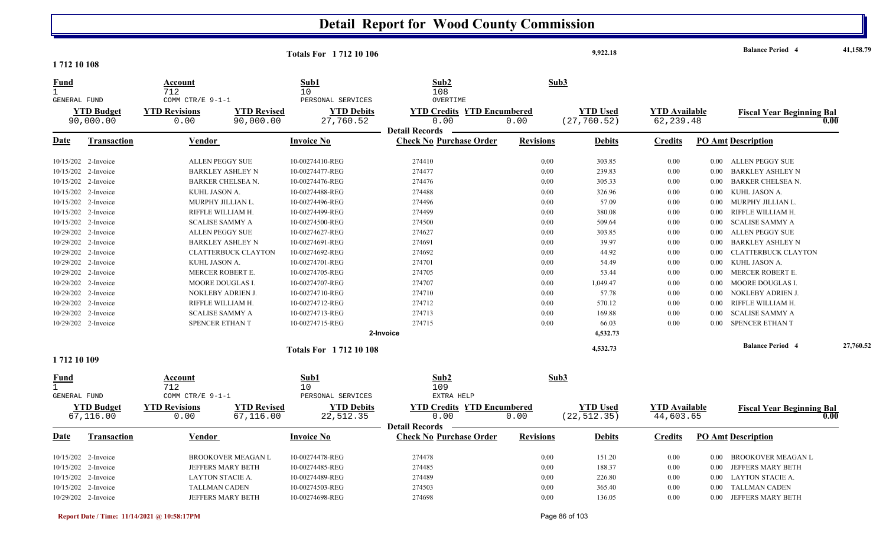|                                                    |                                |                                                  |                                 | <b>Totals For 171210106</b>                         |                                                         |                  | 9,922.18                        |                                   |          | <b>Balance Period 4</b>          | 41,158.79 |
|----------------------------------------------------|--------------------------------|--------------------------------------------------|---------------------------------|-----------------------------------------------------|---------------------------------------------------------|------------------|---------------------------------|-----------------------------------|----------|----------------------------------|-----------|
| 1712 10 108                                        |                                |                                                  |                                 |                                                     |                                                         |                  |                                 |                                   |          |                                  |           |
| <b>Fund</b><br>$\mathbf{1}$                        |                                | Account<br>712                                   |                                 | Sub1<br>$10$                                        | Sub2<br>108                                             |                  | Sub3                            |                                   |          |                                  |           |
| GENERAL FUND                                       | <b>YTD Budget</b><br>90,000.00 | COMM CTR/E 9-1-1<br><b>YTD Revisions</b><br>0.00 | <b>YTD Revised</b><br>90,000.00 | PERSONAL SERVICES<br><b>YTD Debits</b><br>27,760.52 | OVERTIME<br><b>YTD Credits YTD Encumbered</b><br>0.00   | 0.00             | <b>YTD Used</b><br>(27, 760.52) | <b>YTD Available</b><br>62,239.48 |          | <b>Fiscal Year Beginning Bal</b> | 0.00      |
| Date                                               | Transaction                    | <b>Vendor</b>                                    |                                 | <b>Invoice No</b>                                   | <b>Detail Records</b><br><b>Check No Purchase Order</b> | <b>Revisions</b> | <b>Debits</b>                   | <b>Credits</b>                    |          | <b>PO Amt Description</b>        |           |
|                                                    | 10/15/202 2-Invoice            |                                                  | <b>ALLEN PEGGY SUE</b>          | 10-00274410-REG                                     | 274410                                                  | 0.00             | 303.85                          | 0.00                              | 0.00     | ALLEN PEGGY SUE                  |           |
|                                                    | 10/15/202 2-Invoice            |                                                  | <b>BARKLEY ASHLEY N</b>         | 10-00274477-REG                                     | 274477                                                  | 0.00             | 239.83                          | 0.00                              | 0.00     | <b>BARKLEY ASHLEY N</b>          |           |
|                                                    | 10/15/202 2-Invoice            |                                                  | BARKER CHELSEA N.               | 10-00274476-REG                                     | 274476                                                  | 0.00             | 305.33                          | 0.00                              | 0.00     | BARKER CHELSEA N.                |           |
|                                                    | 10/15/202 2-Invoice            | KUHL JASON A.                                    |                                 | 10-00274488-REG                                     | 274488                                                  | 0.00             | 326.96                          | 0.00                              | 0.00     | KUHL JASON A.                    |           |
|                                                    | 10/15/202 2-Invoice            |                                                  | MURPHY JILLIAN L.               | 10-00274496-REG                                     | 274496                                                  | 0.00             | 57.09                           | 0.00                              | $0.00\,$ | MURPHY JILLIAN L.                |           |
|                                                    | 10/15/202 2-Invoice            |                                                  | RIFFLE WILLIAM H.               | 10-00274499-REG                                     | 274499                                                  | 0.00             | 380.08                          | 0.00                              | 0.00     | RIFFLE WILLIAM H.                |           |
|                                                    | 10/15/202 2-Invoice            |                                                  | <b>SCALISE SAMMY A</b>          | 10-00274500-REG                                     | 274500                                                  | 0.00             | 509.64                          | 0.00                              | 0.00     | <b>SCALISE SAMMY A</b>           |           |
|                                                    | 10/29/202 2-Invoice            |                                                  | ALLEN PEGGY SUE                 | 10-00274627-REG                                     | 274627                                                  | 0.00             | 303.85                          | 0.00                              | $0.00\,$ | <b>ALLEN PEGGY SUE</b>           |           |
|                                                    | 10/29/202 2-Invoice            |                                                  | <b>BARKLEY ASHLEY N</b>         | 10-00274691-REG                                     | 274691                                                  | 0.00             | 39.97                           | 0.00                              | 0.00     | <b>BARKLEY ASHLEY N</b>          |           |
|                                                    | 10/29/202 2-Invoice            |                                                  | <b>CLATTERBUCK CLAYTON</b>      | 10-00274692-REG                                     | 274692                                                  | 0.00             | 44.92                           | 0.00                              | 0.00     | <b>CLATTERBUCK CLAYTON</b>       |           |
|                                                    | 10/29/202 2-Invoice            | KUHL JASON A.                                    |                                 | 10-00274701-REG                                     | 274701                                                  | 0.00             | 54.49                           | 0.00                              | $0.00\,$ | KUHL JASON A.                    |           |
|                                                    | 10/29/202 2-Invoice            |                                                  | MERCER ROBERT E.                | 10-00274705-REG                                     | 274705                                                  | 0.00             | 53.44                           | 0.00                              | $0.00\,$ | MERCER ROBERT E.                 |           |
|                                                    | 10/29/202 2-Invoice            |                                                  | MOORE DOUGLAS I.                | 10-00274707-REG                                     | 274707                                                  | 0.00             | 1,049.47                        | 0.00                              | 0.00     | MOORE DOUGLAS I.                 |           |
|                                                    | 10/29/202 2-Invoice            |                                                  | NOKLEBY ADRIEN J.               | 10-00274710-REG                                     | 274710                                                  | 0.00             | 57.78                           | 0.00                              | $0.00\,$ | NOKLEBY ADRIEN J.                |           |
|                                                    | 10/29/202 2-Invoice            |                                                  | RIFFLE WILLIAM H.               | 10-00274712-REG                                     | 274712                                                  | 0.00             | 570.12                          | 0.00                              | 0.00     | RIFFLE WILLIAM H.                |           |
|                                                    | 10/29/202 2-Invoice            |                                                  | <b>SCALISE SAMMY A</b>          | 10-00274713-REG                                     | 274713                                                  | 0.00             | 169.88                          | 0.00                              | 0.00     | <b>SCALISE SAMMY A</b>           |           |
|                                                    | 10/29/202 2-Invoice            |                                                  | <b>SPENCER ETHAN T</b>          | 10-00274715-REG                                     | 274715                                                  | 0.00             | 66.03                           | 0.00                              | 0.00     | SPENCER ETHAN T                  |           |
|                                                    |                                |                                                  |                                 |                                                     | 2-Invoice                                               |                  | 4,532.73                        |                                   |          |                                  |           |
|                                                    |                                |                                                  |                                 | <b>Totals For 171210108</b>                         |                                                         |                  | 4,532.73                        |                                   |          | <b>Balance Period 4</b>          | 27,760.52 |
| 1712 10 109                                        |                                |                                                  |                                 |                                                     |                                                         |                  |                                 |                                   |          |                                  |           |
| <u>Fund</u><br>$\mathbf{1}$<br><b>GENERAL FUND</b> |                                | Account<br>712<br>COMM CTR/E 9-1-1               |                                 | Sub1<br>10                                          | Sub2<br>109<br>EXTRA HELP                               |                  | Sub3                            |                                   |          |                                  |           |
|                                                    |                                |                                                  |                                 | PERSONAL SERVICES                                   |                                                         |                  |                                 |                                   |          |                                  |           |
|                                                    | <b>YTD Budget</b><br>67,116.00 | <b>YTD Revisions</b><br>0.00                     | <b>YTD Revised</b><br>67,116.00 | <b>YTD Debits</b><br>22,512.35                      | <b>YTD Credits YTD Encumbered</b><br>0.00               | 0.00             | <b>YTD Used</b><br>(22, 512.35) | <b>YTD Available</b><br>44,603.65 |          | <b>Fiscal Year Beginning Bal</b> | 0.00      |
|                                                    |                                |                                                  |                                 |                                                     | <b>Detail Records</b>                                   |                  |                                 |                                   |          |                                  |           |
| Date                                               | <b>Transaction</b>             | Vendor                                           |                                 | <b>Invoice No</b>                                   | <b>Check No Purchase Order</b>                          | <b>Revisions</b> | <b>Debits</b>                   | <b>Credits</b>                    |          | <b>PO Amt Description</b>        |           |
|                                                    | 10/15/202 2-Invoice            |                                                  | BROOKOVER MEAGAN L              | 10-00274478-REG                                     | 274478                                                  | 0.00             | 151.20                          | 0.00                              | $0.00\,$ | BROOKOVER MEAGAN L               |           |
|                                                    | 10/15/202 2-Invoice            |                                                  | JEFFERS MARY BETH               | 10-00274485-REG                                     | 274485                                                  | 0.00             | 188.37                          | 0.00                              | 0.00     | JEFFERS MARY BETH                |           |
|                                                    | 10/15/202 2-Invoice            |                                                  | LAYTON STACIE A.                | 10-00274489-REG                                     | 274489                                                  | 0.00             | 226.80                          | 0.00                              | 0.00     | LAYTON STACIE A.                 |           |
|                                                    | 10/15/202 2-Invoice            |                                                  | <b>TALLMAN CADEN</b>            | 10-00274503-REG                                     | 274503                                                  | 0.00             | 365.40                          | 0.00                              | $0.00\,$ | TALLMAN CADEN                    |           |
|                                                    | 10/29/202 2-Invoice            |                                                  | JEFFERS MARY BETH               | 10-00274698-REG                                     | 274698                                                  | 0.00             | 136.05                          | 0.00                              | $0.00\,$ | JEFFERS MARY BETH                |           |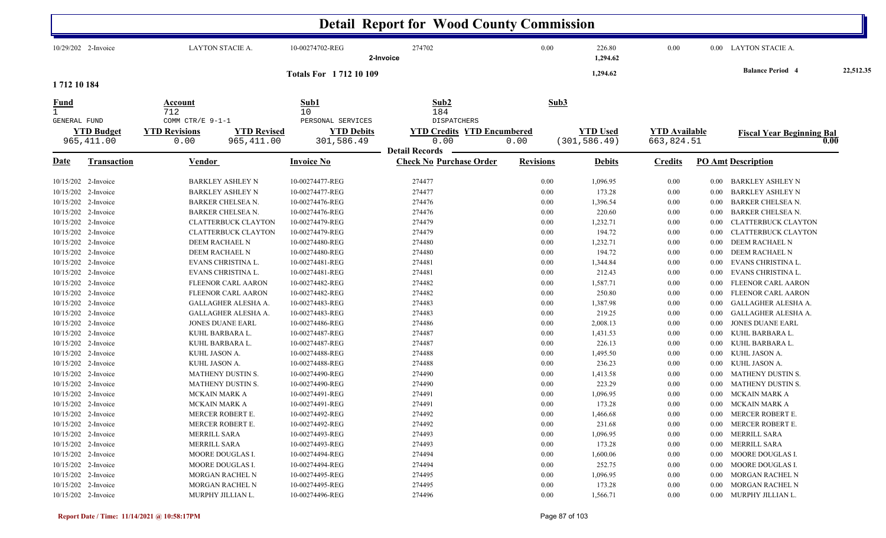|                  |                                  |                                                  |                                   |                                                      | <b>Detail Report for Wood County Commission</b>                 |                  |                                  |                                    |          |                                  |           |
|------------------|----------------------------------|--------------------------------------------------|-----------------------------------|------------------------------------------------------|-----------------------------------------------------------------|------------------|----------------------------------|------------------------------------|----------|----------------------------------|-----------|
|                  | 10/29/202 2-Invoice              | LAYTON STACIE A.                                 |                                   | 10-00274702-REG                                      | 274702<br>2-Invoice                                             | 0.00             | 226.80<br>1,294.62               | 0.00                               |          | 0.00 LAYTON STACIE A.            |           |
| 1712 10 184      |                                  |                                                  |                                   | <b>Totals For 171210109</b>                          |                                                                 |                  | 1,294.62                         |                                    |          | <b>Balance Period 4</b>          | 22,512.35 |
| $\frac{Fund}{1}$ |                                  | Account<br>712                                   |                                   | Sub1<br>10                                           | Sub2<br>184                                                     | Sub3             |                                  |                                    |          |                                  |           |
| GENERAL FUND     | <b>YTD Budget</b><br>965, 411.00 | COMM CTR/E 9-1-1<br><b>YTD Revisions</b><br>0.00 | <b>YTD Revised</b><br>965, 411.00 | PERSONAL SERVICES<br><b>YTD Debits</b><br>301,586.49 | <b>DISPATCHERS</b><br><b>YTD Credits YTD Encumbered</b><br>0.00 | 0.00             | <b>YTD Used</b><br>(301, 586.49) | <b>YTD</b> Available<br>663,824.51 |          | <b>Fiscal Year Beginning Bal</b> | 0.00      |
|                  |                                  |                                                  |                                   |                                                      | <b>Detail Records</b>                                           |                  |                                  |                                    |          |                                  |           |
| Date             | <b>Transaction</b>               | <b>Vendor</b>                                    |                                   | <b>Invoice No</b>                                    | <b>Check No Purchase Order</b>                                  | <b>Revisions</b> | <b>Debits</b>                    | <b>Credits</b>                     |          | <b>PO Amt Description</b>        |           |
|                  | 10/15/202 2-Invoice              | <b>BARKLEY ASHLEY N</b>                          |                                   | 10-00274477-REG                                      | 274477                                                          | 0.00             | 1,096.95                         | 0.00                               | $0.00\,$ | BARKLEY ASHLEY N                 |           |
|                  | 10/15/202 2-Invoice              | <b>BARKLEY ASHLEY N</b>                          |                                   | 10-00274477-REG                                      | 274477                                                          | 0.00             | 173.28                           | 0.00                               | $0.00\,$ | <b>BARKLEY ASHLEY N</b>          |           |
|                  | 10/15/202 2-Invoice              | BARKER CHELSEA N.                                |                                   | 10-00274476-REG                                      | 274476                                                          | 0.00             | 1,396.54                         | 0.00                               | $0.00\,$ | <b>BARKER CHELSEA N.</b>         |           |
|                  | 10/15/202 2-Invoice              | <b>BARKER CHELSEA N.</b>                         |                                   | 10-00274476-REG                                      | 274476                                                          | 0.00             | 220.60                           | 0.00                               | $0.00\,$ | <b>BARKER CHELSEA N.</b>         |           |
|                  | 10/15/202 2-Invoice              | <b>CLATTERBUCK CLAYTON</b>                       |                                   | 10-00274479-REG                                      | 274479                                                          | 0.00             | 1,232.71                         | 0.00                               | $0.00\,$ | <b>CLATTERBUCK CLAYTON</b>       |           |
|                  | 10/15/202 2-Invoice              | <b>CLATTERBUCK CLAYTON</b>                       |                                   | 10-00274479-REG                                      | 274479                                                          | 0.00             | 194.72                           | 0.00                               | 0.00     | <b>CLATTERBUCK CLAYTON</b>       |           |
|                  | 10/15/202 2-Invoice              | DEEM RACHAEL N                                   |                                   | 10-00274480-REG                                      | 274480                                                          | 0.00             | 1,232.71                         | 0.00                               | $0.00\,$ | DEEM RACHAEL N                   |           |
|                  | 10/15/202 2-Invoice              | DEEM RACHAEL N                                   |                                   | 10-00274480-REG                                      | 274480                                                          | 0.00             | 194.72                           | 0.00                               | $0.00\,$ | DEEM RACHAEL N                   |           |
|                  | 10/15/202 2-Invoice              | EVANS CHRISTINA L.                               |                                   | 10-00274481-REG                                      | 274481                                                          | 0.00             | 1,344.84                         | 0.00                               | $0.00\,$ | EVANS CHRISTINA L.               |           |
|                  | 10/15/202 2-Invoice              | EVANS CHRISTINA L.                               |                                   | 10-00274481-REG                                      | 274481                                                          | 0.00             | 212.43                           | 0.00                               | $0.00\,$ | EVANS CHRISTINA L.               |           |
|                  | 10/15/202 2-Invoice              | FLEENOR CARL AARON                               |                                   | 10-00274482-REG                                      | 274482                                                          | 0.00             | 1,587.71                         | 0.00                               | $0.00\,$ | FLEENOR CARL AARON               |           |
|                  | 10/15/202 2-Invoice              | FLEENOR CARL AARON                               |                                   | 10-00274482-REG                                      | 274482                                                          | 0.00             | 250.80                           | 0.00                               | $0.00\,$ | FLEENOR CARL AARON               |           |
|                  | 10/15/202 2-Invoice              | GALLAGHER ALESHA A.                              |                                   | 10-00274483-REG                                      | 274483                                                          | 0.00             | 1,387.98                         | $0.00\,$                           | $0.00\,$ | GALLAGHER ALESHA A.              |           |
|                  | 10/15/202 2-Invoice              | GALLAGHER ALESHA A.                              |                                   | 10-00274483-REG                                      | 274483                                                          | 0.00             | 219.25                           | 0.00                               | $0.00\,$ | GALLAGHER ALESHA A.              |           |
|                  | 10/15/202 2-Invoice              | <b>JONES DUANE EARL</b>                          |                                   | 10-00274486-REG                                      | 274486                                                          | 0.00             | 2,008.13                         | $0.00\,$                           | $0.00\,$ | <b>JONES DUANE EARL</b>          |           |
|                  | 10/15/202 2-Invoice              | KUHL BARBARA L.                                  |                                   | 10-00274487-REG                                      | 274487                                                          | 0.00             | 1,431.53                         | $0.00\,$                           | $0.00\,$ | KUHL BARBARA L.                  |           |
|                  | 10/15/202 2-Invoice              | KUHL BARBARA L.                                  |                                   | 10-00274487-REG                                      | 274487                                                          | 0.00             | 226.13                           | 0.00                               | $0.00\,$ | KUHL BARBARA L.                  |           |
|                  | 10/15/202 2-Invoice              | KUHL JASON A.                                    |                                   | 10-00274488-REG                                      | 274488                                                          | 0.00             | 1,495.50                         | 0.00                               | $0.00\,$ | KUHL JASON A.                    |           |
|                  | 10/15/202 2-Invoice              | KUHL JASON A.                                    |                                   | 10-00274488-REG                                      | 274488                                                          | 0.00             | 236.23                           | 0.00                               | $0.00\,$ | KUHL JASON A.                    |           |
|                  | 10/15/202 2-Invoice              | MATHENY DUSTIN S.                                |                                   | 10-00274490-REG                                      | 274490                                                          | 0.00             | 1,413.58                         | 0.00                               | $0.00\,$ | MATHENY DUSTIN S.                |           |
|                  | 10/15/202 2-Invoice              | MATHENY DUSTIN S.                                |                                   | 10-00274490-REG                                      | 274490                                                          | 0.00             | 223.29                           | 0.00                               | 0.00     | MATHENY DUSTIN S.                |           |
|                  | 10/15/202 2-Invoice              | MCKAIN MARK A                                    |                                   | 10-00274491-REG                                      | 274491                                                          | 0.00             | 1,096.95                         | 0.00                               | $0.00\,$ | MCKAIN MARK A                    |           |
|                  | 10/15/202 2-Invoice              | <b>MCKAIN MARK A</b>                             |                                   | 10-00274491-REG                                      | 274491                                                          | 0.00             | 173.28                           | 0.00                               |          | 0.00 MCKAIN MARK A               |           |
|                  | 10/15/202 2-Invoice              | MERCER ROBERT E.                                 |                                   | 10-00274492-REG                                      | 274492                                                          | 0.00             | 1,466.68                         | $0.00\,$                           |          | 0.00 MERCER ROBERT E.            |           |
|                  | 10/15/202 2-Invoice              | MERCER ROBERT E.                                 |                                   | 10-00274492-REG                                      | 274492                                                          | 0.00             | 231.68                           | $0.00\,$                           | $0.00\,$ | MERCER ROBERT E.                 |           |
|                  | 10/15/202 2-Invoice              | MERRILL SARA                                     |                                   | 10-00274493-REG                                      | 274493                                                          | 0.00             | 1,096.95                         | $0.00\,$                           |          | 0.00 MERRILL SARA                |           |
|                  | 10/15/202 2-Invoice              | MERRILL SARA                                     |                                   | 10-00274493-REG                                      | 274493                                                          | 0.00             | 173.28                           | $0.00\,$                           | $0.00\,$ | MERRILL SARA                     |           |
|                  | 10/15/202 2-Invoice              | MOORE DOUGLAS I.                                 |                                   | 10-00274494-REG                                      | 274494                                                          | 0.00             | 1,600.06                         | $0.00\,$                           | $0.00\,$ | MOORE DOUGLAS I.                 |           |
|                  | 10/15/202 2-Invoice              | MOORE DOUGLAS I.                                 |                                   | 10-00274494-REG                                      | 274494                                                          | 0.00             | 252.75                           | 0.00                               | $0.00\,$ | MOORE DOUGLAS I.                 |           |
|                  | 10/15/202 2-Invoice              | MORGAN RACHEL N                                  |                                   | 10-00274495-REG                                      | 274495                                                          | 0.00             | 1,096.95                         | 0.00                               | $0.00\,$ | MORGAN RACHEL N                  |           |
|                  | 10/15/202 2-Invoice              | MORGAN RACHEL N                                  |                                   | 10-00274495-REG                                      | 274495                                                          | 0.00             | 173.28                           | $0.00\,$                           | $0.00\,$ | MORGAN RACHEL N                  |           |
|                  | 10/15/202 2-Invoice              | MURPHY JILLIAN L.                                |                                   | 10-00274496-REG                                      | 274496                                                          | 0.00             | 1,566.71                         | $0.00\,$                           |          | 0.00 MURPHY JILLIAN L.           |           |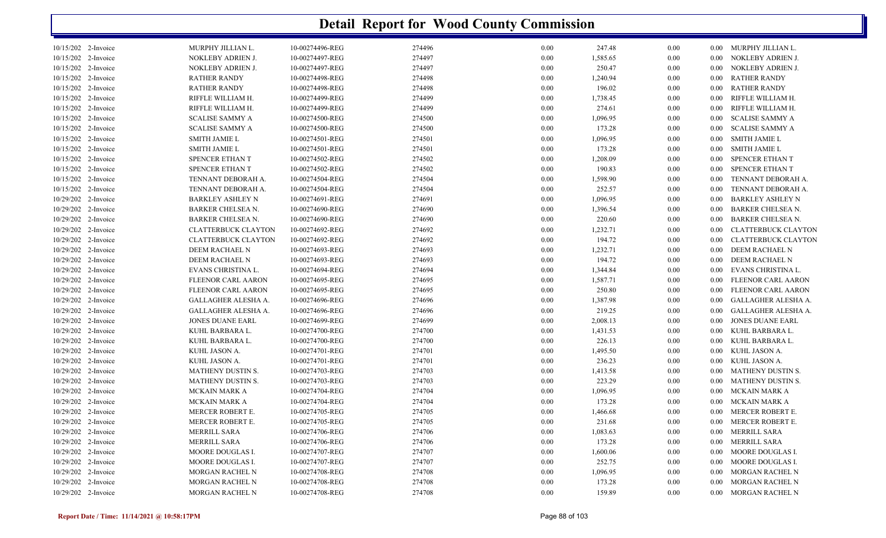|                                     |                            |                 | <b>Detail Report for Wood County Commission</b> |          |          |          |          |                                                         |
|-------------------------------------|----------------------------|-----------------|-------------------------------------------------|----------|----------|----------|----------|---------------------------------------------------------|
| 10/15/202 2-Invoice                 | MURPHY JILLIAN L.          | 10-00274496-REG | 274496                                          | 0.00     | 247.48   | 0.00     | $0.00\,$ | MURPHY JILLIAN L.                                       |
| 10/15/202 2-Invoice                 | NOKLEBY ADRIEN J.          | 10-00274497-REG | 274497                                          | 0.00     | 1,585.65 | $0.00\,$ | 0.00     | NOKLEBY ADRIEN J.                                       |
| 10/15/202 2-Invoice                 | NOKLEBY ADRIEN J.          | 10-00274497-REG | 274497                                          | 0.00     | 250.47   | $0.00\,$ | 0.00     | NOKLEBY ADRIEN J.                                       |
| 10/15/202 2-Invoice                 | <b>RATHER RANDY</b>        | 10-00274498-REG | 274498                                          | 0.00     | 1,240.94 | $0.00\,$ | 0.00     | <b>RATHER RANDY</b>                                     |
| 10/15/202 2-Invoice                 | <b>RATHER RANDY</b>        | 10-00274498-REG | 274498                                          | 0.00     | 196.02   | $0.00\,$ | 0.00     | <b>RATHER RANDY</b>                                     |
| 10/15/202 2-Invoice                 | RIFFLE WILLIAM H.          | 10-00274499-REG | 274499                                          | 0.00     | 1,738.45 | $0.00\,$ | 0.00     | RIFFLE WILLIAM H.                                       |
| 10/15/202 2-Invoice                 | RIFFLE WILLIAM H.          | 10-00274499-REG | 274499                                          | 0.00     | 274.61   | 0.00     | 0.00     | RIFFLE WILLIAM H.                                       |
| 10/15/202 2-Invoice                 | <b>SCALISE SAMMY A</b>     | 10-00274500-REG | 274500                                          | 0.00     | 1,096.95 | 0.00     | 0.00     | <b>SCALISE SAMMY A</b>                                  |
| 10/15/202 2-Invoice                 | <b>SCALISE SAMMY A</b>     | 10-00274500-REG | 274500                                          | 0.00     | 173.28   | 0.00     | 0.00     | <b>SCALISE SAMMY A</b>                                  |
| 10/15/202 2-Invoice                 | <b>SMITH JAMIE L</b>       | 10-00274501-REG | 274501                                          | 0.00     | 1,096.95 | 0.00     | 0.00     | <b>SMITH JAMIE L</b>                                    |
| 10/15/202 2-Invoice                 | <b>SMITH JAMIE L</b>       | 10-00274501-REG | 274501                                          | 0.00     | 173.28   | 0.00     | 0.00     | <b>SMITH JAMIE L</b>                                    |
| 10/15/202<br>2-Invoice              | SPENCER ETHAN T            | 10-00274502-REG | 274502                                          | 0.00     | 1,208.09 | 0.00     | 0.00     | SPENCER ETHAN T                                         |
| 10/15/202<br>2-Invoice              | <b>SPENCER ETHAN T</b>     | 10-00274502-REG | 274502                                          | 0.00     | 190.83   | 0.00     | 0.00     | SPENCER ETHAN T                                         |
| 10/15/202<br>2-Invoice              | TENNANT DEBORAH A.         | 10-00274504-REG | 274504                                          | 0.00     | 1,598.90 | 0.00     | 0.00     | TENNANT DEBORAH A.                                      |
| 10/15/202 2-Invoice                 | TENNANT DEBORAH A.         | 10-00274504-REG | 274504                                          | 0.00     | 252.57   | 0.00     | 0.00     | TENNANT DEBORAH A.                                      |
| 10/29/202 2-Invoice                 | <b>BARKLEY ASHLEY N</b>    | 10-00274691-REG | 274691                                          | 0.00     | 1,096.95 | 0.00     | 0.00     | <b>BARKLEY ASHLEY N</b>                                 |
| 10/29/202 2-Invoice                 | BARKER CHELSEA N.          | 10-00274690-REG | 274690                                          | 0.00     | 1,396.54 | 0.00     | 0.00     | <b>BARKER CHELSEA N.</b>                                |
| 10/29/202 2-Invoice                 | <b>BARKER CHELSEA N.</b>   | 10-00274690-REG | 274690                                          | 0.00     | 220.60   | 0.00     | 0.00     | <b>BARKER CHELSEA N.</b>                                |
| 10/29/202 2-Invoice                 | <b>CLATTERBUCK CLAYTON</b> | 10-00274692-REG | 274692                                          | 0.00     | 1,232.71 | 0.00     | 0.00     | <b>CLATTERBUCK CLAYTON</b>                              |
| 10/29/202 2-Invoice                 | <b>CLATTERBUCK CLAYTON</b> | 10-00274692-REG | 274692                                          | 0.00     | 194.72   | 0.00     | 0.00     | <b>CLATTERBUCK CLAYTON</b>                              |
| 10/29/202 2-Invoice                 | DEEM RACHAEL N             | 10-00274693-REG | 274693                                          | 0.00     | 1,232.71 | 0.00     | 0.00     | DEEM RACHAEL N                                          |
| 10/29/202 2-Invoice                 | DEEM RACHAEL N             | 10-00274693-REG | 274693                                          | 0.00     | 194.72   | 0.00     | 0.00     | DEEM RACHAEL N                                          |
| 10/29/202 2-Invoice                 | EVANS CHRISTINA L.         | 10-00274694-REG | 274694                                          | 0.00     | 1,344.84 | 0.00     | 0.00     | EVANS CHRISTINA L.                                      |
| 10/29/202 2-Invoice                 |                            | 10-00274695-REG | 274695                                          | 0.00     |          |          | 0.00     |                                                         |
|                                     | FLEENOR CARL AARON         |                 | 274695                                          |          | 1,587.71 | 0.00     |          | <b>FLEENOR CARL AARON</b>                               |
| 10/29/202<br>2-Invoice<br>10/29/202 | FLEENOR CARL AARON         | 10-00274695-REG | 274696                                          | 0.00     | 250.80   | 0.00     | 0.00     | <b>FLEENOR CARL AARON</b><br><b>GALLAGHER ALESHA A.</b> |
| 2-Invoice                           | GALLAGHER ALESHA A.        | 10-00274696-REG |                                                 | 0.00     | 1,387.98 | 0.00     | 0.00     |                                                         |
| 10/29/202<br>2-Invoice              | GALLAGHER ALESHA A.        | 10-00274696-REG | 274696                                          | 0.00     | 219.25   | 0.00     | 0.00     | <b>GALLAGHER ALESHA A.</b>                              |
| 10/29/202 2-Invoice                 | <b>JONES DUANE EARL</b>    | 10-00274699-REG | 274699                                          | 0.00     | 2,008.13 | 0.00     | 0.00     | <b>JONES DUANE EARL</b>                                 |
| 10/29/202 2-Invoice                 | KUHL BARBARA L.            | 10-00274700-REG | 274700                                          | 0.00     | 1,431.53 | 0.00     | 0.00     | KUHL BARBARA L.                                         |
| 10/29/202 2-Invoice                 | KUHL BARBARA L.            | 10-00274700-REG | 274700                                          | 0.00     | 226.13   | 0.00     | 0.00     | KUHL BARBARA L.                                         |
| 10/29/202 2-Invoice                 | KUHL JASON A.              | 10-00274701-REG | 274701                                          | 0.00     | 1,495.50 | 0.00     | 0.00     | KUHL JASON A.                                           |
| 10/29/202 2-Invoice                 | KUHL JASON A.              | 10-00274701-REG | 274701                                          | 0.00     | 236.23   | 0.00     | 0.00     | KUHL JASON A.                                           |
| 10/29/202<br>2-Invoice              | MATHENY DUSTIN S.          | 10-00274703-REG | 274703                                          | 0.00     | 1,413.58 | 0.00     | 0.00     | MATHENY DUSTIN S.                                       |
| 10/29/202 2-Invoice                 | MATHENY DUSTIN S.          | 10-00274703-REG | 274703                                          | 0.00     | 223.29   | 0.00     | 0.00     | MATHENY DUSTIN S.                                       |
| 10/29/202 2-Invoice                 | <b>MCKAIN MARK A</b>       | 10-00274704-REG | 274704                                          | 0.00     | 1,096.95 | 0.00     | 0.00     | MCKAIN MARK A                                           |
| 10/29/202 2-Invoice                 | <b>MCKAIN MARK A</b>       | 10-00274704-REG | 274704                                          | 0.00     | 173.28   | 0.00     | $0.00\,$ | MCKAIN MARK A                                           |
| 10/29/202 2-Invoice                 | MERCER ROBERT E.           | 10-00274705-REG | 274705                                          | $0.00\,$ | 1,466.68 | $0.00\,$ |          | 0.00 MERCER ROBERT E.                                   |
| 10/29/202 2-Invoice                 | MERCER ROBERT E.           | 10-00274705-REG | 274705                                          | 0.00     | 231.68   | 0.00     | $0.00\,$ | MERCER ROBERT E.                                        |
| 10/29/202 2-Invoice                 | MERRILL SARA               | 10-00274706-REG | 274706                                          | $0.00\,$ | 1,083.63 | 0.00     | $0.00\,$ | MERRILL SARA                                            |
| 10/29/202 2-Invoice                 | <b>MERRILL SARA</b>        | 10-00274706-REG | 274706                                          | $0.00\,$ | 173.28   | 0.00     | $0.00\,$ | <b>MERRILL SARA</b>                                     |
| 10/29/202 2-Invoice                 | MOORE DOUGLAS I.           | 10-00274707-REG | 274707                                          | $0.00\,$ | 1,600.06 | 0.00     | $0.00\,$ | MOORE DOUGLAS I.                                        |
| 10/29/202 2-Invoice                 | MOORE DOUGLAS I.           | 10-00274707-REG | 274707                                          | 0.00     | 252.75   | 0.00     | $0.00\,$ | MOORE DOUGLAS I.                                        |
| 10/29/202 2-Invoice                 | MORGAN RACHEL N            | 10-00274708-REG | 274708                                          | $0.00\,$ | 1,096.95 | 0.00     | $0.00\,$ | MORGAN RACHEL N                                         |
| 10/29/202 2-Invoice                 | MORGAN RACHEL N            | 10-00274708-REG | 274708                                          | $0.00\,$ | 173.28   | 0.00     | $0.00\,$ | MORGAN RACHEL N                                         |
| 10/29/202 2-Invoice                 | MORGAN RACHEL N            | 10-00274708-REG | 274708                                          | $0.00\,$ | 159.89   | 0.00     |          | 0.00 MORGAN RACHEL N                                    |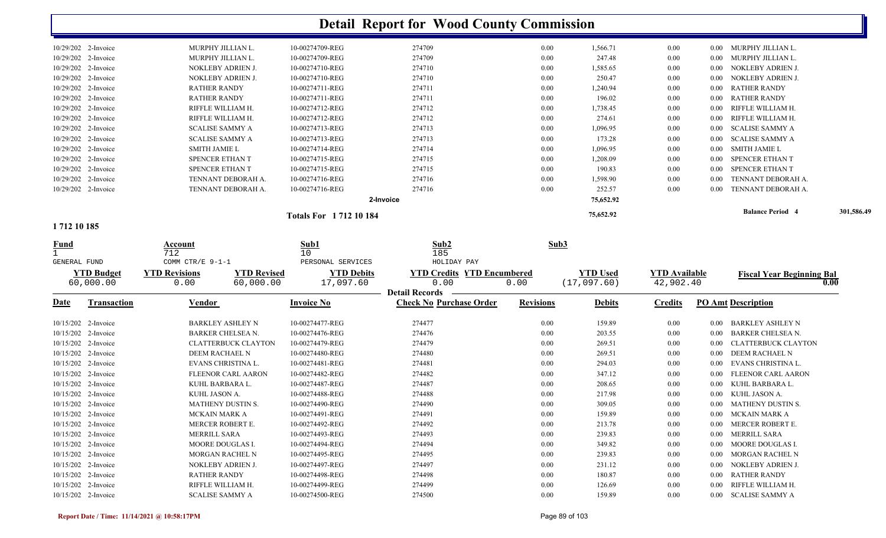|                          |                        |                             | <b>Detail Report for Wood County Commission</b> |      |           |      |      |                         |            |
|--------------------------|------------------------|-----------------------------|-------------------------------------------------|------|-----------|------|------|-------------------------|------------|
| 10/29/202 2-Invoice      | MURPHY JILLIAN L.      | 10-00274709-REG             | 274709                                          | 0.00 | 1,566.71  | 0.00 | 0.00 | MURPHY JILLIAN L.       |            |
| 10/29/202 2-Invoice      | MURPHY JILLIAN L.      | 10-00274709-REG             | 274709                                          | 0.00 | 247.48    | 0.00 | 0.00 | MURPHY JILLIAN L.       |            |
| 10/29/202 2-Invoice      | NOKLEBY ADRIEN J.      | 10-00274710-REG             | 274710                                          | 0.00 | 1,585.65  | 0.00 | 0.00 | NOKLEBY ADRIEN J.       |            |
| 10/29/202 2-Invoice      | NOKLEBY ADRIEN J.      | 10-00274710-REG             | 274710                                          | 0.00 | 250.47    | 0.00 | 0.00 | NOKLEBY ADRIEN J.       |            |
| 10/29/202 2-Invoice      | <b>RATHER RANDY</b>    | 10-00274711-REG             | 274711                                          | 0.00 | 1,240.94  | 0.00 | 0.00 | <b>RATHER RANDY</b>     |            |
| 10/29/202 2-Invoice      | <b>RATHER RANDY</b>    | 10-00274711-REG             | 274711                                          | 0.00 | 196.02    | 0.00 | 0.00 | <b>RATHER RANDY</b>     |            |
| 10/29/202 2-Invoice      | RIFFLE WILLIAM H.      | 10-00274712-REG             | 274712                                          | 0.00 | 1,738.45  | 0.00 | 0.00 | RIFFLE WILLIAM H.       |            |
| 10/29/202 2-Invoice      | RIFFLE WILLIAM H.      | 10-00274712-REG             | 274712                                          | 0.00 | 274.61    | 0.00 | 0.00 | RIFFLE WILLIAM H.       |            |
| 10/29/202 2-Invoice      | <b>SCALISE SAMMY A</b> | 10-00274713-REG             | 274713                                          | 0.00 | 1,096.95  | 0.00 | 0.00 | <b>SCALISE SAMMY A</b>  |            |
| 10/29/202 2-Invoice      | <b>SCALISE SAMMY A</b> | 10-00274713-REG             | 274713                                          | 0.00 | 173.28    | 0.00 | 0.00 | <b>SCALISE SAMMY A</b>  |            |
| 10/29/202 2-Invoice      | <b>SMITH JAMIE L</b>   | 10-00274714-REG             | 274714                                          | 0.00 | 1,096.95  | 0.00 | 0.00 | SMITH JAMIE L           |            |
| 10/29/202 2-Invoice      | SPENCER ETHAN T        | 10-00274715-REG             | 274715                                          | 0.00 | 1,208.09  | 0.00 | 0.00 | SPENCER ETHAN T         |            |
| 10/29/202 2-Invoice      | SPENCER ETHAN T        | 10-00274715-REG             | 274715                                          | 0.00 | 190.83    | 0.00 | 0.00 | SPENCER ETHAN T         |            |
| 10/29/202 2-Invoice      | TENNANT DEBORAH A.     | 10-00274716-REG             | 274716                                          | 0.00 | 1,598.90  | 0.00 | 0.00 | TENNANT DEBORAH A.      |            |
| 10/29/202 2-Invoice      | TENNANT DEBORAH A.     | 10-00274716-REG             | 274716                                          | 0.00 | 252.57    | 0.00 | 0.00 | TENNANT DEBORAH A.      |            |
|                          |                        |                             | 2-Invoice                                       |      | 75,652.92 |      |      |                         |            |
| $\rightarrow$ 548.40.405 |                        | <b>Totals For 171210184</b> |                                                 |      | 75,652.92 |      |      | <b>Balance Period 4</b> | 301,586.49 |

#### **1 712 10 185**

| <b>Fund</b>  |                                | Account<br>712<br>COMM CTR/E 9-1-1 |                                 | Sub1<br>10                                          | Sub <sub>2</sub><br>185                                                           | Sub3             |                                |                                   |                   |                                          |
|--------------|--------------------------------|------------------------------------|---------------------------------|-----------------------------------------------------|-----------------------------------------------------------------------------------|------------------|--------------------------------|-----------------------------------|-------------------|------------------------------------------|
| GENERAL FUND | <b>YTD Budget</b><br>60,000.00 | <b>YTD Revisions</b><br>0.00       | <b>YTD Revised</b><br>60,000.00 | PERSONAL SERVICES<br><b>YTD Debits</b><br>17,097.60 | HOLIDAY PAY<br><b>YTD Credits YTD Encumbered</b><br>0.00<br><b>Detail Records</b> | 0.00             | <b>YTD</b> Used<br>(17,097.60) | <b>YTD</b> Available<br>42,902.40 |                   | <b>Fiscal Year Beginning Bal</b><br>0.00 |
| <b>Date</b>  | <b>Transaction</b>             | <u>Vendor</u>                      |                                 | <b>Invoice No</b>                                   | <b>Check No Purchase Order</b>                                                    | <b>Revisions</b> | <b>Debits</b>                  | <b>Credits</b>                    |                   | <b>PO Amt Description</b>                |
|              | 10/15/202 2-Invoice            | <b>BARKLEY ASHLEY N</b>            |                                 | 10-00274477-REG                                     | 274477                                                                            | 0.00             | 159.89                         | 0.00                              | 0.00              | <b>BARKLEY ASHLEY N</b>                  |
|              | 10/15/202 2-Invoice            | <b>BARKER CHELSEA N.</b>           |                                 | 10-00274476-REG                                     | 274476                                                                            | 0.00             | 203.55                         | 0.00                              | 0.00              | <b>BARKER CHELSEA N.</b>                 |
|              | 10/15/202 2-Invoice            |                                    | <b>CLATTERBUCK CLAYTON</b>      | 10-00274479-REG                                     | 274479                                                                            | 0.00             | 269.51                         | 0.00                              | 0.00 <sub>1</sub> | <b>CLATTERBUCK CLAYTON</b>               |
|              | 10/15/202 2-Invoice            | <b>DEEM RACHAEL N</b>              |                                 | 10-00274480-REG                                     | 274480                                                                            | 0.00             | 269.51                         | 0.00                              | $0.00^{\circ}$    | <b>DEEM RACHAEL N</b>                    |
|              | 10/15/202 2-Invoice            | EVANS CHRISTINA L.                 |                                 | 10-00274481-REG                                     | 274481                                                                            | 0.00             | 294.03                         | 0.00                              | 0.00              | EVANS CHRISTINA L.                       |
|              | 10/15/202 2-Invoice            |                                    | FLEENOR CARL AARON              | 10-00274482-REG                                     | 274482                                                                            | 0.00             | 347.12                         | 0.00                              | 0.00              | <b>FLEENOR CARL AARON</b>                |
|              | 10/15/202 2-Invoice            | KUHL BARBARA L.                    |                                 | 10-00274487-REG                                     | 274487                                                                            | 0.00             | 208.65                         | 0.00                              | $0.00^{\circ}$    | KUHL BARBARA L.                          |
|              | 10/15/202 2-Invoice            | KUHL JASON A.                      |                                 | 10-00274488-REG                                     | 274488                                                                            | 0.00             | 217.98                         | 0.00                              | 0.00              | KUHL JASON A.                            |
|              | 10/15/202 2-Invoice            | <b>MATHENY DUSTIN S.</b>           |                                 | 10-00274490-REG                                     | 274490                                                                            | 0.00             | 309.05                         | 0.00                              | 0.00              | <b>MATHENY DUSTIN S.</b>                 |
|              | 10/15/202 2-Invoice            | <b>MCKAIN MARK A</b>               |                                 | 10-00274491-REG                                     | 274491                                                                            | 0.00             | 159.89                         | 0.00                              | 0.00              | <b>MCKAIN MARK A</b>                     |
|              | 10/15/202 2-Invoice            | MERCER ROBERT E.                   |                                 | 10-00274492-REG                                     | 274492                                                                            | 0.00             | 213.78                         | 0.00                              | 0.00              | <b>MERCER ROBERT E.</b>                  |
|              | 10/15/202 2-Invoice            | <b>MERRILL SARA</b>                |                                 | 10-00274493-REG                                     | 274493                                                                            | 0.00             | 239.83                         | 0.00                              | 0.00              | <b>MERRILL SARA</b>                      |
|              | 10/15/202 2-Invoice            | MOORE DOUGLAS I.                   |                                 | 10-00274494-REG                                     | 274494                                                                            | 0.00             | 349.82                         | 0.00                              | 0.00              | <b>MOORE DOUGLAS I.</b>                  |
|              | 10/15/202 2-Invoice            | <b>MORGAN RACHEL N</b>             |                                 | 10-00274495-REG                                     | 274495                                                                            | 0.00             | 239.83                         | 0.00                              | 0.00              | <b>MORGAN RACHEL N</b>                   |
|              | 10/15/202 2-Invoice            | NOKLEBY ADRIEN J.                  |                                 | 10-00274497-REG                                     | 274497                                                                            | 0.00             | 231.12                         | 0.00                              | 0.00 <sub>1</sub> | NOKLEBY ADRIEN J.                        |
|              | 10/15/202 2-Invoice            | <b>RATHER RANDY</b>                |                                 | 10-00274498-REG                                     | 274498                                                                            | 0.00             | 180.87                         | 0.00                              | $0.00\,$          | <b>RATHER RANDY</b>                      |
|              | 10/15/202 2-Invoice            | RIFFLE WILLIAM H.                  |                                 | 10-00274499-REG                                     | 274499                                                                            | 0.00             | 126.69                         | 0.00                              | 0.00              | RIFFLE WILLIAM H.                        |
|              | 10/15/202 2-Invoice            | <b>SCALISE SAMMY A</b>             |                                 | 10-00274500-REG                                     | 274500                                                                            | 0.00             | 159.89                         | 0.00                              | $0.00\,$          | <b>SCALISE SAMMY A</b>                   |
|              |                                |                                    |                                 |                                                     |                                                                                   |                  |                                |                                   |                   |                                          |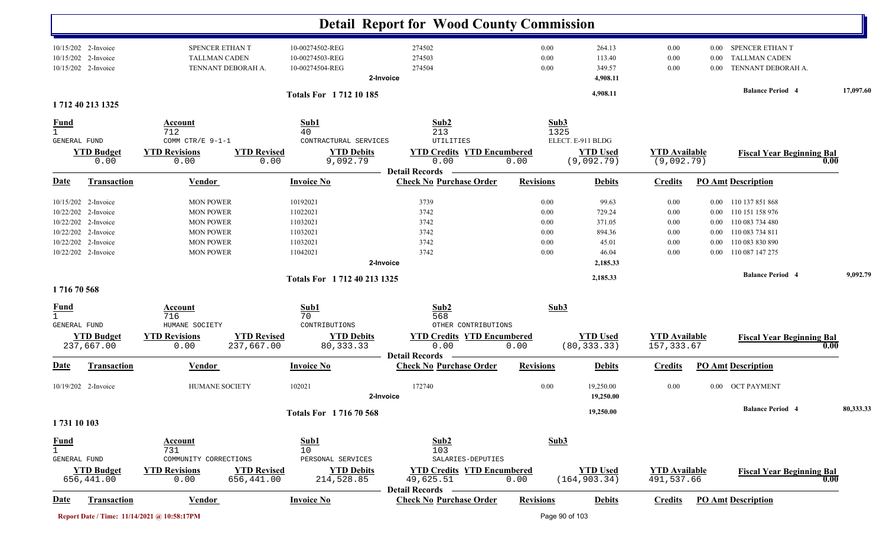|                                                                      |                                                               |                                                             | <b>Detail Report for Wood County Commission</b>         |                      |                                        |                                     |                          |                                                               |           |
|----------------------------------------------------------------------|---------------------------------------------------------------|-------------------------------------------------------------|---------------------------------------------------------|----------------------|----------------------------------------|-------------------------------------|--------------------------|---------------------------------------------------------------|-----------|
| 10/15/202 2-Invoice<br>10/15/202<br>2-Invoice<br>10/15/202 2-Invoice | SPENCER ETHAN T<br><b>TALLMAN CADEN</b><br>TENNANT DEBORAH A. | 10-00274502-REG<br>10-00274503-REG<br>10-00274504-REG       | 274502<br>274503<br>274504<br>2-Invoice                 | 0.00<br>0.00<br>0.00 | 264.13<br>113.40<br>349.57<br>4,908.11 | 0.00<br>0.00<br>0.00                | $0.00\,$<br>0.00<br>0.00 | SPENCER ETHAN T<br><b>TALLMAN CADEN</b><br>TENNANT DEBORAH A. |           |
| 1712 40 213 1325                                                     |                                                               | Totals For 1712 10 185                                      |                                                         |                      | 4,908.11                               |                                     |                          | <b>Balance Period 4</b>                                       | 17,097.60 |
| <u>Fund</u>                                                          | Account                                                       | Sub1                                                        | Sub2                                                    | Sub3                 |                                        |                                     |                          |                                                               |           |
|                                                                      | 712                                                           | 40                                                          | 213                                                     | 1325                 |                                        |                                     |                          |                                                               |           |
| <b>GENERAL FUND</b>                                                  | COMM CTR/E 9-1-1                                              | CONTRACTURAL SERVICES                                       | UTILITIES                                               |                      | ELECT. E-911 BLDG                      |                                     |                          |                                                               |           |
| <b>YTD Budget</b><br>0.00                                            | <b>YTD Revisions</b><br>0.00                                  | <b>YTD Revised</b><br><b>YTD Debits</b><br>9,092.79<br>0.00 | <b>YTD Credits YTD Encumbered</b><br>0.00               | 0.00                 | <b>YTD Used</b><br>(9,092.79)          | <b>YTD</b> Available<br>(9,092.79)  |                          | <b>Fiscal Year Beginning Bal</b>                              | 0.00      |
|                                                                      |                                                               |                                                             | <b>Detail Records</b>                                   |                      |                                        |                                     |                          |                                                               |           |
| <u>Date</u><br><b>Transaction</b>                                    | <b>Vendor</b>                                                 | <b>Invoice No</b>                                           | <b>Check No Purchase Order</b>                          | <b>Revisions</b>     | <b>Debits</b>                          | <b>Credits</b>                      |                          | <b>PO Amt Description</b>                                     |           |
| 10/15/202 2-Invoice                                                  | <b>MON POWER</b>                                              | 10192021                                                    | 3739                                                    | 0.00                 | 99.63                                  | 0.00                                |                          | 0.00 110 137 851 868                                          |           |
| 10/22/202 2-Invoice                                                  | <b>MON POWER</b>                                              | 11022021                                                    | 3742                                                    | 0.00                 | 729.24                                 | 0.00                                |                          | 0.00 110 151 158 976                                          |           |
| 10/22/202 2-Invoice                                                  | <b>MON POWER</b>                                              | 11032021                                                    | 3742                                                    | 0.00                 | 371.05                                 | 0.00                                |                          | 0.00 110 083 734 480                                          |           |
| 10/22/202 2-Invoice                                                  | <b>MON POWER</b>                                              | 11032021                                                    | 3742                                                    | 0.00                 | 894.36                                 | 0.00                                | $0.00\,$                 | 110 083 734 811                                               |           |
| 10/22/202<br>2-Invoice                                               | <b>MON POWER</b>                                              | 11032021                                                    | 3742                                                    | 0.00                 | 45.01                                  | 0.00                                | 0.00                     | 110 083 830 890                                               |           |
| 10/22/202 2-Invoice                                                  | <b>MON POWER</b>                                              | 11042021                                                    | 3742                                                    | 0.00                 | 46.04                                  | 0.00                                | 0.00                     | 110 087 147 275                                               |           |
|                                                                      |                                                               |                                                             | 2-Invoice                                               |                      | 2,185.33                               |                                     |                          |                                                               |           |
|                                                                      |                                                               | Totals For 1712 40 213 1325                                 |                                                         |                      | 2,185.33                               |                                     |                          | <b>Balance Period 4</b>                                       | 9,092.79  |
| 171670568                                                            |                                                               |                                                             |                                                         |                      |                                        |                                     |                          |                                                               |           |
| $\frac{Fund}{1}$                                                     | <b>Account</b>                                                | Sub1                                                        | Sub2                                                    | Sub3                 |                                        |                                     |                          |                                                               |           |
|                                                                      | 716                                                           | 70                                                          | 568                                                     |                      |                                        |                                     |                          |                                                               |           |
| <b>GENERAL FUND</b>                                                  | HUMANE SOCIETY                                                | CONTRIBUTIONS                                               | OTHER CONTRIBUTIONS                                     |                      |                                        |                                     |                          |                                                               |           |
| <b>YTD Budget</b><br>237,667.00                                      | <b>YTD Revisions</b><br>237,667.00<br>0.00                    | <b>YTD Revised</b><br><b>YTD Debits</b><br>80, 333. 33      | <b>YTD Credits YTD Encumbered</b><br>0.00               | 0.00                 | <b>YTD Used</b><br>(80, 333.33)        | <b>YTD</b> Available<br>157, 333.67 |                          | <b>Fiscal Year Beginning Bal</b>                              | 0.00      |
| Transaction<br><u>Date</u>                                           | Vendor                                                        | <b>Invoice No</b>                                           | <b>Detail Records</b><br><b>Check No Purchase Order</b> | <b>Revisions</b>     | <b>Debits</b>                          | <b>Credits</b>                      |                          | <b>PO Amt Description</b>                                     |           |
|                                                                      |                                                               |                                                             |                                                         |                      |                                        |                                     |                          |                                                               |           |
| 10/19/202 2-Invoice                                                  | HUMANE SOCIETY                                                | 102021                                                      | 172740                                                  | 0.00                 | 19,250.00                              | 0.00                                |                          | 0.00 OCT PAYMENT                                              |           |
|                                                                      |                                                               |                                                             | 2-Invoice                                               |                      | 19,250.00                              |                                     |                          |                                                               |           |
|                                                                      |                                                               | Totals For 171670568                                        |                                                         |                      | 19,250.00                              |                                     |                          | <b>Balance Period</b> 4                                       | 80,333.33 |
| 1731 10 103                                                          |                                                               |                                                             |                                                         |                      |                                        |                                     |                          |                                                               |           |
| <b>Fund</b>                                                          | <b>Account</b>                                                | Sub1                                                        | Sub2                                                    | Sub3                 |                                        |                                     |                          |                                                               |           |
| $\mathbf{1}$                                                         | 731                                                           | 10                                                          | 103                                                     |                      |                                        |                                     |                          |                                                               |           |
| GENERAL FUND                                                         | COMMUNITY CORRECTIONS                                         | PERSONAL SERVICES                                           | SALARIES-DEPUTIES                                       |                      |                                        |                                     |                          |                                                               |           |
| <b>YTD Budget</b>                                                    | <b>YTD Revisions</b>                                          | <b>YTD Revised</b><br><b>YTD Debits</b>                     | <b>YTD Credits YTD Encumbered</b>                       |                      | <b>YTD Used</b>                        | <b>YTD</b> Available                |                          | <b>Fiscal Year Beginning Bal</b>                              |           |
| 656,441.00                                                           | 0.00<br>656,441.00                                            | 214,528.85                                                  | 49,625.51                                               | 0.00                 | (164, 903.34)                          | 491,537.66                          |                          |                                                               | 0.00      |
| <b>Date</b><br><b>Transaction</b>                                    | <b>Vendor</b>                                                 | <b>Invoice No</b>                                           | <b>Detail Records</b><br><b>Check No Purchase Order</b> | <b>Revisions</b>     | <b>Debits</b>                          | <b>Credits</b>                      |                          | <b>PO Amt Description</b>                                     |           |
|                                                                      |                                                               |                                                             |                                                         |                      |                                        |                                     |                          |                                                               |           |
|                                                                      | Report Date / Time: 11/14/2021 @ 10:58:17PM                   |                                                             |                                                         | Page 90 of 103       |                                        |                                     |                          |                                                               |           |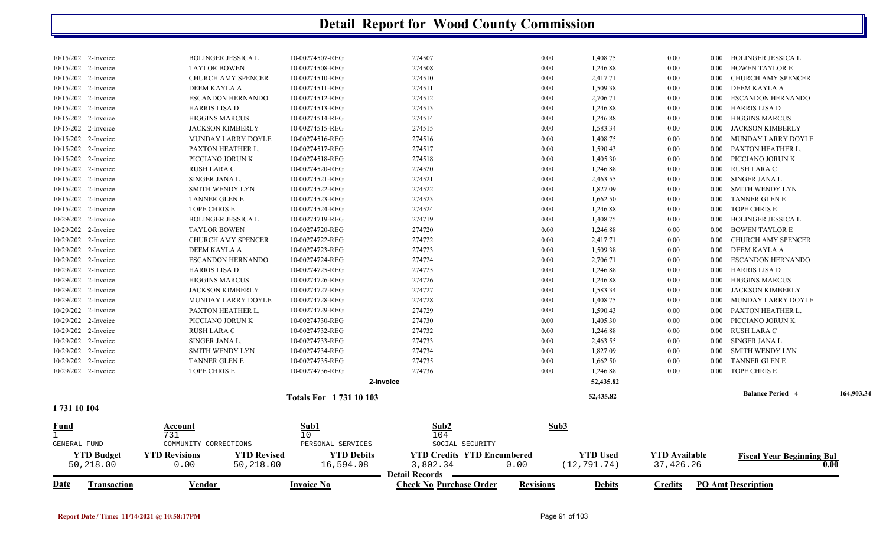| 1731 10 104                                |                                               |                                    |                  |              |                      |              |                |                                                  |            |
|--------------------------------------------|-----------------------------------------------|------------------------------------|------------------|--------------|----------------------|--------------|----------------|--------------------------------------------------|------------|
|                                            |                                               | <b>Totals For 173110103</b>        |                  |              | 52,435.82            |              |                | <b>Balance Period 4</b>                          | 164,903.34 |
|                                            |                                               | 2-Invoice                          |                  |              | 52,435.82            |              |                |                                                  |            |
| 10/29/202 2-Invoice                        | TOPE CHRIS E                                  | 10-00274736-REG                    | 274736           | 0.00         | 1,246.88             | $0.00\,$     |                | 0.00 TOPE CHRIS E                                |            |
| 10/29/202 2-Invoice                        | TANNER GLEN E                                 | 10-00274735-REG                    | 274735           | 0.00         | 1,662.50             | $0.00\,$     |                | 0.00 TANNER GLEN E                               |            |
| 10/29/202 2-Invoice                        | SMITH WENDY LYN                               | 10-00274734-REG                    | 274734           | 0.00         | 1,827.09             | 0.00         | $0.00\,$       | SMITH WENDY LYN                                  |            |
| 10/29/202 2-Invoice                        | SINGER JANA L.                                | 10-00274733-REG                    | 274733           | 0.00         | 2,463.55             | 0.00         | $0.00\,$       | SINGER JANA L.                                   |            |
| 10/29/202 2-Invoice                        | <b>RUSH LARA C</b>                            | 10-00274732-REG                    | 274732           | 0.00         | 1,246.88             | 0.00         |                | 0.00 RUSH LARA C                                 |            |
| 10/29/202 2-Invoice                        | PICCIANO JORUN K                              | 10-00274730-REG                    | 274730           | 0.00         | 1,405.30             | $0.00\,$     |                | 0.00 PICCIANO JORUN K                            |            |
| 10/29/202 2-Invoice                        | PAXTON HEATHER L.                             | 10-00274729-REG                    | 274729           | 0.00         | 1,590.43             | $0.00\,$     |                | 0.00 PAXTON HEATHER L.                           |            |
| 10/29/202 2-Invoice                        | MUNDAY LARRY DOYLE                            | 10-00274728-REG                    | 274728           | 0.00         | 1,408.75             | $0.00\,$     |                | 0.00 MUNDAY LARRY DOYLE                          |            |
| 10/29/202 2-Invoice                        | <b>JACKSON KIMBERLY</b>                       | 10-00274727-REG                    | 274727           | 0.00         | 1,583.34             | $0.00\,$     |                | 0.00 JACKSON KIMBERLY                            |            |
| 10/29/202 2-Invoice                        | <b>HIGGINS MARCUS</b>                         | 10-00274726-REG                    | 274726           | 0.00         | 1,246.88             | $0.00\,$     |                | 0.00 HIGGINS MARCUS                              |            |
| 10/29/202 2-Invoice                        | <b>HARRIS LISA D</b>                          | 10-00274725-REG                    | 274725           | 0.00         | 1,246.88             | 0.00         |                | 0.00 HARRIS LISA D                               |            |
| 10/29/202 2-Invoice                        | <b>ESCANDON HERNANDO</b>                      | 10-00274724-REG                    | 274724           | 0.00         | 2,706.71             | 0.00         |                | 0.00 ESCANDON HERNANDO                           |            |
| 10/29/202 2-Invoice                        | DEEM KAYLA A                                  | 10-00274723-REG                    | 274723           | 0.00         | 1,509.38             | $0.00\,$     |                | 0.00 DEEM KAYLA A                                |            |
| 10/29/202 2-Invoice                        | <b>CHURCH AMY SPENCER</b>                     | 10-00274722-REG                    | 274722           | 0.00         | 2,417.71             | 0.00         | $0.00^{\circ}$ | CHURCH AMY SPENCER                               |            |
| 10/29/202 2-Invoice                        | <b>TAYLOR BOWEN</b>                           | 10-00274720-REG                    | 274720           | 0.00         | 1,246.88             | $0.00\,$     |                | 0.00 BOWEN TAYLOR E                              |            |
| 10/29/202 2-Invoice                        | <b>BOLINGER JESSICA L</b>                     | 10-00274719-REG                    | 274719           | 0.00         | 1,408.75             | $0.00\,$     | $0.00 -$       | <b>BOLINGER JESSICA L</b>                        |            |
| 10/15/202 2-Invoice                        | TOPE CHRIS E                                  | 10-00274524-REG                    | 274524           | 0.00         | 1,246.88             | 0.00         | $0.00\,$       | TOPE CHRIS E                                     |            |
| 10/15/202 2-Invoice                        | TANNER GLEN E                                 | 10-00274523-REG                    | 274523           | 0.00         | 1,662.50             | 0.00         |                | 0.00 TANNER GLEN E                               |            |
| 10/15/202 2-Invoice                        | <b>SMITH WENDY LYN</b>                        | 10-00274522-REG                    | 274522           | 0.00         | 1,827.09             | 0.00         | $0.00 -$       | SMITH WENDY LYN                                  |            |
| 10/15/202 2-Invoice                        | SINGER JANA L.                                | 10-00274521-REG                    | 274521           | 0.00         | 2,463.55             | 0.00         |                | 0.00 SINGER JANA L.                              |            |
| 10/15/202 2-Invoice                        | RUSH LARA C                                   | 10-00274520-REG                    | 274520           | 0.00         | 1,246.88             | 0.00         |                | 0.00 RUSH LARA C                                 |            |
| 10/15/202 2-Invoice                        | PICCIANO JORUN K                              | 10-00274518-REG                    | 274518           | 0.00         | 1,405.30             | 0.00         |                | 0.00 PICCIANO JORUN K                            |            |
| 10/15/202 2-Invoice                        | PAXTON HEATHER L.                             | 10-00274517-REG                    | 274517           | 0.00         | 1,590.43             | 0.00         |                | 0.00 PAXTON HEATHER L.                           |            |
| 10/15/202 2-Invoice<br>10/15/202 2-Invoice | <b>JACKSON KIMBERLY</b><br>MUNDAY LARRY DOYLE | 10-00274515-REG<br>10-00274516-REG | 274515<br>274516 | 0.00<br>0.00 | 1,583.34<br>1,408.75 | 0.00<br>0.00 |                | 0.00 JACKSON KIMBERLY<br>0.00 MUNDAY LARRY DOYLE |            |
| 10/15/202 2-Invoice                        | <b>HIGGINS MARCUS</b>                         | 10-00274514-REG                    | 274514           | 0.00         | 1,246.88             | 0.00         |                | 0.00 HIGGINS MARCUS                              |            |
| 10/15/202 2-Invoice                        | HARRIS LISA D                                 | 10-00274513-REG                    | 274513           | 0.00         | 1,246.88             | 0.00         |                | 0.00 HARRIS LISA D                               |            |
| 10/15/202 2-Invoice                        | <b>ESCANDON HERNANDO</b>                      | 10-00274512-REG                    | 274512           | 0.00         | 2,706.71             | 0.00         |                | 0.00 ESCANDON HERNANDO                           |            |
| 10/15/202 2-Invoice                        | DEEM KAYLA A                                  | 10-00274511-REG                    | 274511           | 0.00         | 1,509.38             | $0.00\,$     |                | 0.00 DEEM KAYLA A                                |            |
| 10/15/202 2-Invoice                        | CHURCH AMY SPENCER                            | 10-00274510-REG                    | 274510           | 0.00         | 2,417.71             | $0.00\,$     |                | 0.00 CHURCH AMY SPENCER                          |            |
| 10/15/202 2-Invoice                        | <b>TAYLOR BOWEN</b>                           | 10-00274508-REG                    | 274508           | 0.00         | 1,246.88             | 0.00         |                | 0.00 BOWEN TAYLOR E                              |            |
| 10/15/202 2-Invoice                        | <b>BOLINGER JESSICA L</b>                     | 10-00274507-REG                    | 274507           | 0.00         | 1,408.75             | 0.00         |                | 0.00 BOLINGER JESSICA L                          |            |
|                                            |                                               |                                    |                  |              |                      |              |                |                                                  |            |

| Date         | Transaction                    | <u>Vendor</u>                |                                 | <b>Invoice No</b>              | <b>Check No Purchase Order</b>                                         | <b>Revisions</b> | <b>Debits</b>            | <u>Credits</u>             | <b>PO Amt Description</b>                |
|--------------|--------------------------------|------------------------------|---------------------------------|--------------------------------|------------------------------------------------------------------------|------------------|--------------------------|----------------------------|------------------------------------------|
|              | <u>YTD Budget</u><br>50,218.00 | <b>YTD Revisions</b><br>0.00 | <b>YTD Revised</b><br>50,218.00 | <b>YTD Debits</b><br>16,594.08 | <b>YTD Credits YTD Encumbered</b><br>3,802.34<br><b>Detail Records</b> | 0.00             | YTD Used<br>(12, 791.74) | YTD Available<br>37,426.26 | <b>Fiscal Year Beginning Bal</b><br>0.00 |
| GENERAL FUND |                                | COMMUNITY CORRECTIONS        |                                 | PERSONAL SERVICES              | SOCIAL SECURITY                                                        |                  |                          |                            |                                          |
|              |                                | 731                          |                                 | 10                             | 104                                                                    |                  |                          |                            |                                          |
| <u>Fund</u>  |                                | Account                      |                                 | <u>Sub1</u>                    | $\frac{\text{Sub2}}{\text{Sub2}}$                                      | Sub3             |                          |                            |                                          |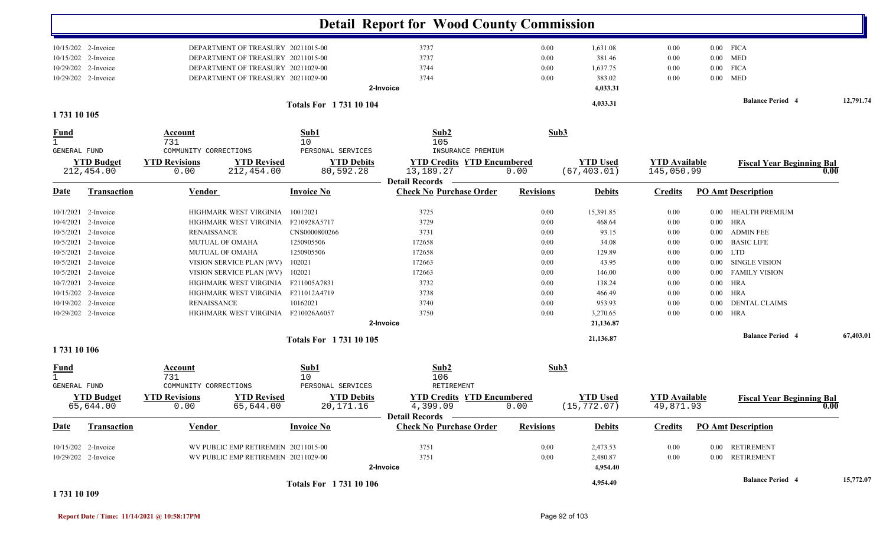|                               |                     |                       |                                     |                             | <b>Detail Report for Wood County Commission</b>         |                  |                 |                      |          |                                  |           |
|-------------------------------|---------------------|-----------------------|-------------------------------------|-----------------------------|---------------------------------------------------------|------------------|-----------------|----------------------|----------|----------------------------------|-----------|
|                               | 10/15/202 2-Invoice |                       | DEPARTMENT OF TREASURY 20211015-00  |                             | 3737                                                    | 0.00             | 1,631.08        | $0.00\,$             |          | $0.00$ FICA                      |           |
|                               | 10/15/202 2-Invoice |                       | DEPARTMENT OF TREASURY 20211015-00  |                             | 3737                                                    | 0.00             | 381.46          | 0.00                 | $0.00\,$ | <b>MED</b>                       |           |
|                               | 10/29/202 2-Invoice |                       | DEPARTMENT OF TREASURY 20211029-00  |                             | 3744                                                    | 0.00             | 1,637.75        | 0.00                 | $0.00\,$ | <b>FICA</b>                      |           |
|                               | 10/29/202 2-Invoice |                       | DEPARTMENT OF TREASURY 20211029-00  |                             | 3744                                                    | 0.00             | 383.02          | 0.00                 | $0.00\,$ | <b>MED</b>                       |           |
|                               |                     |                       |                                     |                             | 2-Invoice                                               |                  | 4,033.31        |                      |          | <b>Balance Period 4</b>          | 12,791.74 |
| 1731 10 105                   |                     |                       |                                     | <b>Totals For 173110104</b> |                                                         |                  | 4,033.31        |                      |          |                                  |           |
| <u>Fund</u><br>$\overline{1}$ |                     | Account<br>731        |                                     | Sub1<br>10                  | Sub2<br>105                                             | Sub3             |                 |                      |          |                                  |           |
| <b>GENERAL FUND</b>           |                     | COMMUNITY CORRECTIONS |                                     | PERSONAL SERVICES           | INSURANCE PREMIUM                                       |                  |                 |                      |          |                                  |           |
|                               | <b>YTD Budget</b>   | <b>YTD Revisions</b>  | <b>YTD Revised</b>                  | <b>YTD Debits</b>           | <b>YTD Credits YTD Encumbered</b>                       |                  | <b>YTD Used</b> | <b>YTD</b> Available |          | <b>Fiscal Year Beginning Bal</b> |           |
|                               | 212,454.00          | 0.00                  | 212,454.00                          | 80,592.28                   | 13,189.27                                               | 0.00             | (67, 403.01)    | 145,050.99           |          |                                  |           |
| <u>Date</u>                   | <b>Transaction</b>  | Vendor                |                                     | <b>Invoice No</b>           | <b>Detail Records</b><br><b>Check No Purchase Order</b> | <b>Revisions</b> | <b>Debits</b>   | <b>Credits</b>       |          | <b>PO Amt Description</b>        |           |
|                               | 10/1/2021 2-Invoice |                       | HIGHMARK WEST VIRGINIA              | 10012021                    | 3725                                                    | 0.00             | 15,391.85       | 0.00                 | $0.00\,$ | <b>HEALTH PREMIUM</b>            |           |
|                               | 10/4/2021 2-Invoice |                       | HIGHMARK WEST VIRGINIA F210928A5717 |                             | 3729                                                    | 0.00             | 468.64          | 0.00                 | $0.00\,$ | HRA                              |           |
|                               | 10/5/2021 2-Invoice | <b>RENAISSANCE</b>    |                                     | CNS0000800266               | 3731                                                    | 0.00             | 93.15           | 0.00                 | $0.00\,$ | <b>ADMIN FEE</b>                 |           |
|                               | 10/5/2021 2-Invoice |                       | <b>MUTUAL OF OMAHA</b>              | 1250905506                  | 172658                                                  | 0.00             | 34.08           | 0.00                 | $0.00\,$ | <b>BASIC LIFE</b>                |           |
|                               | 10/5/2021 2-Invoice |                       | <b>MUTUAL OF OMAHA</b>              | 1250905506                  | 172658                                                  | 0.00             | 129.89          | 0.00                 | $0.00\,$ | <b>LTD</b>                       |           |
|                               | 10/5/2021 2-Invoice |                       | VISION SERVICE PLAN (WV)            | 102021                      | 172663                                                  | 0.00             | 43.95           | 0.00                 | $0.00\,$ | <b>SINGLE VISION</b>             |           |
|                               | 10/5/2021 2-Invoice |                       | VISION SERVICE PLAN (WV)            | 102021                      | 172663                                                  | 0.00             | 146.00          | 0.00                 | 0.00     | <b>FAMILY VISION</b>             |           |
|                               | 10/7/2021 2-Invoice |                       | HIGHMARK WEST VIRGINIA F211005A7831 |                             | 3732                                                    | 0.00             | 138.24          | 0.00                 | $0.00\,$ | HRA                              |           |
|                               | 10/15/202 2-Invoice |                       | HIGHMARK WEST VIRGINIA              | F211012A4719                | 3738                                                    | 0.00             | 466.49          | 0.00                 | $0.00\,$ | <b>HRA</b>                       |           |
|                               | 10/19/202 2-Invoice | <b>RENAISSANCE</b>    |                                     | 10162021                    | 3740                                                    | 0.00             | 953.93          | 0.00                 | $0.00\,$ | <b>DENTAL CLAIMS</b>             |           |
|                               | 10/29/202 2-Invoice |                       | HIGHMARK WEST VIRGINIA F210026A6057 |                             | 3750                                                    | 0.00             | 3,270.65        | 0.00                 |          | $0.00$ HRA                       |           |
|                               |                     |                       |                                     |                             | 2-Invoice                                               |                  | 21,136.87       |                      |          |                                  |           |
| 1731 10 106                   |                     |                       |                                     | Totals For 1731 10 105      |                                                         |                  | 21,136.87       |                      |          | <b>Balance Period 4</b>          | 67,403.01 |
| <u>Fund</u><br>$\mathbf{1}$   |                     | <b>Account</b><br>731 |                                     | Sub1<br>10                  | Sub2<br>106                                             | Sub3             |                 |                      |          |                                  |           |
| <b>GENERAL FUND</b>           |                     | COMMUNITY CORRECTIONS |                                     | PERSONAL SERVICES           | RETIREMENT                                              |                  |                 |                      |          |                                  |           |
|                               | <b>YTD Budget</b>   | <b>YTD Revisions</b>  | <b>YTD Revised</b>                  | <b>YTD Debits</b>           | <b>YTD Credits YTD Encumbered</b>                       |                  | <b>YTD Used</b> | <b>YTD</b> Available |          | <b>Fiscal Year Beginning Bal</b> |           |
|                               | 65,644.00           | 0.00                  | 65,644.00                           | 20,171.16                   | 4,399.09<br>Detail Records -                            | 0.00             | (15, 772.07)    | 49,871.93            |          |                                  | v.vv      |
| <u>Date</u>                   | Transaction         | Vendor                |                                     | <b>Invoice No</b>           | <b>Check No Purchase Order</b>                          | <b>Revisions</b> | <b>Debits</b>   | <b>Credits</b>       |          | <b>PO Amt Description</b>        |           |
|                               | 10/15/202 2-Invoice |                       | WV PUBLIC EMP RETIREMEN 20211015-00 |                             | 3751                                                    | 0.00             | 2,473.53        | $0.00\,$             |          | 0.00 RETIREMENT                  |           |
|                               | 10/29/202 2-Invoice |                       | WV PUBLIC EMP RETIREMEN 20211029-00 |                             | 3751                                                    | 0.00             | 2,480.87        | 0.00                 |          | 0.00 RETIREMENT                  |           |
|                               |                     |                       |                                     |                             | 2-Invoice                                               |                  | 4,954.40        |                      |          |                                  |           |
|                               |                     |                       |                                     | <b>Totals For 173110106</b> |                                                         |                  | 4,954.40        |                      |          | <b>Balance Period 4</b>          | 15,772.07 |
| 1 731 10 109                  |                     |                       |                                     |                             |                                                         |                  |                 |                      |          |                                  |           |

**Report Date / Time: 11/14/2021 @ 10:58:17PM** Page 92 of 103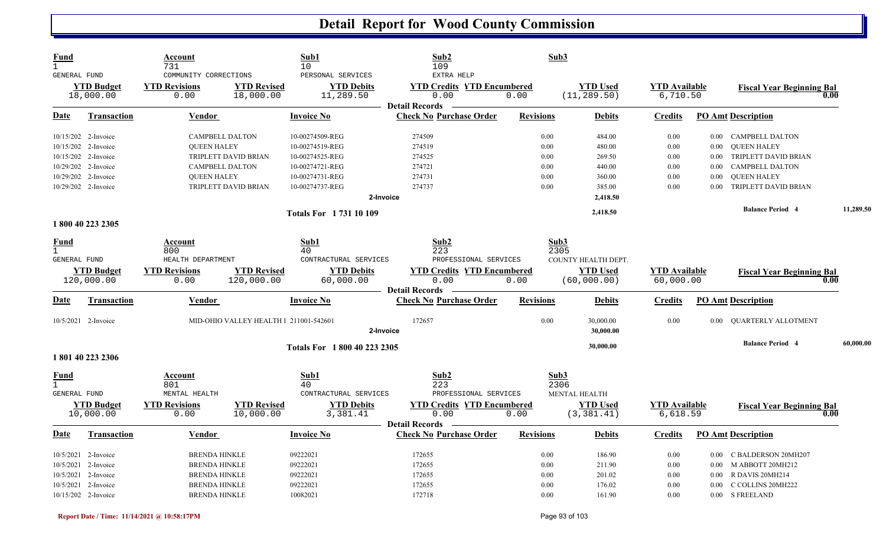| <b>Fund</b><br>$\mathbf{1}$<br><b>GENERAL FUND</b> |                                            | Account<br>731<br>COMMUNITY CORRECTIONS | Sub1<br>10<br>PERSONAL SERVICES                                   | Sub2<br>109<br>EXTRA HELP                                          | Sub3             |                                 |                                  |                           |                                          |           |
|----------------------------------------------------|--------------------------------------------|-----------------------------------------|-------------------------------------------------------------------|--------------------------------------------------------------------|------------------|---------------------------------|----------------------------------|---------------------------|------------------------------------------|-----------|
|                                                    | <b>YTD Budget</b><br>18,000.00             | <b>YTD Revisions</b><br>0.00            | <b>YTD Revised</b><br><b>YTD Debits</b><br>18,000.00<br>11,289.50 | <b>YTD Credits YTD Encumbered</b><br>0.00<br><b>Detail Records</b> | 0.00             | <b>YTD Used</b><br>(11, 289.50) | <b>YTD</b> Available<br>6,710.50 |                           | <b>Fiscal Year Beginning Bal</b><br>0.00 |           |
| Date                                               | <b>Transaction</b>                         | <b>Vendor</b>                           | <b>Invoice No</b>                                                 | <b>Check No Purchase Order</b>                                     | <b>Revisions</b> | <b>Debits</b>                   | <b>Credits</b>                   | <b>PO Amt Description</b> |                                          |           |
|                                                    | 10/15/202 2-Invoice                        | <b>CAMPBELL DALTON</b>                  | 10-00274509-REG                                                   | 274509                                                             | 0.00             | 484.00                          | 0.00                             | $0.00\,$                  | CAMPBELL DALTON                          |           |
|                                                    | 10/15/202 2-Invoice                        | <b>OUEEN HALEY</b>                      | 10-00274519-REG                                                   | 274519                                                             | 0.00             | 480.00                          | 0.00                             | 0.00                      | <b>OUEEN HALEY</b>                       |           |
|                                                    | 10/15/202 2-Invoice                        | TRIPLETT DAVID BRIAN                    | 10-00274525-REG                                                   | 274525                                                             | 0.00             | 269.50                          | 0.00                             | 0.00                      | TRIPLETT DAVID BRIAN                     |           |
|                                                    | 10/29/202 2-Invoice                        | CAMPBELL DALTON                         | 10-00274721-REG                                                   | 274721                                                             | 0.00             | 440.00                          | 0.00                             | 0.00                      | CAMPBELL DALTON                          |           |
|                                                    | 10/29/202 2-Invoice                        | <b>QUEEN HALEY</b>                      | 10-00274731-REG                                                   | 274731                                                             | 0.00             | 360.00                          | 0.00                             | 0.00                      | <b>QUEEN HALEY</b>                       |           |
|                                                    | 10/29/202 2-Invoice                        | TRIPLETT DAVID BRIAN                    | 10-00274737-REG                                                   | 274737                                                             | 0.00             | 385.00                          | 0.00                             | 0.00                      | TRIPLETT DAVID BRIAN                     |           |
|                                                    |                                            |                                         |                                                                   | 2-Invoice                                                          |                  | 2,418.50                        |                                  |                           |                                          |           |
|                                                    |                                            |                                         | <b>Totals For 173110109</b>                                       |                                                                    |                  | 2,418.50                        |                                  |                           | <b>Balance Period 4</b>                  | 11,289.50 |
|                                                    | 1800 40 223 2305                           |                                         |                                                                   |                                                                    |                  |                                 |                                  |                           |                                          |           |
| <b>Fund</b>                                        |                                            | Account                                 | Sub1                                                              | Sub2                                                               | Sub3             |                                 |                                  |                           |                                          |           |
| $\mathbf{1}$<br><b>GENERAL FUND</b>                |                                            | 800<br>HEALTH DEPARTMENT                | 40<br>CONTRACTURAL SERVICES                                       | 223<br>PROFESSIONAL SERVICES                                       | 2305             | COUNTY HEALTH DEPT.             |                                  |                           |                                          |           |
|                                                    | <b>YTD Budget</b>                          | <b>YTD Revisions</b>                    | <b>YTD Revised</b><br><b>YTD Debits</b>                           | <b>YTD Credits YTD Encumbered</b>                                  |                  | <b>YTD Used</b>                 | <b>YTD Available</b>             |                           |                                          |           |
|                                                    | 120,000.00                                 | 0.00                                    | 60,000.00<br>120,000.00                                           | 0.00                                                               | 0.00             | (60,000.00)                     | 60,000.00                        |                           | <b>Fiscal Year Beginning Bal</b><br>0.00 |           |
|                                                    |                                            |                                         |                                                                   | <b>Detail Records</b>                                              |                  |                                 |                                  |                           |                                          |           |
| <u>Date</u>                                        | Transaction                                | Vendor                                  | <b>Invoice No</b>                                                 | <b>Check No Purchase Order</b>                                     | <b>Revisions</b> | <b>Debits</b>                   | <b>Credits</b>                   | <b>PO Amt Description</b> |                                          |           |
|                                                    |                                            |                                         |                                                                   |                                                                    |                  |                                 |                                  |                           |                                          |           |
|                                                    | 10/5/2021 2-Invoice                        |                                         | MID-OHIO VALLEY HEALTH   211001-542601                            | 172657<br>2-Invoice                                                | 0.00             | 30,000.00<br>30,000.00          | 0.00                             | 0.00                      | <b>QUARTERLY ALLOTMENT</b>               |           |
|                                                    |                                            |                                         | Totals For 1800 40 223 2305                                       |                                                                    |                  | 30,000.00                       |                                  |                           | <b>Balance Period 4</b>                  | 60,000.00 |
|                                                    | 1801402232306                              |                                         |                                                                   |                                                                    |                  |                                 |                                  |                           |                                          |           |
| <u>Fund</u><br>$\mathbf{1}$<br><b>GENERAL FUND</b> |                                            | <b>Account</b><br>801<br>MENTAL HEALTH  | Sub1<br>40<br>CONTRACTURAL SERVICES                               | Sub2<br>223<br>PROFESSIONAL SERVICES                               | Sub3<br>2306     |                                 |                                  |                           |                                          |           |
|                                                    |                                            |                                         |                                                                   |                                                                    |                  | MENTAL HEALTH                   |                                  |                           |                                          |           |
|                                                    | <b>YTD Budget</b><br>10,000.00             | <b>YTD Revisions</b><br>0.00            | <b>YTD Revised</b><br><b>YTD Debits</b><br>3,381.41<br>10,000.00  | <b>YTD Credits YTD Encumbered</b><br>0.00                          | 0.00             | <b>YTD</b> Used<br>(3, 381.41)  | <b>YTD</b> Available<br>6,618.59 |                           | <b>Fiscal Year Beginning Bal</b><br>0.00 |           |
|                                                    |                                            |                                         |                                                                   | <b>Detail Records</b>                                              |                  |                                 |                                  |                           |                                          |           |
| Date                                               | Transaction                                | Vendor                                  | <b>Invoice No</b>                                                 | <b>Check No Purchase Order</b>                                     | <b>Revisions</b> | <b>Debits</b>                   | <b>Credits</b>                   | <b>PO Amt Description</b> |                                          |           |
|                                                    | 10/5/2021 2-Invoice                        | <b>BRENDA HINKLE</b>                    | 09222021                                                          | 172655                                                             | 0.00             | 186.90                          | 0.00                             | $0.00\,$                  | C BALDERSON 20MH207                      |           |
|                                                    | 10/5/2021 2-Invoice                        | <b>BRENDA HINKLE</b>                    | 09222021                                                          | 172655                                                             | 0.00             | 211.90                          | 0.00                             | $0.00\,$                  | M ABBOTT 20MH212                         |           |
|                                                    | 10/5/2021 2-Invoice                        | <b>BRENDA HINKLE</b>                    | 09222021                                                          | 172655                                                             | 0.00             | 201.02                          | 0.00                             | 0.00                      | R DAVIS 20MH214                          |           |
|                                                    | 10/5/2021 2-Invoice<br>10/15/202 2-Invoice | <b>BRENDA HINKLE</b>                    | 09222021<br>10082021                                              | 172655<br>172718                                                   | 0.00<br>0.00     | 176.02<br>161.90                | 0.00<br>0.00                     | 0.00                      | C COLLINS 20MH222<br>0.00 S FREELAND     |           |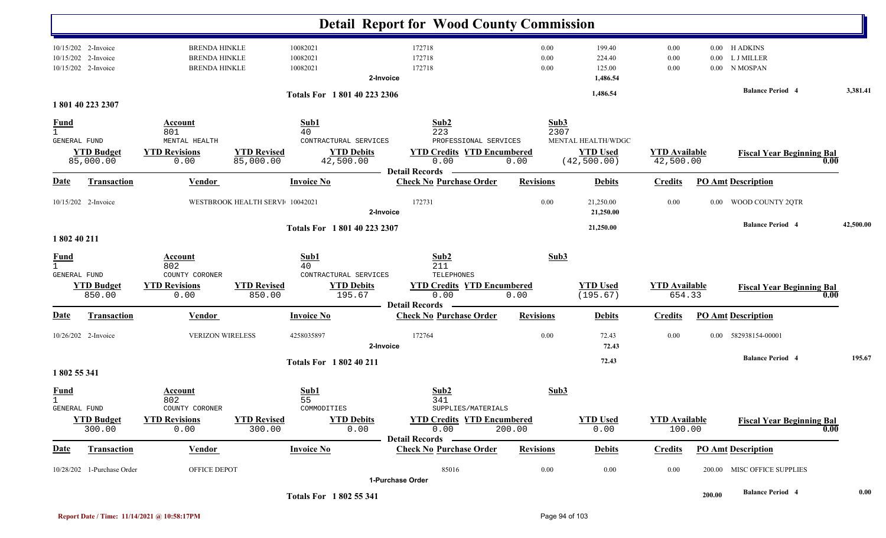|                                                    |                                                                   |                                                                        |                                 |                                                                       | <b>Detail Report for Wood County Commission</b>                                                            |                      |                                                       |                                   |                  |                                          |           |
|----------------------------------------------------|-------------------------------------------------------------------|------------------------------------------------------------------------|---------------------------------|-----------------------------------------------------------------------|------------------------------------------------------------------------------------------------------------|----------------------|-------------------------------------------------------|-----------------------------------|------------------|------------------------------------------|-----------|
|                                                    | 10/15/202 2-Invoice<br>10/15/202 2-Invoice<br>10/15/202 2-Invoice | <b>BRENDA HINKLE</b><br><b>BRENDA HINKLE</b><br><b>BRENDA HINKLE</b>   |                                 | 10082021<br>10082021<br>10082021                                      | 172718<br>172718<br>172718<br>2-Invoice                                                                    | 0.00<br>0.00<br>0.00 | 199.40<br>224.40<br>125.00<br>1,486.54                | 0.00<br>0.00<br>0.00              | 0.00<br>$0.00\,$ | 0.00 H ADKINS<br>L J MILLER<br>N MOSPAN  |           |
|                                                    | 1801 40 223 2307                                                  |                                                                        |                                 | Totals For 1801 40 223 2306                                           |                                                                                                            |                      | 1,486.54                                              |                                   |                  | <b>Balance Period 4</b>                  | 3,381.41  |
| <b>Fund</b><br>$\mathbf{1}$<br><b>GENERAL FUND</b> | <b>YTD Budget</b><br>85,000.00                                    | <b>Account</b><br>801<br>MENTAL HEALTH<br><b>YTD Revisions</b><br>0.00 | <b>YTD Revised</b><br>85,000.00 | Sub1<br>40<br>CONTRACTURAL SERVICES<br><b>YTD Debits</b><br>42,500.00 | Sub2<br>223<br>PROFESSIONAL SERVICES<br><b>YTD Credits YTD Encumbered</b><br>0.00<br><b>Detail Records</b> | Sub3<br>2307<br>0.00 | MENTAL HEALTH/WDGC<br><b>YTD Used</b><br>(42, 500.00) | <b>YTD Available</b><br>42,500.00 |                  | <b>Fiscal Year Beginning Bal</b><br>0.00 |           |
| <u>Date</u>                                        | <b>Transaction</b>                                                | <b>Vendor</b>                                                          |                                 | <b>Invoice No</b>                                                     | <b>Check No Purchase Order</b>                                                                             | <b>Revisions</b>     | <b>Debits</b>                                         | <b>Credits</b>                    |                  | <b>PO Amt Description</b>                |           |
|                                                    | 10/15/202 2-Invoice                                               |                                                                        | WESTBROOK HEALTH SERVI 10042021 |                                                                       | 172731<br>2-Invoice                                                                                        | 0.00                 | 21,250.00<br>21,250.00                                | 0.00                              | $0.00\,$         | WOOD COUNTY 2QTR                         |           |
| 1 802 40 211                                       |                                                                   |                                                                        |                                 | Totals For 1801 40 223 2307                                           |                                                                                                            |                      | 21,250.00                                             |                                   |                  | <b>Balance Period 4</b>                  | 42,500.00 |
| <u>Fund</u><br>$\mathbf{1}$<br>GENERAL FUND        | <b>YTD Budget</b><br>850.00                                       | Account<br>802<br>COUNTY CORONER<br><b>YTD Revisions</b><br>0.00       | <b>YTD Revised</b><br>850.00    | Sub1<br>40<br>CONTRACTURAL SERVICES<br><b>YTD Debits</b><br>195.67    | Sub2<br>211<br>TELEPHONES<br><b>YTD Credits YTD Encumbered</b><br>0.00                                     | Sub3<br>0.00         | <b>YTD Used</b><br>(195.67)                           | <b>YTD Available</b><br>654.33    |                  | <b>Fiscal Year Beginning Bal</b><br>0.00 |           |
| Date                                               | <b>Transaction</b>                                                | <b>Vendor</b>                                                          |                                 | <b>Invoice No</b>                                                     | <b>Detail Records</b><br><b>Check No Purchase Order</b>                                                    | <b>Revisions</b>     | <b>Debits</b>                                         | <b>Credits</b>                    |                  | <b>PO Amt Description</b>                |           |
|                                                    | 10/26/202 2-Invoice                                               | <b>VERIZON WIRELESS</b>                                                |                                 | 4258035897                                                            | 172764<br>2-Invoice                                                                                        | 0.00                 | 72.43<br>72.43                                        | 0.00                              | $0.00\,$         | 582938154-00001                          |           |
| 1802 55 341                                        |                                                                   |                                                                        |                                 | <b>Totals For 1802 40 211</b>                                         |                                                                                                            |                      | 72.43                                                 |                                   |                  | <b>Balance Period 4</b>                  | 195.67    |
| <b>Fund</b><br>GENERAL FUND                        | <b>YTD Budget</b>                                                 | <b>Account</b><br>802<br>COUNTY CORONER<br><b>YTD Revisions</b>        | <b>YTD Revised</b>              | Sub1<br>55<br>COMMODITIES<br><b>YTD Debits</b>                        | Sub2<br>341<br>SUPPLIES/MATERIALS<br><b>YTD Credits YTD Encumbered</b>                                     | Sub3                 | <b>YTD Used</b>                                       | <b>YTD Available</b>              |                  | <b>Fiscal Year Beginning Bal</b>         |           |
|                                                    | 300.00                                                            | 0.00                                                                   | 300.00                          | 0.00                                                                  | 0.00<br>Detail Records -                                                                                   | 200.00               | 0.00                                                  | 100.00                            |                  | 0.00                                     |           |
| <b>Date</b>                                        | Transaction                                                       | <b>Vendor</b>                                                          |                                 | <b>Invoice No</b>                                                     | <b>Check No Purchase Order</b>                                                                             | <b>Revisions</b>     | <b>Debits</b>                                         | <b>Credits</b>                    |                  | <b>PO Amt Description</b>                |           |
|                                                    | 10/28/202 1-Purchase Order                                        | OFFICE DEPOT                                                           |                                 |                                                                       | 85016                                                                                                      | 0.00                 | 0.00                                                  | 0.00                              |                  | 200.00 MISC OFFICE SUPPLIES              |           |
|                                                    |                                                                   |                                                                        |                                 | Totals For 1802 55 341                                                | 1-Purchase Order                                                                                           |                      |                                                       |                                   | 200.00           | <b>Balance Period 4</b>                  | 0.00      |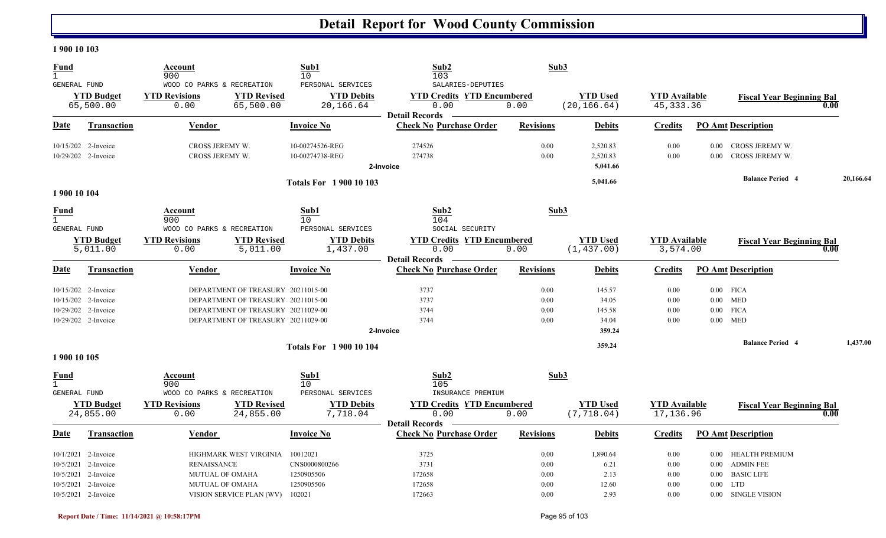#### **1 900 10 103**

| <b>Fund</b><br>$\mathbf{1}$<br>GENERAL FUND                                                                              | Account<br>900<br>WOOD CO PARKS & RECREATION                                                                                                         | Sub1<br>10<br>PERSONAL SERVICES                                 | Sub2<br>103<br>SALARIES-DEPUTIES                                   | Sub3                                     |                                              |                                      |                                                                                                                        |           |
|--------------------------------------------------------------------------------------------------------------------------|------------------------------------------------------------------------------------------------------------------------------------------------------|-----------------------------------------------------------------|--------------------------------------------------------------------|------------------------------------------|----------------------------------------------|--------------------------------------|------------------------------------------------------------------------------------------------------------------------|-----------|
| <b>YTD Budget</b><br>65,500.00                                                                                           | <b>YTD Revisions</b><br><b>YTD Revised</b><br>0.00<br>65,500.00                                                                                      | <b>YTD Debits</b><br>20,166.64                                  | <b>YTD Credits YTD Encumbered</b><br>0.00<br><b>Detail Records</b> | 0.00                                     | <b>YTD Used</b><br>(20, 166.64)              | <b>YTD Available</b><br>45, 333.36   | <b>Fiscal Year Beginning Bal</b>                                                                                       | 0.00      |
| Date<br>Transaction                                                                                                      | Vendor                                                                                                                                               | <b>Invoice No</b>                                               | <b>Check No Purchase Order</b>                                     | <b>Revisions</b>                         | <b>Debits</b>                                | <b>Credits</b>                       | <b>PO Amt Description</b>                                                                                              |           |
| 10/15/202 2-Invoice<br>10/29/202 2-Invoice                                                                               | CROSS JEREMY W.<br>CROSS JEREMY W.                                                                                                                   | 10-00274526-REG<br>10-00274738-REG                              | 274526<br>274738<br>2-Invoice                                      | 0.00<br>0.00                             | 2,520.83<br>2,520.83<br>5,041.66             | 0.00<br>0.00                         | $0.00\,$<br>CROSS JEREMY W.<br>CROSS JEREMY W.<br>0.00                                                                 |           |
| 1 900 10 104                                                                                                             |                                                                                                                                                      | <b>Totals For 1900 10 103</b>                                   |                                                                    |                                          | 5,041.66                                     |                                      | <b>Balance Period 4</b>                                                                                                | 20,166.64 |
| <b>Fund</b><br>$\mathbf{1}$<br>GENERAL FUND                                                                              | Account<br>900<br>WOOD CO PARKS & RECREATION                                                                                                         | Sub1<br>10<br>PERSONAL SERVICES                                 | Sub2<br>104<br>SOCIAL SECURITY                                     | Sub3                                     |                                              |                                      |                                                                                                                        |           |
| <b>YTD Budget</b><br>5,011.00                                                                                            | <b>YTD Revisions</b><br><b>YTD Revised</b><br>0.00<br>5,011.00                                                                                       | <b>YTD Debits</b><br>1,437.00                                   | <b>YTD Credits YTD Encumbered</b><br>0.00<br><b>Detail Records</b> | 0.00                                     | <b>YTD Used</b><br>(1, 437.00)               | <b>YTD</b> Available<br>3,574.00     | <b>Fiscal Year Beginning Bal</b>                                                                                       | 0.00      |
| Date<br>Transaction                                                                                                      | Vendor                                                                                                                                               | <b>Invoice No</b>                                               | <b>Check No Purchase Order</b>                                     | <b>Revisions</b>                         | <b>Debits</b>                                | <b>Credits</b>                       | <b>PO Amt Description</b>                                                                                              |           |
| 10/15/202 2-Invoice<br>10/15/202 2-Invoice<br>10/29/202 2-Invoice<br>10/29/202 2-Invoice                                 | DEPARTMENT OF TREASURY 20211015-00<br>DEPARTMENT OF TREASURY 20211015-00<br>DEPARTMENT OF TREASURY 20211029-00<br>DEPARTMENT OF TREASURY 20211029-00 |                                                                 | 3737<br>3737<br>3744<br>3744<br>2-Invoice                          | 0.00<br>0.00<br>0.00<br>0.00             | 145.57<br>34.05<br>145.58<br>34.04<br>359.24 | 0.00<br>0.00<br>0.00<br>0.00         | $0.00$ FICA<br>$0.00$ MED<br>$0.00$ FICA<br>$0.00$ MED                                                                 |           |
| 1 900 10 105                                                                                                             |                                                                                                                                                      | <b>Totals For 190010104</b>                                     |                                                                    |                                          | 359.24                                       |                                      | <b>Balance Period 4</b>                                                                                                | 1,437.00  |
| Fund<br>$\mathbf{1}$<br>GENERAL FUND                                                                                     | Account<br>900<br>WOOD CO PARKS & RECREATION                                                                                                         | Sub1<br>10<br>PERSONAL SERVICES                                 | Sub2<br>105<br>INSURANCE PREMIUM                                   | Sub3                                     |                                              |                                      |                                                                                                                        |           |
| <b>YTD Budget</b><br>24,855.00                                                                                           | <b>YTD Revisions</b><br><b>YTD Revised</b><br>0.00<br>24,855.00                                                                                      | <b>YTD Debits</b><br>7,718.04                                   | <b>YTD Credits YTD Encumbered</b><br>0.00<br><b>Detail Records</b> | 0.00                                     | <b>YTD Used</b><br>(7, 718.04)               | <b>YTD Available</b><br>17,136.96    | <b>Fiscal Year Beginning Bal</b>                                                                                       | 0.00      |
| Date<br><b>Transaction</b>                                                                                               | Vendor                                                                                                                                               | <b>Invoice No</b>                                               | <b>Check No Purchase Order</b>                                     | <b>Revisions</b>                         | <b>Debits</b>                                | <b>Credits</b>                       | <b>PO Amt Description</b>                                                                                              |           |
| 10/1/2021 2-Invoice<br>10/5/2021<br>2-Invoice<br>10/5/2021<br>2-Invoice<br>10/5/2021<br>2-Invoice<br>10/5/2021 2-Invoice | HIGHMARK WEST VIRGINIA<br><b>RENAISSANCE</b><br><b>MUTUAL OF OMAHA</b><br>MUTUAL OF OMAHA<br>VISION SERVICE PLAN (WV)                                | 10012021<br>CNS0000800266<br>1250905506<br>1250905506<br>102021 | 3725<br>3731<br>172658<br>172658<br>172663                         | 0.00<br>0.00<br>$0.00\,$<br>0.00<br>0.00 | 1,890.64<br>6.21<br>2.13<br>12.60<br>2.93    | 0.00<br>0.00<br>0.00<br>0.00<br>0.00 | 0.00 HEALTH PREMIUM<br>0.00 ADMIN FEE<br><b>BASIC LIFE</b><br>$0.00\,$<br><b>LTD</b><br>$0.00\,$<br>0.00 SINGLE VISION |           |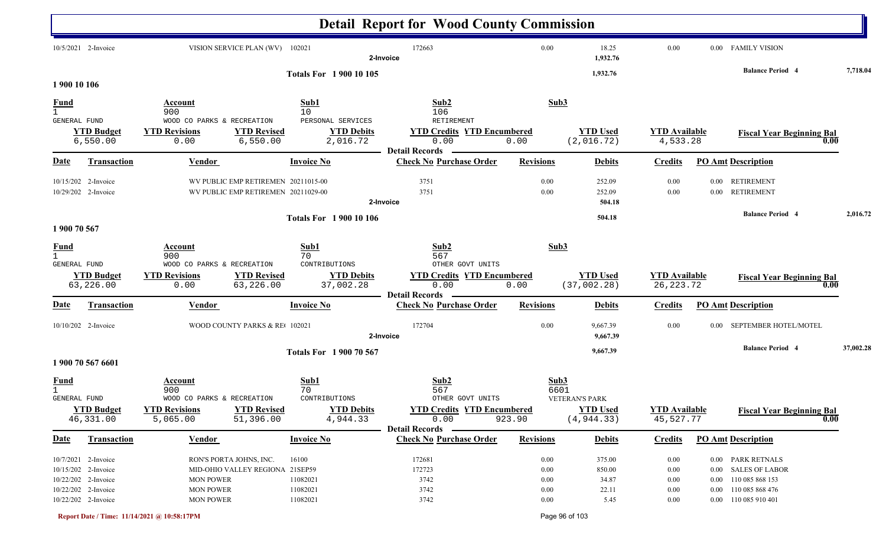|                                             |                                                                                                                 |                                                                                                                        |                                                              | <b>Detail Report for Wood County Commission</b>                                  |                                          |                                                         |                                                  |                                  |                                                                                                          |           |
|---------------------------------------------|-----------------------------------------------------------------------------------------------------------------|------------------------------------------------------------------------------------------------------------------------|--------------------------------------------------------------|----------------------------------------------------------------------------------|------------------------------------------|---------------------------------------------------------|--------------------------------------------------|----------------------------------|----------------------------------------------------------------------------------------------------------|-----------|
|                                             | 10/5/2021 2-Invoice                                                                                             | VISION SERVICE PLAN (WV) 102021                                                                                        |                                                              | 172663<br>2-Invoice                                                              | 0.00                                     | 18.25<br>1,932.76                                       | 0.00                                             |                                  | 0.00 FAMILY VISION                                                                                       |           |
| 1 900 10 106                                |                                                                                                                 |                                                                                                                        | <b>Totals For 1 900 10 105</b>                               |                                                                                  |                                          | 1,932.76                                                |                                                  |                                  | <b>Balance Period 4</b>                                                                                  | 7,718.04  |
| $\frac{Fund}{1}$                            |                                                                                                                 | Account<br>900                                                                                                         | Sub1<br>10 <sup>°</sup>                                      | Sub2<br>106                                                                      | Sub3                                     |                                                         |                                                  |                                  |                                                                                                          |           |
| GENERAL FUND                                | <b>YTD Budget</b><br>6,550.00                                                                                   | WOOD CO PARKS & RECREATION<br><b>YTD Revised</b><br><b>YTD Revisions</b><br>6,550.00<br>0.00                           | PERSONAL SERVICES<br><b>YTD Debits</b><br>2,016.72           | RETIREMENT<br><b>YTD Credits YTD Encumbered</b><br>0.00<br><b>Detail Records</b> | 0.00                                     | <b>YTD Used</b><br>(2,016.72)                           | <b>YTD Available</b><br>4,533.28                 |                                  | <b>Fiscal Year Beginning Bal</b><br>0.00                                                                 |           |
| Date                                        | <b>Transaction</b>                                                                                              | Vendor                                                                                                                 | <b>Invoice No</b>                                            | <b>Check No Purchase Order</b>                                                   | <b>Revisions</b>                         | <b>Debits</b>                                           | <b>Credits</b>                                   |                                  | <b>PO Amt Description</b>                                                                                |           |
|                                             | 10/15/202 2-Invoice<br>10/29/202 2-Invoice                                                                      | WV PUBLIC EMP RETIREMEN 20211015-00<br>WV PUBLIC EMP RETIREMEN 20211029-00                                             |                                                              | 3751<br>3751<br>2-Invoice                                                        | 0.00<br>0.00                             | 252.09<br>252.09<br>504.18                              | 0.00<br>0.00                                     | $0.00\,$<br>$0.00\,$             | <b>RETIREMENT</b><br><b>RETIREMENT</b>                                                                   |           |
| 1 900 70 567                                |                                                                                                                 |                                                                                                                        | <b>Totals For 1 900 10 106</b>                               |                                                                                  |                                          | 504.18                                                  |                                                  |                                  | <b>Balance Period 4</b>                                                                                  | 2,016.72  |
| <u>Fund</u><br>$\mathbf{1}$<br>GENERAL FUND |                                                                                                                 | Account<br>900<br>WOOD CO PARKS & RECREATION                                                                           | Sub1<br>70<br>CONTRIBUTIONS                                  | Sub2<br>567<br>OTHER GOVT UNITS                                                  | Sub3                                     |                                                         |                                                  |                                  |                                                                                                          |           |
|                                             | <b>YTD Budget</b><br>63,226.00                                                                                  | <b>YTD Revisions</b><br><b>YTD Revised</b><br>63,226.00<br>0.00                                                        | <b>YTD Debits</b><br>37,002.28                               | <b>YTD Credits YTD Encumbered</b><br>0.00<br><b>Detail Records</b>               | 0.00                                     | <b>YTD Used</b><br>(37,002.28)                          | <b>YTD Available</b><br>26, 223. 72              |                                  | <b>Fiscal Year Beginning Bal</b><br>0.00                                                                 |           |
| Date                                        | <b>Transaction</b>                                                                                              | <b>Vendor</b>                                                                                                          | <b>Invoice No</b>                                            | <b>Check No Purchase Order</b>                                                   | <b>Revisions</b>                         | <b>Debits</b>                                           | <b>Credits</b>                                   |                                  | <b>PO Amt Description</b>                                                                                |           |
|                                             | $10/10/202$ 2-Invoice                                                                                           | WOOD COUNTY PARKS & RE 102021                                                                                          |                                                              | 172704<br>2-Invoice                                                              | 0.00                                     | 9,667.39<br>9,667.39                                    | 0.00                                             | 0.00                             | SEPTEMBER HOTEL/MOTEL                                                                                    |           |
|                                             | 1 900 70 567 6601                                                                                               |                                                                                                                        | <b>Totals For 1900 70 567</b>                                |                                                                                  |                                          | 9,667.39                                                |                                                  |                                  | <b>Balance Period 4</b>                                                                                  | 37,002.28 |
| <b>Fund</b><br>GENERAL FUND                 | <b>YTD Budget</b><br>46,331.00                                                                                  | Account<br>900<br>WOOD CO PARKS & RECREATION<br><b>YTD Revisions</b><br><b>YTD Revised</b><br>51,396.00<br>5,065.00    | Sub1<br>70<br>CONTRIBUTIONS<br><b>YTD Debits</b><br>4,944.33 | Sub2<br>567<br>OTHER GOVT UNITS<br><b>YTD Credits YTD Encumbered</b><br>0.00     | Sub3<br>6601<br>923.90                   | <b>VETERAN'S PARK</b><br><b>YTD Used</b><br>(4, 944.33) | <b>YTD Available</b><br>45,527.77                |                                  | <b>Fiscal Year Beginning Bal</b><br>$\overline{0.00}$                                                    |           |
| <u>Date</u>                                 | <b>Transaction</b>                                                                                              | <b>Vendor</b>                                                                                                          | <b>Invoice No</b>                                            | <b>Detail Records</b><br><b>Check No Purchase Order</b>                          | <b>Revisions</b>                         | <b>Debits</b>                                           | <b>Credits</b>                                   |                                  | <b>PO Amt Description</b>                                                                                |           |
|                                             | 10/7/2021 2-Invoice<br>10/15/202 2-Invoice<br>10/22/202 2-Invoice<br>10/22/202 2-Invoice<br>10/22/202 2-Invoice | RON'S PORTA JOHNS, INC.<br>MID-OHIO VALLEY REGIONA 21SEP59<br><b>MON POWER</b><br><b>MON POWER</b><br><b>MON POWER</b> | 16100<br>11082021<br>11082021<br>11082021                    | 172681<br>172723<br>3742<br>3742<br>3742                                         | 0.00<br>0.00<br>0.00<br>0.00<br>$0.00\,$ | 375.00<br>850.00<br>34.87<br>22.11<br>5.45              | 0.00<br>$0.00\,$<br>$0.00\,$<br>$0.00\,$<br>0.00 | $0.00\,$<br>$0.00\,$<br>$0.00\,$ | 0.00 PARK RETNALS<br><b>SALES OF LABOR</b><br>110 085 868 153<br>110 085 868 476<br>0.00 110 085 910 401 |           |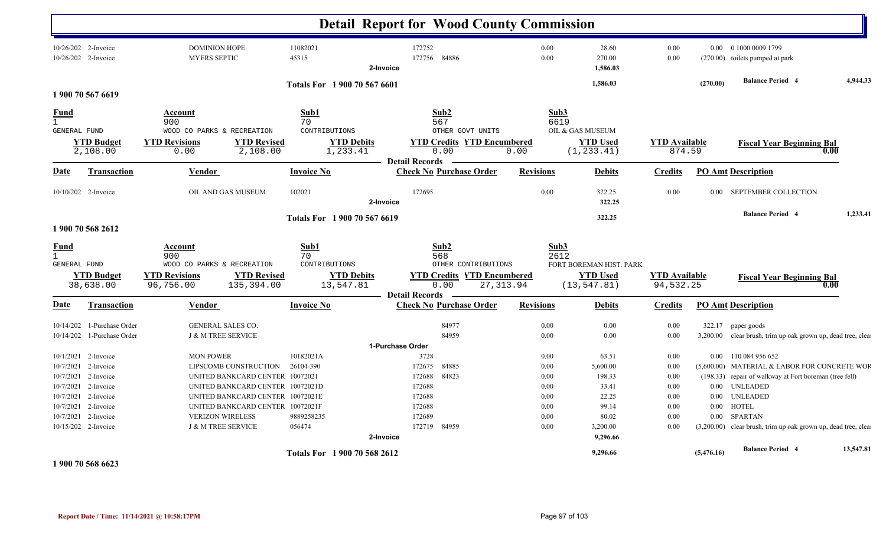|                             |                                            |                                                                                                     |                   | <b>Detail Report for Wood County Commission</b> |                                                                                |                  |                                                            |                                   |                      |                                                               |           |
|-----------------------------|--------------------------------------------|-----------------------------------------------------------------------------------------------------|-------------------|-------------------------------------------------|--------------------------------------------------------------------------------|------------------|------------------------------------------------------------|-----------------------------------|----------------------|---------------------------------------------------------------|-----------|
|                             | 10/26/202 2-Invoice<br>10/26/202 2-Invoice | <b>DOMINION HOPE</b><br><b>MYERS SEPTIC</b>                                                         | 11082021<br>45315 | 172752<br>172756<br>2-Invoice                   | 84886                                                                          | 0.00<br>0.00     | 28.60<br>270.00<br>1,586.03                                | 0.00<br>0.00                      |                      | 0.00 0 1000 0009 1799<br>(270.00) toilets pumped at park      |           |
|                             |                                            |                                                                                                     |                   | Totals For 1 900 70 567 6601                    |                                                                                |                  | 1,586.03                                                   |                                   | (270.00)             | <b>Balance Period 4</b>                                       | 4,944.33  |
|                             | 1 900 70 567 6619                          |                                                                                                     |                   |                                                 |                                                                                |                  |                                                            |                                   |                      |                                                               |           |
| Fund<br>$\mathbf{1}$        |                                            | Account<br>900                                                                                      | Sub1<br>70        |                                                 | Sub2<br>567                                                                    | Sub3<br>6619     |                                                            |                                   |                      |                                                               |           |
| GENERAL FUND                | <b>YTD Budget</b><br>2,108.00              | WOOD CO PARKS & RECREATION<br><b>YTD Revisions</b><br><b>YTD Revised</b><br>0.00<br>2,108.00        | CONTRIBUTIONS     | <b>YTD Debits</b><br>1,233.41                   | OTHER GOVT UNITS<br><b>YTD Credits YTD Encumbered</b><br>0.00<br>0.00          |                  | OIL & GAS MUSEUM<br><b>YTD Used</b><br>(1, 233.41)         | <b>YTD Available</b><br>874.59    |                      | <b>Fiscal Year Beginning Bal</b><br>0.00                      |           |
| Date                        | <b>Transaction</b>                         | Vendor                                                                                              | <b>Invoice No</b> | <b>Detail Records</b>                           | <b>Check No Purchase Order</b>                                                 | <b>Revisions</b> | <b>Debits</b>                                              | <b>Credits</b>                    |                      | <b>PO_Amt</b> Description                                     |           |
|                             |                                            |                                                                                                     |                   |                                                 |                                                                                |                  |                                                            |                                   |                      |                                                               |           |
|                             | 10/10/202 2-Invoice                        | OIL AND GAS MUSEUM                                                                                  | 102021            | 172695<br>2-Invoice                             |                                                                                | 0.00             | 322.25<br>322.25                                           | 0.00                              | $0.00\,$             | <b>SEPTEMBER COLLECTION</b>                                   |           |
|                             |                                            |                                                                                                     |                   | Totals For 1 900 70 567 6619                    |                                                                                |                  | 322.25                                                     |                                   |                      | <b>Balance Period 4</b>                                       | 1,233.41  |
|                             | 1 900 70 568 2612                          |                                                                                                     |                   |                                                 |                                                                                |                  |                                                            |                                   |                      |                                                               |           |
| <b>Fund</b><br>$\mathbf{1}$ |                                            | Account<br>900                                                                                      | Sub1<br>70        |                                                 | Sub <sub>2</sub><br>568                                                        | Sub3<br>2612     |                                                            |                                   |                      |                                                               |           |
| <b>GENERAL FUND</b>         | <b>YTD Budget</b><br>38,638.00             | WOOD CO PARKS & RECREATION<br><b>YTD Revised</b><br><b>YTD Revisions</b><br>96,756.00<br>135,394.00 | CONTRIBUTIONS     | <b>YTD Debits</b><br>13,547.81                  | OTHER CONTRIBUTIONS<br><b>YTD Credits YTD Encumbered</b><br>0.00<br>27, 313.94 |                  | FORT BOREMAN HIST. PARK<br><b>YTD Used</b><br>(13, 547.81) | <b>YTD Available</b><br>94,532.25 |                      | <b>Fiscal Year Beginning Bal</b><br>0.00                      |           |
|                             |                                            |                                                                                                     |                   | <b>Detail Records</b>                           |                                                                                |                  |                                                            |                                   |                      |                                                               |           |
| <b>Date</b>                 | <b>Transaction</b>                         | Vendor                                                                                              | <b>Invoice No</b> |                                                 | <b>Check No Purchase Order</b>                                                 | <b>Revisions</b> | Debits                                                     | <b>Credits</b>                    |                      | <b>PO Amt Description</b>                                     |           |
| 10/14/202                   | 1-Purchase Order                           | GENERAL SALES CO.                                                                                   |                   |                                                 | 84977                                                                          | 0.00             | 0.00                                                       | 0.00                              |                      | 322.17 paper goods                                            |           |
| 10/14/202                   | 1-Purchase Order                           | <b>J &amp; M TREE SERVICE</b>                                                                       |                   |                                                 | 84959                                                                          | 0.00             | 0.00                                                       | 0.00                              |                      | 3,200.00 clear brush, trim up oak grown up, dead tree, clea   |           |
|                             |                                            |                                                                                                     |                   | 1-Purchase Order                                |                                                                                |                  |                                                            |                                   |                      |                                                               |           |
|                             | 10/1/2021 2-Invoice                        | <b>MON POWER</b>                                                                                    | 10182021A         | 3728                                            |                                                                                | 0.00             | 63.51                                                      | $0.00\,$                          |                      | 0.00 110 084 956 652                                          |           |
| 10/7/2021                   | 2-Invoice                                  | LIPSCOMB CONSTRUCTION                                                                               | 26104-390         | 172675                                          | 84885                                                                          | 0.00             | 5,600.00                                                   | 0.00                              |                      | (5,600.00) MATERIAL & LABOR FOR CONCRETE WOF                  |           |
| 10/7/2021                   | 2-Invoice                                  | UNITED BANKCARD CENTER 10072021                                                                     |                   | 172688                                          | 84823                                                                          | 0.00             | 198.33                                                     | 0.00                              |                      | (198.33) repair of walkway at Fort boreman (tree fell)        |           |
| 10/7/2021                   | 2-Invoice                                  | UNITED BANKCARD CENTER 10072021D                                                                    |                   | 172688                                          |                                                                                | 0.00             | 33.41                                                      | 0.00                              |                      | 0.00 UNLEADED                                                 |           |
| 10/7/2021                   | 10/7/2021 2-Invoice                        | UNITED BANKCARD CENTER 10072021E                                                                    |                   | 172688<br>172688                                |                                                                                | 0.00<br>0.00     | 22.25                                                      | 0.00<br>0.00                      | $0.00\,$<br>$0.00\,$ | <b>UNLEADED</b><br><b>HOTEL</b>                               |           |
| 10/7/2021                   | 2-Invoice<br>2-Invoice                     | UNITED BANKCARD CENTER 10072021F<br><b>VERIZON WIRELESS</b>                                         | 9889258235        | 172689                                          |                                                                                | 0.00             | 99.14<br>80.02                                             | 0.00                              | $0.00\,$             | <b>SPARTAN</b>                                                |           |
|                             | 10/15/202 2-Invoice                        | <b>J &amp; M TREE SERVICE</b>                                                                       | 056474            | 172719                                          | 84959                                                                          | 0.00             | 3,200.00                                                   | 0.00                              |                      | (3,200.00) clear brush, trim up oak grown up, dead tree, clea |           |
|                             |                                            |                                                                                                     |                   | 2-Invoice                                       |                                                                                |                  | 9,296.66                                                   |                                   |                      |                                                               |           |
|                             | 1 900 70 568 6623                          |                                                                                                     |                   | Totals For 1 900 70 568 2612                    |                                                                                |                  | 9,296.66                                                   |                                   | (5,476.16)           | <b>Balance Period 4</b>                                       | 13,547.81 |

**Report Date / Time: 11/14/2021 @ 10:58:17PM** Page 97 of 103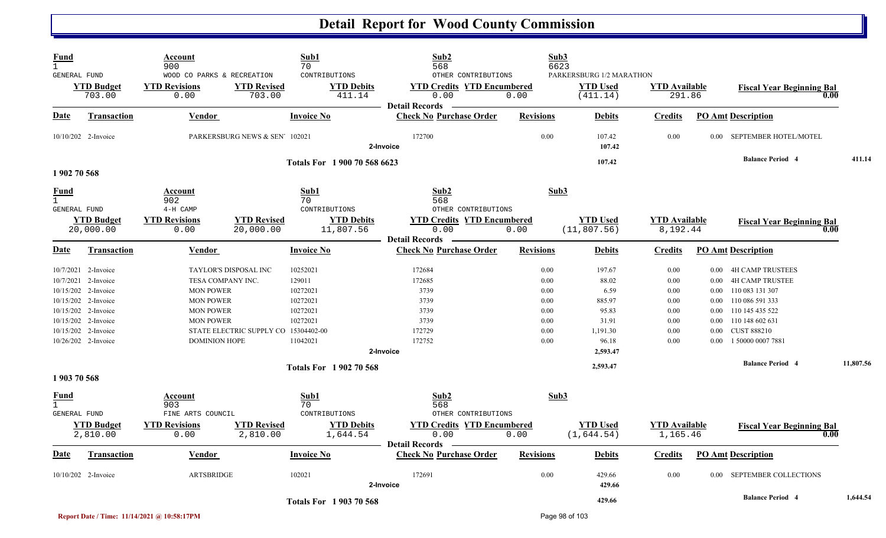| Fund<br>$\mathbf{1}$<br><b>GENERAL FUND</b>        | <b>YTD Budget</b><br>703.00                                                                                                                                                          | Account<br>900<br>WOOD CO PARKS & RECREATION<br><b>YTD Revisions</b><br>0.00                                              | <b>YTD Revised</b><br>703.00                                  | Sub1<br>70<br>CONTRIBUTIONS<br><b>YTD Debits</b><br>411.14                     | Sub2<br>568<br>OTHER CONTRIBUTIONS<br><b>YTD Credits YTD Encumbered</b><br>0.00   | 0.00                                                         | Sub3<br>6623<br>PARKERSBURG 1/2 MARATHON<br><b>YTD Used</b><br>(411.14)              | <b>YTD Available</b><br>291.86                               |                                                                          | <b>Fiscal Year Beginning Bal</b><br>0.00                                                                                                                                 |           |
|----------------------------------------------------|--------------------------------------------------------------------------------------------------------------------------------------------------------------------------------------|---------------------------------------------------------------------------------------------------------------------------|---------------------------------------------------------------|--------------------------------------------------------------------------------|-----------------------------------------------------------------------------------|--------------------------------------------------------------|--------------------------------------------------------------------------------------|--------------------------------------------------------------|--------------------------------------------------------------------------|--------------------------------------------------------------------------------------------------------------------------------------------------------------------------|-----------|
| Date                                               | <b>Transaction</b>                                                                                                                                                                   | Vendor                                                                                                                    |                                                               | <b>Invoice No</b>                                                              | <b>Detail Records</b><br><b>Check No Purchase Order</b>                           | <b>Revisions</b>                                             | <b>Debits</b>                                                                        | <b>Credits</b>                                               |                                                                          | <b>PO Amt Description</b>                                                                                                                                                |           |
|                                                    | 10/10/202 2-Invoice                                                                                                                                                                  |                                                                                                                           | PARKERSBURG NEWS & SEN 102021                                 |                                                                                | 172700<br>2-Invoice                                                               | 0.00                                                         | 107.42<br>107.42                                                                     | 0.00                                                         |                                                                          | 0.00 SEPTEMBER HOTEL/MOTEL                                                                                                                                               |           |
| 1902 70 568                                        |                                                                                                                                                                                      |                                                                                                                           |                                                               | Totals For 1 900 70 568 6623                                                   |                                                                                   |                                                              | 107.42                                                                               |                                                              |                                                                          | <b>Balance Period 4</b>                                                                                                                                                  | 411.14    |
| <b>Fund</b><br>$\mathbf{1}$<br><b>GENERAL FUND</b> |                                                                                                                                                                                      | Account<br>902<br>4-H CAMP                                                                                                |                                                               | Sub1<br>70<br>CONTRIBUTIONS                                                    | Sub2<br>568<br>OTHER CONTRIBUTIONS                                                |                                                              | Sub3                                                                                 |                                                              |                                                                          |                                                                                                                                                                          |           |
|                                                    | <b>YTD Budget</b><br>20,000.00                                                                                                                                                       | <b>YTD Revisions</b><br>0.00                                                                                              | <b>YTD Revised</b><br>20,000.00                               | <b>YTD Debits</b><br>11,807.56                                                 | <b>YTD Credits YTD Encumbered</b><br>0.00<br><b>Detail Records</b>                | 0.00                                                         | <b>YTD Used</b><br>(11, 807.56)                                                      | <b>YTD Available</b><br>8,192.44                             |                                                                          | <b>Fiscal Year Beginning Bal</b><br>0.00                                                                                                                                 |           |
| Date                                               | <b>Transaction</b>                                                                                                                                                                   | <b>Vendor</b>                                                                                                             |                                                               | <b>Invoice No</b>                                                              | <b>Check No Purchase Order</b>                                                    | <b>Revisions</b>                                             | <b>Debits</b>                                                                        | <b>Credits</b>                                               |                                                                          | <b>PO Amt Description</b>                                                                                                                                                |           |
|                                                    | 10/7/2021 2-Invoice<br>10/7/2021 2-Invoice<br>10/15/202 2-Invoice<br>10/15/202 2-Invoice<br>10/15/202 2-Invoice<br>10/15/202 2-Invoice<br>10/15/202 2-Invoice<br>10/26/202 2-Invoice | TESA COMPANY INC.<br><b>MON POWER</b><br><b>MON POWER</b><br><b>MON POWER</b><br><b>MON POWER</b><br><b>DOMINION HOPE</b> | TAYLOR'S DISPOSAL INC<br>STATE ELECTRIC SUPPLY CO 15304402-00 | 10252021<br>129011<br>10272021<br>10272021<br>10272021<br>10272021<br>11042021 | 172684<br>172685<br>3739<br>3739<br>3739<br>3739<br>172729<br>172752<br>2-Invoice | 0.00<br>0.00<br>0.00<br>0.00<br>0.00<br>0.00<br>0.00<br>0.00 | 197.67<br>88.02<br>6.59<br>885.97<br>95.83<br>31.91<br>1,191.30<br>96.18<br>2,593.47 | 0.00<br>0.00<br>0.00<br>0.00<br>0.00<br>0.00<br>0.00<br>0.00 | $0.00\,$<br>$0.00\,$<br>$0.00\,$<br>0.00<br>0.00<br>0.00<br>0.00<br>0.00 | <b>4H CAMP TRUSTEES</b><br><b>4H CAMP TRUSTEE</b><br>110 083 131 307<br>110 086 591 333<br>110 145 435 522<br>110 148 602 631<br><b>CUST 888210</b><br>1 50000 0007 7881 |           |
| 1 903 70 568                                       |                                                                                                                                                                                      |                                                                                                                           |                                                               | <b>Totals For 190270568</b>                                                    |                                                                                   |                                                              | 2,593.47                                                                             |                                                              |                                                                          | <b>Balance Period 4</b>                                                                                                                                                  | 11,807.56 |
| <u>Fund</u><br>$\mathbf{1}$<br>GENERAL FUND        |                                                                                                                                                                                      | Account<br>903<br>FINE ARTS COUNCIL                                                                                       |                                                               | Sub1<br>70<br>CONTRIBUTIONS                                                    | Sub2<br>568<br>OTHER CONTRIBUTIONS                                                |                                                              | Sub3                                                                                 |                                                              |                                                                          |                                                                                                                                                                          |           |
|                                                    | <b>YTD Budget</b><br>2,810.00                                                                                                                                                        | <b>YTD Revisions</b><br>0.00                                                                                              | <b>YTD Revised</b><br>2,810.00                                | <b>YTD Debits</b><br>1,644.54                                                  | <b>YTD Credits YTD Encumbered</b><br>0.00<br><b>Detail Records</b>                | 0.00                                                         | <b>YTD Used</b><br>(1,644.54)                                                        | <b>YTD</b> Available<br>1,165.46                             |                                                                          | <b>Fiscal Year Beginning Bal</b><br>0.00                                                                                                                                 |           |
| <b>Date</b>                                        | <b>Transaction</b>                                                                                                                                                                   | Vendor                                                                                                                    |                                                               | <b>Invoice No</b>                                                              | <b>Check No Purchase Order</b>                                                    | <b>Revisions</b>                                             | <b>Debits</b>                                                                        | <b>Credits</b>                                               |                                                                          | <b>PO Amt Description</b>                                                                                                                                                |           |
|                                                    | 10/10/202 2-Invoice                                                                                                                                                                  | <b>ARTSBRIDGE</b>                                                                                                         |                                                               | 102021                                                                         | 172691<br>2-Invoice                                                               | 0.00                                                         | 429.66<br>429.66                                                                     | 0.00                                                         | $0.00 -$                                                                 | SEPTEMBER COLLECTIONS                                                                                                                                                    |           |
|                                                    |                                                                                                                                                                                      |                                                                                                                           |                                                               | <b>Totals For 1903 70 568</b>                                                  |                                                                                   |                                                              | 429.66                                                                               |                                                              |                                                                          | <b>Balance Period 4</b>                                                                                                                                                  | 1,644.54  |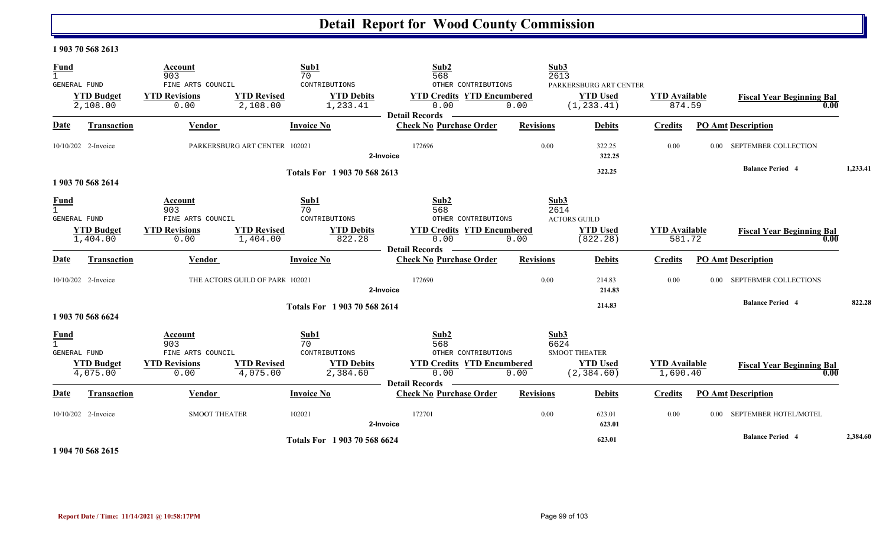#### **1 903 70 568 2613**

| <b>Fund</b><br>$\mathbf{1}$   |                                                      | Account<br>903                                                      | 70                                           | Sub1                                           | Sub <sub>2</sub><br>568                                                                                                                                                                                                            |                  | Sub3<br>2613                                                           |                                  |                |                                          |          |
|-------------------------------|------------------------------------------------------|---------------------------------------------------------------------|----------------------------------------------|------------------------------------------------|------------------------------------------------------------------------------------------------------------------------------------------------------------------------------------------------------------------------------------|------------------|------------------------------------------------------------------------|----------------------------------|----------------|------------------------------------------|----------|
|                               | <b>GENERAL FUND</b><br><b>YTD Budget</b><br>2,108.00 | FINE ARTS COUNCIL<br><b>YTD Revisions</b><br>0.00                   | <b>YTD Revised</b><br>2,108.00               | CONTRIBUTIONS<br><b>YTD Debits</b><br>1,233.41 | OTHER CONTRIBUTIONS<br><b>YTD Credits YTD Encumbered</b><br>0.00<br><b>Detail Records</b>                                                                                                                                          | 0.00             | PARKERSBURG ART CENTER<br><b>YTD Used</b><br>(1, 233.41)               | <b>YTD</b> Available<br>874.59   |                | <b>Fiscal Year Beginning Bal</b><br>0.00 |          |
| Date                          | Transaction                                          | Vendor                                                              |                                              | <b>Invoice No</b>                              | <b>Check No Purchase Order</b>                                                                                                                                                                                                     | <b>Revisions</b> | <b>Debits</b>                                                          | <b>Credits</b>                   |                | <b>PO Amt Description</b>                |          |
|                               | 10/10/202 2-Invoice                                  |                                                                     | PARKERSBURG ART CENTER 102021                | 2-Invoice                                      | 172696                                                                                                                                                                                                                             | 0.00             | 322.25<br>322.25                                                       | 0.00                             | $0.00^{\circ}$ | SEPTEMBER COLLECTION                     |          |
|                               | 1 903 70 568 2614                                    |                                                                     |                                              | Totals For 1 903 70 568 2613                   |                                                                                                                                                                                                                                    |                  | 322.25                                                                 |                                  |                | <b>Balance Period 4</b>                  | 1,233.41 |
| <b>Fund</b><br>$\overline{1}$ | <b>GENERAL FUND</b><br><b>YTD Budget</b><br>1,404.00 | Account<br>903<br>FINE ARTS COUNCIL<br><b>YTD Revisions</b><br>0.00 | Sub1<br>70<br><b>YTD Revised</b><br>1,404.00 | CONTRIBUTIONS<br><b>YTD Debits</b><br>822.28   | Sub2<br>568<br>OTHER CONTRIBUTIONS<br><b>YTD Credits YTD Encumbered</b><br>0.00<br><b>Detail Records</b><br><u> Alexandria de la construcción de la construcción de la construcción de la construcción de la construcción de l</u> | 0.00             | Sub3<br>2614<br><b>ACTORS GUILD</b><br><b>YTD</b> Used<br>(822.28)     | <b>YTD</b> Available<br>581.72   |                | <b>Fiscal Year Beginning Bal</b><br>0.00 |          |
| <b>Date</b>                   | Transaction                                          | Vendor                                                              |                                              | <b>Invoice No</b>                              | <b>Check No Purchase Order</b>                                                                                                                                                                                                     | <b>Revisions</b> | <b>Debits</b>                                                          | <b>Credits</b>                   |                | <b>PO Amt Description</b>                |          |
|                               | 10/10/202 2-Invoice                                  |                                                                     | THE ACTORS GUILD OF PARK 102021              | 2-Invoice                                      | 172690                                                                                                                                                                                                                             | 0.00             | 214.83<br>214.83                                                       | 0.00                             | $0.00 -$       | SEPTEBMER COLLECTIONS                    |          |
|                               | 1 903 70 568 6624                                    |                                                                     |                                              | Totals For 1903 70 568 2614                    |                                                                                                                                                                                                                                    |                  | 214.83                                                                 |                                  |                | <b>Balance Period 4</b>                  | 822.28   |
| <b>Fund</b>                   | <b>GENERAL FUND</b><br><b>YTD Budget</b><br>4,075.00 | Account<br>903<br>FINE ARTS COUNCIL<br><b>YTD Revisions</b><br>0.00 | Sub1<br>70<br><b>YTD</b> Revised<br>4,075.00 | CONTRIBUTIONS<br><b>YTD Debits</b><br>2,384.60 | Sub2<br>568<br>OTHER CONTRIBUTIONS<br><b>YTD Credits YTD Encumbered</b><br>0.00                                                                                                                                                    | 0.00             | Sub3<br>6624<br><b>SMOOT THEATER</b><br><b>YTD Used</b><br>(2, 384.60) | <b>YTD</b> Available<br>1,690.40 |                | <b>Fiscal Year Beginning Bal</b><br>0.00 |          |
| Date                          | <b>Transaction</b>                                   | Vendor                                                              |                                              | <b>Invoice No</b>                              | <b>Detail Records</b><br><b>Check No Purchase Order</b>                                                                                                                                                                            | <b>Revisions</b> | <b>Debits</b>                                                          | <b>Credits</b>                   |                | <b>PO Amt Description</b>                |          |
|                               | 10/10/202 2-Invoice                                  | <b>SMOOT THEATER</b>                                                | 102021                                       | 2-Invoice                                      | 172701                                                                                                                                                                                                                             | 0.00             | 623.01<br>623.01                                                       | 0.00                             | $0.00 -$       | SEPTEMBER HOTEL/MOTEL                    |          |
|                               |                                                      |                                                                     |                                              | Totals For 1903 70 568 6624                    |                                                                                                                                                                                                                                    |                  | 623.01                                                                 |                                  |                | <b>Balance Period 4</b>                  | 2,384.60 |

**1 904 70 568 2615**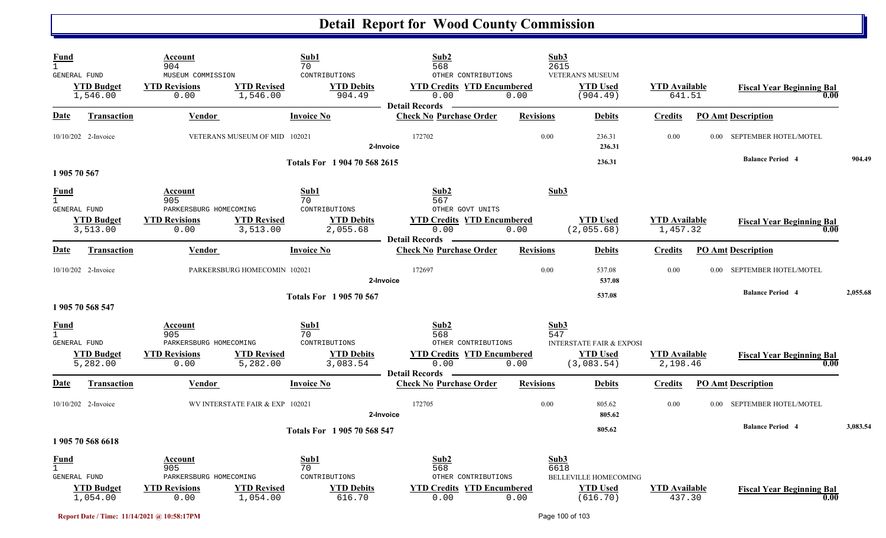| Fund<br>$\mathbf{1}$<br><b>GENERAL FUND</b>        | <b>YTD Budget</b><br>1,546.00 | Account<br>904<br>MUSEUM COMMISSION<br><b>YTD Revisions</b><br>0.00      | <b>YTD Revised</b><br>1,546.00  | Sub1<br>70<br>CONTRIBUTIONS<br><b>YTD Debits</b><br>904.49   | Sub2<br>568<br>OTHER CONTRIBUTIONS<br><b>YTD Credits YTD Encumbered</b><br>0.00                       | Sub3<br>2615<br>0.00 | <b>VETERAN'S MUSEUM</b><br><b>YTD Used</b><br>(904.49)               | <b>YTD Available</b><br>641.51   |          | <b>Fiscal Year Beginning Bal</b><br>0.00 |          |
|----------------------------------------------------|-------------------------------|--------------------------------------------------------------------------|---------------------------------|--------------------------------------------------------------|-------------------------------------------------------------------------------------------------------|----------------------|----------------------------------------------------------------------|----------------------------------|----------|------------------------------------------|----------|
| Date                                               | <b>Transaction</b>            | Vendor                                                                   |                                 | <b>Invoice No</b>                                            | <b>Detail Records</b><br><b>Check No Purchase Order</b>                                               | <b>Revisions</b>     | <b>Debits</b>                                                        | <b>Credits</b>                   |          | <b>PO Amt Description</b>                |          |
|                                                    | 10/10/202 2-Invoice           |                                                                          | VETERANS MUSEUM OF MID 102021   |                                                              | 172702<br>2-Invoice                                                                                   | 0.00                 | 236.31<br>236.31                                                     | 0.00                             |          | 0.00 SEPTEMBER HOTEL/MOTEL               |          |
| 1 905 70 567                                       |                               |                                                                          |                                 | Totals For 1904 70 568 2615                                  |                                                                                                       |                      | 236.31                                                               |                                  |          | <b>Balance Period 4</b>                  | 904.49   |
| <b>Fund</b><br>$\mathbf{1}$<br>GENERAL FUND        | <b>YTD Budget</b><br>3,513.00 | Account<br>905<br>PARKERSBURG HOMECOMING<br><b>YTD Revisions</b><br>0.00 | <b>YTD Revised</b><br>3,513.00  | Sub1<br>70<br>CONTRIBUTIONS<br><b>YTD Debits</b><br>2,055.68 | Sub2<br>567<br>OTHER GOVT UNITS<br><b>YTD Credits YTD Encumbered</b><br>0.00<br><b>Detail Records</b> | Sub3<br>0.00         | <b>YTD Used</b><br>(2,055.68)                                        | <b>YTD Available</b><br>1,457.32 |          | <b>Fiscal Year Beginning Bal</b><br>0.00 |          |
| Date                                               | Transaction                   | <b>Vendor</b>                                                            |                                 | <b>Invoice No</b>                                            | <b>Check No Purchase Order</b>                                                                        | <b>Revisions</b>     | <b>Debits</b>                                                        | <b>Credits</b>                   |          | <b>PO Amt Description</b>                |          |
|                                                    | 10/10/202 2-Invoice           |                                                                          | PARKERSBURG HOMECOMIN 102021    |                                                              | 172697<br>2-Invoice                                                                                   | 0.00                 | 537.08<br>537.08                                                     | 0.00                             |          | 0.00 SEPTEMBER HOTEL/MOTEL               |          |
|                                                    | 1 905 70 568 547              |                                                                          |                                 | <b>Totals For 1905 70 567</b>                                |                                                                                                       |                      | 537.08                                                               |                                  |          | <b>Balance Period 4</b>                  | 2,055.68 |
| <b>Fund</b><br>$\mathbf{1}$<br>GENERAL FUND        | <b>YTD Budget</b><br>5,282.00 | Account<br>905<br>PARKERSBURG HOMECOMING<br><b>YTD Revisions</b><br>0.00 | <b>YTD Revised</b><br>5,282.00  | Sub1<br>70<br>CONTRIBUTIONS<br><b>YTD Debits</b><br>3,083.54 | Sub2<br>568<br>OTHER CONTRIBUTIONS<br><b>YTD Credits YTD Encumbered</b><br>0.00                       | Sub3<br>547<br>0.00  | <b>INTERSTATE FAIR &amp; EXPOSI</b><br><b>YTD Used</b><br>(3,083.54) | <b>YTD Available</b><br>2,198.46 |          | <b>Fiscal Year Beginning Bal</b><br>0.00 |          |
| Date                                               | Transaction                   | <b>Vendor</b>                                                            |                                 | <b>Invoice No</b>                                            | <b>Detail Records</b><br><b>Check No Purchase Order</b>                                               | <b>Revisions</b>     | <b>Debits</b>                                                        | <b>Credits</b>                   |          | <b>PO Amt Description</b>                |          |
|                                                    | 10/10/202 2-Invoice           |                                                                          | WV INTERSTATE FAIR & EXP 102021 |                                                              | 172705<br>2-Invoice                                                                                   | 0.00                 | 805.62<br>805.62                                                     | 0.00                             | $0.00 -$ | SEPTEMBER HOTEL/MOTEL                    |          |
|                                                    | 1 905 70 568 6618             |                                                                          |                                 | Totals For 1 905 70 568 547                                  |                                                                                                       |                      | 805.62                                                               |                                  |          | <b>Balance Period 4</b>                  | 3,083.54 |
| <b>Fund</b><br>$\mathbf{1}$<br><b>GENERAL FUND</b> | <b>YTD Budget</b><br>1,054.00 | Account<br>905<br>PARKERSBURG HOMECOMING<br><b>YTD Revisions</b><br>0.00 | <b>YTD Revised</b><br>1,054.00  | Sub1<br>70<br>CONTRIBUTIONS<br><b>YTD Debits</b><br>616.70   | Sub2<br>568<br>OTHER CONTRIBUTIONS<br><b>YTD Credits YTD Encumbered</b><br>0.00                       | Sub3<br>6618<br>0.00 | BELLEVILLE HOMECOMING<br><b>YTD Used</b><br>(616.70)                 | <b>YTD</b> Available<br>437.30   |          | <b>Fiscal Year Beginning Bal</b><br>0.00 |          |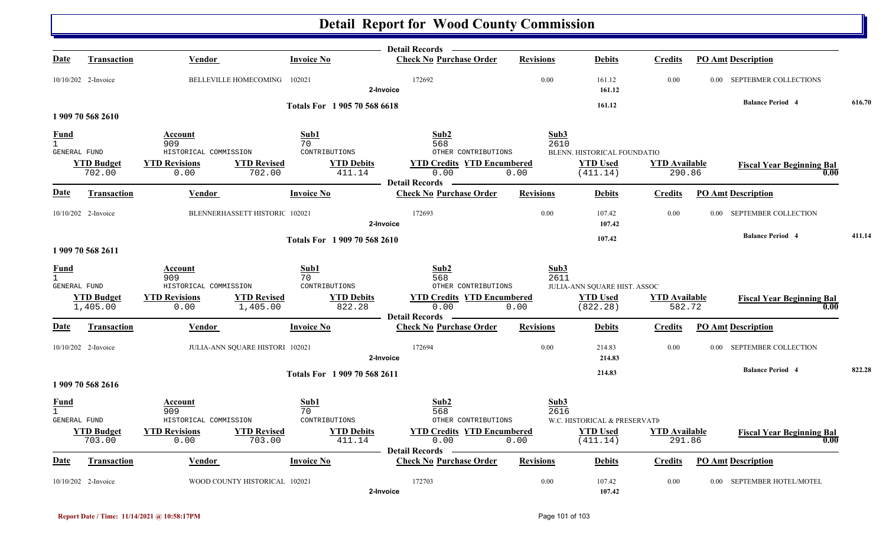|                                               |                               |                                                                |                                       | <b>Detail Records</b>                                              |                  |                              |                                |                                          |        |
|-----------------------------------------------|-------------------------------|----------------------------------------------------------------|---------------------------------------|--------------------------------------------------------------------|------------------|------------------------------|--------------------------------|------------------------------------------|--------|
| Date                                          | <b>Transaction</b>            | Vendor                                                         | <b>Invoice No</b>                     | <b>Check No Purchase Order</b>                                     | <b>Revisions</b> | <b>Debits</b>                | <b>Credits</b>                 | <b>PO Amt Description</b>                |        |
|                                               | 10/10/202 2-Invoice           | BELLEVILLE HOMECOMING 102021                                   |                                       | 172692<br>2-Invoice                                                | 0.00             | 161.12<br>161.12             | 0.00                           | 0.00 SEPTEBMER COLLECTIONS               |        |
|                                               |                               |                                                                | Totals For 1905 70 568 6618           |                                                                    |                  | 161.12                       |                                | <b>Balance Period 4</b>                  | 616.70 |
|                                               | 1 909 70 568 2610             |                                                                |                                       |                                                                    |                  |                              |                                |                                          |        |
| <b>Fund</b>                                   |                               | Account                                                        | Sub1                                  | Sub <sub>2</sub>                                                   | Sub3             |                              |                                |                                          |        |
| $\mathbf{1}$<br>GENERAL FUND                  |                               | 909<br>HISTORICAL COMMISSION                                   | 70<br>CONTRIBUTIONS                   | 568<br>OTHER CONTRIBUTIONS                                         | 2610             | BLENN. HISTORICAL FOUNDATIO  |                                |                                          |        |
|                                               | <b>YTD Budget</b><br>702.00   | <b>YTD Revisions</b><br><b>YTD Revised</b><br>0.00             | <b>YTD Debits</b><br>702.00<br>411.14 | <b>YTD Credits YTD Encumbered</b><br>0.00                          | 0.00             | <b>YTD Used</b><br>(411.14)  | <b>YTD Available</b><br>290.86 | <b>Fiscal Year Beginning Bal</b><br>0.00 |        |
| Date                                          | Transaction                   | Vendor                                                         | <b>Invoice No</b>                     | <b>Detail Records</b><br><b>Check No Purchase Order</b>            | <b>Revisions</b> | <b>Debits</b>                | <b>Credits</b>                 | <b>PO Amt Description</b>                |        |
|                                               | 10/10/202 2-Invoice           | BLENNERHASSETT HISTORIC 102021                                 |                                       | 172693<br>2-Invoice                                                | 0.00             | 107.42<br>107.42             | 0.00                           | 0.00 SEPTEMBER COLLECTION                |        |
|                                               | 1 909 70 568 2611             |                                                                | Totals For 1 909 70 568 2610          |                                                                    |                  | 107.42                       |                                | <b>Balance Period 4</b>                  | 411.14 |
| <b>Fund</b><br>$\overline{1}$                 |                               | Account<br>909                                                 | Sub1<br>70                            | Sub2<br>568                                                        | Sub3<br>2611     |                              |                                |                                          |        |
| GENERAL FUND                                  |                               | HISTORICAL COMMISSION                                          | CONTRIBUTIONS                         | OTHER CONTRIBUTIONS                                                |                  | JULIA-ANN SQUARE HIST. ASSOC |                                |                                          |        |
|                                               | <b>YTD Budget</b><br>1,405.00 | <b>YTD Revised</b><br><b>YTD Revisions</b><br>0.00<br>1,405.00 | <b>YTD Debits</b><br>822.28           | <b>YTD Credits YTD Encumbered</b><br>0.00                          | 0.00             | <b>YTD Used</b><br>(822.28)  | <b>YTD</b> Available<br>582.72 | <b>Fiscal Year Beginning Bal</b><br>0.00 |        |
| Date                                          | Transaction                   | Vendor                                                         | <b>Invoice No</b>                     | <b>Detail Records</b><br><b>Check No Purchase Order</b>            | <b>Revisions</b> | <b>Debits</b>                | <b>Credits</b>                 | <b>PO Amt Description</b>                |        |
|                                               |                               |                                                                |                                       |                                                                    |                  |                              |                                |                                          |        |
|                                               | 10/10/202 2-Invoice           | JULIA-ANN SQUARE HISTORI 102021                                |                                       | 172694<br>2-Invoice                                                | 0.00             | 214.83<br>214.83             | 0.00                           | 0.00 SEPTEMBER COLLECTION                |        |
|                                               | 1 909 70 568 2616             |                                                                | Totals For 1 909 70 568 2611          |                                                                    |                  | 214.83                       |                                | <b>Balance Period 4</b>                  | 822.28 |
| <b>Fund</b><br>$\overline{1}$<br>GENERAL FUND |                               | Account<br>909<br>HISTORICAL COMMISSION                        | Sub1<br>70<br>CONTRIBUTIONS           | Sub2<br>568<br>OTHER CONTRIBUTIONS                                 | Sub3<br>2616     | W.C. HISTORICAL & PRESERVATI |                                |                                          |        |
|                                               | <b>YTD Budget</b><br>703.00   | <b>YTD Revisions</b><br><b>YTD Revised</b><br>0.00             | <b>YTD Debits</b><br>703.00<br>411.14 | <b>YTD Credits YTD Encumbered</b><br>0.00<br><b>Detail Records</b> | 0.00             | <b>YTD Used</b><br>(411.14)  | <b>YTD Available</b><br>291.86 | <b>Fiscal Year Beginning Bal</b><br>0.00 |        |
| Date                                          | <b>Transaction</b>            | Vendor                                                         | <b>Invoice No</b>                     | <b>Check No Purchase Order</b>                                     | <b>Revisions</b> | <b>Debits</b>                | Credits                        | <b>PO Amt Description</b>                |        |
|                                               | 10/10/202 2-Invoice           | WOOD COUNTY HISTORICAL 102021                                  |                                       | 172703<br>2-Invoice                                                | 0.00             | 107.42<br>107.42             | 0.00                           | 0.00 SEPTEMBER HOTEL/MOTEL               |        |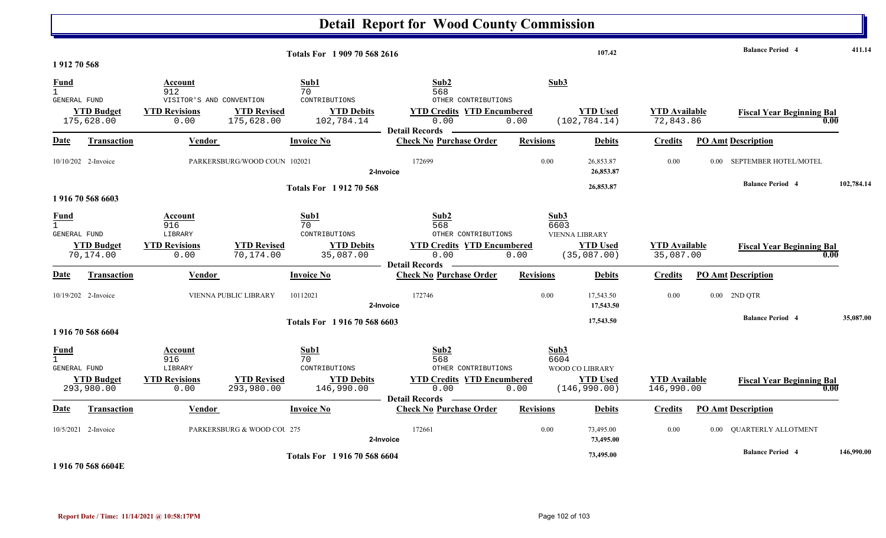|                                             |                                 |                                                                            |                                  |                                                                | <b>Detail Report for Wood County Commission</b>                                                          |                      |                                                         |                                    |                                  |            |
|---------------------------------------------|---------------------------------|----------------------------------------------------------------------------|----------------------------------|----------------------------------------------------------------|----------------------------------------------------------------------------------------------------------|----------------------|---------------------------------------------------------|------------------------------------|----------------------------------|------------|
| 1912 70 568                                 |                                 |                                                                            |                                  | Totals For 1 909 70 568 2616                                   |                                                                                                          |                      | 107.42                                                  |                                    | <b>Balance Period 4</b>          | 411.14     |
| Fund<br>GENERAL FUND                        | <b>YTD Budget</b><br>175,628.00 | Account<br>912<br>VISITOR'S AND CONVENTION<br><b>YTD Revisions</b><br>0.00 | <b>YTD Revised</b><br>175,628.00 | Sub1<br>70<br>CONTRIBUTIONS<br><b>YTD Debits</b><br>102,784.14 | Sub2<br>568<br>OTHER CONTRIBUTIONS<br><b>YTD Credits YTD Encumbered</b><br>0.00<br>Detail Records —      | Sub3<br>0.00         | <b>YTD Used</b><br>(102, 784.14)                        | <b>YTD</b> Available<br>72,843.86  | <b>Fiscal Year Beginning Bal</b> | 0.00       |
| <u>Date</u>                                 | Transaction                     | Vendor                                                                     |                                  | <b>Invoice No</b>                                              | <b>Check No Purchase Order</b>                                                                           | <b>Revisions</b>     | <b>Debits</b>                                           | <b>Credits</b>                     | <b>PO Amt Description</b>        |            |
|                                             | $10/10/202$ 2-Invoice           |                                                                            | PARKERSBURG/WOOD COUN 102021     | 2-Invoice                                                      | 172699                                                                                                   | 0.00                 | 26,853.87<br>26,853.87                                  | 0.00                               | 0.00 SEPTEMBER HOTEL/MOTEL       |            |
|                                             | 1916 70 568 6603                |                                                                            |                                  | <b>Totals For 191270568</b>                                    |                                                                                                          |                      | 26,853.87                                               |                                    | <b>Balance Period 4</b>          | 102,784.14 |
| <b>Fund</b><br><b>GENERAL FUND</b>          | <b>YTD Budget</b><br>70,174.00  | Account<br>916<br>LIBRARY<br><b>YTD Revisions</b><br>0.00                  | <b>YTD Revised</b><br>70,174.00  | Sub1<br>70<br>CONTRIBUTIONS<br><b>YTD Debits</b><br>35,087.00  | Sub2<br>568<br>OTHER CONTRIBUTIONS<br><b>YTD Credits YTD Encumbered</b><br>0.00<br><b>Detail Records</b> | Sub3<br>6603<br>0.00 | <b>VIENNA LIBRARY</b><br><b>YTD Used</b><br>(35,087.00) | <b>YTD</b> Available<br>35,087.00  | <b>Fiscal Year Beginning Bal</b> | 0.00       |
| <u>Date</u>                                 | Transaction                     | Vendor                                                                     |                                  | <b>Invoice No</b>                                              | <b>Check No Purchase Order</b>                                                                           | <b>Revisions</b>     | <b>Debits</b>                                           | <b>Credits</b>                     | PO Amt Description               |            |
|                                             | 10/19/202 2-Invoice             | <b>VIENNA PUBLIC LIBRARY</b>                                               | 10112021                         |                                                                | 172746<br>2-Invoice                                                                                      | 0.00                 | 17,543.50<br>17,543.50                                  | 0.00                               | 0.00 2ND QTR                     |            |
|                                             | 1916 70 568 6604                |                                                                            |                                  | Totals For 1916 70 568 6603                                    |                                                                                                          |                      | 17,543.50                                               |                                    | <b>Balance Period 4</b>          | 35,087.00  |
| <u>Fund</u><br>$\mathbf{1}$<br>GENERAL FUND | <b>YTD Budget</b><br>293,980.00 | Account<br>916<br>LIBRARY<br><b>YTD Revisions</b><br>0.00                  | <b>YTD Revised</b><br>293,980.00 | Sub1<br>70<br>CONTRIBUTIONS<br><b>YTD Debits</b><br>146,990.00 | Sub2<br>568<br>OTHER CONTRIBUTIONS<br><b>YTD Credits YTD Encumbered</b><br>0.00<br><b>Detail Records</b> | Sub3<br>6604<br>0.00 | WOOD CO LIBRARY<br><b>YTD Used</b><br>(146, 990.00)     | <b>YTD</b> Available<br>146,990.00 | <b>Fiscal Year Beginning Bal</b> | 0.00       |
| Date                                        | <b>Transaction</b>              | <b>Vendor</b>                                                              |                                  | <b>Invoice No</b>                                              | <b>Check No Purchase Order</b>                                                                           | <b>Revisions</b>     | <b>Debits</b>                                           | <b>Credits</b>                     | <b>PO Amt Description</b>        |            |
|                                             | 10/5/2021 2-Invoice             |                                                                            | PARKERSBURG & WOOD COU 275       | 2-Invoice                                                      | 172661                                                                                                   | 0.00                 | 73,495.00<br>73,495.00                                  | 0.00                               | 0.00 QUARTERLY ALLOTMENT         |            |
|                                             |                                 |                                                                            |                                  | Totals For 1916 70 568 6604                                    |                                                                                                          |                      | 73,495.00                                               |                                    | <b>Balance Period 4</b>          | 146,990.00 |

**1 916 70 568 6604E**